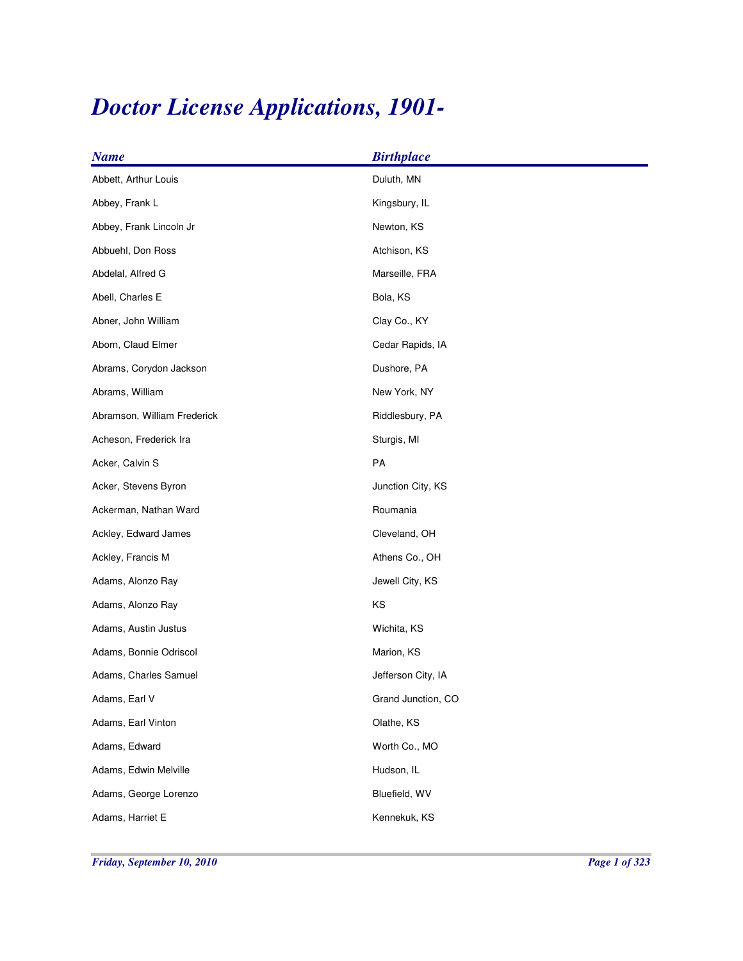## *Doctor License Applications, 1901-*

| <b>Name</b>                 | <b>Birthplace</b>  |
|-----------------------------|--------------------|
| Abbett, Arthur Louis        | Duluth, MN         |
| Abbey, Frank L              | Kingsbury, IL      |
| Abbey, Frank Lincoln Jr     | Newton, KS         |
| Abbuehl, Don Ross           | Atchison, KS       |
| Abdelal, Alfred G           | Marseille, FRA     |
| Abell, Charles E            | Bola, KS           |
| Abner, John William         | Clay Co., KY       |
| Aborn, Claud Elmer          | Cedar Rapids, IA   |
| Abrams, Corydon Jackson     | Dushore, PA        |
| Abrams, William             | New York, NY       |
| Abramson, William Frederick | Riddlesbury, PA    |
| Acheson, Frederick Ira      | Sturgis, MI        |
| Acker, Calvin S             | PA                 |
| Acker, Stevens Byron        | Junction City, KS  |
| Ackerman, Nathan Ward       | Roumania           |
| Ackley, Edward James        | Cleveland, OH      |
| Ackley, Francis M           | Athens Co., OH     |
| Adams, Alonzo Ray           | Jewell City, KS    |
| Adams, Alonzo Ray           | KS                 |
| Adams, Austin Justus        | Wichita, KS        |
| Adams, Bonnie Odriscol      | Marion, KS         |
| Adams, Charles Samuel       | Jefferson City, IA |
| Adams, Earl V               | Grand Junction, CO |
| Adams, Earl Vinton          | Olathe, KS         |
| Adams, Edward               | Worth Co., MO      |
| Adams, Edwin Melville       | Hudson, IL         |
| Adams, George Lorenzo       | Bluefield, WV      |
| Adams, Harriet E            | Kennekuk, KS       |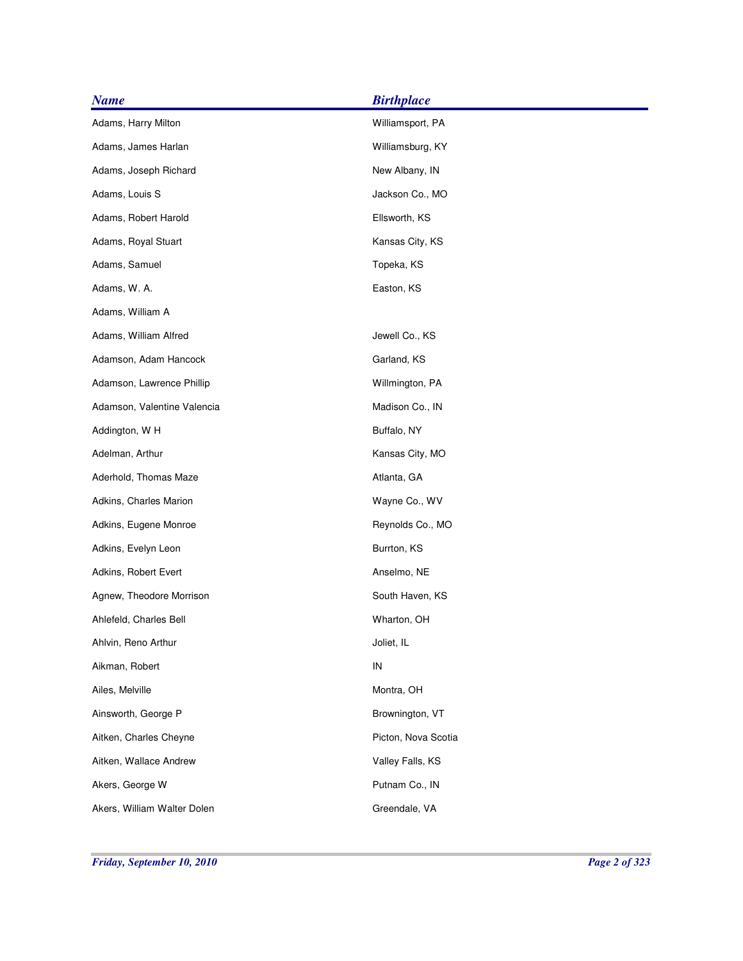| <b>Name</b>                 | <b>Birthplace</b>   |
|-----------------------------|---------------------|
| Adams, Harry Milton         | Williamsport, PA    |
| Adams, James Harlan         | Williamsburg, KY    |
| Adams, Joseph Richard       | New Albany, IN      |
| Adams, Louis S              | Jackson Co., MO     |
| Adams, Robert Harold        | Ellsworth, KS       |
| Adams, Royal Stuart         | Kansas City, KS     |
| Adams, Samuel               | Topeka, KS          |
| Adams, W. A.                | Easton, KS          |
| Adams, William A            |                     |
| Adams, William Alfred       | Jewell Co., KS      |
| Adamson, Adam Hancock       | Garland, KS         |
| Adamson, Lawrence Phillip   | Willmington, PA     |
| Adamson, Valentine Valencia | Madison Co., IN     |
| Addington, W H              | Buffalo, NY         |
| Adelman, Arthur             | Kansas City, MO     |
| Aderhold, Thomas Maze       | Atlanta, GA         |
| Adkins, Charles Marion      | Wayne Co., WV       |
| Adkins, Eugene Monroe       | Reynolds Co., MO    |
| Adkins, Evelyn Leon         | Burrton, KS         |
| Adkins, Robert Evert        | Anselmo, NE         |
| Agnew, Theodore Morrison    | South Haven, KS     |
| Ahlefeld, Charles Bell      | Wharton, OH         |
| Ahlvin, Reno Arthur         | Joliet, IL          |
| Aikman, Robert              | ${\sf IN}$          |
| Ailes, Melville             | Montra, OH          |
| Ainsworth, George P         | Brownington, VT     |
| Aitken, Charles Cheyne      | Picton, Nova Scotia |
| Aitken, Wallace Andrew      | Valley Falls, KS    |
| Akers, George W             | Putnam Co., IN      |
| Akers, William Walter Dolen | Greendale, VA       |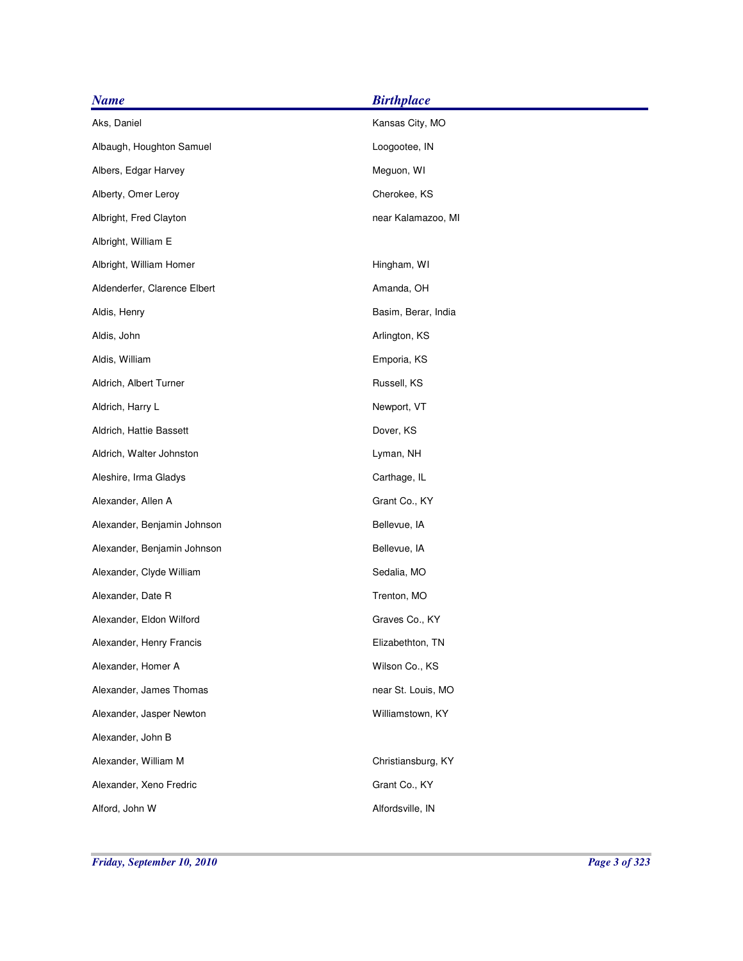| <b>Name</b>                  | <b>Birthplace</b>   |
|------------------------------|---------------------|
| Aks, Daniel                  | Kansas City, MO     |
| Albaugh, Houghton Samuel     | Loogootee, IN       |
| Albers, Edgar Harvey         | Meguon, WI          |
| Alberty, Omer Leroy          | Cherokee, KS        |
| Albright, Fred Clayton       | near Kalamazoo, MI  |
| Albright, William E          |                     |
| Albright, William Homer      | Hingham, WI         |
| Aldenderfer, Clarence Elbert | Amanda, OH          |
| Aldis, Henry                 | Basim, Berar, India |
| Aldis, John                  | Arlington, KS       |
| Aldis, William               | Emporia, KS         |
| Aldrich, Albert Turner       | Russell, KS         |
| Aldrich, Harry L             | Newport, VT         |
| Aldrich, Hattie Bassett      | Dover, KS           |
| Aldrich, Walter Johnston     | Lyman, NH           |
| Aleshire, Irma Gladys        | Carthage, IL        |
| Alexander, Allen A           | Grant Co., KY       |
| Alexander, Benjamin Johnson  | Bellevue, IA        |
| Alexander, Benjamin Johnson  | Bellevue, IA        |
| Alexander, Clyde William     | Sedalia, MO         |
| Alexander, Date R            | Trenton, MO         |
| Alexander, Eldon Wilford     | Graves Co., KY      |
| Alexander, Henry Francis     | Elizabethton, TN    |
| Alexander, Homer A           | Wilson Co., KS      |
| Alexander, James Thomas      | near St. Louis, MO  |
| Alexander, Jasper Newton     | Williamstown, KY    |
| Alexander, John B            |                     |
| Alexander, William M         | Christiansburg, KY  |
| Alexander, Xeno Fredric      | Grant Co., KY       |
| Alford, John W               | Alfordsville, IN    |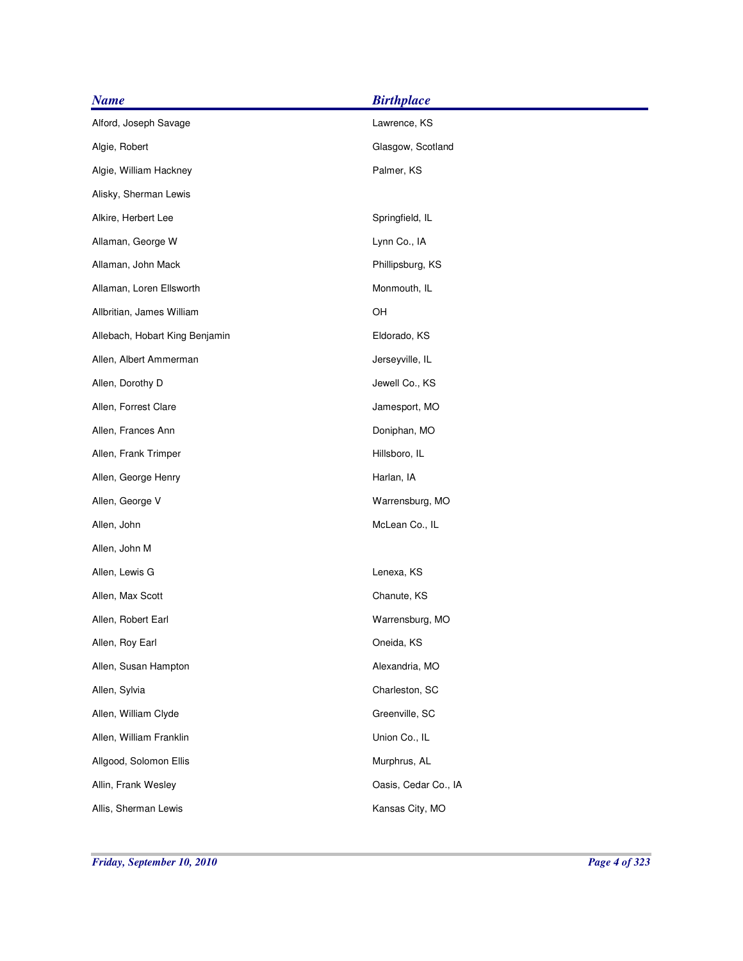| <b>Name</b>                    | <b>Birthplace</b>    |
|--------------------------------|----------------------|
| Alford, Joseph Savage          | Lawrence, KS         |
| Algie, Robert                  | Glasgow, Scotland    |
| Algie, William Hackney         | Palmer, KS           |
| Alisky, Sherman Lewis          |                      |
| Alkire, Herbert Lee            | Springfield, IL      |
| Allaman, George W              | Lynn Co., IA         |
| Allaman, John Mack             | Phillipsburg, KS     |
| Allaman, Loren Ellsworth       | Monmouth, IL         |
| Allbritian, James William      | OH                   |
| Allebach, Hobart King Benjamin | Eldorado, KS         |
| Allen, Albert Ammerman         | Jerseyville, IL      |
| Allen, Dorothy D               | Jewell Co., KS       |
| Allen, Forrest Clare           | Jamesport, MO        |
| Allen, Frances Ann             | Doniphan, MO         |
| Allen, Frank Trimper           | Hillsboro, IL        |
| Allen, George Henry            | Harlan, IA           |
| Allen, George V                | Warrensburg, MO      |
| Allen, John                    | McLean Co., IL       |
| Allen, John M                  |                      |
| Allen, Lewis G                 | Lenexa, KS           |
| Allen, Max Scott               | Chanute, KS          |
| Allen, Robert Earl             | Warrensburg, MO      |
| Allen, Roy Earl                | Oneida, KS           |
| Allen, Susan Hampton           | Alexandria, MO       |
| Allen, Sylvia                  | Charleston, SC       |
| Allen, William Clyde           | Greenville, SC       |
| Allen, William Franklin        | Union Co., IL        |
| Allgood, Solomon Ellis         | Murphrus, AL         |
| Allin, Frank Wesley            | Oasis, Cedar Co., IA |
| Allis, Sherman Lewis           | Kansas City, MO      |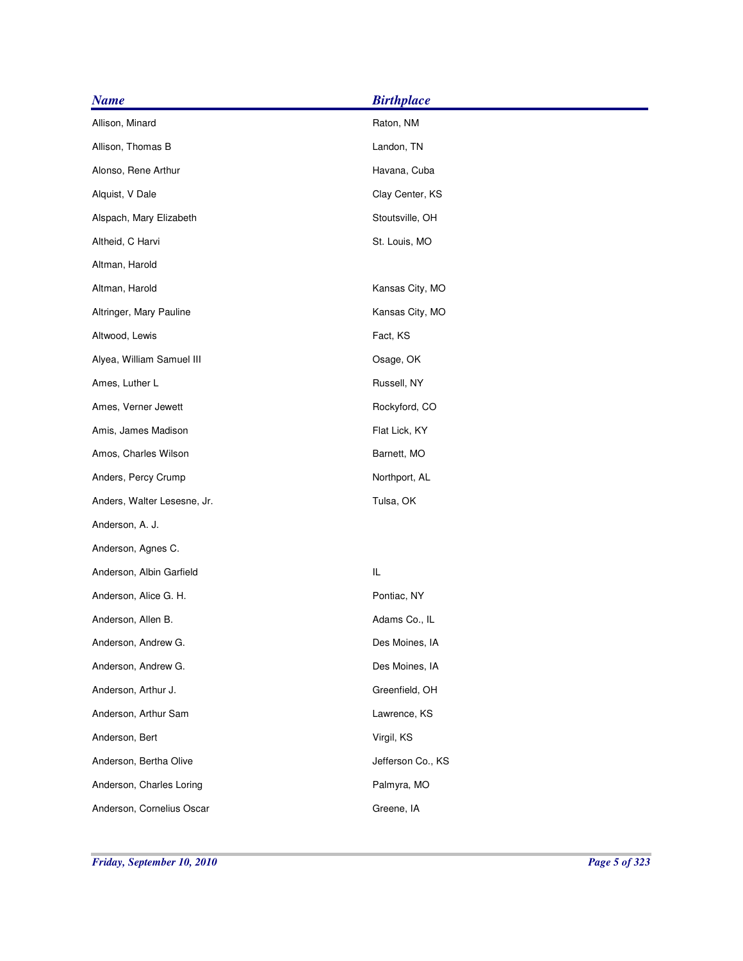| <b>Name</b>                 | <b>Birthplace</b> |
|-----------------------------|-------------------|
| Allison, Minard             | Raton, NM         |
| Allison, Thomas B           | Landon, TN        |
| Alonso, Rene Arthur         | Havana, Cuba      |
| Alquist, V Dale             | Clay Center, KS   |
| Alspach, Mary Elizabeth     | Stoutsville, OH   |
| Altheid, C Harvi            | St. Louis, MO     |
| Altman, Harold              |                   |
| Altman, Harold              | Kansas City, MO   |
| Altringer, Mary Pauline     | Kansas City, MO   |
| Altwood, Lewis              | Fact, KS          |
| Alyea, William Samuel III   | Osage, OK         |
| Ames, Luther L              | Russell, NY       |
| Ames, Verner Jewett         | Rockyford, CO     |
| Amis, James Madison         | Flat Lick, KY     |
| Amos, Charles Wilson        | Barnett, MO       |
| Anders, Percy Crump         | Northport, AL     |
| Anders, Walter Lesesne, Jr. | Tulsa, OK         |
| Anderson, A. J.             |                   |
| Anderson, Agnes C.          |                   |
| Anderson, Albin Garfield    | IL                |
| Anderson, Alice G. H.       | Pontiac, NY       |
| Anderson, Allen B.          | Adams Co., IL     |
| Anderson, Andrew G.         | Des Moines, IA    |
| Anderson, Andrew G.         | Des Moines, IA    |
| Anderson, Arthur J.         | Greenfield, OH    |
| Anderson, Arthur Sam        | Lawrence, KS      |
| Anderson, Bert              | Virgil, KS        |
| Anderson, Bertha Olive      | Jefferson Co., KS |
| Anderson, Charles Loring    | Palmyra, MO       |
| Anderson, Cornelius Oscar   | Greene, IA        |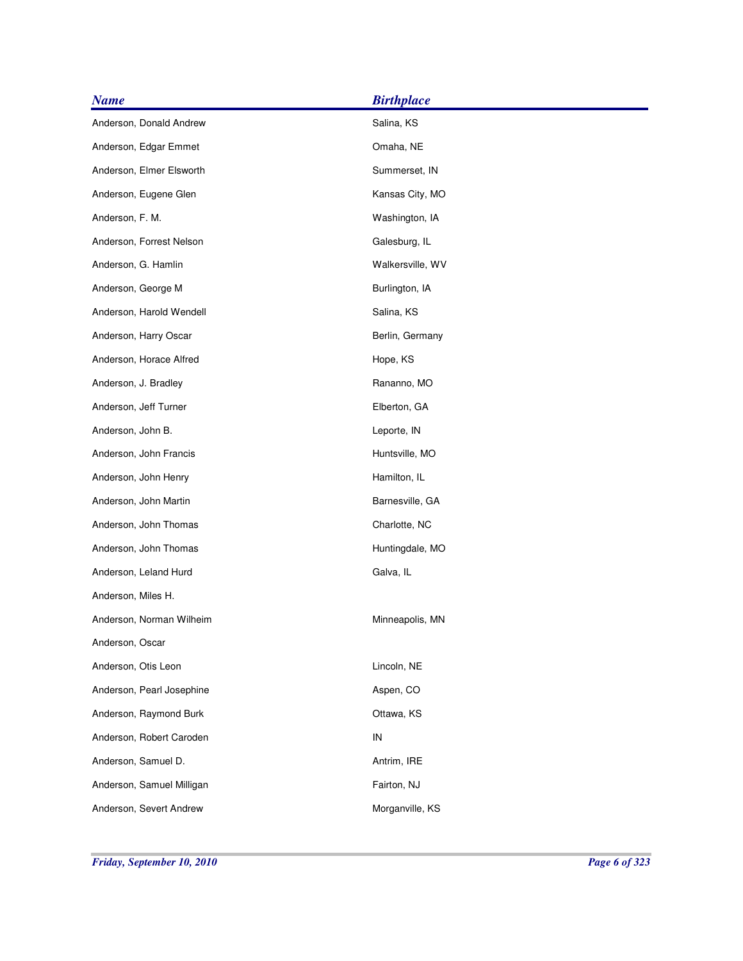| <b>Name</b>               | <b>Birthplace</b> |
|---------------------------|-------------------|
| Anderson, Donald Andrew   | Salina, KS        |
| Anderson, Edgar Emmet     | Omaha, NE         |
| Anderson, Elmer Elsworth  | Summerset, IN     |
| Anderson, Eugene Glen     | Kansas City, MO   |
| Anderson, F. M.           | Washington, IA    |
| Anderson, Forrest Nelson  | Galesburg, IL     |
| Anderson, G. Hamlin       | Walkersville, WV  |
| Anderson, George M        | Burlington, IA    |
| Anderson, Harold Wendell  | Salina, KS        |
| Anderson, Harry Oscar     | Berlin, Germany   |
| Anderson, Horace Alfred   | Hope, KS          |
| Anderson, J. Bradley      | Rananno, MO       |
| Anderson, Jeff Turner     | Elberton, GA      |
| Anderson, John B.         | Leporte, IN       |
| Anderson, John Francis    | Huntsville, MO    |
| Anderson, John Henry      | Hamilton, IL      |
| Anderson, John Martin     | Barnesville, GA   |
| Anderson, John Thomas     | Charlotte, NC     |
| Anderson, John Thomas     | Huntingdale, MO   |
| Anderson, Leland Hurd     | Galva, IL         |
| Anderson, Miles H.        |                   |
| Anderson, Norman Wilheim  | Minneapolis, MN   |
| Anderson, Oscar           |                   |
| Anderson, Otis Leon       | Lincoln, NE       |
| Anderson, Pearl Josephine | Aspen, CO         |
| Anderson, Raymond Burk    | Ottawa, KS        |
| Anderson, Robert Caroden  | ${\sf IN}$        |
| Anderson, Samuel D.       | Antrim, IRE       |
| Anderson, Samuel Milligan | Fairton, NJ       |
| Anderson, Severt Andrew   | Morganville, KS   |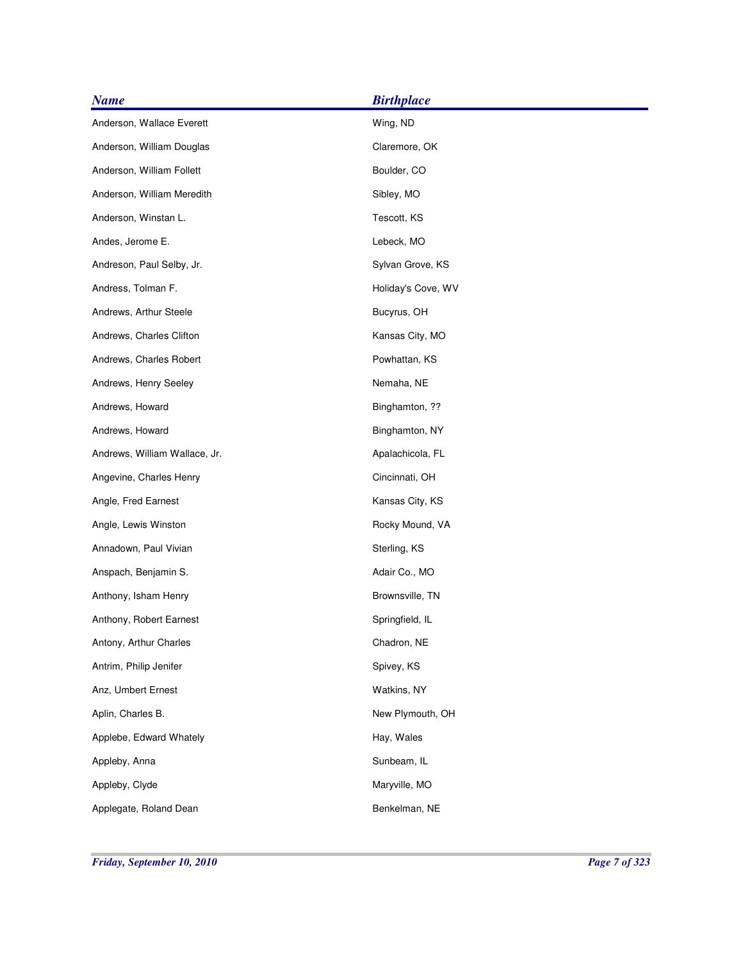| <b>Name</b>                   | <b>Birthplace</b>  |
|-------------------------------|--------------------|
| Anderson, Wallace Everett     | Wing, ND           |
| Anderson, William Douglas     | Claremore, OK      |
| Anderson, William Follett     | Boulder, CO        |
| Anderson, William Meredith    | Sibley, MO         |
| Anderson, Winstan L.          | Tescott, KS        |
| Andes, Jerome E.              | Lebeck, MO         |
| Andreson, Paul Selby, Jr.     | Sylvan Grove, KS   |
| Andress, Tolman F.            | Holiday's Cove, WV |
| Andrews, Arthur Steele        | Bucyrus, OH        |
| Andrews, Charles Clifton      | Kansas City, MO    |
| Andrews, Charles Robert       | Powhattan, KS      |
| Andrews, Henry Seeley         | Nemaha, NE         |
| Andrews, Howard               | Binghamton, ??     |
| Andrews, Howard               | Binghamton, NY     |
| Andrews, William Wallace, Jr. | Apalachicola, FL   |
| Angevine, Charles Henry       | Cincinnati, OH     |
| Angle, Fred Earnest           | Kansas City, KS    |
| Angle, Lewis Winston          | Rocky Mound, VA    |
| Annadown, Paul Vivian         | Sterling, KS       |
| Anspach, Benjamin S.          | Adair Co., MO      |
| Anthony, Isham Henry          | Brownsville, TN    |
| Anthony, Robert Earnest       | Springfield, IL    |
| Antony, Arthur Charles        | Chadron, NE        |
| Antrim, Philip Jenifer        | Spivey, KS         |
| Anz, Umbert Ernest            | Watkins, NY        |
| Aplin, Charles B.             | New Plymouth, OH   |
| Applebe, Edward Whately       | Hay, Wales         |
| Appleby, Anna                 | Sunbeam, IL        |
| Appleby, Clyde                | Maryville, MO      |
| Applegate, Roland Dean        | Benkelman, NE      |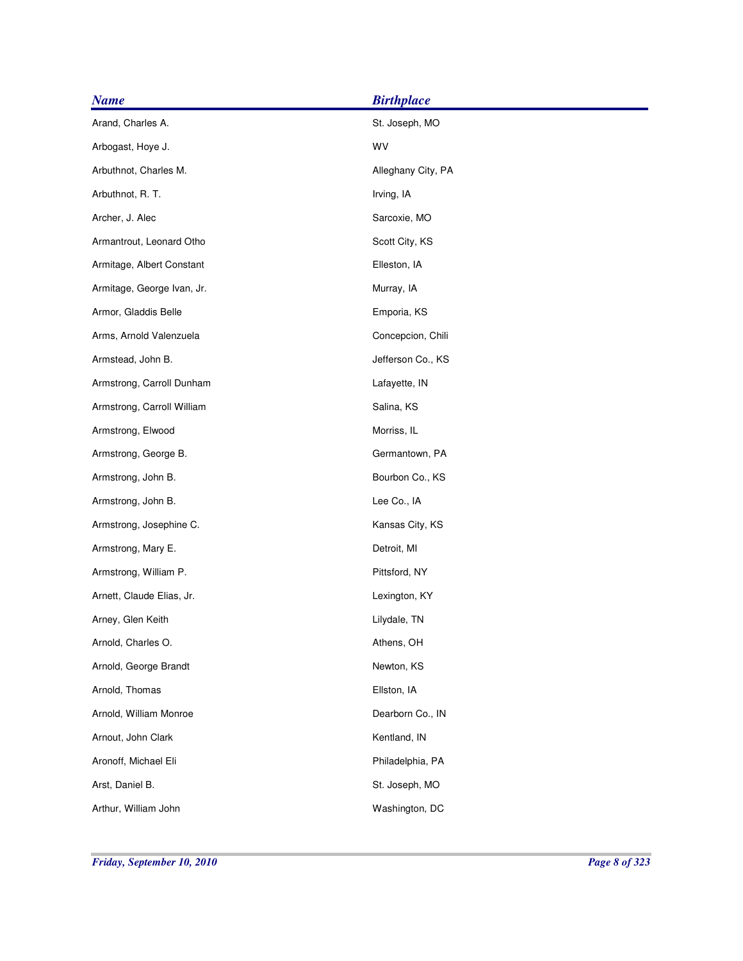| <b>Name</b>                | <b>Birthplace</b>  |
|----------------------------|--------------------|
| Arand, Charles A.          | St. Joseph, MO     |
| Arbogast, Hoye J.          | WV                 |
| Arbuthnot, Charles M.      | Alleghany City, PA |
| Arbuthnot, R. T.           | Irving, IA         |
| Archer, J. Alec            | Sarcoxie, MO       |
| Armantrout, Leonard Otho   | Scott City, KS     |
| Armitage, Albert Constant  | Elleston, IA       |
| Armitage, George Ivan, Jr. | Murray, IA         |
| Armor, Gladdis Belle       | Emporia, KS        |
| Arms, Arnold Valenzuela    | Concepcion, Chili  |
| Armstead, John B.          | Jefferson Co., KS  |
| Armstrong, Carroll Dunham  | Lafayette, IN      |
| Armstrong, Carroll William | Salina, KS         |
| Armstrong, Elwood          | Morriss, IL        |
| Armstrong, George B.       | Germantown, PA     |
| Armstrong, John B.         | Bourbon Co., KS    |
| Armstrong, John B.         | Lee Co., IA        |
| Armstrong, Josephine C.    | Kansas City, KS    |
| Armstrong, Mary E.         | Detroit, MI        |
| Armstrong, William P.      | Pittsford, NY      |
| Arnett, Claude Elias, Jr.  | Lexington, KY      |
| Arney, Glen Keith          | Lilydale, TN       |
| Arnold, Charles O.         | Athens, OH         |
| Arnold, George Brandt      | Newton, KS         |
| Arnold, Thomas             | Ellston, IA        |
| Arnold, William Monroe     | Dearborn Co., IN   |
| Arnout, John Clark         | Kentland, IN       |
| Aronoff, Michael Eli       | Philadelphia, PA   |
| Arst, Daniel B.            | St. Joseph, MO     |
| Arthur, William John       | Washington, DC     |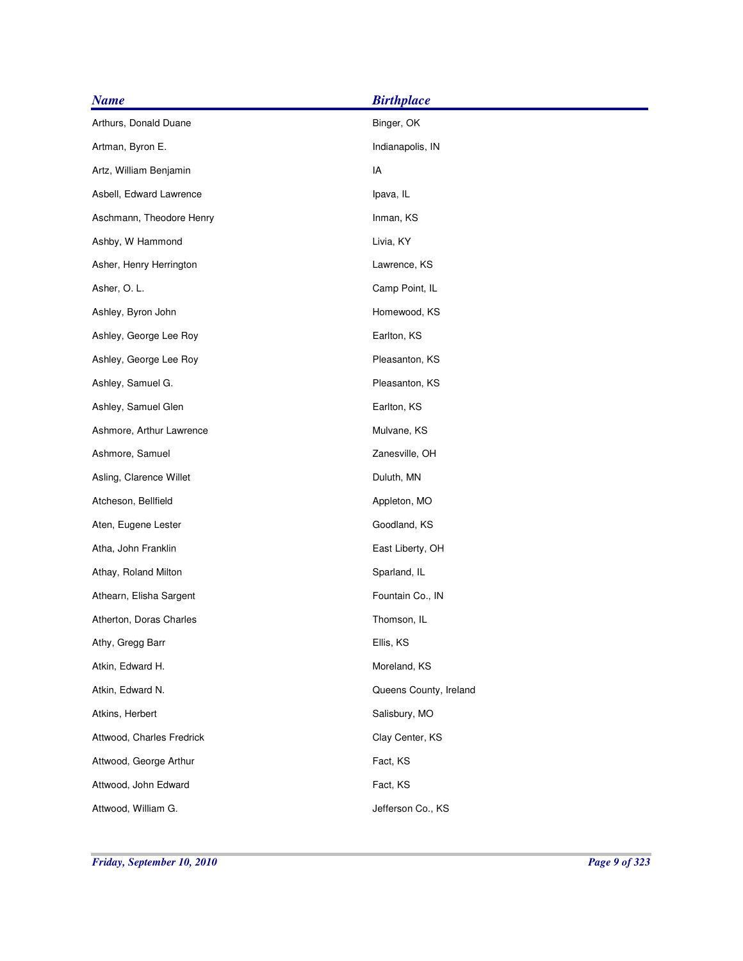| <b>Name</b>               | <b>Birthplace</b>      |
|---------------------------|------------------------|
| Arthurs, Donald Duane     | Binger, OK             |
| Artman, Byron E.          | Indianapolis, IN       |
| Artz, William Benjamin    | IA                     |
| Asbell, Edward Lawrence   | Ipava, IL              |
| Aschmann, Theodore Henry  | Inman, KS              |
| Ashby, W Hammond          | Livia, KY              |
| Asher, Henry Herrington   | Lawrence, KS           |
| Asher, O. L.              | Camp Point, IL         |
| Ashley, Byron John        | Homewood, KS           |
| Ashley, George Lee Roy    | Earlton, KS            |
| Ashley, George Lee Roy    | Pleasanton, KS         |
| Ashley, Samuel G.         | Pleasanton, KS         |
| Ashley, Samuel Glen       | Earlton, KS            |
| Ashmore, Arthur Lawrence  | Mulvane, KS            |
| Ashmore, Samuel           | Zanesville, OH         |
| Asling, Clarence Willet   | Duluth, MN             |
| Atcheson, Bellfield       | Appleton, MO           |
| Aten, Eugene Lester       | Goodland, KS           |
| Atha, John Franklin       | East Liberty, OH       |
| Athay, Roland Milton      | Sparland, IL           |
| Athearn, Elisha Sargent   | Fountain Co., IN       |
| Atherton, Doras Charles   | Thomson, IL            |
| Athy, Gregg Barr          | Ellis, KS              |
| Atkin, Edward H.          | Moreland, KS           |
| Atkin, Edward N.          | Queens County, Ireland |
| Atkins, Herbert           | Salisbury, MO          |
| Attwood, Charles Fredrick | Clay Center, KS        |
| Attwood, George Arthur    | Fact, KS               |
| Attwood, John Edward      | Fact, KS               |
| Attwood, William G.       | Jefferson Co., KS      |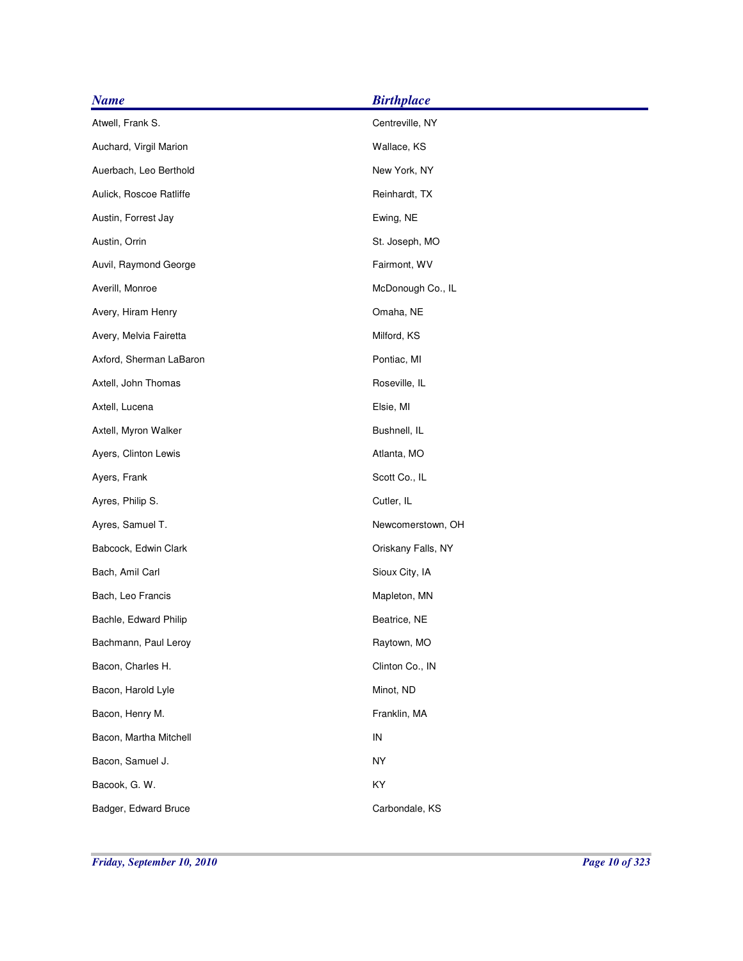| <b>Name</b>             | <b>Birthplace</b>  |
|-------------------------|--------------------|
| Atwell, Frank S.        | Centreville, NY    |
| Auchard, Virgil Marion  | Wallace, KS        |
| Auerbach, Leo Berthold  | New York, NY       |
| Aulick, Roscoe Ratliffe | Reinhardt, TX      |
| Austin, Forrest Jay     | Ewing, NE          |
| Austin, Orrin           | St. Joseph, MO     |
| Auvil, Raymond George   | Fairmont, WV       |
| Averill, Monroe         | McDonough Co., IL  |
| Avery, Hiram Henry      | Omaha, NE          |
| Avery, Melvia Fairetta  | Milford, KS        |
| Axford, Sherman LaBaron | Pontiac, MI        |
| Axtell, John Thomas     | Roseville, IL      |
| Axtell, Lucena          | Elsie, MI          |
| Axtell, Myron Walker    | Bushnell, IL       |
| Ayers, Clinton Lewis    | Atlanta, MO        |
| Ayers, Frank            | Scott Co., IL      |
| Ayres, Philip S.        | Cutler, IL         |
| Ayres, Samuel T.        | Newcomerstown, OH  |
| Babcock, Edwin Clark    | Oriskany Falls, NY |
| Bach, Amil Carl         | Sioux City, IA     |
| Bach, Leo Francis       | Mapleton, MN       |
| Bachle, Edward Philip   | Beatrice, NE       |
| Bachmann, Paul Leroy    | Raytown, MO        |
| Bacon, Charles H.       | Clinton Co., IN    |
| Bacon, Harold Lyle      | Minot, ND          |
| Bacon, Henry M.         | Franklin, MA       |
| Bacon, Martha Mitchell  | IN                 |
| Bacon, Samuel J.        | <b>NY</b>          |
| Bacook, G. W.           | KY                 |
| Badger, Edward Bruce    | Carbondale, KS     |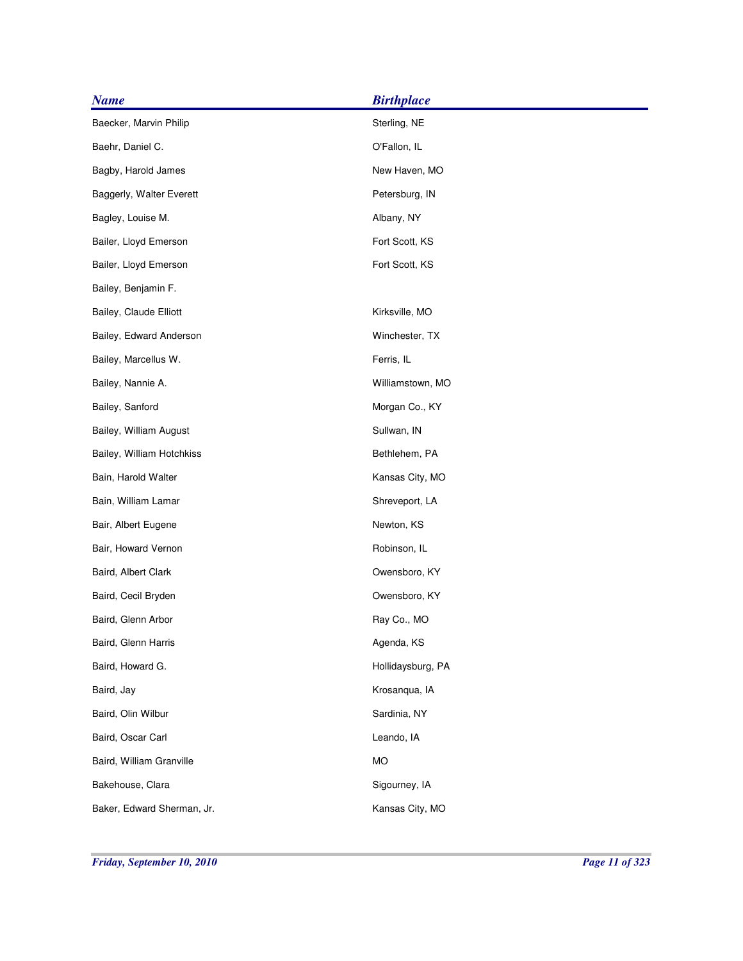| <b>Name</b>                | <b>Birthplace</b> |
|----------------------------|-------------------|
| Baecker, Marvin Philip     | Sterling, NE      |
| Baehr, Daniel C.           | O'Fallon, IL      |
| Bagby, Harold James        | New Haven, MO     |
| Baggerly, Walter Everett   | Petersburg, IN    |
| Bagley, Louise M.          | Albany, NY        |
| Bailer, Lloyd Emerson      | Fort Scott, KS    |
| Bailer, Lloyd Emerson      | Fort Scott, KS    |
| Bailey, Benjamin F.        |                   |
| Bailey, Claude Elliott     | Kirksville, MO    |
| Bailey, Edward Anderson    | Winchester, TX    |
| Bailey, Marcellus W.       | Ferris, IL        |
| Bailey, Nannie A.          | Williamstown, MO  |
| Bailey, Sanford            | Morgan Co., KY    |
| Bailey, William August     | Sullwan, IN       |
| Bailey, William Hotchkiss  | Bethlehem, PA     |
| Bain, Harold Walter        | Kansas City, MO   |
| Bain, William Lamar        | Shreveport, LA    |
| Bair, Albert Eugene        | Newton, KS        |
| Bair, Howard Vernon        | Robinson, IL      |
| Baird, Albert Clark        | Owensboro, KY     |
| Baird, Cecil Bryden        | Owensboro, KY     |
| Baird, Glenn Arbor         | Ray Co., MO       |
| Baird, Glenn Harris        | Agenda, KS        |
| Baird, Howard G.           | Hollidaysburg, PA |
| Baird, Jay                 | Krosanqua, IA     |
| Baird, Olin Wilbur         | Sardinia, NY      |
| Baird, Oscar Carl          | Leando, IA        |
| Baird, William Granville   | MO                |
| Bakehouse, Clara           | Sigourney, IA     |
| Baker, Edward Sherman, Jr. | Kansas City, MO   |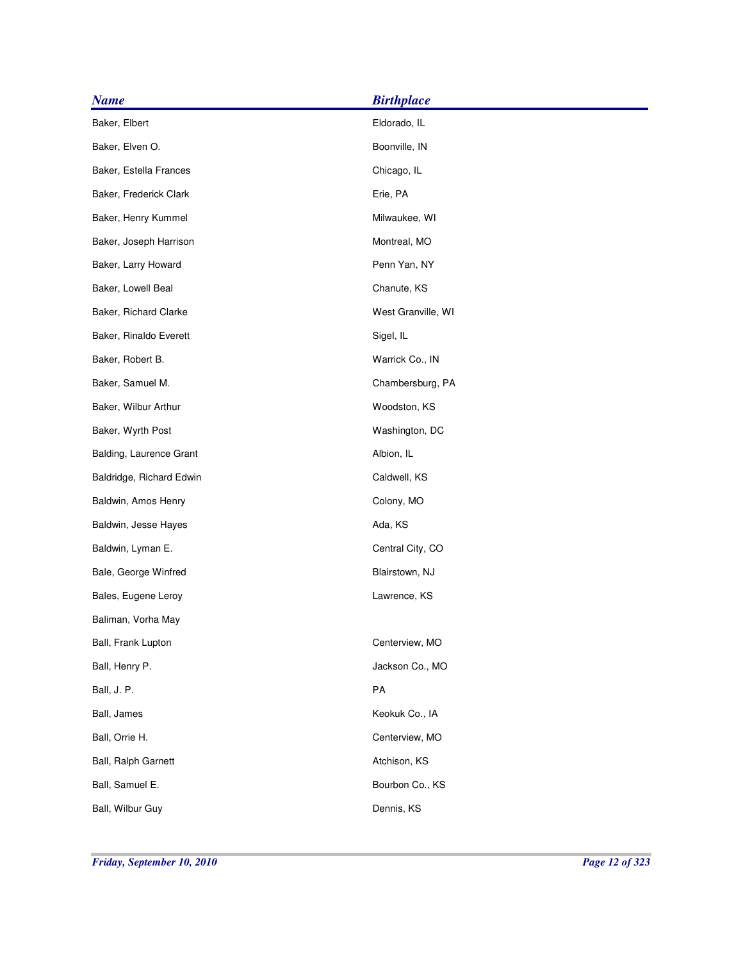| <b>Name</b>              | <b>Birthplace</b>  |
|--------------------------|--------------------|
| Baker, Elbert            | Eldorado, IL       |
| Baker, Elven O.          | Boonville, IN      |
| Baker, Estella Frances   | Chicago, IL        |
| Baker, Frederick Clark   | Erie, PA           |
| Baker, Henry Kummel      | Milwaukee, WI      |
| Baker, Joseph Harrison   | Montreal, MO       |
| Baker, Larry Howard      | Penn Yan, NY       |
| Baker, Lowell Beal       | Chanute, KS        |
| Baker, Richard Clarke    | West Granville, WI |
| Baker, Rinaldo Everett   | Sigel, IL          |
| Baker, Robert B.         | Warrick Co., IN    |
| Baker, Samuel M.         | Chambersburg, PA   |
| Baker, Wilbur Arthur     | Woodston, KS       |
| Baker, Wyrth Post        | Washington, DC     |
| Balding, Laurence Grant  | Albion, IL         |
| Baldridge, Richard Edwin | Caldwell, KS       |
| Baldwin, Amos Henry      | Colony, MO         |
| Baldwin, Jesse Hayes     | Ada, KS            |
| Baldwin, Lyman E.        | Central City, CO   |
| Bale, George Winfred     | Blairstown, NJ     |
| Bales, Eugene Leroy      | Lawrence, KS       |
| Baliman, Vorha May       |                    |
| Ball, Frank Lupton       | Centerview, MO     |
| Ball, Henry P.           | Jackson Co., MO    |
| Ball, J. P.              | PA                 |
| Ball, James              | Keokuk Co., IA     |
| Ball, Orrie H.           | Centerview, MO     |
| Ball, Ralph Garnett      | Atchison, KS       |
| Ball, Samuel E.          | Bourbon Co., KS    |
| Ball, Wilbur Guy         | Dennis, KS         |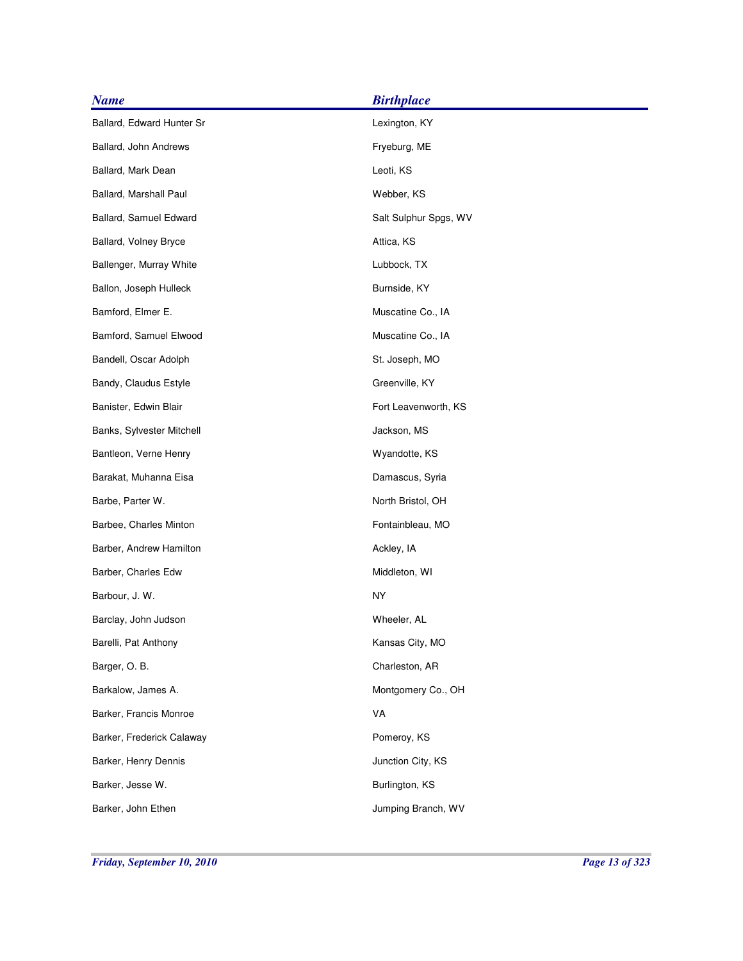| <b>Name</b>                  | <b>Birthplace</b>     |
|------------------------------|-----------------------|
| Ballard, Edward Hunter Sr    | Lexington, KY         |
| Ballard, John Andrews        | Fryeburg, ME          |
| Ballard, Mark Dean           | Leoti, KS             |
| Ballard, Marshall Paul       | Webber, KS            |
| Ballard, Samuel Edward       | Salt Sulphur Spgs, WV |
| <b>Ballard, Volney Bryce</b> | Attica, KS            |
| Ballenger, Murray White      | Lubbock, TX           |
| Ballon, Joseph Hulleck       | Burnside, KY          |
| Bamford, Elmer E.            | Muscatine Co., IA     |
| Bamford, Samuel Elwood       | Muscatine Co., IA     |
| Bandell, Oscar Adolph        | St. Joseph, MO        |
| Bandy, Claudus Estyle        | Greenville, KY        |
| Banister, Edwin Blair        | Fort Leavenworth, KS  |
| Banks, Sylvester Mitchell    | Jackson, MS           |
| Bantleon, Verne Henry        | Wyandotte, KS         |
| Barakat, Muhanna Eisa        | Damascus, Syria       |
| Barbe, Parter W.             | North Bristol, OH     |
| Barbee, Charles Minton       | Fontainbleau, MO      |
| Barber, Andrew Hamilton      | Ackley, IA            |
| Barber, Charles Edw          | Middleton, WI         |
| Barbour, J. W.               | NY                    |
| Barclay, John Judson         | Wheeler, AL           |
| Barelli, Pat Anthony         | Kansas City, MO       |
| Barger, O.B.                 | Charleston, AR        |
| Barkalow, James A.           | Montgomery Co., OH    |
| Barker, Francis Monroe       | VA                    |
| Barker, Frederick Calaway    | Pomeroy, KS           |
| Barker, Henry Dennis         | Junction City, KS     |
| Barker, Jesse W.             | Burlington, KS        |
| Barker, John Ethen           | Jumping Branch, WV    |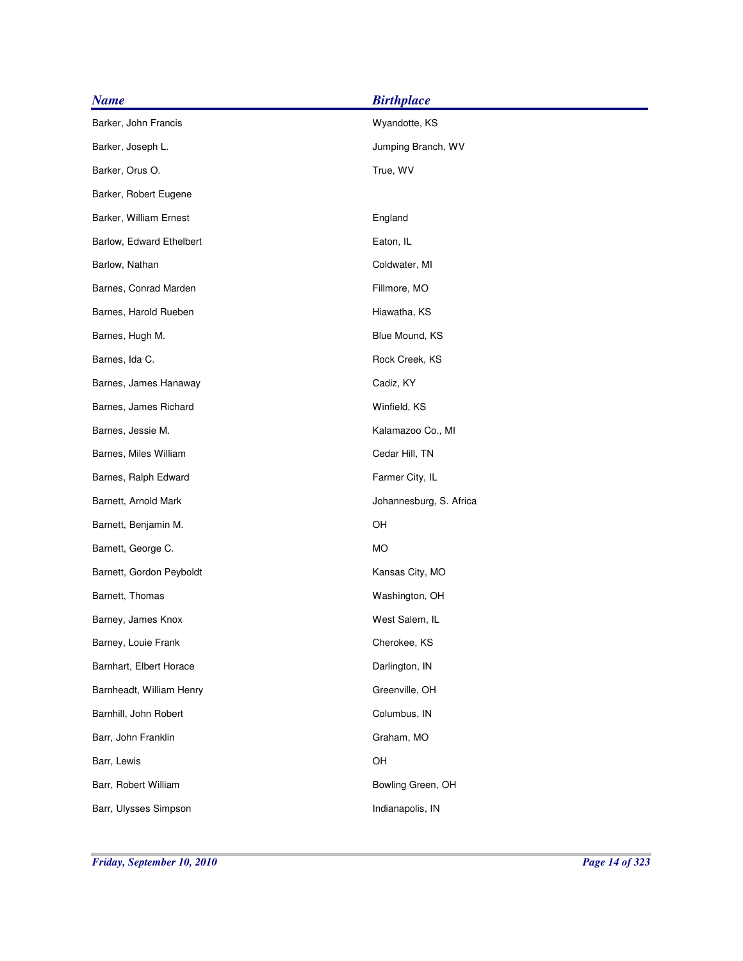| <b>Name</b>              | <b>Birthplace</b>       |
|--------------------------|-------------------------|
| Barker, John Francis     | Wyandotte, KS           |
| Barker, Joseph L.        | Jumping Branch, WV      |
| Barker, Orus O.          | True, WV                |
| Barker, Robert Eugene    |                         |
| Barker, William Ernest   | England                 |
| Barlow, Edward Ethelbert | Eaton, IL               |
| Barlow, Nathan           | Coldwater, MI           |
| Barnes, Conrad Marden    | Fillmore, MO            |
| Barnes, Harold Rueben    | Hiawatha, KS            |
| Barnes, Hugh M.          | Blue Mound, KS          |
| Barnes, Ida C.           | Rock Creek, KS          |
| Barnes, James Hanaway    | Cadiz, KY               |
| Barnes, James Richard    | Winfield, KS            |
| Barnes, Jessie M.        | Kalamazoo Co., MI       |
| Barnes, Miles William    | Cedar Hill, TN          |
| Barnes, Ralph Edward     | Farmer City, IL         |
| Barnett, Arnold Mark     | Johannesburg, S. Africa |
| Barnett, Benjamin M.     | OН                      |
| Barnett, George C.       | МO                      |
| Barnett, Gordon Peyboldt | Kansas City, MO         |
| Barnett, Thomas          | Washington, OH          |
| Barney, James Knox       | West Salem, IL          |
| Barney, Louie Frank      | Cherokee, KS            |
| Barnhart, Elbert Horace  | Darlington, IN          |
| Barnheadt, William Henry | Greenville, OH          |
| Barnhill, John Robert    | Columbus, IN            |
| Barr, John Franklin      | Graham, MO              |
| Barr, Lewis              | OH                      |
| Barr, Robert William     | Bowling Green, OH       |
| Barr, Ulysses Simpson    | Indianapolis, IN        |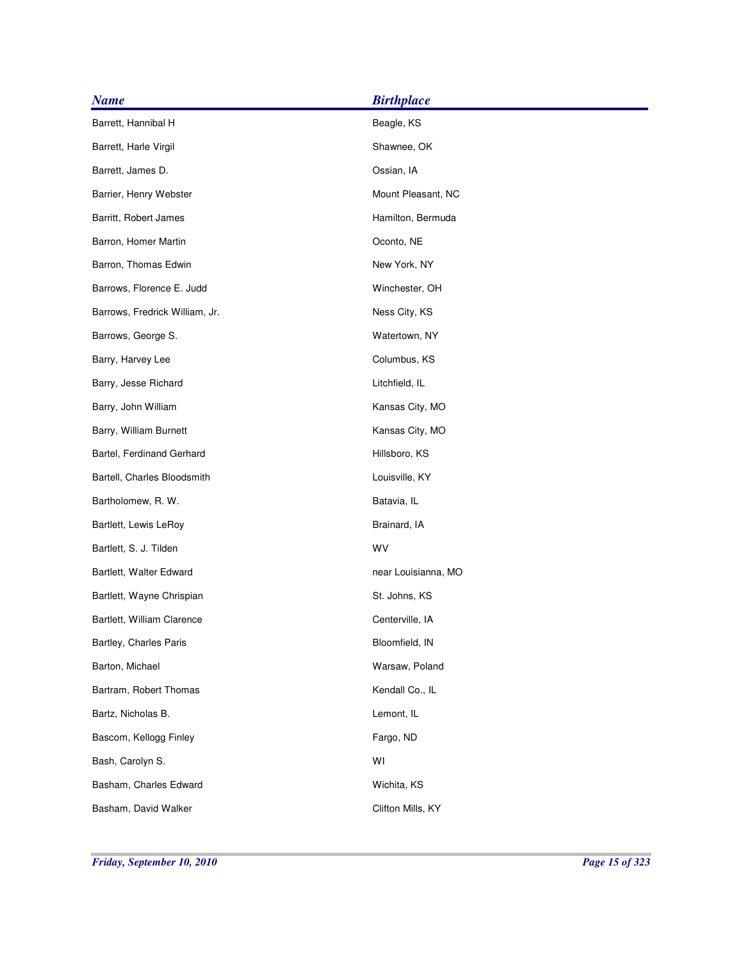| <b>Name</b>                    | <b>Birthplace</b>   |
|--------------------------------|---------------------|
| Barrett, Hannibal H            | Beagle, KS          |
| Barrett, Harle Virgil          | Shawnee, OK         |
| Barrett, James D.              | Ossian, IA          |
| Barrier, Henry Webster         | Mount Pleasant, NC  |
| Barritt, Robert James          | Hamilton, Bermuda   |
| Barron, Homer Martin           | Oconto, NE          |
| Barron, Thomas Edwin           | New York, NY        |
| Barrows, Florence E. Judd      | Winchester, OH      |
| Barrows, Fredrick William, Jr. | Ness City, KS       |
| Barrows, George S.             | Watertown, NY       |
| Barry, Harvey Lee              | Columbus, KS        |
| Barry, Jesse Richard           | Litchfield, IL      |
| Barry, John William            | Kansas City, MO     |
| Barry, William Burnett         | Kansas City, MO     |
| Bartel, Ferdinand Gerhard      | Hillsboro, KS       |
| Bartell, Charles Bloodsmith    | Louisville, KY      |
| Bartholomew, R. W.             | Batavia, IL         |
| Bartlett, Lewis LeRoy          | Brainard, IA        |
| Bartlett, S. J. Tilden         | WV                  |
| Bartlett, Walter Edward        | near Louisianna, MO |
| Bartlett, Wayne Chrispian      | St. Johns, KS       |
| Bartlett, William Clarence     | Centerville, IA     |
| Bartley, Charles Paris         | Bloomfield, IN      |
| Barton, Michael                | Warsaw, Poland      |
| Bartram, Robert Thomas         | Kendall Co., IL     |
| Bartz, Nicholas B.             | Lemont, IL          |
| Bascom, Kellogg Finley         | Fargo, ND           |
| Bash, Carolyn S.               | WI                  |
| Basham, Charles Edward         | Wichita, KS         |
| Basham, David Walker           | Clifton Mills, KY   |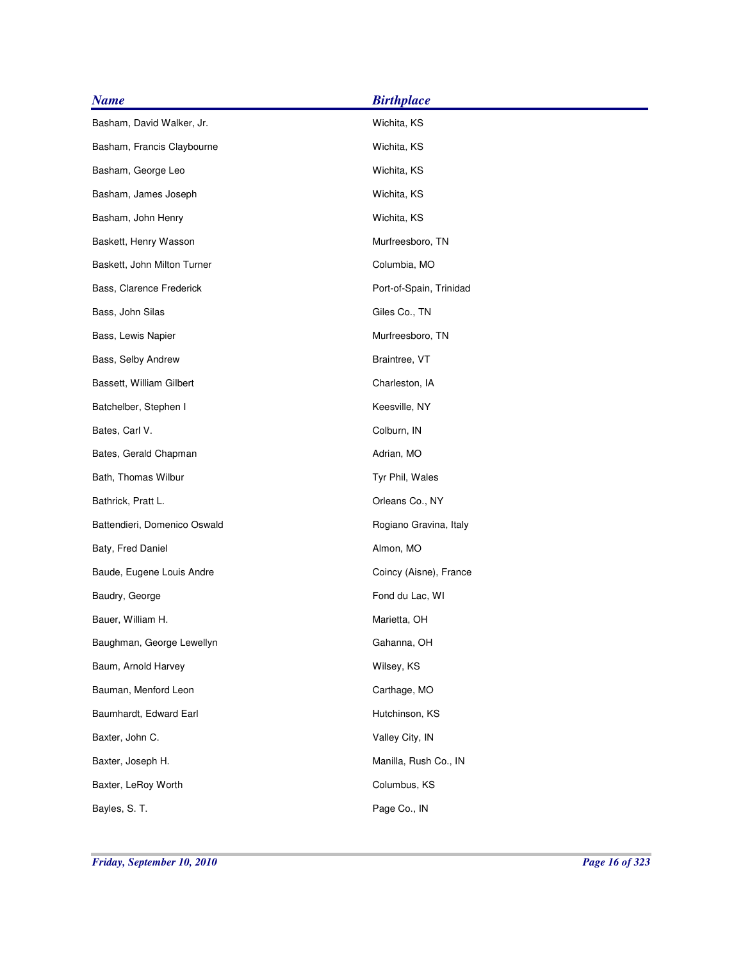| <b>Name</b>                  | <b>Birthplace</b>       |
|------------------------------|-------------------------|
| Basham, David Walker, Jr.    | Wichita, KS             |
| Basham, Francis Claybourne   | Wichita, KS             |
| Basham, George Leo           | Wichita, KS             |
| Basham, James Joseph         | Wichita, KS             |
| Basham, John Henry           | Wichita, KS             |
| Baskett, Henry Wasson        | Murfreesboro, TN        |
| Baskett, John Milton Turner  | Columbia, MO            |
| Bass, Clarence Frederick     | Port-of-Spain, Trinidad |
| Bass, John Silas             | Giles Co., TN           |
| Bass, Lewis Napier           | Murfreesboro, TN        |
| Bass, Selby Andrew           | Braintree, VT           |
| Bassett, William Gilbert     | Charleston, IA          |
| Batchelber, Stephen I        | Keesville, NY           |
| Bates, Carl V.               | Colburn, IN             |
| Bates, Gerald Chapman        | Adrian, MO              |
| Bath, Thomas Wilbur          | Tyr Phil, Wales         |
| Bathrick, Pratt L.           | Orleans Co., NY         |
| Battendieri, Domenico Oswald | Rogiano Gravina, Italy  |
| Baty, Fred Daniel            | Almon, MO               |
| Baude, Eugene Louis Andre    | Coincy (Aisne), France  |
| Baudry, George               | Fond du Lac, WI         |
| Bauer, William H.            | Marietta, OH            |
| Baughman, George Lewellyn    | Gahanna, OH             |
| Baum, Arnold Harvey          | Wilsey, KS              |
| Bauman, Menford Leon         | Carthage, MO            |
| Baumhardt, Edward Earl       | Hutchinson, KS          |
| Baxter, John C.              | Valley City, IN         |
| Baxter, Joseph H.            | Manilla, Rush Co., IN   |
| Baxter, LeRoy Worth          | Columbus, KS            |
| Bayles, S. T.                | Page Co., IN            |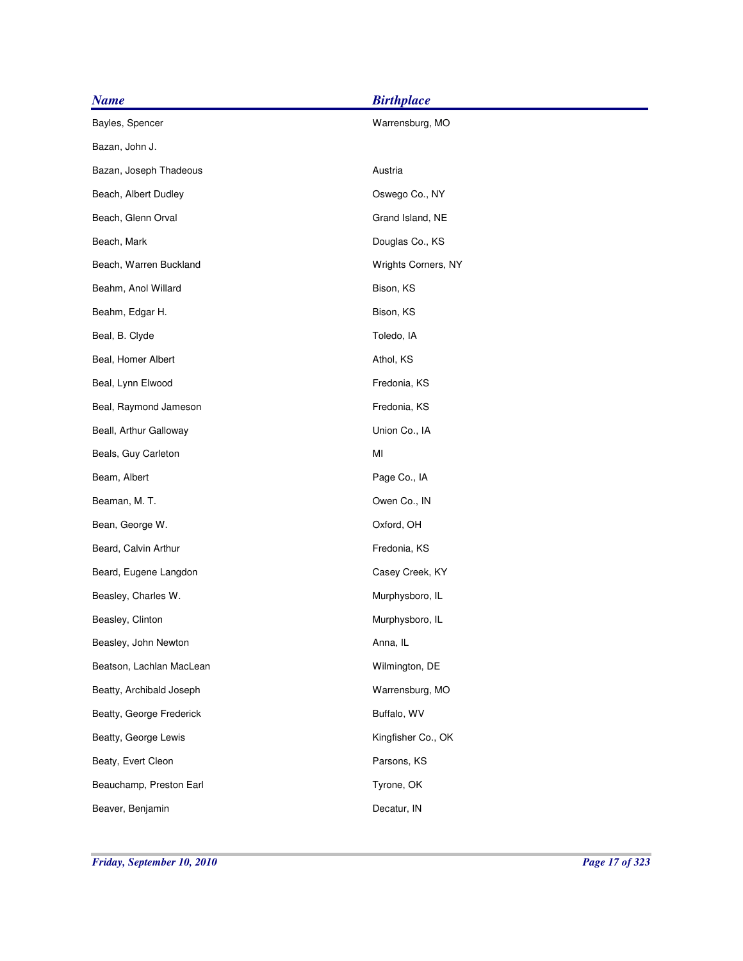| <b>Name</b>              | <b>Birthplace</b>   |
|--------------------------|---------------------|
| Bayles, Spencer          | Warrensburg, MO     |
| Bazan, John J.           |                     |
| Bazan, Joseph Thadeous   | Austria             |
| Beach, Albert Dudley     | Oswego Co., NY      |
| Beach, Glenn Orval       | Grand Island, NE    |
| Beach, Mark              | Douglas Co., KS     |
| Beach, Warren Buckland   | Wrights Corners, NY |
| Beahm, Anol Willard      | Bison, KS           |
| Beahm, Edgar H.          | Bison, KS           |
| Beal, B. Clyde           | Toledo, IA          |
| Beal, Homer Albert       | Athol, KS           |
| Beal, Lynn Elwood        | Fredonia, KS        |
| Beal, Raymond Jameson    | Fredonia, KS        |
| Beall, Arthur Galloway   | Union Co., IA       |
| Beals, Guy Carleton      | MI                  |
| Beam, Albert             | Page Co., IA        |
| Beaman, M. T.            | Owen Co., IN        |
| Bean, George W.          | Oxford, OH          |
| Beard, Calvin Arthur     | Fredonia, KS        |
| Beard, Eugene Langdon    | Casey Creek, KY     |
| Beasley, Charles W.      | Murphysboro, IL     |
| Beasley, Clinton         | Murphysboro, IL     |
| Beasley, John Newton     | Anna, IL            |
| Beatson, Lachlan MacLean | Wilmington, DE      |
| Beatty, Archibald Joseph | Warrensburg, MO     |
| Beatty, George Frederick | Buffalo, WV         |
| Beatty, George Lewis     | Kingfisher Co., OK  |
| Beaty, Evert Cleon       | Parsons, KS         |
| Beauchamp, Preston Earl  | Tyrone, OK          |
| Beaver, Benjamin         | Decatur, IN         |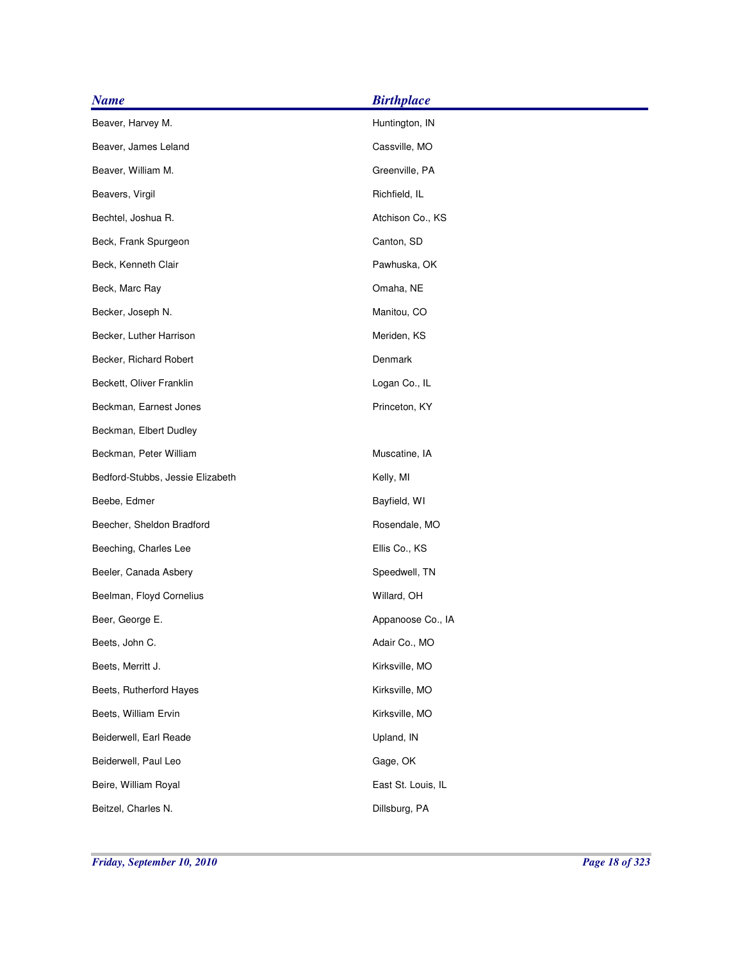| <b>Name</b>                      | <b>Birthplace</b>  |
|----------------------------------|--------------------|
| Beaver, Harvey M.                | Huntington, IN     |
| Beaver, James Leland             | Cassville, MO      |
| Beaver, William M.               | Greenville, PA     |
| Beavers, Virgil                  | Richfield, IL      |
| Bechtel, Joshua R.               | Atchison Co., KS   |
| Beck, Frank Spurgeon             | Canton, SD         |
| Beck, Kenneth Clair              | Pawhuska, OK       |
| Beck, Marc Ray                   | Omaha, NE          |
| Becker, Joseph N.                | Manitou, CO        |
| Becker, Luther Harrison          | Meriden, KS        |
| Becker, Richard Robert           | Denmark            |
| Beckett, Oliver Franklin         | Logan Co., IL      |
| Beckman, Earnest Jones           | Princeton, KY      |
| Beckman, Elbert Dudley           |                    |
| Beckman, Peter William           | Muscatine, IA      |
| Bedford-Stubbs, Jessie Elizabeth | Kelly, MI          |
| Beebe, Edmer                     | Bayfield, WI       |
| Beecher, Sheldon Bradford        | Rosendale, MO      |
| Beeching, Charles Lee            | Ellis Co., KS      |
| Beeler, Canada Asbery            | Speedwell, TN      |
| Beelman, Floyd Cornelius         | Willard, OH        |
| Beer, George E.                  | Appanoose Co., IA  |
| Beets, John C.                   | Adair Co., MO      |
| Beets, Merritt J.                | Kirksville, MO     |
| Beets, Rutherford Hayes          | Kirksville, MO     |
| Beets, William Ervin             | Kirksville, MO     |
| Beiderwell, Earl Reade           | Upland, IN         |
| Beiderwell, Paul Leo             | Gage, OK           |
| Beire, William Royal             | East St. Louis, IL |
| Beitzel, Charles N.              | Dillsburg, PA      |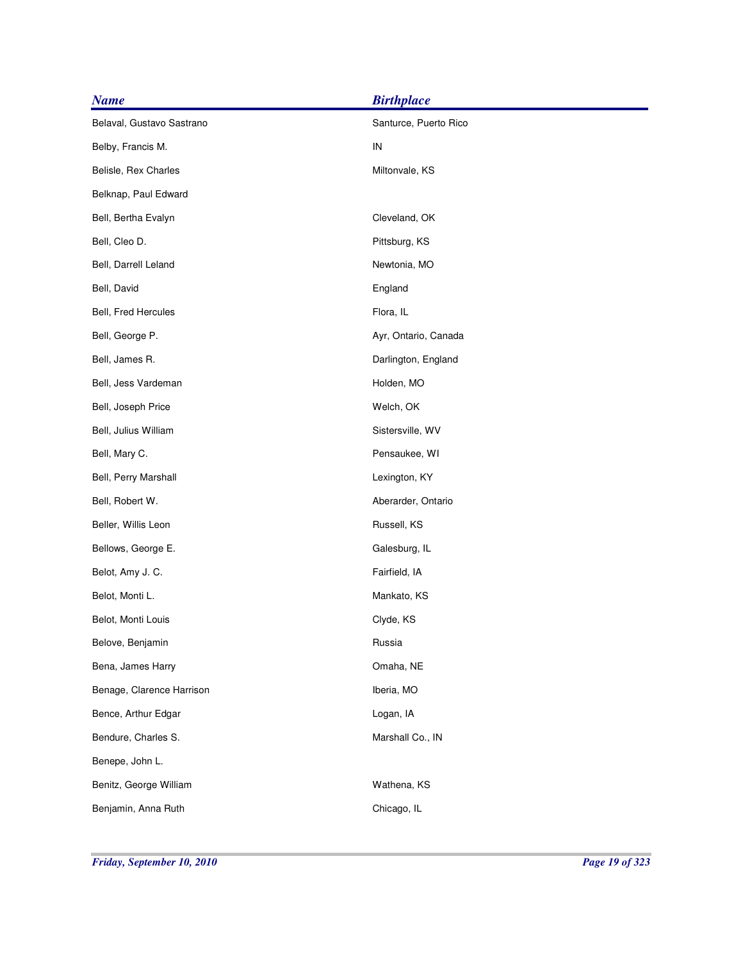| <b>Name</b>               | <b>Birthplace</b>     |
|---------------------------|-----------------------|
| Belaval, Gustavo Sastrano | Santurce, Puerto Rico |
| Belby, Francis M.         | IN                    |
| Belisle, Rex Charles      | Miltonvale, KS        |
| Belknap, Paul Edward      |                       |
| Bell, Bertha Evalyn       | Cleveland, OK         |
| Bell, Cleo D.             | Pittsburg, KS         |
| Bell, Darrell Leland      | Newtonia, MO          |
| Bell, David               | England               |
| Bell, Fred Hercules       | Flora, IL             |
| Bell, George P.           | Ayr, Ontario, Canada  |
| Bell, James R.            | Darlington, England   |
| Bell, Jess Vardeman       | Holden, MO            |
| Bell, Joseph Price        | Welch, OK             |
| Bell, Julius William      | Sistersville, WV      |
| Bell, Mary C.             | Pensaukee, WI         |
| Bell, Perry Marshall      | Lexington, KY         |
| Bell, Robert W.           | Aberarder, Ontario    |
| Beller, Willis Leon       | Russell, KS           |
| Bellows, George E.        | Galesburg, IL         |
| Belot, Amy J. C.          | Fairfield, IA         |
| Belot, Monti L.           | Mankato, KS           |
| Belot, Monti Louis        | Clyde, KS             |
| Belove, Benjamin          | Russia                |
| Bena, James Harry         | Omaha, NE             |
| Benage, Clarence Harrison | Iberia, MO            |
| Bence, Arthur Edgar       | Logan, IA             |
| Bendure, Charles S.       | Marshall Co., IN      |
| Benepe, John L.           |                       |
| Benitz, George William    | Wathena, KS           |
| Benjamin, Anna Ruth       | Chicago, IL           |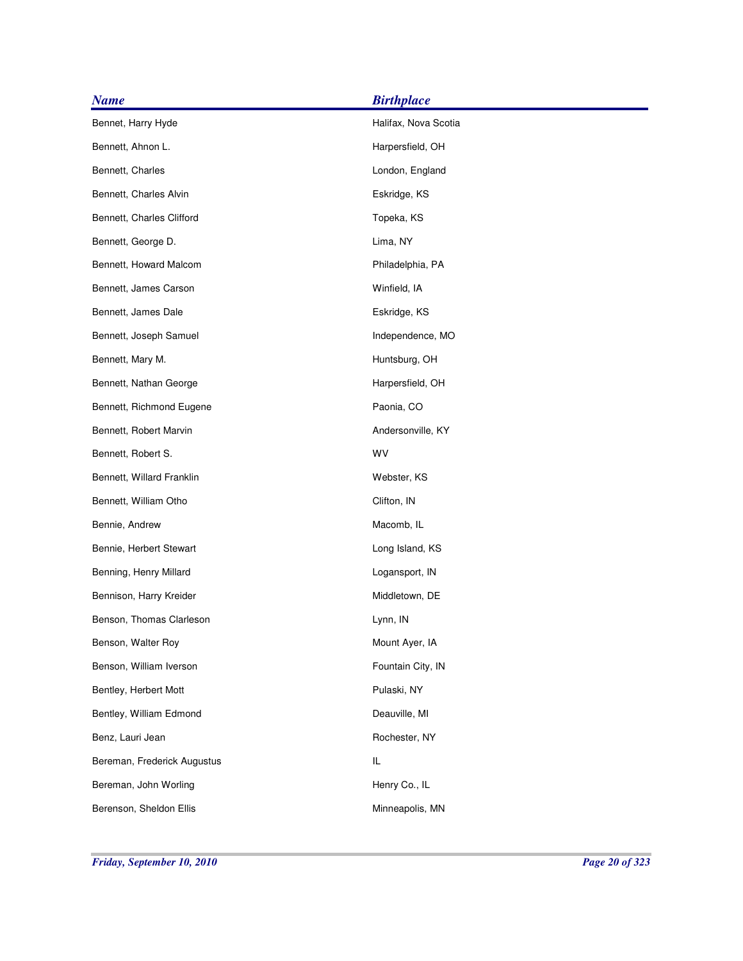| <b>Name</b>                 | <b>Birthplace</b>    |
|-----------------------------|----------------------|
| Bennet, Harry Hyde          | Halifax, Nova Scotia |
| Bennett, Ahnon L.           | Harpersfield, OH     |
| Bennett, Charles            | London, England      |
| Bennett, Charles Alvin      | Eskridge, KS         |
| Bennett, Charles Clifford   | Topeka, KS           |
| Bennett, George D.          | Lima, NY             |
| Bennett, Howard Malcom      | Philadelphia, PA     |
| Bennett, James Carson       | Winfield, IA         |
| Bennett, James Dale         | Eskridge, KS         |
| Bennett, Joseph Samuel      | Independence, MO     |
| Bennett, Mary M.            | Huntsburg, OH        |
| Bennett, Nathan George      | Harpersfield, OH     |
| Bennett, Richmond Eugene    | Paonia, CO           |
| Bennett, Robert Marvin      | Andersonville, KY    |
| Bennett, Robert S.          | WV                   |
| Bennett, Willard Franklin   | Webster, KS          |
| Bennett, William Otho       | Clifton, IN          |
| Bennie, Andrew              | Macomb, IL           |
| Bennie, Herbert Stewart     | Long Island, KS      |
| Benning, Henry Millard      | Logansport, IN       |
| Bennison, Harry Kreider     | Middletown, DE       |
| Benson, Thomas Clarleson    | Lynn, IN             |
| Benson, Walter Roy          | Mount Ayer, IA       |
| Benson, William Iverson     | Fountain City, IN    |
| Bentley, Herbert Mott       | Pulaski, NY          |
| Bentley, William Edmond     | Deauville, MI        |
| Benz, Lauri Jean            | Rochester, NY        |
| Bereman, Frederick Augustus | IL                   |
| Bereman, John Worling       | Henry Co., IL        |
| Berenson, Sheldon Ellis     | Minneapolis, MN      |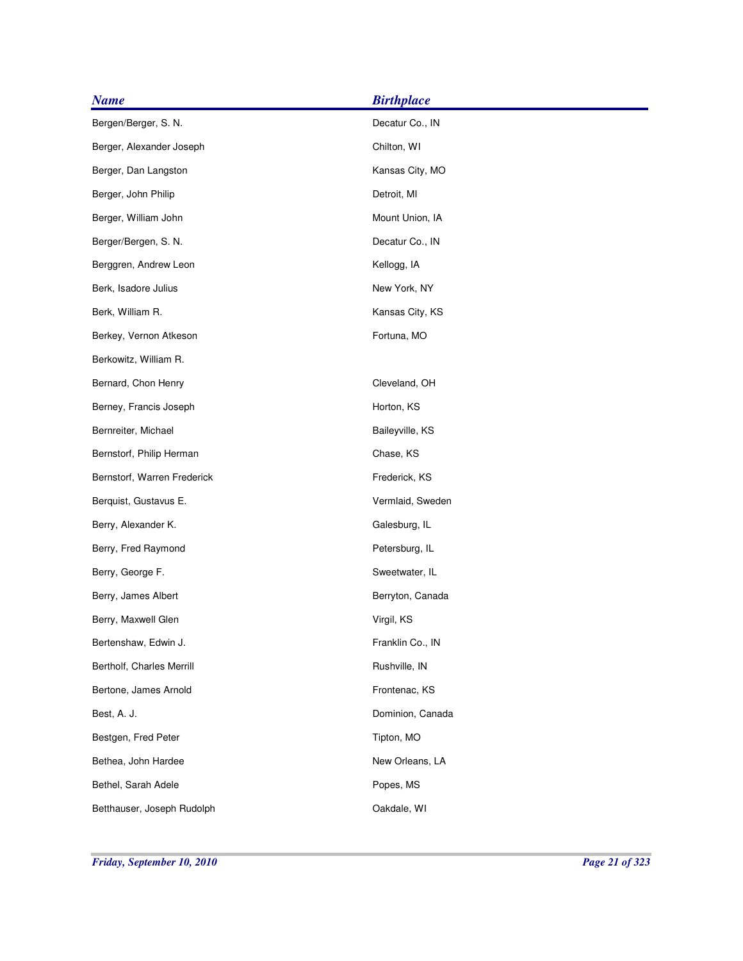| <b>Name</b>                 | <b>Birthplace</b> |
|-----------------------------|-------------------|
| Bergen/Berger, S. N.        | Decatur Co., IN   |
| Berger, Alexander Joseph    | Chilton, WI       |
| Berger, Dan Langston        | Kansas City, MO   |
| Berger, John Philip         | Detroit, MI       |
| Berger, William John        | Mount Union, IA   |
| Berger/Bergen, S. N.        | Decatur Co., IN   |
| Berggren, Andrew Leon       | Kellogg, IA       |
| Berk, Isadore Julius        | New York, NY      |
| Berk, William R.            | Kansas City, KS   |
| Berkey, Vernon Atkeson      | Fortuna, MO       |
| Berkowitz, William R.       |                   |
| Bernard, Chon Henry         | Cleveland, OH     |
| Berney, Francis Joseph      | Horton, KS        |
| Bernreiter, Michael         | Baileyville, KS   |
| Bernstorf, Philip Herman    | Chase, KS         |
| Bernstorf, Warren Frederick | Frederick, KS     |
| Berquist, Gustavus E.       | Vermlaid, Sweden  |
| Berry, Alexander K.         | Galesburg, IL     |
| Berry, Fred Raymond         | Petersburg, IL    |
| Berry, George F.            | Sweetwater, IL    |
| Berry, James Albert         | Berryton, Canada  |
| Berry, Maxwell Glen         | Virgil, KS        |
| Bertenshaw, Edwin J.        | Franklin Co., IN  |
| Bertholf, Charles Merrill   | Rushville, IN     |
| Bertone, James Arnold       | Frontenac, KS     |
| Best, A. J.                 | Dominion, Canada  |
| Bestgen, Fred Peter         | Tipton, MO        |
| Bethea, John Hardee         | New Orleans, LA   |
| Bethel, Sarah Adele         | Popes, MS         |
| Betthauser, Joseph Rudolph  | Oakdale, WI       |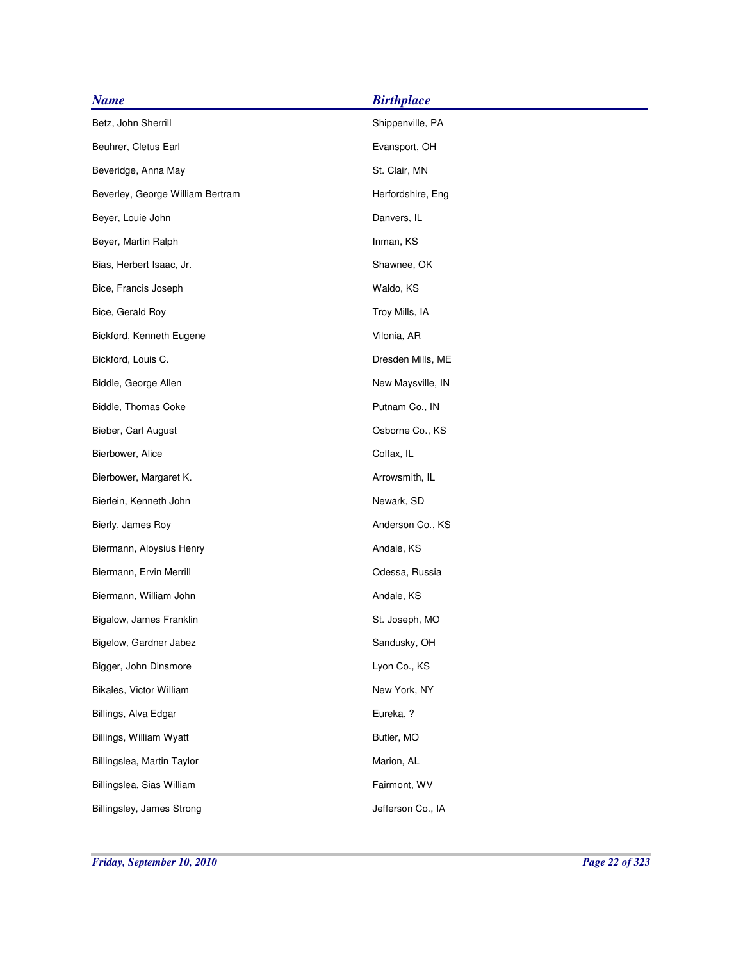| <b>Name</b>                      | <b>Birthplace</b> |
|----------------------------------|-------------------|
| Betz, John Sherrill              | Shippenville, PA  |
| Beuhrer, Cletus Earl             | Evansport, OH     |
| Beveridge, Anna May              | St. Clair, MN     |
| Beverley, George William Bertram | Herfordshire, Eng |
| Beyer, Louie John                | Danvers, IL       |
| Beyer, Martin Ralph              | Inman, KS         |
| Bias, Herbert Isaac, Jr.         | Shawnee, OK       |
| Bice, Francis Joseph             | Waldo, KS         |
| Bice, Gerald Roy                 | Troy Mills, IA    |
| Bickford, Kenneth Eugene         | Vilonia, AR       |
| Bickford, Louis C.               | Dresden Mills, ME |
| Biddle, George Allen             | New Maysville, IN |
| Biddle, Thomas Coke              | Putnam Co., IN    |
| Bieber, Carl August              | Osborne Co., KS   |
| Bierbower, Alice                 | Colfax, IL        |
| Bierbower, Margaret K.           | Arrowsmith, IL    |
| Bierlein, Kenneth John           | Newark, SD        |
| Bierly, James Roy                | Anderson Co., KS  |
| Biermann, Aloysius Henry         | Andale, KS        |
| Biermann, Ervin Merrill          | Odessa, Russia    |
| Biermann, William John           | Andale, KS        |
| Bigalow, James Franklin          | St. Joseph, MO    |
| Bigelow, Gardner Jabez           | Sandusky, OH      |
| Bigger, John Dinsmore            | Lyon Co., KS      |
| Bikales, Victor William          | New York, NY      |
| Billings, Alva Edgar             | Eureka, ?         |
| Billings, William Wyatt          | Butler, MO        |
| Billingslea, Martin Taylor       | Marion, AL        |
| Billingslea, Sias William        | Fairmont, WV      |
| Billingsley, James Strong        | Jefferson Co., IA |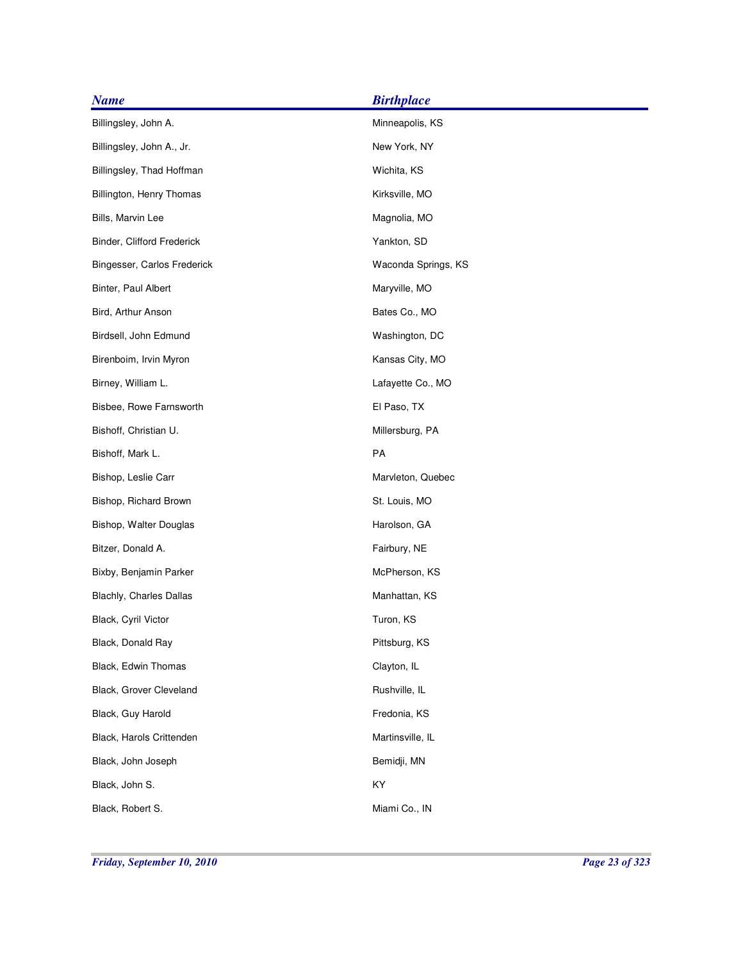| <b>Name</b>                 | <b>Birthplace</b>   |
|-----------------------------|---------------------|
| Billingsley, John A.        | Minneapolis, KS     |
| Billingsley, John A., Jr.   | New York, NY        |
| Billingsley, Thad Hoffman   | Wichita, KS         |
| Billington, Henry Thomas    | Kirksville, MO      |
| Bills, Marvin Lee           | Magnolia, MO        |
| Binder, Clifford Frederick  | Yankton, SD         |
| Bingesser, Carlos Frederick | Waconda Springs, KS |
| Binter, Paul Albert         | Maryville, MO       |
| Bird, Arthur Anson          | Bates Co., MO       |
| Birdsell, John Edmund       | Washington, DC      |
| Birenboim, Irvin Myron      | Kansas City, MO     |
| Birney, William L.          | Lafayette Co., MO   |
| Bisbee, Rowe Farnsworth     | El Paso, TX         |
| Bishoff, Christian U.       | Millersburg, PA     |
| Bishoff, Mark L.            | PA                  |
| Bishop, Leslie Carr         | Marvleton, Quebec   |
| Bishop, Richard Brown       | St. Louis, MO       |
| Bishop, Walter Douglas      | Harolson, GA        |
| Bitzer, Donald A.           | Fairbury, NE        |
| Bixby, Benjamin Parker      | McPherson, KS       |
| Blachly, Charles Dallas     | Manhattan, KS       |
| Black, Cyril Victor         | Turon, KS           |
| Black, Donald Ray           | Pittsburg, KS       |
| Black, Edwin Thomas         | Clayton, IL         |
| Black, Grover Cleveland     | Rushville, IL       |
| Black, Guy Harold           | Fredonia, KS        |
| Black, Harols Crittenden    | Martinsville, IL    |
| Black, John Joseph          | Bemidji, MN         |
| Black, John S.              | KY                  |
| Black, Robert S.            | Miami Co., IN       |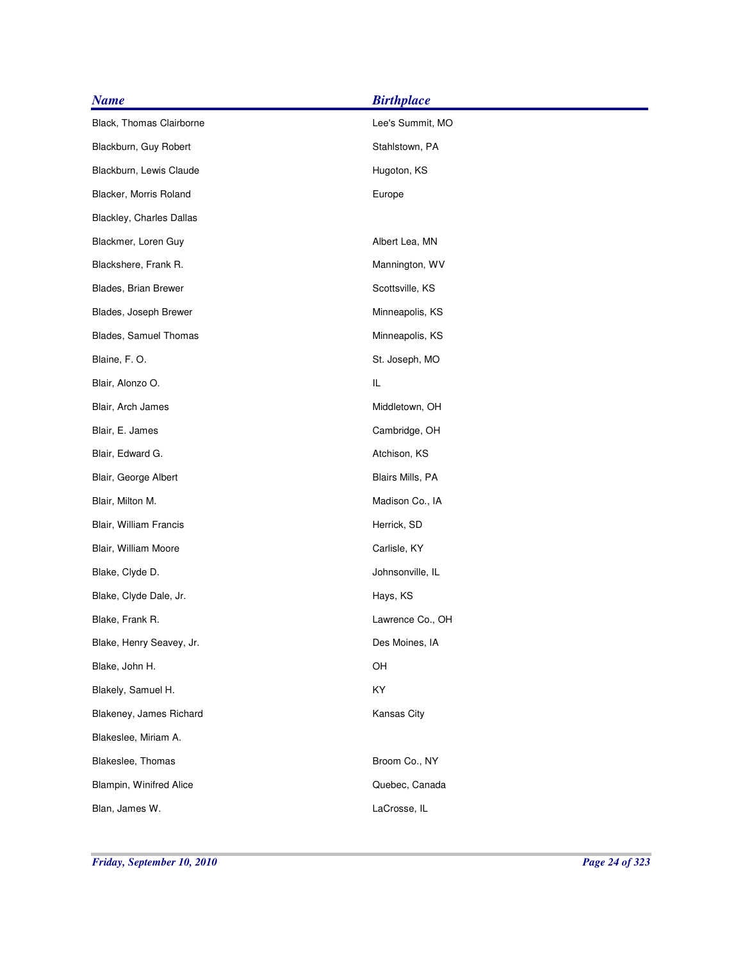| <b>Name</b>              | <b>Birthplace</b> |
|--------------------------|-------------------|
| Black, Thomas Clairborne | Lee's Summit, MO  |
| Blackburn, Guy Robert    | Stahlstown, PA    |
| Blackburn, Lewis Claude  | Hugoton, KS       |
| Blacker, Morris Roland   | Europe            |
| Blackley, Charles Dallas |                   |
| Blackmer, Loren Guy      | Albert Lea, MN    |
| Blackshere, Frank R.     | Mannington, WV    |
| Blades, Brian Brewer     | Scottsville, KS   |
| Blades, Joseph Brewer    | Minneapolis, KS   |
| Blades, Samuel Thomas    | Minneapolis, KS   |
| Blaine, F.O.             | St. Joseph, MO    |
| Blair, Alonzo O.         | IL                |
| Blair, Arch James        | Middletown, OH    |
| Blair, E. James          | Cambridge, OH     |
| Blair, Edward G.         | Atchison, KS      |
| Blair, George Albert     | Blairs Mills, PA  |
| Blair, Milton M.         | Madison Co., IA   |
| Blair, William Francis   | Herrick, SD       |
| Blair, William Moore     | Carlisle, KY      |
| Blake, Clyde D.          | Johnsonville, IL  |
| Blake, Clyde Dale, Jr.   | Hays, KS          |
| Blake, Frank R.          | Lawrence Co., OH  |
| Blake, Henry Seavey, Jr. | Des Moines, IA    |
| Blake, John H.           | OH                |
| Blakely, Samuel H.       | KY                |
| Blakeney, James Richard  | Kansas City       |
| Blakeslee, Miriam A.     |                   |
| Blakeslee, Thomas        | Broom Co., NY     |
| Blampin, Winifred Alice  | Quebec, Canada    |
| Blan, James W.           | LaCrosse, IL      |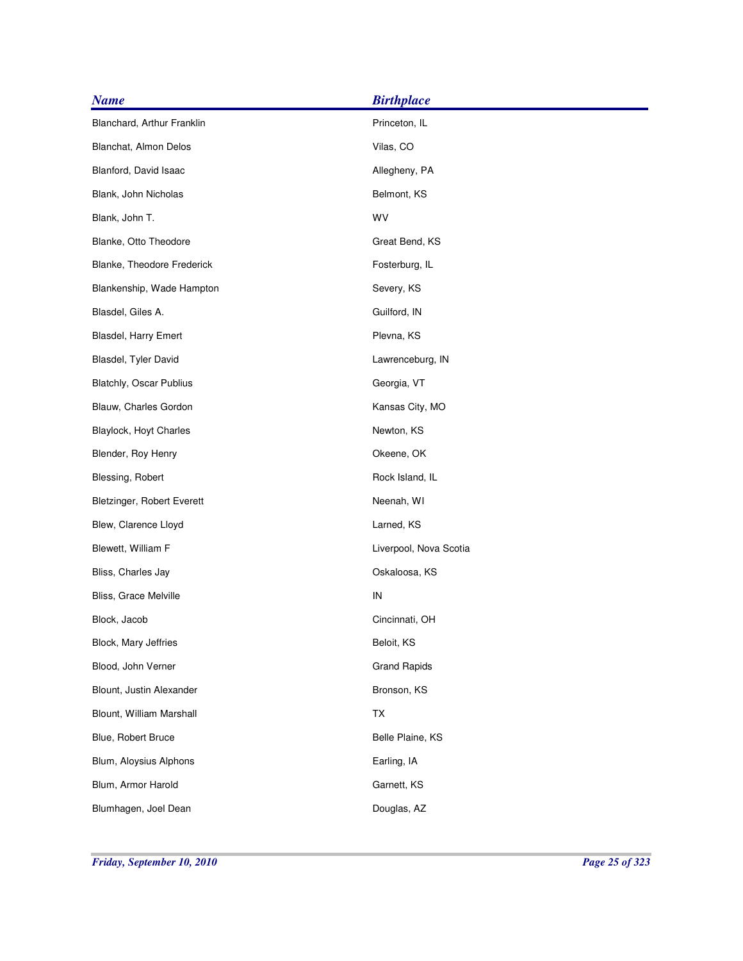| <b>Birthplace</b>      |
|------------------------|
| Princeton, IL          |
| Vilas, CO              |
| Allegheny, PA          |
| Belmont, KS            |
| WV                     |
| Great Bend, KS         |
| Fosterburg, IL         |
| Severy, KS             |
| Guilford, IN           |
| Plevna, KS             |
| Lawrenceburg, IN       |
| Georgia, VT            |
| Kansas City, MO        |
| Newton, KS             |
| Okeene, OK             |
| Rock Island, IL        |
| Neenah, WI             |
| Larned, KS             |
| Liverpool, Nova Scotia |
| Oskaloosa, KS          |
| IN                     |
| Cincinnati, OH         |
| Beloit, KS             |
| <b>Grand Rapids</b>    |
| Bronson, KS            |
| TX                     |
| Belle Plaine, KS       |
| Earling, IA            |
| Garnett, KS            |
| Douglas, AZ            |
|                        |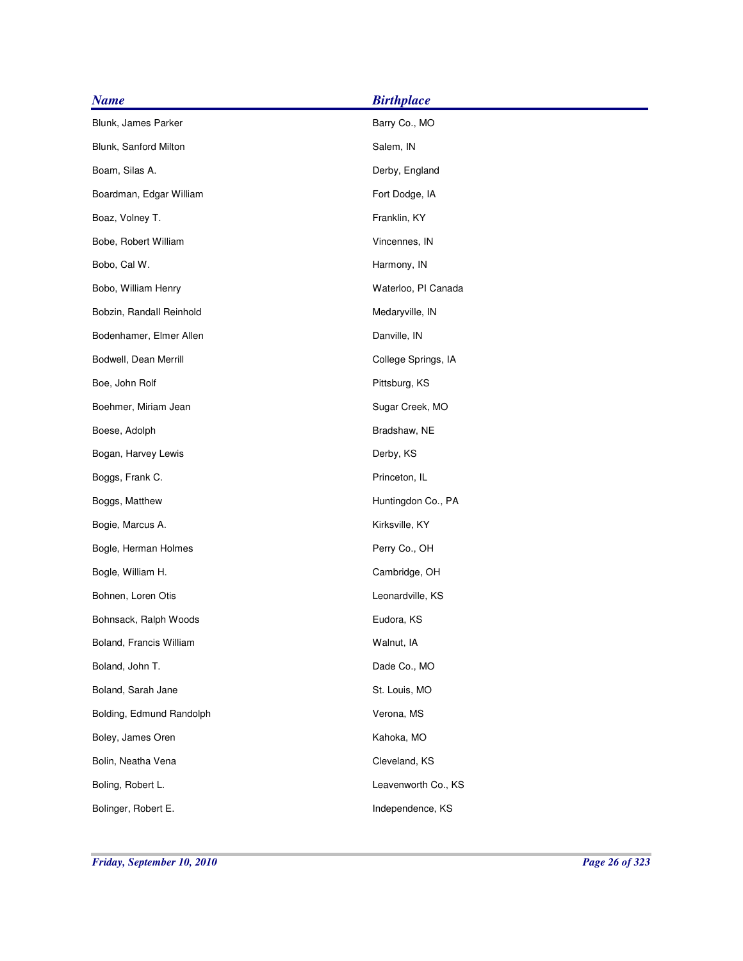| <b>Name</b>              | <b>Birthplace</b>   |
|--------------------------|---------------------|
| Blunk, James Parker      | Barry Co., MO       |
| Blunk, Sanford Milton    | Salem, IN           |
| Boam, Silas A.           | Derby, England      |
| Boardman, Edgar William  | Fort Dodge, IA      |
| Boaz, Volney T.          | Franklin, KY        |
| Bobe, Robert William     | Vincennes, IN       |
| Bobo, Cal W.             | Harmony, IN         |
| Bobo, William Henry      | Waterloo, PI Canada |
| Bobzin, Randall Reinhold | Medaryville, IN     |
| Bodenhamer, Elmer Allen  | Danville, IN        |
| Bodwell, Dean Merrill    | College Springs, IA |
| Boe, John Rolf           | Pittsburg, KS       |
| Boehmer, Miriam Jean     | Sugar Creek, MO     |
| Boese, Adolph            | Bradshaw, NE        |
| Bogan, Harvey Lewis      | Derby, KS           |
| Boggs, Frank C.          | Princeton, IL       |
| Boggs, Matthew           | Huntingdon Co., PA  |
| Bogie, Marcus A.         | Kirksville, KY      |
| Bogle, Herman Holmes     | Perry Co., OH       |
| Bogle, William H.        | Cambridge, OH       |
| Bohnen, Loren Otis       | Leonardville, KS    |
| Bohnsack, Ralph Woods    | Eudora, KS          |
| Boland, Francis William  | Walnut, IA          |
| Boland, John T.          | Dade Co., MO        |
| Boland, Sarah Jane       | St. Louis, MO       |
| Bolding, Edmund Randolph | Verona, MS          |
| Boley, James Oren        | Kahoka, MO          |
| Bolin, Neatha Vena       | Cleveland, KS       |
| Boling, Robert L.        | Leavenworth Co., KS |
| Bolinger, Robert E.      | Independence, KS    |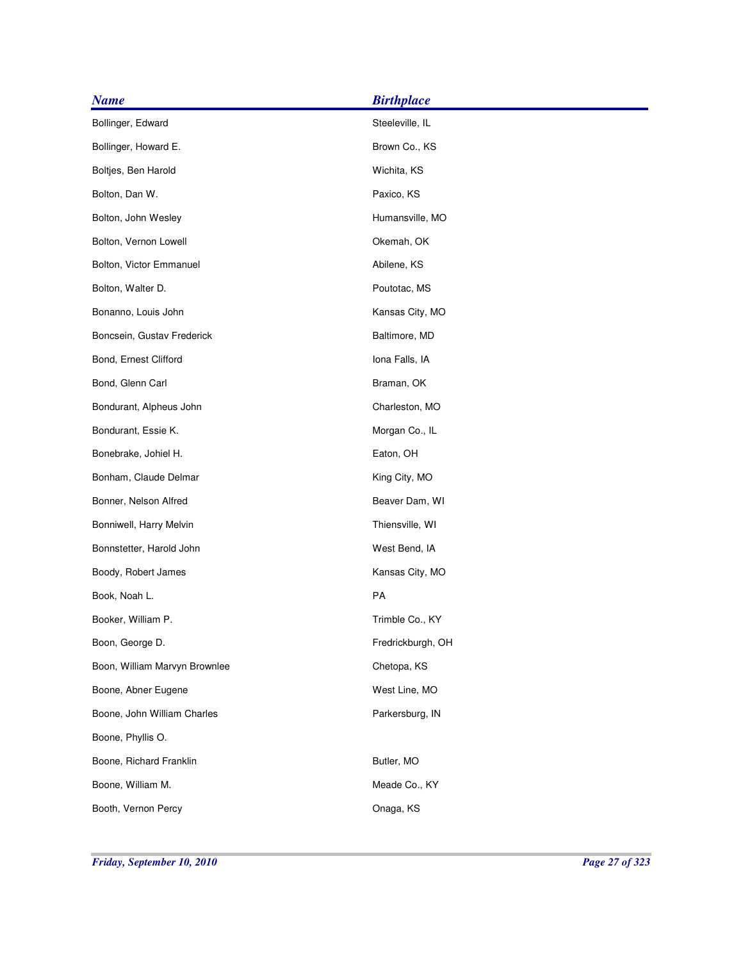| <b>Name</b>                   | <b>Birthplace</b> |
|-------------------------------|-------------------|
| Bollinger, Edward             | Steeleville, IL   |
| Bollinger, Howard E.          | Brown Co., KS     |
| Boltjes, Ben Harold           | Wichita, KS       |
| Bolton, Dan W.                | Paxico, KS        |
| Bolton, John Wesley           | Humansville, MO   |
| Bolton, Vernon Lowell         | Okemah, OK        |
| Bolton, Victor Emmanuel       | Abilene, KS       |
| Bolton, Walter D.             | Poutotac, MS      |
| Bonanno, Louis John           | Kansas City, MO   |
| Boncsein, Gustav Frederick    | Baltimore, MD     |
| Bond, Ernest Clifford         | Iona Falls, IA    |
| Bond, Glenn Carl              | Braman, OK        |
| Bondurant, Alpheus John       | Charleston, MO    |
| Bondurant, Essie K.           | Morgan Co., IL    |
| Bonebrake, Johiel H.          | Eaton, OH         |
| Bonham, Claude Delmar         | King City, MO     |
| Bonner, Nelson Alfred         | Beaver Dam, WI    |
| Bonniwell, Harry Melvin       | Thiensville, WI   |
| Bonnstetter, Harold John      | West Bend, IA     |
| Boody, Robert James           | Kansas City, MO   |
| Book, Noah L.                 | PA                |
| Booker, William P.            | Trimble Co., KY   |
| Boon, George D.               | Fredrickburgh, OH |
| Boon, William Marvyn Brownlee | Chetopa, KS       |
| Boone, Abner Eugene           | West Line, MO     |
| Boone, John William Charles   | Parkersburg, IN   |
| Boone, Phyllis O.             |                   |
| Boone, Richard Franklin       | Butler, MO        |
| Boone, William M.             | Meade Co., KY     |
| Booth, Vernon Percy           | Onaga, KS         |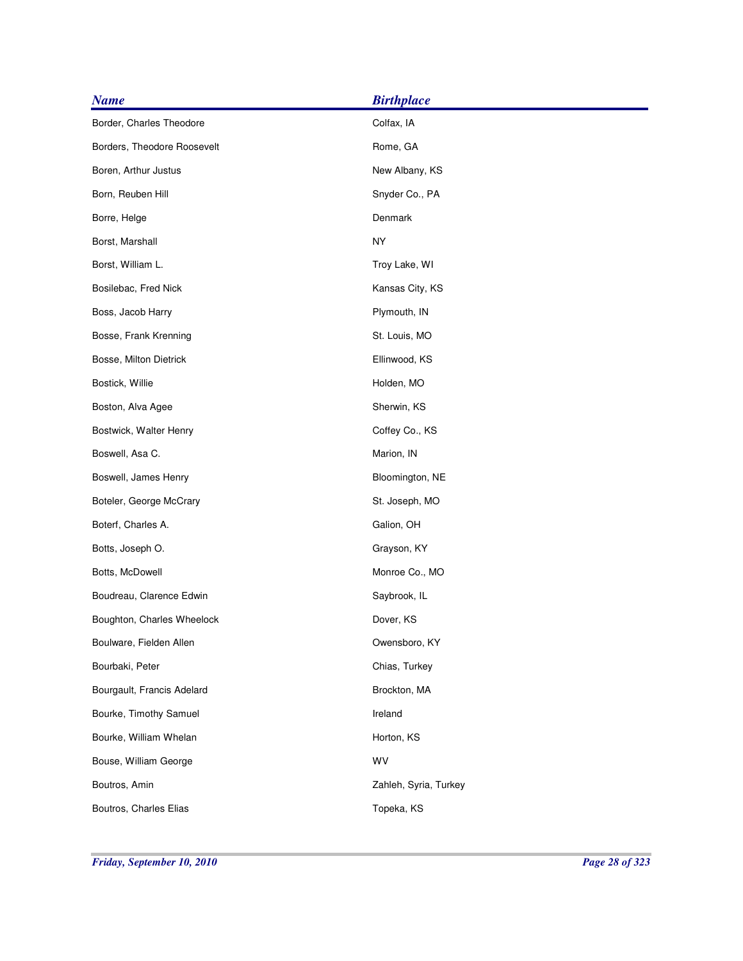| <b>Name</b>                 | <b>Birthplace</b>     |
|-----------------------------|-----------------------|
| Border, Charles Theodore    | Colfax, IA            |
| Borders, Theodore Roosevelt | Rome, GA              |
| Boren, Arthur Justus        | New Albany, KS        |
| Born, Reuben Hill           | Snyder Co., PA        |
| Borre, Helge                | Denmark               |
| Borst, Marshall             | <b>NY</b>             |
| Borst, William L.           | Troy Lake, WI         |
| Bosilebac, Fred Nick        | Kansas City, KS       |
| Boss, Jacob Harry           | Plymouth, IN          |
| Bosse, Frank Krenning       | St. Louis, MO         |
| Bosse, Milton Dietrick      | Ellinwood, KS         |
| Bostick, Willie             | Holden, MO            |
| Boston, Alva Agee           | Sherwin, KS           |
| Bostwick, Walter Henry      | Coffey Co., KS        |
| Boswell, Asa C.             | Marion, IN            |
| Boswell, James Henry        | Bloomington, NE       |
| Boteler, George McCrary     | St. Joseph, MO        |
| Boterf, Charles A.          | Galion, OH            |
| Botts, Joseph O.            | Grayson, KY           |
| Botts, McDowell             | Monroe Co., MO        |
| Boudreau, Clarence Edwin    | Saybrook, IL          |
| Boughton, Charles Wheelock  | Dover, KS             |
| Boulware, Fielden Allen     | Owensboro, KY         |
| Bourbaki, Peter             | Chias, Turkey         |
| Bourgault, Francis Adelard  | Brockton, MA          |
| Bourke, Timothy Samuel      | Ireland               |
| Bourke, William Whelan      | Horton, KS            |
| Bouse, William George       | WV                    |
| Boutros, Amin               | Zahleh, Syria, Turkey |
| Boutros, Charles Elias      | Topeka, KS            |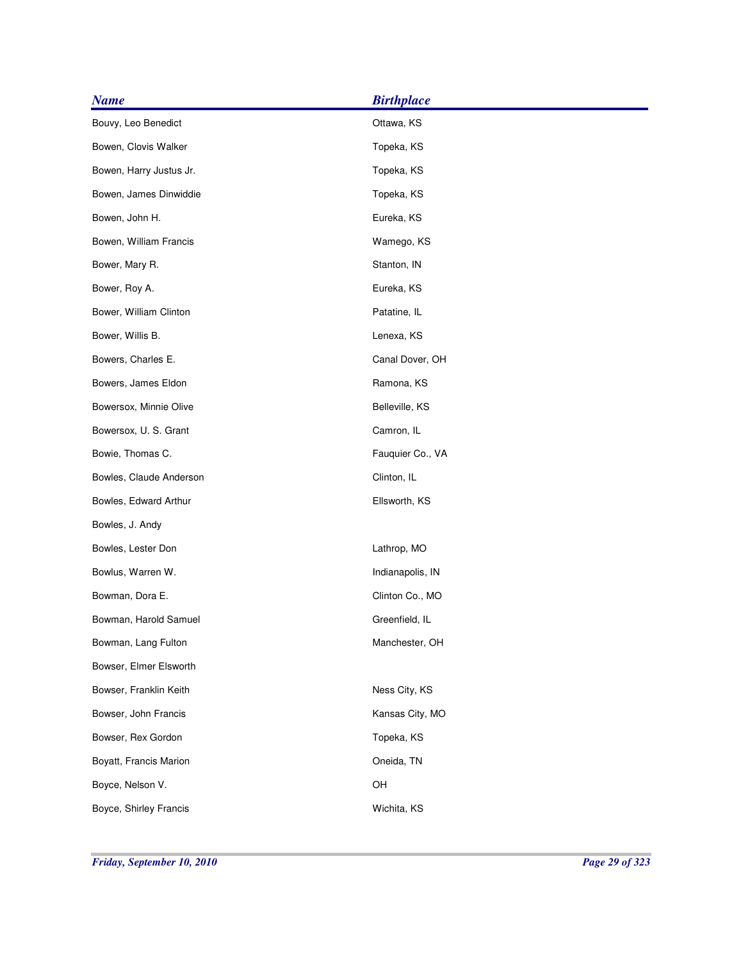| <b>Name</b>             | <b>Birthplace</b> |
|-------------------------|-------------------|
| Bouvy, Leo Benedict     | Ottawa, KS        |
| Bowen, Clovis Walker    | Topeka, KS        |
| Bowen, Harry Justus Jr. | Topeka, KS        |
| Bowen, James Dinwiddie  | Topeka, KS        |
| Bowen, John H.          | Eureka, KS        |
| Bowen, William Francis  | Wamego, KS        |
| Bower, Mary R.          | Stanton, IN       |
| Bower, Roy A.           | Eureka, KS        |
| Bower, William Clinton  | Patatine, IL      |
| Bower, Willis B.        | Lenexa, KS        |
| Bowers, Charles E.      | Canal Dover, OH   |
| Bowers, James Eldon     | Ramona, KS        |
| Bowersox, Minnie Olive  | Belleville, KS    |
| Bowersox, U. S. Grant   | Camron, IL        |
| Bowie, Thomas C.        | Fauquier Co., VA  |
| Bowles, Claude Anderson | Clinton, IL       |
| Bowles, Edward Arthur   | Ellsworth, KS     |
| Bowles, J. Andy         |                   |
| Bowles, Lester Don      | Lathrop, MO       |
| Bowlus, Warren W.       | Indianapolis, IN  |
| Bowman, Dora E.         | Clinton Co., MO   |
| Bowman, Harold Samuel   | Greenfield, IL    |
| Bowman, Lang Fulton     | Manchester, OH    |
| Bowser, Elmer Elsworth  |                   |
| Bowser, Franklin Keith  | Ness City, KS     |
| Bowser, John Francis    | Kansas City, MO   |
| Bowser, Rex Gordon      | Topeka, KS        |
| Boyatt, Francis Marion  | Oneida, TN        |
| Boyce, Nelson V.        | OH                |
| Boyce, Shirley Francis  | Wichita, KS       |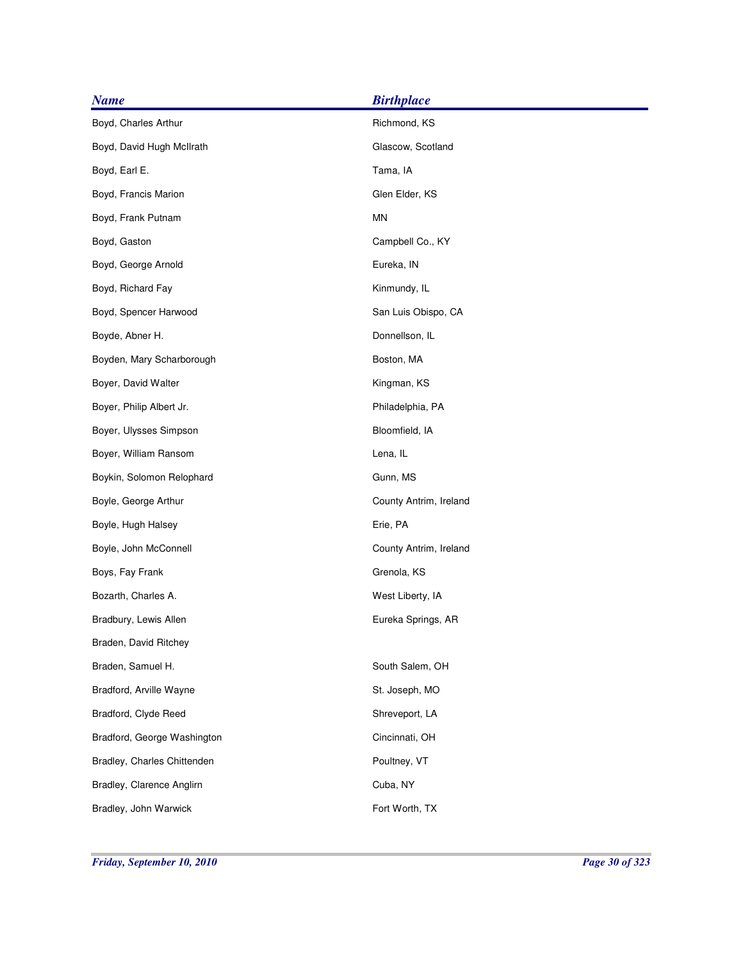| <b>Name</b>                 | <b>Birthplace</b>      |
|-----------------------------|------------------------|
| Boyd, Charles Arthur        | Richmond, KS           |
| Boyd, David Hugh McIlrath   | Glascow, Scotland      |
| Boyd, Earl E.               | Tama, IA               |
| Boyd, Francis Marion        | Glen Elder, KS         |
| Boyd, Frank Putnam          | <b>MN</b>              |
| Boyd, Gaston                | Campbell Co., KY       |
| Boyd, George Arnold         | Eureka, IN             |
| Boyd, Richard Fay           | Kinmundy, IL           |
| Boyd, Spencer Harwood       | San Luis Obispo, CA    |
| Boyde, Abner H.             | Donnellson, IL         |
| Boyden, Mary Scharborough   | Boston, MA             |
| Boyer, David Walter         | Kingman, KS            |
| Boyer, Philip Albert Jr.    | Philadelphia, PA       |
| Boyer, Ulysses Simpson      | Bloomfield, IA         |
| Boyer, William Ransom       | Lena, IL               |
| Boykin, Solomon Relophard   | Gunn, MS               |
| Boyle, George Arthur        | County Antrim, Ireland |
| Boyle, Hugh Halsey          | Erie, PA               |
| Boyle, John McConnell       | County Antrim, Ireland |
| Boys, Fay Frank             | Grenola, KS            |
| Bozarth, Charles A.         | West Liberty, IA       |
| Bradbury, Lewis Allen       | Eureka Springs, AR     |
| Braden, David Ritchey       |                        |
| Braden, Samuel H.           | South Salem, OH        |
| Bradford, Arville Wayne     | St. Joseph, MO         |
| Bradford, Clyde Reed        | Shreveport, LA         |
| Bradford, George Washington | Cincinnati, OH         |
| Bradley, Charles Chittenden | Poultney, VT           |
| Bradley, Clarence Anglirn   | Cuba, NY               |
| Bradley, John Warwick       | Fort Worth, TX         |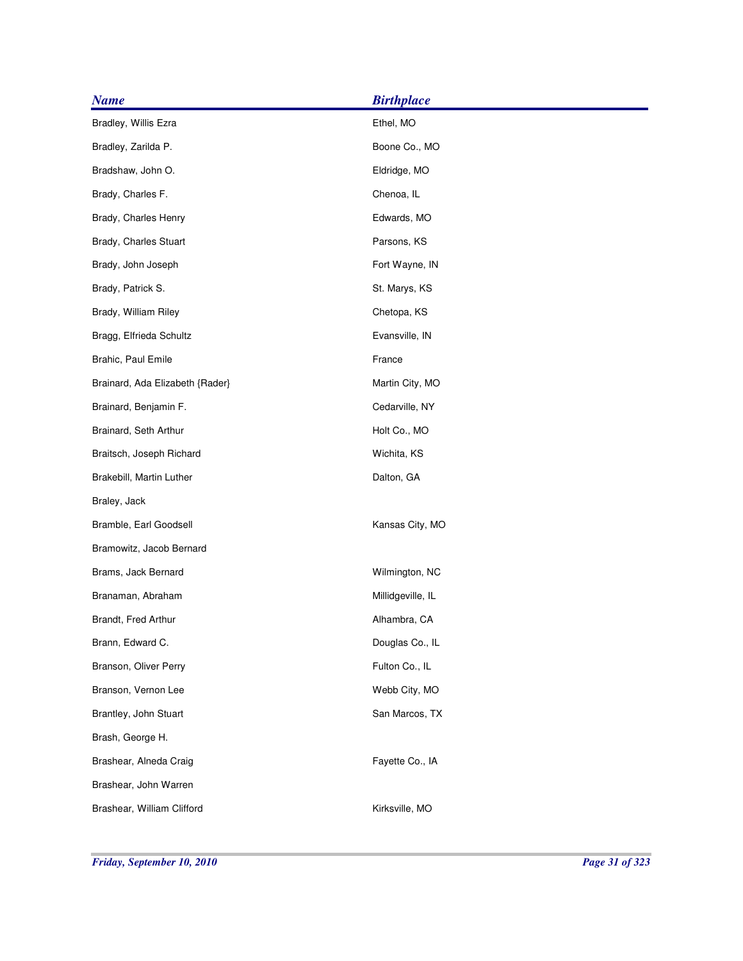| <b>Name</b>                     | <b>Birthplace</b> |
|---------------------------------|-------------------|
| Bradley, Willis Ezra            | Ethel, MO         |
| Bradley, Zarilda P.             | Boone Co., MO     |
| Bradshaw, John O.               | Eldridge, MO      |
| Brady, Charles F.               | Chenoa, IL        |
| Brady, Charles Henry            | Edwards, MO       |
| Brady, Charles Stuart           | Parsons, KS       |
| Brady, John Joseph              | Fort Wayne, IN    |
| Brady, Patrick S.               | St. Marys, KS     |
| Brady, William Riley            | Chetopa, KS       |
| Bragg, Elfrieda Schultz         | Evansville, IN    |
| Brahic, Paul Emile              | France            |
| Brainard, Ada Elizabeth {Rader} | Martin City, MO   |
| Brainard, Benjamin F.           | Cedarville, NY    |
| Brainard, Seth Arthur           | Holt Co., MO      |
| Braitsch, Joseph Richard        | Wichita, KS       |
| Brakebill, Martin Luther        | Dalton, GA        |
| Braley, Jack                    |                   |
| Bramble, Earl Goodsell          | Kansas City, MO   |
| Bramowitz, Jacob Bernard        |                   |
| Brams, Jack Bernard             | Wilmington, NC    |
| Branaman, Abraham               | Millidgeville, IL |
| Brandt, Fred Arthur             | Alhambra, CA      |
| Brann, Edward C.                | Douglas Co., IL   |
| Branson, Oliver Perry           | Fulton Co., IL    |
| Branson, Vernon Lee             | Webb City, MO     |
| Brantley, John Stuart           | San Marcos, TX    |
| Brash, George H.                |                   |
| Brashear, Alneda Craig          | Fayette Co., IA   |
| Brashear, John Warren           |                   |
| Brashear, William Clifford      | Kirksville, MO    |
|                                 |                   |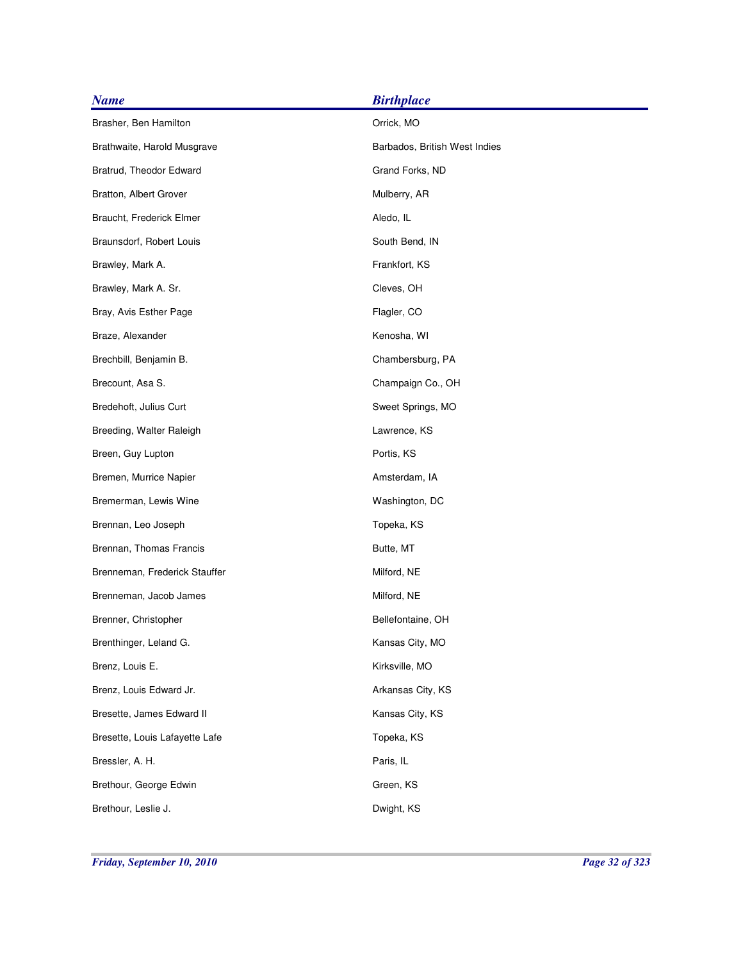| <b>Name</b>                    | <b>Birthplace</b>             |
|--------------------------------|-------------------------------|
| Brasher, Ben Hamilton          | Orrick, MO                    |
| Brathwaite, Harold Musgrave    | Barbados, British West Indies |
| Bratrud, Theodor Edward        | Grand Forks, ND               |
| Bratton, Albert Grover         | Mulberry, AR                  |
| Braucht, Frederick Elmer       | Aledo, IL                     |
| Braunsdorf, Robert Louis       | South Bend, IN                |
| Brawley, Mark A.               | Frankfort, KS                 |
| Brawley, Mark A. Sr.           | Cleves, OH                    |
| Bray, Avis Esther Page         | Flagler, CO                   |
| Braze, Alexander               | Kenosha, WI                   |
| Brechbill, Benjamin B.         | Chambersburg, PA              |
| Brecount, Asa S.               | Champaign Co., OH             |
| Bredehoft, Julius Curt         | Sweet Springs, MO             |
| Breeding, Walter Raleigh       | Lawrence, KS                  |
| Breen, Guy Lupton              | Portis, KS                    |
| Bremen, Murrice Napier         | Amsterdam, IA                 |
| Bremerman, Lewis Wine          | Washington, DC                |
| Brennan, Leo Joseph            | Topeka, KS                    |
| Brennan, Thomas Francis        | Butte, MT                     |
| Brenneman, Frederick Stauffer  | Milford, NE                   |
| Brenneman, Jacob James         | Milford, NE                   |
| Brenner, Christopher           | Bellefontaine, OH             |
| Brenthinger, Leland G.         | Kansas City, MO               |
| Brenz, Louis E.                | Kirksville, MO                |
| Brenz, Louis Edward Jr.        | Arkansas City, KS             |
| Bresette, James Edward II      | Kansas City, KS               |
| Bresette, Louis Lafayette Lafe | Topeka, KS                    |
| Bressler, A. H.                | Paris, IL                     |
| Brethour, George Edwin         | Green, KS                     |
| Brethour, Leslie J.            | Dwight, KS                    |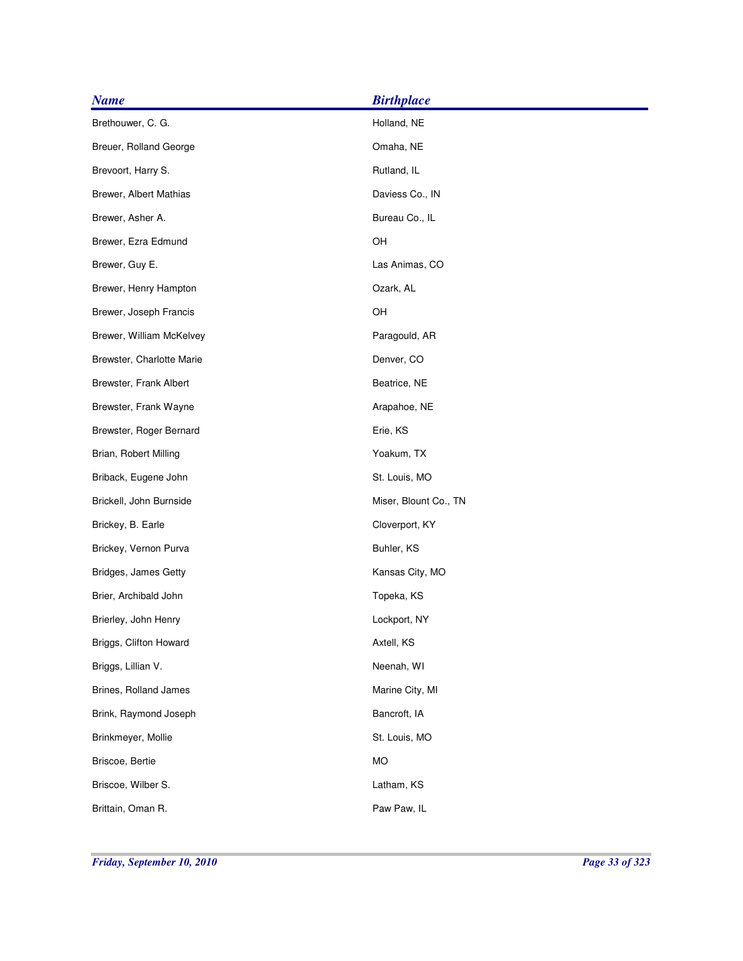| <b>Name</b>               | <b>Birthplace</b>     |
|---------------------------|-----------------------|
| Brethouwer, C. G.         | Holland, NE           |
| Breuer, Rolland George    | Omaha, NE             |
| Brevoort, Harry S.        | Rutland, IL           |
| Brewer, Albert Mathias    | Daviess Co., IN       |
| Brewer, Asher A.          | Bureau Co., IL        |
| Brewer, Ezra Edmund       | OH                    |
| Brewer, Guy E.            | Las Animas, CO        |
| Brewer, Henry Hampton     | Ozark, AL             |
| Brewer, Joseph Francis    | OH                    |
| Brewer, William McKelvey  | Paragould, AR         |
| Brewster, Charlotte Marie | Denver, CO            |
| Brewster, Frank Albert    | Beatrice, NE          |
| Brewster, Frank Wayne     | Arapahoe, NE          |
| Brewster, Roger Bernard   | Erie, KS              |
| Brian, Robert Milling     | Yoakum, TX            |
| Briback, Eugene John      | St. Louis, MO         |
| Brickell, John Burnside   | Miser, Blount Co., TN |
| Brickey, B. Earle         | Cloverport, KY        |
| Brickey, Vernon Purva     | Buhler, KS            |
| Bridges, James Getty      | Kansas City, MO       |
| Brier, Archibald John     | Topeka, KS            |
| Brierley, John Henry      | Lockport, NY          |
| Briggs, Clifton Howard    | Axtell, KS            |
| Briggs, Lillian V.        | Neenah, WI            |
| Brines, Rolland James     | Marine City, MI       |
| Brink, Raymond Joseph     | Bancroft, IA          |
| Brinkmeyer, Mollie        | St. Louis, MO         |
| Briscoe, Bertie           | <b>MO</b>             |
| Briscoe, Wilber S.        | Latham, KS            |
| Brittain, Oman R.         | Paw Paw, IL           |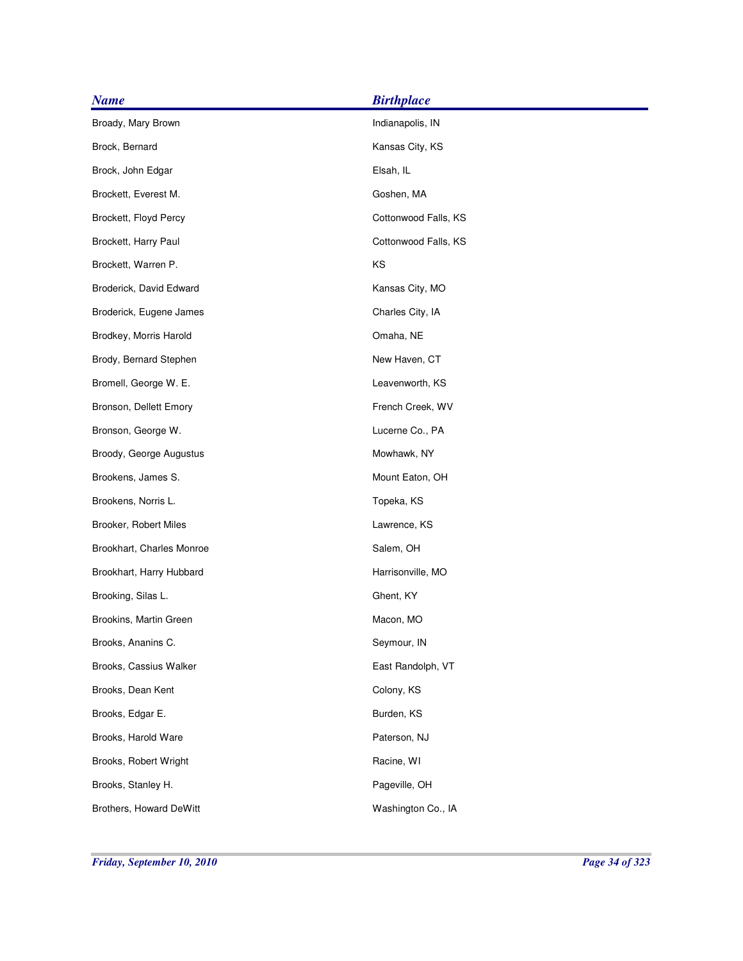| <b>Name</b>               | <b>Birthplace</b>    |
|---------------------------|----------------------|
| Broady, Mary Brown        | Indianapolis, IN     |
| Brock, Bernard            | Kansas City, KS      |
| Brock, John Edgar         | Elsah, IL            |
| Brockett, Everest M.      | Goshen, MA           |
| Brockett, Floyd Percy     | Cottonwood Falls, KS |
| Brockett, Harry Paul      | Cottonwood Falls, KS |
| Brockett, Warren P.       | KS                   |
| Broderick, David Edward   | Kansas City, MO      |
| Broderick, Eugene James   | Charles City, IA     |
| Brodkey, Morris Harold    | Omaha, NE            |
| Brody, Bernard Stephen    | New Haven, CT        |
| Bromell, George W. E.     | Leavenworth, KS      |
| Bronson, Dellett Emory    | French Creek, WV     |
| Bronson, George W.        | Lucerne Co., PA      |
| Broody, George Augustus   | Mowhawk, NY          |
| Brookens, James S.        | Mount Eaton, OH      |
| Brookens, Norris L.       | Topeka, KS           |
| Brooker, Robert Miles     | Lawrence, KS         |
| Brookhart, Charles Monroe | Salem, OH            |
| Brookhart, Harry Hubbard  | Harrisonville, MO    |
| Brooking, Silas L.        | Ghent, KY            |
| Brookins, Martin Green    | Macon, MO            |
| Brooks, Ananins C.        | Seymour, IN          |
| Brooks, Cassius Walker    | East Randolph, VT    |
| Brooks, Dean Kent         | Colony, KS           |
| Brooks, Edgar E.          | Burden, KS           |
| Brooks, Harold Ware       | Paterson, NJ         |
| Brooks, Robert Wright     | Racine, WI           |
| Brooks, Stanley H.        | Pageville, OH        |
| Brothers, Howard DeWitt   | Washington Co., IA   |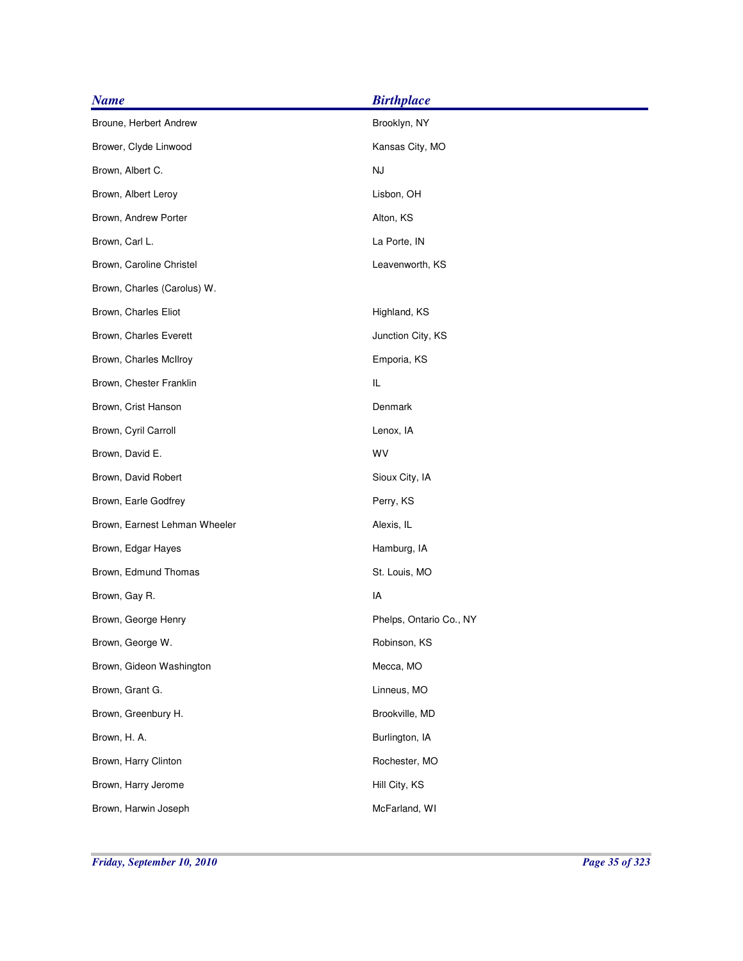| <b>Name</b>                   | <b>Birthplace</b>       |
|-------------------------------|-------------------------|
| Broune, Herbert Andrew        | Brooklyn, NY            |
| Brower, Clyde Linwood         | Kansas City, MO         |
| Brown, Albert C.              | NJ                      |
| Brown, Albert Leroy           | Lisbon, OH              |
| Brown, Andrew Porter          | Alton, KS               |
| Brown, Carl L.                | La Porte, IN            |
| Brown, Caroline Christel      | Leavenworth, KS         |
| Brown, Charles (Carolus) W.   |                         |
| Brown, Charles Eliot          | Highland, KS            |
| Brown, Charles Everett        | Junction City, KS       |
| Brown, Charles McIlroy        | Emporia, KS             |
| Brown, Chester Franklin       | IL.                     |
| Brown, Crist Hanson           | Denmark                 |
| Brown, Cyril Carroll          | Lenox, IA               |
| Brown, David E.               | WV                      |
| Brown, David Robert           | Sioux City, IA          |
| Brown, Earle Godfrey          | Perry, KS               |
| Brown, Earnest Lehman Wheeler | Alexis, IL              |
| Brown, Edgar Hayes            | Hamburg, IA             |
| Brown, Edmund Thomas          | St. Louis, MO           |
| Brown, Gay R.                 | IA                      |
| Brown, George Henry           | Phelps, Ontario Co., NY |
| Brown, George W.              | Robinson, KS            |
| Brown, Gideon Washington      | Mecca, MO               |
| Brown, Grant G.               | Linneus, MO             |
| Brown, Greenbury H.           | Brookville, MD          |
| Brown, H. A.                  | Burlington, IA          |
| Brown, Harry Clinton          | Rochester, MO           |
| Brown, Harry Jerome           | Hill City, KS           |
| Brown, Harwin Joseph          | McFarland, WI           |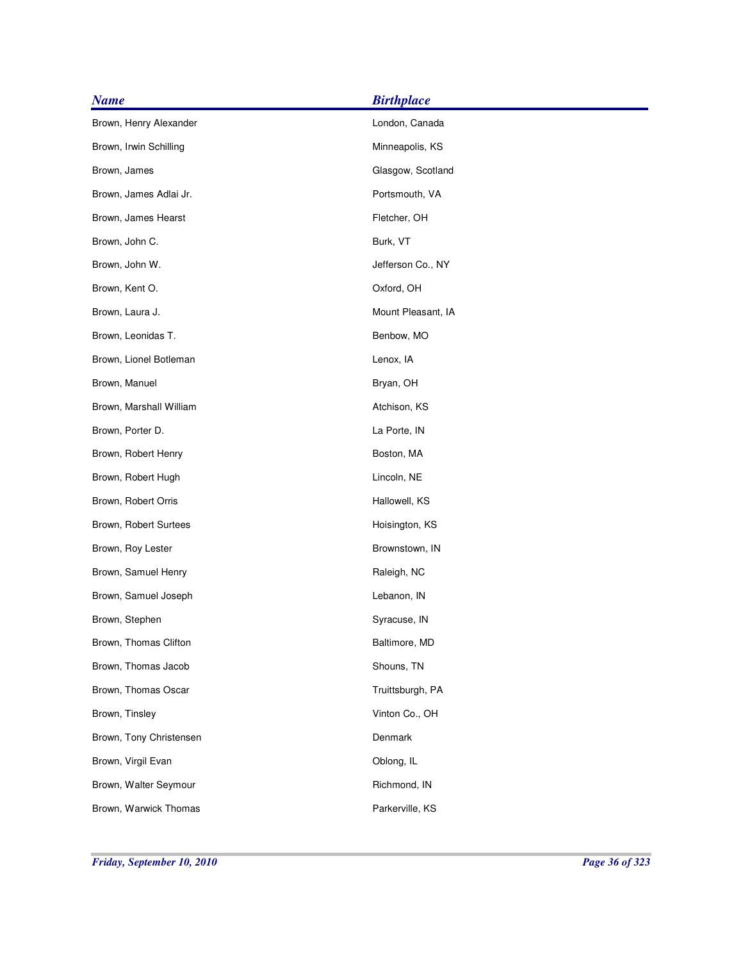| <b>Name</b>             | <b>Birthplace</b>  |
|-------------------------|--------------------|
| Brown, Henry Alexander  | London, Canada     |
| Brown, Irwin Schilling  | Minneapolis, KS    |
| Brown, James            | Glasgow, Scotland  |
| Brown, James Adlai Jr.  | Portsmouth, VA     |
| Brown, James Hearst     | Fletcher, OH       |
| Brown, John C.          | Burk, VT           |
| Brown, John W.          | Jefferson Co., NY  |
| Brown, Kent O.          | Oxford, OH         |
| Brown, Laura J.         | Mount Pleasant, IA |
| Brown, Leonidas T.      | Benbow, MO         |
| Brown, Lionel Botleman  | Lenox, IA          |
| Brown, Manuel           | Bryan, OH          |
| Brown, Marshall William | Atchison, KS       |
| Brown, Porter D.        | La Porte, IN       |
| Brown, Robert Henry     | Boston, MA         |
| Brown, Robert Hugh      | Lincoln, NE        |
| Brown, Robert Orris     | Hallowell, KS      |
| Brown, Robert Surtees   | Hoisington, KS     |
| Brown, Roy Lester       | Brownstown, IN     |
| Brown, Samuel Henry     | Raleigh, NC        |
| Brown, Samuel Joseph    | Lebanon, IN        |
| Brown, Stephen          | Syracuse, IN       |
| Brown, Thomas Clifton   | Baltimore, MD      |
| Brown, Thomas Jacob     | Shouns, TN         |
| Brown, Thomas Oscar     | Truittsburgh, PA   |
| Brown, Tinsley          | Vinton Co., OH     |
| Brown, Tony Christensen | Denmark            |
| Brown, Virgil Evan      | Oblong, IL         |
| Brown, Walter Seymour   | Richmond, IN       |
| Brown, Warwick Thomas   | Parkerville, KS    |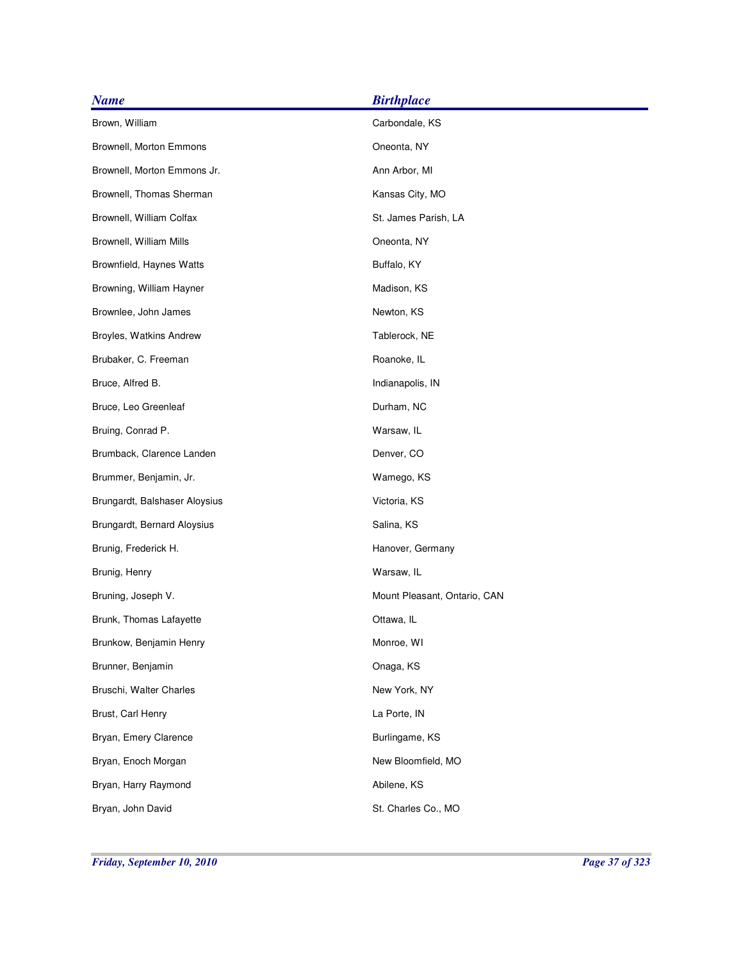| <b>Name</b>                   | <b>Birthplace</b>            |
|-------------------------------|------------------------------|
| Brown, William                | Carbondale, KS               |
| Brownell, Morton Emmons       | Oneonta, NY                  |
| Brownell, Morton Emmons Jr.   | Ann Arbor, MI                |
| Brownell, Thomas Sherman      | Kansas City, MO              |
| Brownell, William Colfax      | St. James Parish, LA         |
| Brownell, William Mills       | Oneonta, NY                  |
| Brownfield, Haynes Watts      | Buffalo, KY                  |
| Browning, William Hayner      | Madison, KS                  |
| Brownlee, John James          | Newton, KS                   |
| Broyles, Watkins Andrew       | Tablerock, NE                |
| Brubaker, C. Freeman          | Roanoke, IL                  |
| Bruce, Alfred B.              | Indianapolis, IN             |
| Bruce, Leo Greenleaf          | Durham, NC                   |
| Bruing, Conrad P.             | Warsaw, IL                   |
| Brumback, Clarence Landen     | Denver, CO                   |
| Brummer, Benjamin, Jr.        | Wamego, KS                   |
| Brungardt, Balshaser Aloysius | Victoria, KS                 |
| Brungardt, Bernard Aloysius   | Salina, KS                   |
| Brunig, Frederick H.          | Hanover, Germany             |
| Brunig, Henry                 | Warsaw, IL                   |
| Bruning, Joseph V.            | Mount Pleasant, Ontario, CAN |
| Brunk, Thomas Lafayette       | Ottawa, IL                   |
| Brunkow, Benjamin Henry       | Monroe, WI                   |
| Brunner, Benjamin             | Onaga, KS                    |
| Bruschi, Walter Charles       | New York, NY                 |
| Brust, Carl Henry             | La Porte, IN                 |
| Bryan, Emery Clarence         | Burlingame, KS               |
| Bryan, Enoch Morgan           | New Bloomfield, MO           |
| Bryan, Harry Raymond          | Abilene, KS                  |
| Bryan, John David             | St. Charles Co., MO          |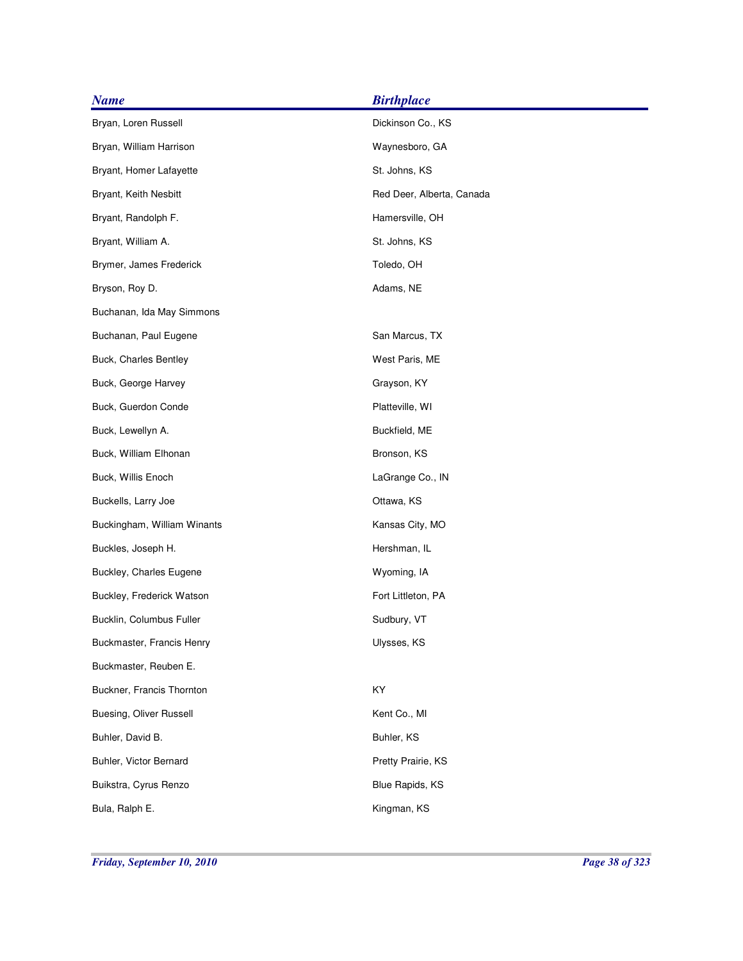| <b>Name</b>                 | <b>Birthplace</b>         |
|-----------------------------|---------------------------|
| Bryan, Loren Russell        | Dickinson Co., KS         |
| Bryan, William Harrison     | Waynesboro, GA            |
| Bryant, Homer Lafayette     | St. Johns, KS             |
| Bryant, Keith Nesbitt       | Red Deer, Alberta, Canada |
| Bryant, Randolph F.         | Hamersville, OH           |
| Bryant, William A.          | St. Johns, KS             |
| Brymer, James Frederick     | Toledo, OH                |
| Bryson, Roy D.              | Adams, NE                 |
| Buchanan, Ida May Simmons   |                           |
| Buchanan, Paul Eugene       | San Marcus, TX            |
| Buck, Charles Bentley       | West Paris, ME            |
| Buck, George Harvey         | Grayson, KY               |
| Buck, Guerdon Conde         | Platteville, WI           |
| Buck, Lewellyn A.           | Buckfield, ME             |
| Buck, William Elhonan       | Bronson, KS               |
| Buck, Willis Enoch          | LaGrange Co., IN          |
| Buckells, Larry Joe         | Ottawa, KS                |
| Buckingham, William Winants | Kansas City, MO           |
| Buckles, Joseph H.          | Hershman, IL              |
| Buckley, Charles Eugene     | Wyoming, IA               |
| Buckley, Frederick Watson   | Fort Littleton, PA        |
| Bucklin, Columbus Fuller    | Sudbury, VT               |
| Buckmaster, Francis Henry   | Ulysses, KS               |
| Buckmaster, Reuben E.       |                           |
| Buckner, Francis Thornton   | KY                        |
| Buesing, Oliver Russell     | Kent Co., MI              |
| Buhler, David B.            | Buhler, KS                |
| Buhler, Victor Bernard      | Pretty Prairie, KS        |
| Buikstra, Cyrus Renzo       | Blue Rapids, KS           |
| Bula, Ralph E.              | Kingman, KS               |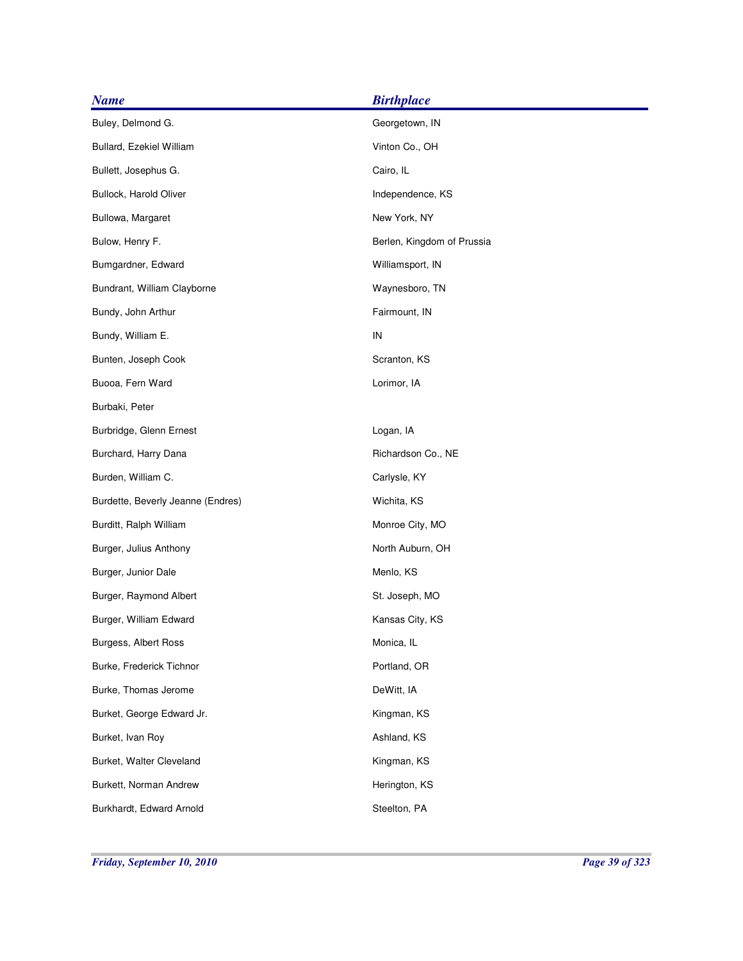| <b>Name</b>                       | <b>Birthplace</b>          |
|-----------------------------------|----------------------------|
| Buley, Delmond G.                 | Georgetown, IN             |
| Bullard, Ezekiel William          | Vinton Co., OH             |
| Bullett, Josephus G.              | Cairo, IL                  |
| Bullock, Harold Oliver            | Independence, KS           |
| Bullowa, Margaret                 | New York, NY               |
| Bulow, Henry F.                   | Berlen, Kingdom of Prussia |
| Bumgardner, Edward                | Williamsport, IN           |
| Bundrant, William Clayborne       | Waynesboro, TN             |
| Bundy, John Arthur                | Fairmount, IN              |
| Bundy, William E.                 | ${\sf IN}$                 |
| Bunten, Joseph Cook               | Scranton, KS               |
| Buooa, Fern Ward                  | Lorimor, IA                |
| Burbaki, Peter                    |                            |
| Burbridge, Glenn Ernest           | Logan, IA                  |
| Burchard, Harry Dana              | Richardson Co., NE         |
| Burden, William C.                | Carlysle, KY               |
| Burdette, Beverly Jeanne (Endres) | Wichita, KS                |
| Burditt, Ralph William            | Monroe City, MO            |
| Burger, Julius Anthony            | North Auburn, OH           |
| Burger, Junior Dale               | Menlo, KS                  |
| Burger, Raymond Albert            | St. Joseph, MO             |
| Burger, William Edward            | Kansas City, KS            |
| Burgess, Albert Ross              | Monica, IL                 |
| Burke, Frederick Tichnor          | Portland, OR               |
| Burke, Thomas Jerome              | DeWitt, IA                 |
| Burket, George Edward Jr.         | Kingman, KS                |
| Burket, Ivan Roy                  | Ashland, KS                |
| Burket, Walter Cleveland          | Kingman, KS                |
| Burkett, Norman Andrew            | Herington, KS              |
| Burkhardt, Edward Arnold          | Steelton, PA               |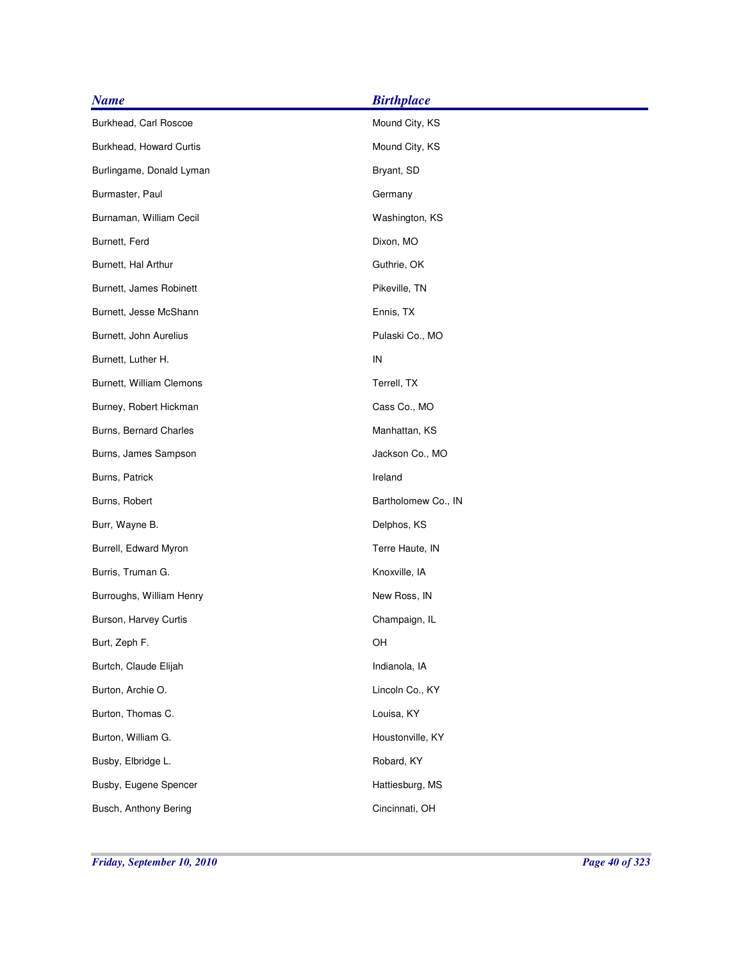| <b>Name</b>              | <b>Birthplace</b>   |
|--------------------------|---------------------|
| Burkhead, Carl Roscoe    | Mound City, KS      |
| Burkhead, Howard Curtis  | Mound City, KS      |
| Burlingame, Donald Lyman | Bryant, SD          |
| Burmaster, Paul          | Germany             |
| Burnaman, William Cecil  | Washington, KS      |
| Burnett, Ferd            | Dixon, MO           |
| Burnett, Hal Arthur      | Guthrie, OK         |
| Burnett, James Robinett  | Pikeville, TN       |
| Burnett, Jesse McShann   | Ennis, TX           |
| Burnett, John Aurelius   | Pulaski Co., MO     |
| Burnett, Luther H.       | IN                  |
| Burnett, William Clemons | Terrell, TX         |
| Burney, Robert Hickman   | Cass Co., MO        |
| Burns, Bernard Charles   | Manhattan, KS       |
| Burns, James Sampson     | Jackson Co., MO     |
| Burns, Patrick           | Ireland             |
| Burns, Robert            | Bartholomew Co., IN |
| Burr, Wayne B.           | Delphos, KS         |
| Burrell, Edward Myron    | Terre Haute, IN     |
| Burris, Truman G.        | Knoxville, IA       |
| Burroughs, William Henry | New Ross, IN        |
| Burson, Harvey Curtis    | Champaign, IL       |
| Burt, Zeph F.            | OH                  |
| Burtch, Claude Elijah    | Indianola, IA       |
| Burton, Archie O.        | Lincoln Co., KY     |
| Burton, Thomas C.        | Louisa, KY          |
| Burton, William G.       | Houstonville, KY    |
| Busby, Elbridge L.       | Robard, KY          |
| Busby, Eugene Spencer    | Hattiesburg, MS     |
| Busch, Anthony Bering    | Cincinnati, OH      |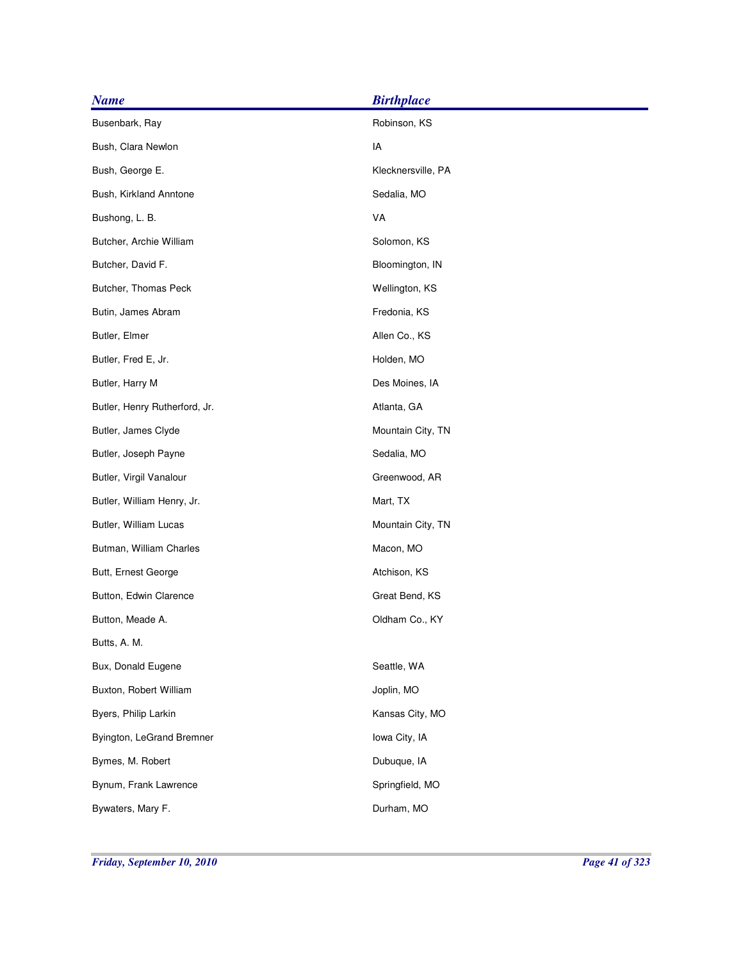| <b>Name</b>                   | <b>Birthplace</b>  |
|-------------------------------|--------------------|
| Busenbark, Ray                | Robinson, KS       |
| Bush, Clara Newlon            | IA                 |
| Bush, George E.               | Klecknersville, PA |
| Bush, Kirkland Anntone        | Sedalia, MO        |
| Bushong, L. B.                | VA                 |
| Butcher, Archie William       | Solomon, KS        |
| Butcher, David F.             | Bloomington, IN    |
| Butcher, Thomas Peck          | Wellington, KS     |
| Butin, James Abram            | Fredonia, KS       |
| Butler, Elmer                 | Allen Co., KS      |
| Butler, Fred E, Jr.           | Holden, MO         |
| Butler, Harry M               | Des Moines, IA     |
| Butler, Henry Rutherford, Jr. | Atlanta, GA        |
| Butler, James Clyde           | Mountain City, TN  |
| Butler, Joseph Payne          | Sedalia, MO        |
| Butler, Virgil Vanalour       | Greenwood, AR      |
| Butler, William Henry, Jr.    | Mart, TX           |
| Butler, William Lucas         | Mountain City, TN  |
| Butman, William Charles       | Macon, MO          |
| Butt, Ernest George           | Atchison, KS       |
| Button, Edwin Clarence        | Great Bend, KS     |
| Button, Meade A.              | Oldham Co., KY     |
| Butts, A. M.                  |                    |
| Bux, Donald Eugene            | Seattle, WA        |
| Buxton, Robert William        | Joplin, MO         |
| Byers, Philip Larkin          | Kansas City, MO    |
| Byington, LeGrand Bremner     | lowa City, IA      |
| Bymes, M. Robert              | Dubuque, IA        |
| Bynum, Frank Lawrence         | Springfield, MO    |
| Bywaters, Mary F.             | Durham, MO         |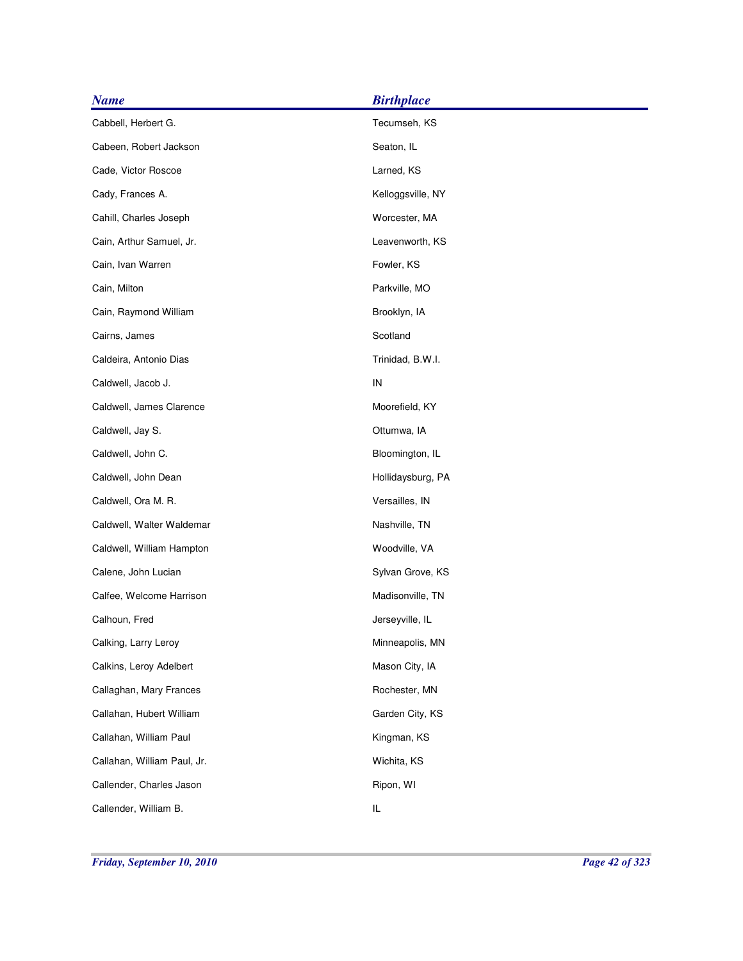| <b>Name</b>                 | <b>Birthplace</b> |
|-----------------------------|-------------------|
| Cabbell, Herbert G.         | Tecumseh, KS      |
| Cabeen, Robert Jackson      | Seaton, IL        |
| Cade, Victor Roscoe         | Larned, KS        |
| Cady, Frances A.            | Kelloggsville, NY |
| Cahill, Charles Joseph      | Worcester, MA     |
| Cain, Arthur Samuel, Jr.    | Leavenworth, KS   |
| Cain, Ivan Warren           | Fowler, KS        |
| Cain, Milton                | Parkville, MO     |
| Cain, Raymond William       | Brooklyn, IA      |
| Cairns, James               | Scotland          |
| Caldeira, Antonio Dias      | Trinidad, B.W.I.  |
| Caldwell, Jacob J.          | ${\sf IN}$        |
| Caldwell, James Clarence    | Moorefield, KY    |
| Caldwell, Jay S.            | Ottumwa, IA       |
| Caldwell, John C.           | Bloomington, IL   |
| Caldwell, John Dean         | Hollidaysburg, PA |
| Caldwell, Ora M. R.         | Versailles, IN    |
| Caldwell, Walter Waldemar   | Nashville, TN     |
| Caldwell, William Hampton   | Woodville, VA     |
| Calene, John Lucian         | Sylvan Grove, KS  |
| Calfee, Welcome Harrison    | Madisonville, TN  |
| Calhoun, Fred               | Jerseyville, IL   |
| Calking, Larry Leroy        | Minneapolis, MN   |
| Calkins, Leroy Adelbert     | Mason City, IA    |
| Callaghan, Mary Frances     | Rochester, MN     |
| Callahan, Hubert William    | Garden City, KS   |
| Callahan, William Paul      | Kingman, KS       |
| Callahan, William Paul, Jr. | Wichita, KS       |
| Callender, Charles Jason    | Ripon, WI         |
| Callender, William B.       | IL                |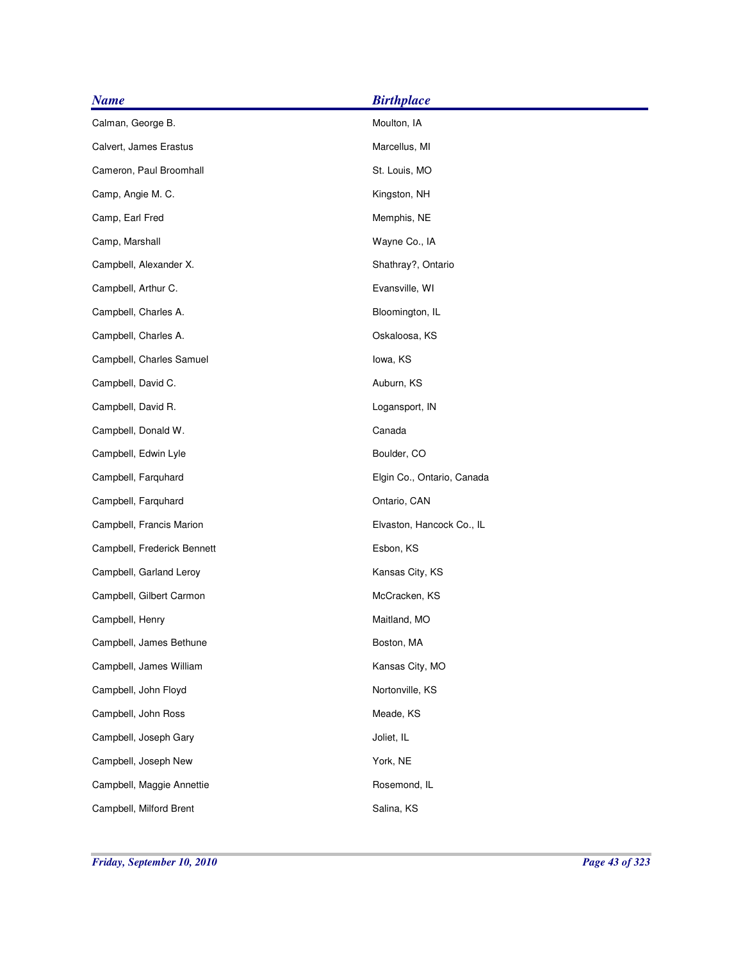| <b>Name</b>                 | <b>Birthplace</b>          |
|-----------------------------|----------------------------|
| Calman, George B.           | Moulton, IA                |
| Calvert, James Erastus      | Marcellus, MI              |
| Cameron, Paul Broomhall     | St. Louis, MO              |
| Camp, Angie M. C.           | Kingston, NH               |
| Camp, Earl Fred             | Memphis, NE                |
| Camp, Marshall              | Wayne Co., IA              |
| Campbell, Alexander X.      | Shathray?, Ontario         |
| Campbell, Arthur C.         | Evansville, WI             |
| Campbell, Charles A.        | Bloomington, IL            |
| Campbell, Charles A.        | Oskaloosa, KS              |
| Campbell, Charles Samuel    | lowa, KS                   |
| Campbell, David C.          | Auburn, KS                 |
| Campbell, David R.          | Logansport, IN             |
| Campbell, Donald W.         | Canada                     |
| Campbell, Edwin Lyle        | Boulder, CO                |
| Campbell, Farquhard         | Elgin Co., Ontario, Canada |
| Campbell, Farquhard         | Ontario, CAN               |
| Campbell, Francis Marion    | Elvaston, Hancock Co., IL  |
| Campbell, Frederick Bennett | Esbon, KS                  |
| Campbell, Garland Leroy     | Kansas City, KS            |
| Campbell, Gilbert Carmon    | McCracken, KS              |
| Campbell, Henry             | Maitland, MO               |
| Campbell, James Bethune     | Boston, MA                 |
| Campbell, James William     | Kansas City, MO            |
| Campbell, John Floyd        | Nortonville, KS            |
| Campbell, John Ross         | Meade, KS                  |
| Campbell, Joseph Gary       | Joliet, IL                 |
| Campbell, Joseph New        | York, NE                   |
| Campbell, Maggie Annettie   | Rosemond, IL               |
| Campbell, Milford Brent     | Salina, KS                 |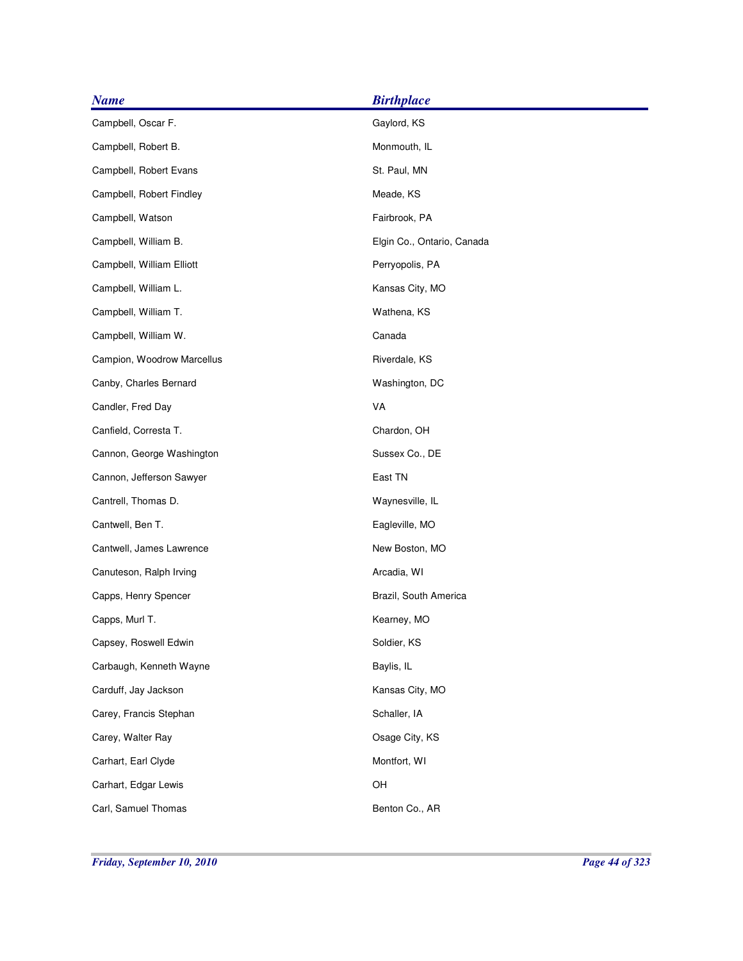| <b>Name</b>                | <b>Birthplace</b>          |
|----------------------------|----------------------------|
| Campbell, Oscar F.         | Gaylord, KS                |
| Campbell, Robert B.        | Monmouth, IL               |
| Campbell, Robert Evans     | St. Paul, MN               |
| Campbell, Robert Findley   | Meade, KS                  |
| Campbell, Watson           | Fairbrook, PA              |
| Campbell, William B.       | Elgin Co., Ontario, Canada |
| Campbell, William Elliott  | Perryopolis, PA            |
| Campbell, William L.       | Kansas City, MO            |
| Campbell, William T.       | Wathena, KS                |
| Campbell, William W.       | Canada                     |
| Campion, Woodrow Marcellus | Riverdale, KS              |
| Canby, Charles Bernard     | Washington, DC             |
| Candler, Fred Day          | VA                         |
| Canfield, Corresta T.      | Chardon, OH                |
| Cannon, George Washington  | Sussex Co., DE             |
| Cannon, Jefferson Sawyer   | East TN                    |
| Cantrell, Thomas D.        | Waynesville, IL            |
| Cantwell, Ben T.           | Eagleville, MO             |
| Cantwell, James Lawrence   | New Boston, MO             |
| Canuteson, Ralph Irving    | Arcadia, WI                |
| Capps, Henry Spencer       | Brazil, South America      |
| Capps, Murl T.             | Kearney, MO                |
| Capsey, Roswell Edwin      | Soldier, KS                |
| Carbaugh, Kenneth Wayne    | Baylis, IL                 |
| Carduff, Jay Jackson       | Kansas City, MO            |
| Carey, Francis Stephan     | Schaller, IA               |
| Carey, Walter Ray          | Osage City, KS             |
| Carhart, Earl Clyde        | Montfort, WI               |
| Carhart, Edgar Lewis       | OH                         |
| Carl, Samuel Thomas        | Benton Co., AR             |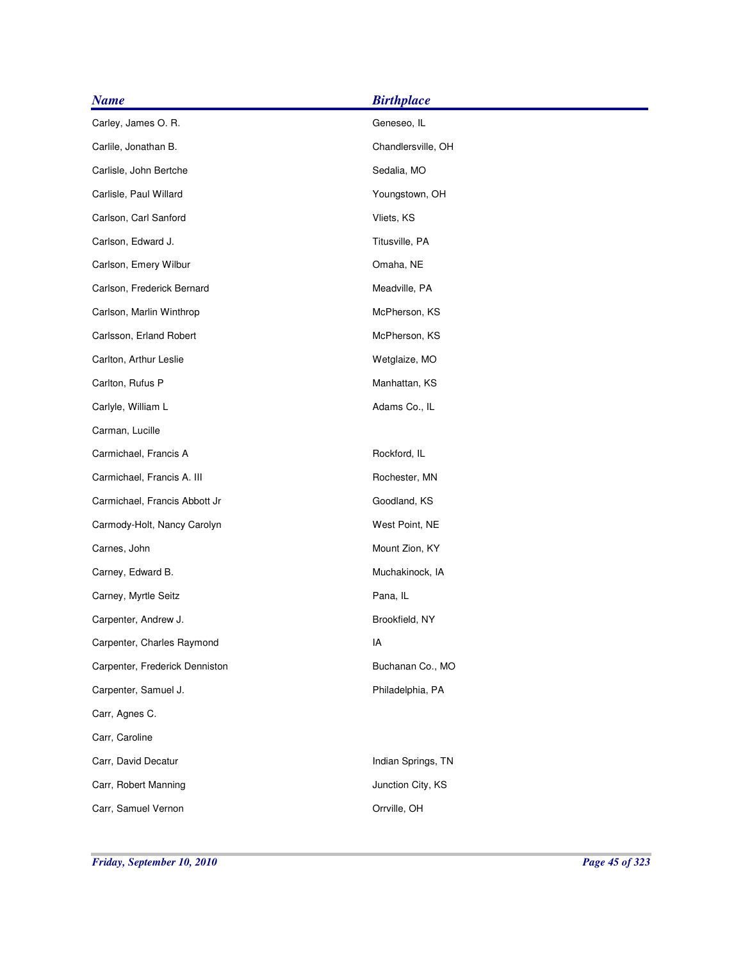| <b>Birthplace</b>  |
|--------------------|
| Geneseo, IL        |
| Chandlersville, OH |
| Sedalia, MO        |
| Youngstown, OH     |
| Vliets, KS         |
| Titusville, PA     |
| Omaha, NE          |
| Meadville, PA      |
| McPherson, KS      |
| McPherson, KS      |
| Wetglaize, MO      |
| Manhattan, KS      |
| Adams Co., IL      |
|                    |
| Rockford, IL       |
| Rochester, MN      |
| Goodland, KS       |
| West Point, NE     |
| Mount Zion, KY     |
| Muchakinock, IA    |
| Pana, IL           |
| Brookfield, NY     |
| IA                 |
| Buchanan Co., MO   |
| Philadelphia, PA   |
|                    |
|                    |
| Indian Springs, TN |
| Junction City, KS  |
| Orrville, OH       |
|                    |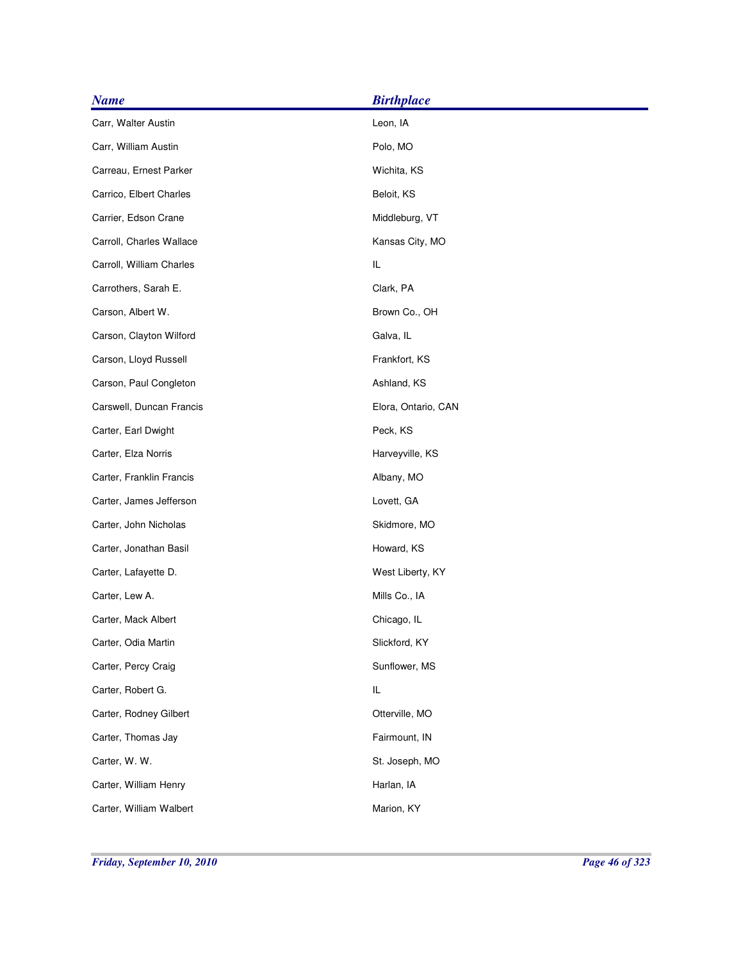| <b>Name</b>              | <b>Birthplace</b>   |
|--------------------------|---------------------|
| Carr, Walter Austin      | Leon, IA            |
| Carr, William Austin     | Polo, MO            |
| Carreau, Ernest Parker   | Wichita, KS         |
| Carrico, Elbert Charles  | Beloit, KS          |
| Carrier, Edson Crane     | Middleburg, VT      |
| Carroll, Charles Wallace | Kansas City, MO     |
| Carroll, William Charles | IL                  |
| Carrothers, Sarah E.     | Clark, PA           |
| Carson, Albert W.        | Brown Co., OH       |
| Carson, Clayton Wilford  | Galva, IL           |
| Carson, Lloyd Russell    | Frankfort, KS       |
| Carson, Paul Congleton   | Ashland, KS         |
| Carswell, Duncan Francis | Elora, Ontario, CAN |
| Carter, Earl Dwight      | Peck, KS            |
| Carter, Elza Norris      | Harveyville, KS     |
| Carter, Franklin Francis | Albany, MO          |
| Carter, James Jefferson  | Lovett, GA          |
| Carter, John Nicholas    | Skidmore, MO        |
| Carter, Jonathan Basil   | Howard, KS          |
| Carter, Lafayette D.     | West Liberty, KY    |
| Carter, Lew A.           | Mills Co., IA       |
| Carter, Mack Albert      | Chicago, IL         |
| Carter, Odia Martin      | Slickford, KY       |
| Carter, Percy Craig      | Sunflower, MS       |
| Carter, Robert G.        | IL                  |
| Carter, Rodney Gilbert   | Otterville, MO      |
| Carter, Thomas Jay       | Fairmount, IN       |
| Carter, W. W.            | St. Joseph, MO      |
| Carter, William Henry    | Harlan, IA          |
| Carter, William Walbert  | Marion, KY          |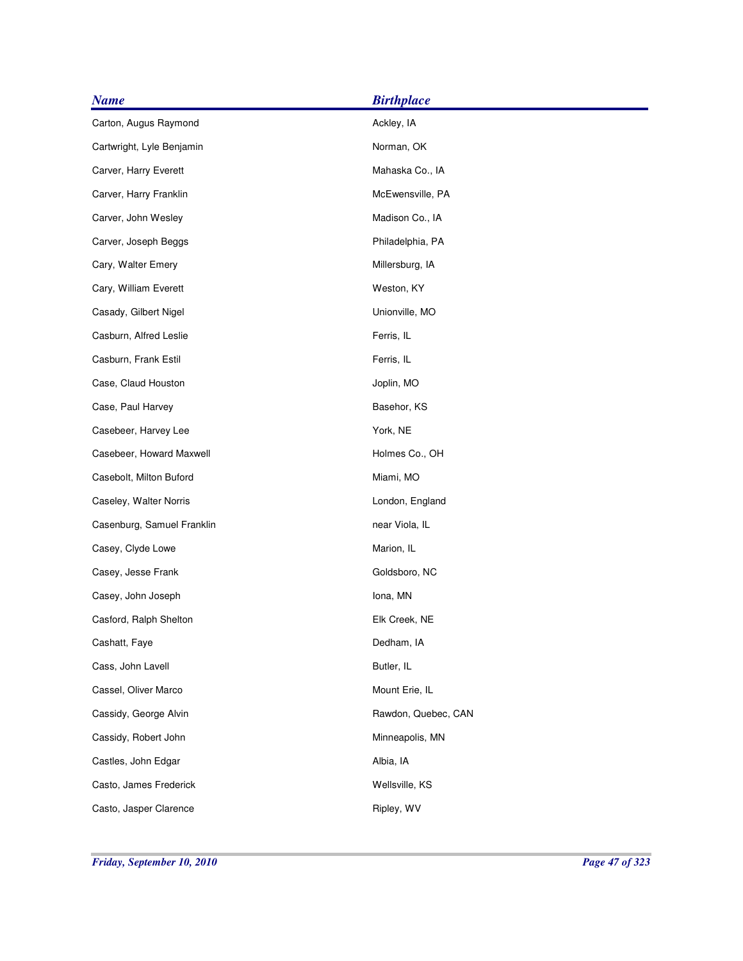| <b>Name</b>                | <b>Birthplace</b>   |
|----------------------------|---------------------|
| Carton, Augus Raymond      | Ackley, IA          |
| Cartwright, Lyle Benjamin  | Norman, OK          |
| Carver, Harry Everett      | Mahaska Co., IA     |
| Carver, Harry Franklin     | McEwensville, PA    |
| Carver, John Wesley        | Madison Co., IA     |
| Carver, Joseph Beggs       | Philadelphia, PA    |
| Cary, Walter Emery         | Millersburg, IA     |
| Cary, William Everett      | Weston, KY          |
| Casady, Gilbert Nigel      | Unionville, MO      |
| Casburn, Alfred Leslie     | Ferris, IL          |
| Casburn, Frank Estil       | Ferris, IL          |
| Case, Claud Houston        | Joplin, MO          |
| Case, Paul Harvey          | Basehor, KS         |
| Casebeer, Harvey Lee       | York, NE            |
| Casebeer, Howard Maxwell   | Holmes Co., OH      |
| Casebolt, Milton Buford    | Miami, MO           |
| Caseley, Walter Norris     | London, England     |
| Casenburg, Samuel Franklin | near Viola, IL      |
| Casey, Clyde Lowe          | Marion, IL          |
| Casey, Jesse Frank         | Goldsboro, NC       |
| Casey, John Joseph         | Iona, MN            |
| Casford, Ralph Shelton     | Elk Creek, NE       |
| Cashatt, Faye              | Dedham, IA          |
| Cass, John Lavell          | Butler, IL          |
| Cassel, Oliver Marco       | Mount Erie, IL      |
| Cassidy, George Alvin      | Rawdon, Quebec, CAN |
| Cassidy, Robert John       | Minneapolis, MN     |
| Castles, John Edgar        | Albia, IA           |
| Casto, James Frederick     | Wellsville, KS      |
| Casto, Jasper Clarence     | Ripley, WV          |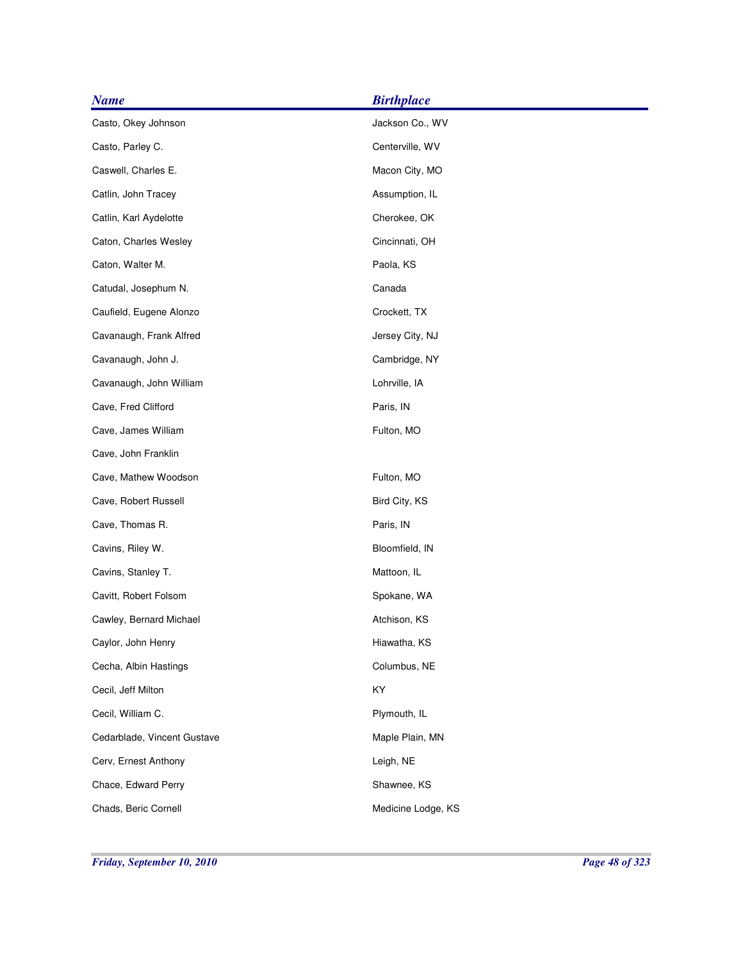| <b>Name</b>                 | <b>Birthplace</b>  |
|-----------------------------|--------------------|
| Casto, Okey Johnson         | Jackson Co., WV    |
| Casto, Parley C.            | Centerville, WV    |
| Caswell, Charles E.         | Macon City, MO     |
| Catlin, John Tracey         | Assumption, IL     |
| Catlin, Karl Aydelotte      | Cherokee, OK       |
| Caton, Charles Wesley       | Cincinnati, OH     |
| Caton, Walter M.            | Paola, KS          |
| Catudal, Josephum N.        | Canada             |
| Caufield, Eugene Alonzo     | Crockett, TX       |
| Cavanaugh, Frank Alfred     | Jersey City, NJ    |
| Cavanaugh, John J.          | Cambridge, NY      |
| Cavanaugh, John William     | Lohrville, IA      |
| Cave, Fred Clifford         | Paris, IN          |
| Cave, James William         | Fulton, MO         |
| Cave, John Franklin         |                    |
| Cave, Mathew Woodson        | Fulton, MO         |
| Cave, Robert Russell        | Bird City, KS      |
| Cave, Thomas R.             | Paris, IN          |
| Cavins, Riley W.            | Bloomfield, IN     |
| Cavins, Stanley T.          | Mattoon, IL        |
| Cavitt, Robert Folsom       | Spokane, WA        |
| Cawley, Bernard Michael     | Atchison, KS       |
| Caylor, John Henry          | Hiawatha, KS       |
| Cecha, Albin Hastings       | Columbus, NE       |
| Cecil, Jeff Milton          | KY                 |
| Cecil, William C.           | Plymouth, IL       |
| Cedarblade, Vincent Gustave | Maple Plain, MN    |
| Cerv, Ernest Anthony        | Leigh, NE          |
| Chace, Edward Perry         | Shawnee, KS        |
| Chads, Beric Cornell        | Medicine Lodge, KS |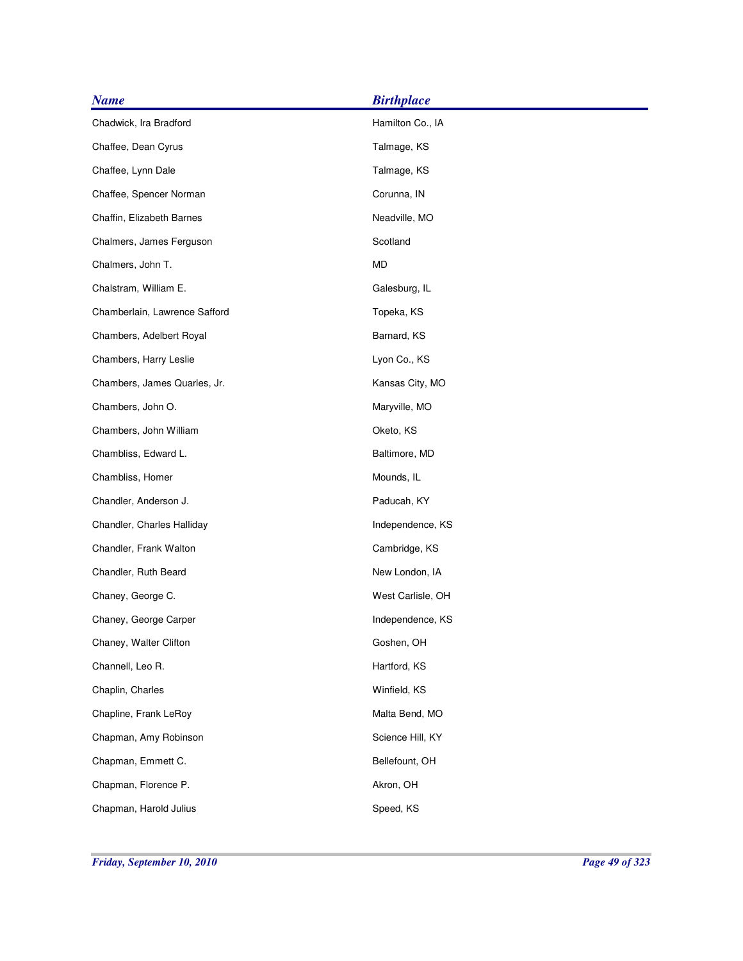| <b>Name</b>                   | <b>Birthplace</b> |
|-------------------------------|-------------------|
| Chadwick, Ira Bradford        | Hamilton Co., IA  |
| Chaffee, Dean Cyrus           | Talmage, KS       |
| Chaffee, Lynn Dale            | Talmage, KS       |
| Chaffee, Spencer Norman       | Corunna, IN       |
| Chaffin, Elizabeth Barnes     | Neadville, MO     |
| Chalmers, James Ferguson      | Scotland          |
| Chalmers, John T.             | MD                |
| Chalstram, William E.         | Galesburg, IL     |
| Chamberlain, Lawrence Safford | Topeka, KS        |
| Chambers, Adelbert Royal      | Barnard, KS       |
| Chambers, Harry Leslie        | Lyon Co., KS      |
| Chambers, James Quarles, Jr.  | Kansas City, MO   |
| Chambers, John O.             | Maryville, MO     |
| Chambers, John William        | Oketo, KS         |
| Chambliss, Edward L.          | Baltimore, MD     |
| Chambliss, Homer              | Mounds, IL        |
| Chandler, Anderson J.         | Paducah, KY       |
| Chandler, Charles Halliday    | Independence, KS  |
| Chandler, Frank Walton        | Cambridge, KS     |
| Chandler, Ruth Beard          | New London, IA    |
| Chaney, George C.             | West Carlisle, OH |
| Chaney, George Carper         | Independence, KS  |
| Chaney, Walter Clifton        | Goshen, OH        |
| Channell, Leo R.              | Hartford, KS      |
| Chaplin, Charles              | Winfield, KS      |
| Chapline, Frank LeRoy         | Malta Bend, MO    |
| Chapman, Amy Robinson         | Science Hill, KY  |
| Chapman, Emmett C.            | Bellefount, OH    |
| Chapman, Florence P.          | Akron, OH         |
| Chapman, Harold Julius        | Speed, KS         |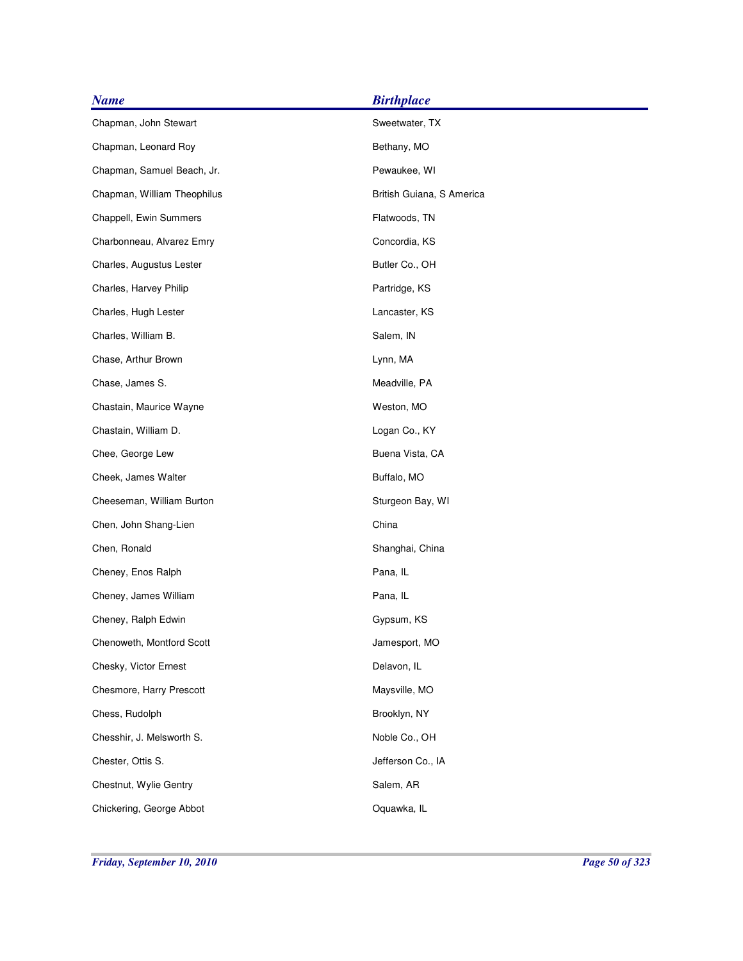| <b>Name</b>                 | <b>Birthplace</b>         |
|-----------------------------|---------------------------|
| Chapman, John Stewart       | Sweetwater, TX            |
| Chapman, Leonard Roy        | Bethany, MO               |
| Chapman, Samuel Beach, Jr.  | Pewaukee, WI              |
| Chapman, William Theophilus | British Guiana, S America |
| Chappell, Ewin Summers      | Flatwoods, TN             |
| Charbonneau, Alvarez Emry   | Concordia, KS             |
| Charles, Augustus Lester    | Butler Co., OH            |
| Charles, Harvey Philip      | Partridge, KS             |
| Charles, Hugh Lester        | Lancaster, KS             |
| Charles, William B.         | Salem, IN                 |
| Chase, Arthur Brown         | Lynn, MA                  |
| Chase, James S.             | Meadville, PA             |
| Chastain, Maurice Wayne     | Weston, MO                |
| Chastain, William D.        | Logan Co., KY             |
| Chee, George Lew            | Buena Vista, CA           |
| Cheek, James Walter         | Buffalo, MO               |
| Cheeseman, William Burton   | Sturgeon Bay, WI          |
| Chen, John Shang-Lien       | China                     |
| Chen, Ronald                | Shanghai, China           |
| Cheney, Enos Ralph          | Pana, IL                  |
| Cheney, James William       | Pana, IL                  |
| Cheney, Ralph Edwin         | Gypsum, KS                |
| Chenoweth, Montford Scott   | Jamesport, MO             |
| Chesky, Victor Ernest       | Delavon, IL               |
| Chesmore, Harry Prescott    | Maysville, MO             |
| Chess, Rudolph              | Brooklyn, NY              |
| Chesshir, J. Melsworth S.   | Noble Co., OH             |
| Chester, Ottis S.           | Jefferson Co., IA         |
| Chestnut, Wylie Gentry      | Salem, AR                 |
| Chickering, George Abbot    | Oquawka, IL               |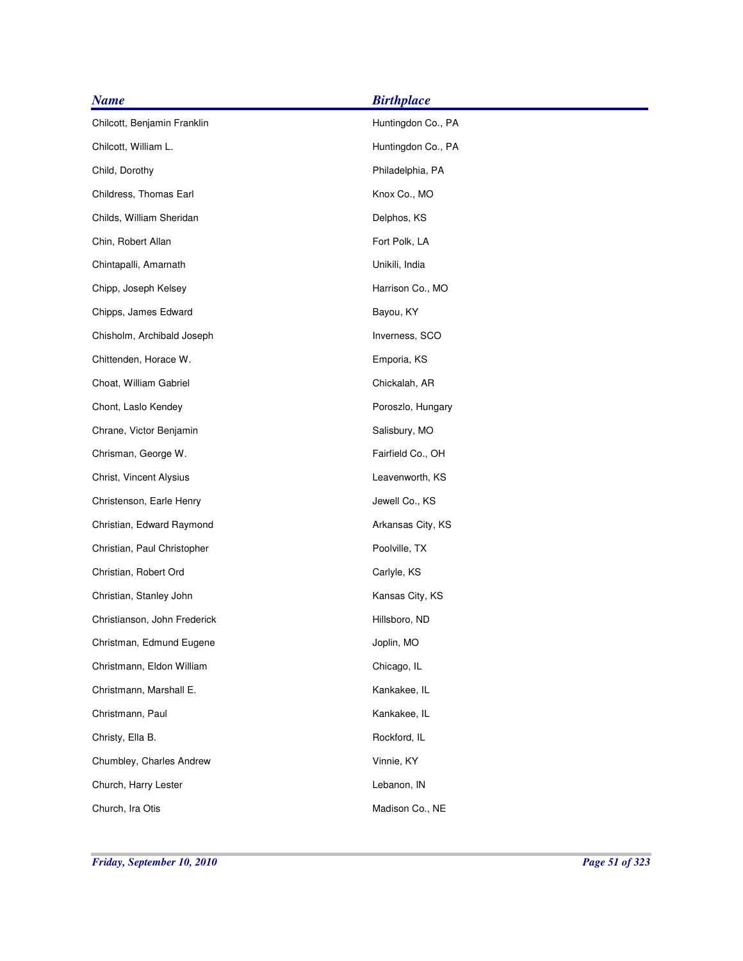| <b>Name</b>                  | <b>Birthplace</b>  |
|------------------------------|--------------------|
| Chilcott, Benjamin Franklin  | Huntingdon Co., PA |
| Chilcott, William L.         | Huntingdon Co., PA |
| Child, Dorothy               | Philadelphia, PA   |
| Childress, Thomas Earl       | Knox Co., MO       |
| Childs, William Sheridan     | Delphos, KS        |
| Chin, Robert Allan           | Fort Polk, LA      |
| Chintapalli, Amarnath        | Unikili, India     |
| Chipp, Joseph Kelsey         | Harrison Co., MO   |
| Chipps, James Edward         | Bayou, KY          |
| Chisholm, Archibald Joseph   | Inverness, SCO     |
| Chittenden, Horace W.        | Emporia, KS        |
| Choat, William Gabriel       | Chickalah, AR      |
| Chont, Laslo Kendey          | Poroszlo, Hungary  |
| Chrane, Victor Benjamin      | Salisbury, MO      |
| Chrisman, George W.          | Fairfield Co., OH  |
| Christ, Vincent Alysius      | Leavenworth, KS    |
| Christenson, Earle Henry     | Jewell Co., KS     |
| Christian, Edward Raymond    | Arkansas City, KS  |
| Christian, Paul Christopher  | Poolville, TX      |
| Christian, Robert Ord        | Carlyle, KS        |
| Christian, Stanley John      | Kansas City, KS    |
| Christianson, John Frederick | Hillsboro, ND      |
| Christman, Edmund Eugene     | Joplin, MO         |
| Christmann, Eldon William    | Chicago, IL        |
| Christmann, Marshall E.      | Kankakee, IL       |
| Christmann, Paul             | Kankakee, IL       |
| Christy, Ella B.             | Rockford, IL       |
| Chumbley, Charles Andrew     | Vinnie, KY         |
| Church, Harry Lester         | Lebanon, IN        |
| Church, Ira Otis             | Madison Co., NE    |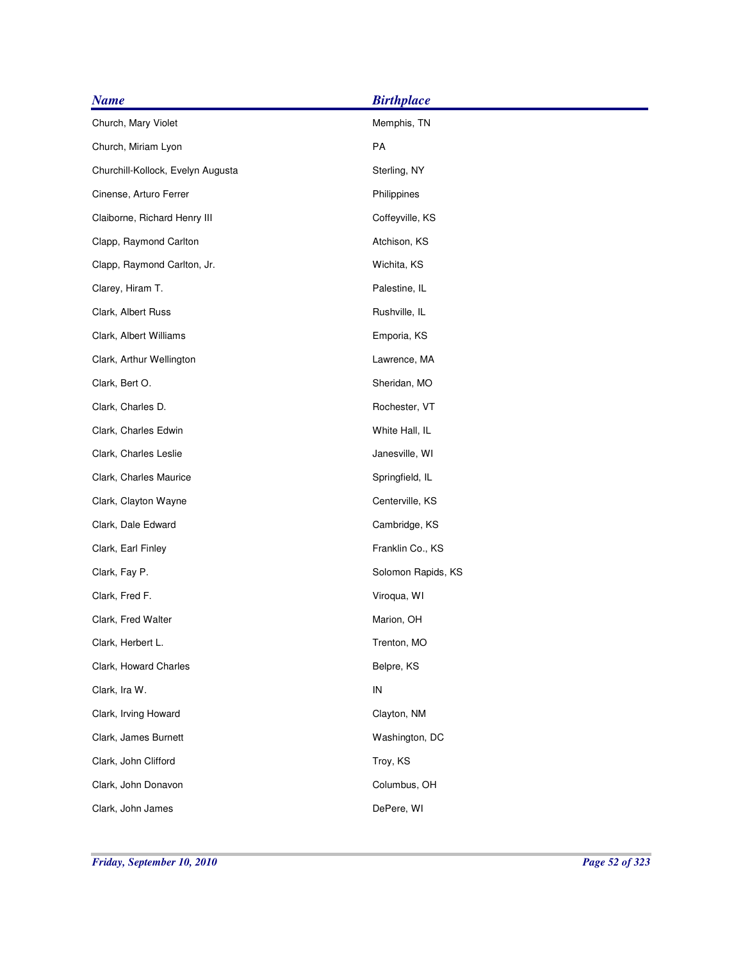| <b>Name</b>                       | <b>Birthplace</b>  |
|-----------------------------------|--------------------|
| Church, Mary Violet               | Memphis, TN        |
| Church, Miriam Lyon               | PA                 |
| Churchill-Kollock, Evelyn Augusta | Sterling, NY       |
| Cinense, Arturo Ferrer            | Philippines        |
| Claiborne, Richard Henry III      | Coffeyville, KS    |
| Clapp, Raymond Carlton            | Atchison, KS       |
| Clapp, Raymond Carlton, Jr.       | Wichita, KS        |
| Clarey, Hiram T.                  | Palestine, IL      |
| Clark, Albert Russ                | Rushville, IL      |
| Clark, Albert Williams            | Emporia, KS        |
| Clark, Arthur Wellington          | Lawrence, MA       |
| Clark, Bert O.                    | Sheridan, MO       |
| Clark, Charles D.                 | Rochester, VT      |
| Clark, Charles Edwin              | White Hall, IL     |
| Clark, Charles Leslie             | Janesville, WI     |
| Clark, Charles Maurice            | Springfield, IL    |
| Clark, Clayton Wayne              | Centerville, KS    |
| Clark, Dale Edward                | Cambridge, KS      |
| Clark, Earl Finley                | Franklin Co., KS   |
| Clark, Fay P.                     | Solomon Rapids, KS |
| Clark, Fred F.                    | Viroqua, WI        |
| Clark, Fred Walter                | Marion, OH         |
| Clark, Herbert L.                 | Trenton, MO        |
| Clark, Howard Charles             | Belpre, KS         |
| Clark, Ira W.                     | IN                 |
| Clark, Irving Howard              | Clayton, NM        |
| Clark, James Burnett              | Washington, DC     |
| Clark, John Clifford              | Troy, KS           |
| Clark, John Donavon               | Columbus, OH       |
| Clark, John James                 | DePere, WI         |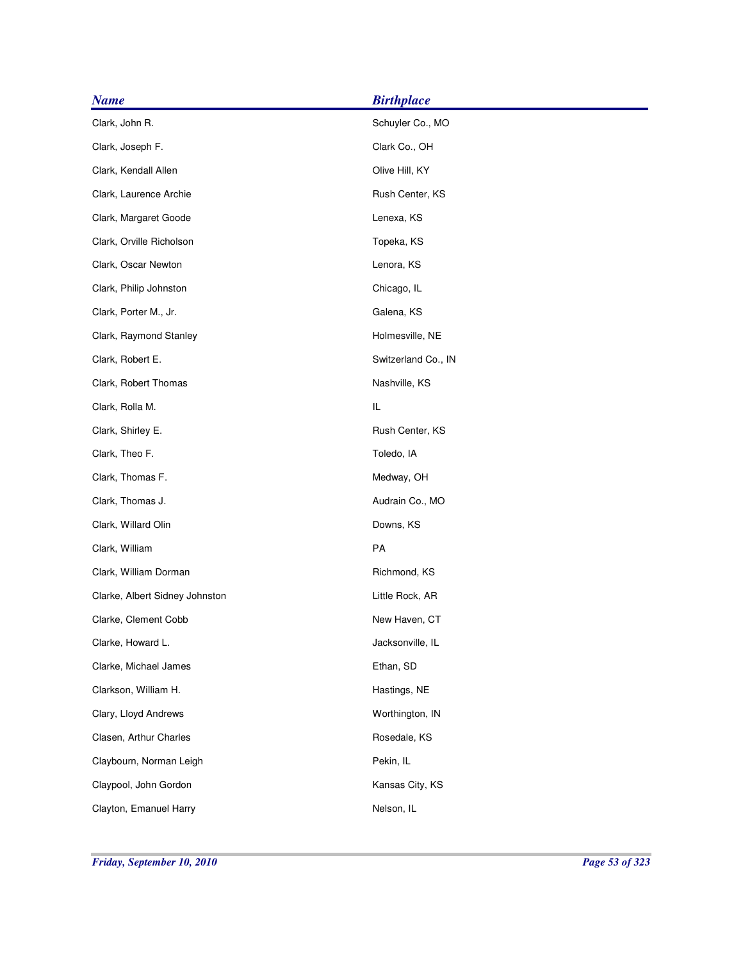| <b>Name</b>                    | <b>Birthplace</b>   |
|--------------------------------|---------------------|
| Clark, John R.                 | Schuyler Co., MO    |
| Clark, Joseph F.               | Clark Co., OH       |
| Clark, Kendall Allen           | Olive Hill, KY      |
| Clark, Laurence Archie         | Rush Center, KS     |
| Clark, Margaret Goode          | Lenexa, KS          |
| Clark, Orville Richolson       | Topeka, KS          |
| Clark, Oscar Newton            | Lenora, KS          |
| Clark, Philip Johnston         | Chicago, IL         |
| Clark, Porter M., Jr.          | Galena, KS          |
| Clark, Raymond Stanley         | Holmesville, NE     |
| Clark, Robert E.               | Switzerland Co., IN |
| Clark, Robert Thomas           | Nashville, KS       |
| Clark, Rolla M.                | IL                  |
| Clark, Shirley E.              | Rush Center, KS     |
| Clark, Theo F.                 | Toledo, IA          |
| Clark, Thomas F.               | Medway, OH          |
| Clark, Thomas J.               | Audrain Co., MO     |
| Clark, Willard Olin            | Downs, KS           |
| Clark, William                 | PA                  |
| Clark, William Dorman          | Richmond, KS        |
| Clarke, Albert Sidney Johnston | Little Rock, AR     |
| Clarke, Clement Cobb           | New Haven, CT       |
| Clarke, Howard L.              | Jacksonville, IL    |
| Clarke, Michael James          | Ethan, SD           |
| Clarkson, William H.           | Hastings, NE        |
| Clary, Lloyd Andrews           | Worthington, IN     |
| Clasen, Arthur Charles         | Rosedale, KS        |
| Claybourn, Norman Leigh        | Pekin, IL           |
| Claypool, John Gordon          | Kansas City, KS     |
| Clayton, Emanuel Harry         | Nelson, IL          |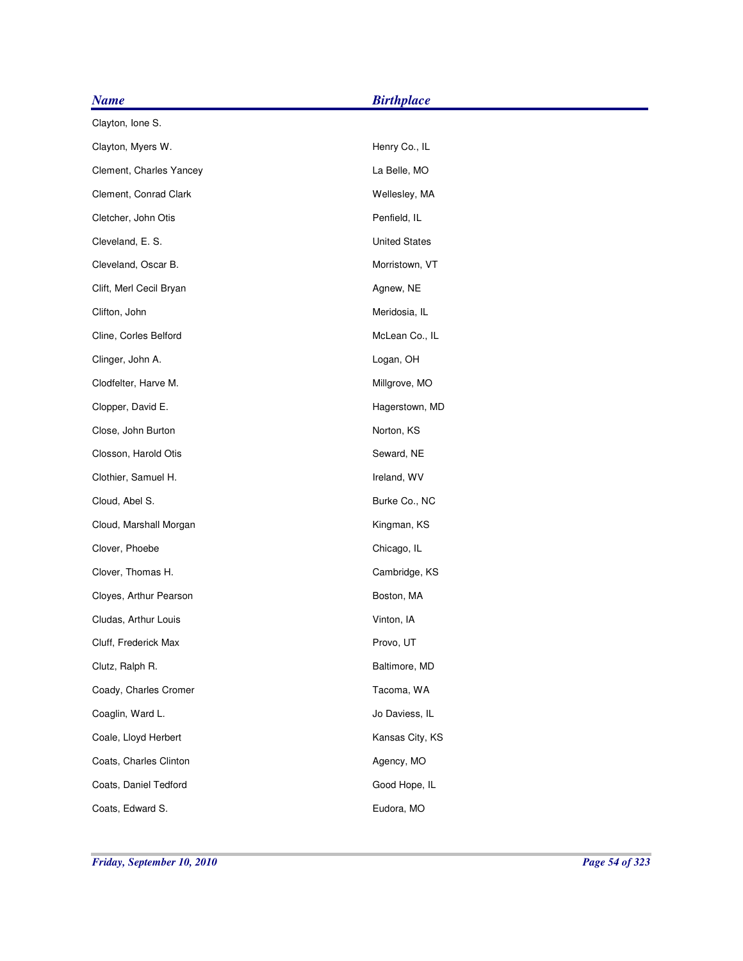| <b>Name</b>             | <b>Birthplace</b>    |
|-------------------------|----------------------|
| Clayton, Ione S.        |                      |
| Clayton, Myers W.       | Henry Co., IL        |
| Clement, Charles Yancey | La Belle, MO         |
| Clement, Conrad Clark   | Wellesley, MA        |
| Cletcher, John Otis     | Penfield, IL         |
| Cleveland, E. S.        | <b>United States</b> |
| Cleveland, Oscar B.     | Morristown, VT       |
| Clift, Merl Cecil Bryan | Agnew, NE            |
| Clifton, John           | Meridosia, IL        |
| Cline, Corles Belford   | McLean Co., IL       |
| Clinger, John A.        | Logan, OH            |
| Clodfelter, Harve M.    | Millgrove, MO        |
| Clopper, David E.       | Hagerstown, MD       |
| Close, John Burton      | Norton, KS           |
| Closson, Harold Otis    | Seward, NE           |
| Clothier, Samuel H.     | Ireland, WV          |
| Cloud, Abel S.          | Burke Co., NC        |
| Cloud, Marshall Morgan  | Kingman, KS          |
| Clover, Phoebe          | Chicago, IL          |
| Clover, Thomas H.       | Cambridge, KS        |
| Cloyes, Arthur Pearson  | Boston, MA           |
| Cludas, Arthur Louis    | Vinton, IA           |
| Cluff, Frederick Max    | Provo, UT            |
| Clutz, Ralph R.         | Baltimore, MD        |
| Coady, Charles Cromer   | Tacoma, WA           |
| Coaglin, Ward L.        | Jo Daviess, IL       |
| Coale, Lloyd Herbert    | Kansas City, KS      |
| Coats, Charles Clinton  | Agency, MO           |
| Coats, Daniel Tedford   | Good Hope, IL        |
| Coats, Edward S.        | Eudora, MO           |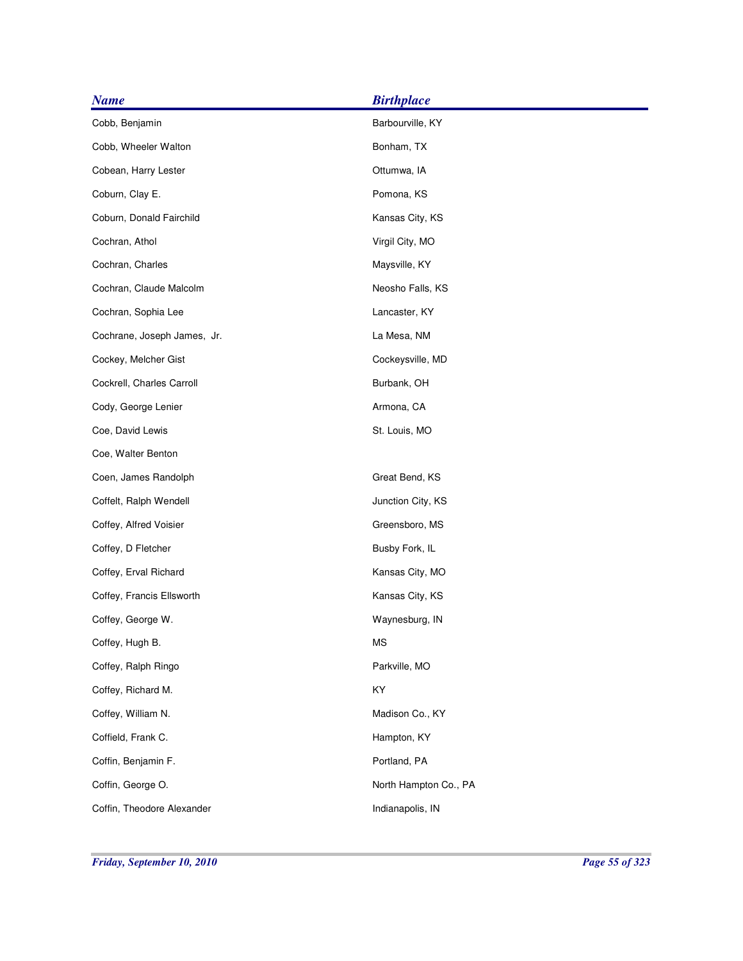| <b>Name</b>                 | <b>Birthplace</b>     |
|-----------------------------|-----------------------|
| Cobb, Benjamin              | Barbourville, KY      |
| Cobb, Wheeler Walton        | Bonham, TX            |
| Cobean, Harry Lester        | Ottumwa, IA           |
| Coburn, Clay E.             | Pomona, KS            |
| Coburn, Donald Fairchild    | Kansas City, KS       |
| Cochran, Athol              | Virgil City, MO       |
| Cochran, Charles            | Maysville, KY         |
| Cochran, Claude Malcolm     | Neosho Falls, KS      |
| Cochran, Sophia Lee         | Lancaster, KY         |
| Cochrane, Joseph James, Jr. | La Mesa, NM           |
| Cockey, Melcher Gist        | Cockeysville, MD      |
| Cockrell, Charles Carroll   | Burbank, OH           |
| Cody, George Lenier         | Armona, CA            |
| Coe, David Lewis            | St. Louis, MO         |
| Coe, Walter Benton          |                       |
| Coen, James Randolph        | Great Bend, KS        |
| Coffelt, Ralph Wendell      | Junction City, KS     |
| Coffey, Alfred Voisier      | Greensboro, MS        |
| Coffey, D Fletcher          | Busby Fork, IL        |
| Coffey, Erval Richard       | Kansas City, MO       |
| Coffey, Francis Ellsworth   | Kansas City, KS       |
| Coffey, George W.           | Waynesburg, IN        |
| Coffey, Hugh B.             | <b>MS</b>             |
| Coffey, Ralph Ringo         | Parkville, MO         |
| Coffey, Richard M.          | KY                    |
| Coffey, William N.          | Madison Co., KY       |
| Coffield, Frank C.          | Hampton, KY           |
| Coffin, Benjamin F.         | Portland, PA          |
| Coffin, George O.           | North Hampton Co., PA |
| Coffin, Theodore Alexander  | Indianapolis, IN      |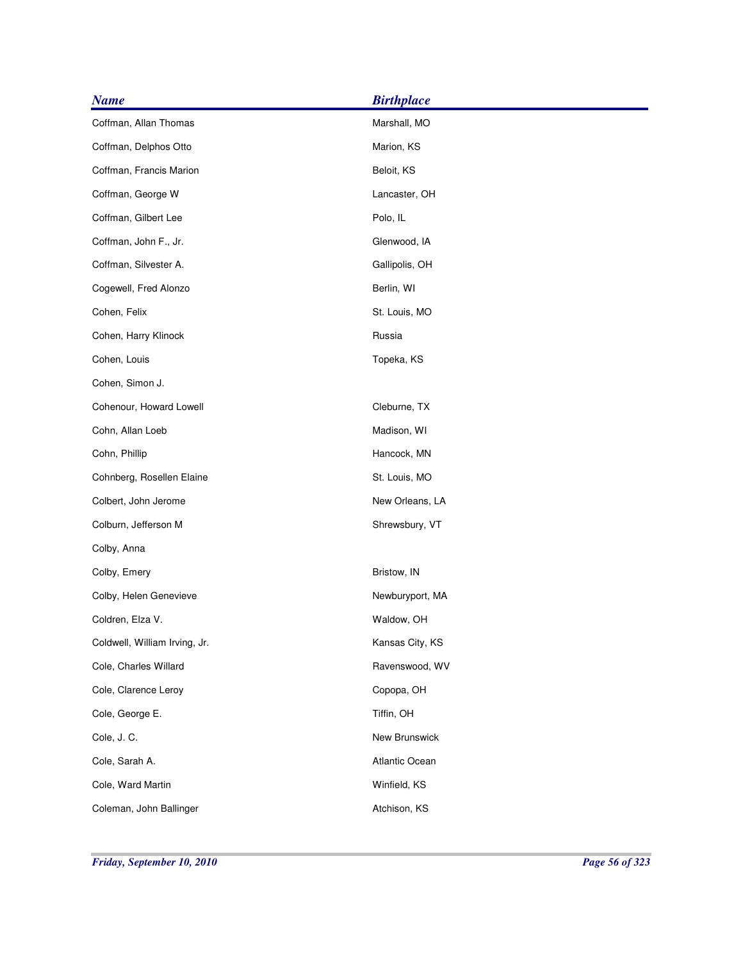| <b>Name</b>                   | <b>Birthplace</b> |
|-------------------------------|-------------------|
| Coffman, Allan Thomas         | Marshall, MO      |
| Coffman, Delphos Otto         | Marion, KS        |
| Coffman, Francis Marion       | Beloit, KS        |
| Coffman, George W             | Lancaster, OH     |
| Coffman, Gilbert Lee          | Polo, IL          |
| Coffman, John F., Jr.         | Glenwood, IA      |
| Coffman, Silvester A.         | Gallipolis, OH    |
| Cogewell, Fred Alonzo         | Berlin, WI        |
| Cohen, Felix                  | St. Louis, MO     |
| Cohen, Harry Klinock          | Russia            |
| Cohen, Louis                  | Topeka, KS        |
| Cohen, Simon J.               |                   |
| Cohenour, Howard Lowell       | Cleburne, TX      |
| Cohn, Allan Loeb              | Madison, WI       |
| Cohn, Phillip                 | Hancock, MN       |
| Cohnberg, Rosellen Elaine     | St. Louis, MO     |
| Colbert, John Jerome          | New Orleans, LA   |
| Colburn, Jefferson M          | Shrewsbury, VT    |
| Colby, Anna                   |                   |
| Colby, Emery                  | Bristow, IN       |
| Colby, Helen Genevieve        | Newburyport, MA   |
| Coldren, Elza V.              | Waldow, OH        |
| Coldwell, William Irving, Jr. | Kansas City, KS   |
| Cole, Charles Willard         | Ravenswood, WV    |
| Cole, Clarence Leroy          | Copopa, OH        |
| Cole, George E.               | Tiffin, OH        |
| Cole, J.C.                    | New Brunswick     |
| Cole, Sarah A.                | Atlantic Ocean    |
| Cole, Ward Martin             | Winfield, KS      |
| Coleman, John Ballinger       | Atchison, KS      |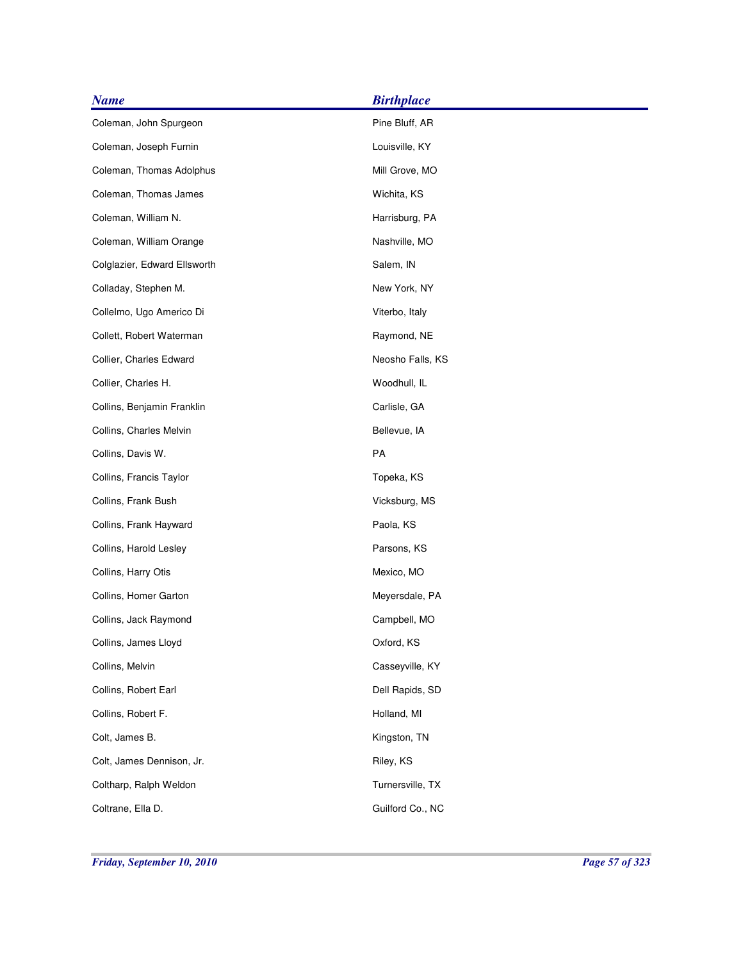| <b>Name</b>                  | <b>Birthplace</b> |
|------------------------------|-------------------|
| Coleman, John Spurgeon       | Pine Bluff, AR    |
| Coleman, Joseph Furnin       | Louisville, KY    |
| Coleman, Thomas Adolphus     | Mill Grove, MO    |
| Coleman, Thomas James        | Wichita, KS       |
| Coleman, William N.          | Harrisburg, PA    |
| Coleman, William Orange      | Nashville, MO     |
| Colglazier, Edward Ellsworth | Salem, IN         |
| Colladay, Stephen M.         | New York, NY      |
| Collelmo, Ugo Americo Di     | Viterbo, Italy    |
| Collett, Robert Waterman     | Raymond, NE       |
| Collier, Charles Edward      | Neosho Falls, KS  |
| Collier, Charles H.          | Woodhull, IL      |
| Collins, Benjamin Franklin   | Carlisle, GA      |
| Collins, Charles Melvin      | Bellevue, IA      |
| Collins, Davis W.            | PA                |
| Collins, Francis Taylor      | Topeka, KS        |
| Collins, Frank Bush          | Vicksburg, MS     |
| Collins, Frank Hayward       | Paola, KS         |
| Collins, Harold Lesley       | Parsons, KS       |
| Collins, Harry Otis          | Mexico, MO        |
| Collins, Homer Garton        | Meyersdale, PA    |
| Collins, Jack Raymond        | Campbell, MO      |
| Collins, James Lloyd         | Oxford, KS        |
| Collins, Melvin              | Casseyville, KY   |
| Collins, Robert Earl         | Dell Rapids, SD   |
| Collins, Robert F.           | Holland, MI       |
| Colt, James B.               | Kingston, TN      |
| Colt, James Dennison, Jr.    | Riley, KS         |
| Coltharp, Ralph Weldon       | Turnersville, TX  |
| Coltrane, Ella D.            | Guilford Co., NC  |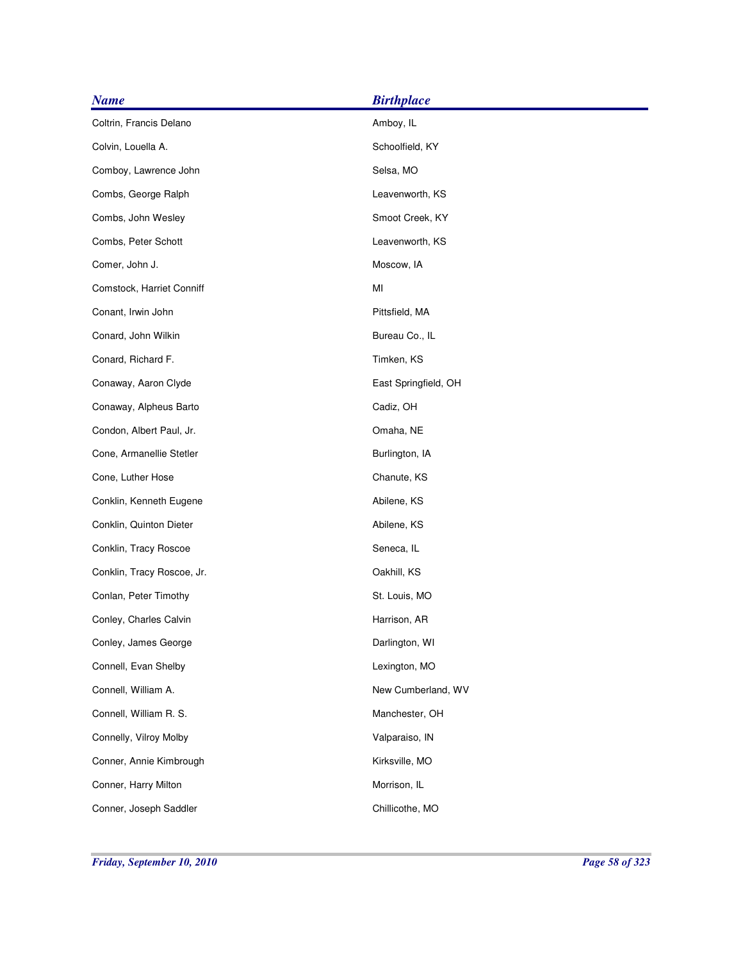| <b>Name</b>                | <b>Birthplace</b>    |
|----------------------------|----------------------|
| Coltrin, Francis Delano    | Amboy, IL            |
| Colvin, Louella A.         | Schoolfield, KY      |
| Comboy, Lawrence John      | Selsa, MO            |
| Combs, George Ralph        | Leavenworth, KS      |
| Combs, John Wesley         | Smoot Creek, KY      |
| Combs, Peter Schott        | Leavenworth, KS      |
| Comer, John J.             | Moscow, IA           |
| Comstock, Harriet Conniff  | MI                   |
| Conant, Irwin John         | Pittsfield, MA       |
| Conard, John Wilkin        | Bureau Co., IL       |
| Conard, Richard F.         | Timken, KS           |
| Conaway, Aaron Clyde       | East Springfield, OH |
| Conaway, Alpheus Barto     | Cadiz, OH            |
| Condon, Albert Paul, Jr.   | Omaha, NE            |
| Cone, Armanellie Stetler   | Burlington, IA       |
| Cone, Luther Hose          | Chanute, KS          |
| Conklin, Kenneth Eugene    | Abilene, KS          |
| Conklin, Quinton Dieter    | Abilene, KS          |
| Conklin, Tracy Roscoe      | Seneca, IL           |
| Conklin, Tracy Roscoe, Jr. | Oakhill, KS          |
| Conlan, Peter Timothy      | St. Louis, MO        |
| Conley, Charles Calvin     | Harrison, AR         |
| Conley, James George       | Darlington, WI       |
| Connell, Evan Shelby       | Lexington, MO        |
| Connell, William A.        | New Cumberland, WV   |
| Connell, William R. S.     | Manchester, OH       |
| Connelly, Vilroy Molby     | Valparaiso, IN       |
| Conner, Annie Kimbrough    | Kirksville, MO       |
| Conner, Harry Milton       | Morrison, IL         |
| Conner, Joseph Saddler     | Chillicothe, MO      |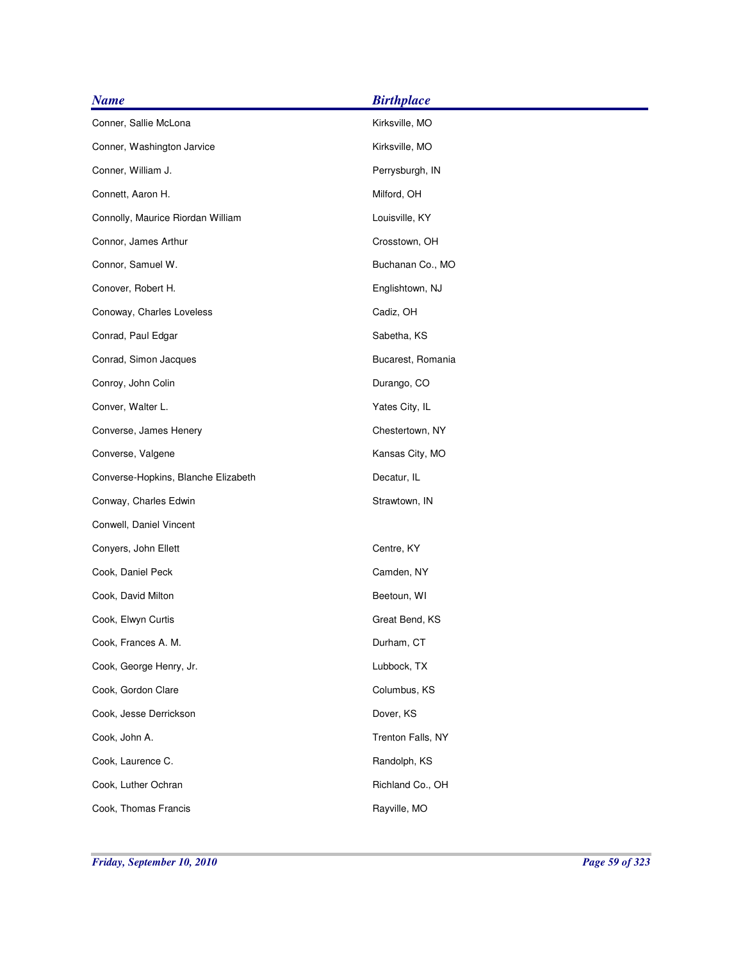| <b>Name</b>                         | <b>Birthplace</b> |
|-------------------------------------|-------------------|
| Conner, Sallie McLona               | Kirksville, MO    |
| Conner, Washington Jarvice          | Kirksville, MO    |
| Conner, William J.                  | Perrysburgh, IN   |
| Connett, Aaron H.                   | Milford, OH       |
| Connolly, Maurice Riordan William   | Louisville, KY    |
| Connor, James Arthur                | Crosstown, OH     |
| Connor, Samuel W.                   | Buchanan Co., MO  |
| Conover, Robert H.                  | Englishtown, NJ   |
| Conoway, Charles Loveless           | Cadiz, OH         |
| Conrad, Paul Edgar                  | Sabetha, KS       |
| Conrad, Simon Jacques               | Bucarest, Romania |
| Conroy, John Colin                  | Durango, CO       |
| Conver, Walter L.                   | Yates City, IL    |
| Converse, James Henery              | Chestertown, NY   |
| Converse, Valgene                   | Kansas City, MO   |
| Converse-Hopkins, Blanche Elizabeth | Decatur, IL       |
| Conway, Charles Edwin               | Strawtown, IN     |
| Conwell, Daniel Vincent             |                   |
| Conyers, John Ellett                | Centre, KY        |
| Cook, Daniel Peck                   | Camden, NY        |
| Cook, David Milton                  | Beetoun, WI       |
| Cook, Elwyn Curtis                  | Great Bend, KS    |
| Cook, Frances A. M.                 | Durham, CT        |
| Cook, George Henry, Jr.             | Lubbock, TX       |
| Cook, Gordon Clare                  | Columbus, KS      |
| Cook, Jesse Derrickson              | Dover, KS         |
| Cook, John A.                       | Trenton Falls, NY |
| Cook, Laurence C.                   | Randolph, KS      |
| Cook, Luther Ochran                 | Richland Co., OH  |
| Cook, Thomas Francis                | Rayville, MO      |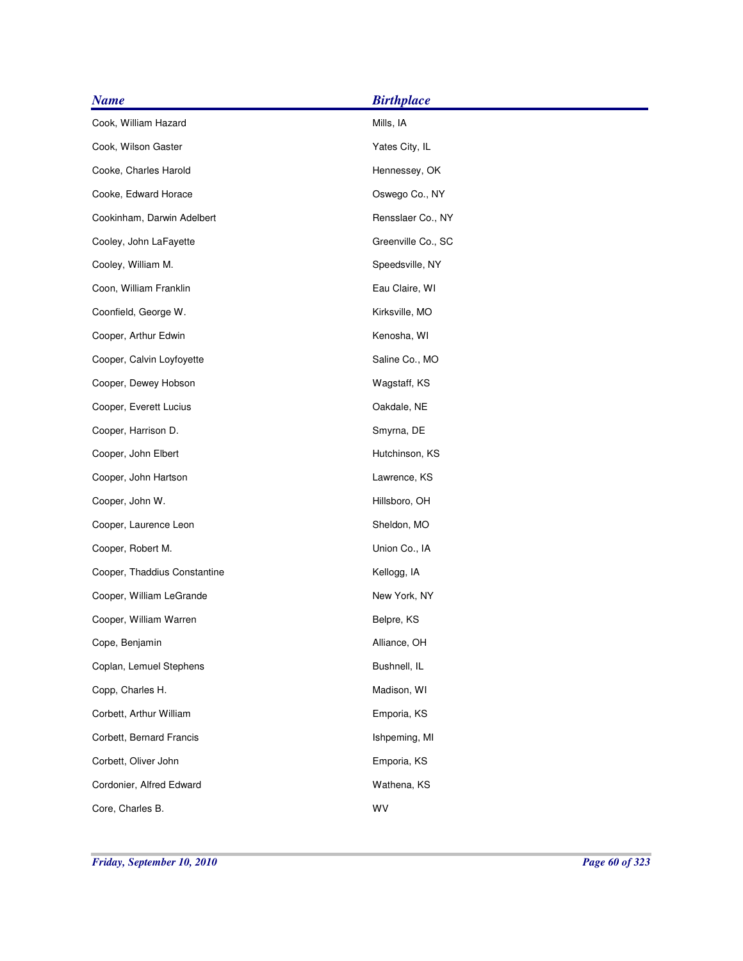| <b>Name</b>                  | <b>Birthplace</b>  |
|------------------------------|--------------------|
| Cook, William Hazard         | Mills, IA          |
| Cook, Wilson Gaster          | Yates City, IL     |
| Cooke, Charles Harold        | Hennessey, OK      |
| Cooke, Edward Horace         | Oswego Co., NY     |
| Cookinham, Darwin Adelbert   | Rensslaer Co., NY  |
| Cooley, John LaFayette       | Greenville Co., SC |
| Cooley, William M.           | Speedsville, NY    |
| Coon, William Franklin       | Eau Claire, WI     |
| Coonfield, George W.         | Kirksville, MO     |
| Cooper, Arthur Edwin         | Kenosha, WI        |
| Cooper, Calvin Loyfoyette    | Saline Co., MO     |
| Cooper, Dewey Hobson         | Wagstaff, KS       |
| Cooper, Everett Lucius       | Oakdale, NE        |
| Cooper, Harrison D.          | Smyrna, DE         |
| Cooper, John Elbert          | Hutchinson, KS     |
| Cooper, John Hartson         | Lawrence, KS       |
| Cooper, John W.              | Hillsboro, OH      |
| Cooper, Laurence Leon        | Sheldon, MO        |
| Cooper, Robert M.            | Union Co., IA      |
| Cooper, Thaddius Constantine | Kellogg, IA        |
| Cooper, William LeGrande     | New York, NY       |
| Cooper, William Warren       | Belpre, KS         |
| Cope, Benjamin               | Alliance, OH       |
| Coplan, Lemuel Stephens      | Bushnell, IL       |
| Copp, Charles H.             | Madison, WI        |
| Corbett, Arthur William      | Emporia, KS        |
| Corbett, Bernard Francis     | Ishpeming, MI      |
| Corbett, Oliver John         | Emporia, KS        |
| Cordonier, Alfred Edward     | Wathena, KS        |
| Core, Charles B.             | WV                 |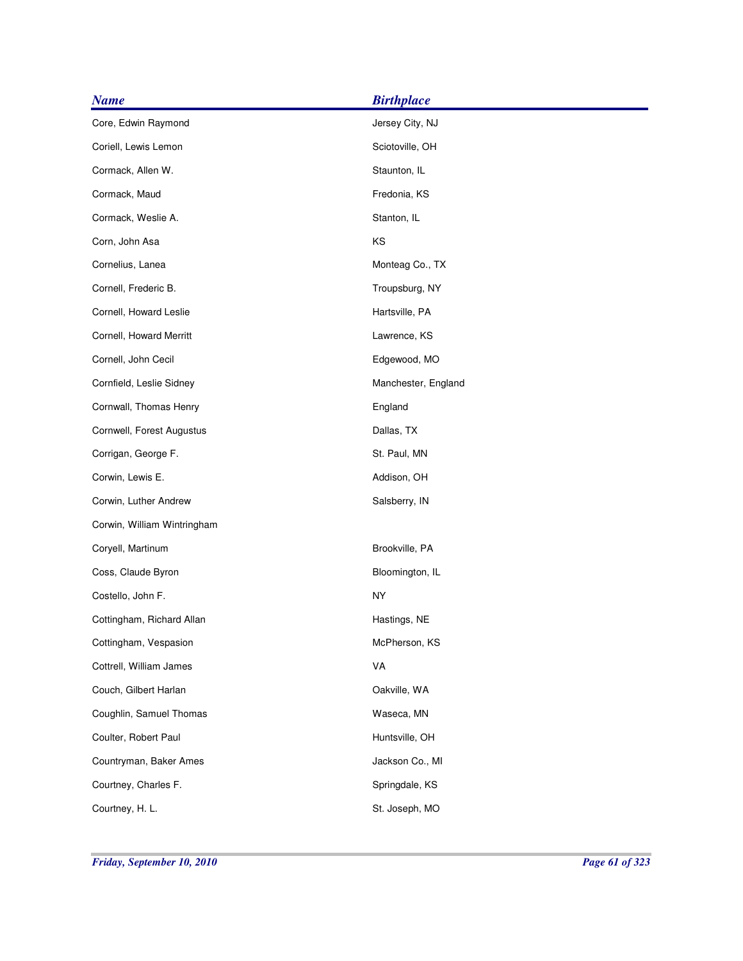| <b>Name</b>                 | <b>Birthplace</b>   |
|-----------------------------|---------------------|
| Core, Edwin Raymond         | Jersey City, NJ     |
| Coriell, Lewis Lemon        | Sciotoville, OH     |
| Cormack, Allen W.           | Staunton, IL        |
| Cormack, Maud               | Fredonia, KS        |
| Cormack, Weslie A.          | Stanton, IL         |
| Corn, John Asa              | KS                  |
| Cornelius, Lanea            | Monteag Co., TX     |
| Cornell, Frederic B.        | Troupsburg, NY      |
| Cornell, Howard Leslie      | Hartsville, PA      |
| Cornell, Howard Merritt     | Lawrence, KS        |
| Cornell, John Cecil         | Edgewood, MO        |
| Cornfield, Leslie Sidney    | Manchester, England |
| Cornwall, Thomas Henry      | England             |
| Cornwell, Forest Augustus   | Dallas, TX          |
| Corrigan, George F.         | St. Paul, MN        |
| Corwin, Lewis E.            | Addison, OH         |
| Corwin, Luther Andrew       | Salsberry, IN       |
| Corwin, William Wintringham |                     |
| Coryell, Martinum           | Brookville, PA      |
| Coss, Claude Byron          | Bloomington, IL     |
| Costello, John F.           | <b>NY</b>           |
| Cottingham, Richard Allan   | Hastings, NE        |
| Cottingham, Vespasion       | McPherson, KS       |
| Cottrell, William James     | VA                  |
| Couch, Gilbert Harlan       | Oakville, WA        |
| Coughlin, Samuel Thomas     | Waseca, MN          |
| Coulter, Robert Paul        | Huntsville, OH      |
| Countryman, Baker Ames      | Jackson Co., MI     |
| Courtney, Charles F.        | Springdale, KS      |
| Courtney, H. L.             | St. Joseph, MO      |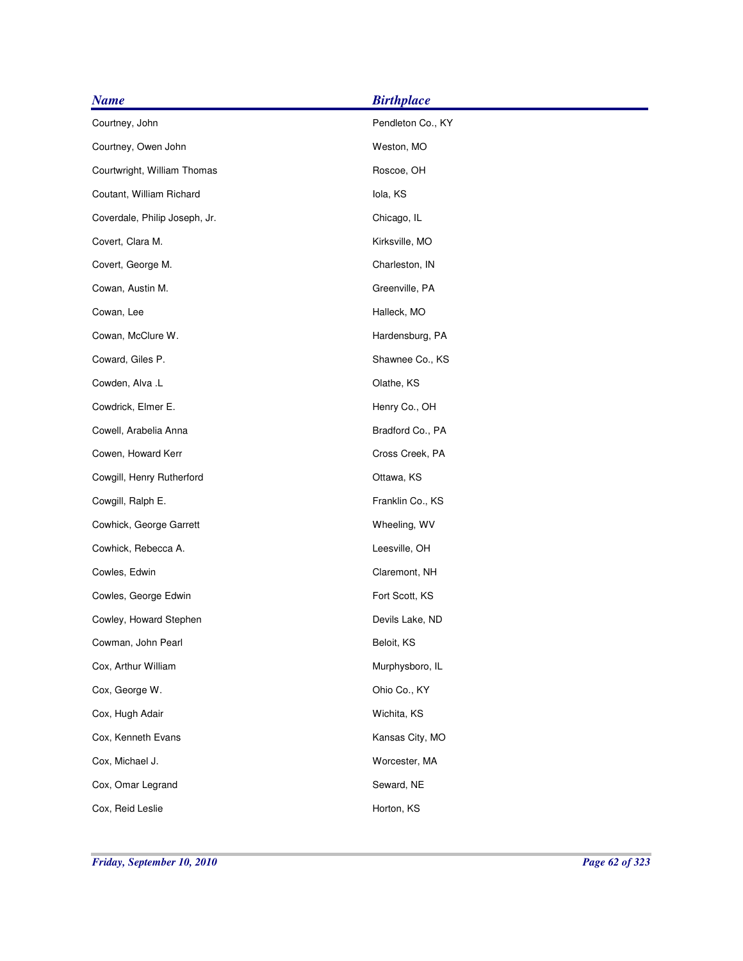| <b>Name</b>                   | <b>Birthplace</b> |
|-------------------------------|-------------------|
| Courtney, John                | Pendleton Co., KY |
| Courtney, Owen John           | Weston, MO        |
| Courtwright, William Thomas   | Roscoe, OH        |
| Coutant, William Richard      | lola, KS          |
| Coverdale, Philip Joseph, Jr. | Chicago, IL       |
| Covert, Clara M.              | Kirksville, MO    |
| Covert, George M.             | Charleston, IN    |
| Cowan, Austin M.              | Greenville, PA    |
| Cowan, Lee                    | Halleck, MO       |
| Cowan, McClure W.             | Hardensburg, PA   |
| Coward, Giles P.              | Shawnee Co., KS   |
| Cowden, Alva .L               | Olathe, KS        |
| Cowdrick, Elmer E.            | Henry Co., OH     |
| Cowell, Arabelia Anna         | Bradford Co., PA  |
| Cowen, Howard Kerr            | Cross Creek, PA   |
| Cowgill, Henry Rutherford     | Ottawa, KS        |
| Cowgill, Ralph E.             | Franklin Co., KS  |
| Cowhick, George Garrett       | Wheeling, WV      |
| Cowhick, Rebecca A.           | Leesville, OH     |
| Cowles, Edwin                 | Claremont, NH     |
| Cowles, George Edwin          | Fort Scott, KS    |
| Cowley, Howard Stephen        | Devils Lake, ND   |
| Cowman, John Pearl            | Beloit, KS        |
| Cox, Arthur William           | Murphysboro, IL   |
| Cox, George W.                | Ohio Co., KY      |
| Cox, Hugh Adair               | Wichita, KS       |
| Cox, Kenneth Evans            | Kansas City, MO   |
| Cox, Michael J.               | Worcester, MA     |
| Cox, Omar Legrand             | Seward, NE        |
| Cox, Reid Leslie              | Horton, KS        |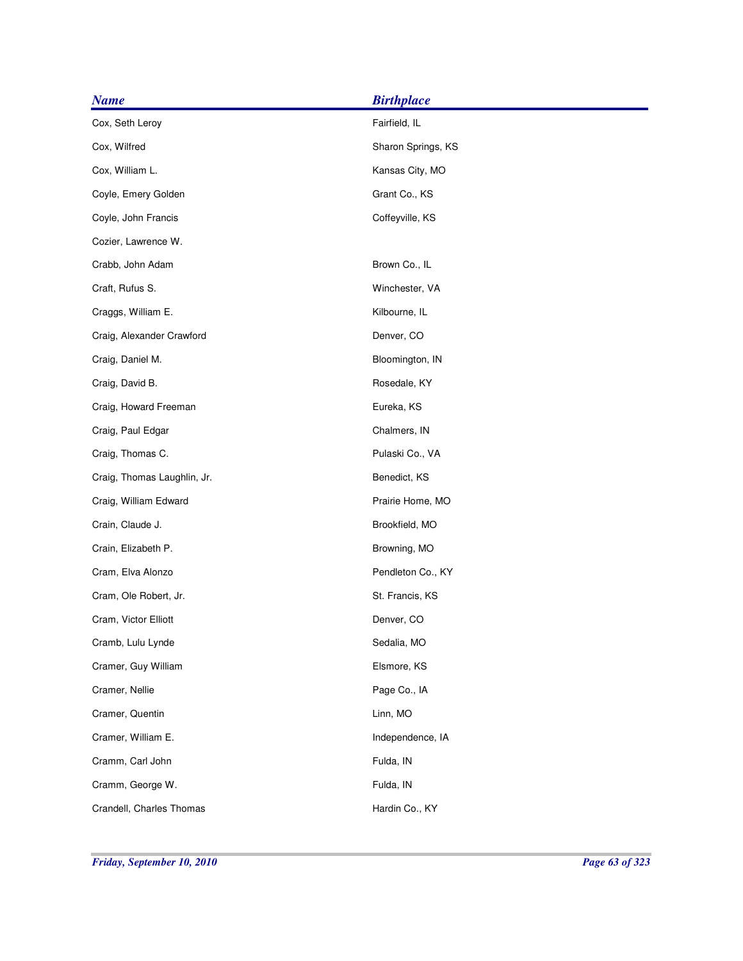| <b>Name</b>                 | <b>Birthplace</b>  |
|-----------------------------|--------------------|
| Cox, Seth Leroy             | Fairfield, IL      |
| Cox, Wilfred                | Sharon Springs, KS |
| Cox, William L.             | Kansas City, MO    |
| Coyle, Emery Golden         | Grant Co., KS      |
| Coyle, John Francis         | Coffeyville, KS    |
| Cozier, Lawrence W.         |                    |
| Crabb, John Adam            | Brown Co., IL      |
| Craft, Rufus S.             | Winchester, VA     |
| Craggs, William E.          | Kilbourne, IL      |
| Craig, Alexander Crawford   | Denver, CO         |
| Craig, Daniel M.            | Bloomington, IN    |
| Craig, David B.             | Rosedale, KY       |
| Craig, Howard Freeman       | Eureka, KS         |
| Craig, Paul Edgar           | Chalmers, IN       |
| Craig, Thomas C.            | Pulaski Co., VA    |
| Craig, Thomas Laughlin, Jr. | Benedict, KS       |
| Craig, William Edward       | Prairie Home, MO   |
| Crain, Claude J.            | Brookfield, MO     |
| Crain, Elizabeth P.         | Browning, MO       |
| Cram, Elva Alonzo           | Pendleton Co., KY  |
| Cram, Ole Robert, Jr.       | St. Francis, KS    |
| Cram, Victor Elliott        | Denver, CO         |
| Cramb, Lulu Lynde           | Sedalia, MO        |
| Cramer, Guy William         | Elsmore, KS        |
| Cramer, Nellie              | Page Co., IA       |
| Cramer, Quentin             | Linn, MO           |
| Cramer, William E.          | Independence, IA   |
| Cramm, Carl John            | Fulda, IN          |
| Cramm, George W.            | Fulda, IN          |
| Crandell, Charles Thomas    | Hardin Co., KY     |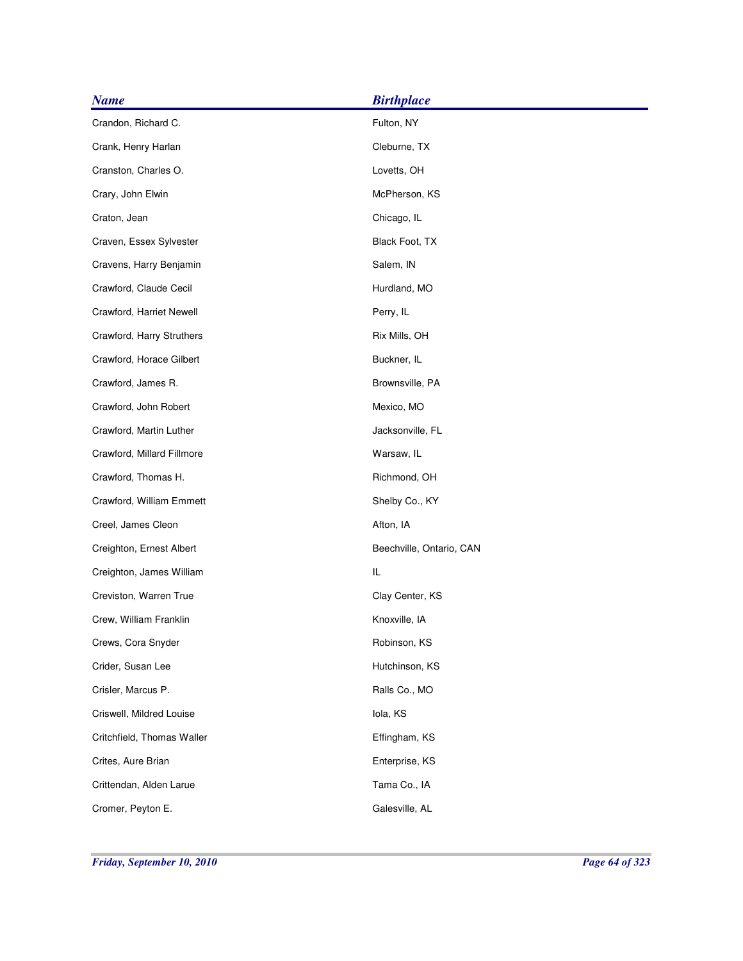| <b>Name</b>                | <b>Birthplace</b>        |
|----------------------------|--------------------------|
| Crandon, Richard C.        | Fulton, NY               |
| Crank, Henry Harlan        | Cleburne, TX             |
| Cranston, Charles O.       | Lovetts, OH              |
| Crary, John Elwin          | McPherson, KS            |
| Craton, Jean               | Chicago, IL              |
| Craven, Essex Sylvester    | Black Foot, TX           |
| Cravens, Harry Benjamin    | Salem, IN                |
| Crawford, Claude Cecil     | Hurdland, MO             |
| Crawford, Harriet Newell   | Perry, IL                |
| Crawford, Harry Struthers  | Rix Mills, OH            |
| Crawford, Horace Gilbert   | Buckner, IL              |
| Crawford, James R.         | Brownsville, PA          |
| Crawford, John Robert      | Mexico, MO               |
| Crawford, Martin Luther    | Jacksonville, FL         |
| Crawford, Millard Fillmore | Warsaw, IL               |
| Crawford, Thomas H.        | Richmond, OH             |
| Crawford, William Emmett   | Shelby Co., KY           |
| Creel, James Cleon         | Afton, IA                |
| Creighton, Ernest Albert   | Beechville, Ontario, CAN |
| Creighton, James William   | IL                       |
| Creviston, Warren True     | Clay Center, KS          |
| Crew, William Franklin     | Knoxville, IA            |
| Crews, Cora Snyder         | Robinson, KS             |
| Crider, Susan Lee          | Hutchinson, KS           |
| Crisler, Marcus P.         | Ralls Co., MO            |
| Criswell, Mildred Louise   | lola, KS                 |
| Critchfield, Thomas Waller | Effingham, KS            |
| Crites, Aure Brian         | Enterprise, KS           |
| Crittendan, Alden Larue    | Tama Co., IA             |
| Cromer, Peyton E.          | Galesville, AL           |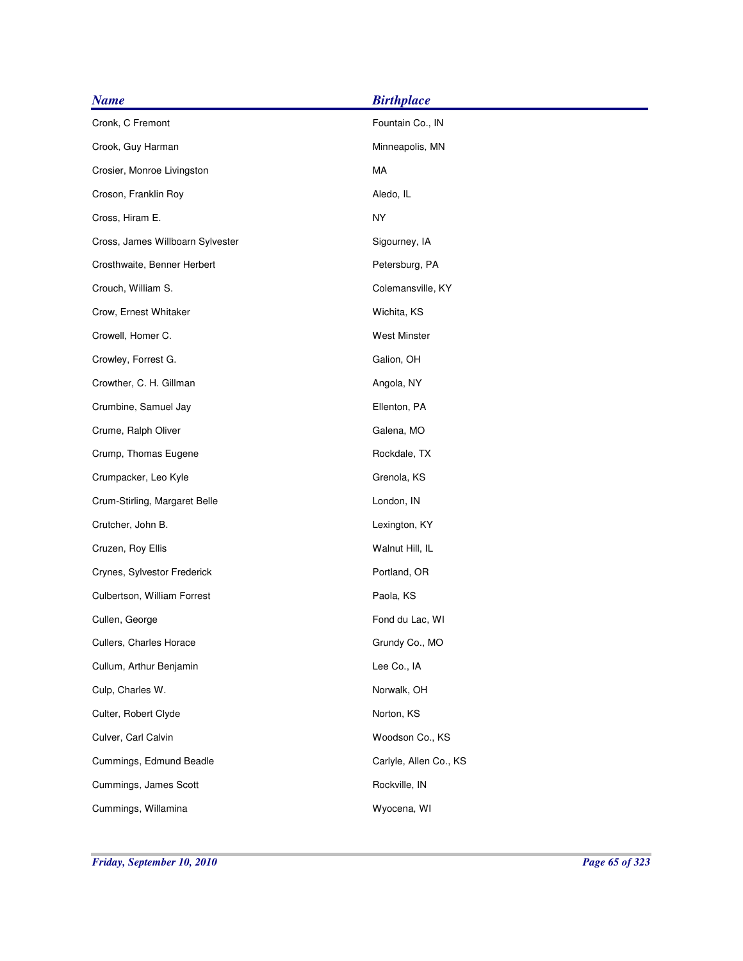| <b>Name</b>                      | <b>Birthplace</b>      |
|----------------------------------|------------------------|
| Cronk, C Fremont                 | Fountain Co., IN       |
| Crook, Guy Harman                | Minneapolis, MN        |
| Crosier, Monroe Livingston       | MA                     |
| Croson, Franklin Roy             | Aledo, IL              |
| Cross, Hiram E.                  | <b>NY</b>              |
| Cross, James Willboarn Sylvester | Sigourney, IA          |
| Crosthwaite, Benner Herbert      | Petersburg, PA         |
| Crouch, William S.               | Colemansville, KY      |
| Crow, Ernest Whitaker            | Wichita, KS            |
| Crowell, Homer C.                | <b>West Minster</b>    |
| Crowley, Forrest G.              | Galion, OH             |
| Crowther, C. H. Gillman          | Angola, NY             |
| Crumbine, Samuel Jay             | Ellenton, PA           |
| Crume, Ralph Oliver              | Galena, MO             |
| Crump, Thomas Eugene             | Rockdale, TX           |
| Crumpacker, Leo Kyle             | Grenola, KS            |
| Crum-Stirling, Margaret Belle    | London, IN             |
| Crutcher, John B.                | Lexington, KY          |
| Cruzen, Roy Ellis                | Walnut Hill, IL        |
| Crynes, Sylvestor Frederick      | Portland, OR           |
| Culbertson, William Forrest      | Paola, KS              |
| Cullen, George                   | Fond du Lac, WI        |
| Cullers, Charles Horace          | Grundy Co., MO         |
| Cullum, Arthur Benjamin          | Lee Co., IA            |
| Culp, Charles W.                 | Norwalk, OH            |
| Culter, Robert Clyde             | Norton, KS             |
| Culver, Carl Calvin              | Woodson Co., KS        |
| Cummings, Edmund Beadle          | Carlyle, Allen Co., KS |
| Cummings, James Scott            | Rockville, IN          |
| Cummings, Willamina              | Wyocena, WI            |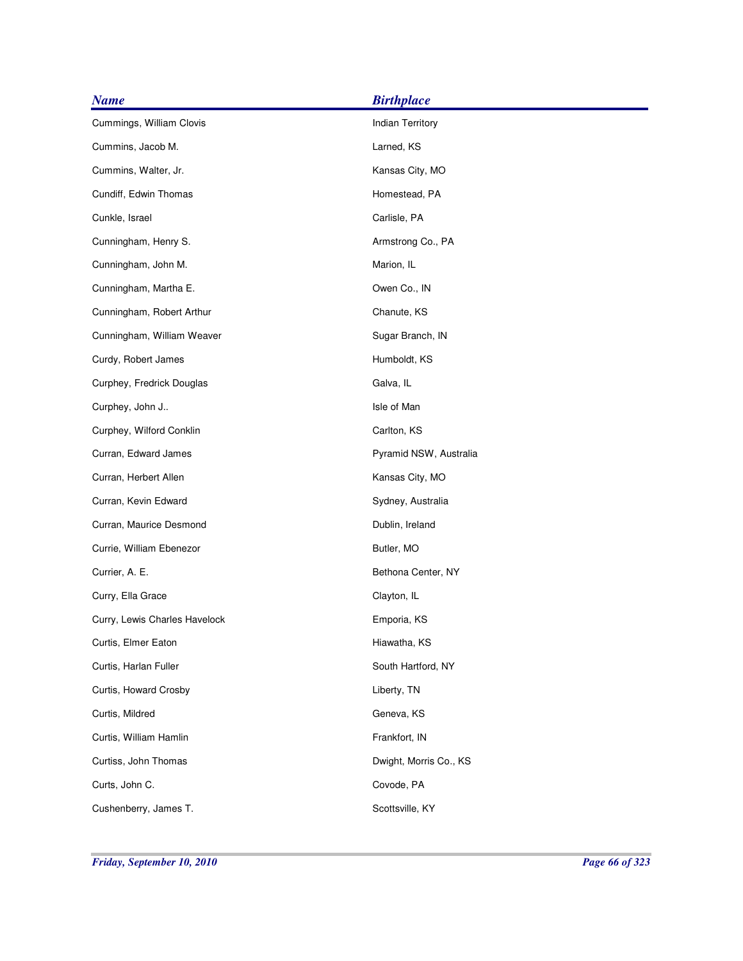| <b>Name</b>                   | <b>Birthplace</b>       |
|-------------------------------|-------------------------|
| Cummings, William Clovis      | <b>Indian Territory</b> |
| Cummins, Jacob M.             | Larned, KS              |
| Cummins, Walter, Jr.          | Kansas City, MO         |
| Cundiff, Edwin Thomas         | Homestead, PA           |
| Cunkle, Israel                | Carlisle, PA            |
| Cunningham, Henry S.          | Armstrong Co., PA       |
| Cunningham, John M.           | Marion, IL              |
| Cunningham, Martha E.         | Owen Co., IN            |
| Cunningham, Robert Arthur     | Chanute, KS             |
| Cunningham, William Weaver    | Sugar Branch, IN        |
| Curdy, Robert James           | Humboldt, KS            |
| Curphey, Fredrick Douglas     | Galva, IL               |
| Curphey, John J               | Isle of Man             |
| Curphey, Wilford Conklin      | Carlton, KS             |
| Curran, Edward James          | Pyramid NSW, Australia  |
| Curran, Herbert Allen         | Kansas City, MO         |
| Curran, Kevin Edward          | Sydney, Australia       |
| Curran, Maurice Desmond       | Dublin, Ireland         |
| Currie, William Ebenezor      | Butler, MO              |
| Currier, A. E.                | Bethona Center, NY      |
| Curry, Ella Grace             | Clayton, IL             |
| Curry, Lewis Charles Havelock | Emporia, KS             |
| Curtis, Elmer Eaton           | Hiawatha, KS            |
| Curtis, Harlan Fuller         | South Hartford, NY      |
| Curtis, Howard Crosby         | Liberty, TN             |
| Curtis, Mildred               | Geneva, KS              |
| Curtis, William Hamlin        | Frankfort, IN           |
| Curtiss, John Thomas          | Dwight, Morris Co., KS  |
| Curts, John C.                | Covode, PA              |
| Cushenberry, James T.         | Scottsville, KY         |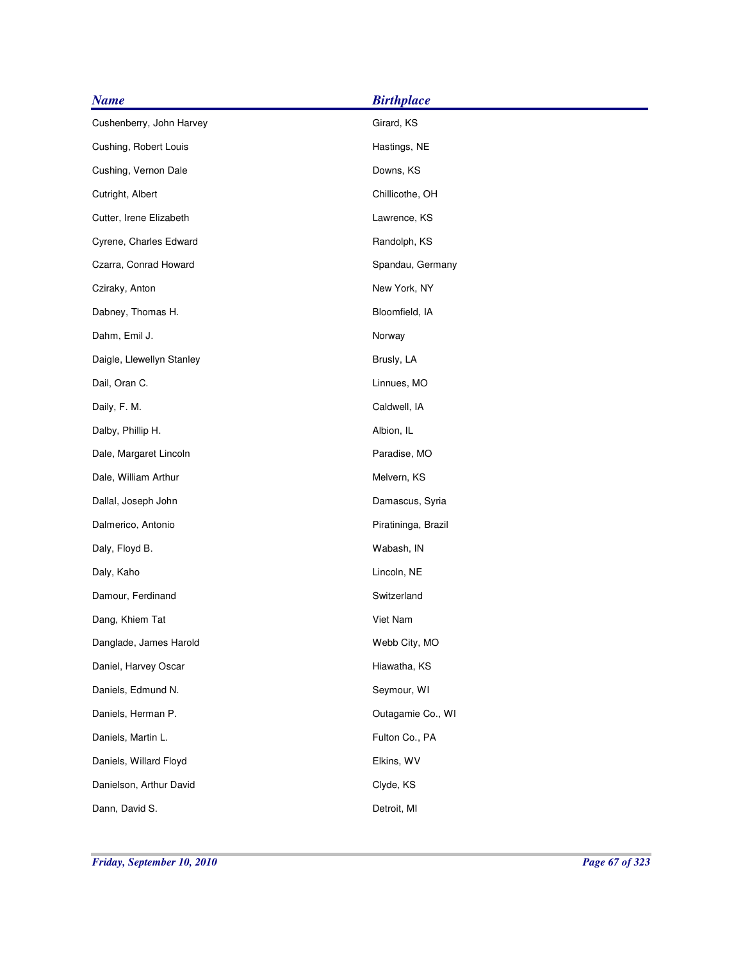| <b>Name</b>               | <b>Birthplace</b>   |
|---------------------------|---------------------|
| Cushenberry, John Harvey  | Girard, KS          |
| Cushing, Robert Louis     | Hastings, NE        |
| Cushing, Vernon Dale      | Downs, KS           |
| Cutright, Albert          | Chillicothe, OH     |
| Cutter, Irene Elizabeth   | Lawrence, KS        |
| Cyrene, Charles Edward    | Randolph, KS        |
| Czarra, Conrad Howard     | Spandau, Germany    |
| Cziraky, Anton            | New York, NY        |
| Dabney, Thomas H.         | Bloomfield, IA      |
| Dahm, Emil J.             | Norway              |
| Daigle, Llewellyn Stanley | Brusly, LA          |
| Dail, Oran C.             | Linnues, MO         |
| Daily, F. M.              | Caldwell, IA        |
| Dalby, Phillip H.         | Albion, IL          |
| Dale, Margaret Lincoln    | Paradise, MO        |
| Dale, William Arthur      | Melvern, KS         |
| Dallal, Joseph John       | Damascus, Syria     |
| Dalmerico, Antonio        | Piratininga, Brazil |
| Daly, Floyd B.            | Wabash, IN          |
| Daly, Kaho                | Lincoln, NE         |
| Damour, Ferdinand         | Switzerland         |
| Dang, Khiem Tat           | Viet Nam            |
| Danglade, James Harold    | Webb City, MO       |
| Daniel, Harvey Oscar      | Hiawatha, KS        |
| Daniels, Edmund N.        | Seymour, WI         |
| Daniels, Herman P.        | Outagamie Co., WI   |
| Daniels, Martin L.        | Fulton Co., PA      |
| Daniels, Willard Floyd    | Elkins, WV          |
| Danielson, Arthur David   | Clyde, KS           |
| Dann, David S.            | Detroit, MI         |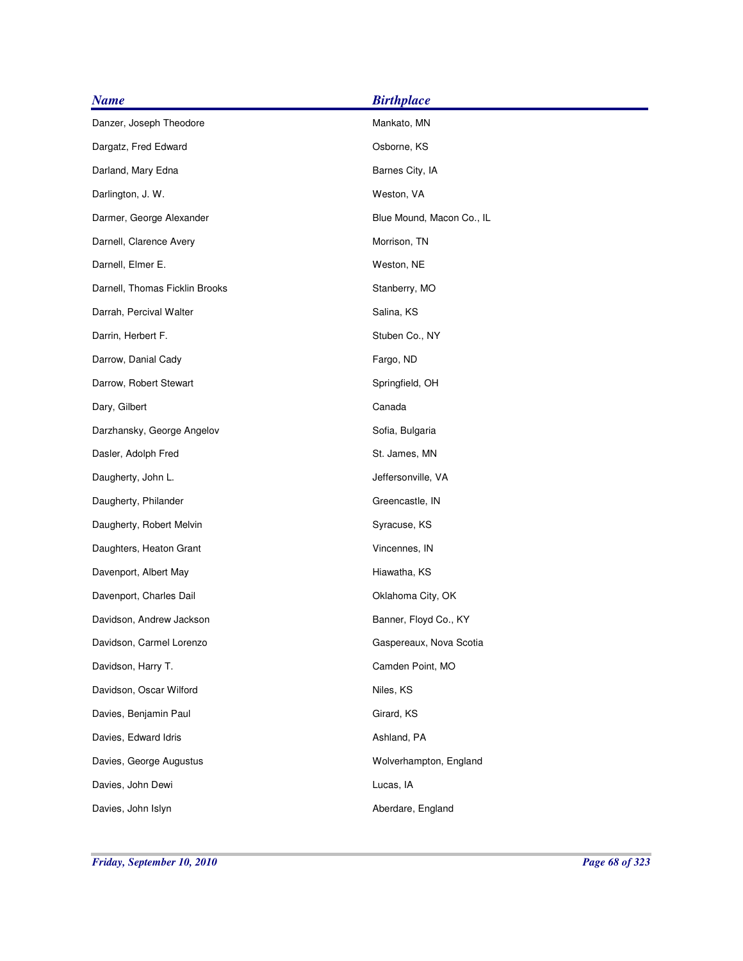| <b>Name</b>                    | <b>Birthplace</b>         |
|--------------------------------|---------------------------|
| Danzer, Joseph Theodore        | Mankato, MN               |
| Dargatz, Fred Edward           | Osborne, KS               |
| Darland, Mary Edna             | Barnes City, IA           |
| Darlington, J. W.              | Weston, VA                |
| Darmer, George Alexander       | Blue Mound, Macon Co., IL |
| Darnell, Clarence Avery        | Morrison, TN              |
| Darnell, Elmer E.              | Weston, NE                |
| Darnell, Thomas Ficklin Brooks | Stanberry, MO             |
| Darrah, Percival Walter        | Salina, KS                |
| Darrin, Herbert F.             | Stuben Co., NY            |
| Darrow, Danial Cady            | Fargo, ND                 |
| Darrow, Robert Stewart         | Springfield, OH           |
| Dary, Gilbert                  | Canada                    |
| Darzhansky, George Angelov     | Sofia, Bulgaria           |
| Dasler, Adolph Fred            | St. James, MN             |
| Daugherty, John L.             | Jeffersonville, VA        |
| Daugherty, Philander           | Greencastle, IN           |
| Daugherty, Robert Melvin       | Syracuse, KS              |
| Daughters, Heaton Grant        | Vincennes, IN             |
| Davenport, Albert May          | Hiawatha, KS              |
| Davenport, Charles Dail        | Oklahoma City, OK         |
| Davidson, Andrew Jackson       | Banner, Floyd Co., KY     |
| Davidson, Carmel Lorenzo       | Gaspereaux, Nova Scotia   |
| Davidson, Harry T.             | Camden Point, MO          |
| Davidson, Oscar Wilford        | Niles, KS                 |
| Davies, Benjamin Paul          | Girard, KS                |
| Davies, Edward Idris           | Ashland, PA               |
| Davies, George Augustus        | Wolverhampton, England    |
| Davies, John Dewi              | Lucas, IA                 |
| Davies, John Islyn             | Aberdare, England         |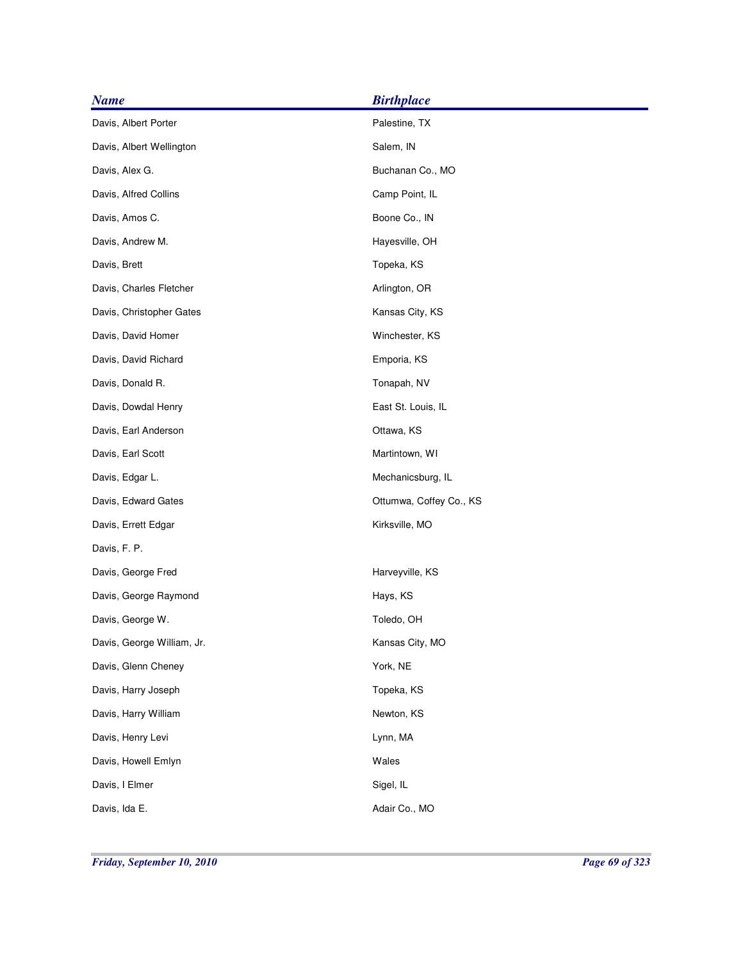| <b>Name</b>                | <b>Birthplace</b>       |
|----------------------------|-------------------------|
| Davis, Albert Porter       | Palestine, TX           |
| Davis, Albert Wellington   | Salem, IN               |
| Davis, Alex G.             | Buchanan Co., MO        |
| Davis, Alfred Collins      | Camp Point, IL          |
| Davis, Amos C.             | Boone Co., IN           |
| Davis, Andrew M.           | Hayesville, OH          |
| Davis, Brett               | Topeka, KS              |
| Davis, Charles Fletcher    | Arlington, OR           |
| Davis, Christopher Gates   | Kansas City, KS         |
| Davis, David Homer         | Winchester, KS          |
| Davis, David Richard       | Emporia, KS             |
| Davis, Donald R.           | Tonapah, NV             |
| Davis, Dowdal Henry        | East St. Louis, IL      |
| Davis, Earl Anderson       | Ottawa, KS              |
| Davis, Earl Scott          | Martintown, WI          |
| Davis, Edgar L.            | Mechanicsburg, IL       |
| Davis, Edward Gates        | Ottumwa, Coffey Co., KS |
| Davis, Errett Edgar        | Kirksville, MO          |
| Davis, F. P.               |                         |
| Davis, George Fred         | Harveyville, KS         |
| Davis, George Raymond      | Hays, KS                |
| Davis, George W.           | Toledo, OH              |
| Davis, George William, Jr. | Kansas City, MO         |
| Davis, Glenn Cheney        | York, NE                |
| Davis, Harry Joseph        | Topeka, KS              |
| Davis, Harry William       | Newton, KS              |
| Davis, Henry Levi          | Lynn, MA                |
| Davis, Howell Emlyn        | Wales                   |
| Davis, I Elmer             | Sigel, IL               |
| Davis, Ida E.              | Adair Co., MO           |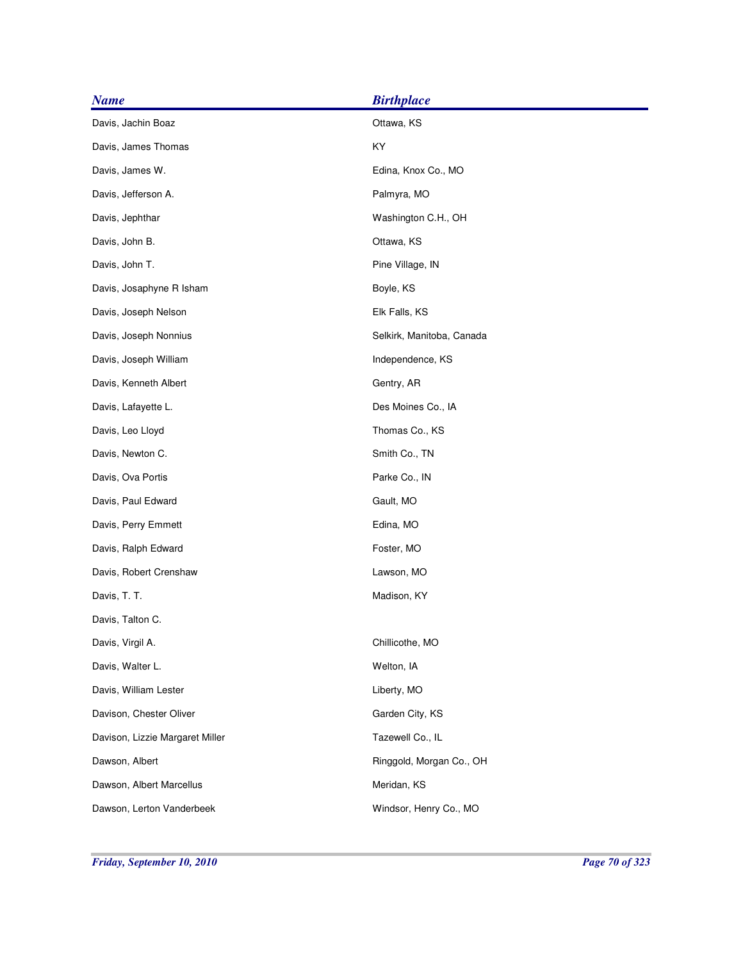| <b>Name</b>                     | <b>Birthplace</b>         |
|---------------------------------|---------------------------|
| Davis, Jachin Boaz              | Ottawa, KS                |
| Davis, James Thomas             | KY                        |
| Davis, James W.                 | Edina, Knox Co., MO       |
| Davis, Jefferson A.             | Palmyra, MO               |
| Davis, Jephthar                 | Washington C.H., OH       |
| Davis, John B.                  | Ottawa, KS                |
| Davis, John T.                  | Pine Village, IN          |
| Davis, Josaphyne R Isham        | Boyle, KS                 |
| Davis, Joseph Nelson            | Elk Falls, KS             |
| Davis, Joseph Nonnius           | Selkirk, Manitoba, Canada |
| Davis, Joseph William           | Independence, KS          |
| Davis, Kenneth Albert           | Gentry, AR                |
| Davis, Lafayette L.             | Des Moines Co., IA        |
| Davis, Leo Lloyd                | Thomas Co., KS            |
| Davis, Newton C.                | Smith Co., TN             |
| Davis, Ova Portis               | Parke Co., IN             |
| Davis, Paul Edward              | Gault, MO                 |
| Davis, Perry Emmett             | Edina, MO                 |
| Davis, Ralph Edward             | Foster, MO                |
| Davis, Robert Crenshaw          | Lawson, MO                |
| Davis, T. T.                    | Madison, KY               |
| Davis, Talton C.                |                           |
| Davis, Virgil A.                | Chillicothe, MO           |
| Davis, Walter L.                | Welton, IA                |
| Davis, William Lester           | Liberty, MO               |
| Davison, Chester Oliver         | Garden City, KS           |
| Davison, Lizzie Margaret Miller | Tazewell Co., IL          |
| Dawson, Albert                  | Ringgold, Morgan Co., OH  |
| Dawson, Albert Marcellus        | Meridan, KS               |
| Dawson, Lerton Vanderbeek       | Windsor, Henry Co., MO    |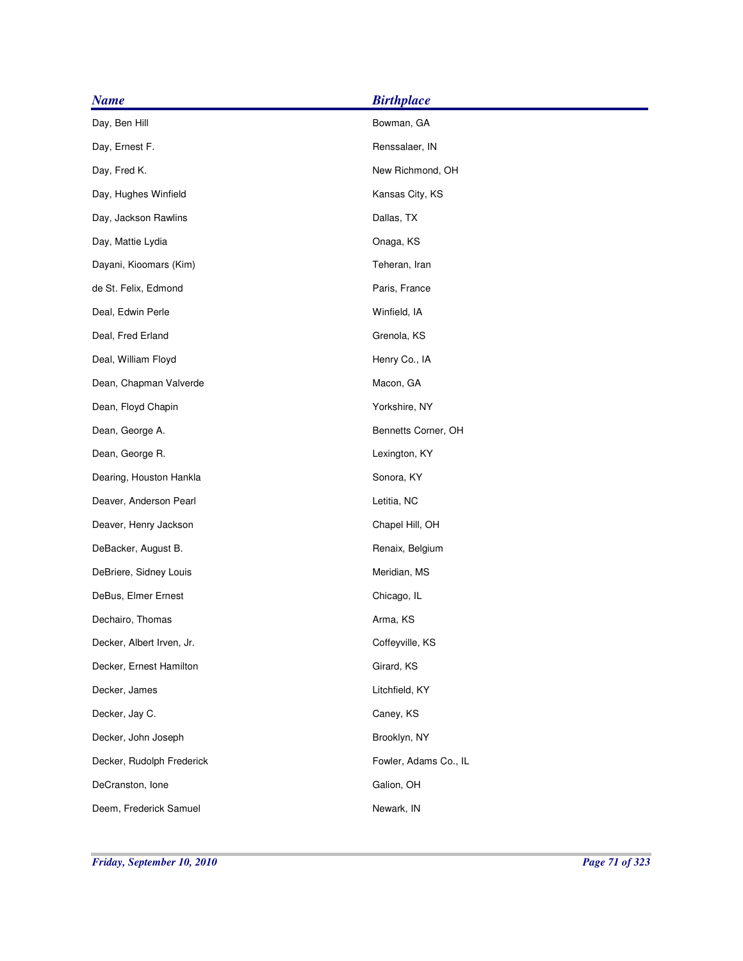| <b>Name</b>               | <b>Birthplace</b>     |
|---------------------------|-----------------------|
| Day, Ben Hill             | Bowman, GA            |
| Day, Ernest F.            | Renssalaer, IN        |
| Day, Fred K.              | New Richmond, OH      |
| Day, Hughes Winfield      | Kansas City, KS       |
| Day, Jackson Rawlins      | Dallas, TX            |
| Day, Mattie Lydia         | Onaga, KS             |
| Dayani, Kioomars (Kim)    | Teheran, Iran         |
| de St. Felix, Edmond      | Paris, France         |
| Deal, Edwin Perle         | Winfield, IA          |
| Deal, Fred Erland         | Grenola, KS           |
| Deal, William Floyd       | Henry Co., IA         |
| Dean, Chapman Valverde    | Macon, GA             |
| Dean, Floyd Chapin        | Yorkshire, NY         |
| Dean, George A.           | Bennetts Corner, OH   |
| Dean, George R.           | Lexington, KY         |
| Dearing, Houston Hankla   | Sonora, KY            |
| Deaver, Anderson Pearl    | Letitia, NC           |
| Deaver, Henry Jackson     | Chapel Hill, OH       |
| DeBacker, August B.       | Renaix, Belgium       |
| DeBriere, Sidney Louis    | Meridian, MS          |
| DeBus, Elmer Ernest       | Chicago, IL           |
| Dechairo, Thomas          | Arma, KS              |
| Decker, Albert Irven, Jr. | Coffeyville, KS       |
| Decker, Ernest Hamilton   | Girard, KS            |
| Decker, James             | Litchfield, KY        |
| Decker, Jay C.            | Caney, KS             |
| Decker, John Joseph       | Brooklyn, NY          |
| Decker, Rudolph Frederick | Fowler, Adams Co., IL |
| DeCranston, Ione          | Galion, OH            |
| Deem, Frederick Samuel    | Newark, IN            |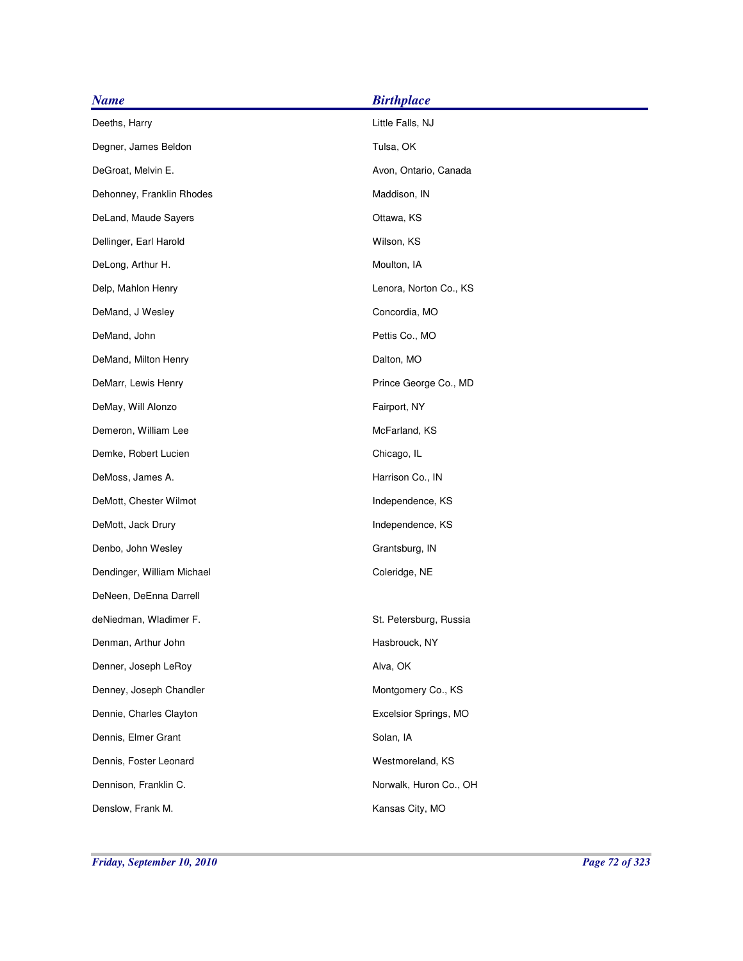| <b>Name</b>                | <b>Birthplace</b>      |
|----------------------------|------------------------|
| Deeths, Harry              | Little Falls, NJ       |
| Degner, James Beldon       | Tulsa, OK              |
| DeGroat, Melvin E.         | Avon, Ontario, Canada  |
| Dehonney, Franklin Rhodes  | Maddison, IN           |
| DeLand, Maude Sayers       | Ottawa, KS             |
| Dellinger, Earl Harold     | Wilson, KS             |
| DeLong, Arthur H.          | Moulton, IA            |
| Delp, Mahlon Henry         | Lenora, Norton Co., KS |
| DeMand, J Wesley           | Concordia, MO          |
| DeMand, John               | Pettis Co., MO         |
| DeMand, Milton Henry       | Dalton, MO             |
| DeMarr, Lewis Henry        | Prince George Co., MD  |
| DeMay, Will Alonzo         | Fairport, NY           |
| Demeron, William Lee       | McFarland, KS          |
| Demke, Robert Lucien       | Chicago, IL            |
| DeMoss, James A.           | Harrison Co., IN       |
| DeMott, Chester Wilmot     | Independence, KS       |
| DeMott, Jack Drury         | Independence, KS       |
| Denbo, John Wesley         | Grantsburg, IN         |
| Dendinger, William Michael | Coleridge, NE          |
| DeNeen, DeEnna Darrell     |                        |
| deNiedman, Wladimer F.     | St. Petersburg, Russia |
| Denman, Arthur John        | Hasbrouck, NY          |
| Denner, Joseph LeRoy       | Alva, OK               |
| Denney, Joseph Chandler    | Montgomery Co., KS     |
| Dennie, Charles Clayton    | Excelsior Springs, MO  |
| Dennis, Elmer Grant        | Solan, IA              |
| Dennis, Foster Leonard     | Westmoreland, KS       |
| Dennison, Franklin C.      | Norwalk, Huron Co., OH |
| Denslow, Frank M.          | Kansas City, MO        |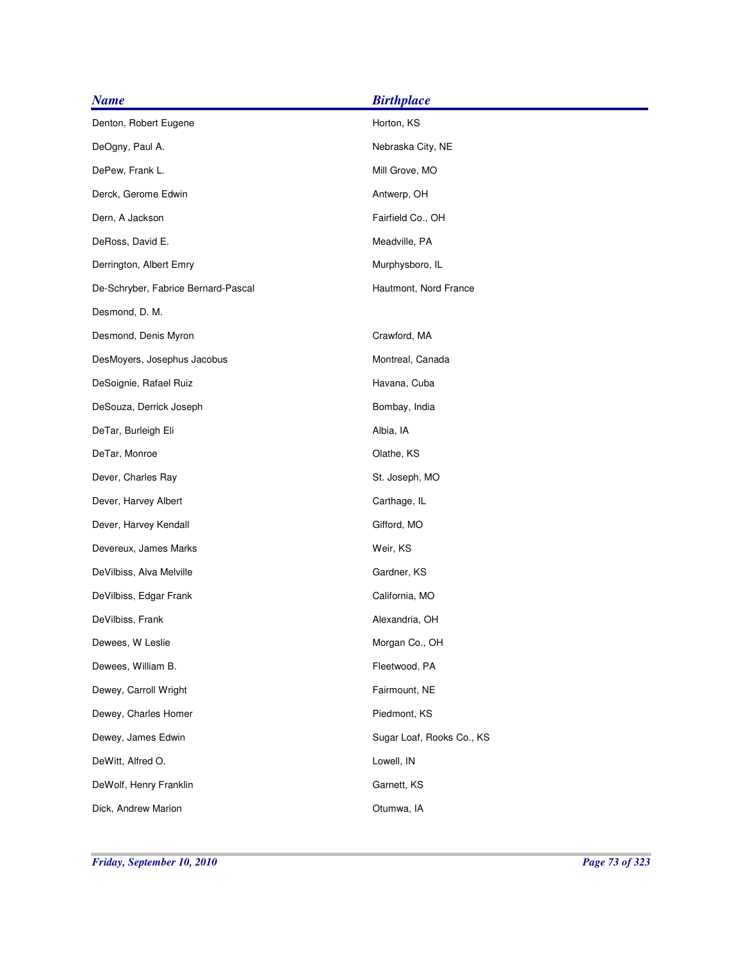| <b>Name</b>                         | <b>Birthplace</b>         |
|-------------------------------------|---------------------------|
| Denton, Robert Eugene               | Horton, KS                |
| DeOgny, Paul A.                     | Nebraska City, NE         |
| DePew, Frank L.                     | Mill Grove, MO            |
| Derck, Gerome Edwin                 | Antwerp, OH               |
| Dern, A Jackson                     | Fairfield Co., OH         |
| DeRoss, David E.                    | Meadville, PA             |
| Derrington, Albert Emry             | Murphysboro, IL           |
| De-Schryber, Fabrice Bernard-Pascal | Hautmont, Nord France     |
| Desmond, D. M.                      |                           |
| Desmond, Denis Myron                | Crawford, MA              |
| DesMoyers, Josephus Jacobus         | Montreal, Canada          |
| DeSoignie, Rafael Ruiz              | Havana, Cuba              |
| DeSouza, Derrick Joseph             | Bombay, India             |
| DeTar, Burleigh Eli                 | Albia, IA                 |
| DeTar, Monroe                       | Olathe, KS                |
| Dever, Charles Ray                  | St. Joseph, MO            |
| Dever, Harvey Albert                | Carthage, IL              |
| Dever, Harvey Kendall               | Gifford, MO               |
| Devereux, James Marks               | Weir, KS                  |
| DeVilbiss, Alva Melville            | Gardner, KS               |
| DeVilbiss, Edgar Frank              | California, MO            |
| DeVilbiss, Frank                    | Alexandria, OH            |
| Dewees, W Leslie                    | Morgan Co., OH            |
| Dewees, William B.                  | Fleetwood, PA             |
| Dewey, Carroll Wright               | Fairmount, NE             |
| Dewey, Charles Homer                | Piedmont, KS              |
| Dewey, James Edwin                  | Sugar Loaf, Rooks Co., KS |
| DeWitt, Alfred O.                   | Lowell, IN                |
| DeWolf, Henry Franklin              | Garnett, KS               |
| Dick, Andrew Marion                 | Otumwa, IA                |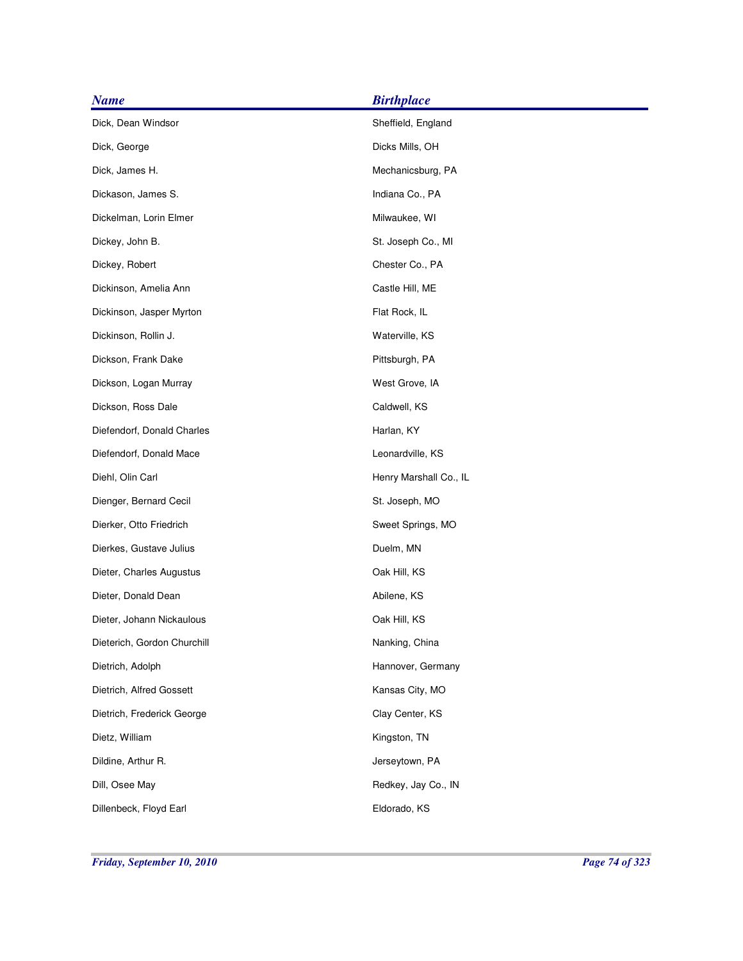| <b>Name</b>                 | <b>Birthplace</b>      |
|-----------------------------|------------------------|
| Dick, Dean Windsor          | Sheffield, England     |
| Dick, George                | Dicks Mills, OH        |
| Dick, James H.              | Mechanicsburg, PA      |
| Dickason, James S.          | Indiana Co., PA        |
| Dickelman, Lorin Elmer      | Milwaukee, WI          |
| Dickey, John B.             | St. Joseph Co., MI     |
| Dickey, Robert              | Chester Co., PA        |
| Dickinson, Amelia Ann       | Castle Hill, ME        |
| Dickinson, Jasper Myrton    | Flat Rock, IL          |
| Dickinson, Rollin J.        | Waterville, KS         |
| Dickson, Frank Dake         | Pittsburgh, PA         |
| Dickson, Logan Murray       | West Grove, IA         |
| Dickson, Ross Dale          | Caldwell, KS           |
| Diefendorf, Donald Charles  | Harlan, KY             |
| Diefendorf, Donald Mace     | Leonardville, KS       |
| Diehl, Olin Carl            | Henry Marshall Co., IL |
| Dienger, Bernard Cecil      | St. Joseph, MO         |
| Dierker, Otto Friedrich     | Sweet Springs, MO      |
| Dierkes, Gustave Julius     | Duelm, MN              |
| Dieter, Charles Augustus    | Oak Hill, KS           |
| Dieter, Donald Dean         | Abilene, KS            |
| Dieter, Johann Nickaulous   | Oak Hill, KS           |
| Dieterich, Gordon Churchill | Nanking, China         |
| Dietrich, Adolph            | Hannover, Germany      |
| Dietrich, Alfred Gossett    | Kansas City, MO        |
| Dietrich, Frederick George  | Clay Center, KS        |
| Dietz, William              | Kingston, TN           |
| Dildine, Arthur R.          | Jerseytown, PA         |
| Dill, Osee May              | Redkey, Jay Co., IN    |
| Dillenbeck, Floyd Earl      | Eldorado, KS           |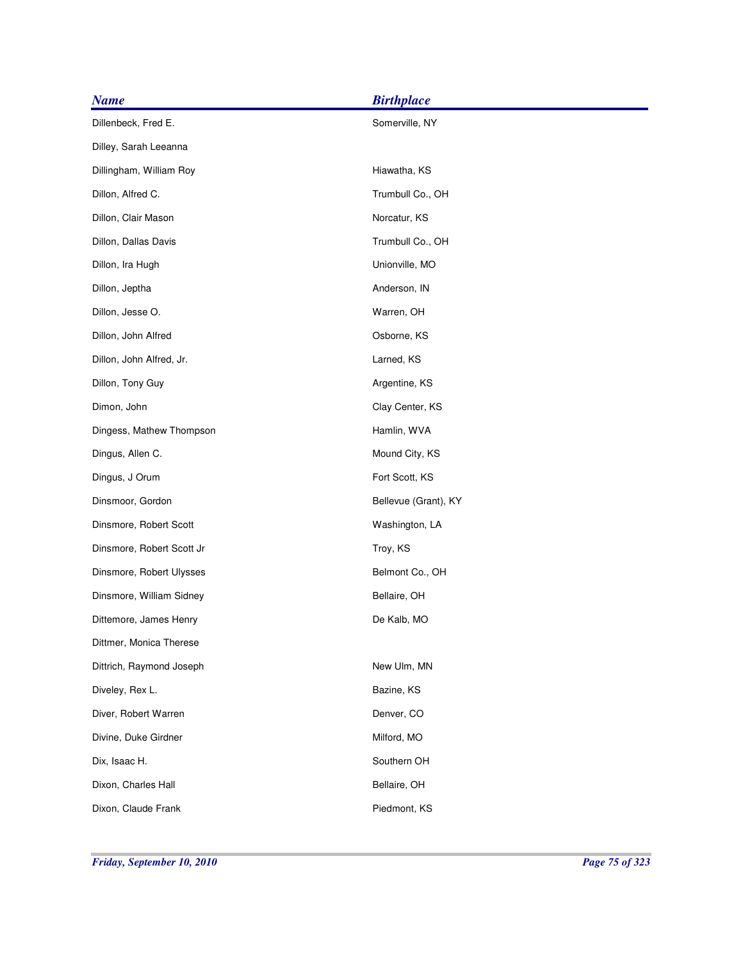| <b>Name</b>               | <b>Birthplace</b>    |
|---------------------------|----------------------|
| Dillenbeck, Fred E.       | Somerville, NY       |
| Dilley, Sarah Leeanna     |                      |
| Dillingham, William Roy   | Hiawatha, KS         |
| Dillon, Alfred C.         | Trumbull Co., OH     |
| Dillon, Clair Mason       | Norcatur, KS         |
| Dillon, Dallas Davis      | Trumbull Co., OH     |
| Dillon, Ira Hugh          | Unionville, MO       |
| Dillon, Jeptha            | Anderson, IN         |
| Dillon, Jesse O.          | Warren, OH           |
| Dillon, John Alfred       | Osborne, KS          |
| Dillon, John Alfred, Jr.  | Larned, KS           |
| Dillon, Tony Guy          | Argentine, KS        |
| Dimon, John               | Clay Center, KS      |
| Dingess, Mathew Thompson  | Hamlin, WVA          |
| Dingus, Allen C.          | Mound City, KS       |
| Dingus, J Orum            | Fort Scott, KS       |
| Dinsmoor, Gordon          | Bellevue (Grant), KY |
| Dinsmore, Robert Scott    | Washington, LA       |
| Dinsmore, Robert Scott Jr | Troy, KS             |
| Dinsmore, Robert Ulysses  | Belmont Co., OH      |
| Dinsmore, William Sidney  | Bellaire, OH         |
| Dittemore, James Henry    | De Kalb, MO          |
| Dittmer, Monica Therese   |                      |
| Dittrich, Raymond Joseph  | New Ulm, MN          |
| Diveley, Rex L.           | Bazine, KS           |
| Diver, Robert Warren      | Denver, CO           |
| Divine, Duke Girdner      | Milford, MO          |
| Dix, Isaac H.             | Southern OH          |
| Dixon, Charles Hall       | Bellaire, OH         |
| Dixon, Claude Frank       | Piedmont, KS         |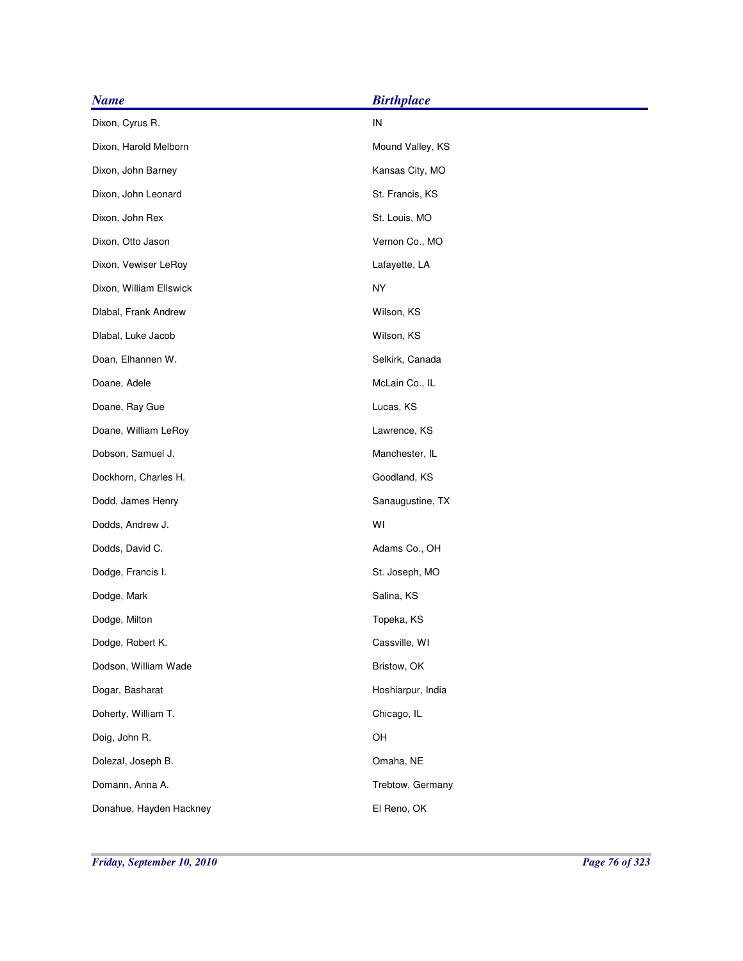| <b>Name</b>             | <b>Birthplace</b> |
|-------------------------|-------------------|
| Dixon, Cyrus R.         | IN                |
| Dixon, Harold Melborn   | Mound Valley, KS  |
| Dixon, John Barney      | Kansas City, MO   |
| Dixon, John Leonard     | St. Francis, KS   |
| Dixon, John Rex         | St. Louis, MO     |
| Dixon, Otto Jason       | Vernon Co., MO    |
| Dixon, Vewiser LeRoy    | Lafayette, LA     |
| Dixon, William Ellswick | NY                |
| Dlabal, Frank Andrew    | Wilson, KS        |
| Dlabal, Luke Jacob      | Wilson, KS        |
| Doan, Elhannen W.       | Selkirk, Canada   |
| Doane, Adele            | McLain Co., IL    |
| Doane, Ray Gue          | Lucas, KS         |
| Doane, William LeRoy    | Lawrence, KS      |
| Dobson, Samuel J.       | Manchester, IL    |
| Dockhorn, Charles H.    | Goodland, KS      |
| Dodd, James Henry       | Sanaugustine, TX  |
| Dodds, Andrew J.        | WI                |
| Dodds, David C.         | Adams Co., OH     |
| Dodge, Francis I.       | St. Joseph, MO    |
| Dodge, Mark             | Salina, KS        |
| Dodge, Milton           | Topeka, KS        |
| Dodge, Robert K.        | Cassville, WI     |
| Dodson, William Wade    | Bristow, OK       |
| Dogar, Basharat         | Hoshiarpur, India |
| Doherty, William T.     | Chicago, IL       |
| Doig, John R.           | OH                |
| Dolezal, Joseph B.      | Omaha, NE         |
| Domann, Anna A.         | Trebtow, Germany  |
| Donahue, Hayden Hackney | El Reno, OK       |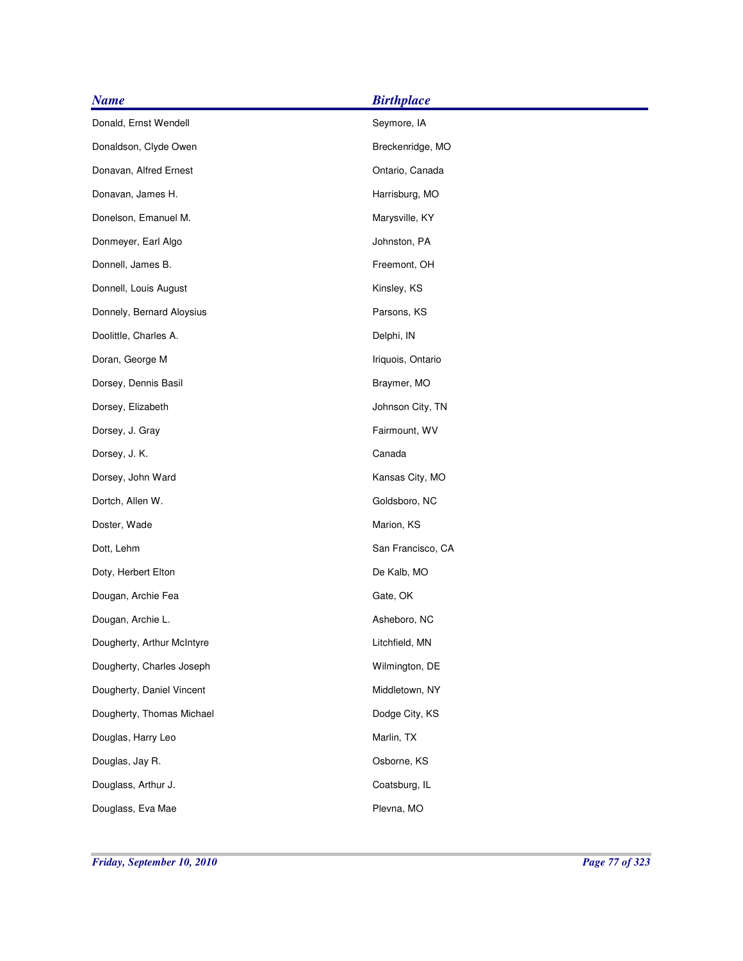| Seymore, IA<br>Breckenridge, MO<br>Ontario, Canada<br>Harrisburg, MO |
|----------------------------------------------------------------------|
|                                                                      |
|                                                                      |
|                                                                      |
|                                                                      |
| Marysville, KY                                                       |
| Johnston, PA                                                         |
| Freemont, OH                                                         |
| Kinsley, KS                                                          |
| Parsons, KS                                                          |
| Delphi, IN                                                           |
| Iriquois, Ontario                                                    |
| Braymer, MO                                                          |
| Johnson City, TN                                                     |
| Fairmount, WV                                                        |
| Canada                                                               |
| Kansas City, MO                                                      |
| Goldsboro, NC                                                        |
| Marion, KS                                                           |
| San Francisco, CA                                                    |
| De Kalb, MO                                                          |
| Gate, OK                                                             |
| Asheboro, NC                                                         |
| Litchfield, MN                                                       |
| Wilmington, DE                                                       |
| Middletown, NY                                                       |
| Dodge City, KS                                                       |
| Marlin, TX                                                           |
| Osborne, KS                                                          |
| Coatsburg, IL                                                        |
| Plevna, MO                                                           |
|                                                                      |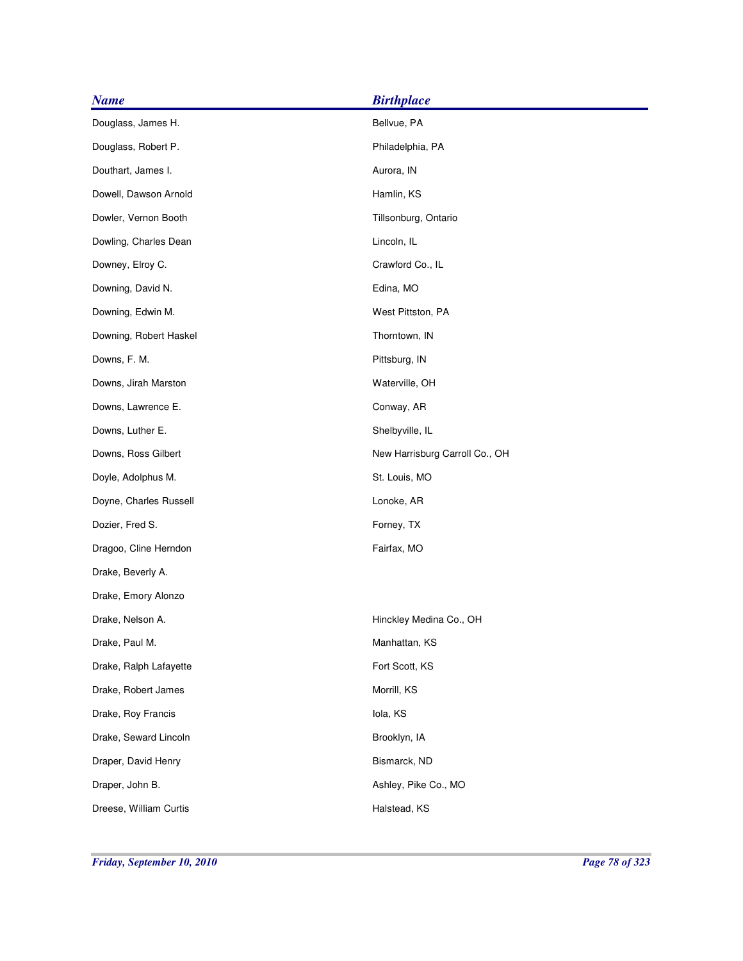| <b>Name</b>            | <b>Birthplace</b>              |
|------------------------|--------------------------------|
| Douglass, James H.     | Bellvue, PA                    |
| Douglass, Robert P.    | Philadelphia, PA               |
| Douthart, James I.     | Aurora, IN                     |
| Dowell, Dawson Arnold  | Hamlin, KS                     |
| Dowler, Vernon Booth   | Tillsonburg, Ontario           |
| Dowling, Charles Dean  | Lincoln, IL                    |
| Downey, Elroy C.       | Crawford Co., IL               |
| Downing, David N.      | Edina, MO                      |
| Downing, Edwin M.      | West Pittston, PA              |
| Downing, Robert Haskel | Thorntown, IN                  |
| Downs, F. M.           | Pittsburg, IN                  |
| Downs, Jirah Marston   | Waterville, OH                 |
| Downs, Lawrence E.     | Conway, AR                     |
| Downs, Luther E.       | Shelbyville, IL                |
| Downs, Ross Gilbert    | New Harrisburg Carroll Co., OH |
| Doyle, Adolphus M.     | St. Louis, MO                  |
| Doyne, Charles Russell | Lonoke, AR                     |
| Dozier, Fred S.        | Forney, TX                     |
| Dragoo, Cline Herndon  | Fairfax, MO                    |
| Drake, Beverly A.      |                                |
| Drake, Emory Alonzo    |                                |
| Drake, Nelson A.       | Hinckley Medina Co., OH        |
| Drake, Paul M.         | Manhattan, KS                  |
| Drake, Ralph Lafayette | Fort Scott, KS                 |
| Drake, Robert James    | Morrill, KS                    |
| Drake, Roy Francis     | lola, KS                       |
| Drake, Seward Lincoln  | Brooklyn, IA                   |
| Draper, David Henry    | Bismarck, ND                   |
| Draper, John B.        | Ashley, Pike Co., MO           |
| Dreese, William Curtis | Halstead, KS                   |
|                        |                                |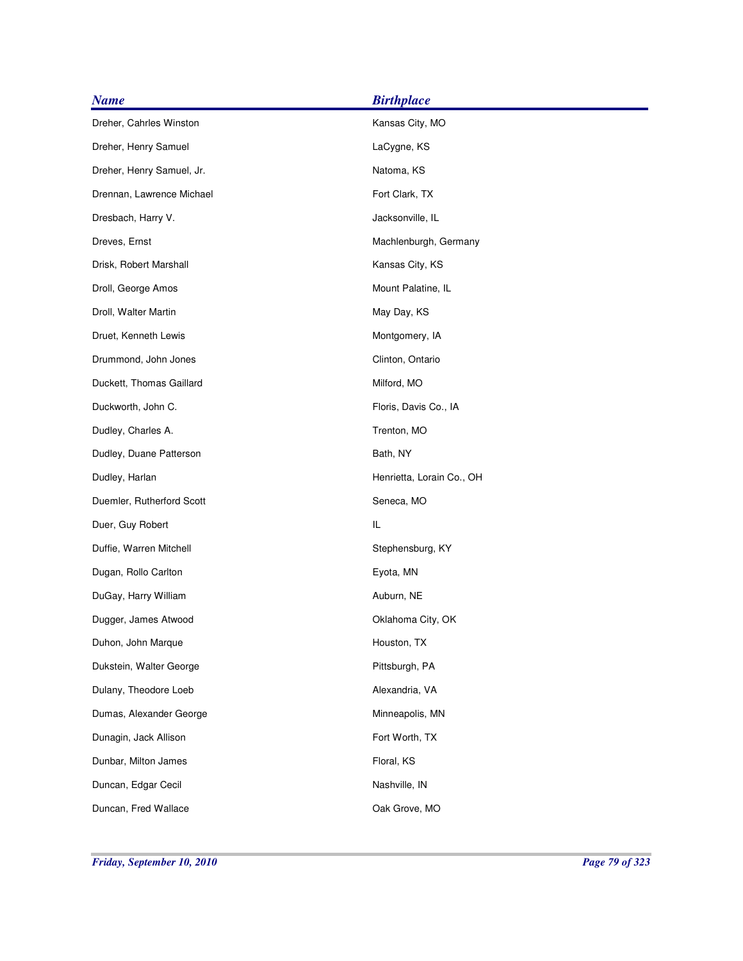| <b>Name</b>               | <b>Birthplace</b>         |
|---------------------------|---------------------------|
| Dreher, Cahrles Winston   | Kansas City, MO           |
| Dreher, Henry Samuel      | LaCygne, KS               |
| Dreher, Henry Samuel, Jr. | Natoma, KS                |
| Drennan, Lawrence Michael | Fort Clark, TX            |
| Dresbach, Harry V.        | Jacksonville, IL          |
| Dreves, Ernst             | Machlenburgh, Germany     |
| Drisk, Robert Marshall    | Kansas City, KS           |
| Droll, George Amos        | Mount Palatine, IL        |
| Droll, Walter Martin      | May Day, KS               |
| Druet, Kenneth Lewis      | Montgomery, IA            |
| Drummond, John Jones      | Clinton, Ontario          |
| Duckett, Thomas Gaillard  | Milford, MO               |
| Duckworth, John C.        | Floris, Davis Co., IA     |
| Dudley, Charles A.        | Trenton, MO               |
| Dudley, Duane Patterson   | Bath, NY                  |
| Dudley, Harlan            | Henrietta, Lorain Co., OH |
| Duemler, Rutherford Scott | Seneca, MO                |
| Duer, Guy Robert          | IL                        |
| Duffie, Warren Mitchell   | Stephensburg, KY          |
| Dugan, Rollo Carlton      | Eyota, MN                 |
| DuGay, Harry William      | Auburn, NE                |
| Dugger, James Atwood      | Oklahoma City, OK         |
| Duhon, John Marque        | Houston, TX               |
| Dukstein, Walter George   | Pittsburgh, PA            |
| Dulany, Theodore Loeb     | Alexandria, VA            |
| Dumas, Alexander George   | Minneapolis, MN           |
| Dunagin, Jack Allison     | Fort Worth, TX            |
| Dunbar, Milton James      | Floral, KS                |
| Duncan, Edgar Cecil       | Nashville, IN             |
| Duncan, Fred Wallace      | Oak Grove, MO             |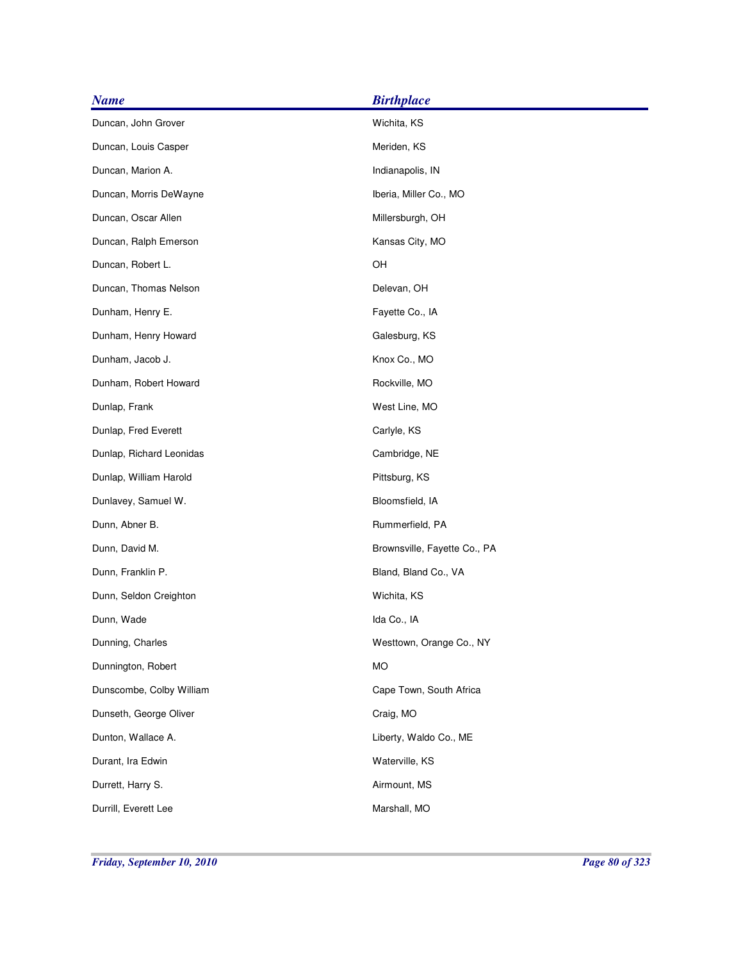| <b>Name</b>              | <b>Birthplace</b>            |
|--------------------------|------------------------------|
| Duncan, John Grover      | Wichita, KS                  |
| Duncan, Louis Casper     | Meriden, KS                  |
| Duncan, Marion A.        | Indianapolis, IN             |
| Duncan, Morris DeWayne   | Iberia, Miller Co., MO       |
| Duncan, Oscar Allen      | Millersburgh, OH             |
| Duncan, Ralph Emerson    | Kansas City, MO              |
| Duncan, Robert L.        | OH                           |
| Duncan, Thomas Nelson    | Delevan, OH                  |
| Dunham, Henry E.         | Fayette Co., IA              |
| Dunham, Henry Howard     | Galesburg, KS                |
| Dunham, Jacob J.         | Knox Co., MO                 |
| Dunham, Robert Howard    | Rockville, MO                |
| Dunlap, Frank            | West Line, MO                |
| Dunlap, Fred Everett     | Carlyle, KS                  |
| Dunlap, Richard Leonidas | Cambridge, NE                |
| Dunlap, William Harold   | Pittsburg, KS                |
| Dunlavey, Samuel W.      | Bloomsfield, IA              |
| Dunn, Abner B.           | Rummerfield, PA              |
| Dunn, David M.           | Brownsville, Fayette Co., PA |
| Dunn, Franklin P.        | Bland, Bland Co., VA         |
| Dunn, Seldon Creighton   | Wichita, KS                  |
| Dunn, Wade               | Ida Co., IA                  |
| Dunning, Charles         | Westtown, Orange Co., NY     |
| Dunnington, Robert       | MO                           |
| Dunscombe, Colby William | Cape Town, South Africa      |
| Dunseth, George Oliver   | Craig, MO                    |
| Dunton, Wallace A.       | Liberty, Waldo Co., ME       |
| Durant, Ira Edwin        | Waterville, KS               |
| Durrett, Harry S.        | Airmount, MS                 |
| Durrill, Everett Lee     | Marshall, MO                 |
|                          |                              |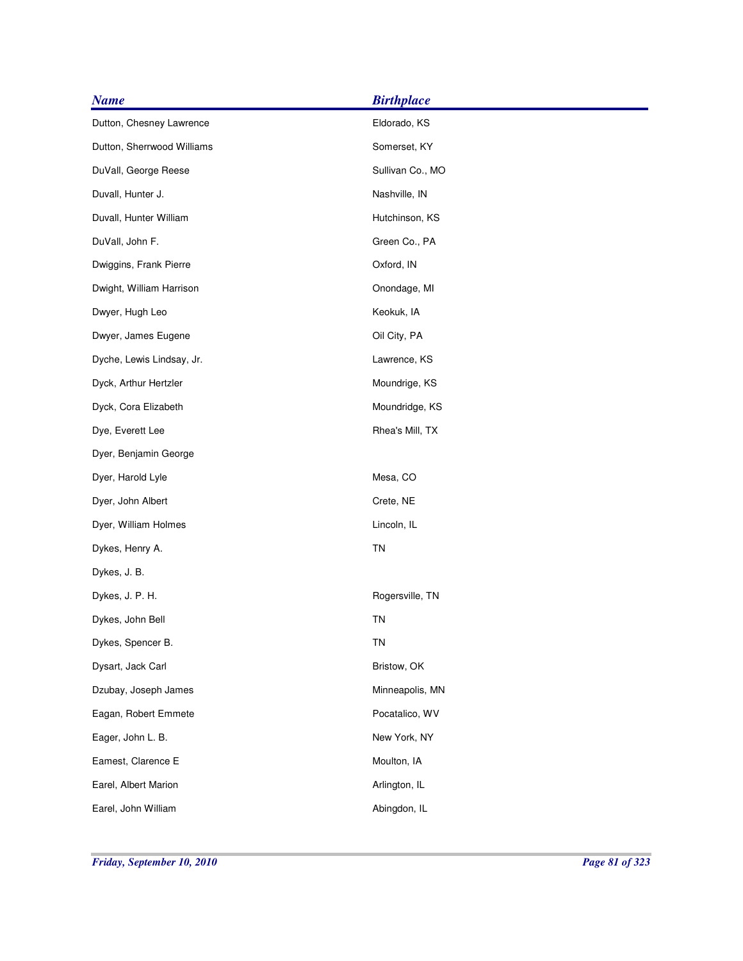| <b>Name</b>                | <b>Birthplace</b> |
|----------------------------|-------------------|
| Dutton, Chesney Lawrence   | Eldorado, KS      |
| Dutton, Sherrwood Williams | Somerset, KY      |
| DuVall, George Reese       | Sullivan Co., MO  |
| Duvall, Hunter J.          | Nashville, IN     |
| Duvall, Hunter William     | Hutchinson, KS    |
| DuVall, John F.            | Green Co., PA     |
| Dwiggins, Frank Pierre     | Oxford, IN        |
| Dwight, William Harrison   | Onondage, MI      |
| Dwyer, Hugh Leo            | Keokuk, IA        |
| Dwyer, James Eugene        | Oil City, PA      |
| Dyche, Lewis Lindsay, Jr.  | Lawrence, KS      |
| Dyck, Arthur Hertzler      | Moundrige, KS     |
| Dyck, Cora Elizabeth       | Moundridge, KS    |
| Dye, Everett Lee           | Rhea's Mill, TX   |
| Dyer, Benjamin George      |                   |
| Dyer, Harold Lyle          | Mesa, CO          |
| Dyer, John Albert          | Crete, NE         |
| Dyer, William Holmes       | Lincoln, IL       |
| Dykes, Henry A.            | TN                |
| Dykes, J. B.               |                   |
| Dykes, J. P. H.            | Rogersville, TN   |
| Dykes, John Bell           | TN                |
| Dykes, Spencer B.          | ΤN                |
| Dysart, Jack Carl          | Bristow, OK       |
| Dzubay, Joseph James       | Minneapolis, MN   |
| Eagan, Robert Emmete       | Pocatalico, WV    |
| Eager, John L. B.          | New York, NY      |
| Eamest, Clarence E         | Moulton, IA       |
| Earel, Albert Marion       | Arlington, IL     |
| Earel, John William        | Abingdon, IL      |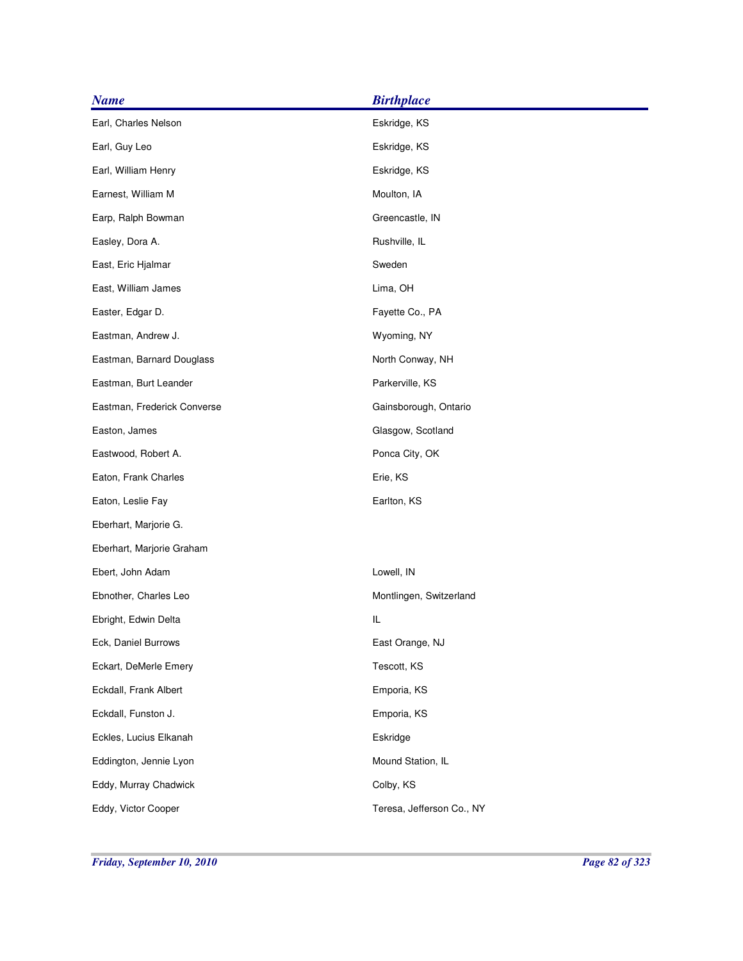| <b>Name</b>                 | <b>Birthplace</b>         |
|-----------------------------|---------------------------|
| Earl, Charles Nelson        | Eskridge, KS              |
| Earl, Guy Leo               | Eskridge, KS              |
| Earl, William Henry         | Eskridge, KS              |
| Earnest, William M          | Moulton, IA               |
| Earp, Ralph Bowman          | Greencastle, IN           |
| Easley, Dora A.             | Rushville, IL             |
| East, Eric Hjalmar          | Sweden                    |
| East, William James         | Lima, OH                  |
| Easter, Edgar D.            | Fayette Co., PA           |
| Eastman, Andrew J.          | Wyoming, NY               |
| Eastman, Barnard Douglass   | North Conway, NH          |
| Eastman, Burt Leander       | Parkerville, KS           |
| Eastman, Frederick Converse | Gainsborough, Ontario     |
| Easton, James               | Glasgow, Scotland         |
| Eastwood, Robert A.         | Ponca City, OK            |
| Eaton, Frank Charles        | Erie, KS                  |
| Eaton, Leslie Fay           | Earlton, KS               |
| Eberhart, Marjorie G.       |                           |
| Eberhart, Marjorie Graham   |                           |
| Ebert, John Adam            | Lowell, IN                |
| Ebnother, Charles Leo       | Montlingen, Switzerland   |
| Ebright, Edwin Delta        | IL                        |
| Eck, Daniel Burrows         | East Orange, NJ           |
| Eckart, DeMerle Emery       | Tescott, KS               |
| Eckdall, Frank Albert       | Emporia, KS               |
| Eckdall, Funston J.         | Emporia, KS               |
| Eckles, Lucius Elkanah      | Eskridge                  |
| Eddington, Jennie Lyon      | Mound Station, IL         |
| Eddy, Murray Chadwick       | Colby, KS                 |
| Eddy, Victor Cooper         | Teresa, Jefferson Co., NY |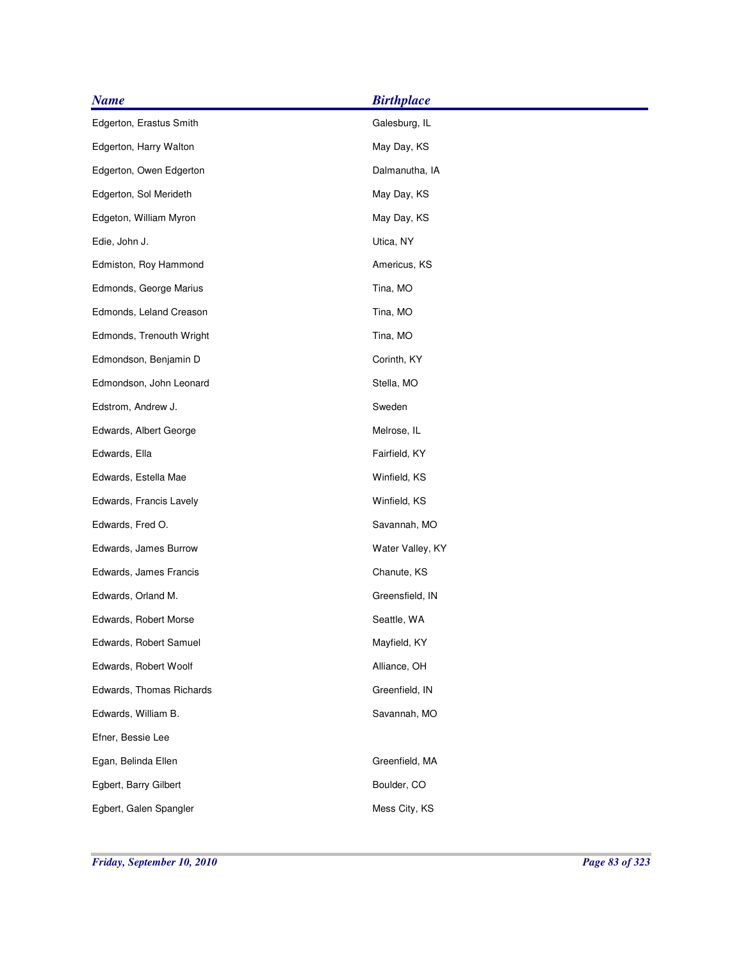| <b>Name</b>              | <b>Birthplace</b> |
|--------------------------|-------------------|
| Edgerton, Erastus Smith  | Galesburg, IL     |
| Edgerton, Harry Walton   | May Day, KS       |
| Edgerton, Owen Edgerton  | Dalmanutha, IA    |
| Edgerton, Sol Merideth   | May Day, KS       |
| Edgeton, William Myron   | May Day, KS       |
| Edie, John J.            | Utica, NY         |
| Edmiston, Roy Hammond    | Americus, KS      |
| Edmonds, George Marius   | Tina, MO          |
| Edmonds, Leland Creason  | Tina, MO          |
| Edmonds, Trenouth Wright | Tina, MO          |
| Edmondson, Benjamin D    | Corinth, KY       |
| Edmondson, John Leonard  | Stella, MO        |
| Edstrom, Andrew J.       | Sweden            |
| Edwards, Albert George   | Melrose, IL       |
| Edwards, Ella            | Fairfield, KY     |
| Edwards, Estella Mae     | Winfield, KS      |
| Edwards, Francis Lavely  | Winfield, KS      |
| Edwards, Fred O.         | Savannah, MO      |
| Edwards, James Burrow    | Water Valley, KY  |
| Edwards, James Francis   | Chanute, KS       |
| Edwards, Orland M.       | Greensfield, IN   |
| Edwards, Robert Morse    | Seattle, WA       |
| Edwards, Robert Samuel   | Mayfield, KY      |
| Edwards, Robert Woolf    | Alliance, OH      |
| Edwards, Thomas Richards | Greenfield, IN    |
| Edwards, William B.      | Savannah, MO      |
| Efner, Bessie Lee        |                   |
| Egan, Belinda Ellen      | Greenfield, MA    |
| Egbert, Barry Gilbert    | Boulder, CO       |
| Egbert, Galen Spangler   | Mess City, KS     |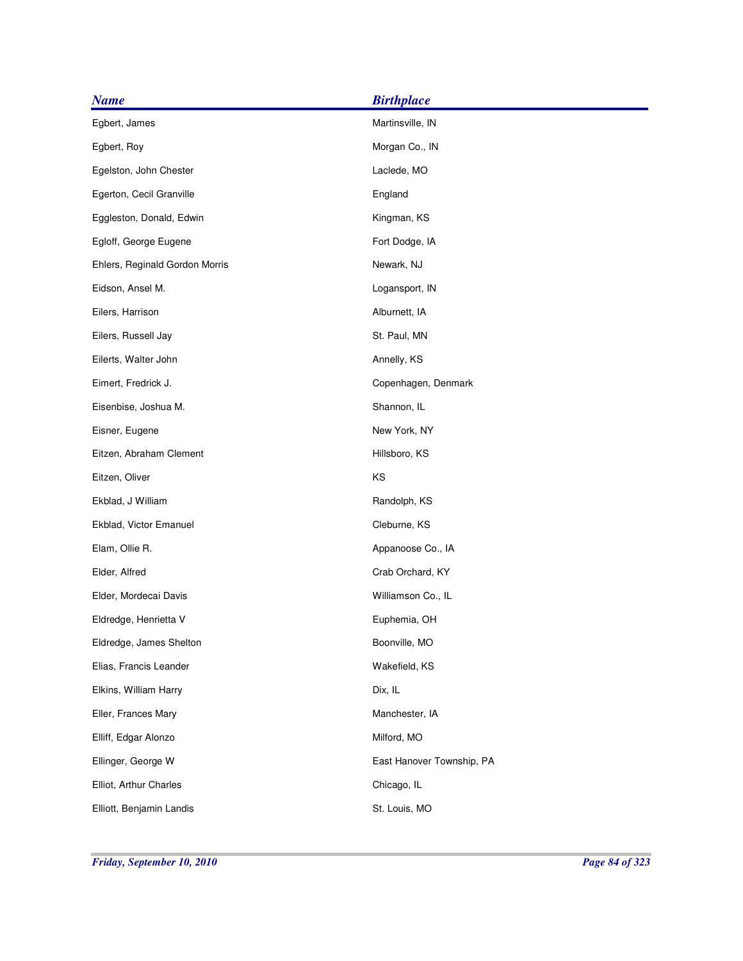| <b>Name</b>                    | <b>Birthplace</b>         |
|--------------------------------|---------------------------|
| Egbert, James                  | Martinsville, IN          |
| Egbert, Roy                    | Morgan Co., IN            |
| Egelston, John Chester         | Laclede, MO               |
| Egerton, Cecil Granville       | England                   |
| Eggleston, Donald, Edwin       | Kingman, KS               |
| Egloff, George Eugene          | Fort Dodge, IA            |
| Ehlers, Reginald Gordon Morris | Newark, NJ                |
| Eidson, Ansel M.               | Logansport, IN            |
| Eilers, Harrison               | Alburnett, IA             |
| Eilers, Russell Jay            | St. Paul, MN              |
| Eilerts, Walter John           | Annelly, KS               |
| Eimert, Fredrick J.            | Copenhagen, Denmark       |
| Eisenbise, Joshua M.           | Shannon, IL               |
| Eisner, Eugene                 | New York, NY              |
| Eitzen, Abraham Clement        | Hillsboro, KS             |
| Eitzen, Oliver                 | KS                        |
| Ekblad, J William              | Randolph, KS              |
| Ekblad, Victor Emanuel         | Cleburne, KS              |
| Elam, Ollie R.                 | Appanoose Co., IA         |
| Elder, Alfred                  | Crab Orchard, KY          |
| Elder, Mordecai Davis          | Williamson Co., IL        |
| Eldredge, Henrietta V          | Euphemia, OH              |
| Eldredge, James Shelton        | Boonville, MO             |
| Elias, Francis Leander         | Wakefield, KS             |
| Elkins, William Harry          | Dix, IL                   |
| Eller, Frances Mary            | Manchester, IA            |
| Elliff, Edgar Alonzo           | Milford, MO               |
| Ellinger, George W             | East Hanover Township, PA |
| Elliot, Arthur Charles         | Chicago, IL               |
| Elliott, Benjamin Landis       | St. Louis, MO             |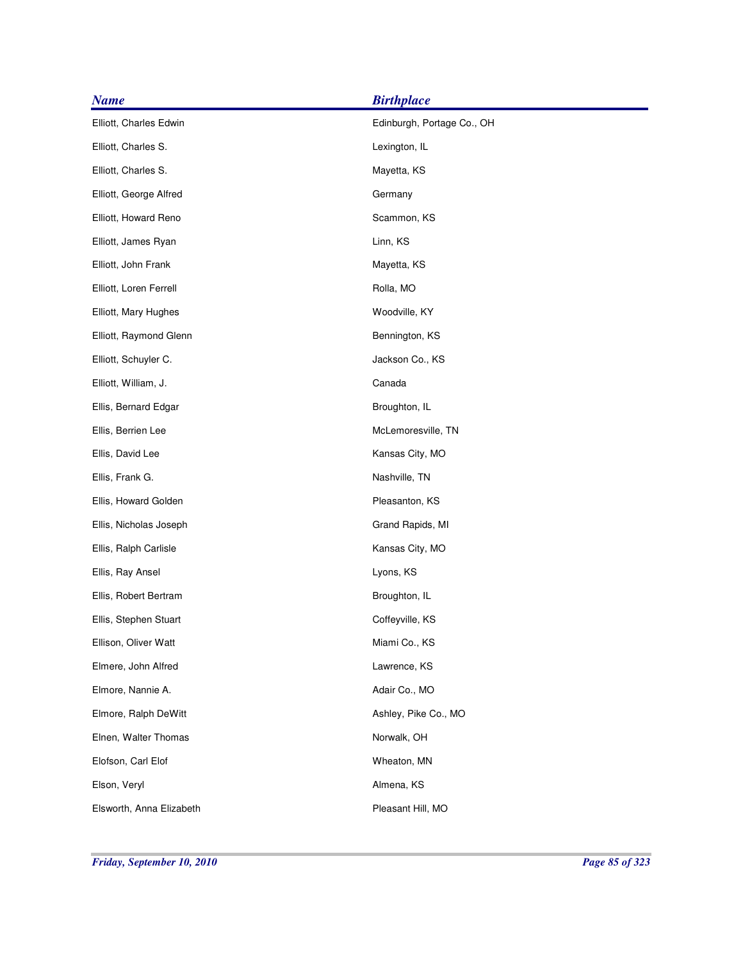| <b>Name</b>              | <b>Birthplace</b>          |
|--------------------------|----------------------------|
| Elliott, Charles Edwin   | Edinburgh, Portage Co., OH |
| Elliott, Charles S.      | Lexington, IL              |
| Elliott, Charles S.      | Mayetta, KS                |
| Elliott, George Alfred   | Germany                    |
| Elliott, Howard Reno     | Scammon, KS                |
| Elliott, James Ryan      | Linn, KS                   |
| Elliott, John Frank      | Mayetta, KS                |
| Elliott, Loren Ferrell   | Rolla, MO                  |
| Elliott, Mary Hughes     | Woodville, KY              |
| Elliott, Raymond Glenn   | Bennington, KS             |
| Elliott, Schuyler C.     | Jackson Co., KS            |
| Elliott, William, J.     | Canada                     |
| Ellis, Bernard Edgar     | Broughton, IL              |
| Ellis, Berrien Lee       | McLemoresville, TN         |
| Ellis, David Lee         | Kansas City, MO            |
| Ellis, Frank G.          | Nashville, TN              |
| Ellis, Howard Golden     | Pleasanton, KS             |
| Ellis, Nicholas Joseph   | Grand Rapids, MI           |
| Ellis, Ralph Carlisle    | Kansas City, MO            |
| Ellis, Ray Ansel         | Lyons, KS                  |
| Ellis, Robert Bertram    | Broughton, IL              |
| Ellis, Stephen Stuart    | Coffeyville, KS            |
| Ellison, Oliver Watt     | Miami Co., KS              |
| Elmere, John Alfred      | Lawrence, KS               |
| Elmore, Nannie A.        | Adair Co., MO              |
| Elmore, Ralph DeWitt     | Ashley, Pike Co., MO       |
| Elnen, Walter Thomas     | Norwalk, OH                |
| Elofson, Carl Elof       | Wheaton, MN                |
| Elson, Veryl             | Almena, KS                 |
| Elsworth, Anna Elizabeth | Pleasant Hill, MO          |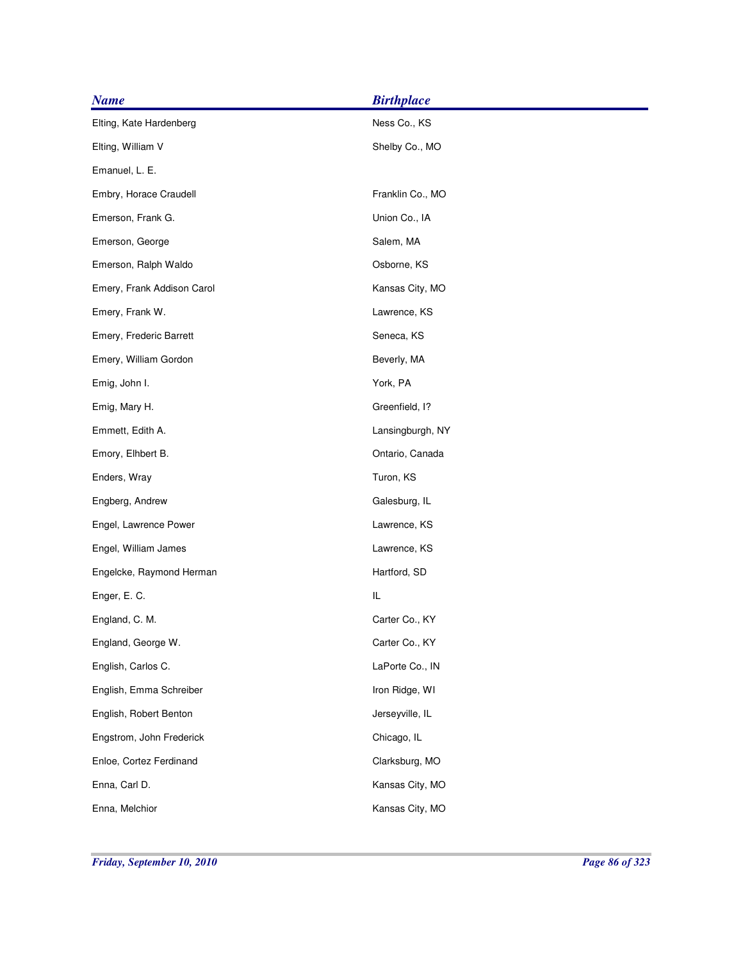| <b>Name</b>                | <b>Birthplace</b> |
|----------------------------|-------------------|
| Elting, Kate Hardenberg    | Ness Co., KS      |
| Elting, William V          | Shelby Co., MO    |
| Emanuel, L. E.             |                   |
| Embry, Horace Craudell     | Franklin Co., MO  |
| Emerson, Frank G.          | Union Co., IA     |
| Emerson, George            | Salem, MA         |
| Emerson, Ralph Waldo       | Osborne, KS       |
| Emery, Frank Addison Carol | Kansas City, MO   |
| Emery, Frank W.            | Lawrence, KS      |
| Emery, Frederic Barrett    | Seneca, KS        |
| Emery, William Gordon      | Beverly, MA       |
| Emig, John I.              | York, PA          |
| Emig, Mary H.              | Greenfield, 1?    |
| Emmett, Edith A.           | Lansingburgh, NY  |
| Emory, Elhbert B.          | Ontario, Canada   |
| Enders, Wray               | Turon, KS         |
| Engberg, Andrew            | Galesburg, IL     |
| Engel, Lawrence Power      | Lawrence, KS      |
| Engel, William James       | Lawrence, KS      |
| Engelcke, Raymond Herman   | Hartford, SD      |
| Enger, E. C.               | IL                |
| England, C. M.             | Carter Co., KY    |
| England, George W.         | Carter Co., KY    |
| English, Carlos C.         | LaPorte Co., IN   |
| English, Emma Schreiber    | Iron Ridge, WI    |
| English, Robert Benton     | Jerseyville, IL   |
| Engstrom, John Frederick   | Chicago, IL       |
| Enloe, Cortez Ferdinand    | Clarksburg, MO    |
| Enna, Carl D.              | Kansas City, MO   |
| Enna, Melchior             | Kansas City, MO   |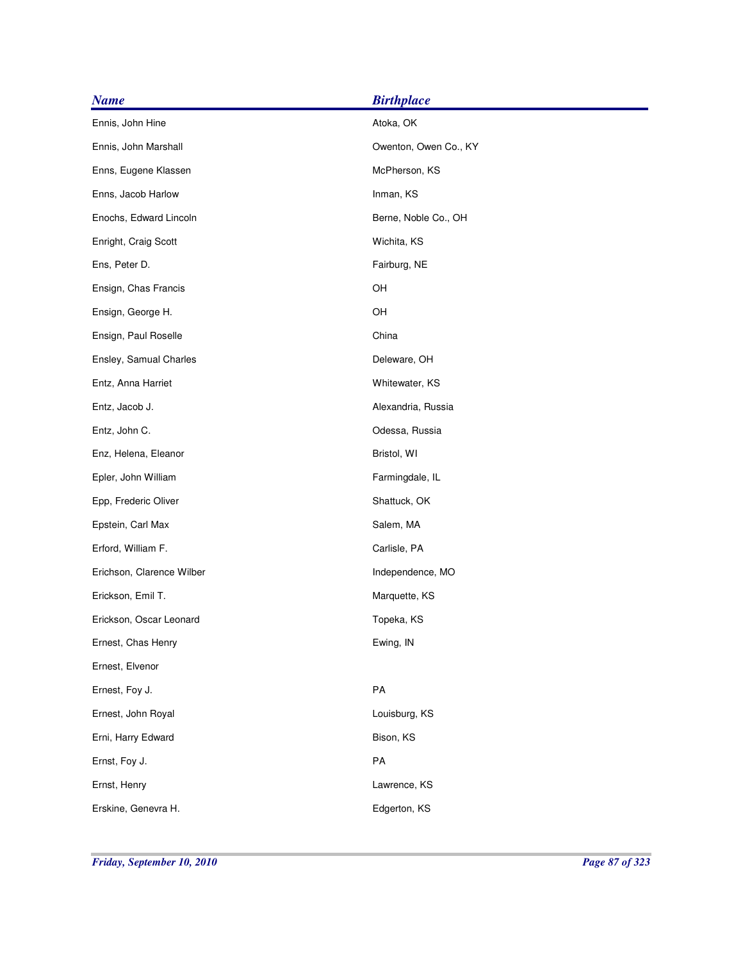| <b>Name</b>               | <b>Birthplace</b>     |
|---------------------------|-----------------------|
| Ennis, John Hine          | Atoka, OK             |
| Ennis, John Marshall      | Owenton, Owen Co., KY |
| Enns, Eugene Klassen      | McPherson, KS         |
| Enns, Jacob Harlow        | Inman, KS             |
| Enochs, Edward Lincoln    | Berne, Noble Co., OH  |
| Enright, Craig Scott      | Wichita, KS           |
| Ens, Peter D.             | Fairburg, NE          |
| Ensign, Chas Francis      | OH                    |
| Ensign, George H.         | OH                    |
| Ensign, Paul Roselle      | China                 |
| Ensley, Samual Charles    | Deleware, OH          |
| Entz, Anna Harriet        | Whitewater, KS        |
| Entz, Jacob J.            | Alexandria, Russia    |
| Entz, John C.             | Odessa, Russia        |
| Enz, Helena, Eleanor      | Bristol, WI           |
| Epler, John William       | Farmingdale, IL       |
| Epp, Frederic Oliver      | Shattuck, OK          |
| Epstein, Carl Max         | Salem, MA             |
| Erford, William F.        | Carlisle, PA          |
| Erichson, Clarence Wilber | Independence, MO      |
| Erickson, Emil T.         | Marquette, KS         |
| Erickson, Oscar Leonard   | Topeka, KS            |
| Ernest, Chas Henry        | Ewing, IN             |
| Ernest, Elvenor           |                       |
| Ernest, Foy J.            | PA                    |
| Ernest, John Royal        | Louisburg, KS         |
| Erni, Harry Edward        | Bison, KS             |
| Ernst, Foy J.             | PA                    |
| Ernst, Henry              | Lawrence, KS          |
| Erskine, Genevra H.       | Edgerton, KS          |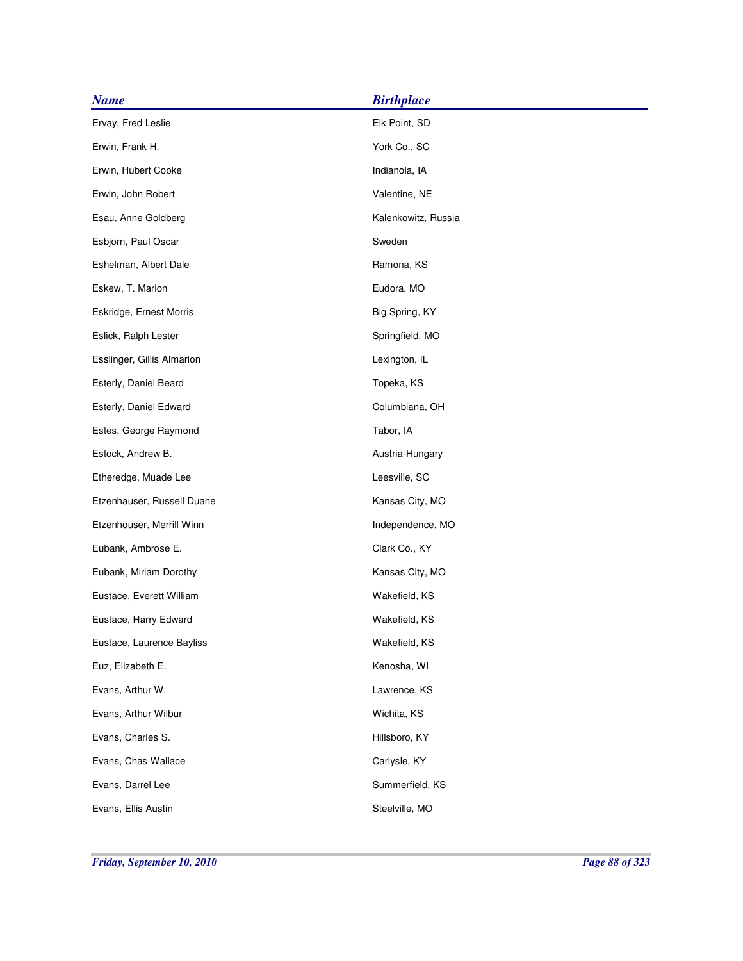| <b>Name</b>                | <b>Birthplace</b>   |
|----------------------------|---------------------|
| Ervay, Fred Leslie         | Elk Point, SD       |
| Erwin, Frank H.            | York Co., SC        |
| Erwin, Hubert Cooke        | Indianola, IA       |
| Erwin, John Robert         | Valentine, NE       |
| Esau, Anne Goldberg        | Kalenkowitz, Russia |
| Esbjorn, Paul Oscar        | Sweden              |
| Eshelman, Albert Dale      | Ramona, KS          |
| Eskew, T. Marion           | Eudora, MO          |
| Eskridge, Ernest Morris    | Big Spring, KY      |
| Eslick, Ralph Lester       | Springfield, MO     |
| Esslinger, Gillis Almarion | Lexington, IL       |
| Esterly, Daniel Beard      | Topeka, KS          |
| Esterly, Daniel Edward     | Columbiana, OH      |
| Estes, George Raymond      | Tabor, IA           |
| Estock, Andrew B.          | Austria-Hungary     |
| Etheredge, Muade Lee       | Leesville, SC       |
| Etzenhauser, Russell Duane | Kansas City, MO     |
| Etzenhouser, Merrill Winn  | Independence, MO    |
| Eubank, Ambrose E.         | Clark Co., KY       |
| Eubank, Miriam Dorothy     | Kansas City, MO     |
| Eustace, Everett William   | Wakefield, KS       |
| Eustace, Harry Edward      | Wakefield, KS       |
| Eustace, Laurence Bayliss  | Wakefield, KS       |
| Euz, Elizabeth E.          | Kenosha, WI         |
| Evans, Arthur W.           | Lawrence, KS        |
| Evans, Arthur Wilbur       | Wichita, KS         |
| Evans, Charles S.          | Hillsboro, KY       |
| Evans, Chas Wallace        | Carlysle, KY        |
| Evans, Darrel Lee          | Summerfield, KS     |
| Evans, Ellis Austin        | Steelville, MO      |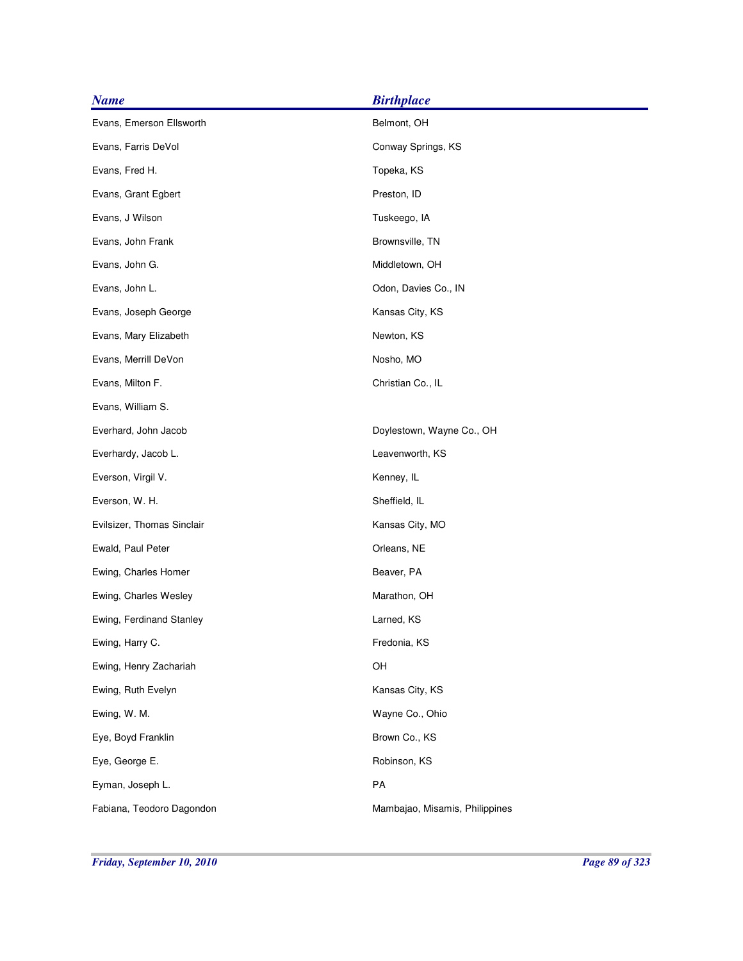| <b>Name</b>                | <b>Birthplace</b>              |
|----------------------------|--------------------------------|
| Evans, Emerson Ellsworth   | Belmont, OH                    |
| Evans, Farris DeVol        | Conway Springs, KS             |
| Evans, Fred H.             | Topeka, KS                     |
| Evans, Grant Egbert        | Preston, ID                    |
| Evans, J Wilson            | Tuskeego, IA                   |
| Evans, John Frank          | Brownsville, TN                |
| Evans, John G.             | Middletown, OH                 |
| Evans, John L.             | Odon, Davies Co., IN           |
| Evans, Joseph George       | Kansas City, KS                |
| Evans, Mary Elizabeth      | Newton, KS                     |
| Evans, Merrill DeVon       | Nosho, MO                      |
| Evans, Milton F.           | Christian Co., IL              |
| Evans, William S.          |                                |
| Everhard, John Jacob       | Doylestown, Wayne Co., OH      |
| Everhardy, Jacob L.        | Leavenworth, KS                |
| Everson, Virgil V.         | Kenney, IL                     |
| Everson, W. H.             | Sheffield, IL                  |
| Evilsizer, Thomas Sinclair | Kansas City, MO                |
| Ewald, Paul Peter          | Orleans, NE                    |
| Ewing, Charles Homer       | Beaver, PA                     |
| Ewing, Charles Wesley      | Marathon, OH                   |
| Ewing, Ferdinand Stanley   | Larned, KS                     |
| Ewing, Harry C.            | Fredonia, KS                   |
| Ewing, Henry Zachariah     | OH                             |
| Ewing, Ruth Evelyn         | Kansas City, KS                |
| Ewing, W. M.               | Wayne Co., Ohio                |
| Eye, Boyd Franklin         | Brown Co., KS                  |
| Eye, George E.             | Robinson, KS                   |
| Eyman, Joseph L.           | PA                             |
| Fabiana, Teodoro Dagondon  | Mambajao, Misamis, Philippines |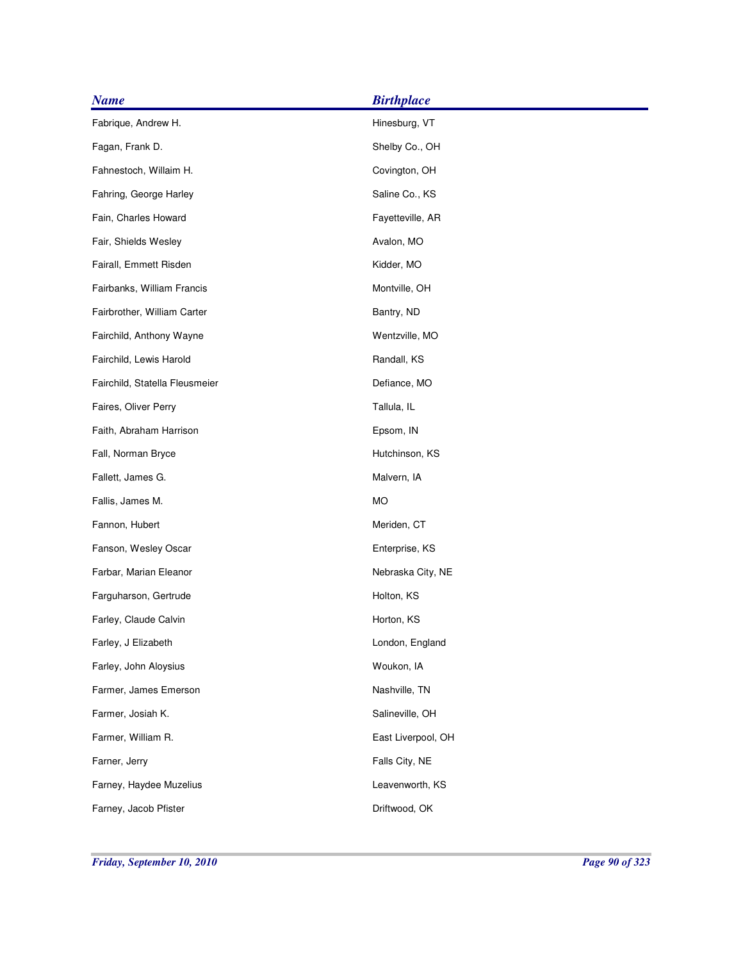| <b>Name</b>                    | <b>Birthplace</b>  |
|--------------------------------|--------------------|
| Fabrique, Andrew H.            | Hinesburg, VT      |
| Fagan, Frank D.                | Shelby Co., OH     |
| Fahnestoch, Willaim H.         | Covington, OH      |
| Fahring, George Harley         | Saline Co., KS     |
| Fain, Charles Howard           | Fayetteville, AR   |
| Fair, Shields Wesley           | Avalon, MO         |
| Fairall, Emmett Risden         | Kidder, MO         |
| Fairbanks, William Francis     | Montville, OH      |
| Fairbrother, William Carter    | Bantry, ND         |
| Fairchild, Anthony Wayne       | Wentzville, MO     |
| Fairchild, Lewis Harold        | Randall, KS        |
| Fairchild, Statella Fleusmeier | Defiance, MO       |
| Faires, Oliver Perry           | Tallula, IL        |
| Faith, Abraham Harrison        | Epsom, IN          |
| Fall, Norman Bryce             | Hutchinson, KS     |
| Fallett, James G.              | Malvern, IA        |
| Fallis, James M.               | МO                 |
| Fannon, Hubert                 | Meriden, CT        |
| Fanson, Wesley Oscar           | Enterprise, KS     |
| Farbar, Marian Eleanor         | Nebraska City, NE  |
| Farguharson, Gertrude          | Holton, KS         |
| Farley, Claude Calvin          | Horton, KS         |
| Farley, J Elizabeth            | London, England    |
| Farley, John Aloysius          | Woukon, IA         |
| Farmer, James Emerson          | Nashville, TN      |
| Farmer, Josiah K.              | Salineville, OH    |
| Farmer, William R.             | East Liverpool, OH |
| Farner, Jerry                  | Falls City, NE     |
| Farney, Haydee Muzelius        | Leavenworth, KS    |
| Farney, Jacob Pfister          | Driftwood, OK      |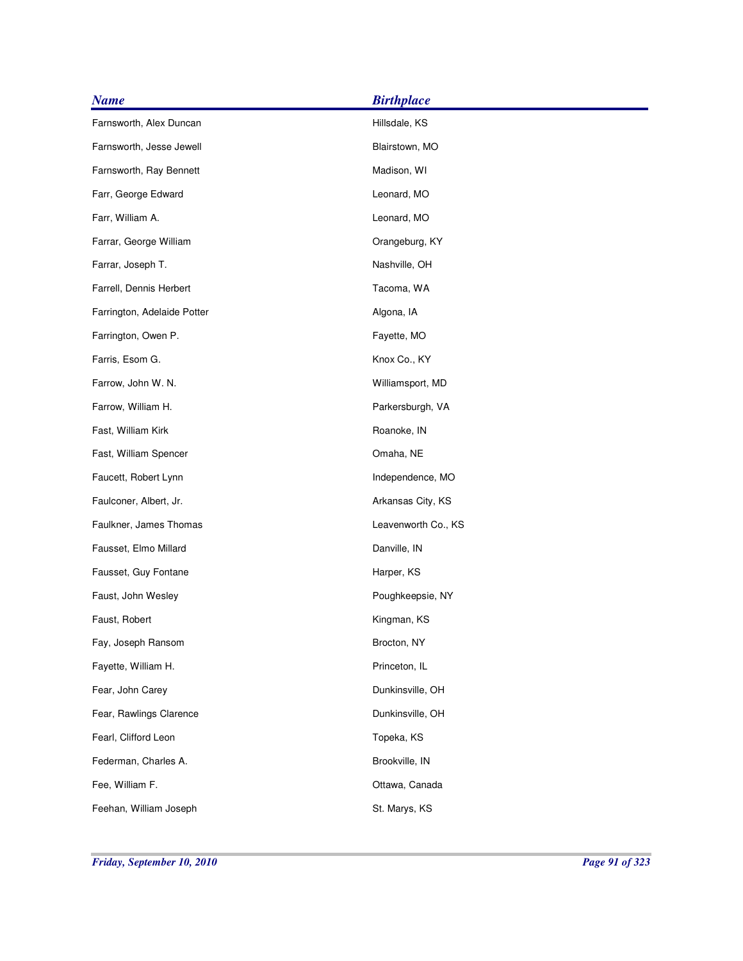| <b>Name</b>                 | <b>Birthplace</b>   |
|-----------------------------|---------------------|
| Farnsworth, Alex Duncan     | Hillsdale, KS       |
| Farnsworth, Jesse Jewell    | Blairstown, MO      |
| Farnsworth, Ray Bennett     | Madison, WI         |
| Farr, George Edward         | Leonard, MO         |
| Farr, William A.            | Leonard, MO         |
| Farrar, George William      | Orangeburg, KY      |
| Farrar, Joseph T.           | Nashville, OH       |
| Farrell, Dennis Herbert     | Tacoma, WA          |
| Farrington, Adelaide Potter | Algona, IA          |
| Farrington, Owen P.         | Fayette, MO         |
| Farris, Esom G.             | Knox Co., KY        |
| Farrow, John W. N.          | Williamsport, MD    |
| Farrow, William H.          | Parkersburgh, VA    |
| Fast, William Kirk          | Roanoke, IN         |
| Fast, William Spencer       | Omaha, NE           |
| Faucett, Robert Lynn        | Independence, MO    |
| Faulconer, Albert, Jr.      | Arkansas City, KS   |
| Faulkner, James Thomas      | Leavenworth Co., KS |
| Fausset, Elmo Millard       | Danville, IN        |
| Fausset, Guy Fontane        | Harper, KS          |
| Faust, John Wesley          | Poughkeepsie, NY    |
| Faust, Robert               | Kingman, KS         |
| Fay, Joseph Ransom          | Brocton, NY         |
| Fayette, William H.         | Princeton, IL       |
| Fear, John Carey            | Dunkinsville, OH    |
| Fear, Rawlings Clarence     | Dunkinsville, OH    |
| Fearl, Clifford Leon        | Topeka, KS          |
| Federman, Charles A.        | Brookville, IN      |
| Fee, William F.             | Ottawa, Canada      |
| Feehan, William Joseph      | St. Marys, KS       |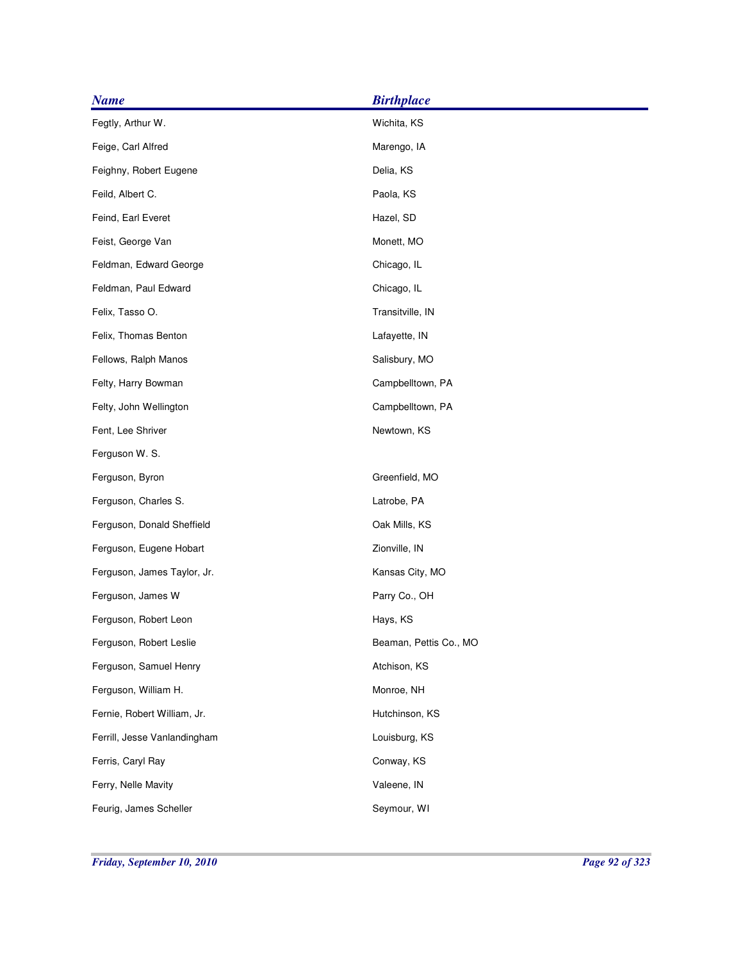| <b>Name</b>                  | <b>Birthplace</b>      |
|------------------------------|------------------------|
| Fegtly, Arthur W.            | Wichita, KS            |
| Feige, Carl Alfred           | Marengo, IA            |
| Feighny, Robert Eugene       | Delia, KS              |
| Feild, Albert C.             | Paola, KS              |
| Feind, Earl Everet           | Hazel, SD              |
| Feist, George Van            | Monett, MO             |
| Feldman, Edward George       | Chicago, IL            |
| Feldman, Paul Edward         | Chicago, IL            |
| Felix, Tasso O.              | Transitville, IN       |
| Felix, Thomas Benton         | Lafayette, IN          |
| Fellows, Ralph Manos         | Salisbury, MO          |
| Felty, Harry Bowman          | Campbelltown, PA       |
| Felty, John Wellington       | Campbelltown, PA       |
| Fent, Lee Shriver            | Newtown, KS            |
| Ferguson W. S.               |                        |
| Ferguson, Byron              | Greenfield, MO         |
| Ferguson, Charles S.         | Latrobe, PA            |
| Ferguson, Donald Sheffield   | Oak Mills, KS          |
| Ferguson, Eugene Hobart      | Zionville, IN          |
| Ferguson, James Taylor, Jr.  | Kansas City, MO        |
| Ferguson, James W            | Parry Co., OH          |
| Ferguson, Robert Leon        | Hays, KS               |
| Ferguson, Robert Leslie      | Beaman, Pettis Co., MO |
| Ferguson, Samuel Henry       | Atchison, KS           |
| Ferguson, William H.         | Monroe, NH             |
| Fernie, Robert William, Jr.  | Hutchinson, KS         |
| Ferrill, Jesse Vanlandingham | Louisburg, KS          |
| Ferris, Caryl Ray            | Conway, KS             |
| Ferry, Nelle Mavity          | Valeene, IN            |
| Feurig, James Scheller       | Seymour, WI            |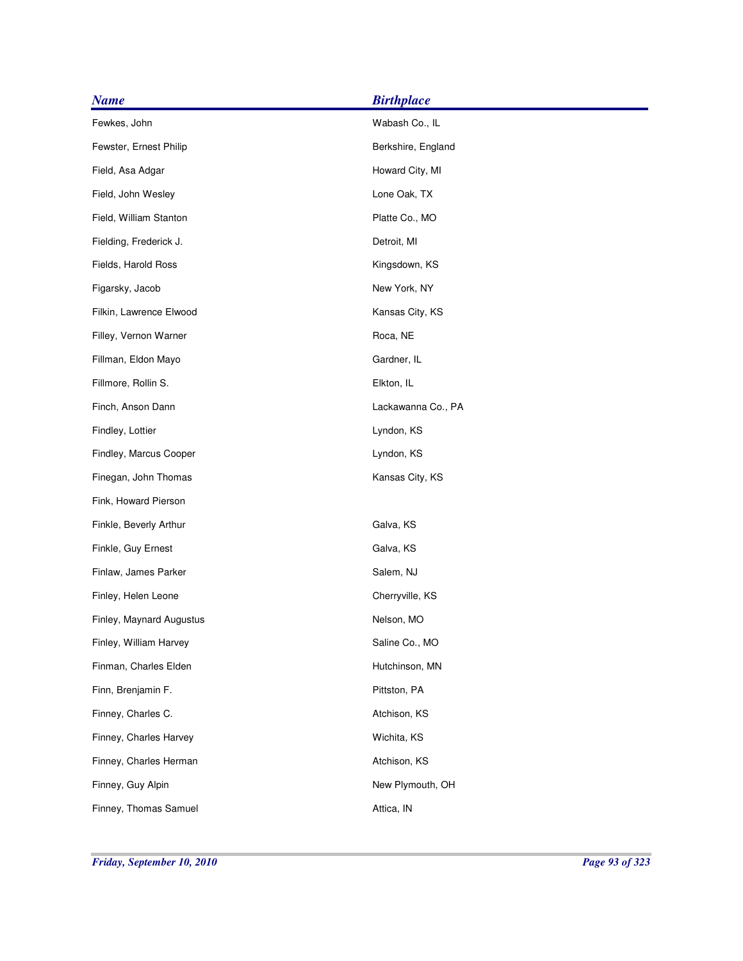| <b>Name</b>              | <b>Birthplace</b>  |
|--------------------------|--------------------|
| Fewkes, John             | Wabash Co., IL     |
| Fewster, Ernest Philip   | Berkshire, England |
| Field, Asa Adgar         | Howard City, MI    |
| Field, John Wesley       | Lone Oak, TX       |
| Field, William Stanton   | Platte Co., MO     |
| Fielding, Frederick J.   | Detroit, MI        |
| Fields, Harold Ross      | Kingsdown, KS      |
| Figarsky, Jacob          | New York, NY       |
| Filkin, Lawrence Elwood  | Kansas City, KS    |
| Filley, Vernon Warner    | Roca, NE           |
| Fillman, Eldon Mayo      | Gardner, IL        |
| Fillmore, Rollin S.      | Elkton, IL         |
| Finch, Anson Dann        | Lackawanna Co., PA |
| Findley, Lottier         | Lyndon, KS         |
| Findley, Marcus Cooper   | Lyndon, KS         |
| Finegan, John Thomas     | Kansas City, KS    |
| Fink, Howard Pierson     |                    |
| Finkle, Beverly Arthur   | Galva, KS          |
| Finkle, Guy Ernest       | Galva, KS          |
| Finlaw, James Parker     | Salem, NJ          |
| Finley, Helen Leone      | Cherryville, KS    |
| Finley, Maynard Augustus | Nelson, MO         |
| Finley, William Harvey   | Saline Co., MO     |
| Finman, Charles Elden    | Hutchinson, MN     |
| Finn, Brenjamin F.       | Pittston, PA       |
| Finney, Charles C.       | Atchison, KS       |
| Finney, Charles Harvey   | Wichita, KS        |
| Finney, Charles Herman   | Atchison, KS       |
| Finney, Guy Alpin        | New Plymouth, OH   |
| Finney, Thomas Samuel    | Attica, IN         |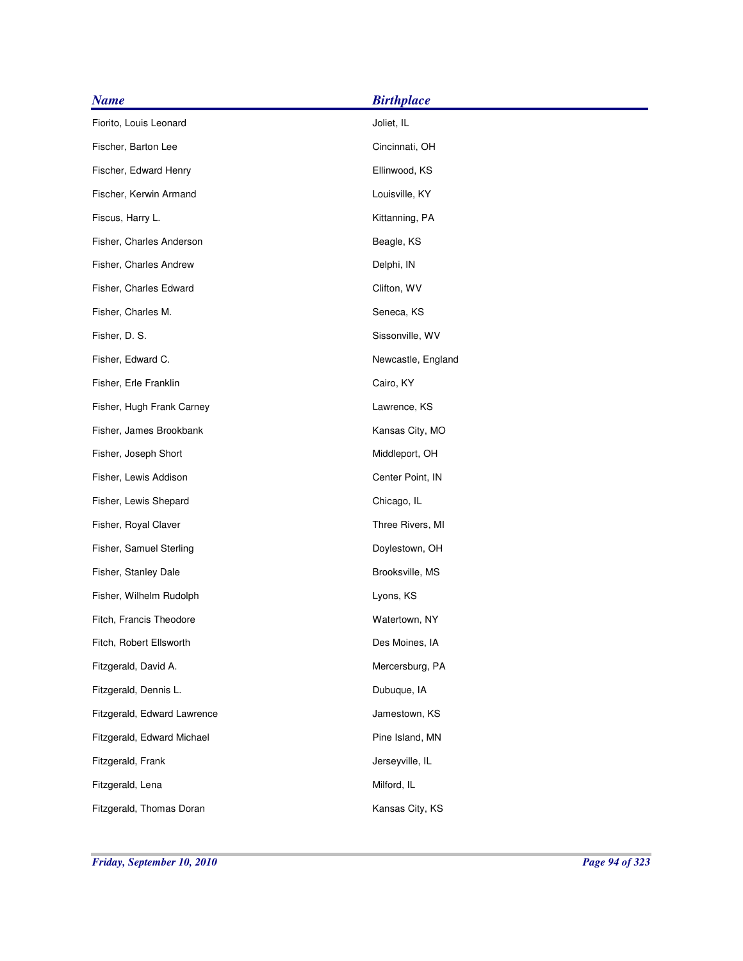| <b>Name</b>                 | <b>Birthplace</b>  |
|-----------------------------|--------------------|
| Fiorito, Louis Leonard      | Joliet, IL         |
| Fischer, Barton Lee         | Cincinnati, OH     |
| Fischer, Edward Henry       | Ellinwood, KS      |
| Fischer, Kerwin Armand      | Louisville, KY     |
| Fiscus, Harry L.            | Kittanning, PA     |
| Fisher, Charles Anderson    | Beagle, KS         |
| Fisher, Charles Andrew      | Delphi, IN         |
| Fisher, Charles Edward      | Clifton, WV        |
| Fisher, Charles M.          | Seneca, KS         |
| Fisher, D. S.               | Sissonville, WV    |
| Fisher, Edward C.           | Newcastle, England |
| Fisher, Erle Franklin       | Cairo, KY          |
| Fisher, Hugh Frank Carney   | Lawrence, KS       |
| Fisher, James Brookbank     | Kansas City, MO    |
| Fisher, Joseph Short        | Middleport, OH     |
| Fisher, Lewis Addison       | Center Point, IN   |
| Fisher, Lewis Shepard       | Chicago, IL        |
| Fisher, Royal Claver        | Three Rivers, MI   |
| Fisher, Samuel Sterling     | Doylestown, OH     |
| Fisher, Stanley Dale        | Brooksville, MS    |
| Fisher, Wilhelm Rudolph     | Lyons, KS          |
| Fitch, Francis Theodore     | Watertown, NY      |
| Fitch, Robert Ellsworth     | Des Moines, IA     |
| Fitzgerald, David A.        | Mercersburg, PA    |
| Fitzgerald, Dennis L.       | Dubuque, IA        |
| Fitzgerald, Edward Lawrence | Jamestown, KS      |
| Fitzgerald, Edward Michael  | Pine Island, MN    |
| Fitzgerald, Frank           | Jerseyville, IL    |
| Fitzgerald, Lena            | Milford, IL        |
| Fitzgerald, Thomas Doran    | Kansas City, KS    |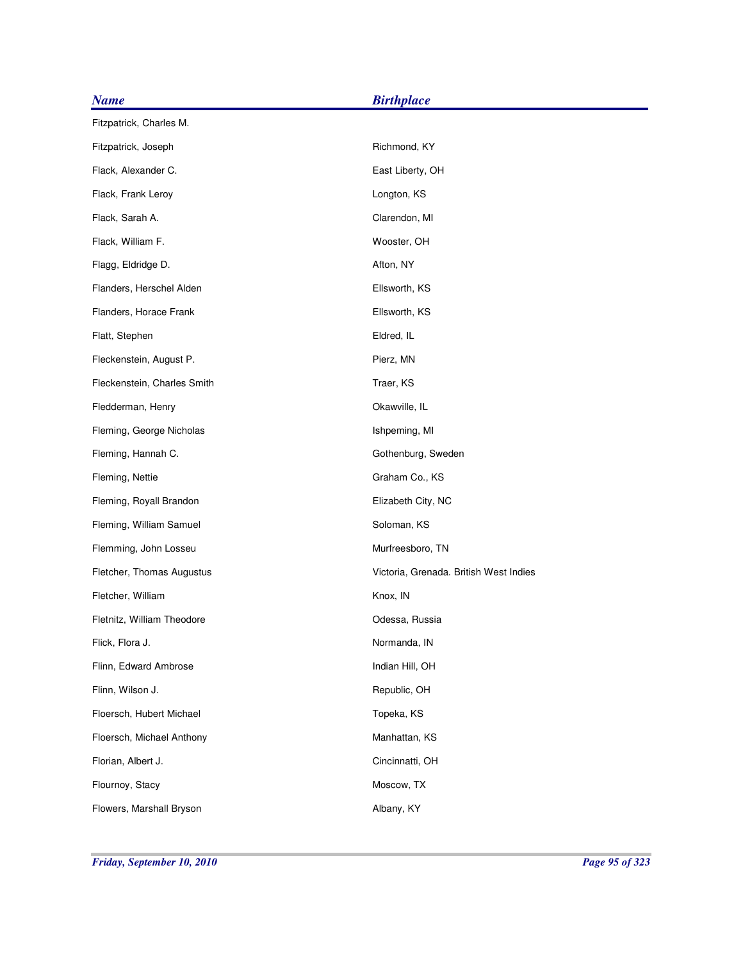| <b>Name</b>                 | <b>Birthplace</b>                      |
|-----------------------------|----------------------------------------|
| Fitzpatrick, Charles M.     |                                        |
| Fitzpatrick, Joseph         | Richmond, KY                           |
| Flack, Alexander C.         | East Liberty, OH                       |
| Flack, Frank Leroy          | Longton, KS                            |
| Flack, Sarah A.             | Clarendon, MI                          |
| Flack, William F.           | Wooster, OH                            |
| Flagg, Eldridge D.          | Afton, NY                              |
| Flanders, Herschel Alden    | Ellsworth, KS                          |
| Flanders, Horace Frank      | Ellsworth, KS                          |
| Flatt, Stephen              | Eldred, IL                             |
| Fleckenstein, August P.     | Pierz, MN                              |
| Fleckenstein, Charles Smith | Traer, KS                              |
| Fledderman, Henry           | Okawville, IL                          |
| Fleming, George Nicholas    | Ishpeming, MI                          |
| Fleming, Hannah C.          | Gothenburg, Sweden                     |
| Fleming, Nettie             | Graham Co., KS                         |
| Fleming, Royall Brandon     | Elizabeth City, NC                     |
| Fleming, William Samuel     | Soloman, KS                            |
| Flemming, John Losseu       | Murfreesboro, TN                       |
| Fletcher, Thomas Augustus   | Victoria, Grenada. British West Indies |
| Fletcher, William           | Knox, IN                               |
| Fletnitz, William Theodore  | Odessa, Russia                         |
| Flick, Flora J.             | Normanda, IN                           |
| Flinn, Edward Ambrose       | Indian Hill, OH                        |
| Flinn, Wilson J.            | Republic, OH                           |
| Floersch, Hubert Michael    | Topeka, KS                             |
| Floersch, Michael Anthony   | Manhattan, KS                          |
| Florian, Albert J.          | Cincinnatti, OH                        |
| Flournoy, Stacy             | Moscow, TX                             |
| Flowers, Marshall Bryson    | Albany, KY                             |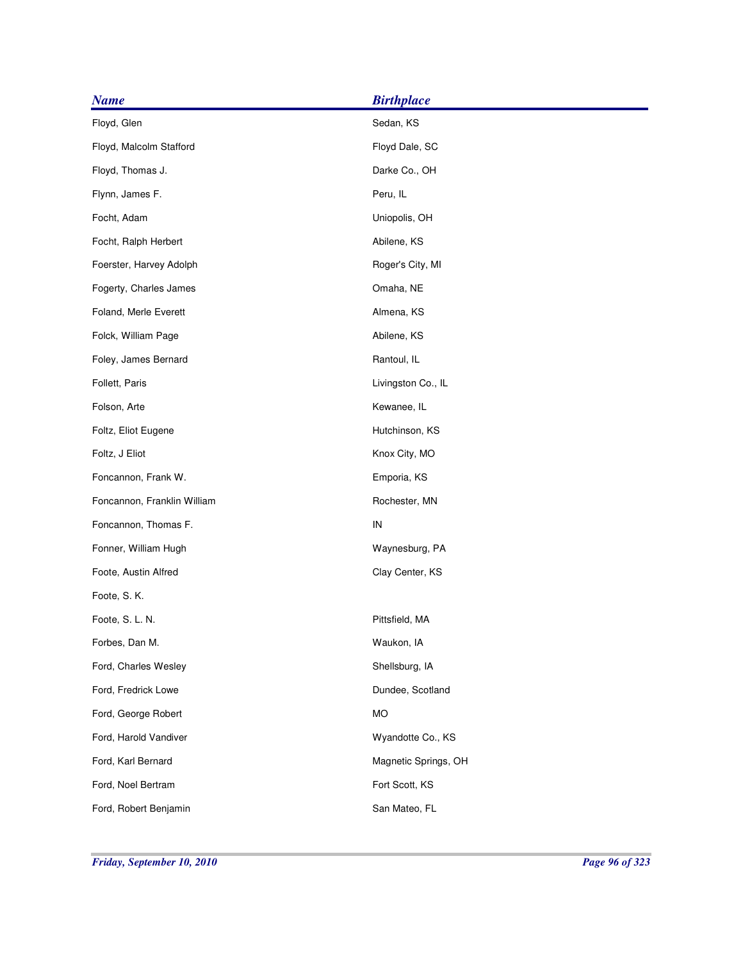| <b>Name</b>                 | <b>Birthplace</b>    |
|-----------------------------|----------------------|
| Floyd, Glen                 | Sedan, KS            |
| Floyd, Malcolm Stafford     | Floyd Dale, SC       |
| Floyd, Thomas J.            | Darke Co., OH        |
| Flynn, James F.             | Peru, IL             |
| Focht, Adam                 | Uniopolis, OH        |
| Focht, Ralph Herbert        | Abilene, KS          |
| Foerster, Harvey Adolph     | Roger's City, MI     |
| Fogerty, Charles James      | Omaha, NE            |
| Foland, Merle Everett       | Almena, KS           |
| Folck, William Page         | Abilene, KS          |
| Foley, James Bernard        | Rantoul, IL          |
| Follett, Paris              | Livingston Co., IL   |
| Folson, Arte                | Kewanee, IL          |
| Foltz, Eliot Eugene         | Hutchinson, KS       |
| Foltz, J Eliot              | Knox City, MO        |
| Foncannon, Frank W.         | Emporia, KS          |
| Foncannon, Franklin William | Rochester, MN        |
| Foncannon, Thomas F.        | IN                   |
| Fonner, William Hugh        | Waynesburg, PA       |
| Foote, Austin Alfred        | Clay Center, KS      |
| Foote, S.K.                 |                      |
| Foote, S. L. N.             | Pittsfield, MA       |
| Forbes, Dan M.              | Waukon, IA           |
| Ford, Charles Wesley        | Shellsburg, IA       |
| Ford, Fredrick Lowe         | Dundee, Scotland     |
| Ford, George Robert         | <b>MO</b>            |
| Ford, Harold Vandiver       | Wyandotte Co., KS    |
| Ford, Karl Bernard          | Magnetic Springs, OH |
| Ford, Noel Bertram          | Fort Scott, KS       |
| Ford, Robert Benjamin       | San Mateo, FL        |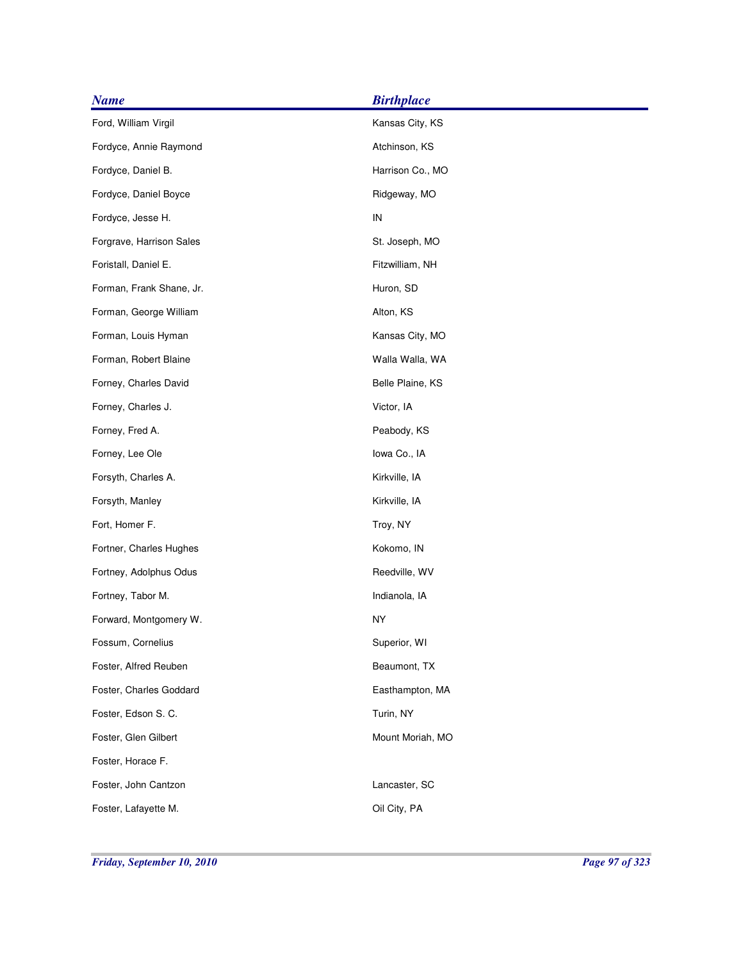| <b>Name</b>              | <b>Birthplace</b> |
|--------------------------|-------------------|
| Ford, William Virgil     | Kansas City, KS   |
| Fordyce, Annie Raymond   | Atchinson, KS     |
| Fordyce, Daniel B.       | Harrison Co., MO  |
| Fordyce, Daniel Boyce    | Ridgeway, MO      |
| Fordyce, Jesse H.        | IN                |
| Forgrave, Harrison Sales | St. Joseph, MO    |
| Foristall, Daniel E.     | Fitzwilliam, NH   |
| Forman, Frank Shane, Jr. | Huron, SD         |
| Forman, George William   | Alton, KS         |
| Forman, Louis Hyman      | Kansas City, MO   |
| Forman, Robert Blaine    | Walla Walla, WA   |
| Forney, Charles David    | Belle Plaine, KS  |
| Forney, Charles J.       | Victor, IA        |
| Forney, Fred A.          | Peabody, KS       |
| Forney, Lee Ole          | lowa Co., IA      |
| Forsyth, Charles A.      | Kirkville, IA     |
| Forsyth, Manley          | Kirkville, IA     |
| Fort, Homer F.           | Troy, NY          |
| Fortner, Charles Hughes  | Kokomo, IN        |
| Fortney, Adolphus Odus   | Reedville, WV     |
| Fortney, Tabor M.        | Indianola, IA     |
| Forward, Montgomery W.   | <b>NY</b>         |
| Fossum, Cornelius        | Superior, WI      |
| Foster, Alfred Reuben    | Beaumont, TX      |
| Foster, Charles Goddard  | Easthampton, MA   |
| Foster, Edson S. C.      | Turin, NY         |
| Foster, Glen Gilbert     | Mount Moriah, MO  |
| Foster, Horace F.        |                   |
| Foster, John Cantzon     | Lancaster, SC     |
| Foster, Lafayette M.     | Oil City, PA      |
|                          |                   |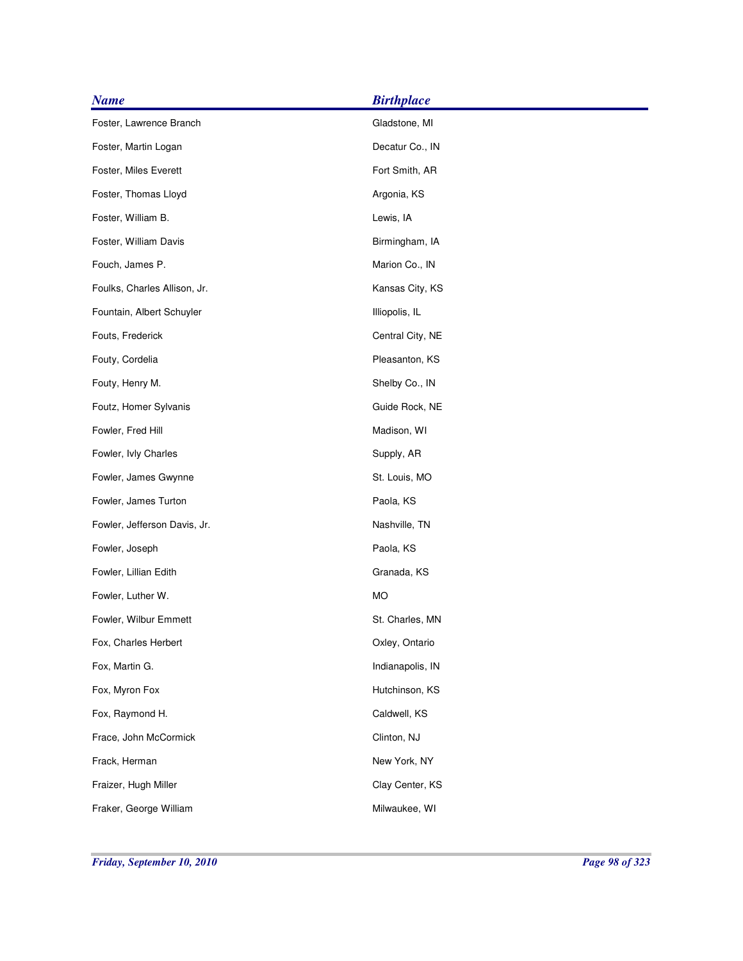| <b>Name</b>                  | <b>Birthplace</b> |
|------------------------------|-------------------|
| Foster, Lawrence Branch      | Gladstone, MI     |
| Foster, Martin Logan         | Decatur Co., IN   |
| Foster, Miles Everett        | Fort Smith, AR    |
| Foster, Thomas Lloyd         | Argonia, KS       |
| Foster, William B.           | Lewis, IA         |
| Foster, William Davis        | Birmingham, IA    |
| Fouch, James P.              | Marion Co., IN    |
| Foulks, Charles Allison, Jr. | Kansas City, KS   |
| Fountain, Albert Schuyler    | Illiopolis, IL    |
| Fouts, Frederick             | Central City, NE  |
| Fouty, Cordelia              | Pleasanton, KS    |
| Fouty, Henry M.              | Shelby Co., IN    |
| Foutz, Homer Sylvanis        | Guide Rock, NE    |
| Fowler, Fred Hill            | Madison, WI       |
| Fowler, Ivly Charles         | Supply, AR        |
| Fowler, James Gwynne         | St. Louis, MO     |
| Fowler, James Turton         | Paola, KS         |
| Fowler, Jefferson Davis, Jr. | Nashville, TN     |
| Fowler, Joseph               | Paola, KS         |
| Fowler, Lillian Edith        | Granada, KS       |
| Fowler, Luther W.            | <b>MO</b>         |
| Fowler, Wilbur Emmett        | St. Charles, MN   |
| Fox, Charles Herbert         | Oxley, Ontario    |
| Fox, Martin G.               | Indianapolis, IN  |
| Fox, Myron Fox               | Hutchinson, KS    |
| Fox, Raymond H.              | Caldwell, KS      |
| Frace, John McCormick        | Clinton, NJ       |
| Frack, Herman                | New York, NY      |
| Fraizer, Hugh Miller         | Clay Center, KS   |
| Fraker, George William       | Milwaukee, WI     |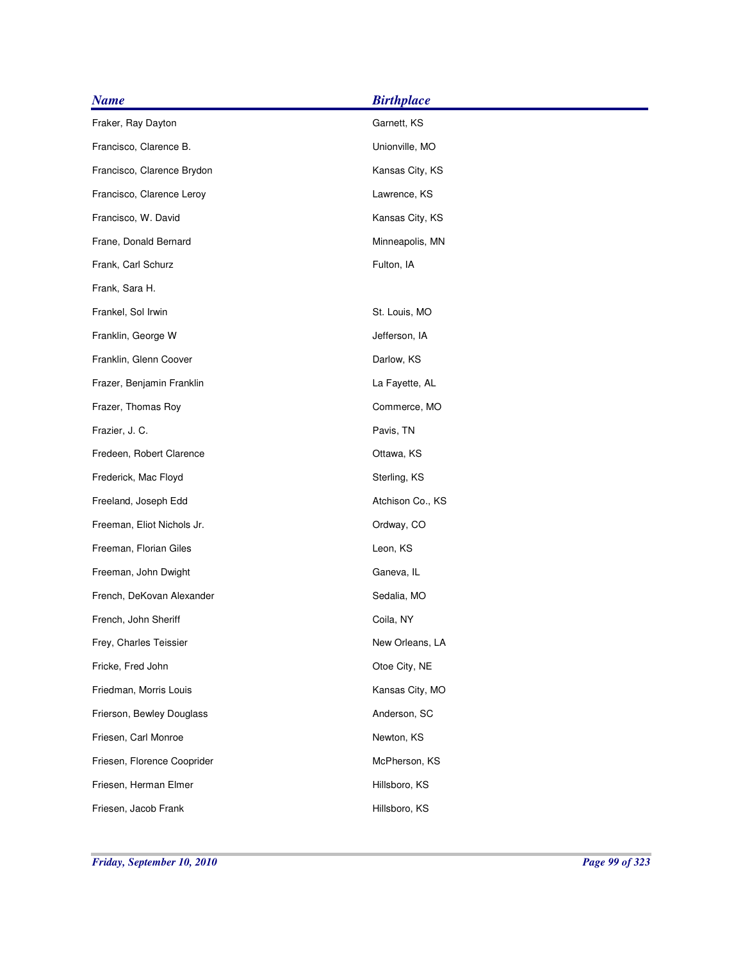| <b>Name</b>                 | <b>Birthplace</b> |
|-----------------------------|-------------------|
| Fraker, Ray Dayton          | Garnett, KS       |
| Francisco, Clarence B.      | Unionville, MO    |
| Francisco, Clarence Brydon  | Kansas City, KS   |
| Francisco, Clarence Leroy   | Lawrence, KS      |
| Francisco, W. David         | Kansas City, KS   |
| Frane, Donald Bernard       | Minneapolis, MN   |
| Frank, Carl Schurz          | Fulton, IA        |
| Frank, Sara H.              |                   |
| Frankel, Sol Irwin          | St. Louis, MO     |
| Franklin, George W          | Jefferson, IA     |
| Franklin, Glenn Coover      | Darlow, KS        |
| Frazer, Benjamin Franklin   | La Fayette, AL    |
| Frazer, Thomas Roy          | Commerce, MO      |
| Frazier, J. C.              | Pavis, TN         |
| Fredeen, Robert Clarence    | Ottawa, KS        |
| Frederick, Mac Floyd        | Sterling, KS      |
| Freeland, Joseph Edd        | Atchison Co., KS  |
| Freeman, Eliot Nichols Jr.  | Ordway, CO        |
| Freeman, Florian Giles      | Leon, KS          |
| Freeman, John Dwight        | Ganeva, IL        |
| French, DeKovan Alexander   | Sedalia, MO       |
| French, John Sheriff        | Coila, NY         |
| Frey, Charles Teissier      | New Orleans, LA   |
| Fricke, Fred John           | Otoe City, NE     |
| Friedman, Morris Louis      | Kansas City, MO   |
| Frierson, Bewley Douglass   | Anderson, SC      |
| Friesen, Carl Monroe        | Newton, KS        |
| Friesen, Florence Cooprider | McPherson, KS     |
| Friesen, Herman Elmer       | Hillsboro, KS     |
| Friesen, Jacob Frank        | Hillsboro, KS     |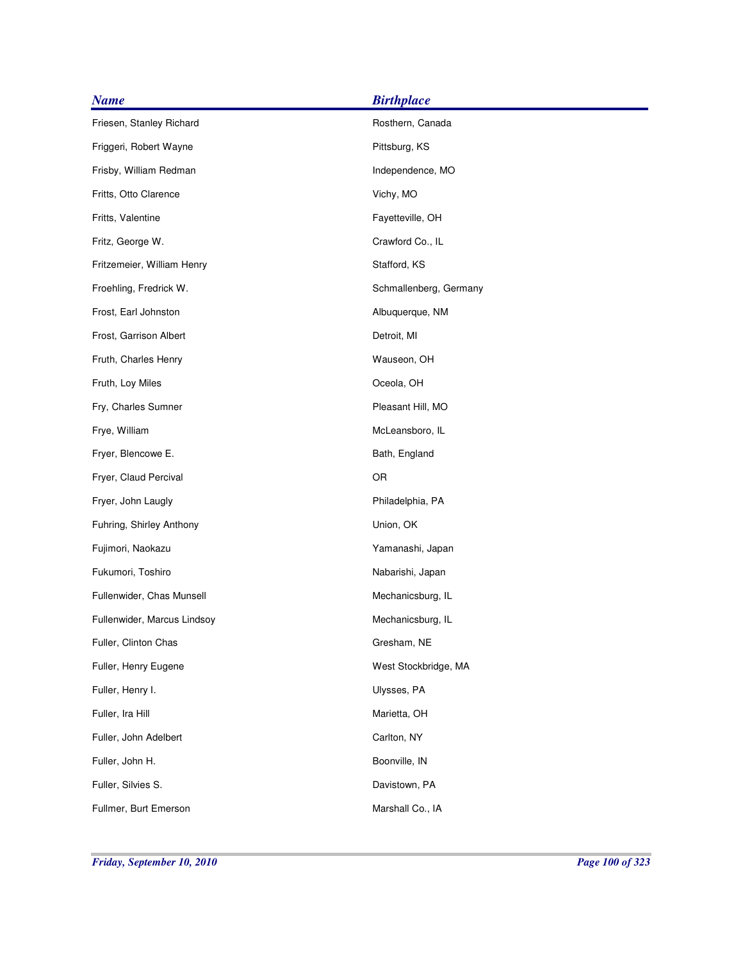| <b>Name</b>                 | <b>Birthplace</b>      |
|-----------------------------|------------------------|
| Friesen, Stanley Richard    | Rosthern, Canada       |
| Friggeri, Robert Wayne      | Pittsburg, KS          |
| Frisby, William Redman      | Independence, MO       |
| Fritts, Otto Clarence       | Vichy, MO              |
| Fritts, Valentine           | Fayetteville, OH       |
| Fritz, George W.            | Crawford Co., IL       |
| Fritzemeier, William Henry  | Stafford, KS           |
| Froehling, Fredrick W.      | Schmallenberg, Germany |
| Frost, Earl Johnston        | Albuquerque, NM        |
| Frost, Garrison Albert      | Detroit, MI            |
| Fruth, Charles Henry        | Wauseon, OH            |
| Fruth, Loy Miles            | Oceola, OH             |
| Fry, Charles Sumner         | Pleasant Hill, MO      |
| Frye, William               | McLeansboro, IL        |
| Fryer, Blencowe E.          | Bath, England          |
| Fryer, Claud Percival       | <b>OR</b>              |
| Fryer, John Laugly          | Philadelphia, PA       |
| Fuhring, Shirley Anthony    | Union, OK              |
| Fujimori, Naokazu           | Yamanashi, Japan       |
| Fukumori, Toshiro           | Nabarishi, Japan       |
| Fullenwider, Chas Munsell   | Mechanicsburg, IL      |
| Fullenwider, Marcus Lindsoy | Mechanicsburg, IL      |
| Fuller, Clinton Chas        | Gresham, NE            |
| Fuller, Henry Eugene        | West Stockbridge, MA   |
| Fuller, Henry I.            | Ulysses, PA            |
| Fuller, Ira Hill            | Marietta, OH           |
| Fuller, John Adelbert       | Carlton, NY            |
| Fuller, John H.             | Boonville, IN          |
| Fuller, Silvies S.          | Davistown, PA          |
| Fullmer, Burt Emerson       | Marshall Co., IA       |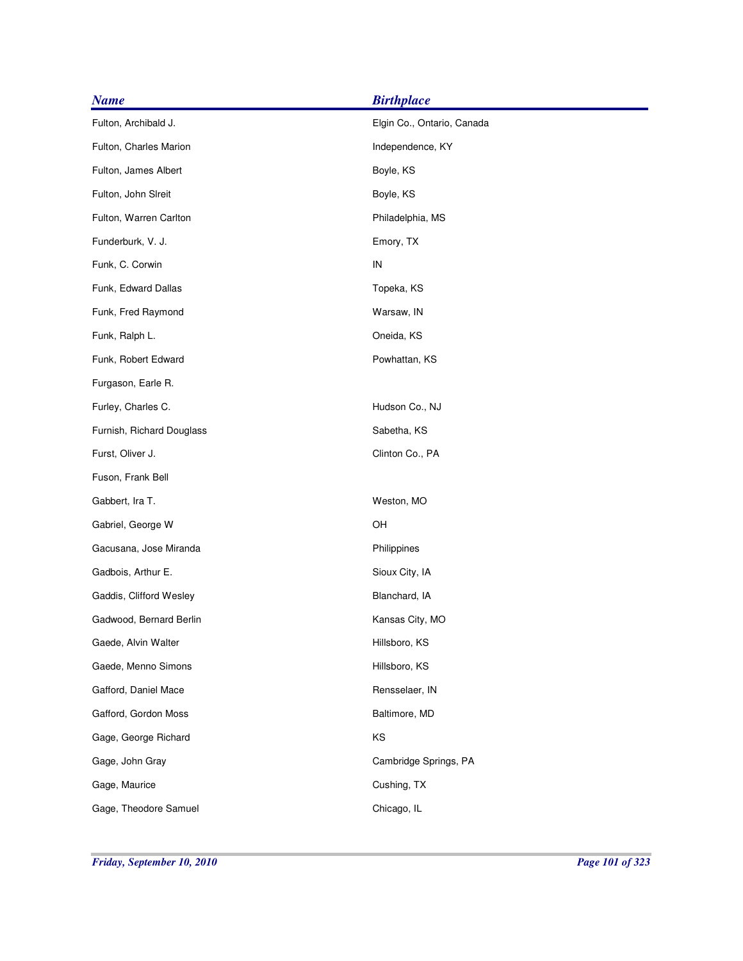| <b>Name</b>               | <b>Birthplace</b>          |
|---------------------------|----------------------------|
| Fulton, Archibald J.      | Elgin Co., Ontario, Canada |
| Fulton, Charles Marion    | Independence, KY           |
| Fulton, James Albert      | Boyle, KS                  |
| Fulton, John Slreit       | Boyle, KS                  |
| Fulton, Warren Carlton    | Philadelphia, MS           |
| Funderburk, V. J.         | Emory, TX                  |
| Funk, C. Corwin           | IN                         |
| Funk, Edward Dallas       | Topeka, KS                 |
| Funk, Fred Raymond        | Warsaw, IN                 |
| Funk, Ralph L.            | Oneida, KS                 |
| Funk, Robert Edward       | Powhattan, KS              |
| Furgason, Earle R.        |                            |
| Furley, Charles C.        | Hudson Co., NJ             |
| Furnish, Richard Douglass | Sabetha, KS                |
| Furst, Oliver J.          | Clinton Co., PA            |
| Fuson, Frank Bell         |                            |
| Gabbert, Ira T.           | Weston, MO                 |
| Gabriel, George W         | OH                         |
| Gacusana, Jose Miranda    | Philippines                |
| Gadbois, Arthur E.        | Sioux City, IA             |
| Gaddis, Clifford Wesley   | Blanchard, IA              |
| Gadwood, Bernard Berlin   | Kansas City, MO            |
| Gaede, Alvin Walter       | Hillsboro, KS              |
| Gaede, Menno Simons       | Hillsboro, KS              |
| Gafford, Daniel Mace      | Rensselaer, IN             |
| Gafford, Gordon Moss      | Baltimore, MD              |
| Gage, George Richard      | KS                         |
| Gage, John Gray           | Cambridge Springs, PA      |
| Gage, Maurice             | Cushing, TX                |
| Gage, Theodore Samuel     | Chicago, IL                |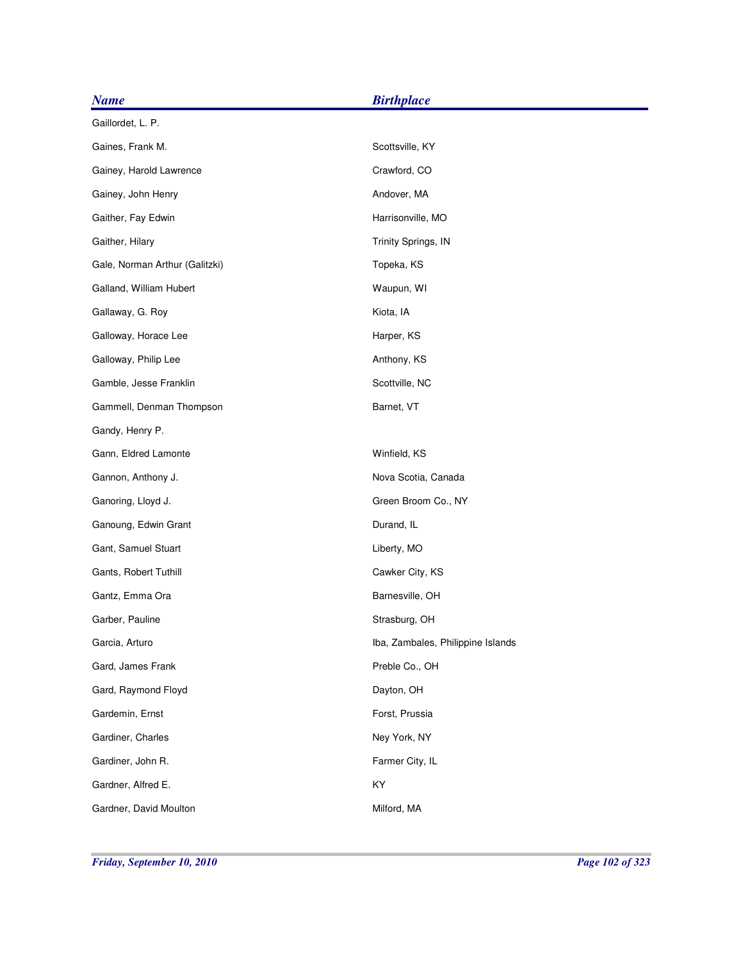| <b>Name</b>                    | <b>Birthplace</b>                 |
|--------------------------------|-----------------------------------|
| Gaillordet, L. P.              |                                   |
| Gaines, Frank M.               | Scottsville, KY                   |
| Gainey, Harold Lawrence        | Crawford, CO                      |
| Gainey, John Henry             | Andover, MA                       |
| Gaither, Fay Edwin             | Harrisonville, MO                 |
| Gaither, Hilary                | Trinity Springs, IN               |
| Gale, Norman Arthur (Galitzki) | Topeka, KS                        |
| Galland, William Hubert        | Waupun, WI                        |
| Gallaway, G. Roy               | Kiota, IA                         |
| Galloway, Horace Lee           | Harper, KS                        |
| Galloway, Philip Lee           | Anthony, KS                       |
| Gamble, Jesse Franklin         | Scottville, NC                    |
| Gammell, Denman Thompson       | Barnet, VT                        |
| Gandy, Henry P.                |                                   |
| Gann, Eldred Lamonte           | Winfield, KS                      |
| Gannon, Anthony J.             | Nova Scotia, Canada               |
| Ganoring, Lloyd J.             | Green Broom Co., NY               |
| Ganoung, Edwin Grant           | Durand, IL                        |
| Gant, Samuel Stuart            | Liberty, MO                       |
| Gants, Robert Tuthill          | Cawker City, KS                   |
| Gantz, Emma Ora                | Barnesville, OH                   |
| Garber, Pauline                | Strasburg, OH                     |
| Garcia, Arturo                 | Iba, Zambales, Philippine Islands |
| Gard, James Frank              | Preble Co., OH                    |
| Gard, Raymond Floyd            | Dayton, OH                        |
| Gardemin, Ernst                | Forst, Prussia                    |
| Gardiner, Charles              | Ney York, NY                      |
| Gardiner, John R.              | Farmer City, IL                   |
| Gardner, Alfred E.             | KY                                |
| Gardner, David Moulton         | Milford, MA                       |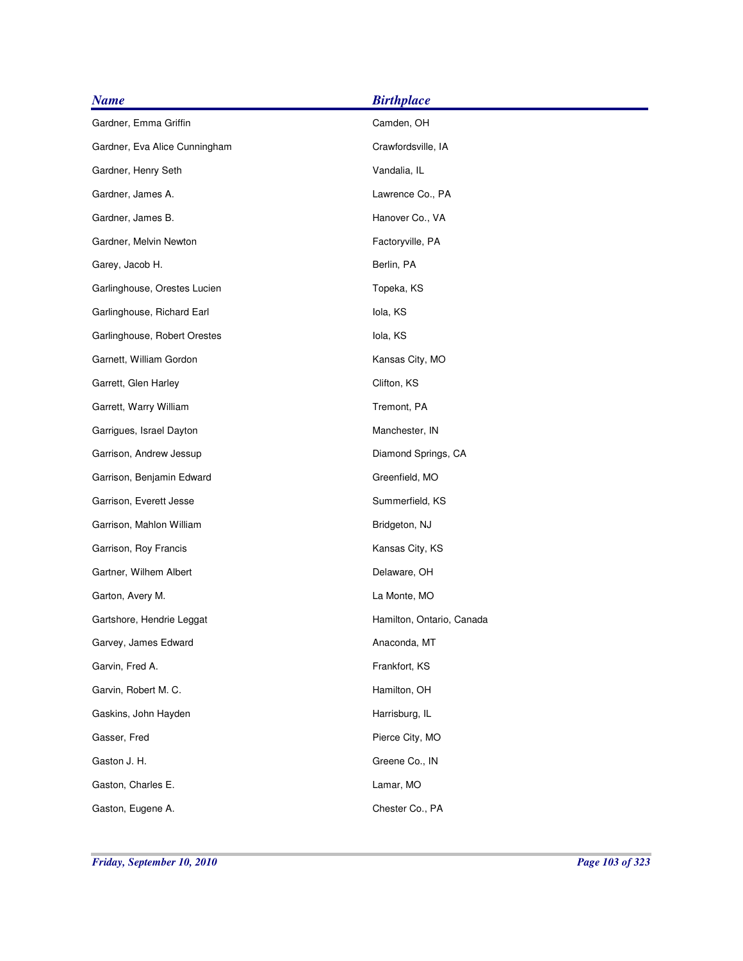| <b>Name</b>                   | <b>Birthplace</b>         |
|-------------------------------|---------------------------|
| Gardner, Emma Griffin         | Camden, OH                |
| Gardner, Eva Alice Cunningham | Crawfordsville, IA        |
| Gardner, Henry Seth           | Vandalia, IL              |
| Gardner, James A.             | Lawrence Co., PA          |
| Gardner, James B.             | Hanover Co., VA           |
| Gardner, Melvin Newton        | Factoryville, PA          |
| Garey, Jacob H.               | Berlin, PA                |
| Garlinghouse, Orestes Lucien  | Topeka, KS                |
| Garlinghouse, Richard Earl    | lola, KS                  |
| Garlinghouse, Robert Orestes  | lola, KS                  |
| Garnett, William Gordon       | Kansas City, MO           |
| Garrett, Glen Harley          | Clifton, KS               |
| Garrett, Warry William        | Tremont, PA               |
| Garrigues, Israel Dayton      | Manchester, IN            |
| Garrison, Andrew Jessup       | Diamond Springs, CA       |
| Garrison, Benjamin Edward     | Greenfield, MO            |
| Garrison, Everett Jesse       | Summerfield, KS           |
| Garrison, Mahlon William      | Bridgeton, NJ             |
| Garrison, Roy Francis         | Kansas City, KS           |
| Gartner, Wilhem Albert        | Delaware, OH              |
| Garton, Avery M.              | La Monte, MO              |
| Gartshore, Hendrie Leggat     | Hamilton, Ontario, Canada |
| Garvey, James Edward          | Anaconda, MT              |
| Garvin, Fred A.               | Frankfort, KS             |
| Garvin, Robert M. C.          | Hamilton, OH              |
| Gaskins, John Hayden          | Harrisburg, IL            |
| Gasser, Fred                  | Pierce City, MO           |
| Gaston J. H.                  | Greene Co., IN            |
| Gaston, Charles E.            | Lamar, MO                 |
| Gaston, Eugene A.             | Chester Co., PA           |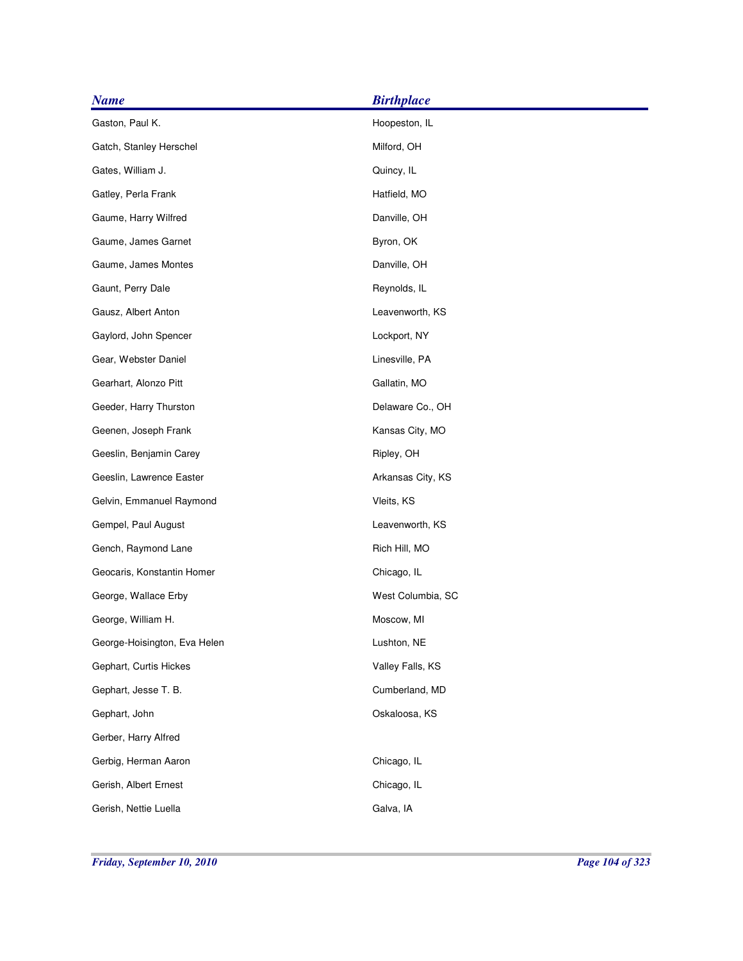| <b>Name</b>                  | <b>Birthplace</b> |
|------------------------------|-------------------|
| Gaston, Paul K.              | Hoopeston, IL     |
| Gatch, Stanley Herschel      | Milford, OH       |
| Gates, William J.            | Quincy, IL        |
| Gatley, Perla Frank          | Hatfield, MO      |
| Gaume, Harry Wilfred         | Danville, OH      |
| Gaume, James Garnet          | Byron, OK         |
| Gaume, James Montes          | Danville, OH      |
| Gaunt, Perry Dale            | Reynolds, IL      |
| Gausz, Albert Anton          | Leavenworth, KS   |
| Gaylord, John Spencer        | Lockport, NY      |
| Gear, Webster Daniel         | Linesville, PA    |
| Gearhart, Alonzo Pitt        | Gallatin, MO      |
| Geeder, Harry Thurston       | Delaware Co., OH  |
| Geenen, Joseph Frank         | Kansas City, MO   |
| Geeslin, Benjamin Carey      | Ripley, OH        |
| Geeslin, Lawrence Easter     | Arkansas City, KS |
| Gelvin, Emmanuel Raymond     | Vleits, KS        |
| Gempel, Paul August          | Leavenworth, KS   |
| Gench, Raymond Lane          | Rich Hill, MO     |
| Geocaris, Konstantin Homer   | Chicago, IL       |
| George, Wallace Erby         | West Columbia, SC |
| George, William H.           | Moscow, MI        |
| George-Hoisington, Eva Helen | Lushton, NE       |
| Gephart, Curtis Hickes       | Valley Falls, KS  |
| Gephart, Jesse T. B.         | Cumberland, MD    |
| Gephart, John                | Oskaloosa, KS     |
| Gerber, Harry Alfred         |                   |
| Gerbig, Herman Aaron         | Chicago, IL       |
| Gerish, Albert Ernest        | Chicago, IL       |
| Gerish, Nettie Luella        | Galva, IA         |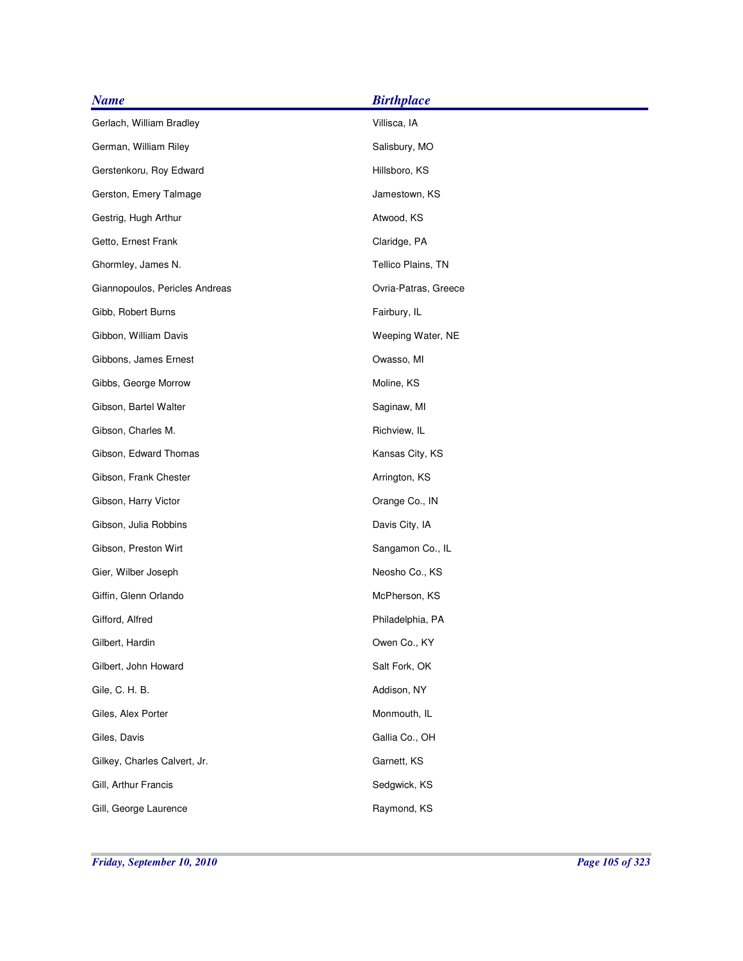| <b>Name</b>                    | <b>Birthplace</b>    |
|--------------------------------|----------------------|
| Gerlach, William Bradley       | Villisca, IA         |
| German, William Riley          | Salisbury, MO        |
| Gerstenkoru, Roy Edward        | Hillsboro, KS        |
| Gerston, Emery Talmage         | Jamestown, KS        |
| Gestrig, Hugh Arthur           | Atwood, KS           |
| Getto, Ernest Frank            | Claridge, PA         |
| Ghormley, James N.             | Tellico Plains, TN   |
| Giannopoulos, Pericles Andreas | Ovria-Patras, Greece |
| Gibb, Robert Burns             | Fairbury, IL         |
| Gibbon, William Davis          | Weeping Water, NE    |
| Gibbons, James Ernest          | Owasso, MI           |
| Gibbs, George Morrow           | Moline, KS           |
| Gibson, Bartel Walter          | Saginaw, MI          |
| Gibson, Charles M.             | Richview, IL         |
| Gibson, Edward Thomas          | Kansas City, KS      |
| Gibson, Frank Chester          | Arrington, KS        |
| Gibson, Harry Victor           | Orange Co., IN       |
| Gibson, Julia Robbins          | Davis City, IA       |
| Gibson, Preston Wirt           | Sangamon Co., IL     |
| Gier, Wilber Joseph            | Neosho Co., KS       |
| Giffin, Glenn Orlando          | McPherson, KS        |
| Gifford, Alfred                | Philadelphia, PA     |
| Gilbert, Hardin                | Owen Co., KY         |
| Gilbert, John Howard           | Salt Fork, OK        |
| Gile, C. H. B.                 | Addison, NY          |
| Giles, Alex Porter             | Monmouth, IL         |
| Giles, Davis                   | Gallia Co., OH       |
| Gilkey, Charles Calvert, Jr.   | Garnett, KS          |
| Gill, Arthur Francis           | Sedgwick, KS         |
| Gill, George Laurence          | Raymond, KS          |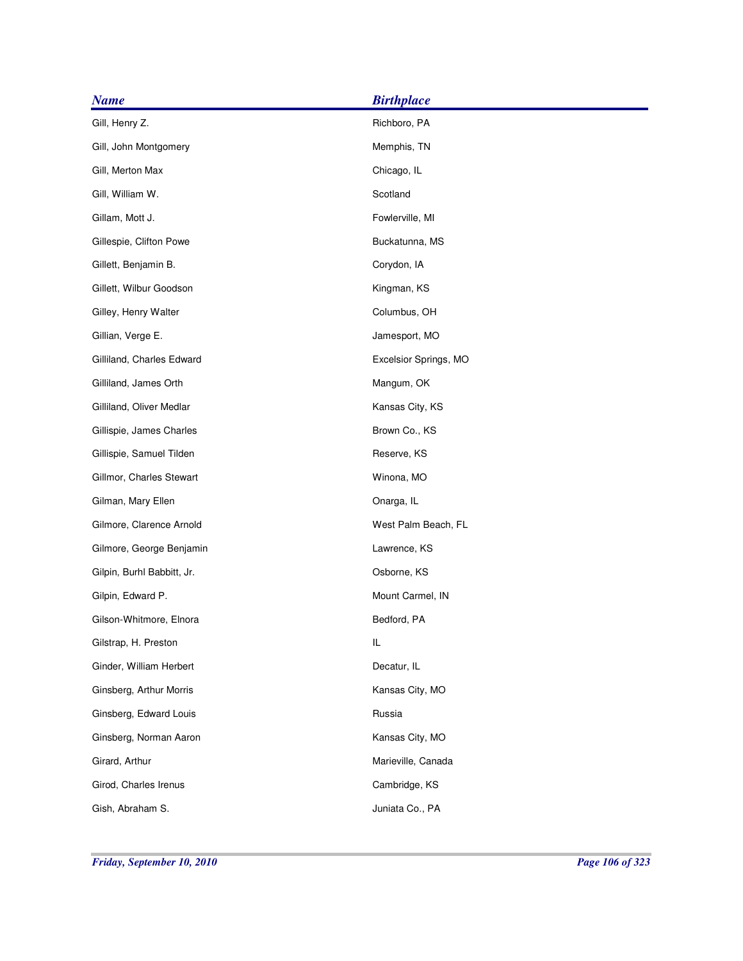| <b>Name</b>                | <b>Birthplace</b>     |
|----------------------------|-----------------------|
| Gill, Henry Z.             | Richboro, PA          |
| Gill, John Montgomery      | Memphis, TN           |
| Gill, Merton Max           | Chicago, IL           |
| Gill, William W.           | Scotland              |
| Gillam, Mott J.            | Fowlerville, MI       |
| Gillespie, Clifton Powe    | Buckatunna, MS        |
| Gillett, Benjamin B.       | Corydon, IA           |
| Gillett, Wilbur Goodson    | Kingman, KS           |
| Gilley, Henry Walter       | Columbus, OH          |
| Gillian, Verge E.          | Jamesport, MO         |
| Gilliland, Charles Edward  | Excelsior Springs, MO |
| Gilliland, James Orth      | Mangum, OK            |
| Gilliland, Oliver Medlar   | Kansas City, KS       |
| Gillispie, James Charles   | Brown Co., KS         |
| Gillispie, Samuel Tilden   | Reserve, KS           |
| Gillmor, Charles Stewart   | Winona, MO            |
| Gilman, Mary Ellen         | Onarga, IL            |
| Gilmore, Clarence Arnold   | West Palm Beach, FL   |
| Gilmore, George Benjamin   | Lawrence, KS          |
| Gilpin, Burhl Babbitt, Jr. | Osborne, KS           |
| Gilpin, Edward P.          | Mount Carmel, IN      |
| Gilson-Whitmore, Elnora    | Bedford, PA           |
| Gilstrap, H. Preston       | IL                    |
| Ginder, William Herbert    | Decatur, IL           |
| Ginsberg, Arthur Morris    | Kansas City, MO       |
| Ginsberg, Edward Louis     | Russia                |
| Ginsberg, Norman Aaron     | Kansas City, MO       |
| Girard, Arthur             | Marieville, Canada    |
| Girod, Charles Irenus      | Cambridge, KS         |
| Gish, Abraham S.           | Juniata Co., PA       |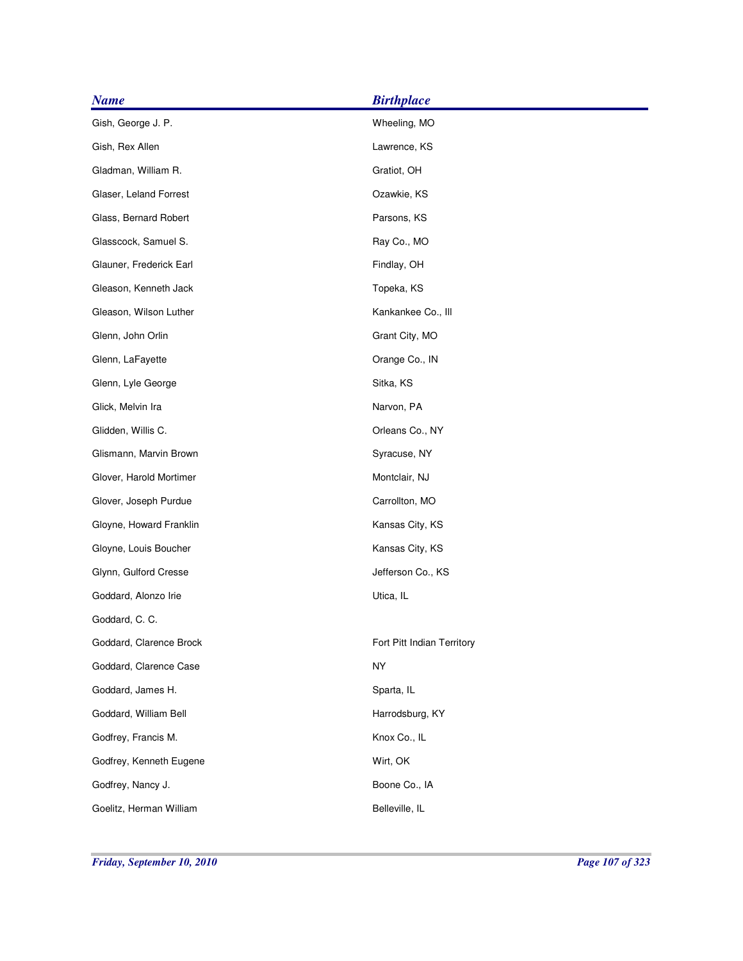| <b>Name</b>             | <b>Birthplace</b>          |
|-------------------------|----------------------------|
| Gish, George J. P.      | Wheeling, MO               |
| Gish, Rex Allen         | Lawrence, KS               |
| Gladman, William R.     | Gratiot, OH                |
| Glaser, Leland Forrest  | Ozawkie, KS                |
| Glass, Bernard Robert   | Parsons, KS                |
| Glasscock, Samuel S.    | Ray Co., MO                |
| Glauner, Frederick Earl | Findlay, OH                |
| Gleason, Kenneth Jack   | Topeka, KS                 |
| Gleason, Wilson Luther  | Kankankee Co., Ill         |
| Glenn, John Orlin       | Grant City, MO             |
| Glenn, LaFayette        | Orange Co., IN             |
| Glenn, Lyle George      | Sitka, KS                  |
| Glick, Melvin Ira       | Narvon, PA                 |
| Glidden, Willis C.      | Orleans Co., NY            |
| Glismann, Marvin Brown  | Syracuse, NY               |
| Glover, Harold Mortimer | Montclair, NJ              |
| Glover, Joseph Purdue   | Carrollton, MO             |
| Gloyne, Howard Franklin | Kansas City, KS            |
| Gloyne, Louis Boucher   | Kansas City, KS            |
| Glynn, Gulford Cresse   | Jefferson Co., KS          |
| Goddard, Alonzo Irie    | Utica, IL                  |
| Goddard, C. C.          |                            |
| Goddard, Clarence Brock | Fort Pitt Indian Territory |
| Goddard, Clarence Case  | <b>NY</b>                  |
| Goddard, James H.       | Sparta, IL                 |
| Goddard, William Bell   | Harrodsburg, KY            |
| Godfrey, Francis M.     | Knox Co., IL               |
| Godfrey, Kenneth Eugene | Wirt, OK                   |
| Godfrey, Nancy J.       | Boone Co., IA              |
| Goelitz, Herman William | Belleville, IL             |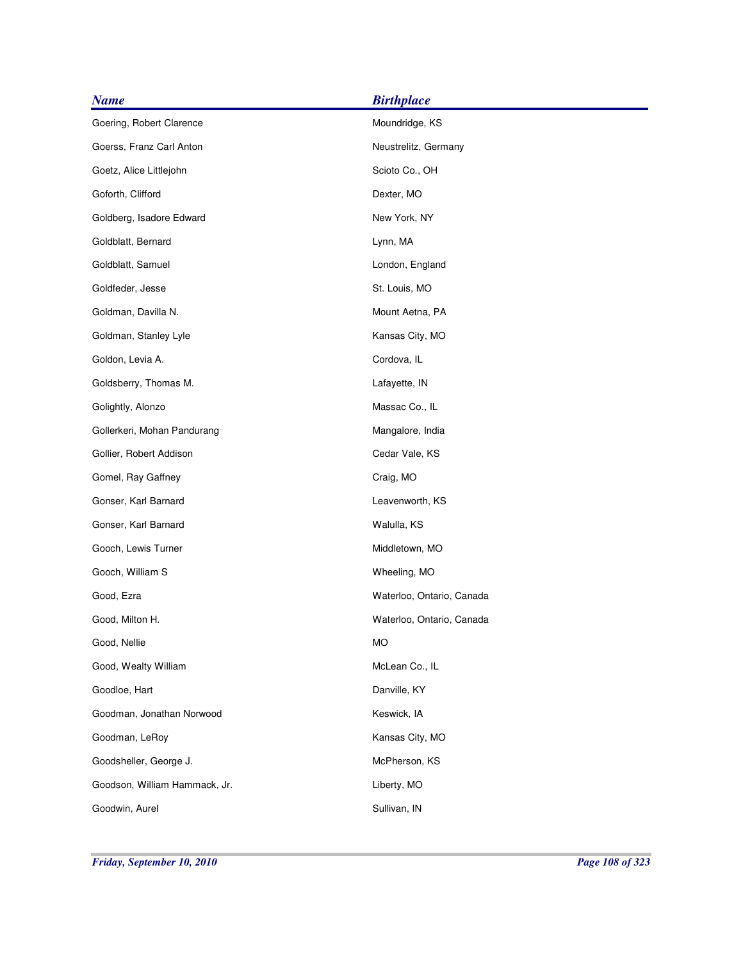| <b>Name</b>                   | <b>Birthplace</b>         |
|-------------------------------|---------------------------|
| Goering, Robert Clarence      | Moundridge, KS            |
| Goerss, Franz Carl Anton      | Neustrelitz, Germany      |
| Goetz, Alice Littlejohn       | Scioto Co., OH            |
| Goforth, Clifford             | Dexter, MO                |
| Goldberg, Isadore Edward      | New York, NY              |
| Goldblatt, Bernard            | Lynn, MA                  |
| Goldblatt, Samuel             | London, England           |
| Goldfeder, Jesse              | St. Louis, MO             |
| Goldman, Davilla N.           | Mount Aetna, PA           |
| Goldman, Stanley Lyle         | Kansas City, MO           |
| Goldon, Levia A.              | Cordova, IL               |
| Goldsberry, Thomas M.         | Lafayette, IN             |
| Golightly, Alonzo             | Massac Co., IL            |
| Gollerkeri, Mohan Pandurang   | Mangalore, India          |
| Gollier, Robert Addison       | Cedar Vale, KS            |
| Gomel, Ray Gaffney            | Craig, MO                 |
| Gonser, Karl Barnard          | Leavenworth, KS           |
| Gonser, Karl Barnard          | Walulla, KS               |
| Gooch, Lewis Turner           | Middletown, MO            |
| Gooch, William S              | Wheeling, MO              |
| Good, Ezra                    | Waterloo, Ontario, Canada |
| Good, Milton H.               | Waterloo, Ontario, Canada |
| Good, Nellie                  | MO                        |
| Good, Wealty William          | McLean Co., IL            |
| Goodloe, Hart                 | Danville, KY              |
| Goodman, Jonathan Norwood     | Keswick, IA               |
| Goodman, LeRoy                | Kansas City, MO           |
| Goodsheller, George J.        | McPherson, KS             |
| Goodson, William Hammack, Jr. | Liberty, MO               |
| Goodwin, Aurel                | Sullivan, IN              |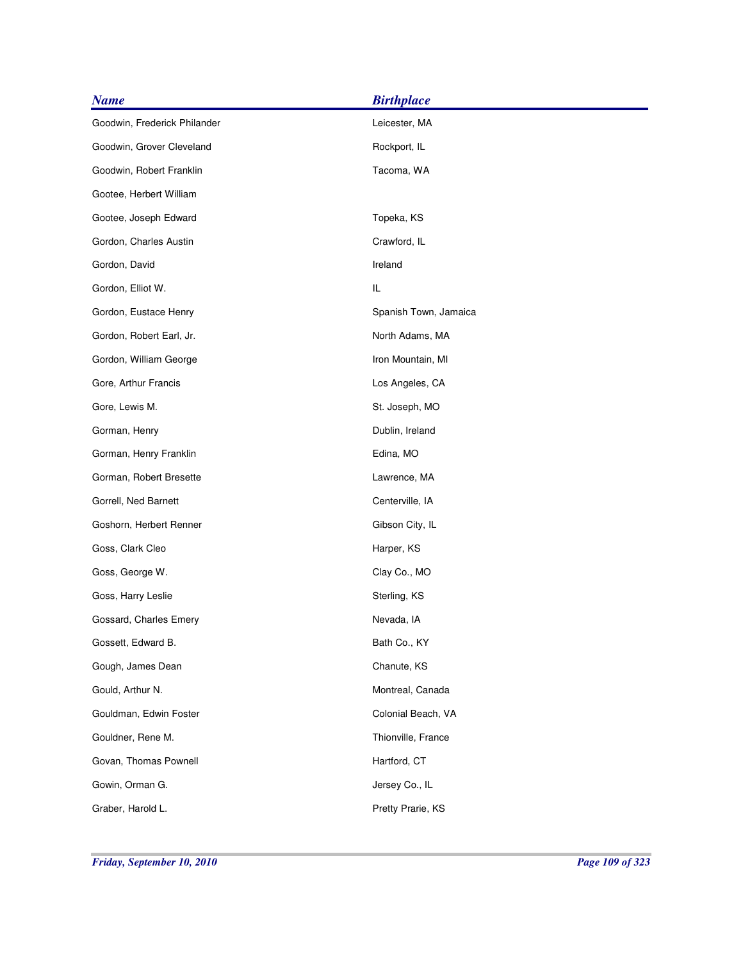| <b>Name</b>                  | <b>Birthplace</b>     |
|------------------------------|-----------------------|
| Goodwin, Frederick Philander | Leicester, MA         |
| Goodwin, Grover Cleveland    | Rockport, IL          |
| Goodwin, Robert Franklin     | Tacoma, WA            |
| Gootee, Herbert William      |                       |
| Gootee, Joseph Edward        | Topeka, KS            |
| Gordon, Charles Austin       | Crawford, IL          |
| Gordon, David                | Ireland               |
| Gordon, Elliot W.            | IL                    |
| Gordon, Eustace Henry        | Spanish Town, Jamaica |
| Gordon, Robert Earl, Jr.     | North Adams, MA       |
| Gordon, William George       | Iron Mountain, MI     |
| Gore, Arthur Francis         | Los Angeles, CA       |
| Gore, Lewis M.               | St. Joseph, MO        |
| Gorman, Henry                | Dublin, Ireland       |
| Gorman, Henry Franklin       | Edina, MO             |
| Gorman, Robert Bresette      | Lawrence, MA          |
| Gorrell, Ned Barnett         | Centerville, IA       |
| Goshorn, Herbert Renner      | Gibson City, IL       |
| Goss, Clark Cleo             | Harper, KS            |
| Goss, George W.              | Clay Co., MO          |
| Goss, Harry Leslie           | Sterling, KS          |
| Gossard, Charles Emery       | Nevada, IA            |
| Gossett, Edward B.           | Bath Co., KY          |
| Gough, James Dean            | Chanute, KS           |
| Gould, Arthur N.             | Montreal, Canada      |
| Gouldman, Edwin Foster       | Colonial Beach, VA    |
| Gouldner, Rene M.            | Thionville, France    |
| Govan, Thomas Pownell        | Hartford, CT          |
| Gowin, Orman G.              | Jersey Co., IL        |
| Graber, Harold L.            | Pretty Prarie, KS     |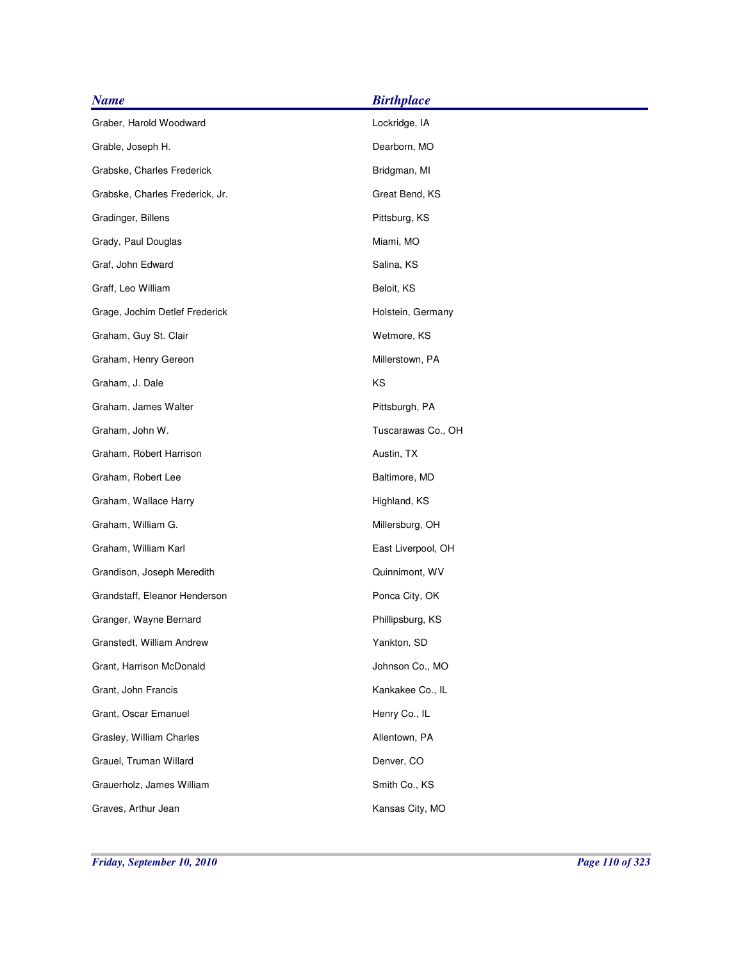| <b>Name</b>                     | <b>Birthplace</b>  |
|---------------------------------|--------------------|
| Graber, Harold Woodward         | Lockridge, IA      |
| Grable, Joseph H.               | Dearborn, MO       |
| Grabske, Charles Frederick      | Bridgman, MI       |
| Grabske, Charles Frederick, Jr. | Great Bend, KS     |
| Gradinger, Billens              | Pittsburg, KS      |
| Grady, Paul Douglas             | Miami, MO          |
| Graf, John Edward               | Salina, KS         |
| Graff, Leo William              | Beloit, KS         |
| Grage, Jochim Detlef Frederick  | Holstein, Germany  |
| Graham, Guy St. Clair           | Wetmore, KS        |
| Graham, Henry Gereon            | Millerstown, PA    |
| Graham, J. Dale                 | KS                 |
| Graham, James Walter            | Pittsburgh, PA     |
| Graham, John W.                 | Tuscarawas Co., OH |
| Graham, Robert Harrison         | Austin, TX         |
| Graham, Robert Lee              | Baltimore, MD      |
| Graham, Wallace Harry           | Highland, KS       |
| Graham, William G.              | Millersburg, OH    |
| Graham, William Karl            | East Liverpool, OH |
| Grandison, Joseph Meredith      | Quinnimont, WV     |
| Grandstaff, Eleanor Henderson   | Ponca City, OK     |
| Granger, Wayne Bernard          | Phillipsburg, KS   |
| Granstedt, William Andrew       | Yankton, SD        |
| Grant, Harrison McDonald        | Johnson Co., MO    |
| Grant, John Francis             | Kankakee Co., IL   |
| Grant, Oscar Emanuel            | Henry Co., IL      |
| Grasley, William Charles        | Allentown, PA      |
| Grauel, Truman Willard          | Denver, CO         |
| Grauerholz, James William       | Smith Co., KS      |
| Graves, Arthur Jean             | Kansas City, MO    |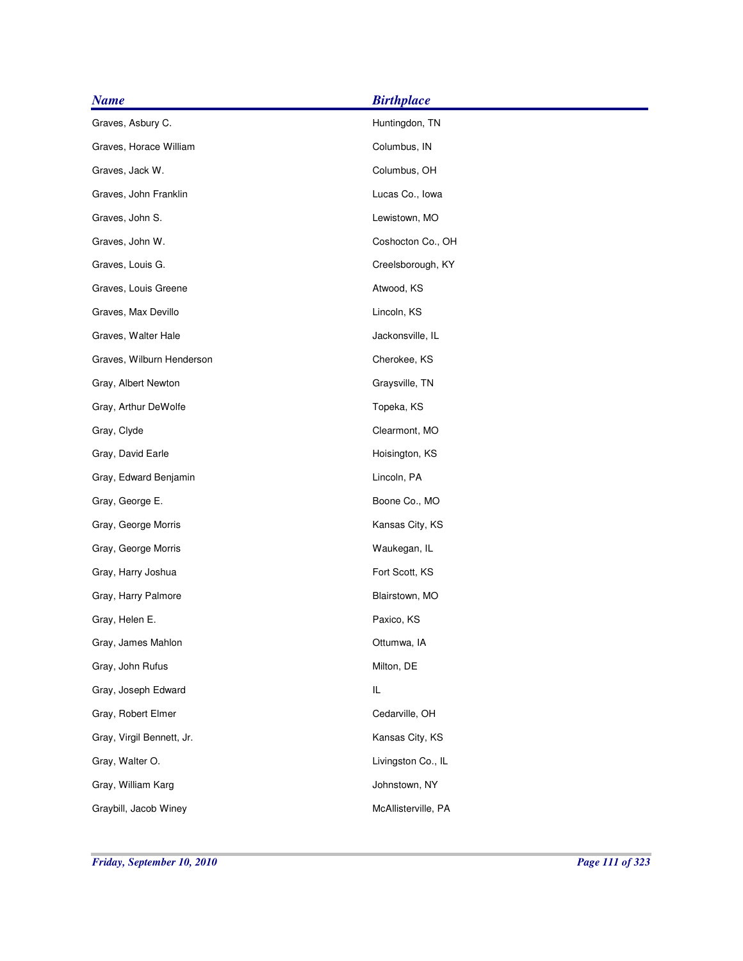| <b>Name</b>               | <b>Birthplace</b>   |
|---------------------------|---------------------|
| Graves, Asbury C.         | Huntingdon, TN      |
| Graves, Horace William    | Columbus, IN        |
| Graves, Jack W.           | Columbus, OH        |
| Graves, John Franklin     | Lucas Co., Iowa     |
| Graves, John S.           | Lewistown, MO       |
| Graves, John W.           | Coshocton Co., OH   |
| Graves, Louis G.          | Creelsborough, KY   |
| Graves, Louis Greene      | Atwood, KS          |
| Graves, Max Devillo       | Lincoln, KS         |
| Graves, Walter Hale       | Jackonsville, IL    |
| Graves, Wilburn Henderson | Cherokee, KS        |
| Gray, Albert Newton       | Graysville, TN      |
| Gray, Arthur DeWolfe      | Topeka, KS          |
| Gray, Clyde               | Clearmont, MO       |
| Gray, David Earle         | Hoisington, KS      |
| Gray, Edward Benjamin     | Lincoln, PA         |
| Gray, George E.           | Boone Co., MO       |
| Gray, George Morris       | Kansas City, KS     |
| Gray, George Morris       | Waukegan, IL        |
| Gray, Harry Joshua        | Fort Scott, KS      |
| Gray, Harry Palmore       | Blairstown, MO      |
| Gray, Helen E.            | Paxico, KS          |
| Gray, James Mahlon        | Ottumwa, IA         |
| Gray, John Rufus          | Milton, DE          |
| Gray, Joseph Edward       | IL                  |
| Gray, Robert Elmer        | Cedarville, OH      |
| Gray, Virgil Bennett, Jr. | Kansas City, KS     |
| Gray, Walter O.           | Livingston Co., IL  |
| Gray, William Karg        | Johnstown, NY       |
| Graybill, Jacob Winey     | McAllisterville, PA |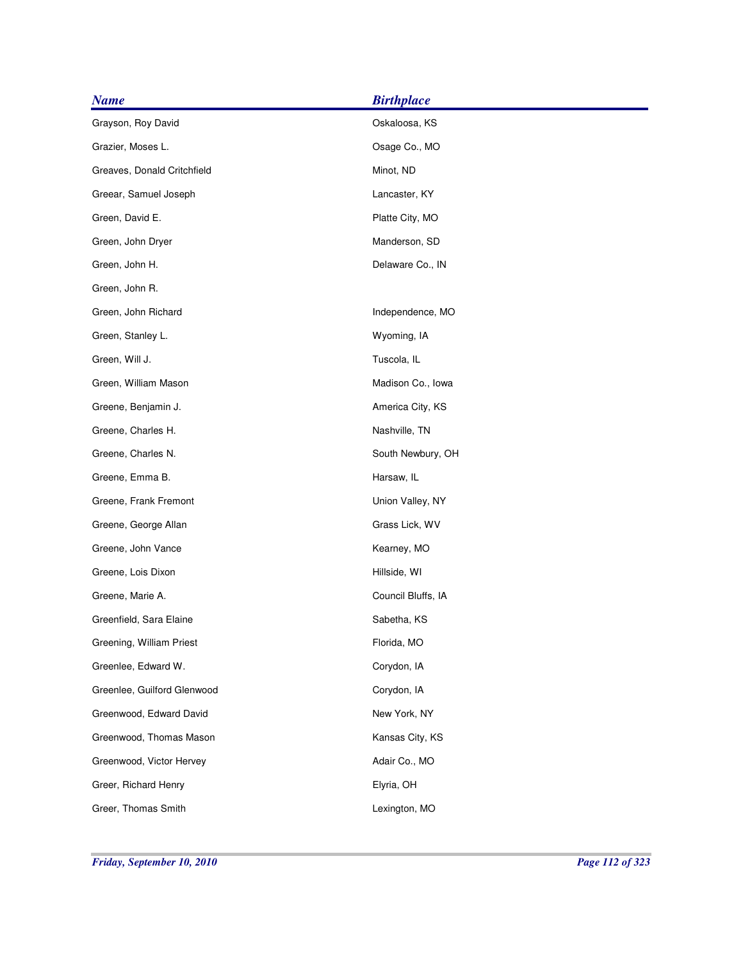| <b>Name</b>                 | <b>Birthplace</b>  |
|-----------------------------|--------------------|
| Grayson, Roy David          | Oskaloosa, KS      |
| Grazier, Moses L.           | Osage Co., MO      |
| Greaves, Donald Critchfield | Minot, ND          |
| Greear, Samuel Joseph       | Lancaster, KY      |
| Green, David E.             | Platte City, MO    |
| Green, John Dryer           | Manderson, SD      |
| Green, John H.              | Delaware Co., IN   |
| Green, John R.              |                    |
| Green, John Richard         | Independence, MO   |
| Green, Stanley L.           | Wyoming, IA        |
| Green, Will J.              | Tuscola, IL        |
| Green, William Mason        | Madison Co., Iowa  |
| Greene, Benjamin J.         | America City, KS   |
| Greene, Charles H.          | Nashville, TN      |
| Greene, Charles N.          | South Newbury, OH  |
| Greene, Emma B.             | Harsaw, IL         |
| Greene, Frank Fremont       | Union Valley, NY   |
| Greene, George Allan        | Grass Lick, WV     |
| Greene, John Vance          | Kearney, MO        |
| Greene, Lois Dixon          | Hillside, WI       |
| Greene, Marie A.            | Council Bluffs, IA |
| Greenfield, Sara Elaine     | Sabetha, KS        |
| Greening, William Priest    | Florida, MO        |
| Greenlee, Edward W.         | Corydon, IA        |
| Greenlee, Guilford Glenwood | Corydon, IA        |
| Greenwood, Edward David     | New York, NY       |
| Greenwood, Thomas Mason     | Kansas City, KS    |
| Greenwood, Victor Hervey    | Adair Co., MO      |
| Greer, Richard Henry        | Elyria, OH         |
| Greer, Thomas Smith         | Lexington, MO      |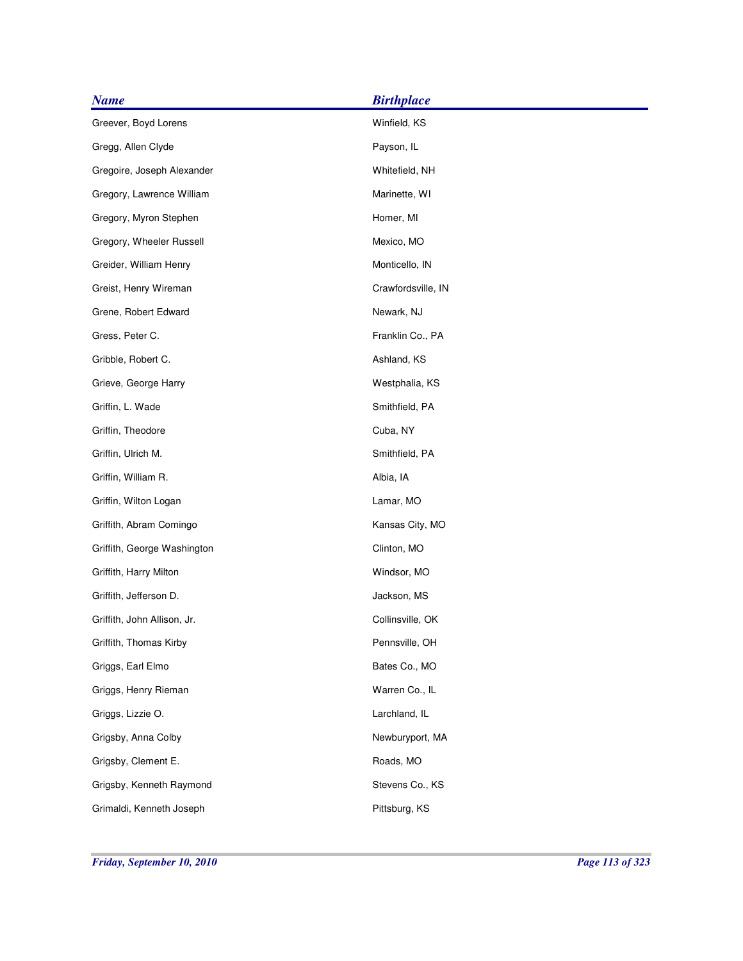| <b>Name</b>                 | <b>Birthplace</b>  |
|-----------------------------|--------------------|
| Greever, Boyd Lorens        | Winfield, KS       |
| Gregg, Allen Clyde          | Payson, IL         |
| Gregoire, Joseph Alexander  | Whitefield, NH     |
| Gregory, Lawrence William   | Marinette, WI      |
| Gregory, Myron Stephen      | Homer, MI          |
| Gregory, Wheeler Russell    | Mexico, MO         |
| Greider, William Henry      | Monticello, IN     |
| Greist, Henry Wireman       | Crawfordsville, IN |
| Grene, Robert Edward        | Newark, NJ         |
| Gress, Peter C.             | Franklin Co., PA   |
| Gribble, Robert C.          | Ashland, KS        |
| Grieve, George Harry        | Westphalia, KS     |
| Griffin, L. Wade            | Smithfield, PA     |
| Griffin, Theodore           | Cuba, NY           |
| Griffin, Ulrich M.          | Smithfield, PA     |
| Griffin, William R.         | Albia, IA          |
| Griffin, Wilton Logan       | Lamar, MO          |
| Griffith, Abram Comingo     | Kansas City, MO    |
| Griffith, George Washington | Clinton, MO        |
| Griffith, Harry Milton      | Windsor, MO        |
| Griffith, Jefferson D.      | Jackson, MS        |
| Griffith, John Allison, Jr. | Collinsville, OK   |
| Griffith, Thomas Kirby      | Pennsville, OH     |
| Griggs, Earl Elmo           | Bates Co., MO      |
| Griggs, Henry Rieman        | Warren Co., IL     |
| Griggs, Lizzie O.           | Larchland, IL      |
| Grigsby, Anna Colby         | Newburyport, MA    |
| Grigsby, Clement E.         | Roads, MO          |
| Grigsby, Kenneth Raymond    | Stevens Co., KS    |
| Grimaldi, Kenneth Joseph    | Pittsburg, KS      |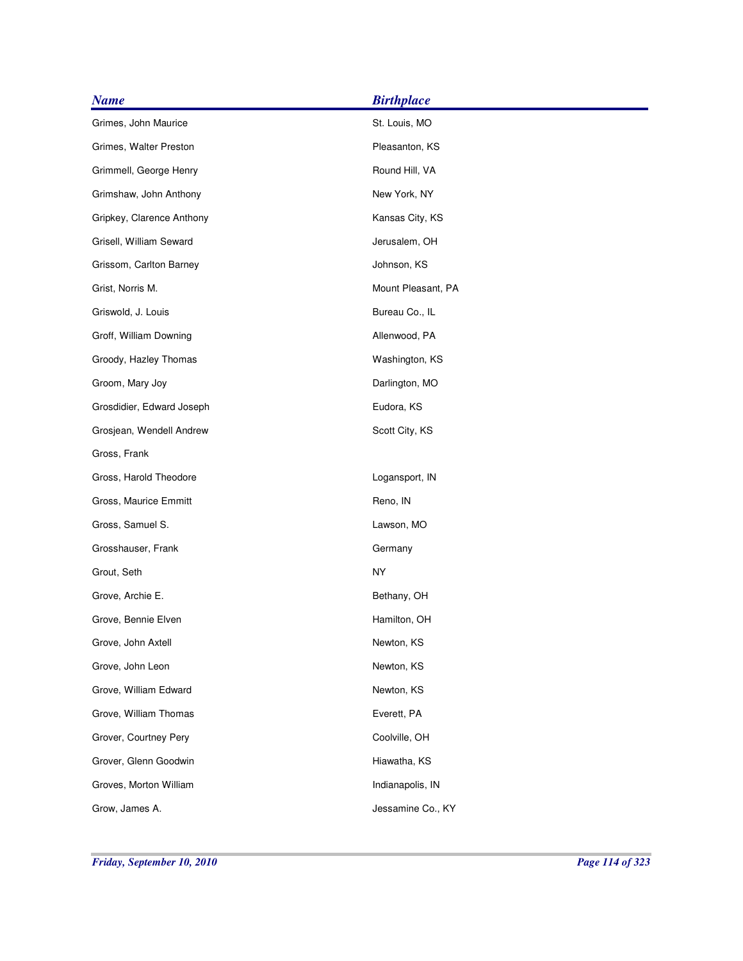| <b>Name</b>               | <b>Birthplace</b>  |
|---------------------------|--------------------|
| Grimes, John Maurice      | St. Louis, MO      |
| Grimes, Walter Preston    | Pleasanton, KS     |
| Grimmell, George Henry    | Round Hill, VA     |
| Grimshaw, John Anthony    | New York, NY       |
| Gripkey, Clarence Anthony | Kansas City, KS    |
| Grisell, William Seward   | Jerusalem, OH      |
| Grissom, Carlton Barney   | Johnson, KS        |
| Grist, Norris M.          | Mount Pleasant, PA |
| Griswold, J. Louis        | Bureau Co., IL     |
| Groff, William Downing    | Allenwood, PA      |
| Groody, Hazley Thomas     | Washington, KS     |
| Groom, Mary Joy           | Darlington, MO     |
| Grosdidier, Edward Joseph | Eudora, KS         |
| Grosjean, Wendell Andrew  | Scott City, KS     |
| Gross, Frank              |                    |
| Gross, Harold Theodore    | Logansport, IN     |
| Gross, Maurice Emmitt     | Reno, IN           |
| Gross, Samuel S.          | Lawson, MO         |
| Grosshauser, Frank        | Germany            |
| Grout, Seth               | <b>NY</b>          |
| Grove, Archie E.          | Bethany, OH        |
| Grove, Bennie Elven       | Hamilton, OH       |
| Grove, John Axtell        | Newton, KS         |
| Grove, John Leon          | Newton, KS         |
| Grove, William Edward     | Newton, KS         |
| Grove, William Thomas     | Everett, PA        |
| Grover, Courtney Pery     | Coolville, OH      |
| Grover, Glenn Goodwin     | Hiawatha, KS       |
| Groves, Morton William    | Indianapolis, IN   |
| Grow, James A.            | Jessamine Co., KY  |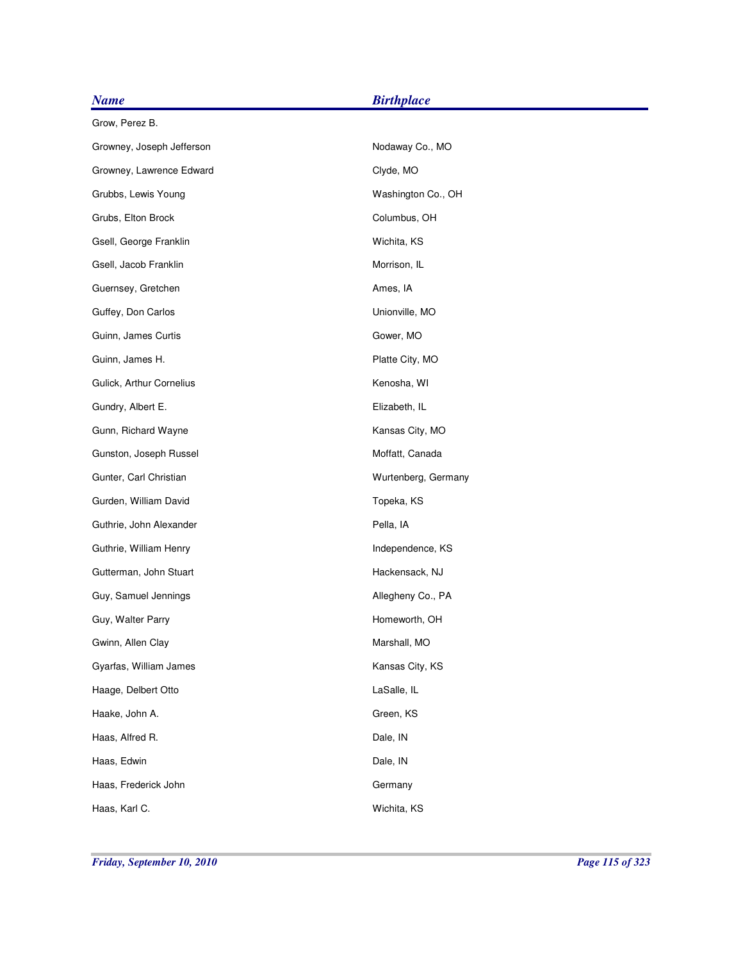| <b>Name</b>               | <b>Birthplace</b>   |
|---------------------------|---------------------|
| Grow, Perez B.            |                     |
| Growney, Joseph Jefferson | Nodaway Co., MO     |
| Growney, Lawrence Edward  | Clyde, MO           |
| Grubbs, Lewis Young       | Washington Co., OH  |
| Grubs, Elton Brock        | Columbus, OH        |
| Gsell, George Franklin    | Wichita, KS         |
| Gsell, Jacob Franklin     | Morrison, IL        |
| Guernsey, Gretchen        | Ames, IA            |
| Guffey, Don Carlos        | Unionville, MO      |
| Guinn, James Curtis       | Gower, MO           |
| Guinn, James H.           | Platte City, MO     |
| Gulick, Arthur Cornelius  | Kenosha, WI         |
| Gundry, Albert E.         | Elizabeth, IL       |
| Gunn, Richard Wayne       | Kansas City, MO     |
| Gunston, Joseph Russel    | Moffatt, Canada     |
| Gunter, Carl Christian    | Wurtenberg, Germany |
| Gurden, William David     | Topeka, KS          |
| Guthrie, John Alexander   | Pella, IA           |
| Guthrie, William Henry    | Independence, KS    |
| Gutterman, John Stuart    | Hackensack, NJ      |
| Guy, Samuel Jennings      | Allegheny Co., PA   |
| Guy, Walter Parry         | Homeworth, OH       |
| Gwinn, Allen Clay         | Marshall, MO        |
| Gyarfas, William James    | Kansas City, KS     |
| Haage, Delbert Otto       | LaSalle, IL         |
| Haake, John A.            | Green, KS           |
| Haas, Alfred R.           | Dale, IN            |
| Haas, Edwin               | Dale, IN            |
| Haas, Frederick John      | Germany             |
| Haas, Karl C.             | Wichita, KS         |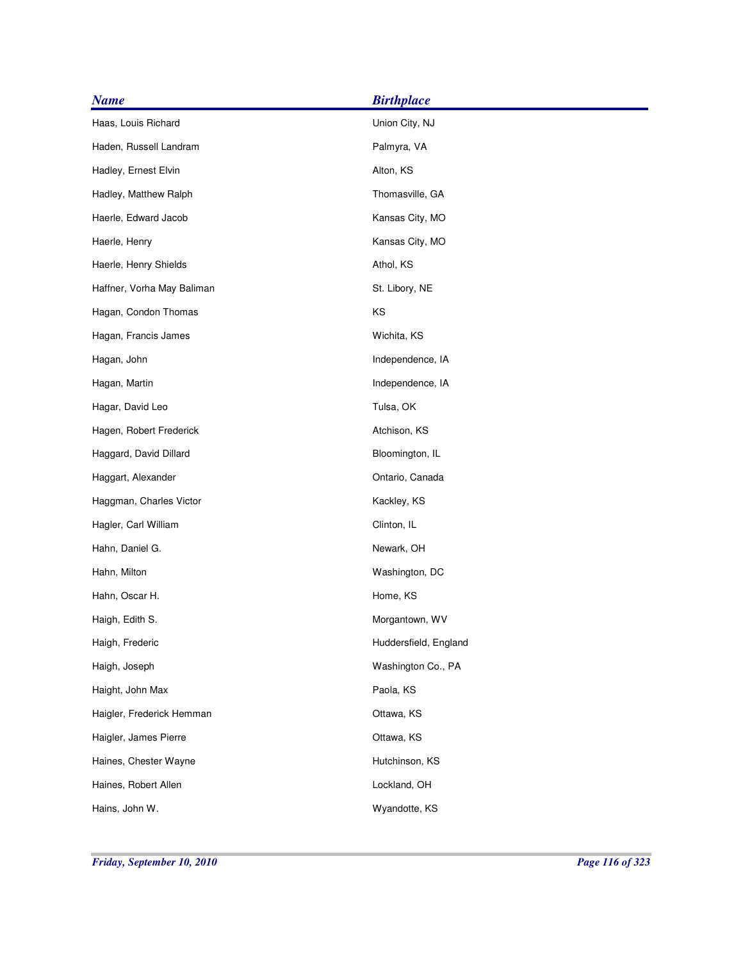| <b>Name</b>                | <b>Birthplace</b>     |
|----------------------------|-----------------------|
| Haas, Louis Richard        | Union City, NJ        |
| Haden, Russell Landram     | Palmyra, VA           |
| Hadley, Ernest Elvin       | Alton, KS             |
| Hadley, Matthew Ralph      | Thomasville, GA       |
| Haerle, Edward Jacob       | Kansas City, MO       |
| Haerle, Henry              | Kansas City, MO       |
| Haerle, Henry Shields      | Athol, KS             |
| Haffner, Vorha May Baliman | St. Libory, NE        |
| Hagan, Condon Thomas       | KS                    |
| Hagan, Francis James       | Wichita, KS           |
| Hagan, John                | Independence, IA      |
| Hagan, Martin              | Independence, IA      |
| Hagar, David Leo           | Tulsa, OK             |
| Hagen, Robert Frederick    | Atchison, KS          |
| Haggard, David Dillard     | Bloomington, IL       |
| Haggart, Alexander         | Ontario, Canada       |
| Haggman, Charles Victor    | Kackley, KS           |
| Hagler, Carl William       | Clinton, IL           |
| Hahn, Daniel G.            | Newark, OH            |
| Hahn, Milton               | Washington, DC        |
| Hahn, Oscar H.             | Home, KS              |
| Haigh, Edith S.            | Morgantown, WV        |
| Haigh, Frederic            | Huddersfield, England |
| Haigh, Joseph              | Washington Co., PA    |
| Haight, John Max           | Paola, KS             |
| Haigler, Frederick Hemman  | Ottawa, KS            |
| Haigler, James Pierre      | Ottawa, KS            |
| Haines, Chester Wayne      | Hutchinson, KS        |
| Haines, Robert Allen       | Lockland, OH          |
| Hains, John W.             | Wyandotte, KS         |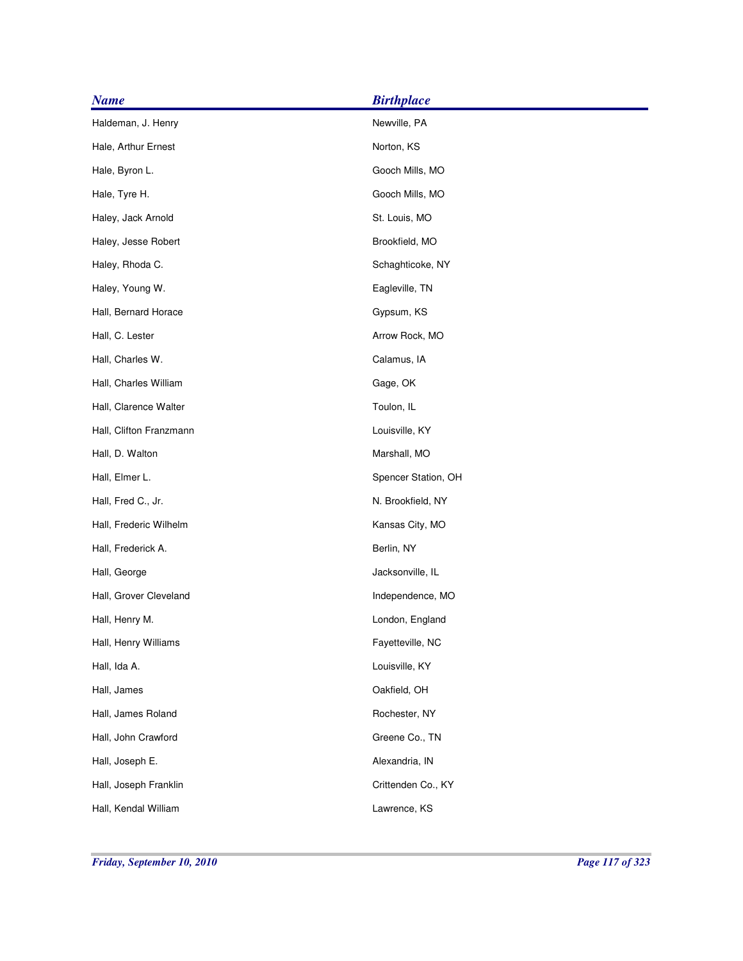| <b>Name</b>             | <b>Birthplace</b>   |
|-------------------------|---------------------|
| Haldeman, J. Henry      | Newville, PA        |
| Hale, Arthur Ernest     | Norton, KS          |
| Hale, Byron L.          | Gooch Mills, MO     |
| Hale, Tyre H.           | Gooch Mills, MO     |
| Haley, Jack Arnold      | St. Louis, MO       |
| Haley, Jesse Robert     | Brookfield, MO      |
| Haley, Rhoda C.         | Schaghticoke, NY    |
| Haley, Young W.         | Eagleville, TN      |
| Hall, Bernard Horace    | Gypsum, KS          |
| Hall, C. Lester         | Arrow Rock, MO      |
| Hall, Charles W.        | Calamus, IA         |
| Hall, Charles William   | Gage, OK            |
| Hall, Clarence Walter   | Toulon, IL          |
| Hall, Clifton Franzmann | Louisville, KY      |
| Hall, D. Walton         | Marshall, MO        |
| Hall, Elmer L.          | Spencer Station, OH |
| Hall, Fred C., Jr.      | N. Brookfield, NY   |
| Hall, Frederic Wilhelm  | Kansas City, MO     |
| Hall, Frederick A.      | Berlin, NY          |
| Hall, George            | Jacksonville, IL    |
| Hall, Grover Cleveland  | Independence, MO    |
| Hall, Henry M.          | London, England     |
| Hall, Henry Williams    | Fayetteville, NC    |
| Hall, Ida A.            | Louisville, KY      |
| Hall, James             | Oakfield, OH        |
| Hall, James Roland      | Rochester, NY       |
| Hall, John Crawford     | Greene Co., TN      |
| Hall, Joseph E.         | Alexandria, IN      |
| Hall, Joseph Franklin   | Crittenden Co., KY  |
| Hall, Kendal William    | Lawrence, KS        |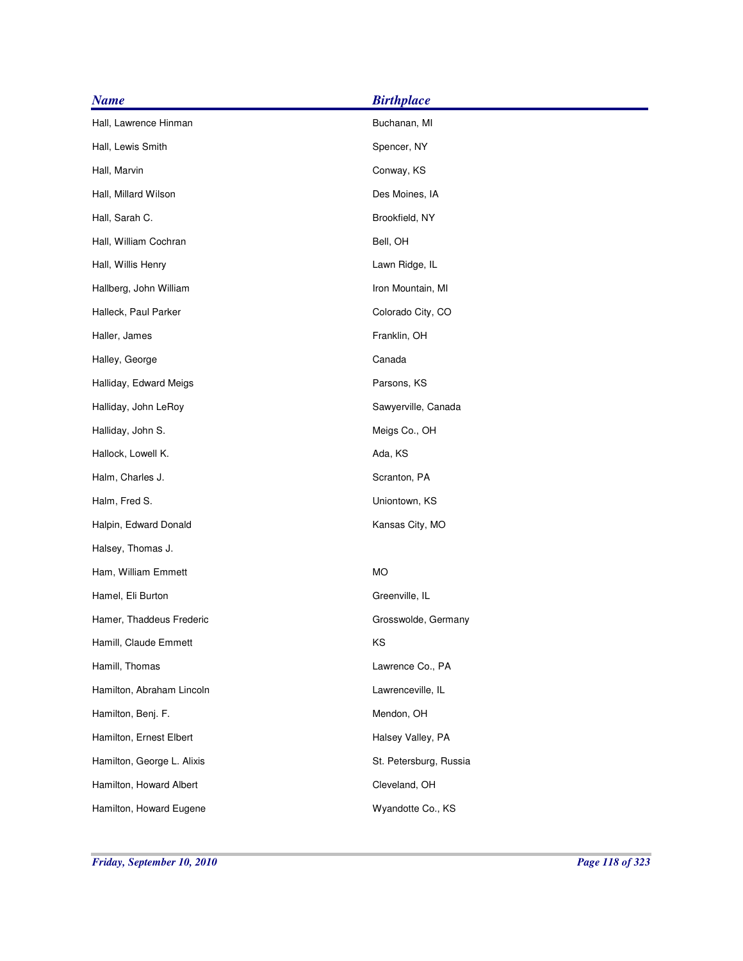| <b>Name</b>                | <b>Birthplace</b>      |
|----------------------------|------------------------|
| Hall, Lawrence Hinman      | Buchanan, MI           |
| Hall, Lewis Smith          | Spencer, NY            |
| Hall, Marvin               | Conway, KS             |
| Hall, Millard Wilson       | Des Moines, IA         |
| Hall, Sarah C.             | Brookfield, NY         |
| Hall, William Cochran      | Bell, OH               |
| Hall, Willis Henry         | Lawn Ridge, IL         |
| Hallberg, John William     | Iron Mountain, MI      |
| Halleck, Paul Parker       | Colorado City, CO      |
| Haller, James              | Franklin, OH           |
| Halley, George             | Canada                 |
| Halliday, Edward Meigs     | Parsons, KS            |
| Halliday, John LeRoy       | Sawyerville, Canada    |
| Halliday, John S.          | Meigs Co., OH          |
| Hallock, Lowell K.         | Ada, KS                |
| Halm, Charles J.           | Scranton, PA           |
| Halm, Fred S.              | Uniontown, KS          |
| Halpin, Edward Donald      | Kansas City, MO        |
| Halsey, Thomas J.          |                        |
| Ham, William Emmett        | <b>MO</b>              |
| Hamel, Eli Burton          | Greenville, IL         |
| Hamer, Thaddeus Frederic   | Grosswolde, Germany    |
| Hamill, Claude Emmett      | KS                     |
| Hamill, Thomas             | Lawrence Co., PA       |
| Hamilton, Abraham Lincoln  | Lawrenceville, IL      |
| Hamilton, Benj. F.         | Mendon, OH             |
| Hamilton, Ernest Elbert    | Halsey Valley, PA      |
| Hamilton, George L. Alixis | St. Petersburg, Russia |
| Hamilton, Howard Albert    | Cleveland, OH          |
| Hamilton, Howard Eugene    | Wyandotte Co., KS      |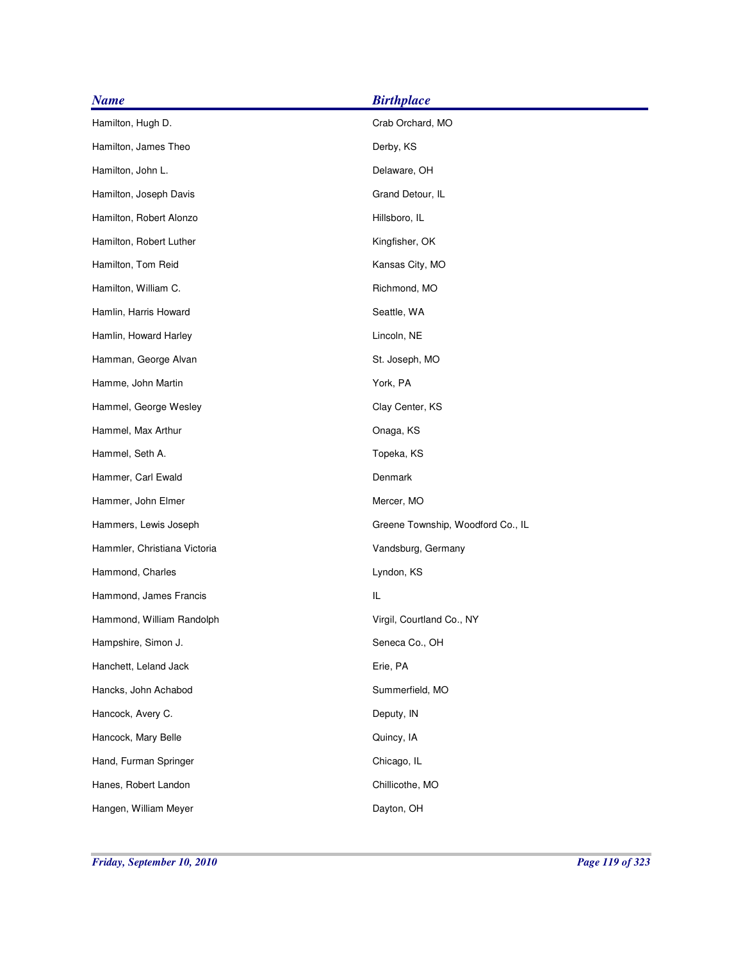| <b>Name</b>                  | <b>Birthplace</b>                 |
|------------------------------|-----------------------------------|
| Hamilton, Hugh D.            | Crab Orchard, MO                  |
| Hamilton, James Theo         | Derby, KS                         |
| Hamilton, John L.            | Delaware, OH                      |
| Hamilton, Joseph Davis       | Grand Detour, IL                  |
| Hamilton, Robert Alonzo      | Hillsboro, IL                     |
| Hamilton, Robert Luther      | Kingfisher, OK                    |
| Hamilton, Tom Reid           | Kansas City, MO                   |
| Hamilton, William C.         | Richmond, MO                      |
| Hamlin, Harris Howard        | Seattle, WA                       |
| Hamlin, Howard Harley        | Lincoln, NE                       |
| Hamman, George Alvan         | St. Joseph, MO                    |
| Hamme, John Martin           | York, PA                          |
| Hammel, George Wesley        | Clay Center, KS                   |
| Hammel, Max Arthur           | Onaga, KS                         |
| Hammel, Seth A.              | Topeka, KS                        |
| Hammer, Carl Ewald           | Denmark                           |
| Hammer, John Elmer           | Mercer, MO                        |
| Hammers, Lewis Joseph        | Greene Township, Woodford Co., IL |
| Hammler, Christiana Victoria | Vandsburg, Germany                |
| Hammond, Charles             | Lyndon, KS                        |
| Hammond, James Francis       | IL                                |
| Hammond, William Randolph    | Virgil, Courtland Co., NY         |
| Hampshire, Simon J.          | Seneca Co., OH                    |
| Hanchett, Leland Jack        | Erie, PA                          |
| Hancks, John Achabod         | Summerfield, MO                   |
| Hancock, Avery C.            | Deputy, IN                        |
| Hancock, Mary Belle          | Quincy, IA                        |
| Hand, Furman Springer        | Chicago, IL                       |
| Hanes, Robert Landon         | Chillicothe, MO                   |
| Hangen, William Meyer        | Dayton, OH                        |
|                              |                                   |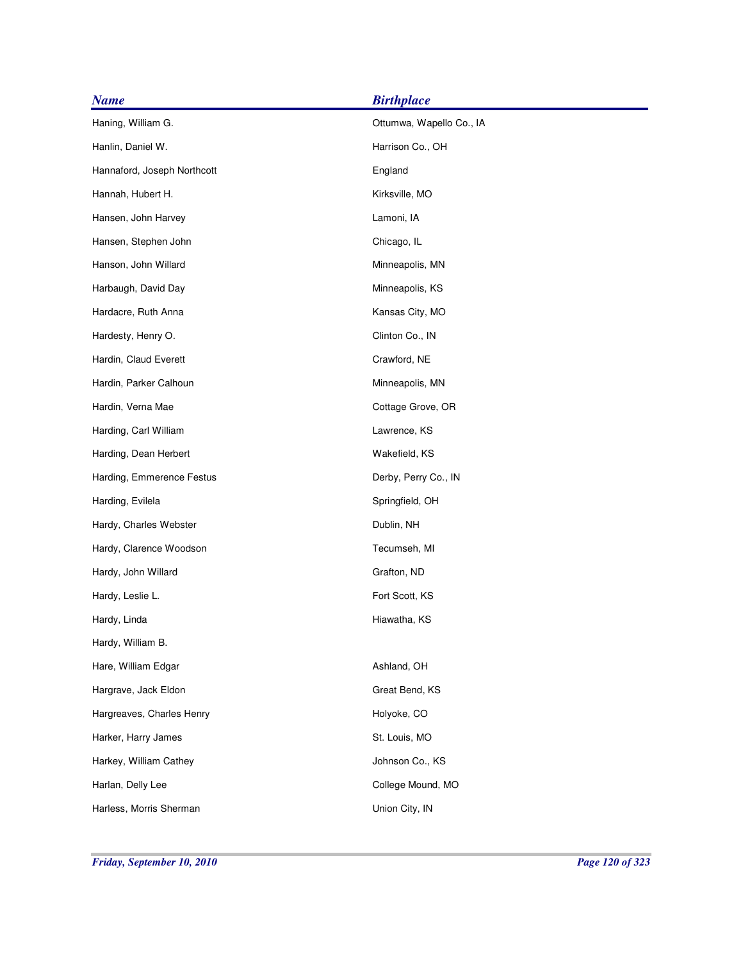| <b>Name</b>                 | <b>Birthplace</b>        |
|-----------------------------|--------------------------|
| Haning, William G.          | Ottumwa, Wapello Co., IA |
| Hanlin, Daniel W.           | Harrison Co., OH         |
| Hannaford, Joseph Northcott | England                  |
| Hannah, Hubert H.           | Kirksville, MO           |
| Hansen, John Harvey         | Lamoni, IA               |
| Hansen, Stephen John        | Chicago, IL              |
| Hanson, John Willard        | Minneapolis, MN          |
| Harbaugh, David Day         | Minneapolis, KS          |
| Hardacre, Ruth Anna         | Kansas City, MO          |
| Hardesty, Henry O.          | Clinton Co., IN          |
| Hardin, Claud Everett       | Crawford, NE             |
| Hardin, Parker Calhoun      | Minneapolis, MN          |
| Hardin, Verna Mae           | Cottage Grove, OR        |
| Harding, Carl William       | Lawrence, KS             |
| Harding, Dean Herbert       | Wakefield, KS            |
| Harding, Emmerence Festus   | Derby, Perry Co., IN     |
| Harding, Evilela            | Springfield, OH          |
| Hardy, Charles Webster      | Dublin, NH               |
| Hardy, Clarence Woodson     | Tecumseh, MI             |
| Hardy, John Willard         | Grafton, ND              |
| Hardy, Leslie L.            | Fort Scott, KS           |
| Hardy, Linda                | Hiawatha, KS             |
| Hardy, William B.           |                          |
| Hare, William Edgar         | Ashland, OH              |
| Hargrave, Jack Eldon        | Great Bend, KS           |
| Hargreaves, Charles Henry   | Holyoke, CO              |
| Harker, Harry James         | St. Louis, MO            |
| Harkey, William Cathey      | Johnson Co., KS          |
| Harlan, Delly Lee           | College Mound, MO        |
| Harless, Morris Sherman     | Union City, IN           |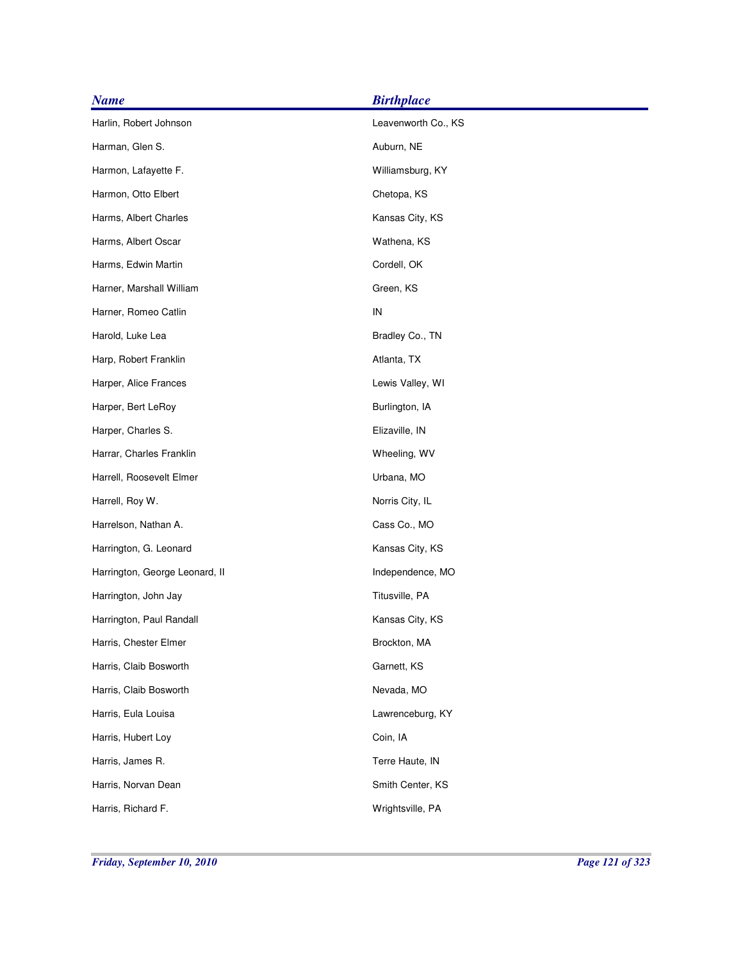| <b>Name</b>                    | <b>Birthplace</b>   |
|--------------------------------|---------------------|
| Harlin, Robert Johnson         | Leavenworth Co., KS |
| Harman, Glen S.                | Auburn, NE          |
| Harmon, Lafayette F.           | Williamsburg, KY    |
| Harmon, Otto Elbert            | Chetopa, KS         |
| Harms, Albert Charles          | Kansas City, KS     |
| Harms, Albert Oscar            | Wathena, KS         |
| Harms, Edwin Martin            | Cordell, OK         |
| Harner, Marshall William       | Green, KS           |
| Harner, Romeo Catlin           | ${\sf IN}$          |
| Harold, Luke Lea               | Bradley Co., TN     |
| Harp, Robert Franklin          | Atlanta, TX         |
| Harper, Alice Frances          | Lewis Valley, WI    |
| Harper, Bert LeRoy             | Burlington, IA      |
| Harper, Charles S.             | Elizaville, IN      |
| Harrar, Charles Franklin       | Wheeling, WV        |
| Harrell, Roosevelt Elmer       | Urbana, MO          |
| Harrell, Roy W.                | Norris City, IL     |
| Harrelson, Nathan A.           | Cass Co., MO        |
| Harrington, G. Leonard         | Kansas City, KS     |
| Harrington, George Leonard, II | Independence, MO    |
| Harrington, John Jay           | Titusville, PA      |
| Harrington, Paul Randall       | Kansas City, KS     |
| Harris, Chester Elmer          | Brockton, MA        |
| Harris, Claib Bosworth         | Garnett, KS         |
| Harris, Claib Bosworth         | Nevada, MO          |
| Harris, Eula Louisa            | Lawrenceburg, KY    |
| Harris, Hubert Loy             | Coin, IA            |
| Harris, James R.               | Terre Haute, IN     |
| Harris, Norvan Dean            | Smith Center, KS    |
| Harris, Richard F.             | Wrightsville, PA    |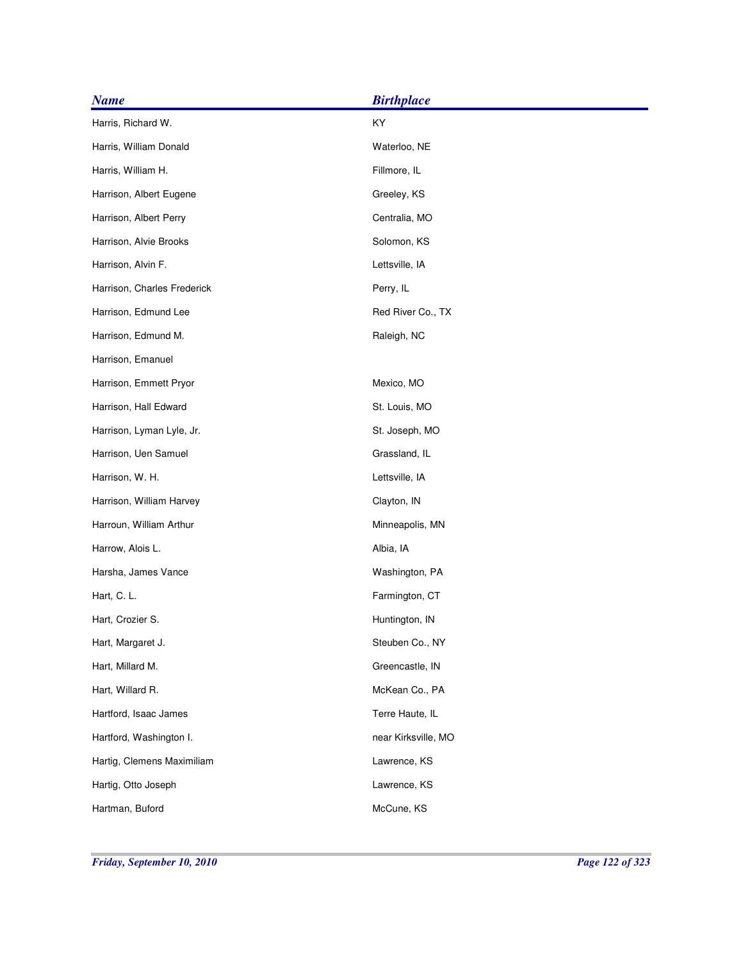| <b>Name</b>                 | <b>Birthplace</b>   |
|-----------------------------|---------------------|
| Harris, Richard W.          | KY                  |
| Harris, William Donald      | Waterloo, NE        |
| Harris, William H.          | Fillmore, IL        |
| Harrison, Albert Eugene     | Greeley, KS         |
| Harrison, Albert Perry      | Centralia, MO       |
| Harrison, Alvie Brooks      | Solomon, KS         |
| Harrison, Alvin F.          | Lettsville, IA      |
| Harrison, Charles Frederick | Perry, IL           |
| Harrison, Edmund Lee        | Red River Co., TX   |
| Harrison, Edmund M.         | Raleigh, NC         |
| Harrison, Emanuel           |                     |
| Harrison, Emmett Pryor      | Mexico, MO          |
| Harrison, Hall Edward       | St. Louis, MO       |
| Harrison, Lyman Lyle, Jr.   | St. Joseph, MO      |
| Harrison, Uen Samuel        | Grassland, IL       |
| Harrison, W. H.             | Lettsville, IA      |
| Harrison, William Harvey    | Clayton, IN         |
| Harroun, William Arthur     | Minneapolis, MN     |
| Harrow, Alois L.            | Albia, IA           |
| Harsha, James Vance         | Washington, PA      |
| Hart, C. L.                 | Farmington, CT      |
| Hart, Crozier S.            | Huntington, IN      |
| Hart, Margaret J.           | Steuben Co., NY     |
| Hart, Millard M.            | Greencastle, IN     |
| Hart, Willard R.            | McKean Co., PA      |
| Hartford, Isaac James       | Terre Haute, IL     |
| Hartford, Washington I.     | near Kirksville, MO |
| Hartig, Clemens Maximiliam  | Lawrence, KS        |
| Hartig, Otto Joseph         | Lawrence, KS        |
| Hartman, Buford             | McCune, KS          |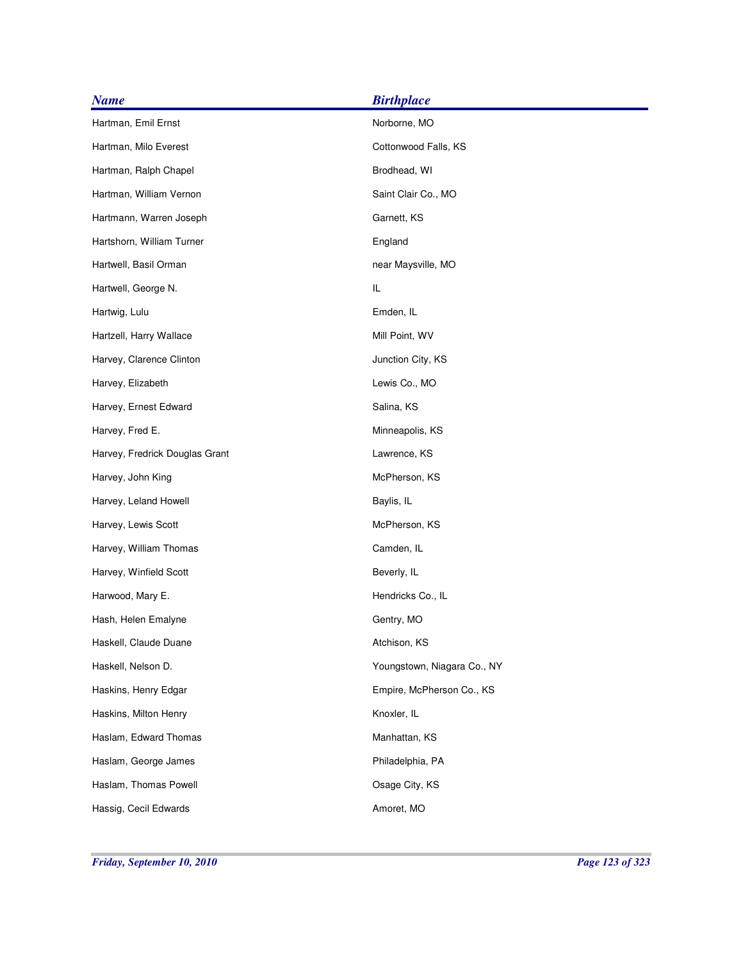| <b>Name</b>                    | <b>Birthplace</b>           |
|--------------------------------|-----------------------------|
| Hartman, Emil Ernst            | Norborne, MO                |
| Hartman, Milo Everest          | Cottonwood Falls, KS        |
| Hartman, Ralph Chapel          | Brodhead, WI                |
| Hartman, William Vernon        | Saint Clair Co., MO         |
| Hartmann, Warren Joseph        | Garnett, KS                 |
| Hartshorn, William Turner      | England                     |
| Hartwell, Basil Orman          | near Maysville, MO          |
| Hartwell, George N.            | IL                          |
| Hartwig, Lulu                  | Emden, IL                   |
| Hartzell, Harry Wallace        | Mill Point, WV              |
| Harvey, Clarence Clinton       | Junction City, KS           |
| Harvey, Elizabeth              | Lewis Co., MO               |
| Harvey, Ernest Edward          | Salina, KS                  |
| Harvey, Fred E.                | Minneapolis, KS             |
| Harvey, Fredrick Douglas Grant | Lawrence, KS                |
| Harvey, John King              | McPherson, KS               |
| Harvey, Leland Howell          | Baylis, IL                  |
| Harvey, Lewis Scott            | McPherson, KS               |
| Harvey, William Thomas         | Camden, IL                  |
| Harvey, Winfield Scott         | Beverly, IL                 |
| Harwood, Mary E.               | Hendricks Co., IL           |
| Hash, Helen Emalyne            | Gentry, MO                  |
| Haskell, Claude Duane          | Atchison, KS                |
| Haskell, Nelson D.             | Youngstown, Niagara Co., NY |
| Haskins, Henry Edgar           | Empire, McPherson Co., KS   |
| Haskins, Milton Henry          | Knoxler, IL                 |
| Haslam, Edward Thomas          | Manhattan, KS               |
| Haslam, George James           | Philadelphia, PA            |
| Haslam, Thomas Powell          | Osage City, KS              |
| Hassig, Cecil Edwards          | Amoret, MO                  |
|                                |                             |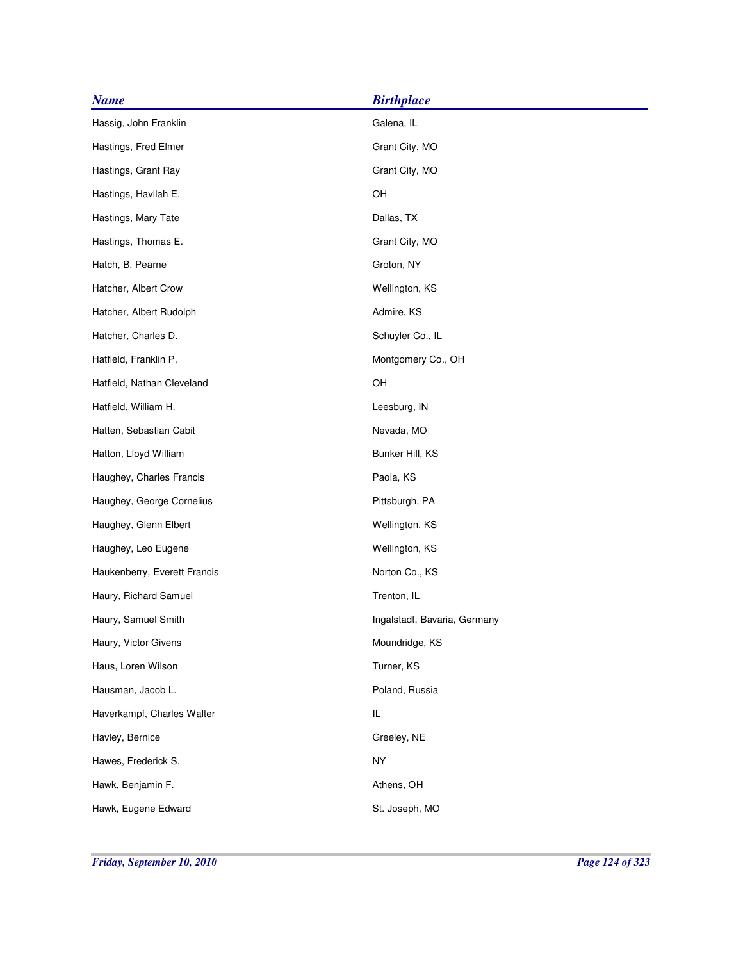| <b>Name</b>                  | <b>Birthplace</b>            |
|------------------------------|------------------------------|
| Hassig, John Franklin        | Galena, IL                   |
| Hastings, Fred Elmer         | Grant City, MO               |
| Hastings, Grant Ray          | Grant City, MO               |
| Hastings, Havilah E.         | OH                           |
| Hastings, Mary Tate          | Dallas, TX                   |
| Hastings, Thomas E.          | Grant City, MO               |
| Hatch, B. Pearne             | Groton, NY                   |
| Hatcher, Albert Crow         | Wellington, KS               |
| Hatcher, Albert Rudolph      | Admire, KS                   |
| Hatcher, Charles D.          | Schuyler Co., IL             |
| Hatfield, Franklin P.        | Montgomery Co., OH           |
| Hatfield, Nathan Cleveland   | OH                           |
| Hatfield, William H.         | Leesburg, IN                 |
| Hatten, Sebastian Cabit      | Nevada, MO                   |
| Hatton, Lloyd William        | Bunker Hill, KS              |
| Haughey, Charles Francis     | Paola, KS                    |
| Haughey, George Cornelius    | Pittsburgh, PA               |
| Haughey, Glenn Elbert        | Wellington, KS               |
| Haughey, Leo Eugene          | Wellington, KS               |
| Haukenberry, Everett Francis | Norton Co., KS               |
| Haury, Richard Samuel        | Trenton, IL                  |
| Haury, Samuel Smith          | Ingalstadt, Bavaria, Germany |
| Haury, Victor Givens         | Moundridge, KS               |
| Haus, Loren Wilson           | Turner, KS                   |
| Hausman, Jacob L.            | Poland, Russia               |
| Haverkampf, Charles Walter   | IL                           |
| Havley, Bernice              | Greeley, NE                  |
| Hawes, Frederick S.          | NY                           |
| Hawk, Benjamin F.            | Athens, OH                   |
| Hawk, Eugene Edward          | St. Joseph, MO               |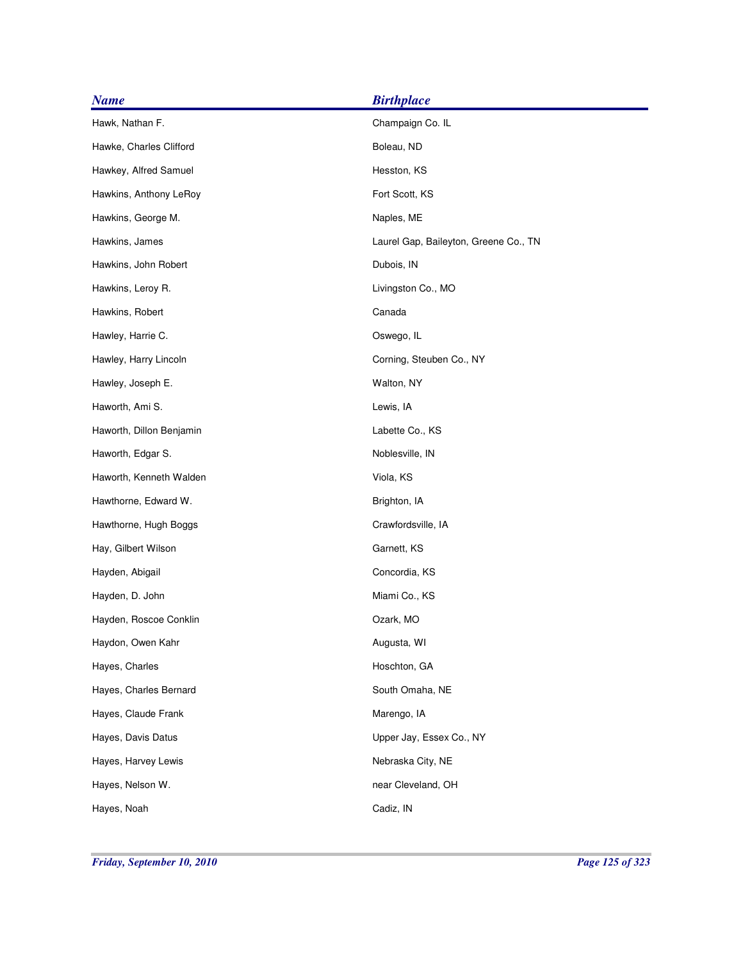| <b>Name</b>              | <b>Birthplace</b>                     |
|--------------------------|---------------------------------------|
| Hawk, Nathan F.          | Champaign Co. IL                      |
| Hawke, Charles Clifford  | Boleau, ND                            |
| Hawkey, Alfred Samuel    | Hesston, KS                           |
| Hawkins, Anthony LeRoy   | Fort Scott, KS                        |
| Hawkins, George M.       | Naples, ME                            |
| Hawkins, James           | Laurel Gap, Baileyton, Greene Co., TN |
| Hawkins, John Robert     | Dubois, IN                            |
| Hawkins, Leroy R.        | Livingston Co., MO                    |
| Hawkins, Robert          | Canada                                |
| Hawley, Harrie C.        | Oswego, IL                            |
| Hawley, Harry Lincoln    | Corning, Steuben Co., NY              |
| Hawley, Joseph E.        | Walton, NY                            |
| Haworth, Ami S.          | Lewis, IA                             |
| Haworth, Dillon Benjamin | Labette Co., KS                       |
| Haworth, Edgar S.        | Noblesville, IN                       |
| Haworth, Kenneth Walden  | Viola, KS                             |
| Hawthorne, Edward W.     | Brighton, IA                          |
| Hawthorne, Hugh Boggs    | Crawfordsville, IA                    |
| Hay, Gilbert Wilson      | Garnett, KS                           |
| Hayden, Abigail          | Concordia, KS                         |
| Hayden, D. John          | Miami Co., KS                         |
| Hayden, Roscoe Conklin   | Ozark, MO                             |
| Haydon, Owen Kahr        | Augusta, WI                           |
| Hayes, Charles           | Hoschton, GA                          |
| Hayes, Charles Bernard   | South Omaha, NE                       |
| Hayes, Claude Frank      | Marengo, IA                           |
| Hayes, Davis Datus       | Upper Jay, Essex Co., NY              |
| Hayes, Harvey Lewis      | Nebraska City, NE                     |
| Hayes, Nelson W.         | near Cleveland, OH                    |
| Hayes, Noah              | Cadiz, IN                             |
|                          |                                       |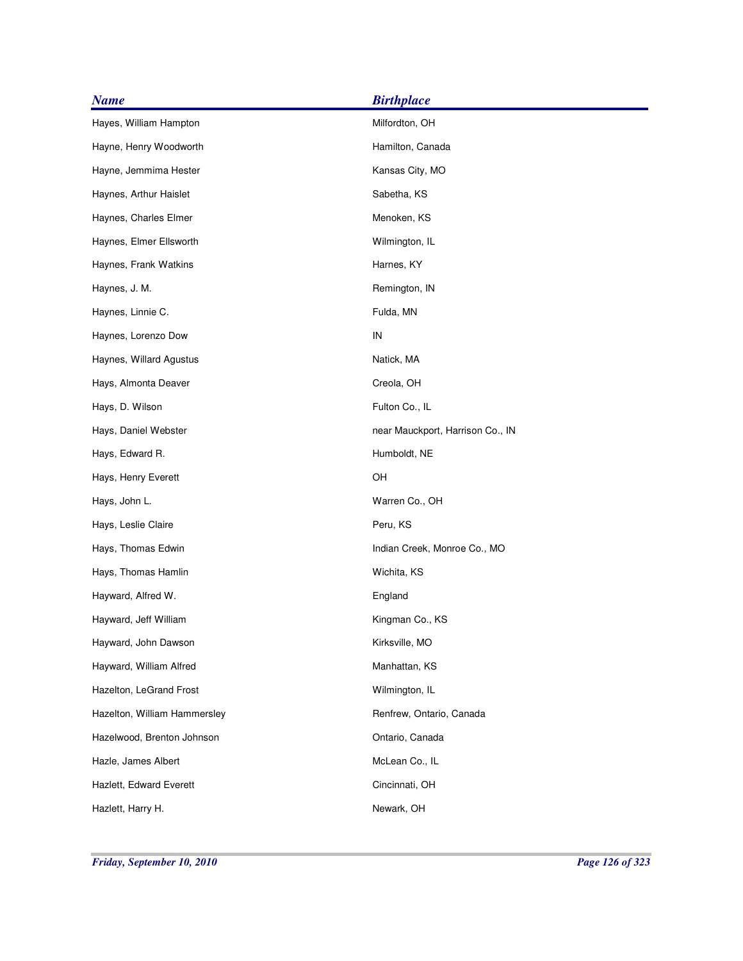| <b>Name</b>                  | <b>Birthplace</b>                |
|------------------------------|----------------------------------|
| Hayes, William Hampton       | Milfordton, OH                   |
| Hayne, Henry Woodworth       | Hamilton, Canada                 |
| Hayne, Jemmima Hester        | Kansas City, MO                  |
| Haynes, Arthur Haislet       | Sabetha, KS                      |
| Haynes, Charles Elmer        | Menoken, KS                      |
| Haynes, Elmer Ellsworth      | Wilmington, IL                   |
| Haynes, Frank Watkins        | Harnes, KY                       |
| Haynes, J. M.                | Remington, IN                    |
| Haynes, Linnie C.            | Fulda, MN                        |
| Haynes, Lorenzo Dow          | IN                               |
| Haynes, Willard Agustus      | Natick, MA                       |
| Hays, Almonta Deaver         | Creola, OH                       |
| Hays, D. Wilson              | Fulton Co., IL                   |
| Hays, Daniel Webster         | near Mauckport, Harrison Co., IN |
| Hays, Edward R.              | Humboldt, NE                     |
| Hays, Henry Everett          | OH                               |
| Hays, John L.                | Warren Co., OH                   |
| Hays, Leslie Claire          | Peru, KS                         |
| Hays, Thomas Edwin           | Indian Creek, Monroe Co., MO     |
| Hays, Thomas Hamlin          | Wichita, KS                      |
| Hayward, Alfred W.           | England                          |
| Hayward, Jeff William        | Kingman Co., KS                  |
| Hayward, John Dawson         | Kirksville, MO                   |
| Hayward, William Alfred      | Manhattan, KS                    |
| Hazelton, LeGrand Frost      | Wilmington, IL                   |
| Hazelton, William Hammersley | Renfrew, Ontario, Canada         |
| Hazelwood, Brenton Johnson   | Ontario, Canada                  |
| Hazle, James Albert          | McLean Co., IL                   |
| Hazlett, Edward Everett      | Cincinnati, OH                   |
| Hazlett, Harry H.            | Newark, OH                       |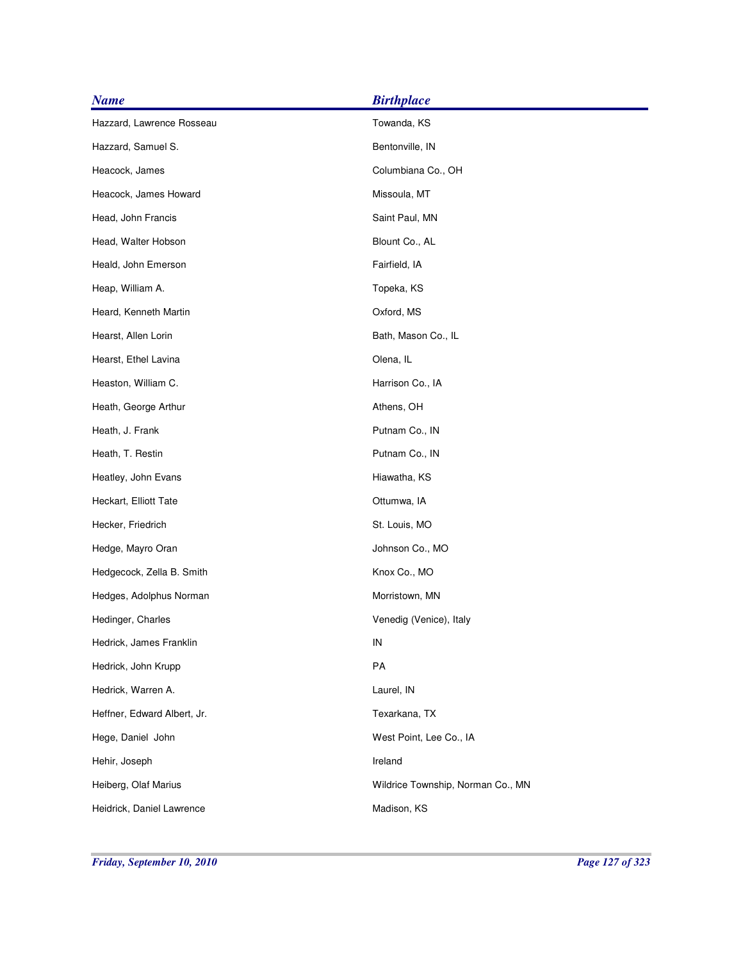| <b>Name</b>                 | <b>Birthplace</b>                 |
|-----------------------------|-----------------------------------|
| Hazzard, Lawrence Rosseau   | Towanda, KS                       |
| Hazzard, Samuel S.          | Bentonville, IN                   |
| Heacock, James              | Columbiana Co., OH                |
| Heacock, James Howard       | Missoula, MT                      |
| Head, John Francis          | Saint Paul, MN                    |
| Head, Walter Hobson         | Blount Co., AL                    |
| Heald, John Emerson         | Fairfield, IA                     |
| Heap, William A.            | Topeka, KS                        |
| Heard, Kenneth Martin       | Oxford, MS                        |
| Hearst, Allen Lorin         | Bath, Mason Co., IL               |
| Hearst, Ethel Lavina        | Olena, IL                         |
| Heaston, William C.         | Harrison Co., IA                  |
| Heath, George Arthur        | Athens, OH                        |
| Heath, J. Frank             | Putnam Co., IN                    |
| Heath, T. Restin            | Putnam Co., IN                    |
| Heatley, John Evans         | Hiawatha, KS                      |
| Heckart, Elliott Tate       | Ottumwa, IA                       |
| Hecker, Friedrich           | St. Louis, MO                     |
| Hedge, Mayro Oran           | Johnson Co., MO                   |
| Hedgecock, Zella B. Smith   | Knox Co., MO                      |
| Hedges, Adolphus Norman     | Morristown, MN                    |
| Hedinger, Charles           | Venedig (Venice), Italy           |
| Hedrick, James Franklin     | IN                                |
| Hedrick, John Krupp         | PA                                |
| Hedrick, Warren A.          | Laurel, IN                        |
| Heffner, Edward Albert, Jr. | Texarkana, TX                     |
| Hege, Daniel John           | West Point, Lee Co., IA           |
| Hehir, Joseph               | Ireland                           |
| Heiberg, Olaf Marius        | Wildrice Township, Norman Co., MN |
| Heidrick, Daniel Lawrence   | Madison, KS                       |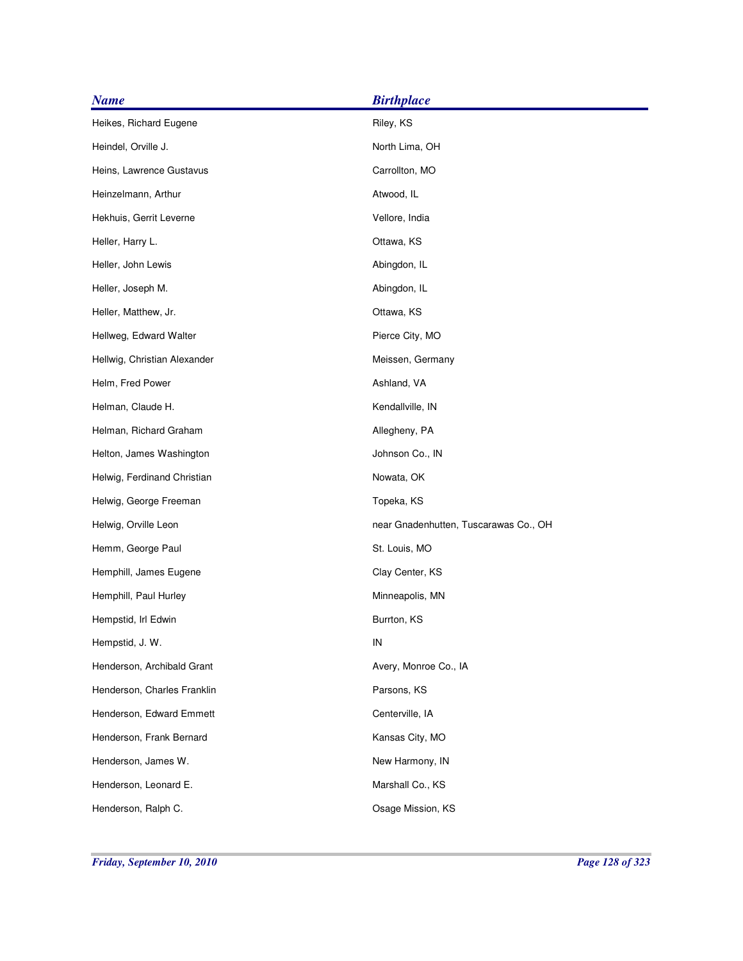| <b>Name</b>                  | <b>Birthplace</b>                     |
|------------------------------|---------------------------------------|
| Heikes, Richard Eugene       | Riley, KS                             |
| Heindel, Orville J.          | North Lima, OH                        |
| Heins, Lawrence Gustavus     | Carrollton, MO                        |
| Heinzelmann, Arthur          | Atwood, IL                            |
| Hekhuis, Gerrit Leverne      | Vellore, India                        |
| Heller, Harry L.             | Ottawa, KS                            |
| Heller, John Lewis           | Abingdon, IL                          |
| Heller, Joseph M.            | Abingdon, IL                          |
| Heller, Matthew, Jr.         | Ottawa, KS                            |
| Hellweg, Edward Walter       | Pierce City, MO                       |
| Hellwig, Christian Alexander | Meissen, Germany                      |
| Helm, Fred Power             | Ashland, VA                           |
| Helman, Claude H.            | Kendallville, IN                      |
| Helman, Richard Graham       | Allegheny, PA                         |
| Helton, James Washington     | Johnson Co., IN                       |
| Helwig, Ferdinand Christian  | Nowata, OK                            |
| Helwig, George Freeman       | Topeka, KS                            |
| Helwig, Orville Leon         | near Gnadenhutten, Tuscarawas Co., OH |
| Hemm, George Paul            | St. Louis, MO                         |
| Hemphill, James Eugene       | Clay Center, KS                       |
| Hemphill, Paul Hurley        | Minneapolis, MN                       |
| Hempstid, Irl Edwin          | Burrton, KS                           |
| Hempstid, J. W.              | IN                                    |
| Henderson, Archibald Grant   | Avery, Monroe Co., IA                 |
| Henderson, Charles Franklin  | Parsons, KS                           |
| Henderson, Edward Emmett     | Centerville, IA                       |
| Henderson, Frank Bernard     | Kansas City, MO                       |
| Henderson, James W.          | New Harmony, IN                       |
| Henderson, Leonard E.        | Marshall Co., KS                      |
| Henderson, Ralph C.          | Osage Mission, KS                     |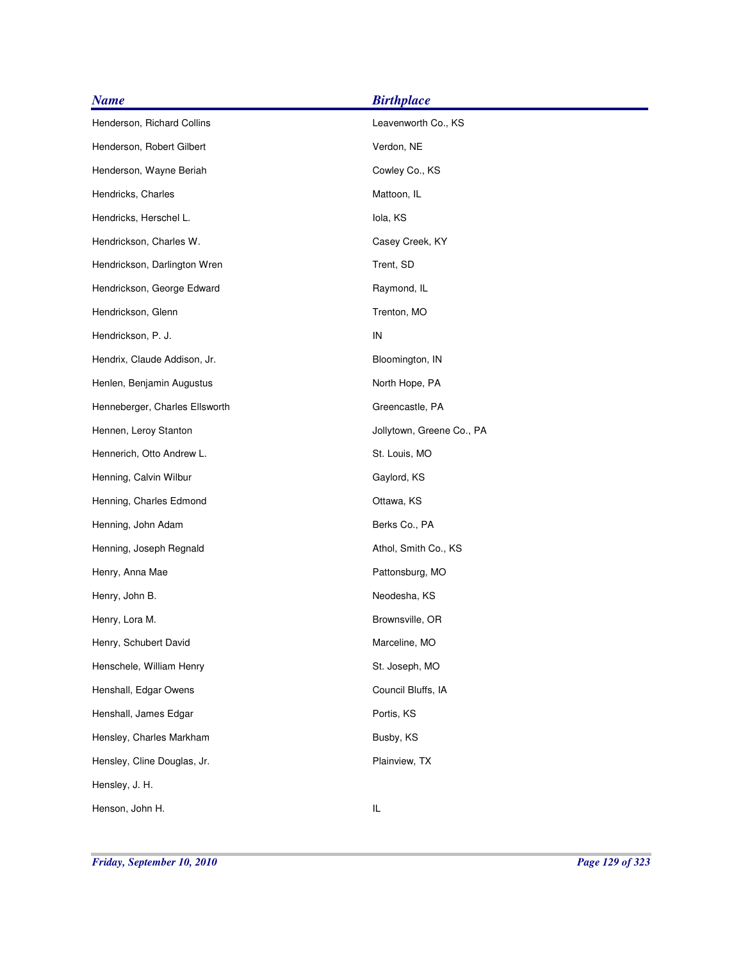| <b>Name</b>                    | <b>Birthplace</b>         |
|--------------------------------|---------------------------|
| Henderson, Richard Collins     | Leavenworth Co., KS       |
| Henderson, Robert Gilbert      | Verdon, NE                |
| Henderson, Wayne Beriah        | Cowley Co., KS            |
| Hendricks, Charles             | Mattoon, IL               |
| Hendricks, Herschel L.         | lola, KS                  |
| Hendrickson, Charles W.        | Casey Creek, KY           |
| Hendrickson, Darlington Wren   | Trent, SD                 |
| Hendrickson, George Edward     | Raymond, IL               |
| Hendrickson, Glenn             | Trenton, MO               |
| Hendrickson, P. J.             | ${\sf IN}$                |
| Hendrix, Claude Addison, Jr.   | Bloomington, IN           |
| Henlen, Benjamin Augustus      | North Hope, PA            |
| Henneberger, Charles Ellsworth | Greencastle, PA           |
| Hennen, Leroy Stanton          | Jollytown, Greene Co., PA |
| Hennerich, Otto Andrew L.      | St. Louis, MO             |
| Henning, Calvin Wilbur         | Gaylord, KS               |
| Henning, Charles Edmond        | Ottawa, KS                |
| Henning, John Adam             | Berks Co., PA             |
| Henning, Joseph Regnald        | Athol, Smith Co., KS      |
| Henry, Anna Mae                | Pattonsburg, MO           |
| Henry, John B.                 | Neodesha, KS              |
| Henry, Lora M.                 | Brownsville, OR           |
| Henry, Schubert David          | Marceline, MO             |
| Henschele, William Henry       | St. Joseph, MO            |
| Henshall, Edgar Owens          | Council Bluffs, IA        |
| Henshall, James Edgar          | Portis, KS                |
| Hensley, Charles Markham       | Busby, KS                 |
| Hensley, Cline Douglas, Jr.    | Plainview, TX             |
| Hensley, J. H.                 |                           |
| Henson, John H.                | IL                        |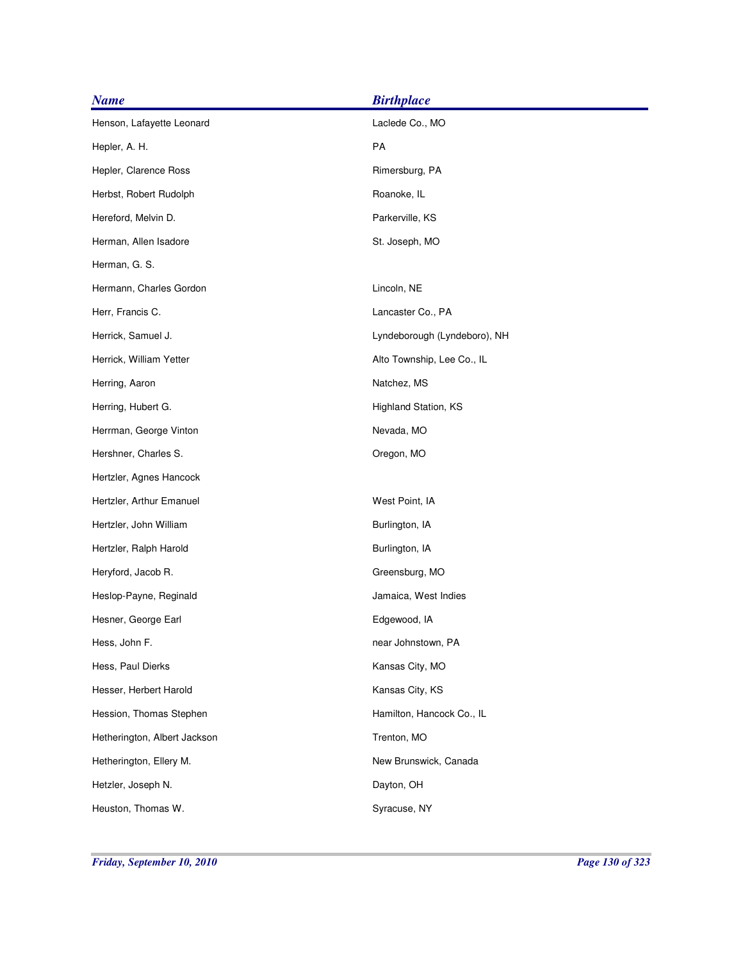| <b>Name</b>                  | <b>Birthplace</b>            |
|------------------------------|------------------------------|
| Henson, Lafayette Leonard    | Laclede Co., MO              |
| Hepler, A. H.                | PA                           |
| Hepler, Clarence Ross        | Rimersburg, PA               |
| Herbst, Robert Rudolph       | Roanoke, IL                  |
| Hereford, Melvin D.          | Parkerville, KS              |
| Herman, Allen Isadore        | St. Joseph, MO               |
| Herman, G. S.                |                              |
| Hermann, Charles Gordon      | Lincoln, NE                  |
| Herr, Francis C.             | Lancaster Co., PA            |
| Herrick, Samuel J.           | Lyndeborough (Lyndeboro), NH |
| Herrick, William Yetter      | Alto Township, Lee Co., IL   |
| Herring, Aaron               | Natchez, MS                  |
| Herring, Hubert G.           | Highland Station, KS         |
| Herrman, George Vinton       | Nevada, MO                   |
| Hershner, Charles S.         | Oregon, MO                   |
| Hertzler, Agnes Hancock      |                              |
| Hertzler, Arthur Emanuel     | West Point, IA               |
| Hertzler, John William       | Burlington, IA               |
| Hertzler, Ralph Harold       | Burlington, IA               |
| Heryford, Jacob R.           | Greensburg, MO               |
| Heslop-Payne, Reginald       | Jamaica, West Indies         |
| Hesner, George Earl          | Edgewood, IA                 |
| Hess, John F.                | near Johnstown, PA           |
| Hess, Paul Dierks            | Kansas City, MO              |
| Hesser, Herbert Harold       | Kansas City, KS              |
| Hession, Thomas Stephen      | Hamilton, Hancock Co., IL    |
| Hetherington, Albert Jackson | Trenton, MO                  |
| Hetherington, Ellery M.      | New Brunswick, Canada        |
| Hetzler, Joseph N.           | Dayton, OH                   |
| Heuston, Thomas W.           | Syracuse, NY                 |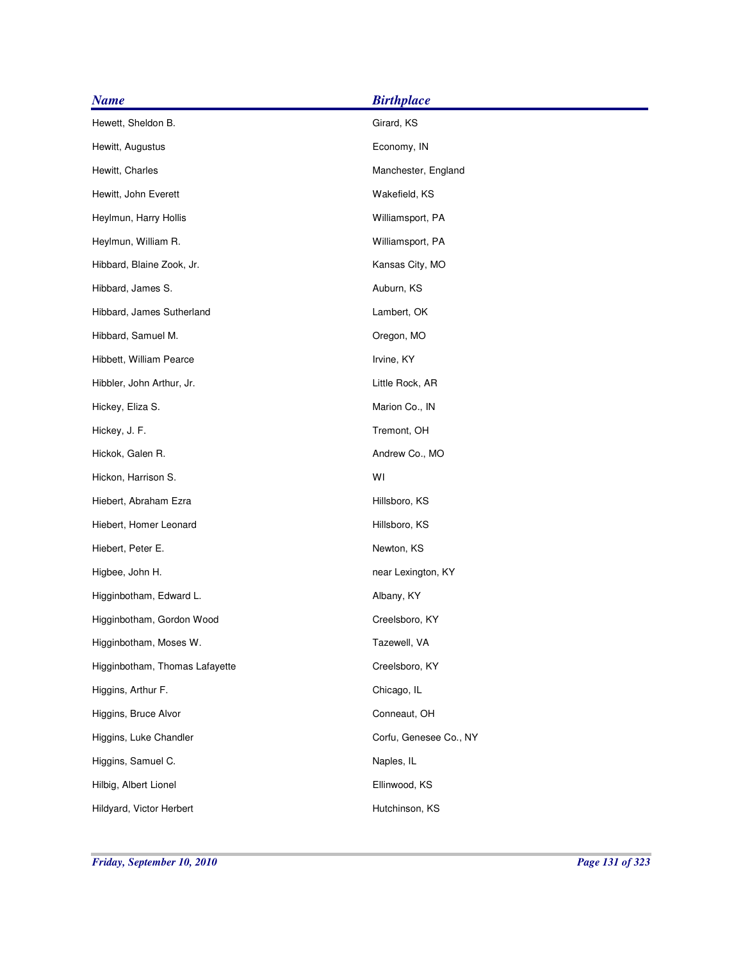| <b>Name</b>                    | <b>Birthplace</b>      |
|--------------------------------|------------------------|
| Hewett, Sheldon B.             | Girard, KS             |
| Hewitt, Augustus               | Economy, IN            |
| Hewitt, Charles                | Manchester, England    |
| Hewitt, John Everett           | Wakefield, KS          |
| Heylmun, Harry Hollis          | Williamsport, PA       |
| Heylmun, William R.            | Williamsport, PA       |
| Hibbard, Blaine Zook, Jr.      | Kansas City, MO        |
| Hibbard, James S.              | Auburn, KS             |
| Hibbard, James Sutherland      | Lambert, OK            |
| Hibbard, Samuel M.             | Oregon, MO             |
| Hibbett, William Pearce        | Irvine, KY             |
| Hibbler, John Arthur, Jr.      | Little Rock, AR        |
| Hickey, Eliza S.               | Marion Co., IN         |
| Hickey, J. F.                  | Tremont, OH            |
| Hickok, Galen R.               | Andrew Co., MO         |
| Hickon, Harrison S.            | WI                     |
| Hiebert, Abraham Ezra          | Hillsboro, KS          |
| Hiebert, Homer Leonard         | Hillsboro, KS          |
| Hiebert, Peter E.              | Newton, KS             |
| Higbee, John H.                | near Lexington, KY     |
| Higginbotham, Edward L.        | Albany, KY             |
| Higginbotham, Gordon Wood      | Creelsboro, KY         |
| Higginbotham, Moses W.         | Tazewell, VA           |
| Higginbotham, Thomas Lafayette | Creelsboro, KY         |
| Higgins, Arthur F.             | Chicago, IL            |
| Higgins, Bruce Alvor           | Conneaut, OH           |
| Higgins, Luke Chandler         | Corfu, Genesee Co., NY |
| Higgins, Samuel C.             | Naples, IL             |
| Hilbig, Albert Lionel          | Ellinwood, KS          |
| Hildyard, Victor Herbert       | Hutchinson, KS         |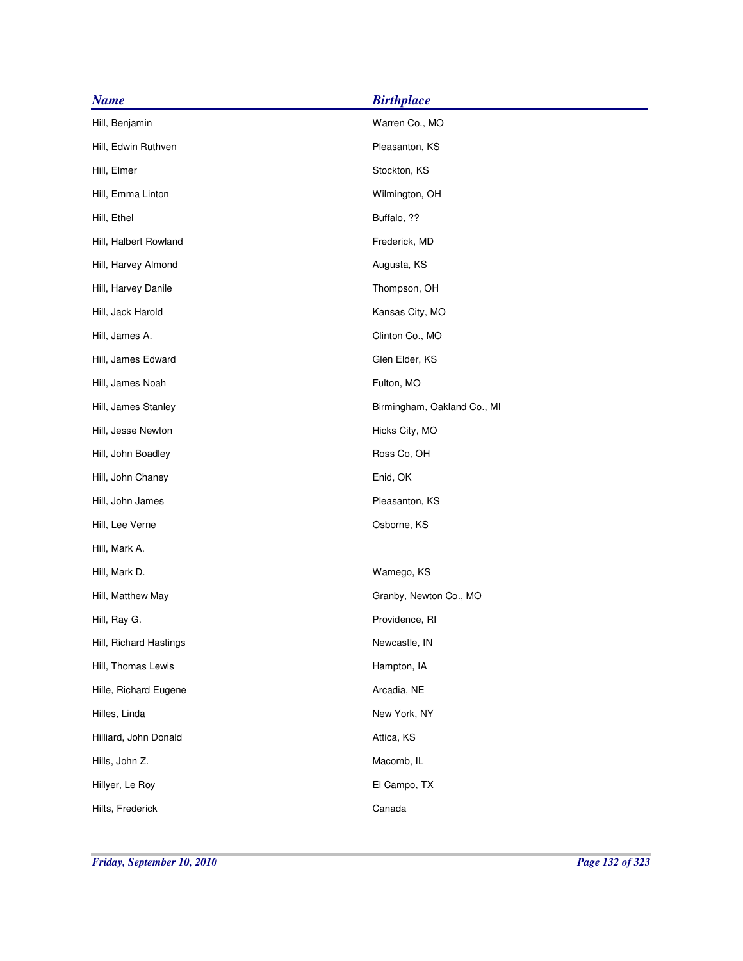| <b>Name</b>            | <b>Birthplace</b>           |
|------------------------|-----------------------------|
| Hill, Benjamin         | Warren Co., MO              |
| Hill, Edwin Ruthven    | Pleasanton, KS              |
| Hill, Elmer            | Stockton, KS                |
| Hill, Emma Linton      | Wilmington, OH              |
| Hill, Ethel            | Buffalo, ??                 |
| Hill, Halbert Rowland  | Frederick, MD               |
| Hill, Harvey Almond    | Augusta, KS                 |
| Hill, Harvey Danile    | Thompson, OH                |
| Hill, Jack Harold      | Kansas City, MO             |
| Hill, James A.         | Clinton Co., MO             |
| Hill, James Edward     | Glen Elder, KS              |
| Hill, James Noah       | Fulton, MO                  |
| Hill, James Stanley    | Birmingham, Oakland Co., MI |
| Hill, Jesse Newton     | Hicks City, MO              |
| Hill, John Boadley     | Ross Co, OH                 |
| Hill, John Chaney      | Enid, OK                    |
| Hill, John James       | Pleasanton, KS              |
| Hill, Lee Verne        | Osborne, KS                 |
| Hill, Mark A.          |                             |
| Hill, Mark D.          | Wamego, KS                  |
| Hill, Matthew May      | Granby, Newton Co., MO      |
| Hill, Ray G.           | Providence, RI              |
| Hill, Richard Hastings | Newcastle, IN               |
| Hill, Thomas Lewis     | Hampton, IA                 |
| Hille, Richard Eugene  | Arcadia, NE                 |
| Hilles, Linda          | New York, NY                |
| Hilliard, John Donald  | Attica, KS                  |
| Hills, John Z.         | Macomb, IL                  |
| Hillyer, Le Roy        | El Campo, TX                |
| Hilts, Frederick       | Canada                      |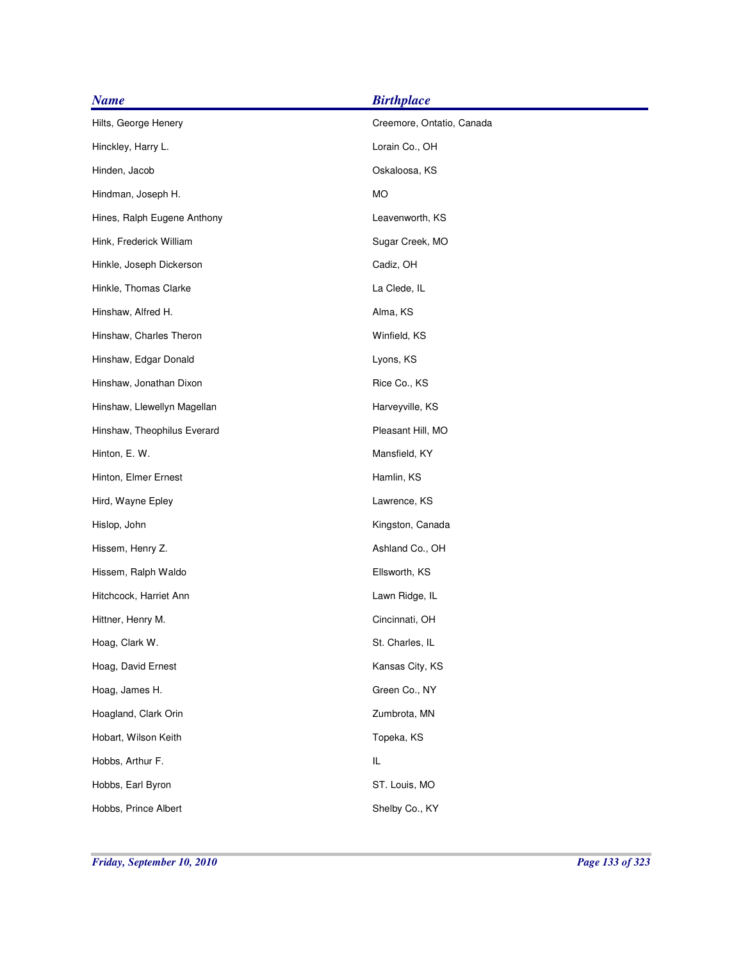| <b>Name</b>                 | <b>Birthplace</b>         |
|-----------------------------|---------------------------|
| Hilts, George Henery        | Creemore, Ontatio, Canada |
| Hinckley, Harry L.          | Lorain Co., OH            |
| Hinden, Jacob               | Oskaloosa, KS             |
| Hindman, Joseph H.          | <b>MO</b>                 |
| Hines, Ralph Eugene Anthony | Leavenworth, KS           |
| Hink, Frederick William     | Sugar Creek, MO           |
| Hinkle, Joseph Dickerson    | Cadiz, OH                 |
| Hinkle, Thomas Clarke       | La Clede, IL              |
| Hinshaw, Alfred H.          | Alma, KS                  |
| Hinshaw, Charles Theron     | Winfield, KS              |
| Hinshaw, Edgar Donald       | Lyons, KS                 |
| Hinshaw, Jonathan Dixon     | Rice Co., KS              |
| Hinshaw, Llewellyn Magellan | Harveyville, KS           |
| Hinshaw, Theophilus Everard | Pleasant Hill, MO         |
| Hinton, E. W.               | Mansfield, KY             |
| Hinton, Elmer Ernest        | Hamlin, KS                |
| Hird, Wayne Epley           | Lawrence, KS              |
| Hislop, John                | Kingston, Canada          |
| Hissem, Henry Z.            | Ashland Co., OH           |
| Hissem, Ralph Waldo         | Ellsworth, KS             |
| Hitchcock, Harriet Ann      | Lawn Ridge, IL            |
| Hittner, Henry M.           | Cincinnati, OH            |
| Hoag, Clark W.              | St. Charles, IL           |
| Hoag, David Ernest          | Kansas City, KS           |
| Hoag, James H.              | Green Co., NY             |
| Hoagland, Clark Orin        | Zumbrota, MN              |
| Hobart, Wilson Keith        | Topeka, KS                |
| Hobbs, Arthur F.            | IL                        |
| Hobbs, Earl Byron           | ST. Louis, MO             |
| Hobbs, Prince Albert        | Shelby Co., KY            |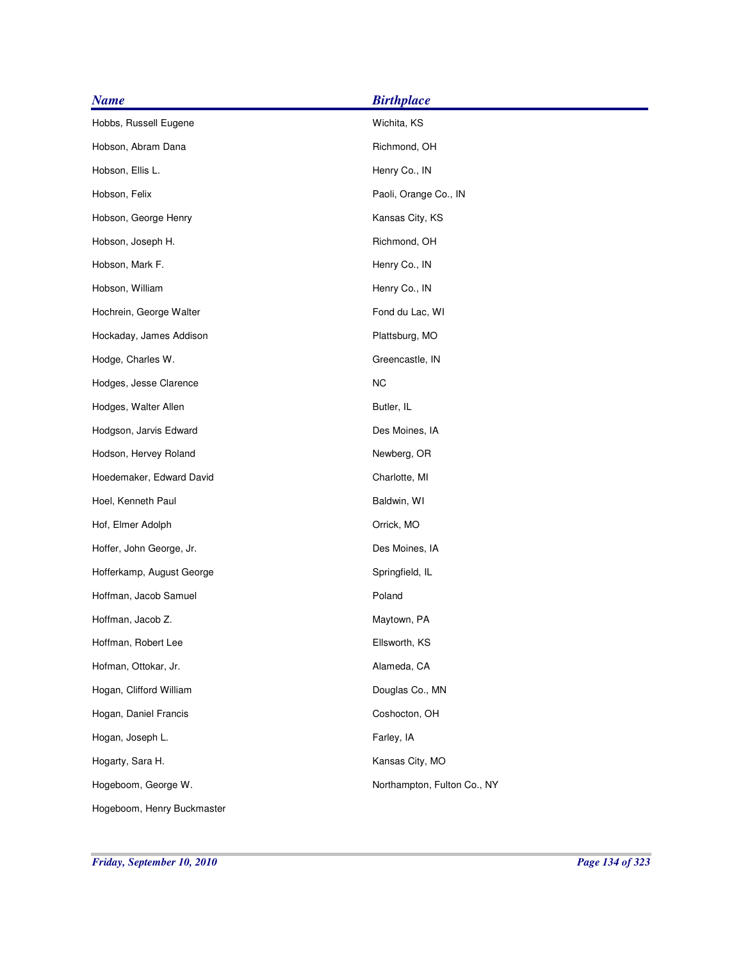| <b>Name</b>                | <b>Birthplace</b>           |
|----------------------------|-----------------------------|
| Hobbs, Russell Eugene      | Wichita, KS                 |
| Hobson, Abram Dana         | Richmond, OH                |
| Hobson, Ellis L.           | Henry Co., IN               |
| Hobson, Felix              | Paoli, Orange Co., IN       |
| Hobson, George Henry       | Kansas City, KS             |
| Hobson, Joseph H.          | Richmond, OH                |
| Hobson, Mark F.            | Henry Co., IN               |
| Hobson, William            | Henry Co., IN               |
| Hochrein, George Walter    | Fond du Lac, WI             |
| Hockaday, James Addison    | Plattsburg, MO              |
| Hodge, Charles W.          | Greencastle, IN             |
| Hodges, Jesse Clarence     | <b>NC</b>                   |
| Hodges, Walter Allen       | Butler, IL                  |
| Hodgson, Jarvis Edward     | Des Moines, IA              |
| Hodson, Hervey Roland      | Newberg, OR                 |
| Hoedemaker, Edward David   | Charlotte, MI               |
| Hoel, Kenneth Paul         | Baldwin, WI                 |
| Hof, Elmer Adolph          | Orrick, MO                  |
| Hoffer, John George, Jr.   | Des Moines, IA              |
| Hofferkamp, August George  | Springfield, IL             |
| Hoffman, Jacob Samuel      | Poland                      |
| Hoffman, Jacob Z.          | Maytown, PA                 |
| Hoffman, Robert Lee        | Ellsworth, KS               |
| Hofman, Ottokar, Jr.       | Alameda, CA                 |
| Hogan, Clifford William    | Douglas Co., MN             |
| Hogan, Daniel Francis      | Coshocton, OH               |
| Hogan, Joseph L.           | Farley, IA                  |
| Hogarty, Sara H.           | Kansas City, MO             |
| Hogeboom, George W.        | Northampton, Fulton Co., NY |
| Hogeboom, Henry Buckmaster |                             |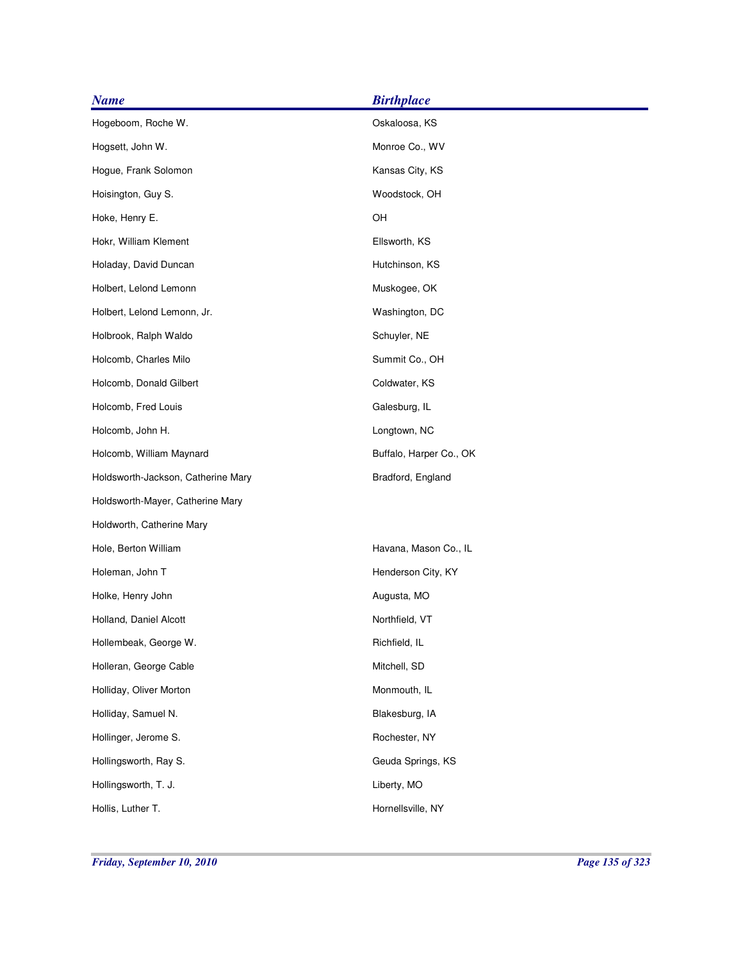| <b>Name</b>                        | <b>Birthplace</b>       |
|------------------------------------|-------------------------|
| Hogeboom, Roche W.                 | Oskaloosa, KS           |
| Hogsett, John W.                   | Monroe Co., WV          |
| Hogue, Frank Solomon               | Kansas City, KS         |
| Hoisington, Guy S.                 | Woodstock, OH           |
| Hoke, Henry E.                     | OH                      |
| Hokr, William Klement              | Ellsworth, KS           |
| Holaday, David Duncan              | Hutchinson, KS          |
| Holbert, Lelond Lemonn             | Muskogee, OK            |
| Holbert, Lelond Lemonn, Jr.        | Washington, DC          |
| Holbrook, Ralph Waldo              | Schuyler, NE            |
| Holcomb, Charles Milo              | Summit Co., OH          |
| Holcomb, Donald Gilbert            | Coldwater, KS           |
| Holcomb, Fred Louis                | Galesburg, IL           |
| Holcomb, John H.                   | Longtown, NC            |
| Holcomb, William Maynard           | Buffalo, Harper Co., OK |
| Holdsworth-Jackson, Catherine Mary | Bradford, England       |
| Holdsworth-Mayer, Catherine Mary   |                         |
| Holdworth, Catherine Mary          |                         |
| Hole, Berton William               | Havana, Mason Co., IL   |
| Holeman, John T                    | Henderson City, KY      |
| Holke, Henry John                  | Augusta, MO             |
| Holland, Daniel Alcott             | Northfield, VT          |
| Hollembeak, George W.              | Richfield, IL           |
| Holleran, George Cable             | Mitchell, SD            |
| Holliday, Oliver Morton            | Monmouth, IL            |
| Holliday, Samuel N.                | Blakesburg, IA          |
| Hollinger, Jerome S.               | Rochester, NY           |
| Hollingsworth, Ray S.              | Geuda Springs, KS       |
| Hollingsworth, T. J.               | Liberty, MO             |
| Hollis, Luther T.                  | Hornellsville, NY       |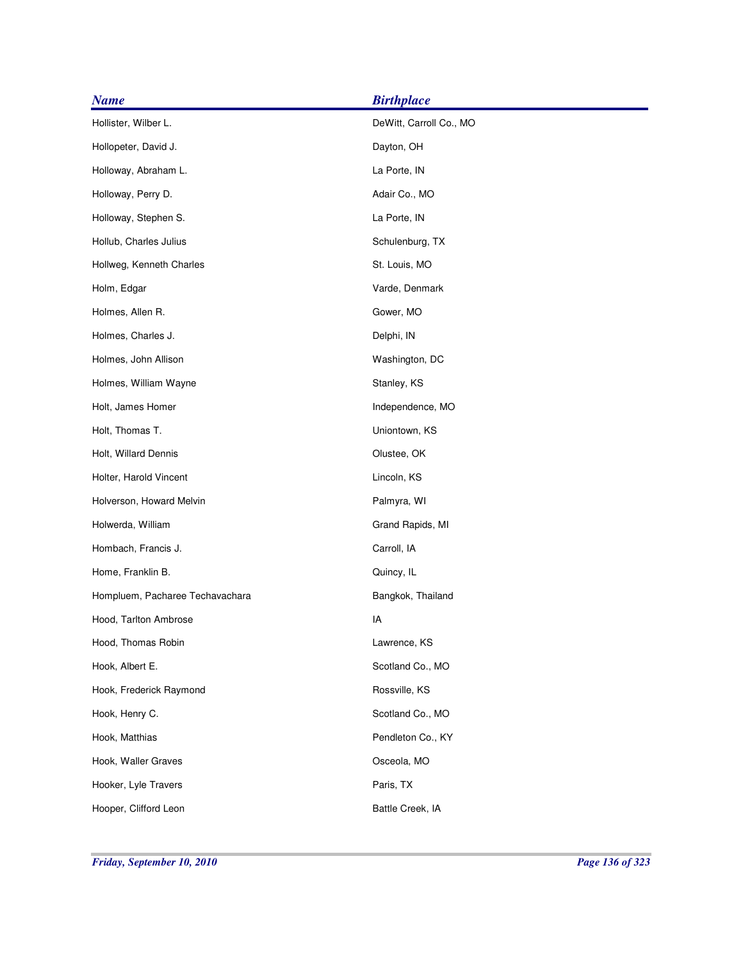| <b>Name</b>                     | <b>Birthplace</b>       |
|---------------------------------|-------------------------|
| Hollister, Wilber L.            | DeWitt, Carroll Co., MO |
| Hollopeter, David J.            | Dayton, OH              |
| Holloway, Abraham L.            | La Porte, IN            |
| Holloway, Perry D.              | Adair Co., MO           |
| Holloway, Stephen S.            | La Porte, IN            |
| Hollub, Charles Julius          | Schulenburg, TX         |
| Hollweg, Kenneth Charles        | St. Louis, MO           |
| Holm, Edgar                     | Varde, Denmark          |
| Holmes, Allen R.                | Gower, MO               |
| Holmes, Charles J.              | Delphi, IN              |
| Holmes, John Allison            | Washington, DC          |
| Holmes, William Wayne           | Stanley, KS             |
| Holt, James Homer               | Independence, MO        |
| Holt, Thomas T.                 | Uniontown, KS           |
| Holt, Willard Dennis            | Olustee, OK             |
| Holter, Harold Vincent          | Lincoln, KS             |
| Holverson, Howard Melvin        | Palmyra, WI             |
| Holwerda, William               | Grand Rapids, MI        |
| Hombach, Francis J.             | Carroll, IA             |
| Home, Franklin B.               | Quincy, IL              |
| Hompluem, Pacharee Techavachara | Bangkok, Thailand       |
| Hood, Tarlton Ambrose           | IA                      |
| Hood, Thomas Robin              | Lawrence, KS            |
| Hook, Albert E.                 | Scotland Co., MO        |
| Hook, Frederick Raymond         | Rossville, KS           |
| Hook, Henry C.                  | Scotland Co., MO        |
| Hook, Matthias                  | Pendleton Co., KY       |
| Hook, Waller Graves             | Osceola, MO             |
| Hooker, Lyle Travers            | Paris, TX               |
| Hooper, Clifford Leon           | Battle Creek, IA        |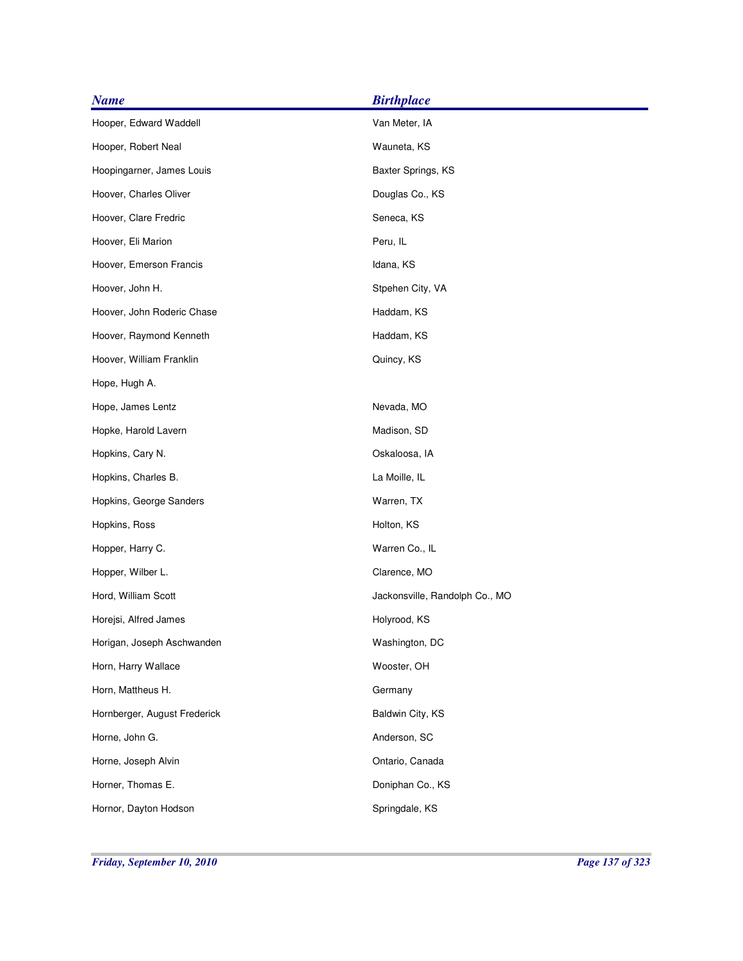| <b>Name</b>                  | <b>Birthplace</b>              |
|------------------------------|--------------------------------|
| Hooper, Edward Waddell       | Van Meter, IA                  |
| Hooper, Robert Neal          | Wauneta, KS                    |
| Hoopingarner, James Louis    | Baxter Springs, KS             |
| Hoover, Charles Oliver       | Douglas Co., KS                |
| Hoover, Clare Fredric        | Seneca, KS                     |
| Hoover, Eli Marion           | Peru, IL                       |
| Hoover, Emerson Francis      | Idana, KS                      |
| Hoover, John H.              | Stpehen City, VA               |
| Hoover, John Roderic Chase   | Haddam, KS                     |
| Hoover, Raymond Kenneth      | Haddam, KS                     |
| Hoover, William Franklin     | Quincy, KS                     |
| Hope, Hugh A.                |                                |
| Hope, James Lentz            | Nevada, MO                     |
| Hopke, Harold Lavern         | Madison, SD                    |
| Hopkins, Cary N.             | Oskaloosa, IA                  |
| Hopkins, Charles B.          | La Moille, IL                  |
| Hopkins, George Sanders      | Warren, TX                     |
| Hopkins, Ross                | Holton, KS                     |
| Hopper, Harry C.             | Warren Co., IL                 |
| Hopper, Wilber L.            | Clarence, MO                   |
| Hord, William Scott          | Jackonsville, Randolph Co., MO |
| Horejsi, Alfred James        | Holyrood, KS                   |
| Horigan, Joseph Aschwanden   | Washington, DC                 |
| Horn, Harry Wallace          | Wooster, OH                    |
| Horn, Mattheus H.            | Germany                        |
| Hornberger, August Frederick | Baldwin City, KS               |
| Horne, John G.               | Anderson, SC                   |
| Horne, Joseph Alvin          | Ontario, Canada                |
| Horner, Thomas E.            | Doniphan Co., KS               |
| Hornor, Dayton Hodson        | Springdale, KS                 |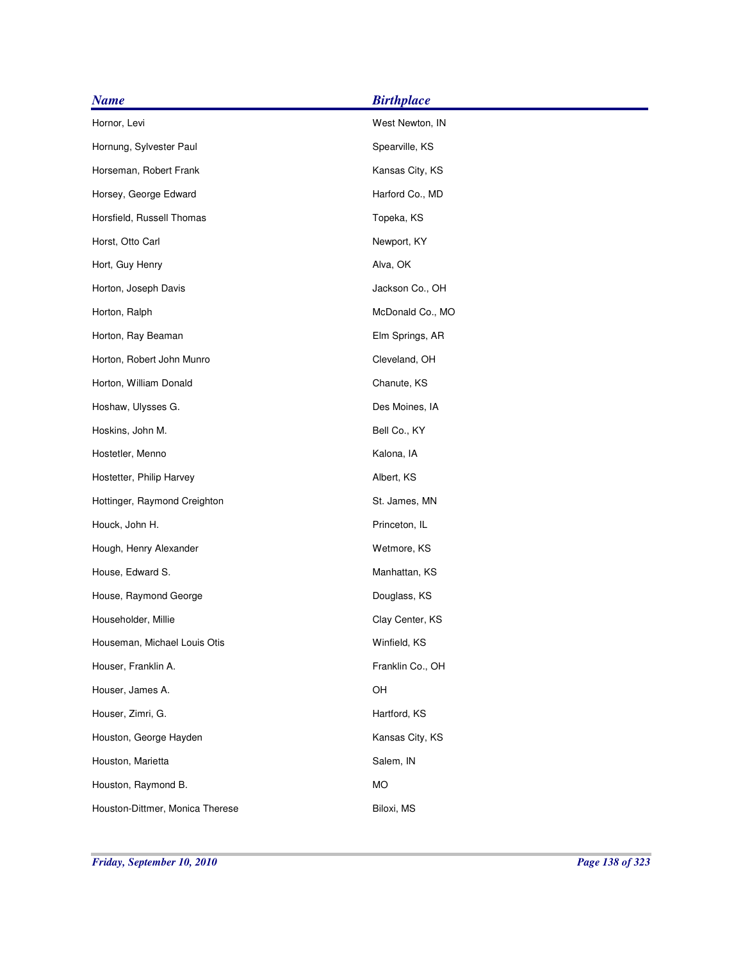| <b>Name</b>                     | <b>Birthplace</b> |
|---------------------------------|-------------------|
| Hornor, Levi                    | West Newton, IN   |
| Hornung, Sylvester Paul         | Spearville, KS    |
| Horseman, Robert Frank          | Kansas City, KS   |
| Horsey, George Edward           | Harford Co., MD   |
| Horsfield, Russell Thomas       | Topeka, KS        |
| Horst, Otto Carl                | Newport, KY       |
| Hort, Guy Henry                 | Alva, OK          |
| Horton, Joseph Davis            | Jackson Co., OH   |
| Horton, Ralph                   | McDonald Co., MO  |
| Horton, Ray Beaman              | Elm Springs, AR   |
| Horton, Robert John Munro       | Cleveland, OH     |
| Horton, William Donald          | Chanute, KS       |
| Hoshaw, Ulysses G.              | Des Moines, IA    |
| Hoskins, John M.                | Bell Co., KY      |
| Hostetler, Menno                | Kalona, IA        |
| Hostetter, Philip Harvey        | Albert, KS        |
| Hottinger, Raymond Creighton    | St. James, MN     |
| Houck, John H.                  | Princeton, IL     |
| Hough, Henry Alexander          | Wetmore, KS       |
| House, Edward S.                | Manhattan, KS     |
| House, Raymond George           | Douglass, KS      |
| Householder, Millie             | Clay Center, KS   |
| Houseman, Michael Louis Otis    | Winfield, KS      |
| Houser, Franklin A.             | Franklin Co., OH  |
| Houser, James A.                | OH                |
| Houser, Zimri, G.               | Hartford, KS      |
| Houston, George Hayden          | Kansas City, KS   |
| Houston, Marietta               | Salem, IN         |
| Houston, Raymond B.             | MO                |
| Houston-Dittmer, Monica Therese | Biloxi, MS        |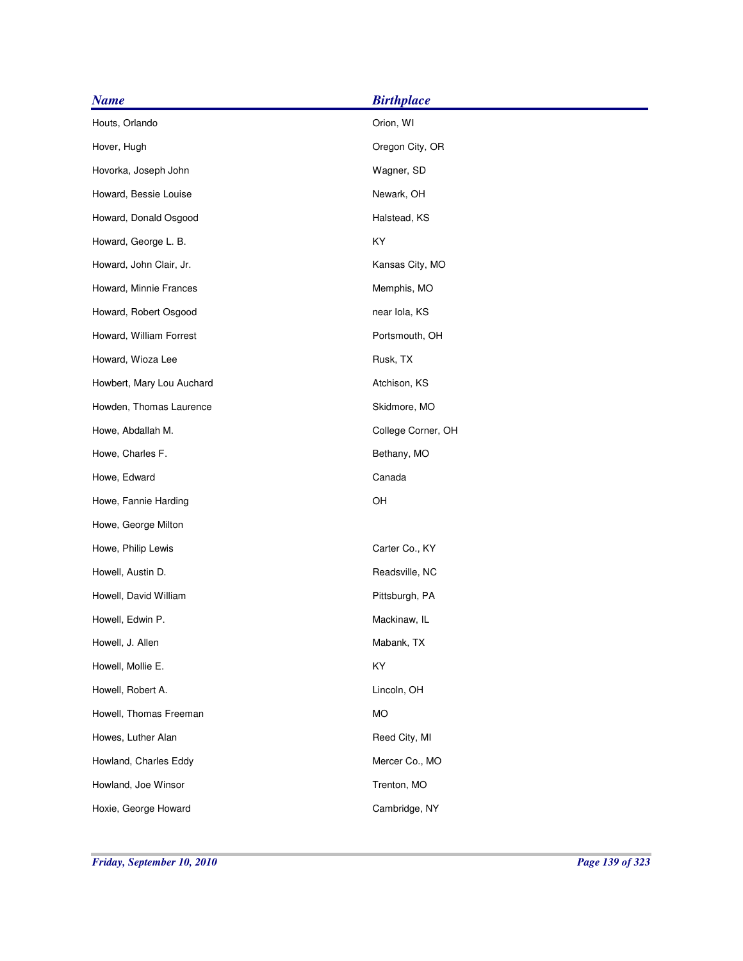| <b>Name</b>               | <b>Birthplace</b>  |
|---------------------------|--------------------|
| Houts, Orlando            | Orion, WI          |
| Hover, Hugh               | Oregon City, OR    |
| Hovorka, Joseph John      | Wagner, SD         |
| Howard, Bessie Louise     | Newark, OH         |
| Howard, Donald Osgood     | Halstead, KS       |
| Howard, George L. B.      | KY                 |
| Howard, John Clair, Jr.   | Kansas City, MO    |
| Howard, Minnie Frances    | Memphis, MO        |
| Howard, Robert Osgood     | near Iola, KS      |
| Howard, William Forrest   | Portsmouth, OH     |
| Howard, Wioza Lee         | Rusk, TX           |
| Howbert, Mary Lou Auchard | Atchison, KS       |
| Howden, Thomas Laurence   | Skidmore, MO       |
| Howe, Abdallah M.         | College Corner, OH |
| Howe, Charles F.          | Bethany, MO        |
| Howe, Edward              | Canada             |
| Howe, Fannie Harding      | OH                 |
| Howe, George Milton       |                    |
| Howe, Philip Lewis        | Carter Co., KY     |
| Howell, Austin D.         | Readsville, NC     |
| Howell, David William     | Pittsburgh, PA     |
| Howell, Edwin P.          | Mackinaw, IL       |
| Howell, J. Allen          | Mabank, TX         |
| Howell, Mollie E.         | KY                 |
| Howell, Robert A.         | Lincoln, OH        |
| Howell, Thomas Freeman    | <b>MO</b>          |
| Howes, Luther Alan        | Reed City, MI      |
| Howland, Charles Eddy     | Mercer Co., MO     |
| Howland, Joe Winsor       | Trenton, MO        |
| Hoxie, George Howard      | Cambridge, NY      |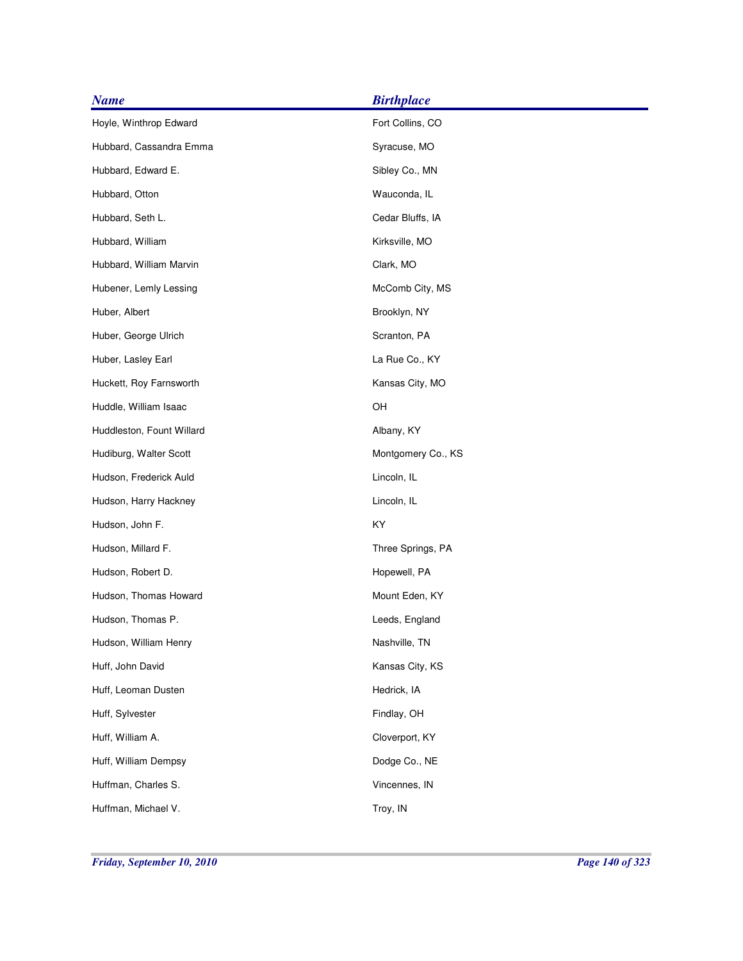| <b>Name</b>               | <b>Birthplace</b>  |
|---------------------------|--------------------|
| Hoyle, Winthrop Edward    | Fort Collins, CO   |
| Hubbard, Cassandra Emma   | Syracuse, MO       |
| Hubbard, Edward E.        | Sibley Co., MN     |
| Hubbard, Otton            | Wauconda, IL       |
| Hubbard, Seth L.          | Cedar Bluffs, IA   |
| Hubbard, William          | Kirksville, MO     |
| Hubbard, William Marvin   | Clark, MO          |
| Hubener, Lemly Lessing    | McComb City, MS    |
| Huber, Albert             | Brooklyn, NY       |
| Huber, George Ulrich      | Scranton, PA       |
| Huber, Lasley Earl        | La Rue Co., KY     |
| Huckett, Roy Farnsworth   | Kansas City, MO    |
| Huddle, William Isaac     | OH                 |
| Huddleston, Fount Willard | Albany, KY         |
| Hudiburg, Walter Scott    | Montgomery Co., KS |
| Hudson, Frederick Auld    | Lincoln, IL        |
| Hudson, Harry Hackney     | Lincoln, IL        |
| Hudson, John F.           | KY                 |
| Hudson, Millard F.        | Three Springs, PA  |
| Hudson, Robert D.         | Hopewell, PA       |
| Hudson, Thomas Howard     | Mount Eden, KY     |
| Hudson, Thomas P.         | Leeds, England     |
| Hudson, William Henry     | Nashville, TN      |
| Huff, John David          | Kansas City, KS    |
| Huff, Leoman Dusten       | Hedrick, IA        |
| Huff, Sylvester           | Findlay, OH        |
| Huff, William A.          | Cloverport, KY     |
| Huff, William Dempsy      | Dodge Co., NE      |
| Huffman, Charles S.       | Vincennes, IN      |
| Huffman, Michael V.       | Troy, IN           |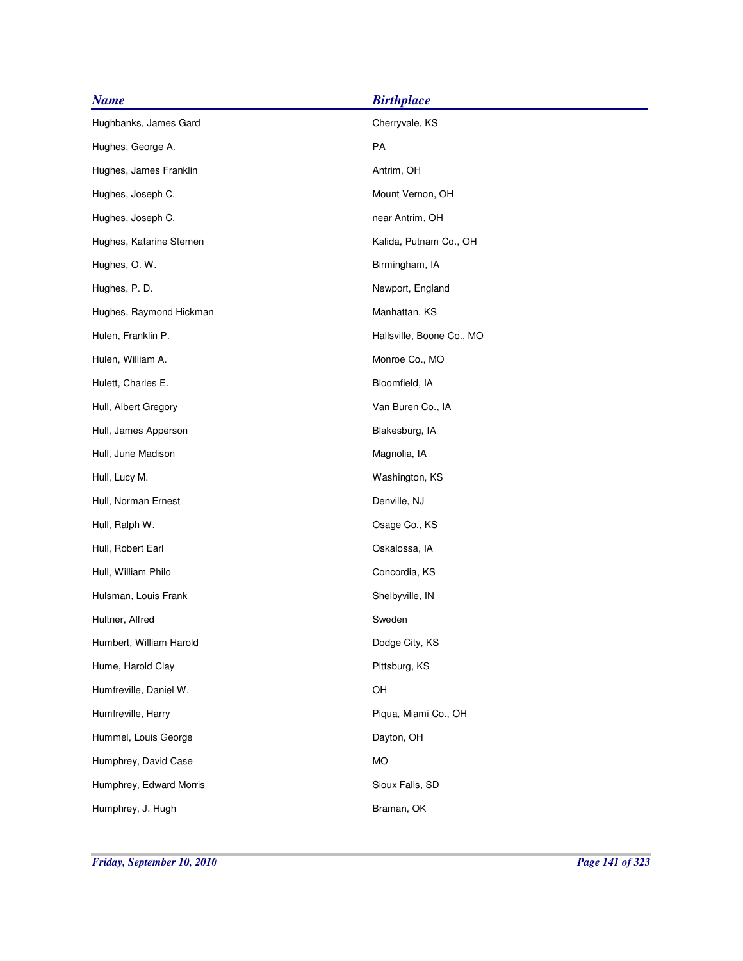| <b>Name</b>             | <b>Birthplace</b>         |
|-------------------------|---------------------------|
| Hughbanks, James Gard   | Cherryvale, KS            |
| Hughes, George A.       | PA                        |
| Hughes, James Franklin  | Antrim, OH                |
| Hughes, Joseph C.       | Mount Vernon, OH          |
| Hughes, Joseph C.       | near Antrim, OH           |
| Hughes, Katarine Stemen | Kalida, Putnam Co., OH    |
| Hughes, O.W.            | Birmingham, IA            |
| Hughes, P.D.            | Newport, England          |
| Hughes, Raymond Hickman | Manhattan, KS             |
| Hulen, Franklin P.      | Hallsville, Boone Co., MO |
| Hulen, William A.       | Monroe Co., MO            |
| Hulett, Charles E.      | Bloomfield, IA            |
| Hull, Albert Gregory    | Van Buren Co., IA         |
| Hull, James Apperson    | Blakesburg, IA            |
| Hull, June Madison      | Magnolia, IA              |
| Hull, Lucy M.           | Washington, KS            |
| Hull, Norman Ernest     | Denville, NJ              |
| Hull, Ralph W.          | Osage Co., KS             |
| Hull, Robert Earl       | Oskalossa, IA             |
| Hull, William Philo     | Concordia, KS             |
| Hulsman, Louis Frank    | Shelbyville, IN           |
| Hultner, Alfred         | Sweden                    |
| Humbert, William Harold | Dodge City, KS            |
| Hume, Harold Clay       | Pittsburg, KS             |
| Humfreville, Daniel W.  | OH                        |
| Humfreville, Harry      | Piqua, Miami Co., OH      |
| Hummel, Louis George    | Dayton, OH                |
| Humphrey, David Case    | MO                        |
| Humphrey, Edward Morris | Sioux Falls, SD           |
| Humphrey, J. Hugh       | Braman, OK                |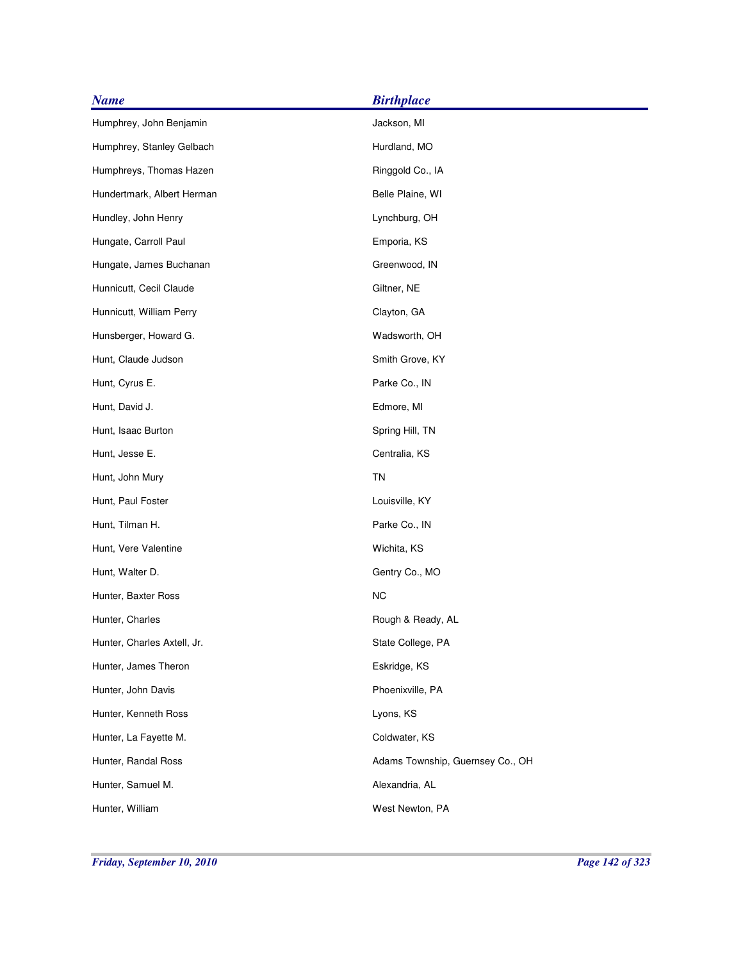| <b>Name</b>                 | <b>Birthplace</b>                |
|-----------------------------|----------------------------------|
| Humphrey, John Benjamin     | Jackson, MI                      |
| Humphrey, Stanley Gelbach   | Hurdland, MO                     |
| Humphreys, Thomas Hazen     | Ringgold Co., IA                 |
| Hundertmark, Albert Herman  | Belle Plaine, WI                 |
| Hundley, John Henry         | Lynchburg, OH                    |
| Hungate, Carroll Paul       | Emporia, KS                      |
| Hungate, James Buchanan     | Greenwood, IN                    |
| Hunnicutt, Cecil Claude     | Giltner, NE                      |
| Hunnicutt, William Perry    | Clayton, GA                      |
| Hunsberger, Howard G.       | Wadsworth, OH                    |
| Hunt, Claude Judson         | Smith Grove, KY                  |
| Hunt, Cyrus E.              | Parke Co., IN                    |
| Hunt, David J.              | Edmore, MI                       |
| Hunt, Isaac Burton          | Spring Hill, TN                  |
| Hunt, Jesse E.              | Centralia, KS                    |
| Hunt, John Mury             | <b>TN</b>                        |
| Hunt, Paul Foster           | Louisville, KY                   |
| Hunt, Tilman H.             | Parke Co., IN                    |
| Hunt, Vere Valentine        | Wichita, KS                      |
| Hunt, Walter D.             | Gentry Co., MO                   |
| Hunter, Baxter Ross         | <b>NC</b>                        |
| Hunter, Charles             | Rough & Ready, AL                |
| Hunter, Charles Axtell, Jr. | State College, PA                |
| Hunter, James Theron        | Eskridge, KS                     |
| Hunter, John Davis          | Phoenixville, PA                 |
| Hunter, Kenneth Ross        | Lyons, KS                        |
| Hunter, La Fayette M.       | Coldwater, KS                    |
| Hunter, Randal Ross         | Adams Township, Guernsey Co., OH |
| Hunter, Samuel M.           | Alexandria, AL                   |
| Hunter, William             | West Newton, PA                  |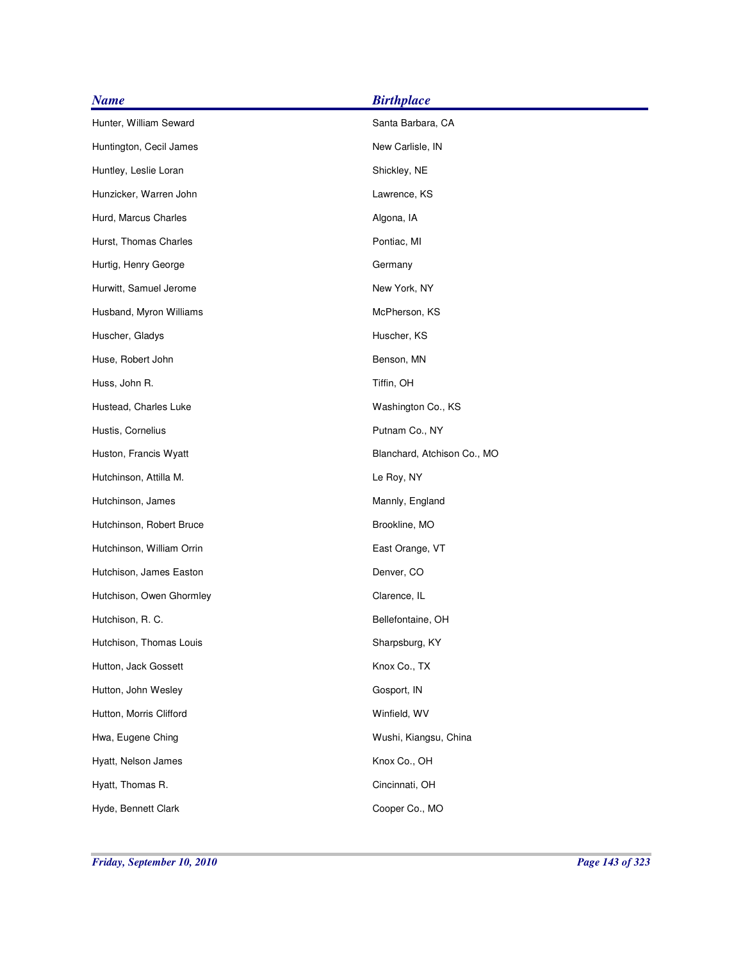| <b>Name</b>               | <b>Birthplace</b>           |
|---------------------------|-----------------------------|
| Hunter, William Seward    | Santa Barbara, CA           |
| Huntington, Cecil James   | New Carlisle, IN            |
| Huntley, Leslie Loran     | Shickley, NE                |
| Hunzicker, Warren John    | Lawrence, KS                |
| Hurd, Marcus Charles      | Algona, IA                  |
| Hurst, Thomas Charles     | Pontiac, MI                 |
| Hurtig, Henry George      | Germany                     |
| Hurwitt, Samuel Jerome    | New York, NY                |
| Husband, Myron Williams   | McPherson, KS               |
| Huscher, Gladys           | Huscher, KS                 |
| Huse, Robert John         | Benson, MN                  |
| Huss, John R.             | Tiffin, OH                  |
| Hustead, Charles Luke     | Washington Co., KS          |
| Hustis, Cornelius         | Putnam Co., NY              |
| Huston, Francis Wyatt     | Blanchard, Atchison Co., MO |
| Hutchinson, Attilla M.    | Le Roy, NY                  |
| Hutchinson, James         | Mannly, England             |
| Hutchinson, Robert Bruce  | Brookline, MO               |
| Hutchinson, William Orrin | East Orange, VT             |
| Hutchison, James Easton   | Denver, CO                  |
| Hutchison, Owen Ghormley  | Clarence, IL                |
| Hutchison, R. C.          | Bellefontaine, OH           |
| Hutchison, Thomas Louis   | Sharpsburg, KY              |
| Hutton, Jack Gossett      | Knox Co., TX                |
| Hutton, John Wesley       | Gosport, IN                 |
| Hutton, Morris Clifford   | Winfield, WV                |
| Hwa, Eugene Ching         | Wushi, Kiangsu, China       |
| Hyatt, Nelson James       | Knox Co., OH                |
| Hyatt, Thomas R.          | Cincinnati, OH              |
| Hyde, Bennett Clark       | Cooper Co., MO              |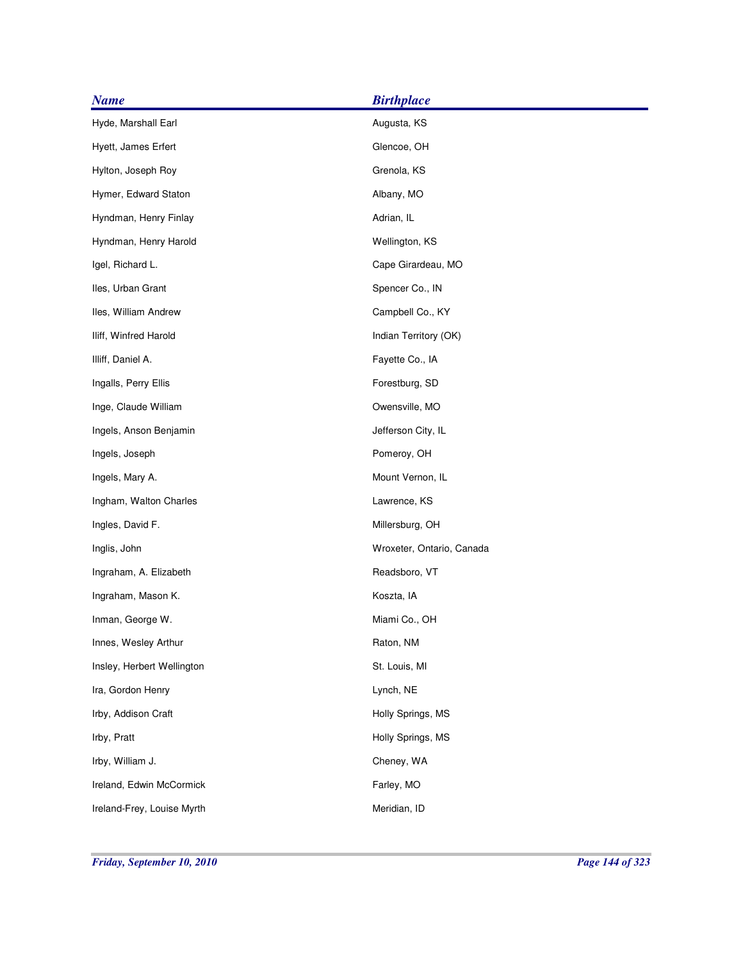| <b>Name</b>                | <b>Birthplace</b>         |
|----------------------------|---------------------------|
| Hyde, Marshall Earl        | Augusta, KS               |
| Hyett, James Erfert        | Glencoe, OH               |
| Hylton, Joseph Roy         | Grenola, KS               |
| Hymer, Edward Staton       | Albany, MO                |
| Hyndman, Henry Finlay      | Adrian, IL                |
| Hyndman, Henry Harold      | Wellington, KS            |
| Igel, Richard L.           | Cape Girardeau, MO        |
| Iles, Urban Grant          | Spencer Co., IN           |
| Iles, William Andrew       | Campbell Co., KY          |
| Iliff, Winfred Harold      | Indian Territory (OK)     |
| Illiff, Daniel A.          | Fayette Co., IA           |
| Ingalls, Perry Ellis       | Forestburg, SD            |
| Inge, Claude William       | Owensville, MO            |
| Ingels, Anson Benjamin     | Jefferson City, IL        |
| Ingels, Joseph             | Pomeroy, OH               |
| Ingels, Mary A.            | Mount Vernon, IL          |
| Ingham, Walton Charles     | Lawrence, KS              |
| Ingles, David F.           | Millersburg, OH           |
| Inglis, John               | Wroxeter, Ontario, Canada |
| Ingraham, A. Elizabeth     | Readsboro, VT             |
| Ingraham, Mason K.         | Koszta, IA                |
| Inman, George W.           | Miami Co., OH             |
| Innes, Wesley Arthur       | Raton, NM                 |
| Insley, Herbert Wellington | St. Louis, MI             |
| Ira, Gordon Henry          | Lynch, NE                 |
| Irby, Addison Craft        | Holly Springs, MS         |
| Irby, Pratt                | Holly Springs, MS         |
| Irby, William J.           | Cheney, WA                |
| Ireland, Edwin McCormick   | Farley, MO                |
| Ireland-Frey, Louise Myrth | Meridian, ID              |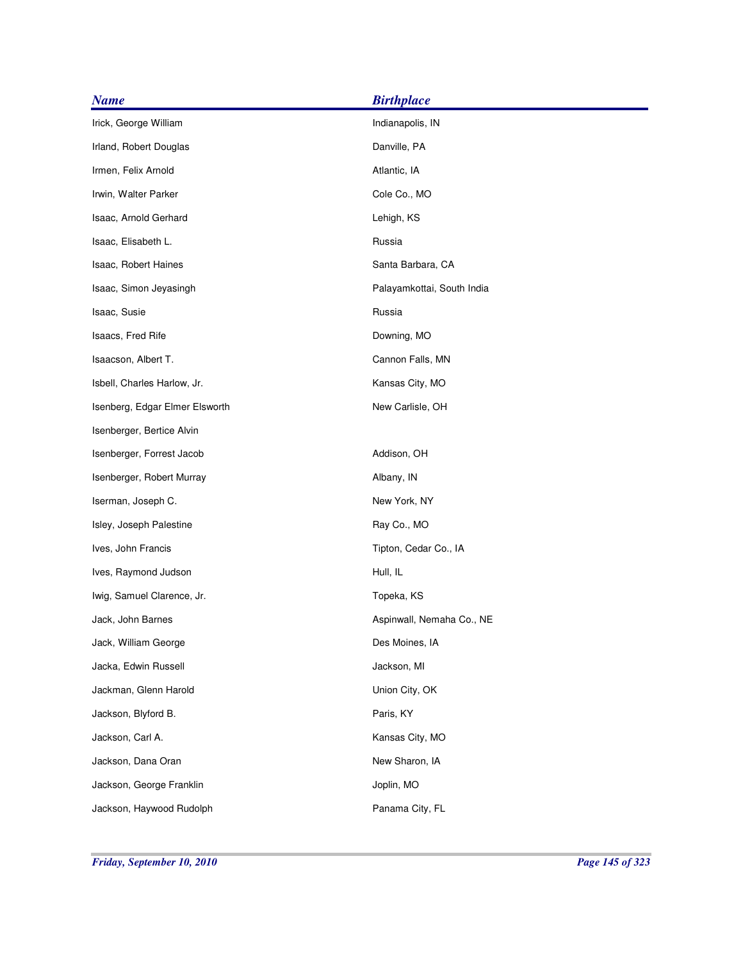| <b>Name</b>                    | <b>Birthplace</b>          |
|--------------------------------|----------------------------|
| Irick, George William          | Indianapolis, IN           |
| Irland, Robert Douglas         | Danville, PA               |
| Irmen, Felix Arnold            | Atlantic, IA               |
| Irwin, Walter Parker           | Cole Co., MO               |
| Isaac, Arnold Gerhard          | Lehigh, KS                 |
| Isaac, Elisabeth L.            | Russia                     |
| Isaac, Robert Haines           | Santa Barbara, CA          |
| Isaac, Simon Jeyasingh         | Palayamkottai, South India |
| Isaac, Susie                   | Russia                     |
| Isaacs, Fred Rife              | Downing, MO                |
| Isaacson, Albert T.            | Cannon Falls, MN           |
| Isbell, Charles Harlow, Jr.    | Kansas City, MO            |
| Isenberg, Edgar Elmer Elsworth | New Carlisle, OH           |
| Isenberger, Bertice Alvin      |                            |
| Isenberger, Forrest Jacob      | Addison, OH                |
| Isenberger, Robert Murray      | Albany, IN                 |
| Iserman, Joseph C.             | New York, NY               |
| Isley, Joseph Palestine        | Ray Co., MO                |
| Ives, John Francis             | Tipton, Cedar Co., IA      |
| Ives, Raymond Judson           | Hull, IL                   |
| Iwig, Samuel Clarence, Jr.     | Topeka, KS                 |
| Jack, John Barnes              | Aspinwall, Nemaha Co., NE  |
| Jack, William George           | Des Moines, IA             |
| Jacka, Edwin Russell           | Jackson, MI                |
| Jackman, Glenn Harold          | Union City, OK             |
| Jackson, Blyford B.            | Paris, KY                  |
| Jackson, Carl A.               | Kansas City, MO            |
| Jackson, Dana Oran             | New Sharon, IA             |
| Jackson, George Franklin       | Joplin, MO                 |
| Jackson, Haywood Rudolph       | Panama City, FL            |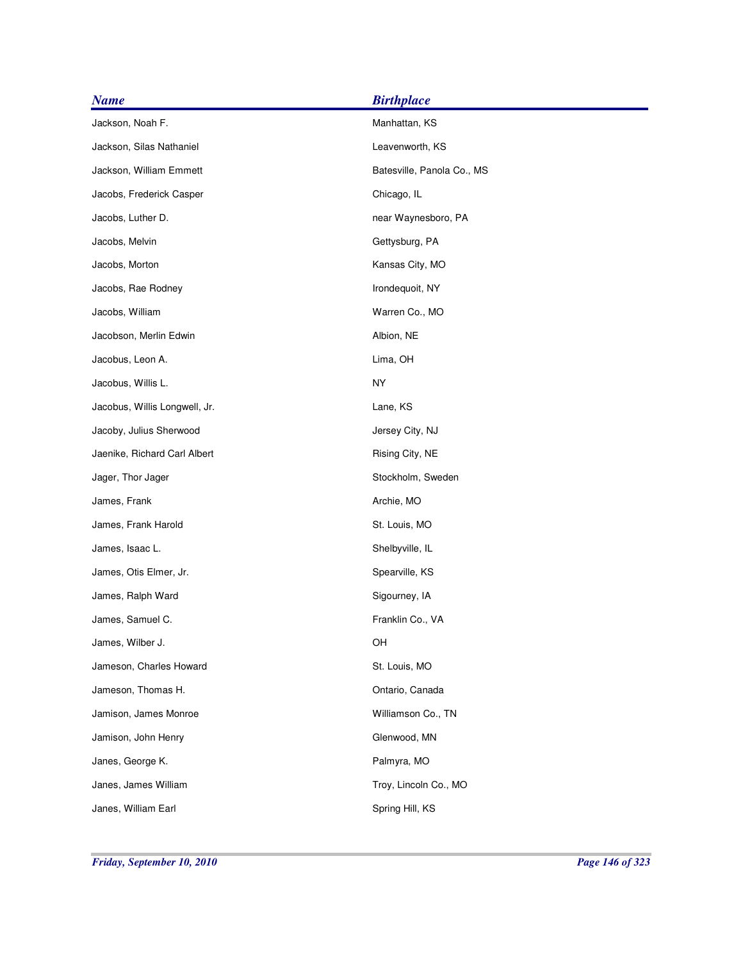| <b>Name</b>                   | <b>Birthplace</b>          |
|-------------------------------|----------------------------|
| Jackson, Noah F.              | Manhattan, KS              |
| Jackson, Silas Nathaniel      | Leavenworth, KS            |
| Jackson, William Emmett       | Batesville, Panola Co., MS |
| Jacobs, Frederick Casper      | Chicago, IL                |
| Jacobs, Luther D.             | near Waynesboro, PA        |
| Jacobs, Melvin                | Gettysburg, PA             |
| Jacobs, Morton                | Kansas City, MO            |
| Jacobs, Rae Rodney            | Irondequoit, NY            |
| Jacobs, William               | Warren Co., MO             |
| Jacobson, Merlin Edwin        | Albion, NE                 |
| Jacobus, Leon A.              | Lima, OH                   |
| Jacobus, Willis L.            | <b>NY</b>                  |
| Jacobus, Willis Longwell, Jr. | Lane, KS                   |
| Jacoby, Julius Sherwood       | Jersey City, NJ            |
| Jaenike, Richard Carl Albert  | Rising City, NE            |
| Jager, Thor Jager             | Stockholm, Sweden          |
| James, Frank                  | Archie, MO                 |
| James, Frank Harold           | St. Louis, MO              |
| James, Isaac L.               | Shelbyville, IL            |
| James, Otis Elmer, Jr.        | Spearville, KS             |
| James, Ralph Ward             | Sigourney, IA              |
| James, Samuel C.              | Franklin Co., VA           |
| James, Wilber J.              | OH                         |
| Jameson, Charles Howard       | St. Louis, MO              |
| Jameson, Thomas H.            | Ontario, Canada            |
| Jamison, James Monroe         | Williamson Co., TN         |
| Jamison, John Henry           | Glenwood, MN               |
| Janes, George K.              | Palmyra, MO                |
| Janes, James William          | Troy, Lincoln Co., MO      |
| Janes, William Earl           | Spring Hill, KS            |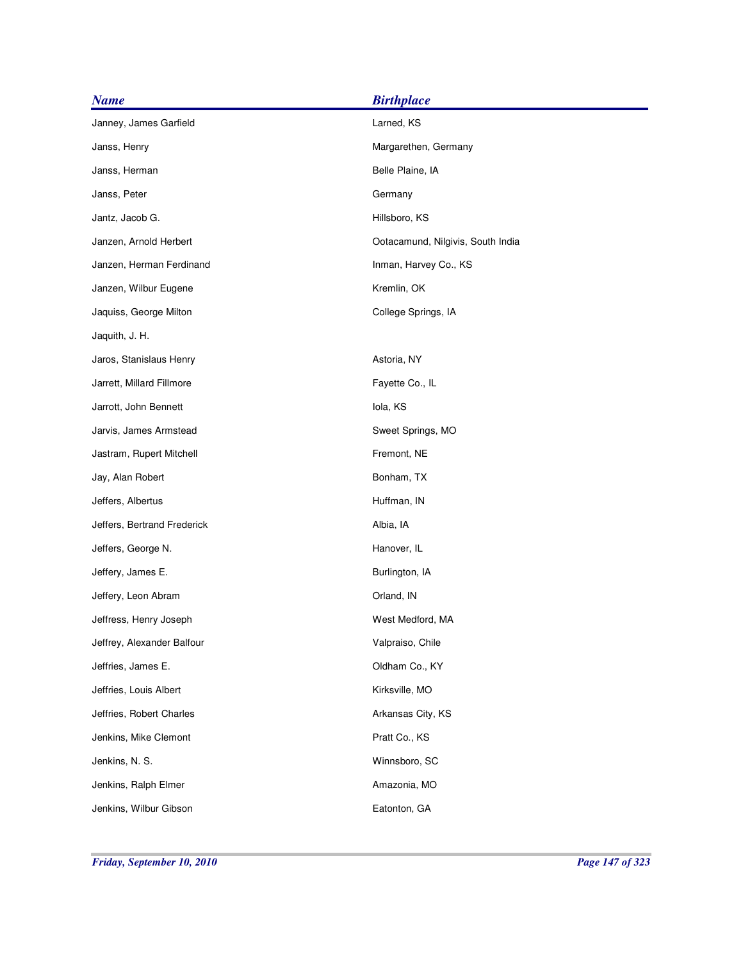| <b>Name</b>                 | <b>Birthplace</b>                 |
|-----------------------------|-----------------------------------|
| Janney, James Garfield      | Larned, KS                        |
| Janss, Henry                | Margarethen, Germany              |
| Janss, Herman               | Belle Plaine, IA                  |
| Janss, Peter                | Germany                           |
| Jantz, Jacob G.             | Hillsboro, KS                     |
| Janzen, Arnold Herbert      | Ootacamund, Nilgivis, South India |
| Janzen, Herman Ferdinand    | Inman, Harvey Co., KS             |
| Janzen, Wilbur Eugene       | Kremlin, OK                       |
| Jaquiss, George Milton      | College Springs, IA               |
| Jaquith, J. H.              |                                   |
| Jaros, Stanislaus Henry     | Astoria, NY                       |
| Jarrett, Millard Fillmore   | Fayette Co., IL                   |
| Jarrott, John Bennett       | lola, KS                          |
| Jarvis, James Armstead      | Sweet Springs, MO                 |
| Jastram, Rupert Mitchell    | Fremont, NE                       |
| Jay, Alan Robert            | Bonham, TX                        |
| Jeffers, Albertus           | Huffman, IN                       |
| Jeffers, Bertrand Frederick | Albia, IA                         |
| Jeffers, George N.          | Hanover, IL                       |
| Jeffery, James E.           | Burlington, IA                    |
| Jeffery, Leon Abram         | Orland, IN                        |
| Jeffress, Henry Joseph      | West Medford, MA                  |
| Jeffrey, Alexander Balfour  | Valpraiso, Chile                  |
| Jeffries, James E.          | Oldham Co., KY                    |
| Jeffries, Louis Albert      | Kirksville, MO                    |
| Jeffries, Robert Charles    | Arkansas City, KS                 |
| Jenkins, Mike Clemont       | Pratt Co., KS                     |
| Jenkins, N. S.              | Winnsboro, SC                     |
| Jenkins, Ralph Elmer        | Amazonia, MO                      |
| Jenkins, Wilbur Gibson      | Eatonton, GA                      |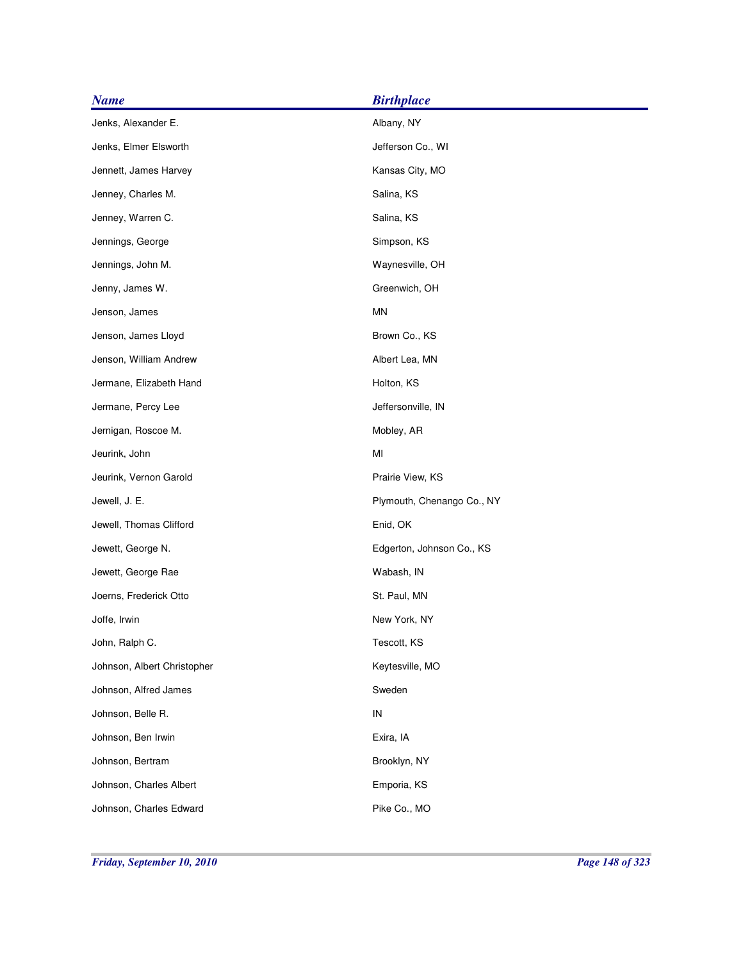| <b>Name</b>                 | <b>Birthplace</b>          |
|-----------------------------|----------------------------|
| Jenks, Alexander E.         | Albany, NY                 |
| Jenks, Elmer Elsworth       | Jefferson Co., WI          |
| Jennett, James Harvey       | Kansas City, MO            |
| Jenney, Charles M.          | Salina, KS                 |
| Jenney, Warren C.           | Salina, KS                 |
| Jennings, George            | Simpson, KS                |
| Jennings, John M.           | Waynesville, OH            |
| Jenny, James W.             | Greenwich, OH              |
| Jenson, James               | MN                         |
| Jenson, James Lloyd         | Brown Co., KS              |
| Jenson, William Andrew      | Albert Lea, MN             |
| Jermane, Elizabeth Hand     | Holton, KS                 |
| Jermane, Percy Lee          | Jeffersonville, IN         |
| Jernigan, Roscoe M.         | Mobley, AR                 |
| Jeurink, John               | MI                         |
| Jeurink, Vernon Garold      | Prairie View, KS           |
| Jewell, J. E.               | Plymouth, Chenango Co., NY |
| Jewell, Thomas Clifford     | Enid, OK                   |
| Jewett, George N.           | Edgerton, Johnson Co., KS  |
| Jewett, George Rae          | Wabash, IN                 |
| Joerns, Frederick Otto      | St. Paul, MN               |
| Joffe, Irwin                | New York, NY               |
| John, Ralph C.              | Tescott, KS                |
| Johnson, Albert Christopher | Keytesville, MO            |
| Johnson, Alfred James       | Sweden                     |
| Johnson, Belle R.           | IN                         |
| Johnson, Ben Irwin          | Exira, IA                  |
| Johnson, Bertram            | Brooklyn, NY               |
| Johnson, Charles Albert     | Emporia, KS                |
| Johnson, Charles Edward     | Pike Co., MO               |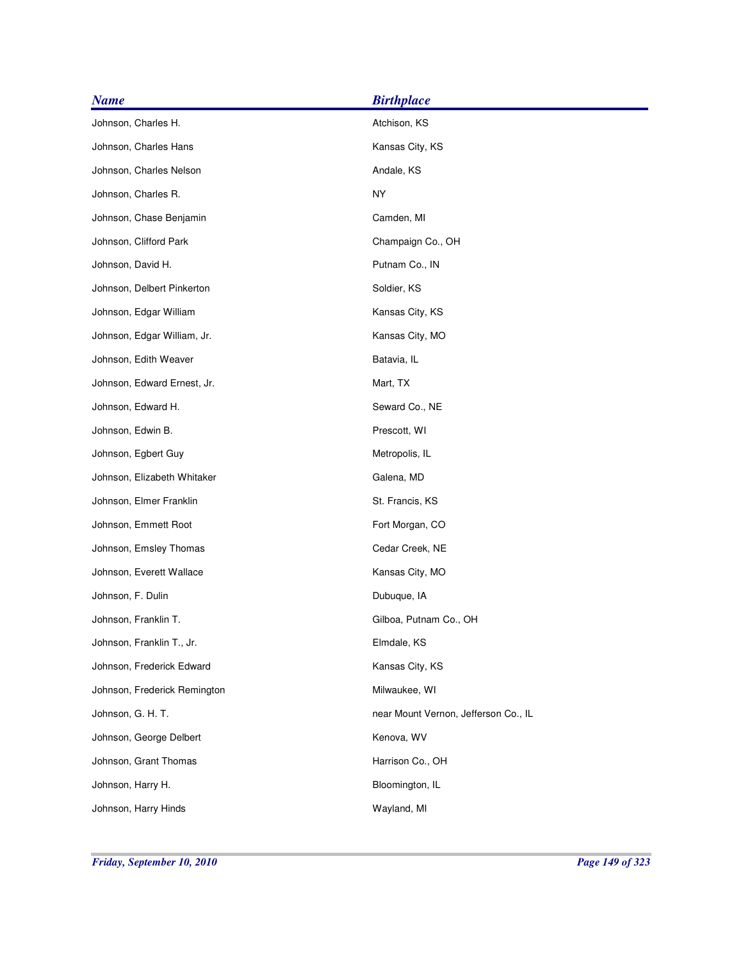| <b>Name</b>                  | <b>Birthplace</b>                    |
|------------------------------|--------------------------------------|
| Johnson, Charles H.          | Atchison, KS                         |
| Johnson, Charles Hans        | Kansas City, KS                      |
| Johnson, Charles Nelson      | Andale, KS                           |
| Johnson, Charles R.          | <b>NY</b>                            |
| Johnson, Chase Benjamin      | Camden, MI                           |
| Johnson, Clifford Park       | Champaign Co., OH                    |
| Johnson, David H.            | Putnam Co., IN                       |
| Johnson, Delbert Pinkerton   | Soldier, KS                          |
| Johnson, Edgar William       | Kansas City, KS                      |
| Johnson, Edgar William, Jr.  | Kansas City, MO                      |
| Johnson, Edith Weaver        | Batavia, IL                          |
| Johnson, Edward Ernest, Jr.  | Mart, TX                             |
| Johnson, Edward H.           | Seward Co., NE                       |
| Johnson, Edwin B.            | Prescott, WI                         |
| Johnson, Egbert Guy          | Metropolis, IL                       |
| Johnson, Elizabeth Whitaker  | Galena, MD                           |
| Johnson, Elmer Franklin      | St. Francis, KS                      |
| Johnson, Emmett Root         | Fort Morgan, CO                      |
| Johnson, Emsley Thomas       | Cedar Creek, NE                      |
| Johnson, Everett Wallace     | Kansas City, MO                      |
| Johnson, F. Dulin            | Dubuque, IA                          |
| Johnson, Franklin T.         | Gilboa, Putnam Co., OH               |
| Johnson, Franklin T., Jr.    | Elmdale, KS                          |
| Johnson, Frederick Edward    | Kansas City, KS                      |
| Johnson, Frederick Remington | Milwaukee, WI                        |
| Johnson, G. H. T.            | near Mount Vernon, Jefferson Co., IL |
| Johnson, George Delbert      | Kenova, WV                           |
| Johnson, Grant Thomas        | Harrison Co., OH                     |
| Johnson, Harry H.            | Bloomington, IL                      |
| Johnson, Harry Hinds         | Wayland, MI                          |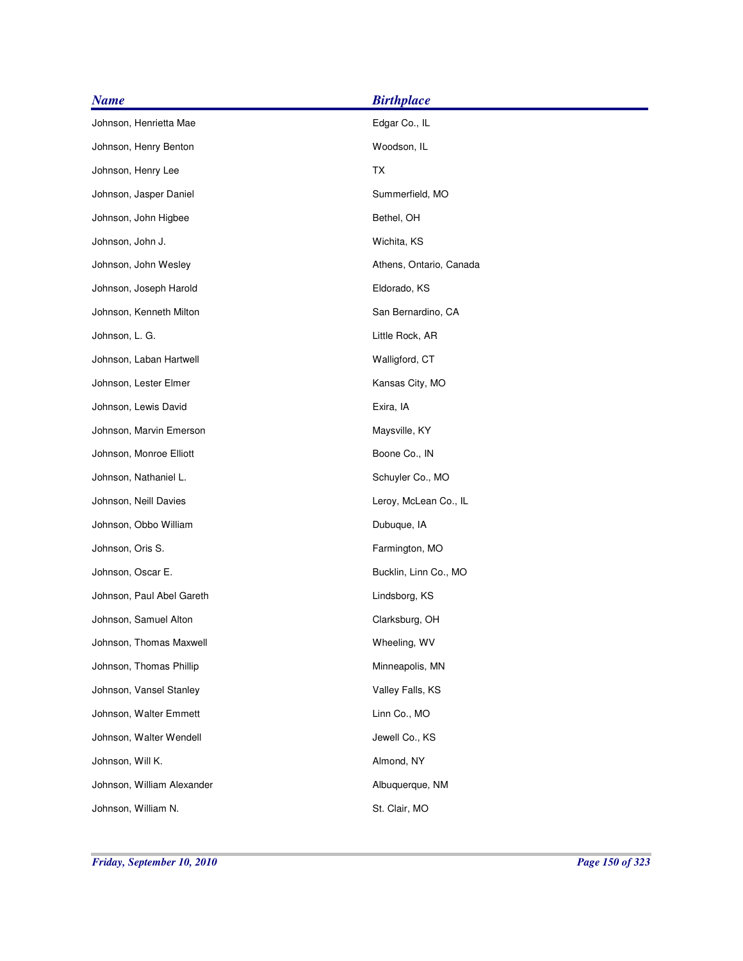| <b>Name</b>                | <b>Birthplace</b>       |
|----------------------------|-------------------------|
| Johnson, Henrietta Mae     | Edgar Co., IL           |
| Johnson, Henry Benton      | Woodson, IL             |
| Johnson, Henry Lee         | <b>TX</b>               |
| Johnson, Jasper Daniel     | Summerfield, MO         |
| Johnson, John Higbee       | Bethel, OH              |
| Johnson, John J.           | Wichita, KS             |
| Johnson, John Wesley       | Athens, Ontario, Canada |
| Johnson, Joseph Harold     | Eldorado, KS            |
| Johnson, Kenneth Milton    | San Bernardino, CA      |
| Johnson, L. G.             | Little Rock, AR         |
| Johnson, Laban Hartwell    | Walligford, CT          |
| Johnson, Lester Elmer      | Kansas City, MO         |
| Johnson, Lewis David       | Exira, IA               |
| Johnson, Marvin Emerson    | Maysville, KY           |
| Johnson, Monroe Elliott    | Boone Co., IN           |
| Johnson, Nathaniel L.      | Schuyler Co., MO        |
| Johnson, Neill Davies      | Leroy, McLean Co., IL   |
| Johnson, Obbo William      | Dubuque, IA             |
| Johnson, Oris S.           | Farmington, MO          |
| Johnson, Oscar E.          | Bucklin, Linn Co., MO   |
| Johnson, Paul Abel Gareth  | Lindsborg, KS           |
| Johnson, Samuel Alton      | Clarksburg, OH          |
| Johnson, Thomas Maxwell    | Wheeling, WV            |
| Johnson, Thomas Phillip    | Minneapolis, MN         |
| Johnson, Vansel Stanley    | Valley Falls, KS        |
| Johnson, Walter Emmett     | Linn Co., MO            |
| Johnson, Walter Wendell    | Jewell Co., KS          |
| Johnson, Will K.           | Almond, NY              |
| Johnson, William Alexander | Albuquerque, NM         |
| Johnson, William N.        | St. Clair, MO           |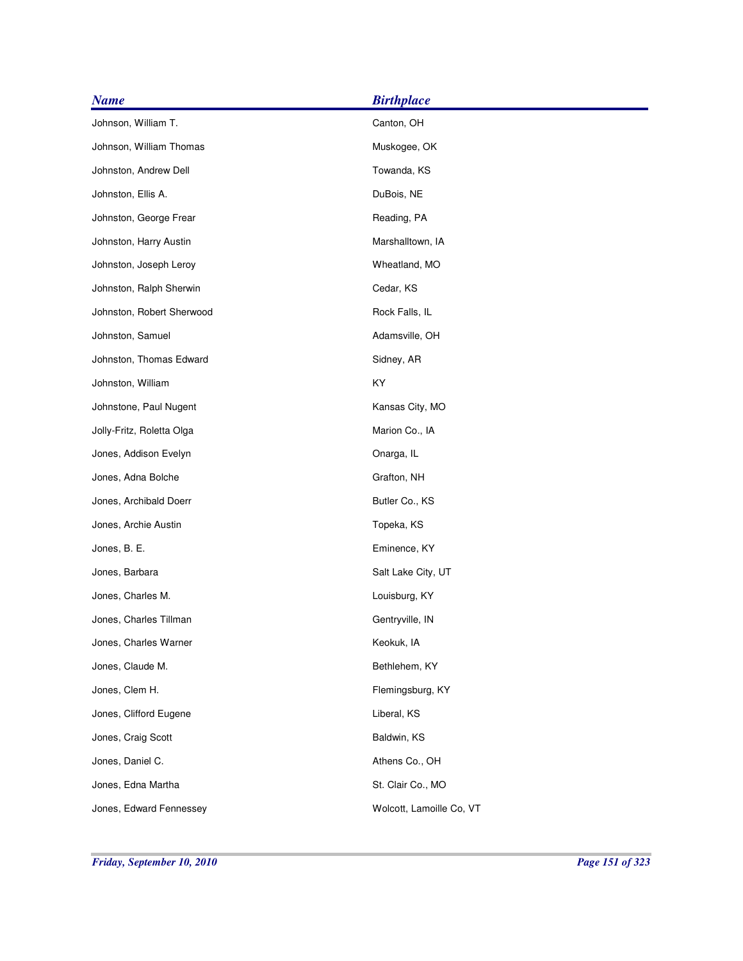| <b>Name</b>               | <b>Birthplace</b>        |
|---------------------------|--------------------------|
| Johnson, William T.       | Canton, OH               |
| Johnson, William Thomas   | Muskogee, OK             |
| Johnston, Andrew Dell     | Towanda, KS              |
| Johnston, Ellis A.        | DuBois, NE               |
| Johnston, George Frear    | Reading, PA              |
| Johnston, Harry Austin    | Marshalltown, IA         |
| Johnston, Joseph Leroy    | Wheatland, MO            |
| Johnston, Ralph Sherwin   | Cedar, KS                |
| Johnston, Robert Sherwood | Rock Falls, IL           |
| Johnston, Samuel          | Adamsville, OH           |
| Johnston, Thomas Edward   | Sidney, AR               |
| Johnston, William         | KY                       |
| Johnstone, Paul Nugent    | Kansas City, MO          |
| Jolly-Fritz, Roletta Olga | Marion Co., IA           |
| Jones, Addison Evelyn     | Onarga, IL               |
| Jones, Adna Bolche        | Grafton, NH              |
| Jones, Archibald Doerr    | Butler Co., KS           |
| Jones, Archie Austin      | Topeka, KS               |
| Jones, B. E.              | Eminence, KY             |
| Jones, Barbara            | Salt Lake City, UT       |
| Jones, Charles M.         | Louisburg, KY            |
| Jones, Charles Tillman    | Gentryville, IN          |
| Jones, Charles Warner     | Keokuk, IA               |
| Jones, Claude M.          | Bethlehem, KY            |
| Jones, Clem H.            | Flemingsburg, KY         |
| Jones, Clifford Eugene    | Liberal, KS              |
| Jones, Craig Scott        | Baldwin, KS              |
| Jones, Daniel C.          | Athens Co., OH           |
| Jones, Edna Martha        | St. Clair Co., MO        |
| Jones, Edward Fennessey   | Wolcott, Lamoille Co, VT |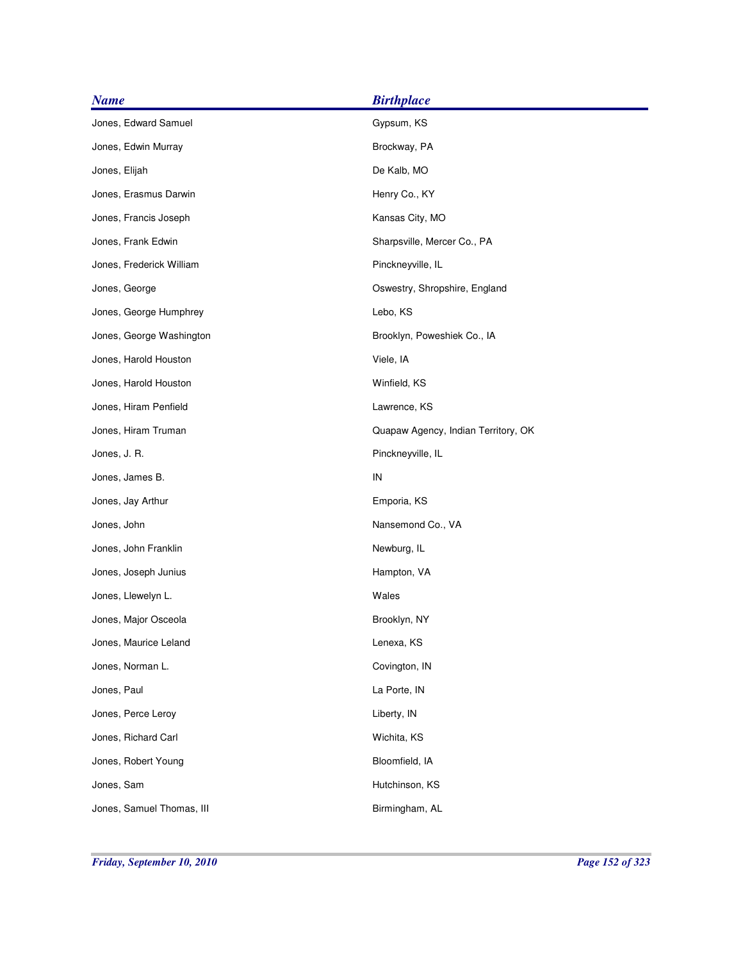| <b>Name</b>               | <b>Birthplace</b>                   |
|---------------------------|-------------------------------------|
| Jones, Edward Samuel      | Gypsum, KS                          |
| Jones, Edwin Murray       | Brockway, PA                        |
| Jones, Elijah             | De Kalb, MO                         |
| Jones, Erasmus Darwin     | Henry Co., KY                       |
| Jones, Francis Joseph     | Kansas City, MO                     |
| Jones, Frank Edwin        | Sharpsville, Mercer Co., PA         |
| Jones, Frederick William  | Pinckneyville, IL                   |
| Jones, George             | Oswestry, Shropshire, England       |
| Jones, George Humphrey    | Lebo, KS                            |
| Jones, George Washington  | Brooklyn, Poweshiek Co., IA         |
| Jones, Harold Houston     | Viele, IA                           |
| Jones, Harold Houston     | Winfield, KS                        |
| Jones, Hiram Penfield     | Lawrence, KS                        |
| Jones, Hiram Truman       | Quapaw Agency, Indian Territory, OK |
| Jones, J. R.              | Pinckneyville, IL                   |
| Jones, James B.           | IN                                  |
| Jones, Jay Arthur         | Emporia, KS                         |
| Jones, John               | Nansemond Co., VA                   |
| Jones, John Franklin      | Newburg, IL                         |
| Jones, Joseph Junius      | Hampton, VA                         |
| Jones, Llewelyn L.        | Wales                               |
| Jones, Major Osceola      | Brooklyn, NY                        |
| Jones, Maurice Leland     | Lenexa, KS                          |
| Jones, Norman L.          | Covington, IN                       |
| Jones, Paul               | La Porte, IN                        |
| Jones, Perce Leroy        | Liberty, IN                         |
| Jones, Richard Carl       | Wichita, KS                         |
| Jones, Robert Young       | Bloomfield, IA                      |
| Jones, Sam                | Hutchinson, KS                      |
| Jones, Samuel Thomas, III | Birmingham, AL                      |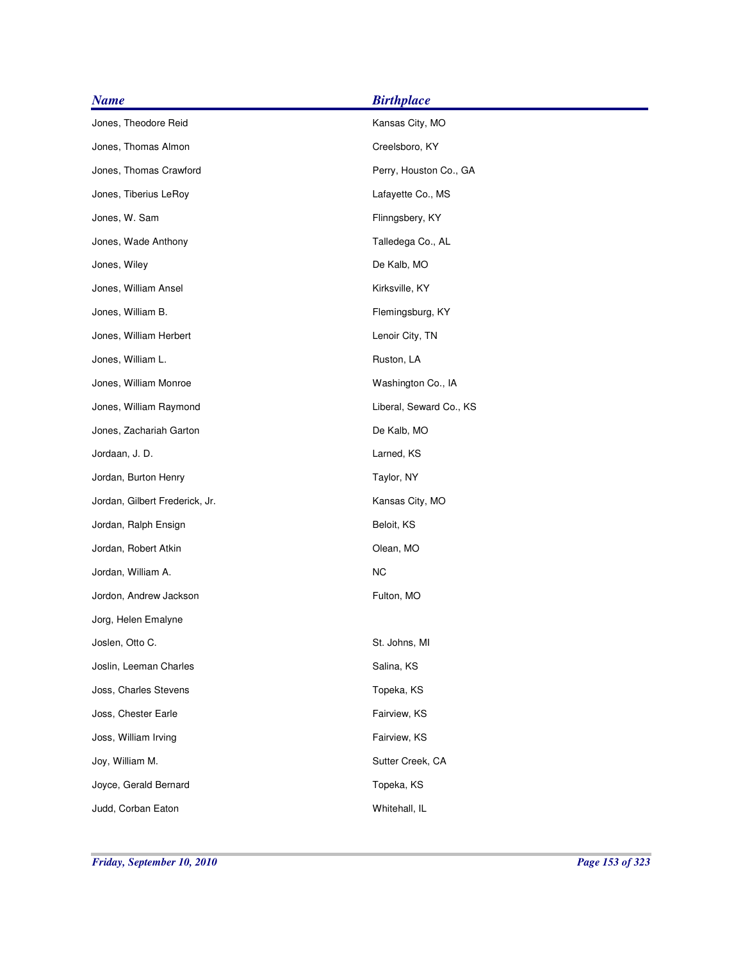| <b>Name</b>                    | <b>Birthplace</b>       |
|--------------------------------|-------------------------|
| Jones, Theodore Reid           | Kansas City, MO         |
| Jones, Thomas Almon            | Creelsboro, KY          |
| Jones, Thomas Crawford         | Perry, Houston Co., GA  |
| Jones, Tiberius LeRoy          | Lafayette Co., MS       |
| Jones, W. Sam                  | Flinngsbery, KY         |
| Jones, Wade Anthony            | Talledega Co., AL       |
| Jones, Wiley                   | De Kalb, MO             |
| Jones, William Ansel           | Kirksville, KY          |
| Jones, William B.              | Flemingsburg, KY        |
| Jones, William Herbert         | Lenoir City, TN         |
| Jones, William L.              | Ruston, LA              |
| Jones, William Monroe          | Washington Co., IA      |
| Jones, William Raymond         | Liberal, Seward Co., KS |
| Jones, Zachariah Garton        | De Kalb, MO             |
| Jordaan, J. D.                 | Larned, KS              |
| Jordan, Burton Henry           | Taylor, NY              |
| Jordan, Gilbert Frederick, Jr. | Kansas City, MO         |
| Jordan, Ralph Ensign           | Beloit, KS              |
| Jordan, Robert Atkin           | Olean, MO               |
| Jordan, William A.             | <b>NC</b>               |
| Jordon, Andrew Jackson         | Fulton, MO              |
| Jorg, Helen Emalyne            |                         |
| Joslen, Otto C.                | St. Johns, MI           |
| Joslin, Leeman Charles         | Salina, KS              |
| Joss, Charles Stevens          | Topeka, KS              |
| Joss, Chester Earle            | Fairview, KS            |
| Joss, William Irving           | Fairview, KS            |
| Joy, William M.                | Sutter Creek, CA        |
| Joyce, Gerald Bernard          | Topeka, KS              |
| Judd, Corban Eaton             | Whitehall, IL           |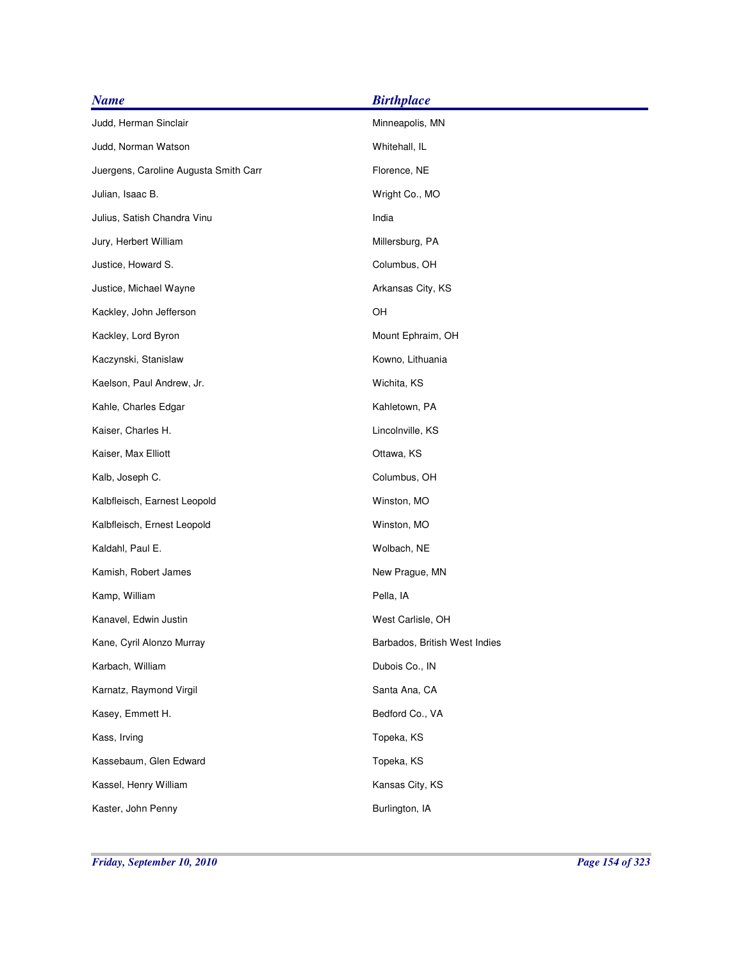| <b>Name</b>                           | <b>Birthplace</b>             |
|---------------------------------------|-------------------------------|
| Judd, Herman Sinclair                 | Minneapolis, MN               |
| Judd, Norman Watson                   | Whitehall, IL                 |
| Juergens, Caroline Augusta Smith Carr | Florence, NE                  |
| Julian, Isaac B.                      | Wright Co., MO                |
| Julius, Satish Chandra Vinu           | India                         |
| Jury, Herbert William                 | Millersburg, PA               |
| Justice, Howard S.                    | Columbus, OH                  |
| Justice, Michael Wayne                | Arkansas City, KS             |
| Kackley, John Jefferson               | OH                            |
| Kackley, Lord Byron                   | Mount Ephraim, OH             |
| Kaczynski, Stanislaw                  | Kowno, Lithuania              |
| Kaelson, Paul Andrew, Jr.             | Wichita, KS                   |
| Kahle, Charles Edgar                  | Kahletown, PA                 |
| Kaiser, Charles H.                    | Lincolnville, KS              |
| Kaiser, Max Elliott                   | Ottawa, KS                    |
| Kalb, Joseph C.                       | Columbus, OH                  |
| Kalbfleisch, Earnest Leopold          | Winston, MO                   |
| Kalbfleisch, Ernest Leopold           | Winston, MO                   |
| Kaldahl, Paul E.                      | Wolbach, NE                   |
| Kamish, Robert James                  | New Prague, MN                |
| Kamp, William                         | Pella, IA                     |
| Kanavel, Edwin Justin                 | West Carlisle, OH             |
| Kane, Cyril Alonzo Murray             | Barbados, British West Indies |
| Karbach, William                      | Dubois Co., IN                |
| Karnatz, Raymond Virgil               | Santa Ana, CA                 |
| Kasey, Emmett H.                      | Bedford Co., VA               |
| Kass, Irving                          | Topeka, KS                    |
| Kassebaum, Glen Edward                | Topeka, KS                    |
| Kassel, Henry William                 | Kansas City, KS               |
| Kaster, John Penny                    | Burlington, IA                |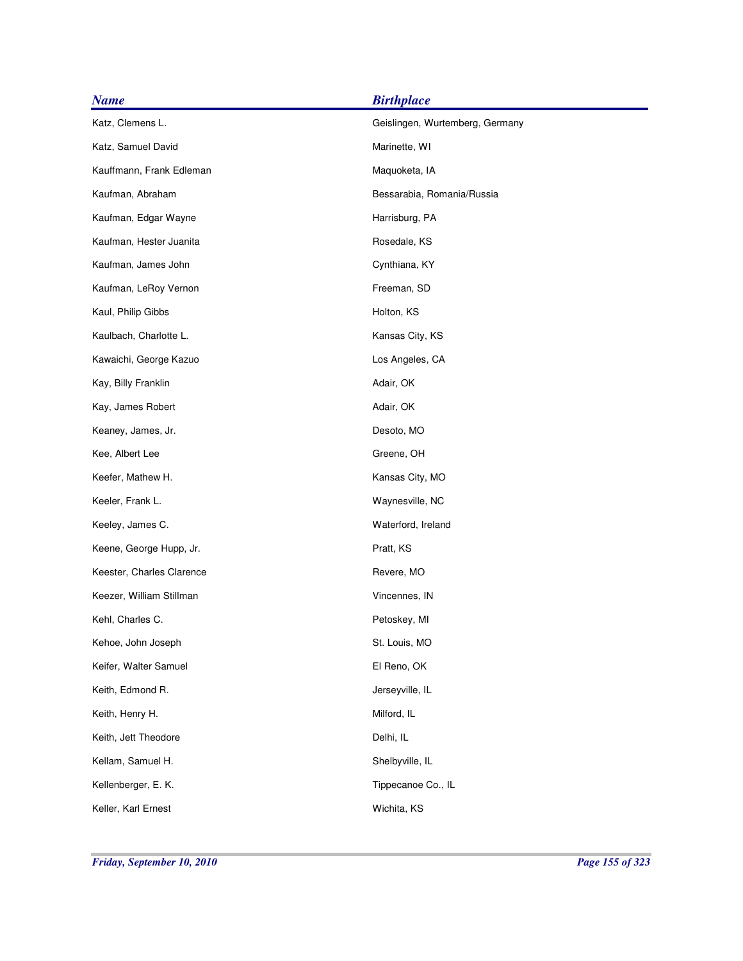| <b>Name</b>               | <b>Birthplace</b>               |
|---------------------------|---------------------------------|
| Katz, Clemens L.          | Geislingen, Wurtemberg, Germany |
| Katz, Samuel David        | Marinette, WI                   |
| Kauffmann, Frank Edleman  | Maquoketa, IA                   |
| Kaufman, Abraham          | Bessarabia, Romania/Russia      |
| Kaufman, Edgar Wayne      | Harrisburg, PA                  |
| Kaufman, Hester Juanita   | Rosedale, KS                    |
| Kaufman, James John       | Cynthiana, KY                   |
| Kaufman, LeRoy Vernon     | Freeman, SD                     |
| Kaul, Philip Gibbs        | Holton, KS                      |
| Kaulbach, Charlotte L.    | Kansas City, KS                 |
| Kawaichi, George Kazuo    | Los Angeles, CA                 |
| Kay, Billy Franklin       | Adair, OK                       |
| Kay, James Robert         | Adair, OK                       |
| Keaney, James, Jr.        | Desoto, MO                      |
| Kee, Albert Lee           | Greene, OH                      |
| Keefer, Mathew H.         | Kansas City, MO                 |
| Keeler, Frank L.          | Waynesville, NC                 |
| Keeley, James C.          | Waterford, Ireland              |
| Keene, George Hupp, Jr.   | Pratt, KS                       |
| Keester, Charles Clarence | Revere, MO                      |
| Keezer, William Stillman  | Vincennes, IN                   |
| Kehl, Charles C.          | Petoskey, MI                    |
| Kehoe, John Joseph        | St. Louis, MO                   |
| Keifer, Walter Samuel     | El Reno, OK                     |
| Keith, Edmond R.          | Jerseyville, IL                 |
| Keith, Henry H.           | Milford, IL                     |
| Keith, Jett Theodore      | Delhi, IL                       |
| Kellam, Samuel H.         | Shelbyville, IL                 |
| Kellenberger, E. K.       | Tippecanoe Co., IL              |
| Keller, Karl Ernest       | Wichita, KS                     |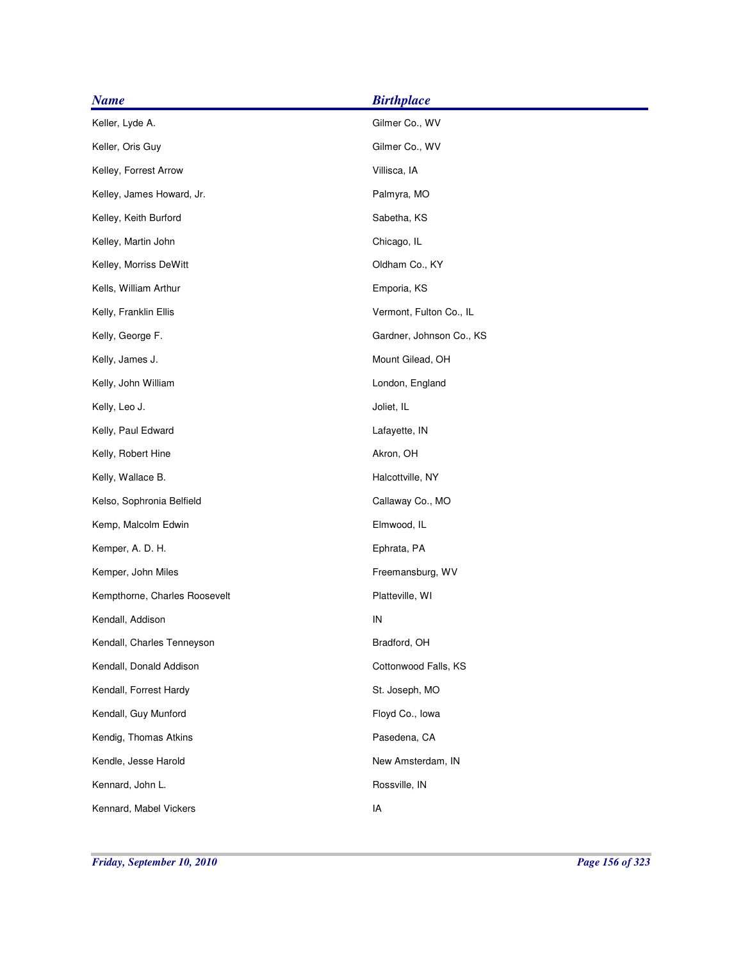| <b>Name</b>                   | <b>Birthplace</b>        |
|-------------------------------|--------------------------|
| Keller, Lyde A.               | Gilmer Co., WV           |
| Keller, Oris Guy              | Gilmer Co., WV           |
| Kelley, Forrest Arrow         | Villisca, IA             |
| Kelley, James Howard, Jr.     | Palmyra, MO              |
| Kelley, Keith Burford         | Sabetha, KS              |
| Kelley, Martin John           | Chicago, IL              |
| Kelley, Morriss DeWitt        | Oldham Co., KY           |
| Kells, William Arthur         | Emporia, KS              |
| Kelly, Franklin Ellis         | Vermont, Fulton Co., IL  |
| Kelly, George F.              | Gardner, Johnson Co., KS |
| Kelly, James J.               | Mount Gilead, OH         |
| Kelly, John William           | London, England          |
| Kelly, Leo J.                 | Joliet, IL               |
| Kelly, Paul Edward            | Lafayette, IN            |
| Kelly, Robert Hine            | Akron, OH                |
| Kelly, Wallace B.             | Halcottville, NY         |
| Kelso, Sophronia Belfield     | Callaway Co., MO         |
| Kemp, Malcolm Edwin           | Elmwood, IL              |
| Kemper, A. D. H.              | Ephrata, PA              |
| Kemper, John Miles            | Freemansburg, WV         |
| Kempthorne, Charles Roosevelt | Platteville, WI          |
| Kendall, Addison              | IN                       |
| Kendall, Charles Tenneyson    | Bradford, OH             |
| Kendall, Donald Addison       | Cottonwood Falls, KS     |
| Kendall, Forrest Hardy        | St. Joseph, MO           |
| Kendall, Guy Munford          | Floyd Co., Iowa          |
| Kendig, Thomas Atkins         | Pasedena, CA             |
| Kendle, Jesse Harold          | New Amsterdam, IN        |
| Kennard, John L.              | Rossville, IN            |
| Kennard, Mabel Vickers        | IA                       |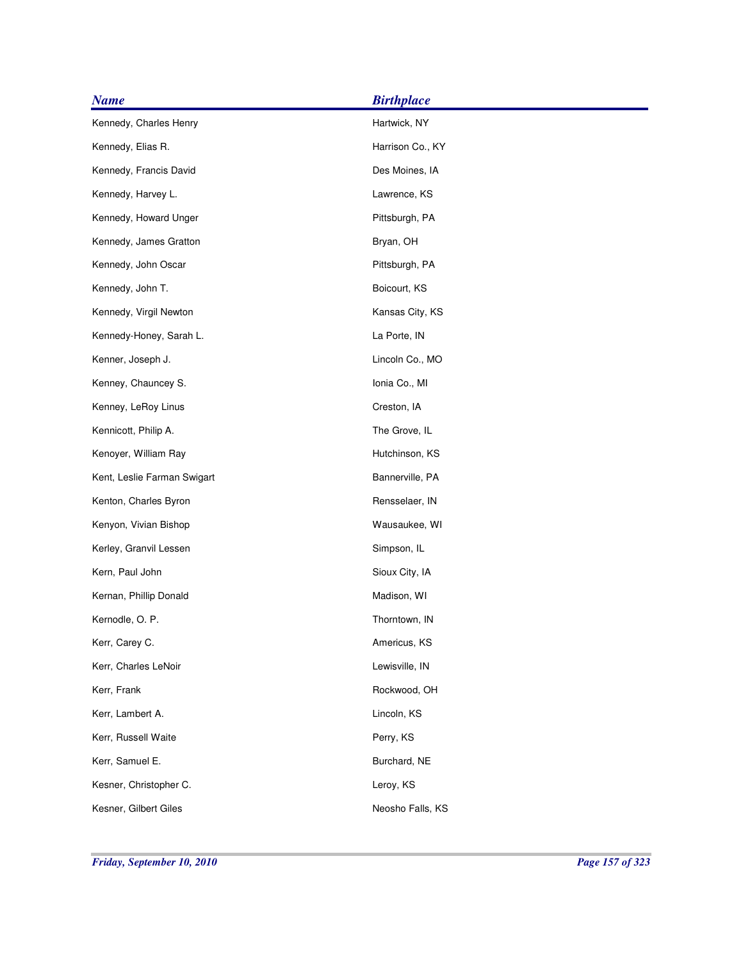| <b>Name</b>                 | <b>Birthplace</b> |
|-----------------------------|-------------------|
| Kennedy, Charles Henry      | Hartwick, NY      |
| Kennedy, Elias R.           | Harrison Co., KY  |
| Kennedy, Francis David      | Des Moines, IA    |
| Kennedy, Harvey L.          | Lawrence, KS      |
| Kennedy, Howard Unger       | Pittsburgh, PA    |
| Kennedy, James Gratton      | Bryan, OH         |
| Kennedy, John Oscar         | Pittsburgh, PA    |
| Kennedy, John T.            | Boicourt, KS      |
| Kennedy, Virgil Newton      | Kansas City, KS   |
| Kennedy-Honey, Sarah L.     | La Porte, IN      |
| Kenner, Joseph J.           | Lincoln Co., MO   |
| Kenney, Chauncey S.         | Ionia Co., MI     |
| Kenney, LeRoy Linus         | Creston, IA       |
| Kennicott, Philip A.        | The Grove, IL     |
| Kenoyer, William Ray        | Hutchinson, KS    |
| Kent, Leslie Farman Swigart | Bannerville, PA   |
| Kenton, Charles Byron       | Rensselaer, IN    |
| Kenyon, Vivian Bishop       | Wausaukee, WI     |
| Kerley, Granvil Lessen      | Simpson, IL       |
| Kern, Paul John             | Sioux City, IA    |
| Kernan, Phillip Donald      | Madison, WI       |
| Kernodle, O. P.             | Thorntown, IN     |
| Kerr, Carey C.              | Americus, KS      |
| Kerr, Charles LeNoir        | Lewisville, IN    |
| Kerr, Frank                 | Rockwood, OH      |
| Kerr, Lambert A.            | Lincoln, KS       |
| Kerr, Russell Waite         | Perry, KS         |
| Kerr, Samuel E.             | Burchard, NE      |
| Kesner, Christopher C.      | Leroy, KS         |
| Kesner, Gilbert Giles       | Neosho Falls, KS  |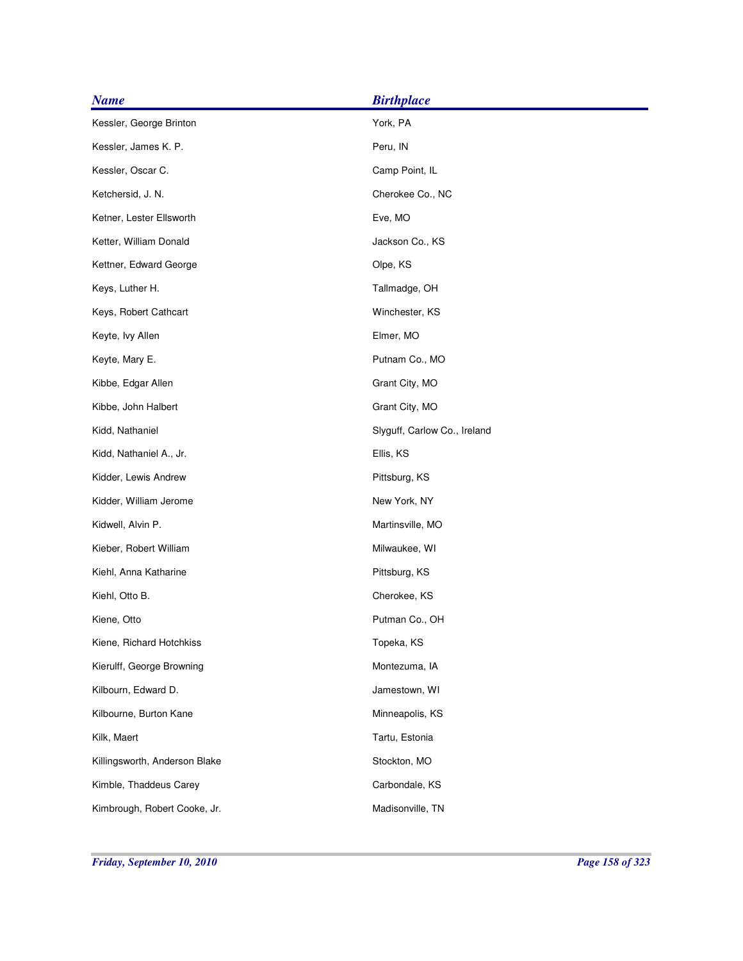| <b>Name</b>                   | <b>Birthplace</b>            |
|-------------------------------|------------------------------|
| Kessler, George Brinton       | York, PA                     |
| Kessler, James K. P.          | Peru, IN                     |
| Kessler, Oscar C.             | Camp Point, IL               |
| Ketchersid, J. N.             | Cherokee Co., NC             |
| Ketner, Lester Ellsworth      | Eve, MO                      |
| Ketter, William Donald        | Jackson Co., KS              |
| Kettner, Edward George        | Olpe, KS                     |
| Keys, Luther H.               | Tallmadge, OH                |
| Keys, Robert Cathcart         | Winchester, KS               |
| Keyte, Ivy Allen              | Elmer, MO                    |
| Keyte, Mary E.                | Putnam Co., MO               |
| Kibbe, Edgar Allen            | Grant City, MO               |
| Kibbe, John Halbert           | Grant City, MO               |
| Kidd, Nathaniel               | Slyguff, Carlow Co., Ireland |
| Kidd, Nathaniel A., Jr.       | Ellis, KS                    |
| Kidder, Lewis Andrew          | Pittsburg, KS                |
| Kidder, William Jerome        | New York, NY                 |
| Kidwell, Alvin P.             | Martinsville, MO             |
| Kieber, Robert William        | Milwaukee, WI                |
| Kiehl, Anna Katharine         | Pittsburg, KS                |
| Kiehl, Otto B.                | Cherokee, KS                 |
| Kiene, Otto                   | Putman Co., OH               |
| Kiene, Richard Hotchkiss      | Topeka, KS                   |
| Kierulff, George Browning     | Montezuma, IA                |
| Kilbourn, Edward D.           | Jamestown, WI                |
| Kilbourne, Burton Kane        | Minneapolis, KS              |
| Kilk, Maert                   | Tartu, Estonia               |
| Killingsworth, Anderson Blake | Stockton, MO                 |
| Kimble, Thaddeus Carey        | Carbondale, KS               |
| Kimbrough, Robert Cooke, Jr.  | Madisonville, TN             |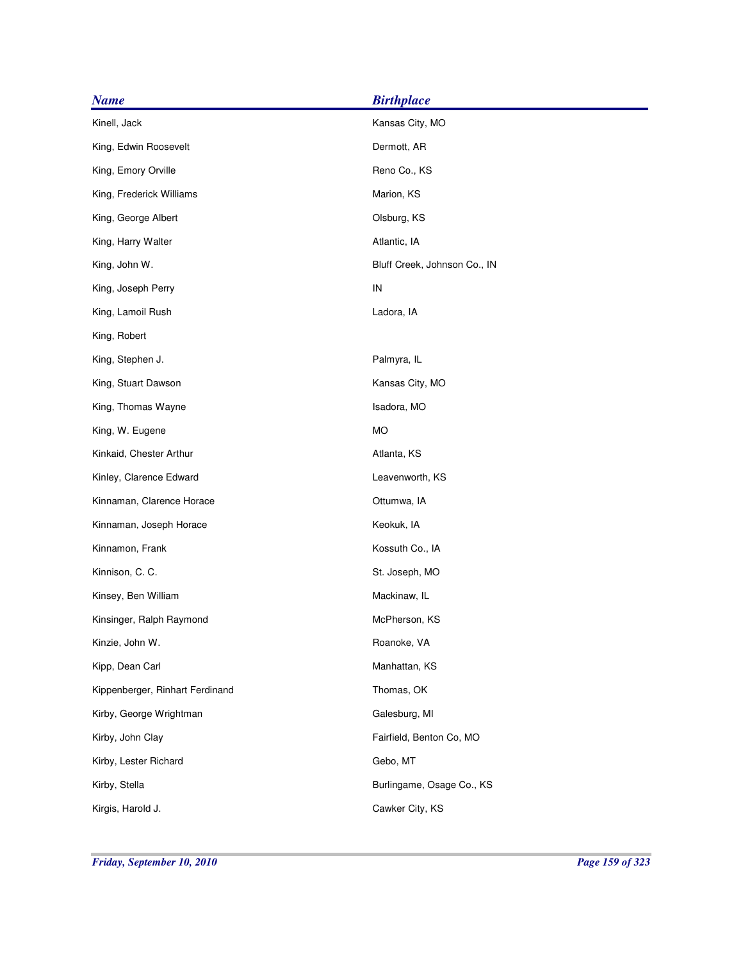| <b>Name</b>                     | <b>Birthplace</b>            |
|---------------------------------|------------------------------|
| Kinell, Jack                    | Kansas City, MO              |
| King, Edwin Roosevelt           | Dermott, AR                  |
| King, Emory Orville             | Reno Co., KS                 |
| King, Frederick Williams        | Marion, KS                   |
| King, George Albert             | Olsburg, KS                  |
| King, Harry Walter              | Atlantic, IA                 |
| King, John W.                   | Bluff Creek, Johnson Co., IN |
| King, Joseph Perry              | ${\sf IN}$                   |
| King, Lamoil Rush               | Ladora, IA                   |
| King, Robert                    |                              |
| King, Stephen J.                | Palmyra, IL                  |
| King, Stuart Dawson             | Kansas City, MO              |
| King, Thomas Wayne              | Isadora, MO                  |
| King, W. Eugene                 | <b>MO</b>                    |
| Kinkaid, Chester Arthur         | Atlanta, KS                  |
| Kinley, Clarence Edward         | Leavenworth, KS              |
| Kinnaman, Clarence Horace       | Ottumwa, IA                  |
| Kinnaman, Joseph Horace         | Keokuk, IA                   |
| Kinnamon, Frank                 | Kossuth Co., IA              |
| Kinnison, C. C.                 | St. Joseph, MO               |
| Kinsey, Ben William             | Mackinaw, IL                 |
| Kinsinger, Ralph Raymond        | McPherson, KS                |
| Kinzie, John W.                 | Roanoke, VA                  |
| Kipp, Dean Carl                 | Manhattan, KS                |
| Kippenberger, Rinhart Ferdinand | Thomas, OK                   |
| Kirby, George Wrightman         | Galesburg, MI                |
| Kirby, John Clay                | Fairfield, Benton Co, MO     |
| Kirby, Lester Richard           | Gebo, MT                     |
| Kirby, Stella                   | Burlingame, Osage Co., KS    |
| Kirgis, Harold J.               | Cawker City, KS              |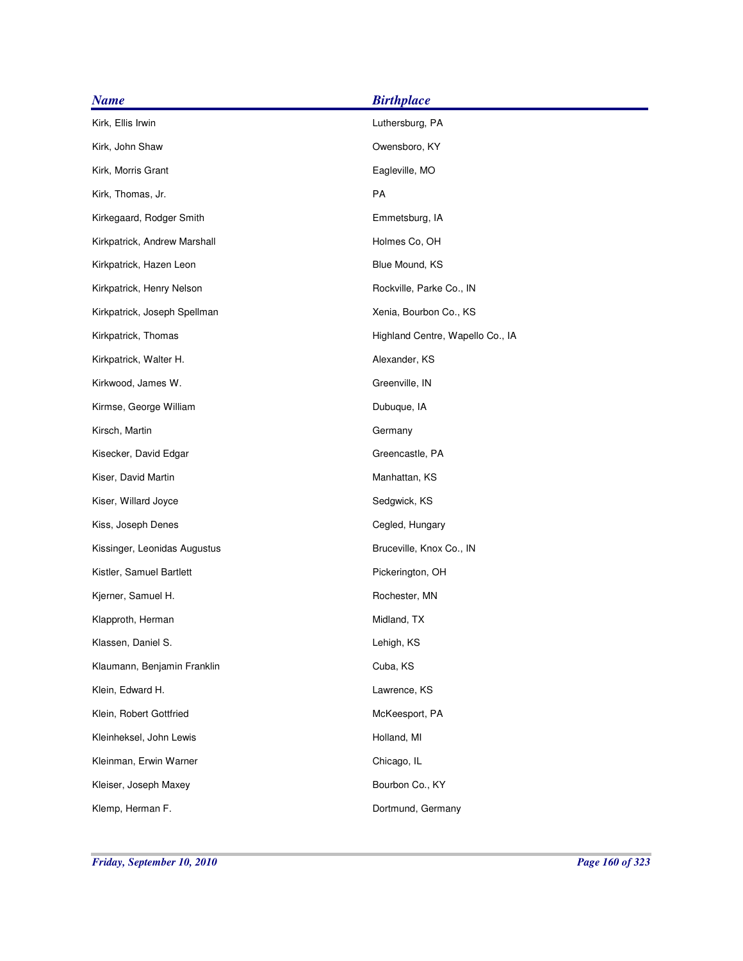| <b>Name</b>                  | <b>Birthplace</b>                |
|------------------------------|----------------------------------|
| Kirk, Ellis Irwin            | Luthersburg, PA                  |
| Kirk, John Shaw              | Owensboro, KY                    |
| Kirk, Morris Grant           | Eagleville, MO                   |
| Kirk, Thomas, Jr.            | PA                               |
| Kirkegaard, Rodger Smith     | Emmetsburg, IA                   |
| Kirkpatrick, Andrew Marshall | Holmes Co, OH                    |
| Kirkpatrick, Hazen Leon      | Blue Mound, KS                   |
| Kirkpatrick, Henry Nelson    | Rockville, Parke Co., IN         |
| Kirkpatrick, Joseph Spellman | Xenia, Bourbon Co., KS           |
| Kirkpatrick, Thomas          | Highland Centre, Wapello Co., IA |
| Kirkpatrick, Walter H.       | Alexander, KS                    |
| Kirkwood, James W.           | Greenville, IN                   |
| Kirmse, George William       | Dubuque, IA                      |
| Kirsch, Martin               | Germany                          |
| Kisecker, David Edgar        | Greencastle, PA                  |
| Kiser, David Martin          | Manhattan, KS                    |
| Kiser, Willard Joyce         | Sedgwick, KS                     |
| Kiss, Joseph Denes           | Cegled, Hungary                  |
| Kissinger, Leonidas Augustus | Bruceville, Knox Co., IN         |
| Kistler, Samuel Bartlett     | Pickerington, OH                 |
| Kjerner, Samuel H.           | Rochester, MN                    |
| Klapproth, Herman            | Midland, TX                      |
| Klassen, Daniel S.           | Lehigh, KS                       |
| Klaumann, Benjamin Franklin  | Cuba, KS                         |
| Klein, Edward H.             | Lawrence, KS                     |
| Klein, Robert Gottfried      | McKeesport, PA                   |
| Kleinheksel, John Lewis      | Holland, MI                      |
| Kleinman, Erwin Warner       | Chicago, IL                      |
| Kleiser, Joseph Maxey        | Bourbon Co., KY                  |
| Klemp, Herman F.             | Dortmund, Germany                |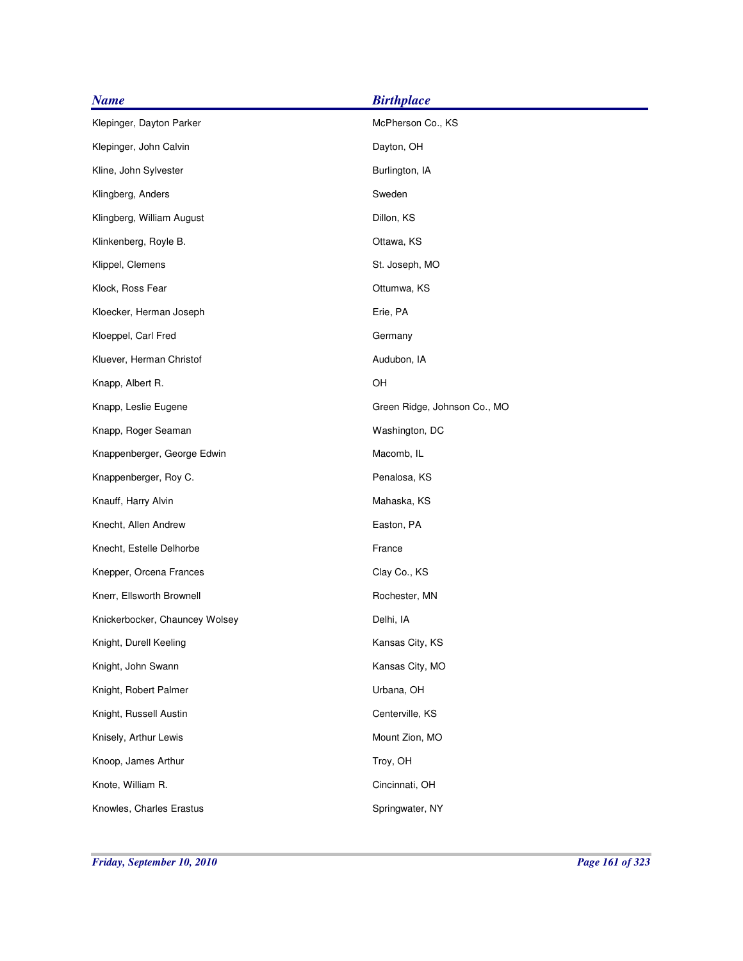| <b>Name</b>                    | <b>Birthplace</b>            |
|--------------------------------|------------------------------|
| Klepinger, Dayton Parker       | McPherson Co., KS            |
| Klepinger, John Calvin         | Dayton, OH                   |
| Kline, John Sylvester          | Burlington, IA               |
| Klingberg, Anders              | Sweden                       |
| Klingberg, William August      | Dillon, KS                   |
| Klinkenberg, Royle B.          | Ottawa, KS                   |
| Klippel, Clemens               | St. Joseph, MO               |
| Klock, Ross Fear               | Ottumwa, KS                  |
| Kloecker, Herman Joseph        | Erie, PA                     |
| Kloeppel, Carl Fred            | Germany                      |
| Kluever, Herman Christof       | Audubon, IA                  |
| Knapp, Albert R.               | OH                           |
| Knapp, Leslie Eugene           | Green Ridge, Johnson Co., MO |
| Knapp, Roger Seaman            | Washington, DC               |
| Knappenberger, George Edwin    | Macomb, IL                   |
| Knappenberger, Roy C.          | Penalosa, KS                 |
| Knauff, Harry Alvin            | Mahaska, KS                  |
| Knecht, Allen Andrew           | Easton, PA                   |
| Knecht, Estelle Delhorbe       | France                       |
| Knepper, Orcena Frances        | Clay Co., KS                 |
| Knerr, Ellsworth Brownell      | Rochester, MN                |
| Knickerbocker, Chauncey Wolsey | Delhi, IA                    |
| Knight, Durell Keeling         | Kansas City, KS              |
| Knight, John Swann             | Kansas City, MO              |
| Knight, Robert Palmer          | Urbana, OH                   |
| Knight, Russell Austin         | Centerville, KS              |
| Knisely, Arthur Lewis          | Mount Zion, MO               |
| Knoop, James Arthur            | Troy, OH                     |
| Knote, William R.              | Cincinnati, OH               |
| Knowles, Charles Erastus       | Springwater, NY              |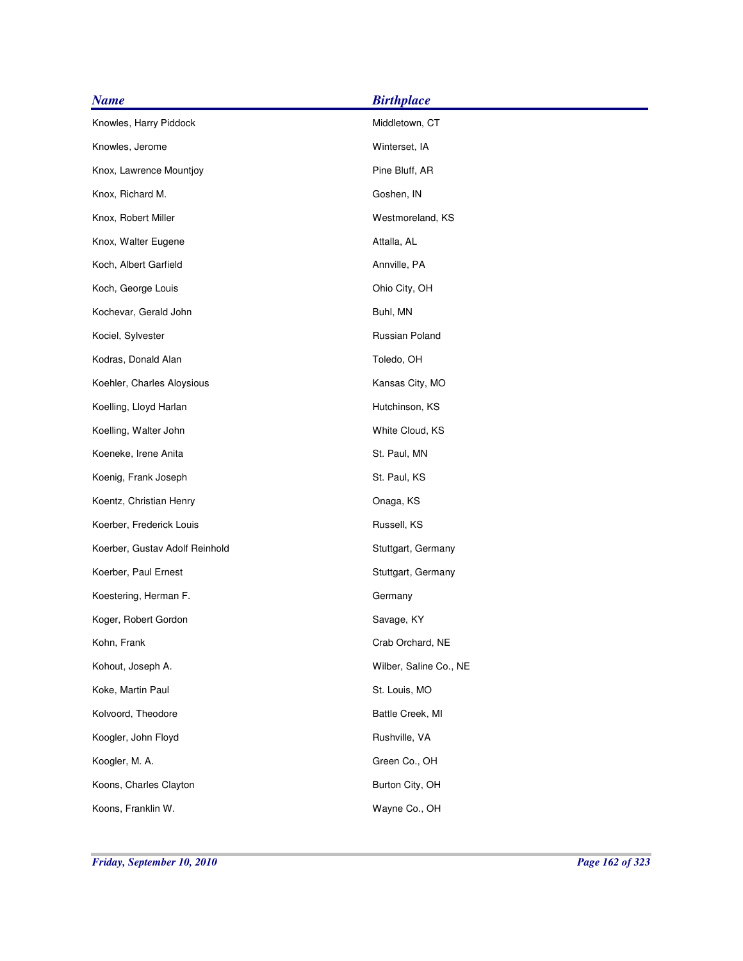| <b>Name</b>                    | <b>Birthplace</b>      |
|--------------------------------|------------------------|
| Knowles, Harry Piddock         | Middletown, CT         |
| Knowles, Jerome                | Winterset, IA          |
| Knox, Lawrence Mountjoy        | Pine Bluff, AR         |
| Knox, Richard M.               | Goshen, IN             |
| Knox, Robert Miller            | Westmoreland, KS       |
| Knox, Walter Eugene            | Attalla, AL            |
| Koch, Albert Garfield          | Annville, PA           |
| Koch, George Louis             | Ohio City, OH          |
| Kochevar, Gerald John          | Buhl, MN               |
| Kociel, Sylvester              | Russian Poland         |
| Kodras, Donald Alan            | Toledo, OH             |
| Koehler, Charles Aloysious     | Kansas City, MO        |
| Koelling, Lloyd Harlan         | Hutchinson, KS         |
| Koelling, Walter John          | White Cloud, KS        |
| Koeneke, Irene Anita           | St. Paul, MN           |
| Koenig, Frank Joseph           | St. Paul, KS           |
| Koentz, Christian Henry        | Onaga, KS              |
| Koerber, Frederick Louis       | Russell, KS            |
| Koerber, Gustav Adolf Reinhold | Stuttgart, Germany     |
| Koerber, Paul Ernest           | Stuttgart, Germany     |
| Koestering, Herman F.          | Germany                |
| Koger, Robert Gordon           | Savage, KY             |
| Kohn, Frank                    | Crab Orchard, NE       |
| Kohout, Joseph A.              | Wilber, Saline Co., NE |
| Koke, Martin Paul              | St. Louis, MO          |
| Kolvoord, Theodore             | Battle Creek, MI       |
| Koogler, John Floyd            | Rushville, VA          |
| Koogler, M. A.                 | Green Co., OH          |
| Koons, Charles Clayton         | Burton City, OH        |
| Koons, Franklin W.             | Wayne Co., OH          |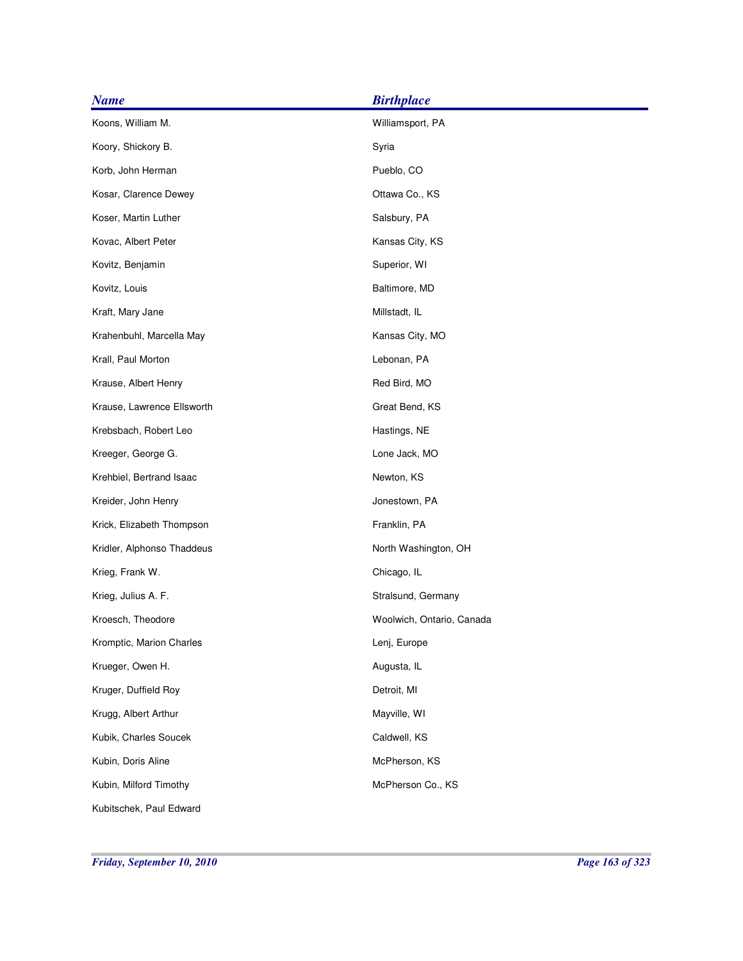| <b>Name</b>                | <b>Birthplace</b>         |
|----------------------------|---------------------------|
| Koons, William M.          | Williamsport, PA          |
| Koory, Shickory B.         | Syria                     |
| Korb, John Herman          | Pueblo, CO                |
| Kosar, Clarence Dewey      | Ottawa Co., KS            |
| Koser, Martin Luther       | Salsbury, PA              |
| Kovac, Albert Peter        | Kansas City, KS           |
| Kovitz, Benjamin           | Superior, WI              |
| Kovitz, Louis              | Baltimore, MD             |
| Kraft, Mary Jane           | Millstadt, IL             |
| Krahenbuhl, Marcella May   | Kansas City, MO           |
| Krall, Paul Morton         | Lebonan, PA               |
| Krause, Albert Henry       | Red Bird, MO              |
| Krause, Lawrence Ellsworth | Great Bend, KS            |
| Krebsbach, Robert Leo      | Hastings, NE              |
| Kreeger, George G.         | Lone Jack, MO             |
| Krehbiel, Bertrand Isaac   | Newton, KS                |
| Kreider, John Henry        | Jonestown, PA             |
| Krick, Elizabeth Thompson  | Franklin, PA              |
| Kridler, Alphonso Thaddeus | North Washington, OH      |
| Krieg, Frank W.            | Chicago, IL               |
| Krieg, Julius A. F.        | Stralsund, Germany        |
| Kroesch, Theodore          | Woolwich, Ontario, Canada |
| Kromptic, Marion Charles   | Lenj, Europe              |
| Krueger, Owen H.           | Augusta, IL               |
| Kruger, Duffield Roy       | Detroit, MI               |
| Krugg, Albert Arthur       | Mayville, WI              |
| Kubik, Charles Soucek      | Caldwell, KS              |
| Kubin, Doris Aline         | McPherson, KS             |
| Kubin, Milford Timothy     | McPherson Co., KS         |
| Kubitschek, Paul Edward    |                           |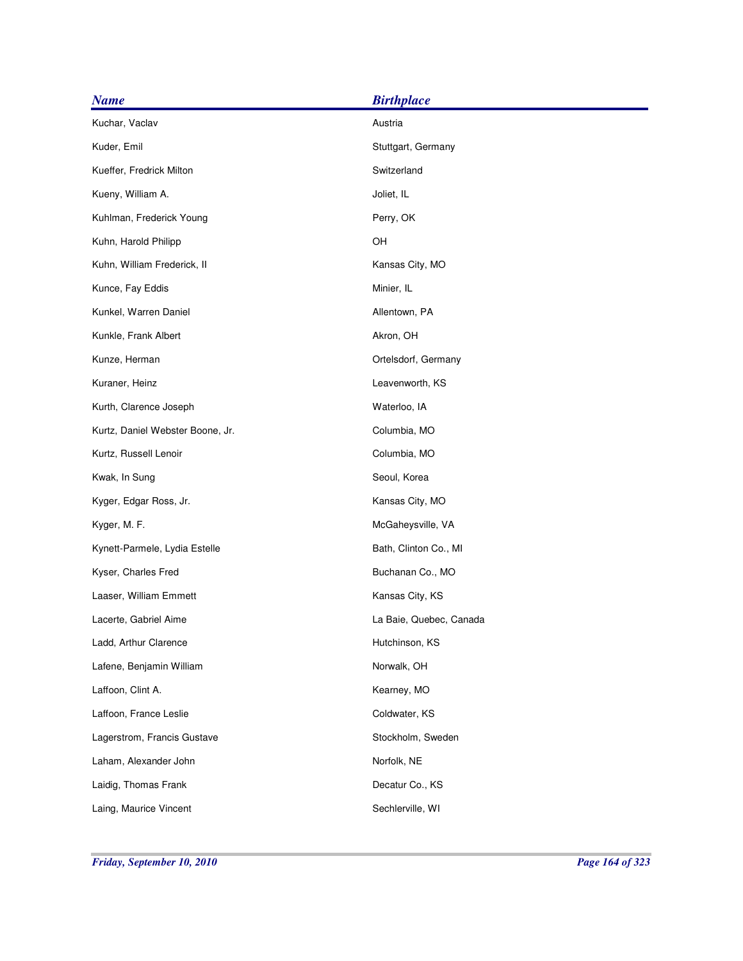| <b>Name</b>                      | <b>Birthplace</b>       |
|----------------------------------|-------------------------|
| Kuchar, Vaclav                   | Austria                 |
| Kuder, Emil                      | Stuttgart, Germany      |
| Kueffer, Fredrick Milton         | Switzerland             |
| Kueny, William A.                | Joliet, IL              |
| Kuhlman, Frederick Young         | Perry, OK               |
| Kuhn, Harold Philipp             | OH                      |
| Kuhn, William Frederick, II      | Kansas City, MO         |
| Kunce, Fay Eddis                 | Minier, IL              |
| Kunkel, Warren Daniel            | Allentown, PA           |
| Kunkle, Frank Albert             | Akron, OH               |
| Kunze, Herman                    | Ortelsdorf, Germany     |
| Kuraner, Heinz                   | Leavenworth, KS         |
| Kurth, Clarence Joseph           | Waterloo, IA            |
| Kurtz, Daniel Webster Boone, Jr. | Columbia, MO            |
| Kurtz, Russell Lenoir            | Columbia, MO            |
| Kwak, In Sung                    | Seoul, Korea            |
| Kyger, Edgar Ross, Jr.           | Kansas City, MO         |
| Kyger, M. F.                     | McGaheysville, VA       |
| Kynett-Parmele, Lydia Estelle    | Bath, Clinton Co., MI   |
| Kyser, Charles Fred              | Buchanan Co., MO        |
| Laaser, William Emmett           | Kansas City, KS         |
| Lacerte, Gabriel Aime            | La Baie, Quebec, Canada |
| Ladd, Arthur Clarence            | Hutchinson, KS          |
| Lafene, Benjamin William         | Norwalk, OH             |
| Laffoon, Clint A.                | Kearney, MO             |
| Laffoon, France Leslie           | Coldwater, KS           |
| Lagerstrom, Francis Gustave      | Stockholm, Sweden       |
| Laham, Alexander John            | Norfolk, NE             |
| Laidig, Thomas Frank             | Decatur Co., KS         |
| Laing, Maurice Vincent           | Sechlerville, WI        |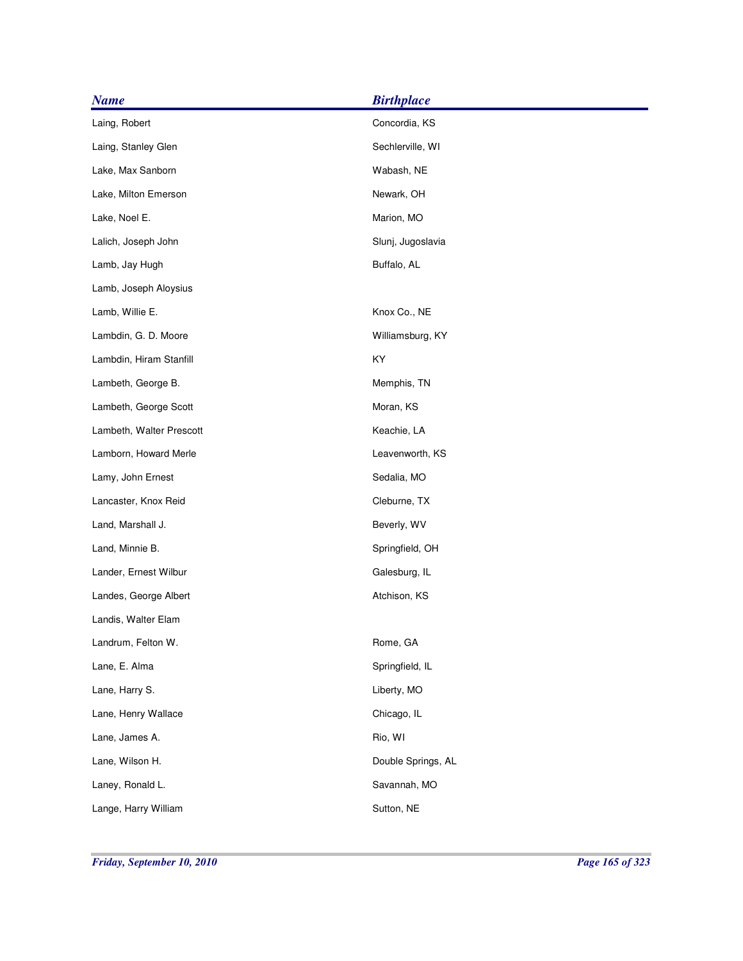| <b>Name</b>              | <b>Birthplace</b>  |
|--------------------------|--------------------|
| Laing, Robert            | Concordia, KS      |
| Laing, Stanley Glen      | Sechlerville, WI   |
| Lake, Max Sanborn        | Wabash, NE         |
| Lake, Milton Emerson     | Newark, OH         |
| Lake, Noel E.            | Marion, MO         |
| Lalich, Joseph John      | Slunj, Jugoslavia  |
| Lamb, Jay Hugh           | Buffalo, AL        |
| Lamb, Joseph Aloysius    |                    |
| Lamb, Willie E.          | Knox Co., NE       |
| Lambdin, G. D. Moore     | Williamsburg, KY   |
| Lambdin, Hiram Stanfill  | KY                 |
| Lambeth, George B.       | Memphis, TN        |
| Lambeth, George Scott    | Moran, KS          |
| Lambeth, Walter Prescott | Keachie, LA        |
| Lamborn, Howard Merle    | Leavenworth, KS    |
| Lamy, John Ernest        | Sedalia, MO        |
| Lancaster, Knox Reid     | Cleburne, TX       |
| Land, Marshall J.        | Beverly, WV        |
| Land, Minnie B.          | Springfield, OH    |
| Lander, Ernest Wilbur    | Galesburg, IL      |
| Landes, George Albert    | Atchison, KS       |
| Landis, Walter Elam      |                    |
| Landrum, Felton W.       | Rome, GA           |
| Lane, E. Alma            | Springfield, IL    |
| Lane, Harry S.           | Liberty, MO        |
| Lane, Henry Wallace      | Chicago, IL        |
| Lane, James A.           | Rio, WI            |
| Lane, Wilson H.          | Double Springs, AL |
| Laney, Ronald L.         | Savannah, MO       |
| Lange, Harry William     | Sutton, NE         |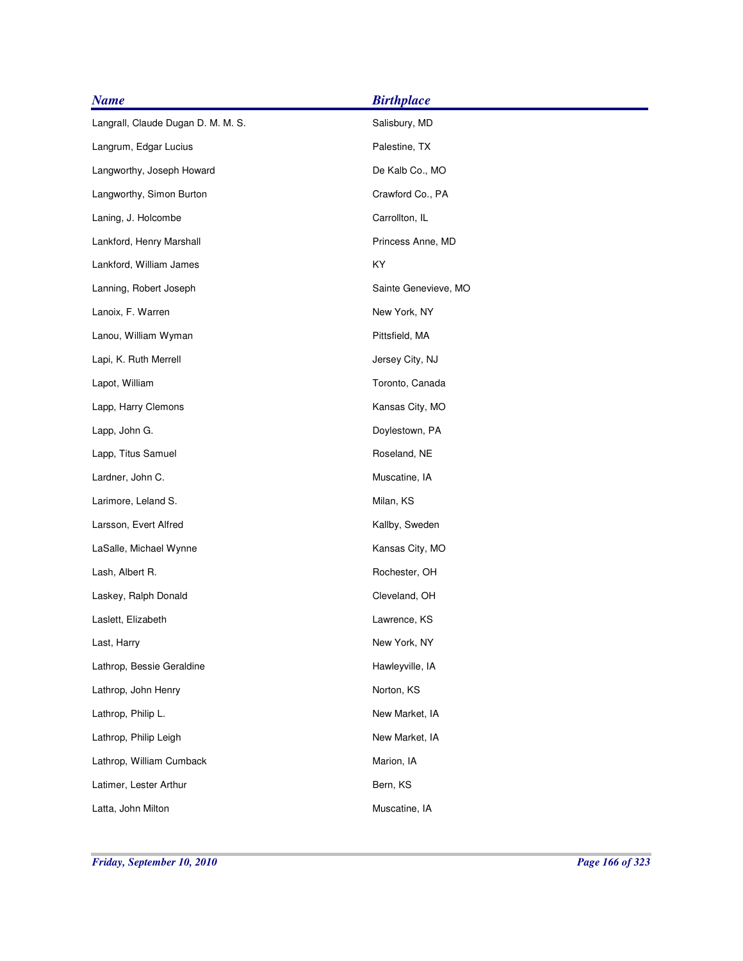| <b>Name</b>                        | <b>Birthplace</b>    |
|------------------------------------|----------------------|
| Langrall, Claude Dugan D. M. M. S. | Salisbury, MD        |
| Langrum, Edgar Lucius              | Palestine, TX        |
| Langworthy, Joseph Howard          | De Kalb Co., MO      |
| Langworthy, Simon Burton           | Crawford Co., PA     |
| Laning, J. Holcombe                | Carrollton, IL       |
| Lankford, Henry Marshall           | Princess Anne, MD    |
| Lankford, William James            | KY                   |
| Lanning, Robert Joseph             | Sainte Genevieve, MO |
| Lanoix, F. Warren                  | New York, NY         |
| Lanou, William Wyman               | Pittsfield, MA       |
| Lapi, K. Ruth Merrell              | Jersey City, NJ      |
| Lapot, William                     | Toronto, Canada      |
| Lapp, Harry Clemons                | Kansas City, MO      |
| Lapp, John G.                      | Doylestown, PA       |
| Lapp, Titus Samuel                 | Roseland, NE         |
| Lardner, John C.                   | Muscatine, IA        |
| Larimore, Leland S.                | Milan, KS            |
| Larsson, Evert Alfred              | Kallby, Sweden       |
| LaSalle, Michael Wynne             | Kansas City, MO      |
| Lash, Albert R.                    | Rochester, OH        |
| Laskey, Ralph Donald               | Cleveland, OH        |
| Laslett, Elizabeth                 | Lawrence, KS         |
| Last, Harry                        | New York, NY         |
| Lathrop, Bessie Geraldine          | Hawleyville, IA      |
| Lathrop, John Henry                | Norton, KS           |
| Lathrop, Philip L.                 | New Market, IA       |
| Lathrop, Philip Leigh              | New Market, IA       |
| Lathrop, William Cumback           | Marion, IA           |
| Latimer, Lester Arthur             | Bern, KS             |
| Latta, John Milton                 | Muscatine, IA        |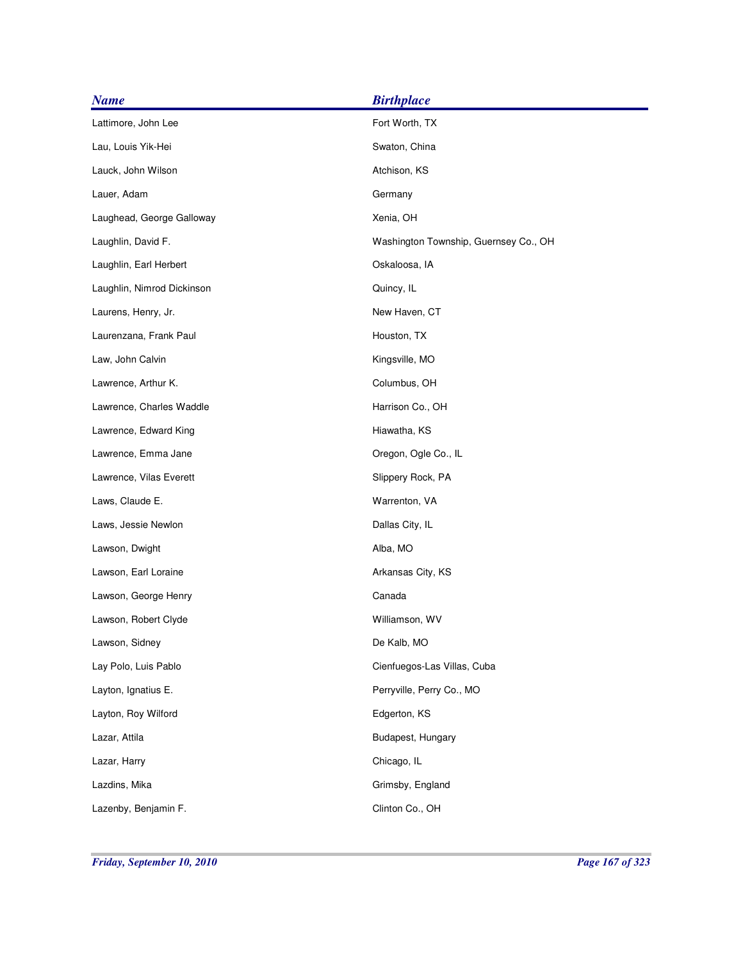| <b>Name</b>                | <b>Birthplace</b>                     |
|----------------------------|---------------------------------------|
| Lattimore, John Lee        | Fort Worth, TX                        |
| Lau, Louis Yik-Hei         | Swaton, China                         |
| Lauck, John Wilson         | Atchison, KS                          |
| Lauer, Adam                | Germany                               |
| Laughead, George Galloway  | Xenia, OH                             |
| Laughlin, David F.         | Washington Township, Guernsey Co., OH |
| Laughlin, Earl Herbert     | Oskaloosa, IA                         |
| Laughlin, Nimrod Dickinson | Quincy, IL                            |
| Laurens, Henry, Jr.        | New Haven, CT                         |
| Laurenzana, Frank Paul     | Houston, TX                           |
| Law, John Calvin           | Kingsville, MO                        |
| Lawrence, Arthur K.        | Columbus, OH                          |
| Lawrence, Charles Waddle   | Harrison Co., OH                      |
| Lawrence, Edward King      | Hiawatha, KS                          |
| Lawrence, Emma Jane        | Oregon, Ogle Co., IL                  |
| Lawrence, Vilas Everett    | Slippery Rock, PA                     |
| Laws, Claude E.            | Warrenton, VA                         |
| Laws, Jessie Newlon        | Dallas City, IL                       |
| Lawson, Dwight             | Alba, MO                              |
| Lawson, Earl Loraine       | Arkansas City, KS                     |
| Lawson, George Henry       | Canada                                |
| Lawson, Robert Clyde       | Williamson, WV                        |
| Lawson, Sidney             | De Kalb, MO                           |
| Lay Polo, Luis Pablo       | Cienfuegos-Las Villas, Cuba           |
| Layton, Ignatius E.        | Perryville, Perry Co., MO             |
| Layton, Roy Wilford        | Edgerton, KS                          |
| Lazar, Attila              | Budapest, Hungary                     |
| Lazar, Harry               | Chicago, IL                           |
| Lazdins, Mika              | Grimsby, England                      |
| Lazenby, Benjamin F.       | Clinton Co., OH                       |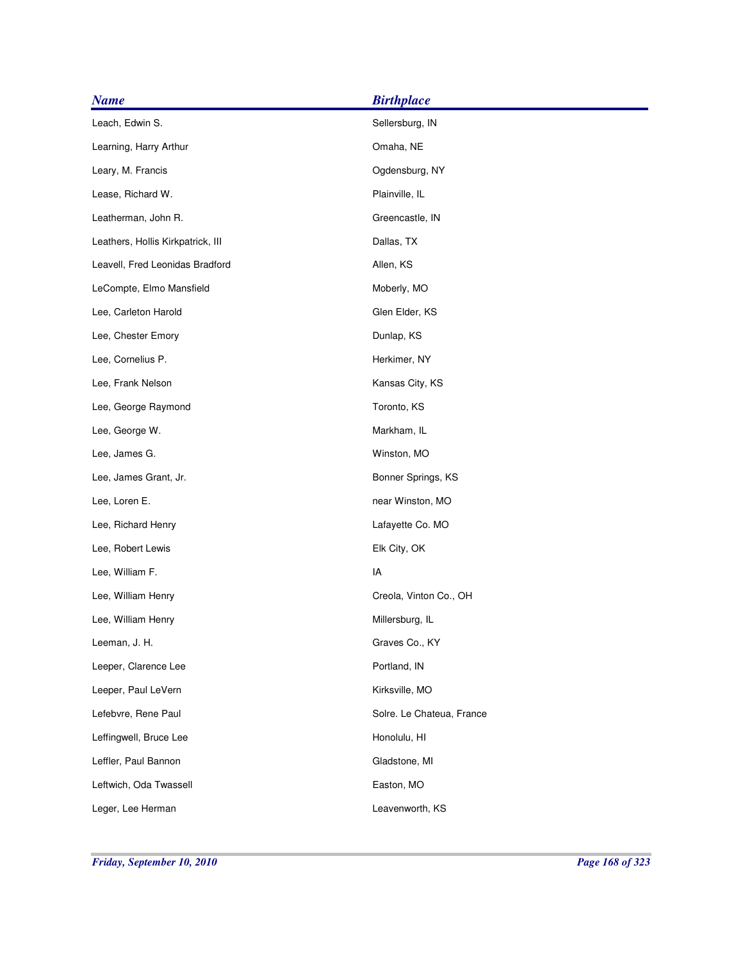| <b>Name</b>                       | <b>Birthplace</b>         |
|-----------------------------------|---------------------------|
| Leach, Edwin S.                   | Sellersburg, IN           |
| Learning, Harry Arthur            | Omaha, NE                 |
| Leary, M. Francis                 | Ogdensburg, NY            |
| Lease, Richard W.                 | Plainville, IL            |
| Leatherman, John R.               | Greencastle, IN           |
| Leathers, Hollis Kirkpatrick, III | Dallas, TX                |
| Leavell, Fred Leonidas Bradford   | Allen, KS                 |
| LeCompte, Elmo Mansfield          | Moberly, MO               |
| Lee, Carleton Harold              | Glen Elder, KS            |
| Lee, Chester Emory                | Dunlap, KS                |
| Lee, Cornelius P.                 | Herkimer, NY              |
| Lee, Frank Nelson                 | Kansas City, KS           |
| Lee, George Raymond               | Toronto, KS               |
| Lee, George W.                    | Markham, IL               |
| Lee, James G.                     | Winston, MO               |
| Lee, James Grant, Jr.             | Bonner Springs, KS        |
| Lee, Loren E.                     | near Winston, MO          |
| Lee, Richard Henry                | Lafayette Co. MO          |
| Lee, Robert Lewis                 | Elk City, OK              |
| Lee, William F.                   | IA                        |
| Lee, William Henry                | Creola, Vinton Co., OH    |
| Lee, William Henry                | Millersburg, IL           |
| Leeman, J. H.                     | Graves Co., KY            |
| Leeper, Clarence Lee              | Portland, IN              |
| Leeper, Paul LeVern               | Kirksville, MO            |
| Lefebvre, Rene Paul               | Solre. Le Chateua, France |
| Leffingwell, Bruce Lee            | Honolulu, HI              |
| Leffler, Paul Bannon              | Gladstone, MI             |
| Leftwich, Oda Twassell            | Easton, MO                |
| Leger, Lee Herman                 | Leavenworth, KS           |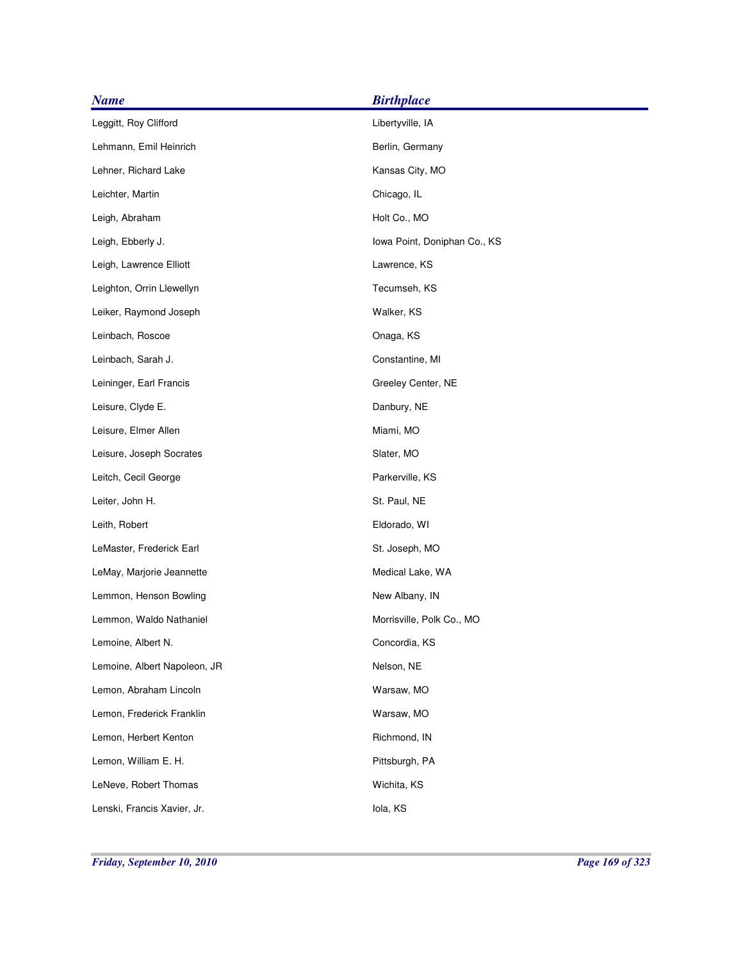| <b>Name</b>                  | <b>Birthplace</b>            |
|------------------------------|------------------------------|
| Leggitt, Roy Clifford        | Libertyville, IA             |
| Lehmann, Emil Heinrich       | Berlin, Germany              |
| Lehner, Richard Lake         | Kansas City, MO              |
| Leichter, Martin             | Chicago, IL                  |
| Leigh, Abraham               | Holt Co., MO                 |
| Leigh, Ebberly J.            | Iowa Point, Doniphan Co., KS |
| Leigh, Lawrence Elliott      | Lawrence, KS                 |
| Leighton, Orrin Llewellyn    | Tecumseh, KS                 |
| Leiker, Raymond Joseph       | Walker, KS                   |
| Leinbach, Roscoe             | Onaga, KS                    |
| Leinbach, Sarah J.           | Constantine, MI              |
| Leininger, Earl Francis      | Greeley Center, NE           |
| Leisure, Clyde E.            | Danbury, NE                  |
| Leisure, Elmer Allen         | Miami, MO                    |
| Leisure, Joseph Socrates     | Slater, MO                   |
| Leitch, Cecil George         | Parkerville, KS              |
| Leiter, John H.              | St. Paul, NE                 |
| Leith, Robert                | Eldorado, WI                 |
| LeMaster, Frederick Earl     | St. Joseph, MO               |
| LeMay, Marjorie Jeannette    | Medical Lake, WA             |
| Lemmon, Henson Bowling       | New Albany, IN               |
| Lemmon, Waldo Nathaniel      | Morrisville, Polk Co., MO    |
| Lemoine, Albert N.           | Concordia, KS                |
| Lemoine, Albert Napoleon, JR | Nelson, NE                   |
| Lemon, Abraham Lincoln       | Warsaw, MO                   |
| Lemon, Frederick Franklin    | Warsaw, MO                   |
| Lemon, Herbert Kenton        | Richmond, IN                 |
| Lemon, William E. H.         | Pittsburgh, PA               |
| LeNeve, Robert Thomas        | Wichita, KS                  |
| Lenski, Francis Xavier, Jr.  | lola, KS                     |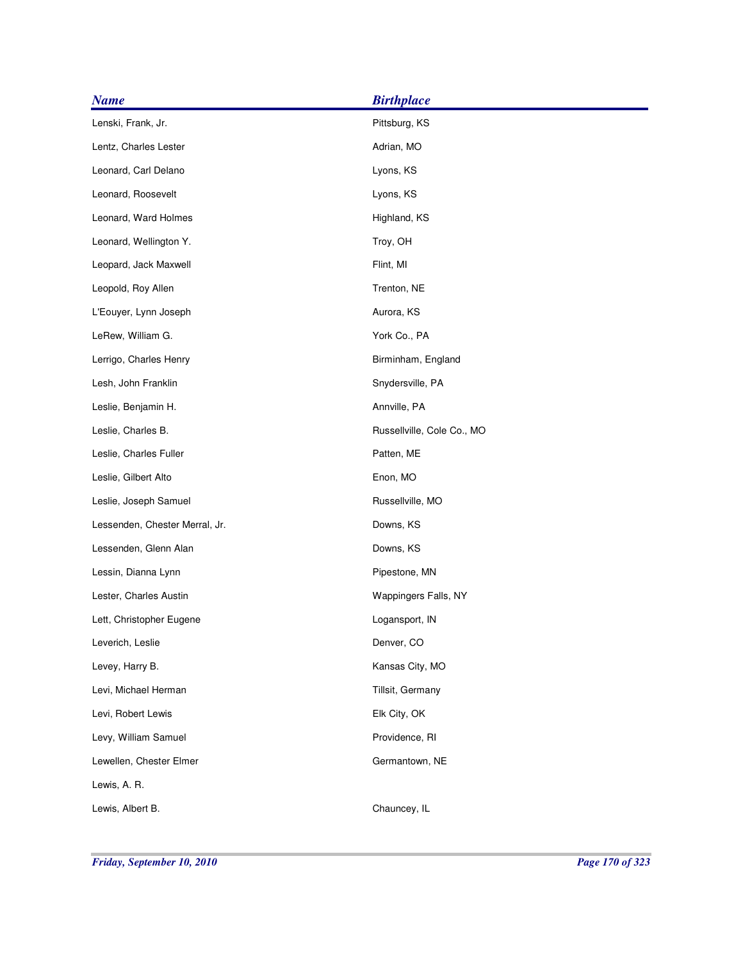| <b>Name</b>                    | <b>Birthplace</b>          |
|--------------------------------|----------------------------|
| Lenski, Frank, Jr.             | Pittsburg, KS              |
| Lentz, Charles Lester          | Adrian, MO                 |
| Leonard, Carl Delano           | Lyons, KS                  |
| Leonard, Roosevelt             | Lyons, KS                  |
| Leonard, Ward Holmes           | Highland, KS               |
| Leonard, Wellington Y.         | Troy, OH                   |
| Leopard, Jack Maxwell          | Flint, MI                  |
| Leopold, Roy Allen             | Trenton, NE                |
| L'Eouyer, Lynn Joseph          | Aurora, KS                 |
| LeRew, William G.              | York Co., PA               |
| Lerrigo, Charles Henry         | Birminham, England         |
| Lesh, John Franklin            | Snydersville, PA           |
| Leslie, Benjamin H.            | Annville, PA               |
| Leslie, Charles B.             | Russellville, Cole Co., MO |
| Leslie, Charles Fuller         | Patten, ME                 |
| Leslie, Gilbert Alto           | Enon, MO                   |
| Leslie, Joseph Samuel          | Russellville, MO           |
| Lessenden, Chester Merral, Jr. | Downs, KS                  |
| Lessenden, Glenn Alan          | Downs, KS                  |
| Lessin, Dianna Lynn            | Pipestone, MN              |
| Lester, Charles Austin         | Wappingers Falls, NY       |
| Lett, Christopher Eugene       | Logansport, IN             |
| Leverich, Leslie               | Denver, CO                 |
| Levey, Harry B.                | Kansas City, MO            |
| Levi, Michael Herman           | Tillsit, Germany           |
| Levi, Robert Lewis             | Elk City, OK               |
| Levy, William Samuel           | Providence, RI             |
| Lewellen, Chester Elmer        | Germantown, NE             |
| Lewis, A. R.                   |                            |
| Lewis, Albert B.               | Chauncey, IL               |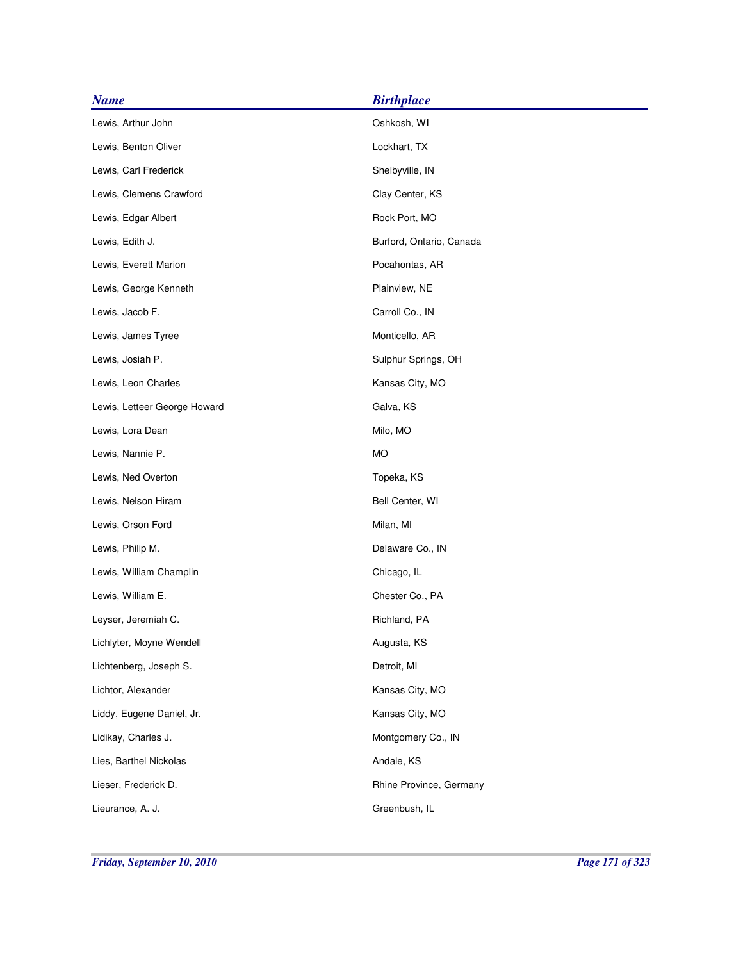| <b>Name</b>                  | <b>Birthplace</b>        |
|------------------------------|--------------------------|
| Lewis, Arthur John           | Oshkosh, WI              |
| Lewis, Benton Oliver         | Lockhart, TX             |
| Lewis, Carl Frederick        | Shelbyville, IN          |
| Lewis, Clemens Crawford      | Clay Center, KS          |
| Lewis, Edgar Albert          | Rock Port, MO            |
| Lewis, Edith J.              | Burford, Ontario, Canada |
| Lewis, Everett Marion        | Pocahontas, AR           |
| Lewis, George Kenneth        | Plainview, NE            |
| Lewis, Jacob F.              | Carroll Co., IN          |
| Lewis, James Tyree           | Monticello, AR           |
| Lewis, Josiah P.             | Sulphur Springs, OH      |
| Lewis, Leon Charles          | Kansas City, MO          |
| Lewis, Letteer George Howard | Galva, KS                |
| Lewis, Lora Dean             | Milo, MO                 |
| Lewis, Nannie P.             | <b>MO</b>                |
| Lewis, Ned Overton           | Topeka, KS               |
| Lewis, Nelson Hiram          | Bell Center, WI          |
| Lewis, Orson Ford            | Milan, MI                |
| Lewis, Philip M.             | Delaware Co., IN         |
| Lewis, William Champlin      | Chicago, IL              |
| Lewis, William E.            | Chester Co., PA          |
| Leyser, Jeremiah C.          | Richland, PA             |
| Lichlyter, Moyne Wendell     | Augusta, KS              |
| Lichtenberg, Joseph S.       | Detroit, MI              |
| Lichtor, Alexander           | Kansas City, MO          |
| Liddy, Eugene Daniel, Jr.    | Kansas City, MO          |
| Lidikay, Charles J.          | Montgomery Co., IN       |
| Lies, Barthel Nickolas       | Andale, KS               |
| Lieser, Frederick D.         | Rhine Province, Germany  |
| Lieurance, A. J.             | Greenbush, IL            |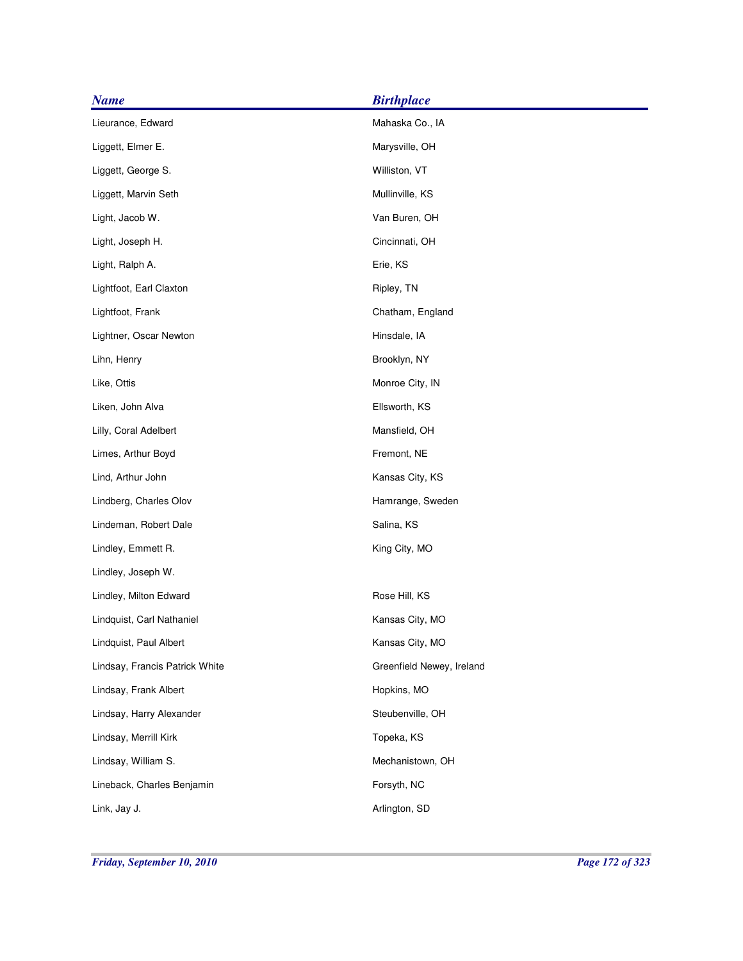| <b>Name</b>                    | <b>Birthplace</b>         |
|--------------------------------|---------------------------|
| Lieurance, Edward              | Mahaska Co., IA           |
| Liggett, Elmer E.              | Marysville, OH            |
| Liggett, George S.             | Williston, VT             |
| Liggett, Marvin Seth           | Mullinville, KS           |
| Light, Jacob W.                | Van Buren, OH             |
| Light, Joseph H.               | Cincinnati, OH            |
| Light, Ralph A.                | Erie, KS                  |
| Lightfoot, Earl Claxton        | Ripley, TN                |
| Lightfoot, Frank               | Chatham, England          |
| Lightner, Oscar Newton         | Hinsdale, IA              |
| Lihn, Henry                    | Brooklyn, NY              |
| Like, Ottis                    | Monroe City, IN           |
| Liken, John Alva               | Ellsworth, KS             |
| Lilly, Coral Adelbert          | Mansfield, OH             |
| Limes, Arthur Boyd             | Fremont, NE               |
| Lind, Arthur John              | Kansas City, KS           |
| Lindberg, Charles Olov         | Hamrange, Sweden          |
| Lindeman, Robert Dale          | Salina, KS                |
| Lindley, Emmett R.             | King City, MO             |
| Lindley, Joseph W.             |                           |
| Lindley, Milton Edward         | Rose Hill, KS             |
| Lindquist, Carl Nathaniel      | Kansas City, MO           |
| Lindquist, Paul Albert         | Kansas City, MO           |
| Lindsay, Francis Patrick White | Greenfield Newey, Ireland |
| Lindsay, Frank Albert          | Hopkins, MO               |
| Lindsay, Harry Alexander       | Steubenville, OH          |
| Lindsay, Merrill Kirk          | Topeka, KS                |
| Lindsay, William S.            | Mechanistown, OH          |
| Lineback, Charles Benjamin     | Forsyth, NC               |
| Link, Jay J.                   | Arlington, SD             |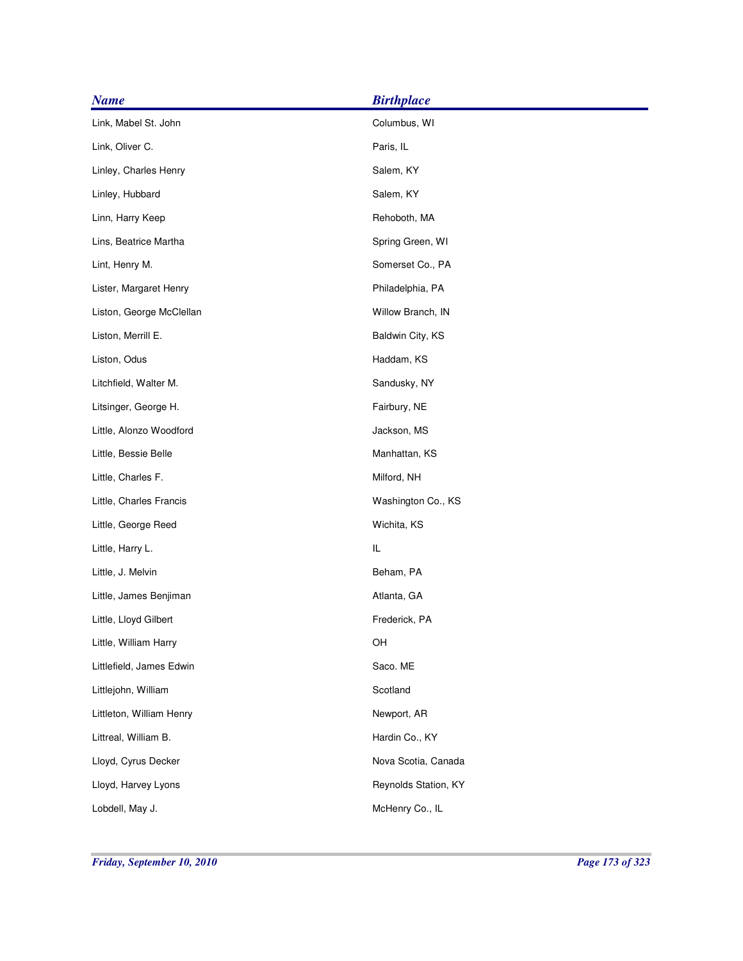| <b>Name</b>              | <b>Birthplace</b>    |
|--------------------------|----------------------|
| Link, Mabel St. John     | Columbus, WI         |
| Link, Oliver C.          | Paris, IL            |
| Linley, Charles Henry    | Salem, KY            |
| Linley, Hubbard          | Salem, KY            |
| Linn, Harry Keep         | Rehoboth, MA         |
| Lins, Beatrice Martha    | Spring Green, WI     |
| Lint, Henry M.           | Somerset Co., PA     |
| Lister, Margaret Henry   | Philadelphia, PA     |
| Liston, George McClellan | Willow Branch, IN    |
| Liston, Merrill E.       | Baldwin City, KS     |
| Liston, Odus             | Haddam, KS           |
| Litchfield, Walter M.    | Sandusky, NY         |
| Litsinger, George H.     | Fairbury, NE         |
| Little, Alonzo Woodford  | Jackson, MS          |
| Little, Bessie Belle     | Manhattan, KS        |
| Little, Charles F.       | Milford, NH          |
| Little, Charles Francis  | Washington Co., KS   |
| Little, George Reed      | Wichita, KS          |
| Little, Harry L.         | IL                   |
| Little, J. Melvin        | Beham, PA            |
| Little, James Benjiman   | Atlanta, GA          |
| Little, Lloyd Gilbert    | Frederick, PA        |
| Little, William Harry    | OH                   |
| Littlefield, James Edwin | Saco. ME             |
| Littlejohn, William      | Scotland             |
| Littleton, William Henry | Newport, AR          |
| Littreal, William B.     | Hardin Co., KY       |
| Lloyd, Cyrus Decker      | Nova Scotia, Canada  |
| Lloyd, Harvey Lyons      | Reynolds Station, KY |
| Lobdell, May J.          | McHenry Co., IL      |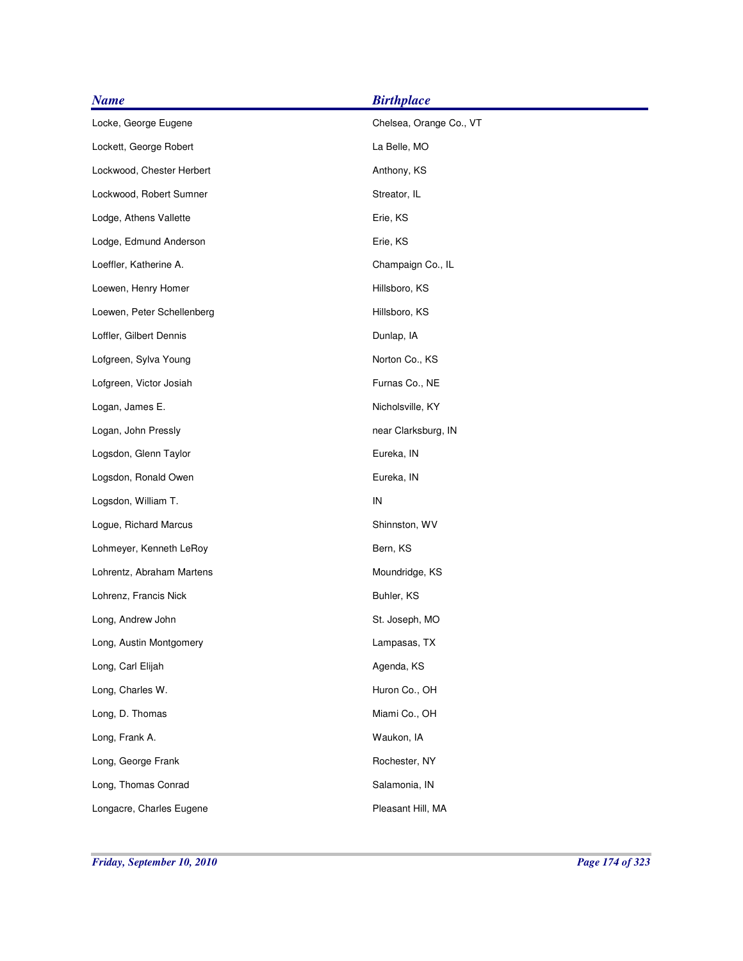| <b>Name</b>                | <b>Birthplace</b>       |
|----------------------------|-------------------------|
| Locke, George Eugene       | Chelsea, Orange Co., VT |
| Lockett, George Robert     | La Belle, MO            |
| Lockwood, Chester Herbert  | Anthony, KS             |
| Lockwood, Robert Sumner    | Streator, IL            |
| Lodge, Athens Vallette     | Erie, KS                |
| Lodge, Edmund Anderson     | Erie, KS                |
| Loeffler, Katherine A.     | Champaign Co., IL       |
| Loewen, Henry Homer        | Hillsboro, KS           |
| Loewen, Peter Schellenberg | Hillsboro, KS           |
| Loffler, Gilbert Dennis    | Dunlap, IA              |
| Lofgreen, Sylva Young      | Norton Co., KS          |
| Lofgreen, Victor Josiah    | Furnas Co., NE          |
| Logan, James E.            | Nicholsville, KY        |
| Logan, John Pressly        | near Clarksburg, IN     |
| Logsdon, Glenn Taylor      | Eureka, IN              |
| Logsdon, Ronald Owen       | Eureka, IN              |
| Logsdon, William T.        | IN                      |
| Logue, Richard Marcus      | Shinnston, WV           |
| Lohmeyer, Kenneth LeRoy    | Bern, KS                |
| Lohrentz, Abraham Martens  | Moundridge, KS          |
| Lohrenz, Francis Nick      | Buhler, KS              |
| Long, Andrew John          | St. Joseph, MO          |
| Long, Austin Montgomery    | Lampasas, TX            |
| Long, Carl Elijah          | Agenda, KS              |
| Long, Charles W.           | Huron Co., OH           |
| Long, D. Thomas            | Miami Co., OH           |
| Long, Frank A.             | Waukon, IA              |
| Long, George Frank         | Rochester, NY           |
| Long, Thomas Conrad        | Salamonia, IN           |
| Longacre, Charles Eugene   | Pleasant Hill, MA       |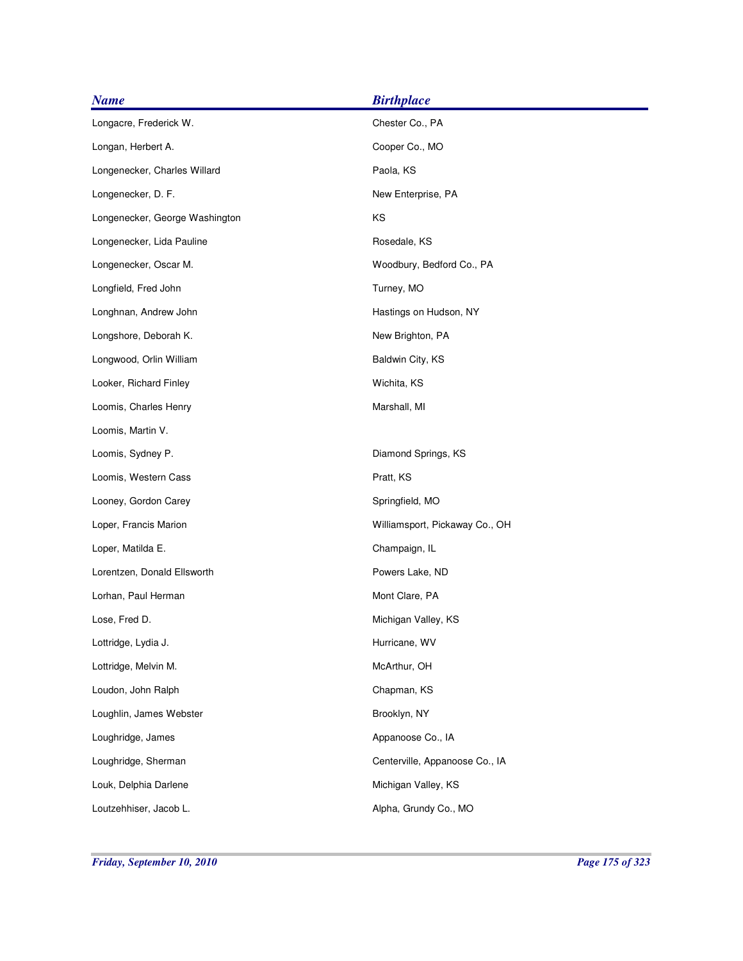| <b>Name</b>                    | <b>Birthplace</b>              |
|--------------------------------|--------------------------------|
| Longacre, Frederick W.         | Chester Co., PA                |
| Longan, Herbert A.             | Cooper Co., MO                 |
| Longenecker, Charles Willard   | Paola, KS                      |
| Longenecker, D. F.             | New Enterprise, PA             |
| Longenecker, George Washington | KS                             |
| Longenecker, Lida Pauline      | Rosedale, KS                   |
| Longenecker, Oscar M.          | Woodbury, Bedford Co., PA      |
| Longfield, Fred John           | Turney, MO                     |
| Longhnan, Andrew John          | Hastings on Hudson, NY         |
| Longshore, Deborah K.          | New Brighton, PA               |
| Longwood, Orlin William        | Baldwin City, KS               |
| Looker, Richard Finley         | Wichita, KS                    |
| Loomis, Charles Henry          | Marshall, MI                   |
| Loomis, Martin V.              |                                |
| Loomis, Sydney P.              | Diamond Springs, KS            |
| Loomis, Western Cass           | Pratt, KS                      |
| Looney, Gordon Carey           | Springfield, MO                |
| Loper, Francis Marion          | Williamsport, Pickaway Co., OH |
| Loper, Matilda E.              | Champaign, IL                  |
| Lorentzen, Donald Ellsworth    | Powers Lake, ND                |
| Lorhan, Paul Herman            | Mont Clare, PA                 |
| Lose, Fred D.                  | Michigan Valley, KS            |
| Lottridge, Lydia J.            | Hurricane, WV                  |
| Lottridge, Melvin M.           | McArthur, OH                   |
| Loudon, John Ralph             | Chapman, KS                    |
| Loughlin, James Webster        | Brooklyn, NY                   |
| Loughridge, James              | Appanoose Co., IA              |
| Loughridge, Sherman            | Centerville, Appanoose Co., IA |
| Louk, Delphia Darlene          | Michigan Valley, KS            |
| Loutzehhiser, Jacob L.         | Alpha, Grundy Co., MO          |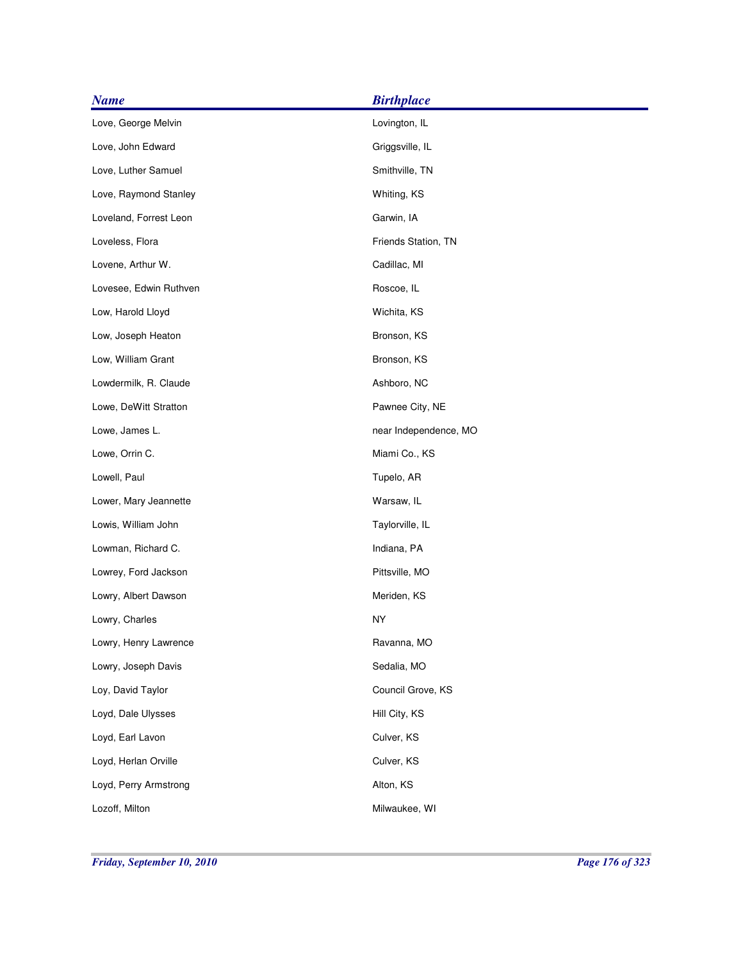| <b>Name</b>            | <b>Birthplace</b>     |
|------------------------|-----------------------|
| Love, George Melvin    | Lovington, IL         |
| Love, John Edward      | Griggsville, IL       |
| Love, Luther Samuel    | Smithville, TN        |
| Love, Raymond Stanley  | Whiting, KS           |
| Loveland, Forrest Leon | Garwin, IA            |
| Loveless, Flora        | Friends Station, TN   |
| Lovene, Arthur W.      | Cadillac, MI          |
| Lovesee, Edwin Ruthven | Roscoe, IL            |
| Low, Harold Lloyd      | Wichita, KS           |
| Low, Joseph Heaton     | Bronson, KS           |
| Low, William Grant     | Bronson, KS           |
| Lowdermilk, R. Claude  | Ashboro, NC           |
| Lowe, DeWitt Stratton  | Pawnee City, NE       |
| Lowe, James L.         | near Independence, MO |
| Lowe, Orrin C.         | Miami Co., KS         |
| Lowell, Paul           | Tupelo, AR            |
| Lower, Mary Jeannette  | Warsaw, IL            |
| Lowis, William John    | Taylorville, IL       |
| Lowman, Richard C.     | Indiana, PA           |
| Lowrey, Ford Jackson   | Pittsville, MO        |
| Lowry, Albert Dawson   | Meriden, KS           |
| Lowry, Charles         | <b>NY</b>             |
| Lowry, Henry Lawrence  | Ravanna, MO           |
| Lowry, Joseph Davis    | Sedalia, MO           |
| Loy, David Taylor      | Council Grove, KS     |
| Loyd, Dale Ulysses     | Hill City, KS         |
| Loyd, Earl Lavon       | Culver, KS            |
| Loyd, Herlan Orville   | Culver, KS            |
| Loyd, Perry Armstrong  | Alton, KS             |
| Lozoff, Milton         | Milwaukee, WI         |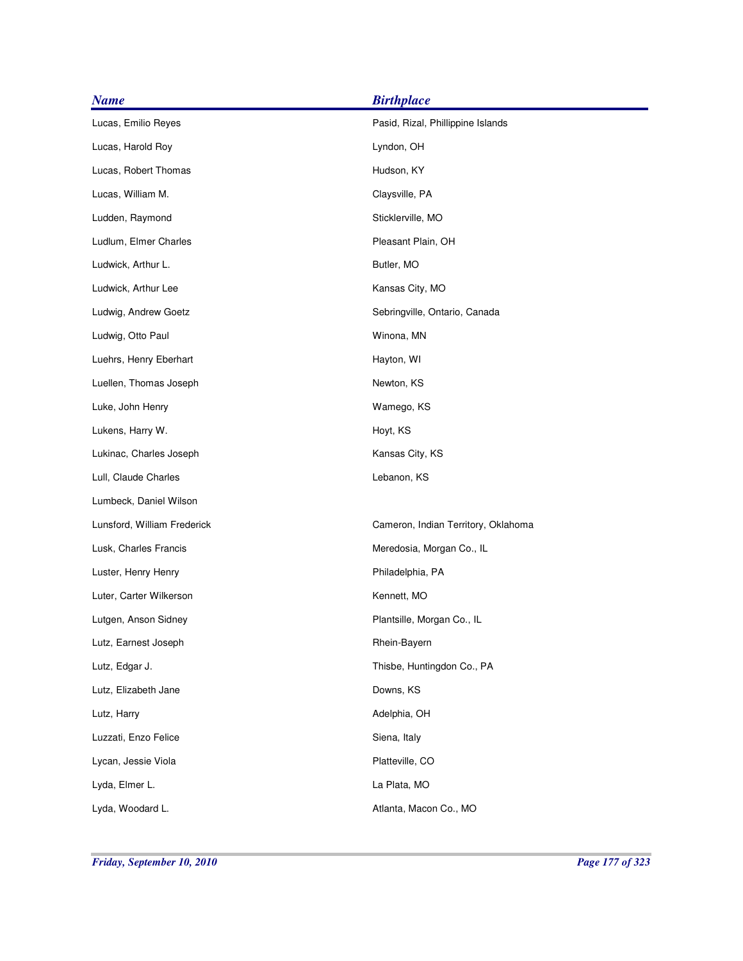| <b>Name</b>                 | <b>Birthplace</b>                   |
|-----------------------------|-------------------------------------|
| Lucas, Emilio Reyes         | Pasid, Rizal, Phillippine Islands   |
| Lucas, Harold Roy           | Lyndon, OH                          |
| Lucas, Robert Thomas        | Hudson, KY                          |
| Lucas, William M.           | Claysville, PA                      |
| Ludden, Raymond             | Sticklerville, MO                   |
| Ludlum, Elmer Charles       | Pleasant Plain, OH                  |
| Ludwick, Arthur L.          | Butler, MO                          |
| Ludwick, Arthur Lee         | Kansas City, MO                     |
| Ludwig, Andrew Goetz        | Sebringville, Ontario, Canada       |
| Ludwig, Otto Paul           | Winona, MN                          |
| Luehrs, Henry Eberhart      | Hayton, WI                          |
| Luellen, Thomas Joseph      | Newton, KS                          |
| Luke, John Henry            | Wamego, KS                          |
| Lukens, Harry W.            | Hoyt, KS                            |
| Lukinac, Charles Joseph     | Kansas City, KS                     |
| Lull, Claude Charles        | Lebanon, KS                         |
| Lumbeck, Daniel Wilson      |                                     |
| Lunsford, William Frederick | Cameron, Indian Territory, Oklahoma |
| Lusk, Charles Francis       | Meredosia, Morgan Co., IL           |
| Luster, Henry Henry         | Philadelphia, PA                    |
| Luter, Carter Wilkerson     | Kennett, MO                         |
| Lutgen, Anson Sidney        | Plantsille, Morgan Co., IL          |
| Lutz, Earnest Joseph        | Rhein-Bayern                        |
| Lutz, Edgar J.              | Thisbe, Huntingdon Co., PA          |
| Lutz, Elizabeth Jane        | Downs, KS                           |
| Lutz, Harry                 | Adelphia, OH                        |
| Luzzati, Enzo Felice        | Siena, Italy                        |
| Lycan, Jessie Viola         | Platteville, CO                     |
| Lyda, Elmer L.              | La Plata, MO                        |
| Lyda, Woodard L.            | Atlanta, Macon Co., MO              |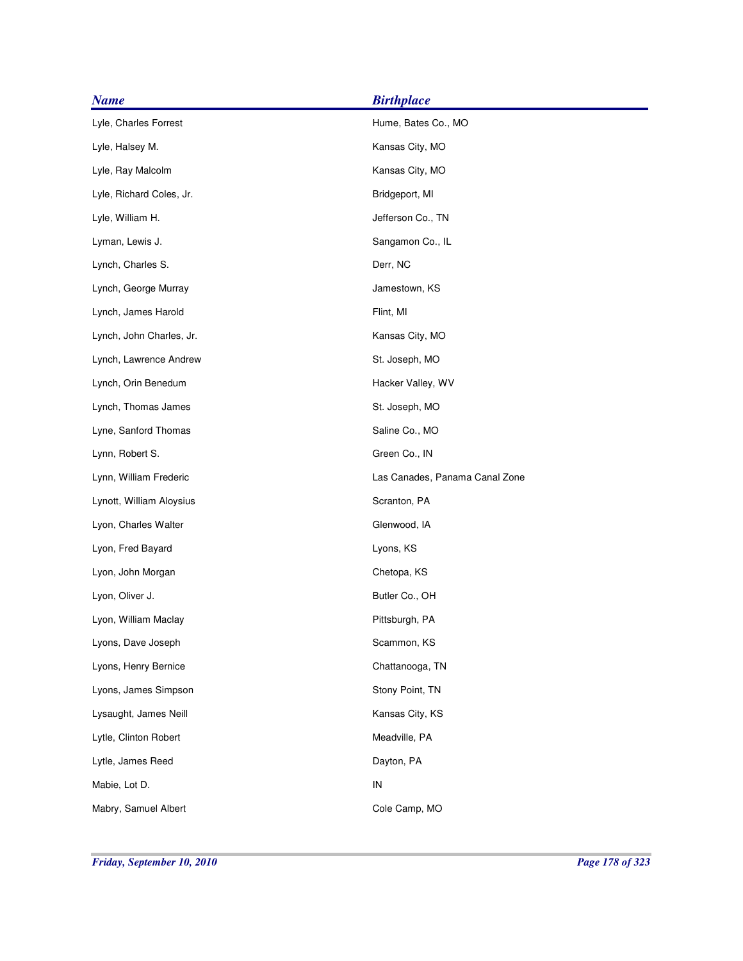| <b>Name</b>              | <b>Birthplace</b>              |
|--------------------------|--------------------------------|
| Lyle, Charles Forrest    | Hume, Bates Co., MO            |
| Lyle, Halsey M.          | Kansas City, MO                |
| Lyle, Ray Malcolm        | Kansas City, MO                |
| Lyle, Richard Coles, Jr. | Bridgeport, MI                 |
| Lyle, William H.         | Jefferson Co., TN              |
| Lyman, Lewis J.          | Sangamon Co., IL               |
| Lynch, Charles S.        | Derr, NC                       |
| Lynch, George Murray     | Jamestown, KS                  |
| Lynch, James Harold      | Flint, MI                      |
| Lynch, John Charles, Jr. | Kansas City, MO                |
| Lynch, Lawrence Andrew   | St. Joseph, MO                 |
| Lynch, Orin Benedum      | Hacker Valley, WV              |
| Lynch, Thomas James      | St. Joseph, MO                 |
| Lyne, Sanford Thomas     | Saline Co., MO                 |
| Lynn, Robert S.          | Green Co., IN                  |
| Lynn, William Frederic   | Las Canades, Panama Canal Zone |
| Lynott, William Aloysius | Scranton, PA                   |
| Lyon, Charles Walter     | Glenwood, IA                   |
| Lyon, Fred Bayard        | Lyons, KS                      |
| Lyon, John Morgan        | Chetopa, KS                    |
| Lyon, Oliver J.          | Butler Co., OH                 |
| Lyon, William Maclay     | Pittsburgh, PA                 |
| Lyons, Dave Joseph       | Scammon, KS                    |
| Lyons, Henry Bernice     | Chattanooga, TN                |
| Lyons, James Simpson     | Stony Point, TN                |
| Lysaught, James Neill    | Kansas City, KS                |
| Lytle, Clinton Robert    | Meadville, PA                  |
| Lytle, James Reed        | Dayton, PA                     |
| Mabie, Lot D.            | ${\sf IN}$                     |
| Mabry, Samuel Albert     | Cole Camp, MO                  |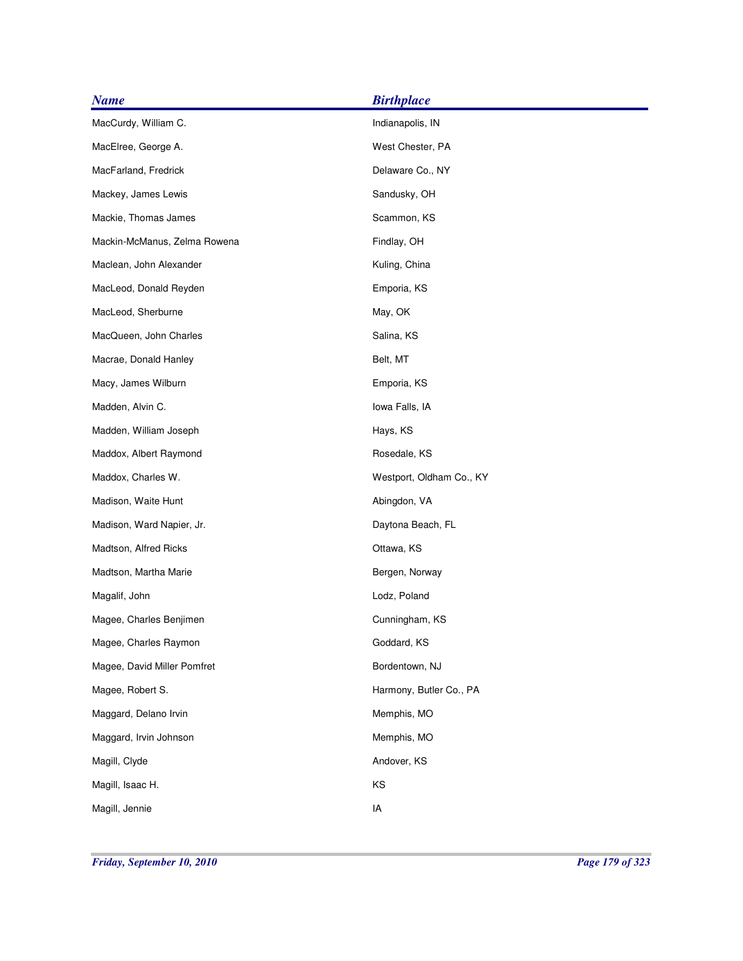| <b>Name</b>                  | <b>Birthplace</b>        |
|------------------------------|--------------------------|
| MacCurdy, William C.         | Indianapolis, IN         |
| MacElree, George A.          | West Chester, PA         |
| MacFarland, Fredrick         | Delaware Co., NY         |
| Mackey, James Lewis          | Sandusky, OH             |
| Mackie, Thomas James         | Scammon, KS              |
| Mackin-McManus, Zelma Rowena | Findlay, OH              |
| Maclean, John Alexander      | Kuling, China            |
| MacLeod, Donald Reyden       | Emporia, KS              |
| MacLeod, Sherburne           | May, OK                  |
| MacQueen, John Charles       | Salina, KS               |
| Macrae, Donald Hanley        | Belt, MT                 |
| Macy, James Wilburn          | Emporia, KS              |
| Madden, Alvin C.             | Iowa Falls, IA           |
| Madden, William Joseph       | Hays, KS                 |
| Maddox, Albert Raymond       | Rosedale, KS             |
| Maddox, Charles W.           | Westport, Oldham Co., KY |
| Madison, Waite Hunt          | Abingdon, VA             |
| Madison, Ward Napier, Jr.    | Daytona Beach, FL        |
| Madtson, Alfred Ricks        | Ottawa, KS               |
| Madtson, Martha Marie        | Bergen, Norway           |
| Magalif, John                | Lodz, Poland             |
| Magee, Charles Benjimen      | Cunningham, KS           |
| Magee, Charles Raymon        | Goddard, KS              |
| Magee, David Miller Pomfret  | Bordentown, NJ           |
| Magee, Robert S.             | Harmony, Butler Co., PA  |
| Maggard, Delano Irvin        | Memphis, MO              |
| Maggard, Irvin Johnson       | Memphis, MO              |
| Magill, Clyde                | Andover, KS              |
| Magill, Isaac H.             | KS                       |
| Magill, Jennie               | IA                       |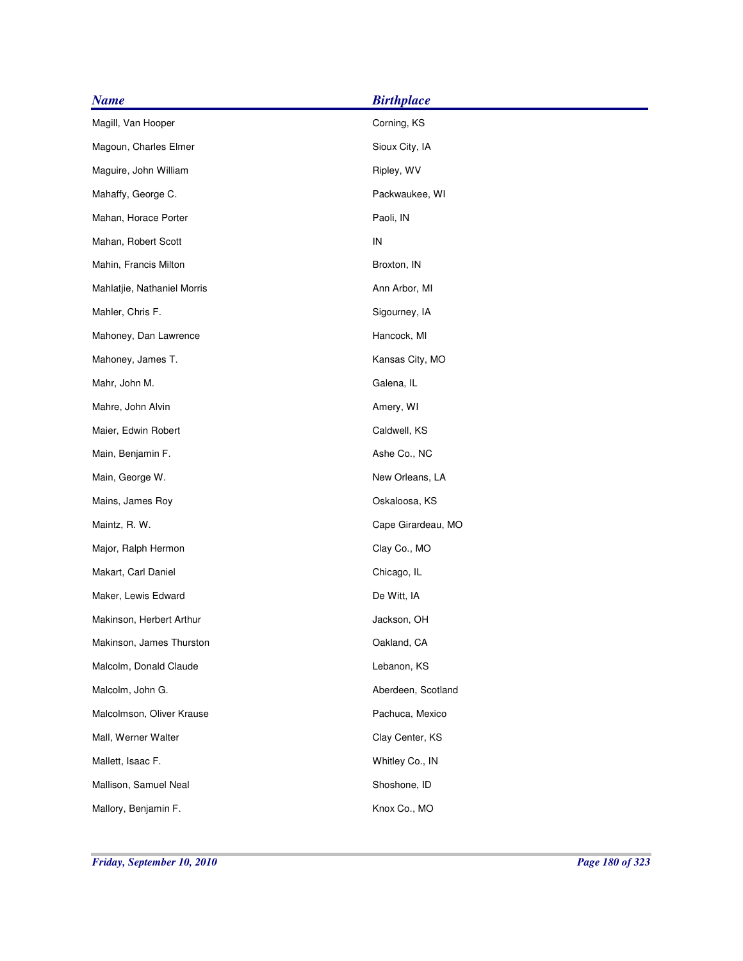| <b>Name</b>                 | <b>Birthplace</b>  |
|-----------------------------|--------------------|
| Magill, Van Hooper          | Corning, KS        |
| Magoun, Charles Elmer       | Sioux City, IA     |
| Maguire, John William       | Ripley, WV         |
| Mahaffy, George C.          | Packwaukee, WI     |
| Mahan, Horace Porter        | Paoli, IN          |
| Mahan, Robert Scott         | IN                 |
| Mahin, Francis Milton       | Broxton, IN        |
| Mahlatjie, Nathaniel Morris | Ann Arbor, MI      |
| Mahler, Chris F.            | Sigourney, IA      |
| Mahoney, Dan Lawrence       | Hancock, MI        |
| Mahoney, James T.           | Kansas City, MO    |
| Mahr, John M.               | Galena, IL         |
| Mahre, John Alvin           | Amery, WI          |
| Maier, Edwin Robert         | Caldwell, KS       |
| Main, Benjamin F.           | Ashe Co., NC       |
| Main, George W.             | New Orleans, LA    |
| Mains, James Roy            | Oskaloosa, KS      |
| Maintz, R. W.               | Cape Girardeau, MO |
| Major, Ralph Hermon         | Clay Co., MO       |
| Makart, Carl Daniel         | Chicago, IL        |
| Maker, Lewis Edward         | De Witt, IA        |
| Makinson, Herbert Arthur    | Jackson, OH        |
| Makinson, James Thurston    | Oakland, CA        |
| Malcolm, Donald Claude      | Lebanon, KS        |
| Malcolm, John G.            | Aberdeen, Scotland |
| Malcolmson, Oliver Krause   | Pachuca, Mexico    |
| Mall, Werner Walter         | Clay Center, KS    |
| Mallett, Isaac F.           | Whitley Co., IN    |
| Mallison, Samuel Neal       | Shoshone, ID       |
| Mallory, Benjamin F.        | Knox Co., MO       |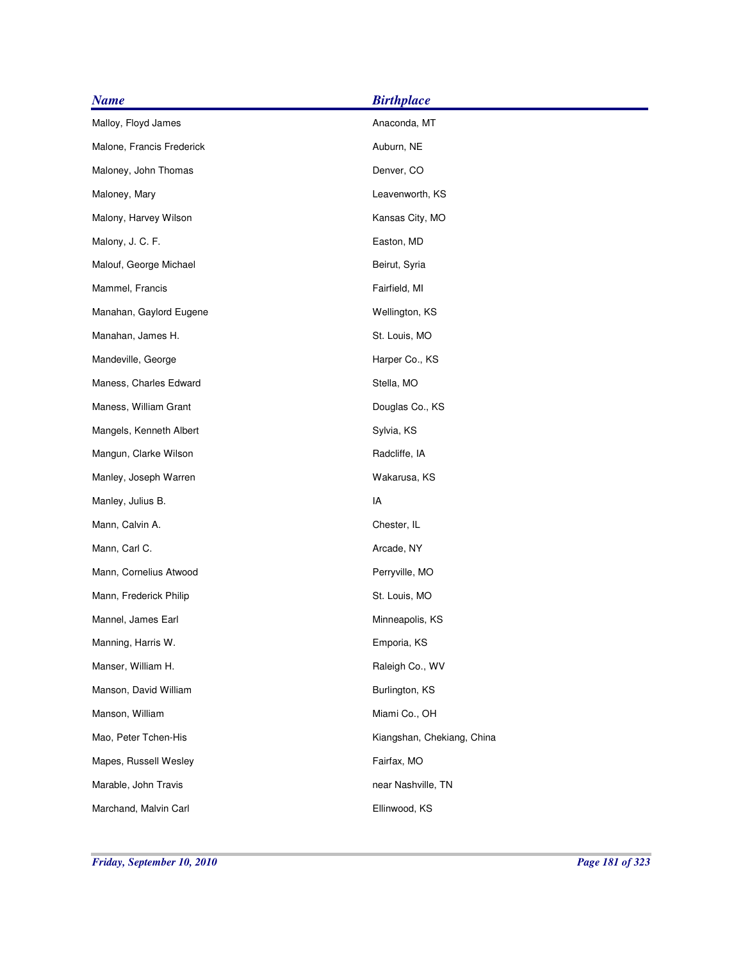| <b>Name</b>               | <b>Birthplace</b>          |
|---------------------------|----------------------------|
| Malloy, Floyd James       | Anaconda, MT               |
| Malone, Francis Frederick | Auburn, NE                 |
| Maloney, John Thomas      | Denver, CO                 |
| Maloney, Mary             | Leavenworth, KS            |
| Malony, Harvey Wilson     | Kansas City, MO            |
| Malony, J. C. F.          | Easton, MD                 |
| Malouf, George Michael    | Beirut, Syria              |
| Mammel, Francis           | Fairfield, MI              |
| Manahan, Gaylord Eugene   | Wellington, KS             |
| Manahan, James H.         | St. Louis, MO              |
| Mandeville, George        | Harper Co., KS             |
| Maness, Charles Edward    | Stella, MO                 |
| Maness, William Grant     | Douglas Co., KS            |
| Mangels, Kenneth Albert   | Sylvia, KS                 |
| Mangun, Clarke Wilson     | Radcliffe, IA              |
| Manley, Joseph Warren     | Wakarusa, KS               |
| Manley, Julius B.         | IA                         |
| Mann, Calvin A.           | Chester, IL                |
| Mann, Carl C.             | Arcade, NY                 |
| Mann, Cornelius Atwood    | Perryville, MO             |
| Mann, Frederick Philip    | St. Louis, MO              |
| Mannel, James Earl        | Minneapolis, KS            |
| Manning, Harris W.        | Emporia, KS                |
| Manser, William H.        | Raleigh Co., WV            |
| Manson, David William     | Burlington, KS             |
| Manson, William           | Miami Co., OH              |
| Mao, Peter Tchen-His      | Kiangshan, Chekiang, China |
| Mapes, Russell Wesley     | Fairfax, MO                |
| Marable, John Travis      | near Nashville, TN         |
| Marchand, Malvin Carl     | Ellinwood, KS              |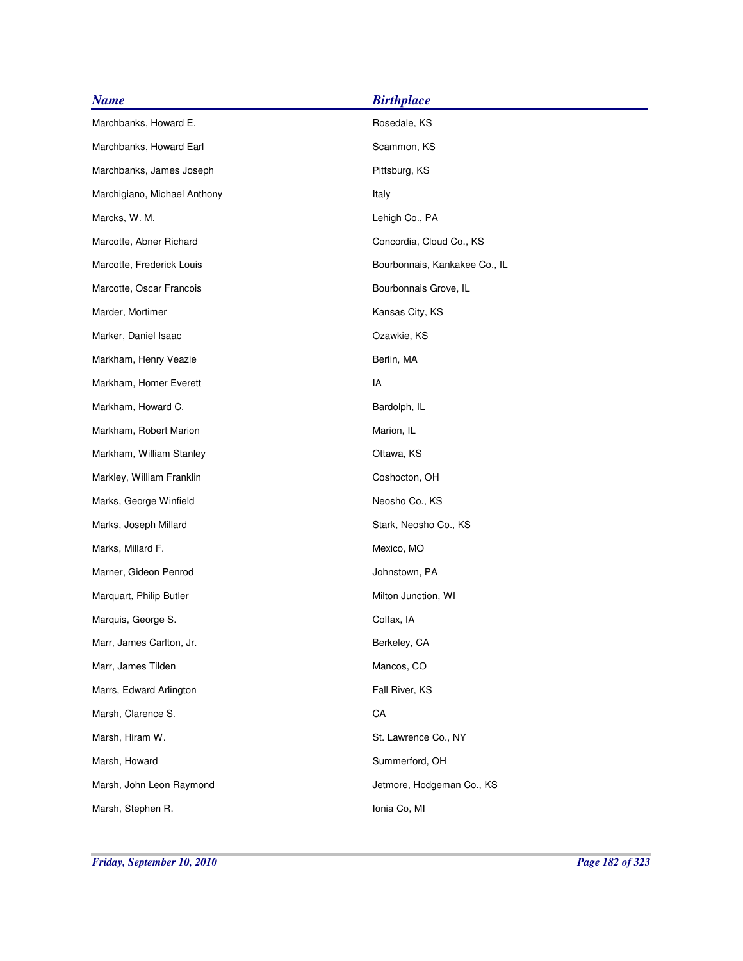| <b>Name</b>                  | <b>Birthplace</b>             |
|------------------------------|-------------------------------|
| Marchbanks, Howard E.        | Rosedale, KS                  |
| Marchbanks, Howard Earl      | Scammon, KS                   |
| Marchbanks, James Joseph     | Pittsburg, KS                 |
| Marchigiano, Michael Anthony | Italy                         |
| Marcks, W. M.                | Lehigh Co., PA                |
| Marcotte, Abner Richard      | Concordia, Cloud Co., KS      |
| Marcotte, Frederick Louis    | Bourbonnais, Kankakee Co., IL |
| Marcotte, Oscar Francois     | Bourbonnais Grove, IL         |
| Marder, Mortimer             | Kansas City, KS               |
| Marker, Daniel Isaac         | Ozawkie, KS                   |
| Markham, Henry Veazie        | Berlin, MA                    |
| Markham, Homer Everett       | IA                            |
| Markham, Howard C.           | Bardolph, IL                  |
| Markham, Robert Marion       | Marion, IL                    |
| Markham, William Stanley     | Ottawa, KS                    |
| Markley, William Franklin    | Coshocton, OH                 |
| Marks, George Winfield       | Neosho Co., KS                |
| Marks, Joseph Millard        | Stark, Neosho Co., KS         |
| Marks, Millard F.            | Mexico, MO                    |
| Marner, Gideon Penrod        | Johnstown, PA                 |
| Marquart, Philip Butler      | Milton Junction, WI           |
| Marquis, George S.           | Colfax, IA                    |
| Marr, James Carlton, Jr.     | Berkeley, CA                  |
| Marr, James Tilden           | Mancos, CO                    |
| Marrs, Edward Arlington      | Fall River, KS                |
| Marsh, Clarence S.           | CA                            |
| Marsh, Hiram W.              | St. Lawrence Co., NY          |
| Marsh, Howard                | Summerford, OH                |
| Marsh, John Leon Raymond     | Jetmore, Hodgeman Co., KS     |
| Marsh, Stephen R.            | Ionia Co, MI                  |
|                              |                               |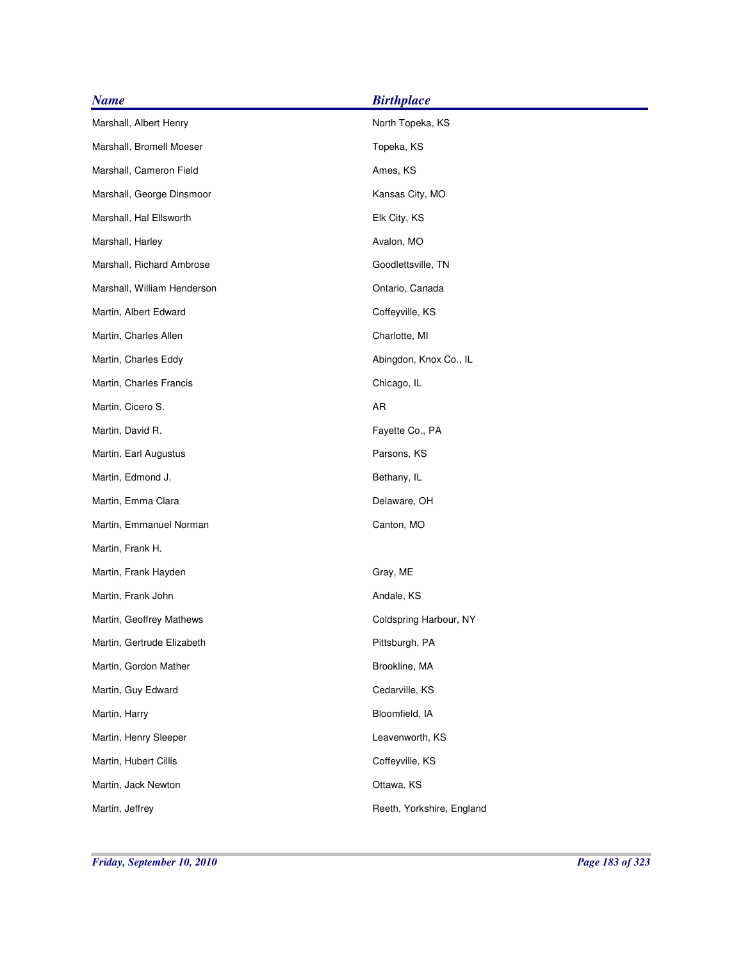| <b>Name</b>                 | <b>Birthplace</b>         |
|-----------------------------|---------------------------|
| Marshall, Albert Henry      | North Topeka, KS          |
| Marshall, Bromell Moeser    | Topeka, KS                |
| Marshall, Cameron Field     | Ames, KS                  |
| Marshall, George Dinsmoor   | Kansas City, MO           |
| Marshall, Hal Ellsworth     | Elk City, KS              |
| Marshall, Harley            | Avalon, MO                |
| Marshall, Richard Ambrose   | Goodlettsville, TN        |
| Marshall, William Henderson | Ontario, Canada           |
| Martin, Albert Edward       | Coffeyville, KS           |
| Martin, Charles Allen       | Charlotte, MI             |
| Martin, Charles Eddy        | Abingdon, Knox Co., IL    |
| Martin, Charles Francis     | Chicago, IL               |
| Martin, Cicero S.           | AR                        |
| Martin, David R.            | Fayette Co., PA           |
| Martin, Earl Augustus       | Parsons, KS               |
| Martin, Edmond J.           | Bethany, IL               |
| Martin, Emma Clara          | Delaware, OH              |
| Martin, Emmanuel Norman     | Canton, MO                |
| Martin, Frank H.            |                           |
| Martin, Frank Hayden        | Gray, ME                  |
| Martin, Frank John          | Andale, KS                |
| Martin, Geoffrey Mathews    | Coldspring Harbour, NY    |
| Martin, Gertrude Elizabeth  | Pittsburgh, PA            |
| Martin, Gordon Mather       | Brookline, MA             |
| Martin, Guy Edward          | Cedarville, KS            |
| Martin, Harry               | Bloomfield, IA            |
| Martin, Henry Sleeper       | Leavenworth, KS           |
| Martin, Hubert Cillis       | Coffeyville, KS           |
| Martin, Jack Newton         | Ottawa, KS                |
| Martin, Jeffrey             | Reeth, Yorkshire, England |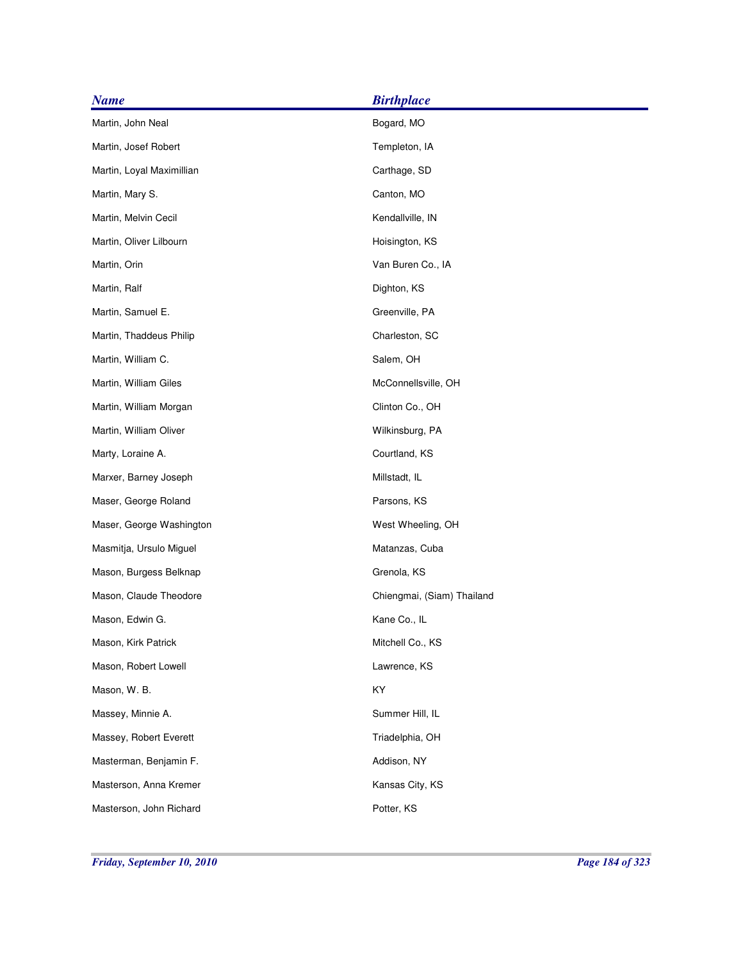| <b>Name</b>               | <b>Birthplace</b>          |
|---------------------------|----------------------------|
| Martin, John Neal         | Bogard, MO                 |
| Martin, Josef Robert      | Templeton, IA              |
| Martin, Loyal Maximillian | Carthage, SD               |
| Martin, Mary S.           | Canton, MO                 |
| Martin, Melvin Cecil      | Kendallville, IN           |
| Martin, Oliver Lilbourn   | Hoisington, KS             |
| Martin, Orin              | Van Buren Co., IA          |
| Martin, Ralf              | Dighton, KS                |
| Martin, Samuel E.         | Greenville, PA             |
| Martin, Thaddeus Philip   | Charleston, SC             |
| Martin, William C.        | Salem, OH                  |
| Martin, William Giles     | McConnellsville, OH        |
| Martin, William Morgan    | Clinton Co., OH            |
| Martin, William Oliver    | Wilkinsburg, PA            |
| Marty, Loraine A.         | Courtland, KS              |
| Marxer, Barney Joseph     | Millstadt, IL              |
| Maser, George Roland      | Parsons, KS                |
| Maser, George Washington  | West Wheeling, OH          |
| Masmitja, Ursulo Miguel   | Matanzas, Cuba             |
| Mason, Burgess Belknap    | Grenola, KS                |
| Mason, Claude Theodore    | Chiengmai, (Siam) Thailand |
| Mason, Edwin G.           | Kane Co., IL               |
| Mason, Kirk Patrick       | Mitchell Co., KS           |
| Mason, Robert Lowell      | Lawrence, KS               |
| Mason, W. B.              | KY                         |
| Massey, Minnie A.         | Summer Hill, IL            |
| Massey, Robert Everett    | Triadelphia, OH            |
| Masterman, Benjamin F.    | Addison, NY                |
| Masterson, Anna Kremer    | Kansas City, KS            |
| Masterson, John Richard   | Potter, KS                 |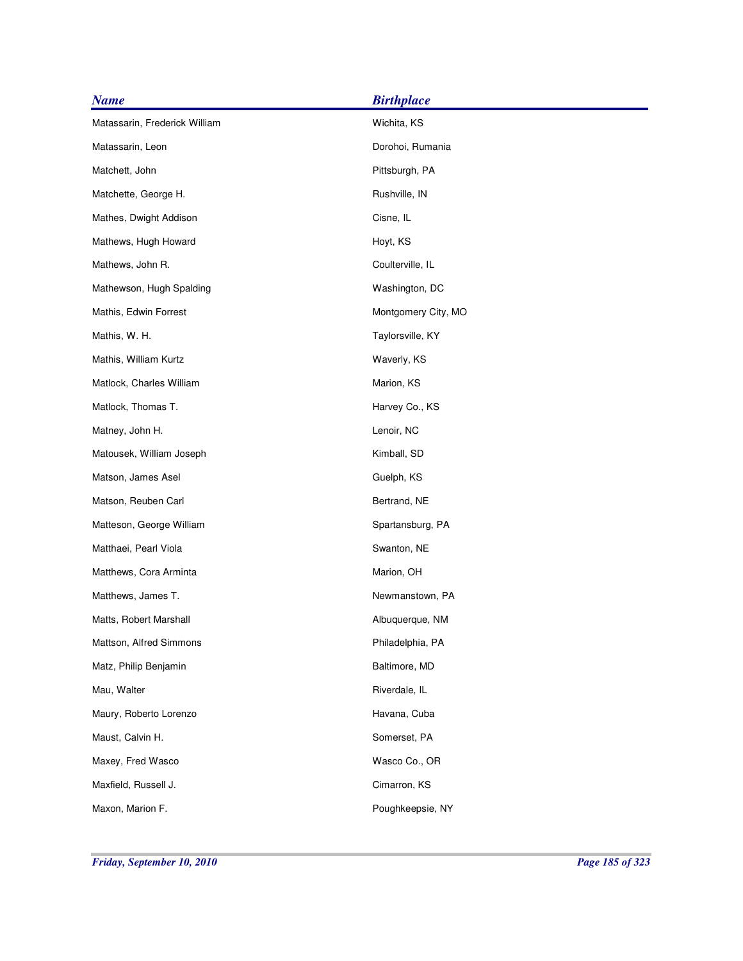| <b>Name</b>                   | <b>Birthplace</b>   |
|-------------------------------|---------------------|
| Matassarin, Frederick William | Wichita, KS         |
| Matassarin, Leon              | Dorohoi, Rumania    |
| Matchett, John                | Pittsburgh, PA      |
| Matchette, George H.          | Rushville, IN       |
| Mathes, Dwight Addison        | Cisne, IL           |
| Mathews, Hugh Howard          | Hoyt, KS            |
| Mathews, John R.              | Coulterville, IL    |
| Mathewson, Hugh Spalding      | Washington, DC      |
| Mathis, Edwin Forrest         | Montgomery City, MO |
| Mathis, W. H.                 | Taylorsville, KY    |
| Mathis, William Kurtz         | Waverly, KS         |
| Matlock, Charles William      | Marion, KS          |
| Matlock, Thomas T.            | Harvey Co., KS      |
| Matney, John H.               | Lenoir, NC          |
| Matousek, William Joseph      | Kimball, SD         |
| Matson, James Asel            | Guelph, KS          |
| Matson, Reuben Carl           | Bertrand, NE        |
| Matteson, George William      | Spartansburg, PA    |
| Matthaei, Pearl Viola         | Swanton, NE         |
| Matthews, Cora Arminta        | Marion, OH          |
| Matthews, James T.            | Newmanstown, PA     |
| Matts, Robert Marshall        | Albuquerque, NM     |
| Mattson, Alfred Simmons       | Philadelphia, PA    |
| Matz, Philip Benjamin         | Baltimore, MD       |
| Mau, Walter                   | Riverdale, IL       |
| Maury, Roberto Lorenzo        | Havana, Cuba        |
| Maust, Calvin H.              | Somerset, PA        |
| Maxey, Fred Wasco             | Wasco Co., OR       |
| Maxfield, Russell J.          | Cimarron, KS        |
| Maxon, Marion F.              | Poughkeepsie, NY    |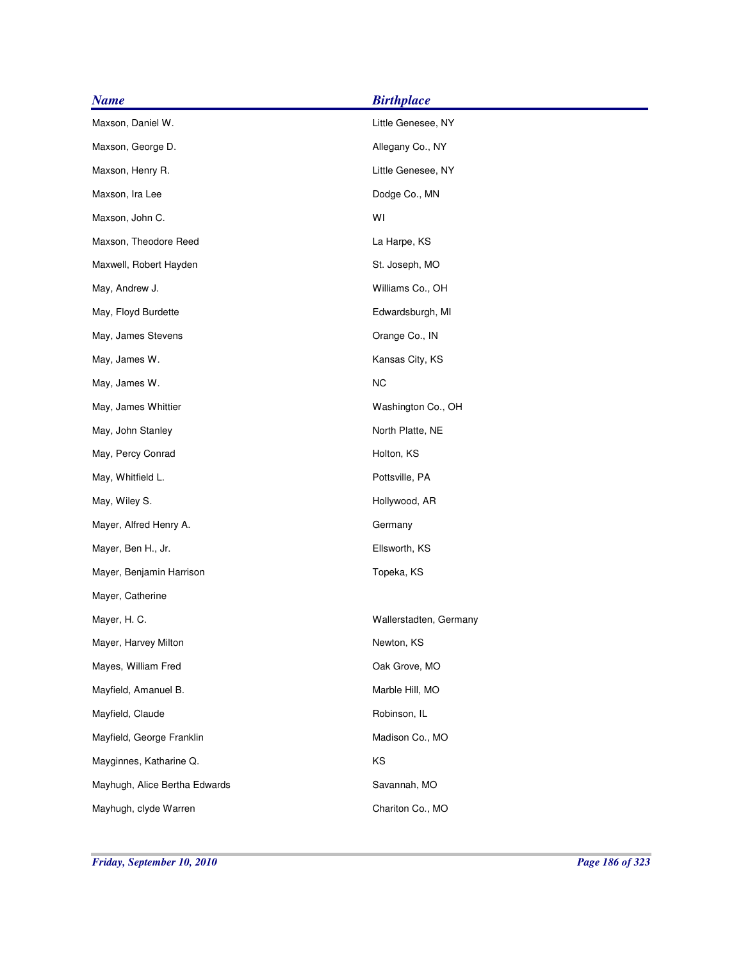| <b>Name</b>                   | <b>Birthplace</b>      |
|-------------------------------|------------------------|
| Maxson, Daniel W.             | Little Genesee, NY     |
| Maxson, George D.             | Allegany Co., NY       |
| Maxson, Henry R.              | Little Genesee, NY     |
| Maxson, Ira Lee               | Dodge Co., MN          |
| Maxson, John C.               | WI                     |
| Maxson, Theodore Reed         | La Harpe, KS           |
| Maxwell, Robert Hayden        | St. Joseph, MO         |
| May, Andrew J.                | Williams Co., OH       |
| May, Floyd Burdette           | Edwardsburgh, MI       |
| May, James Stevens            | Orange Co., IN         |
| May, James W.                 | Kansas City, KS        |
| May, James W.                 | <b>NC</b>              |
| May, James Whittier           | Washington Co., OH     |
| May, John Stanley             | North Platte, NE       |
| May, Percy Conrad             | Holton, KS             |
| May, Whitfield L.             | Pottsville, PA         |
| May, Wiley S.                 | Hollywood, AR          |
| Mayer, Alfred Henry A.        | Germany                |
| Mayer, Ben H., Jr.            | Ellsworth, KS          |
| Mayer, Benjamin Harrison      | Topeka, KS             |
| Mayer, Catherine              |                        |
| Mayer, H. C.                  | Wallerstadten, Germany |
| Mayer, Harvey Milton          | Newton, KS             |
| Mayes, William Fred           | Oak Grove, MO          |
| Mayfield, Amanuel B.          | Marble Hill, MO        |
| Mayfield, Claude              | Robinson, IL           |
| Mayfield, George Franklin     | Madison Co., MO        |
| Mayginnes, Katharine Q.       | KS                     |
| Mayhugh, Alice Bertha Edwards | Savannah, MO           |
| Mayhugh, clyde Warren         | Chariton Co., MO       |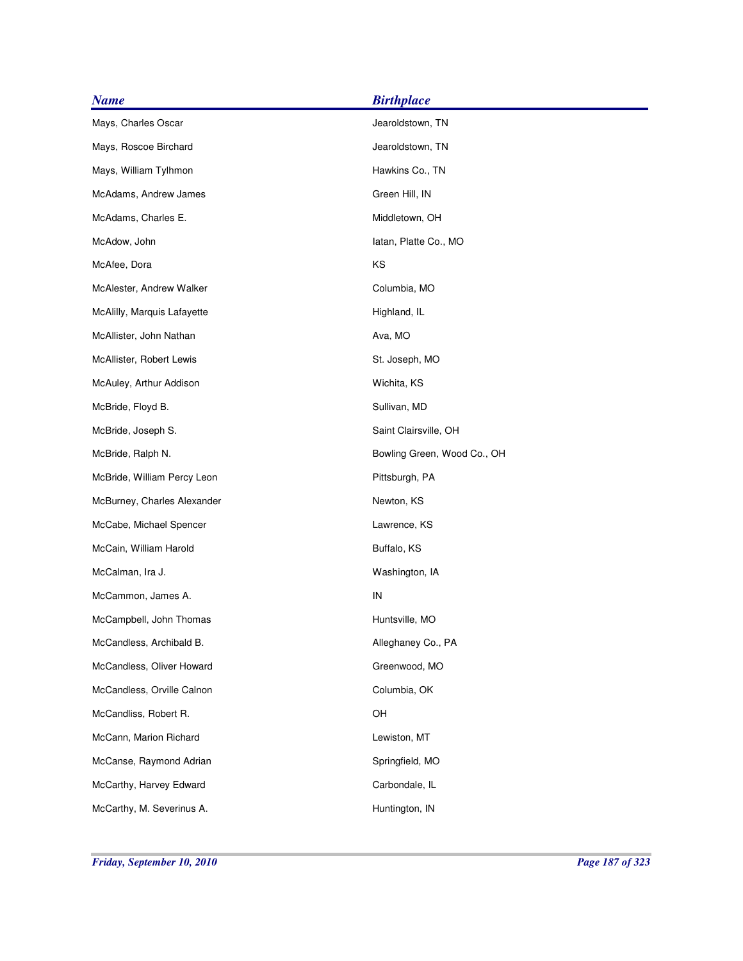| <b>Name</b>                 | <b>Birthplace</b>           |
|-----------------------------|-----------------------------|
| Mays, Charles Oscar         | Jearoldstown, TN            |
| Mays, Roscoe Birchard       | Jearoldstown, TN            |
| Mays, William Tylhmon       | Hawkins Co., TN             |
| McAdams, Andrew James       | Green Hill, IN              |
| McAdams, Charles E.         | Middletown, OH              |
| McAdow, John                | latan, Platte Co., MO       |
| McAfee, Dora                | KS                          |
| McAlester, Andrew Walker    | Columbia, MO                |
| McAlilly, Marquis Lafayette | Highland, IL                |
| McAllister, John Nathan     | Ava, MO                     |
| McAllister, Robert Lewis    | St. Joseph, MO              |
| McAuley, Arthur Addison     | Wichita, KS                 |
| McBride, Floyd B.           | Sullivan, MD                |
| McBride, Joseph S.          | Saint Clairsville, OH       |
| McBride, Ralph N.           | Bowling Green, Wood Co., OH |
| McBride, William Percy Leon | Pittsburgh, PA              |
| McBurney, Charles Alexander | Newton, KS                  |
| McCabe, Michael Spencer     | Lawrence, KS                |
| McCain, William Harold      | Buffalo, KS                 |
| McCalman, Ira J.            | Washington, IA              |
| McCammon, James A.          | IN                          |
| McCampbell, John Thomas     | Huntsville, MO              |
| McCandless, Archibald B.    | Alleghaney Co., PA          |
| McCandless, Oliver Howard   | Greenwood, MO               |
| McCandless, Orville Calnon  | Columbia, OK                |
| McCandliss, Robert R.       | OH                          |
| McCann, Marion Richard      | Lewiston, MT                |
| McCanse, Raymond Adrian     | Springfield, MO             |
| McCarthy, Harvey Edward     | Carbondale, IL              |
| McCarthy, M. Severinus A.   | Huntington, IN              |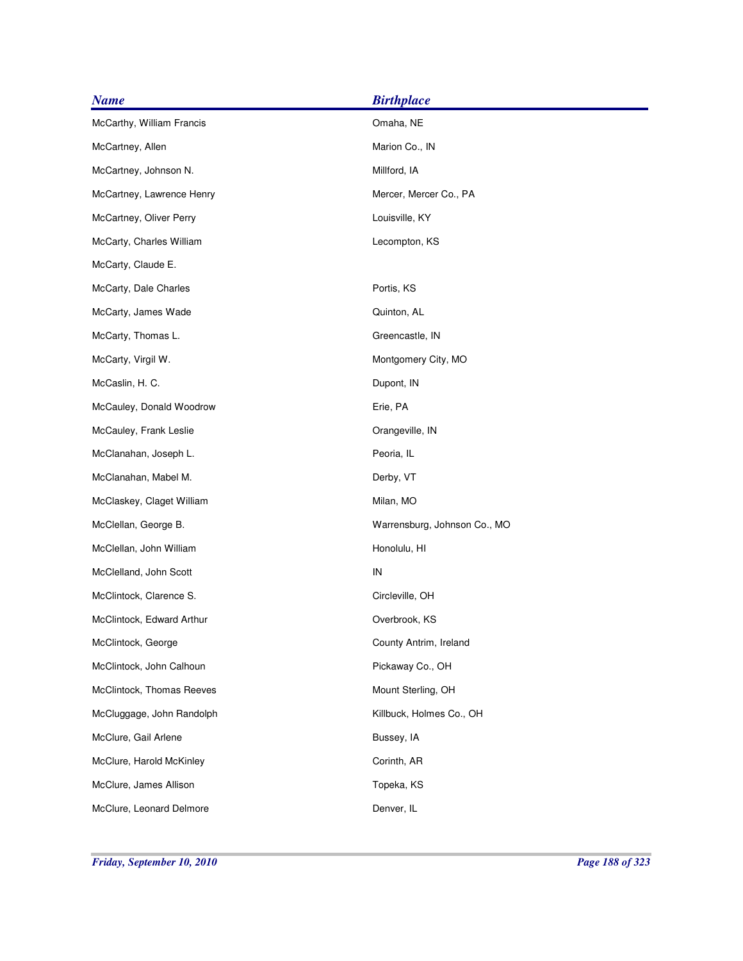| <b>Name</b>               | <b>Birthplace</b>            |
|---------------------------|------------------------------|
| McCarthy, William Francis | Omaha, NE                    |
| McCartney, Allen          | Marion Co., IN               |
| McCartney, Johnson N.     | Millford, IA                 |
| McCartney, Lawrence Henry | Mercer, Mercer Co., PA       |
| McCartney, Oliver Perry   | Louisville, KY               |
| McCarty, Charles William  | Lecompton, KS                |
| McCarty, Claude E.        |                              |
| McCarty, Dale Charles     | Portis, KS                   |
| McCarty, James Wade       | Quinton, AL                  |
| McCarty, Thomas L.        | Greencastle, IN              |
| McCarty, Virgil W.        | Montgomery City, MO          |
| McCaslin, H. C.           | Dupont, IN                   |
| McCauley, Donald Woodrow  | Erie, PA                     |
| McCauley, Frank Leslie    | Orangeville, IN              |
| McClanahan, Joseph L.     | Peoria, IL                   |
| McClanahan, Mabel M.      | Derby, VT                    |
| McClaskey, Claget William | Milan, MO                    |
| McClellan, George B.      | Warrensburg, Johnson Co., MO |
| McClellan, John William   | Honolulu, HI                 |
| McClelland, John Scott    | ${\sf IN}$                   |
| McClintock, Clarence S.   | Circleville, OH              |
| McClintock, Edward Arthur | Overbrook, KS                |
| McClintock, George        | County Antrim, Ireland       |
| McClintock, John Calhoun  | Pickaway Co., OH             |
| McClintock, Thomas Reeves | Mount Sterling, OH           |
| McCluggage, John Randolph | Killbuck, Holmes Co., OH     |
| McClure, Gail Arlene      | Bussey, IA                   |
| McClure, Harold McKinley  | Corinth, AR                  |
| McClure, James Allison    | Topeka, KS                   |
| McClure, Leonard Delmore  | Denver, IL                   |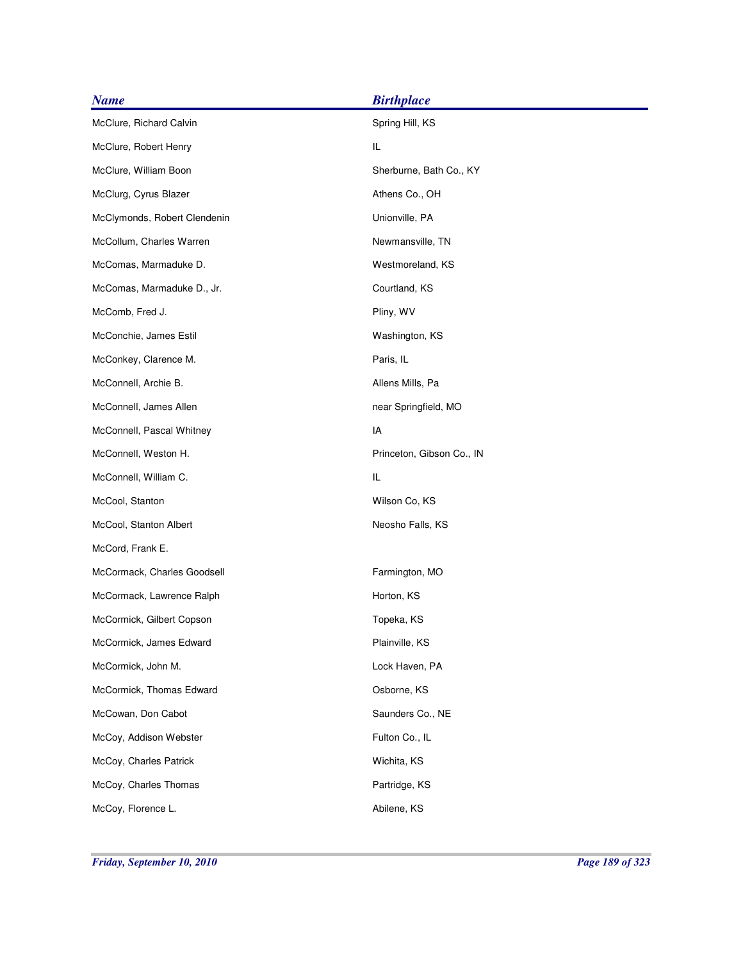| <b>Name</b>                  | <b>Birthplace</b>         |
|------------------------------|---------------------------|
| McClure, Richard Calvin      | Spring Hill, KS           |
| McClure, Robert Henry        | IL                        |
| McClure, William Boon        | Sherburne, Bath Co., KY   |
| McClurg, Cyrus Blazer        | Athens Co., OH            |
| McClymonds, Robert Clendenin | Unionville, PA            |
| McCollum, Charles Warren     | Newmansville, TN          |
| McComas, Marmaduke D.        | Westmoreland, KS          |
| McComas, Marmaduke D., Jr.   | Courtland, KS             |
| McComb, Fred J.              | Pliny, WV                 |
| McConchie, James Estil       | Washington, KS            |
| McConkey, Clarence M.        | Paris, IL                 |
| McConnell, Archie B.         | Allens Mills, Pa          |
| McConnell, James Allen       | near Springfield, MO      |
| McConnell, Pascal Whitney    | IA                        |
| McConnell, Weston H.         | Princeton, Gibson Co., IN |
| McConnell, William C.        | IL                        |
| McCool, Stanton              | Wilson Co, KS             |
| McCool, Stanton Albert       | Neosho Falls, KS          |
| McCord, Frank E.             |                           |
| McCormack, Charles Goodsell  | Farmington, MO            |
| McCormack, Lawrence Ralph    | Horton, KS                |
| McCormick, Gilbert Copson    | Topeka, KS                |
| McCormick, James Edward      | Plainville, KS            |
| McCormick, John M.           | Lock Haven, PA            |
| McCormick, Thomas Edward     | Osborne, KS               |
| McCowan, Don Cabot           | Saunders Co., NE          |
| McCoy, Addison Webster       | Fulton Co., IL            |
| McCoy, Charles Patrick       | Wichita, KS               |
| McCoy, Charles Thomas        | Partridge, KS             |
| McCoy, Florence L.           | Abilene, KS               |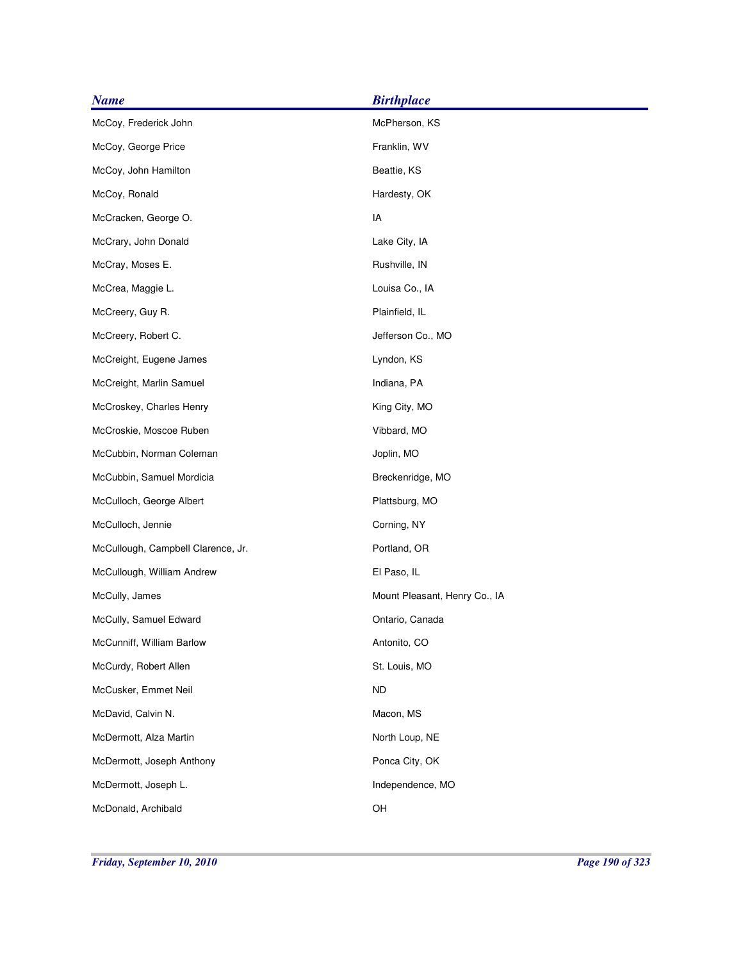| <b>Name</b>                        | <b>Birthplace</b>             |
|------------------------------------|-------------------------------|
| McCoy, Frederick John              | McPherson, KS                 |
| McCoy, George Price                | Franklin, WV                  |
| McCoy, John Hamilton               | Beattie, KS                   |
| McCoy, Ronald                      | Hardesty, OK                  |
| McCracken, George O.               | IA                            |
| McCrary, John Donald               | Lake City, IA                 |
| McCray, Moses E.                   | Rushville, IN                 |
| McCrea, Maggie L.                  | Louisa Co., IA                |
| McCreery, Guy R.                   | Plainfield, IL                |
| McCreery, Robert C.                | Jefferson Co., MO             |
| McCreight, Eugene James            | Lyndon, KS                    |
| McCreight, Marlin Samuel           | Indiana, PA                   |
| McCroskey, Charles Henry           | King City, MO                 |
| McCroskie, Moscoe Ruben            | Vibbard, MO                   |
| McCubbin, Norman Coleman           | Joplin, MO                    |
| McCubbin, Samuel Mordicia          | Breckenridge, MO              |
| McCulloch, George Albert           | Plattsburg, MO                |
| McCulloch, Jennie                  | Corning, NY                   |
| McCullough, Campbell Clarence, Jr. | Portland, OR                  |
| McCullough, William Andrew         | El Paso, IL                   |
| McCully, James                     | Mount Pleasant, Henry Co., IA |
| McCully, Samuel Edward             | Ontario, Canada               |
| McCunniff, William Barlow          | Antonito, CO                  |
| McCurdy, Robert Allen              | St. Louis, MO                 |
| McCusker, Emmet Neil               | <b>ND</b>                     |
| McDavid, Calvin N.                 | Macon, MS                     |
| McDermott, Alza Martin             | North Loup, NE                |
| McDermott, Joseph Anthony          | Ponca City, OK                |
| McDermott, Joseph L.               | Independence, MO              |
| McDonald, Archibald                | OH                            |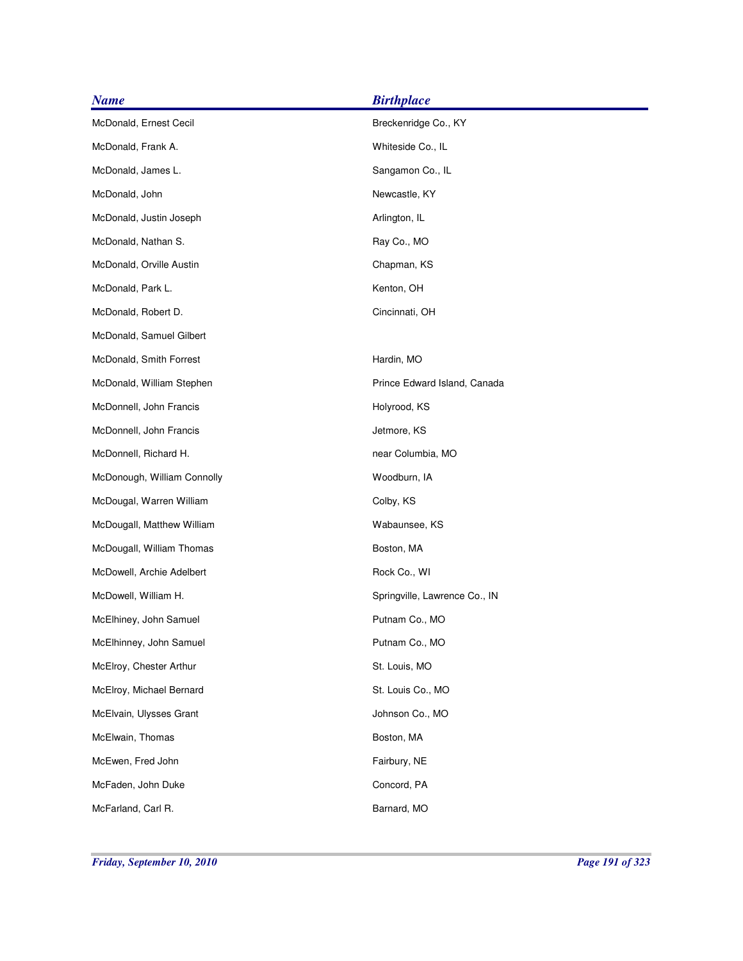| <b>Name</b>                 | <b>Birthplace</b>             |
|-----------------------------|-------------------------------|
| McDonald, Ernest Cecil      | Breckenridge Co., KY          |
| McDonald, Frank A.          | Whiteside Co., IL             |
| McDonald, James L.          | Sangamon Co., IL              |
| McDonald, John              | Newcastle, KY                 |
| McDonald, Justin Joseph     | Arlington, IL                 |
| McDonald, Nathan S.         | Ray Co., MO                   |
| McDonald, Orville Austin    | Chapman, KS                   |
| McDonald, Park L.           | Kenton, OH                    |
| McDonald, Robert D.         | Cincinnati, OH                |
| McDonald, Samuel Gilbert    |                               |
| McDonald, Smith Forrest     | Hardin, MO                    |
| McDonald, William Stephen   | Prince Edward Island, Canada  |
| McDonnell, John Francis     | Holyrood, KS                  |
| McDonnell, John Francis     | Jetmore, KS                   |
| McDonnell, Richard H.       | near Columbia, MO             |
| McDonough, William Connolly | Woodburn, IA                  |
| McDougal, Warren William    | Colby, KS                     |
| McDougall, Matthew William  | Wabaunsee, KS                 |
| McDougall, William Thomas   | Boston, MA                    |
| McDowell, Archie Adelbert   | Rock Co., WI                  |
| McDowell, William H.        | Springville, Lawrence Co., IN |
| McElhiney, John Samuel      | Putnam Co., MO                |
| McElhinney, John Samuel     | Putnam Co., MO                |
| McElroy, Chester Arthur     | St. Louis, MO                 |
| McElroy, Michael Bernard    | St. Louis Co., MO             |
| McElvain, Ulysses Grant     | Johnson Co., MO               |
| McElwain, Thomas            | Boston, MA                    |
| McEwen, Fred John           | Fairbury, NE                  |
| McFaden, John Duke          | Concord, PA                   |
| McFarland, Carl R.          | Barnard, MO                   |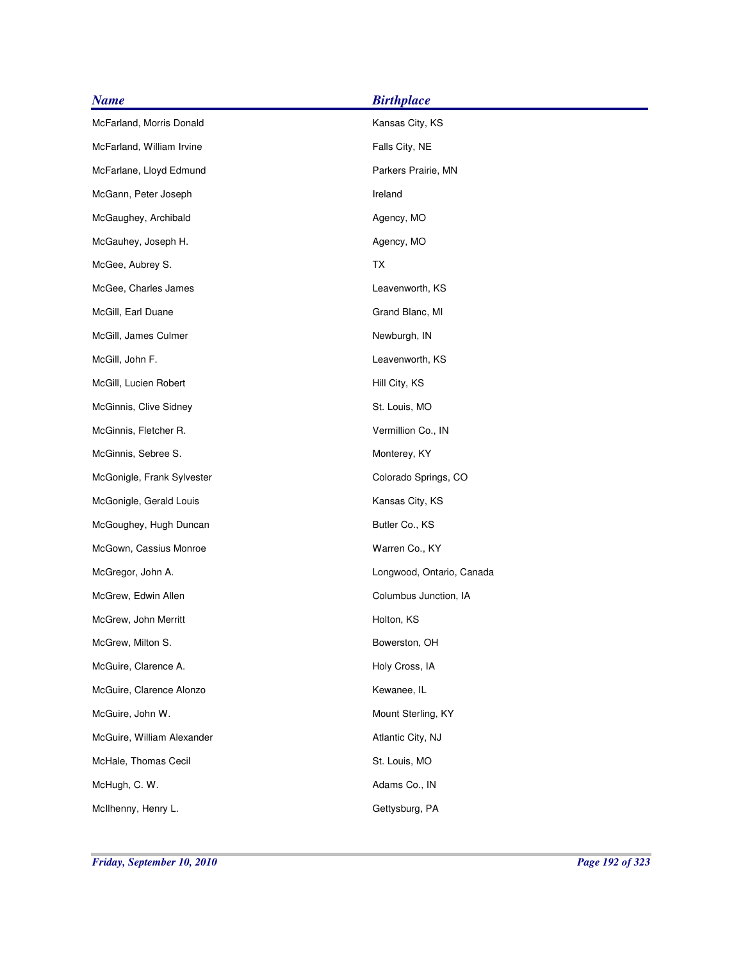| <b>Name</b>                | <b>Birthplace</b>         |
|----------------------------|---------------------------|
| McFarland, Morris Donald   | Kansas City, KS           |
| McFarland, William Irvine  | Falls City, NE            |
| McFarlane, Lloyd Edmund    | Parkers Prairie, MN       |
| McGann, Peter Joseph       | Ireland                   |
| McGaughey, Archibald       | Agency, MO                |
| McGauhey, Joseph H.        | Agency, MO                |
| McGee, Aubrey S.           | TX                        |
| McGee, Charles James       | Leavenworth, KS           |
| McGill, Earl Duane         | Grand Blanc, MI           |
| McGill, James Culmer       | Newburgh, IN              |
| McGill, John F.            | Leavenworth, KS           |
| McGill, Lucien Robert      | Hill City, KS             |
| McGinnis, Clive Sidney     | St. Louis, MO             |
| McGinnis, Fletcher R.      | Vermillion Co., IN        |
| McGinnis, Sebree S.        | Monterey, KY              |
| McGonigle, Frank Sylvester | Colorado Springs, CO      |
| McGonigle, Gerald Louis    | Kansas City, KS           |
| McGoughey, Hugh Duncan     | Butler Co., KS            |
| McGown, Cassius Monroe     | Warren Co., KY            |
| McGregor, John A.          | Longwood, Ontario, Canada |
| McGrew, Edwin Allen        | Columbus Junction, IA     |
| McGrew, John Merritt       | Holton, KS                |
| McGrew, Milton S.          | Bowerston, OH             |
| McGuire, Clarence A.       | Holy Cross, IA            |
| McGuire, Clarence Alonzo   | Kewanee, IL               |
| McGuire, John W.           | Mount Sterling, KY        |
| McGuire, William Alexander | Atlantic City, NJ         |
| McHale, Thomas Cecil       | St. Louis, MO             |
| McHugh, C. W.              | Adams Co., IN             |
| McIlhenny, Henry L.        | Gettysburg, PA            |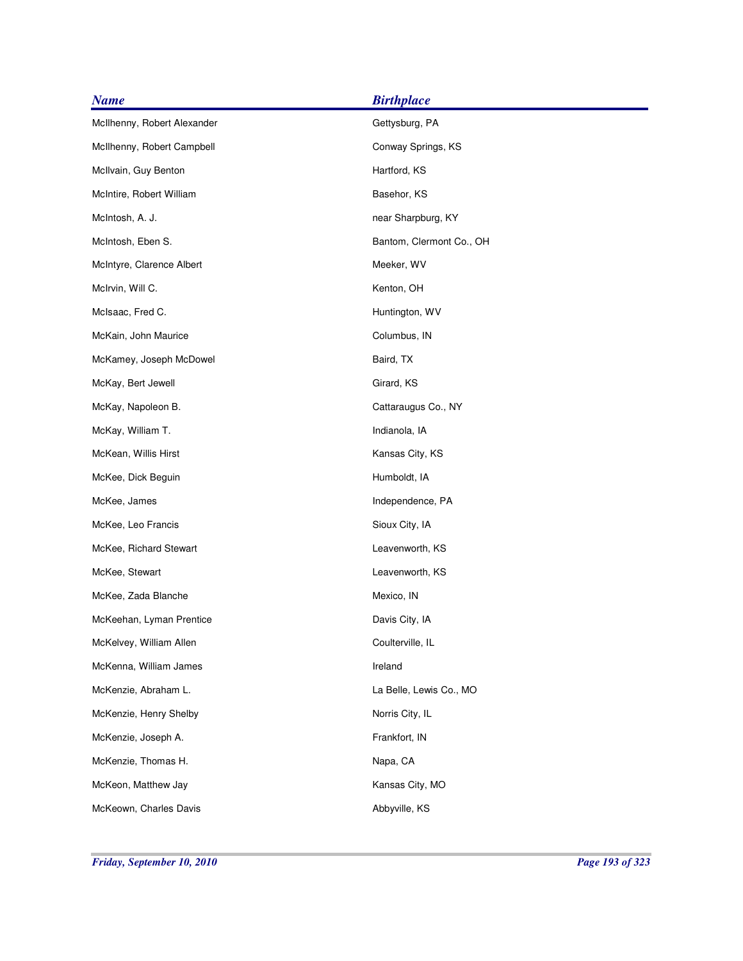| <b>Name</b>                 | <b>Birthplace</b>        |
|-----------------------------|--------------------------|
| McIlhenny, Robert Alexander | Gettysburg, PA           |
| McIlhenny, Robert Campbell  | Conway Springs, KS       |
| McIlvain, Guy Benton        | Hartford, KS             |
| McIntire, Robert William    | Basehor, KS              |
| McIntosh, A. J.             | near Sharpburg, KY       |
| McIntosh, Eben S.           | Bantom, Clermont Co., OH |
| McIntyre, Clarence Albert   | Meeker, WV               |
| McIrvin, Will C.            | Kenton, OH               |
| McIsaac, Fred C.            | Huntington, WV           |
| McKain, John Maurice        | Columbus, IN             |
| McKamey, Joseph McDowel     | Baird, TX                |
| McKay, Bert Jewell          | Girard, KS               |
| McKay, Napoleon B.          | Cattaraugus Co., NY      |
| McKay, William T.           | Indianola, IA            |
| McKean, Willis Hirst        | Kansas City, KS          |
| McKee, Dick Beguin          | Humboldt, IA             |
| McKee, James                | Independence, PA         |
| McKee, Leo Francis          | Sioux City, IA           |
| McKee, Richard Stewart      | Leavenworth, KS          |
| McKee, Stewart              | Leavenworth, KS          |
| McKee, Zada Blanche         | Mexico, IN               |
| McKeehan, Lyman Prentice    | Davis City, IA           |
| McKelvey, William Allen     | Coulterville, IL         |
| McKenna, William James      | Ireland                  |
| McKenzie, Abraham L.        | La Belle, Lewis Co., MO  |
| McKenzie, Henry Shelby      | Norris City, IL          |
| McKenzie, Joseph A.         | Frankfort, IN            |
| McKenzie, Thomas H.         | Napa, CA                 |
| McKeon, Matthew Jay         | Kansas City, MO          |
| McKeown, Charles Davis      | Abbyville, KS            |
|                             |                          |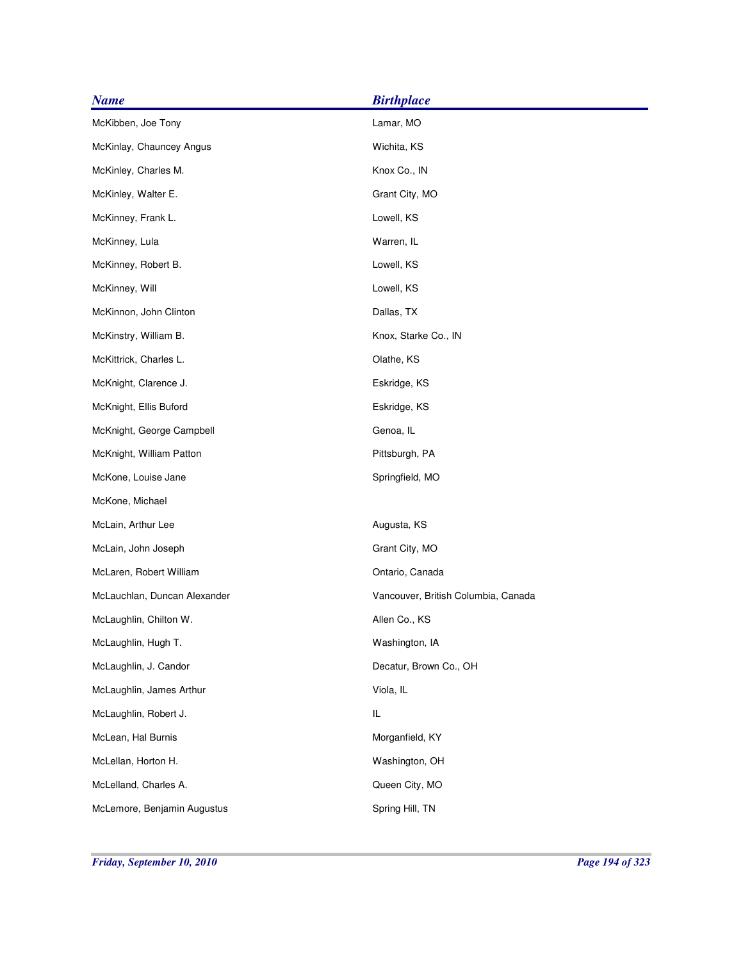| <b>Name</b>                  | <b>Birthplace</b>                   |
|------------------------------|-------------------------------------|
| McKibben, Joe Tony           | Lamar, MO                           |
| McKinlay, Chauncey Angus     | Wichita, KS                         |
| McKinley, Charles M.         | Knox Co., IN                        |
| McKinley, Walter E.          | Grant City, MO                      |
| McKinney, Frank L.           | Lowell, KS                          |
| McKinney, Lula               | Warren, IL                          |
| McKinney, Robert B.          | Lowell, KS                          |
| McKinney, Will               | Lowell, KS                          |
| McKinnon, John Clinton       | Dallas, TX                          |
| McKinstry, William B.        | Knox, Starke Co., IN                |
| McKittrick, Charles L.       | Olathe, KS                          |
| McKnight, Clarence J.        | Eskridge, KS                        |
| McKnight, Ellis Buford       | Eskridge, KS                        |
| McKnight, George Campbell    | Genoa, IL                           |
| McKnight, William Patton     | Pittsburgh, PA                      |
| McKone, Louise Jane          | Springfield, MO                     |
| McKone, Michael              |                                     |
| McLain, Arthur Lee           | Augusta, KS                         |
| McLain, John Joseph          | Grant City, MO                      |
| McLaren, Robert William      | Ontario, Canada                     |
| McLauchlan, Duncan Alexander | Vancouver, British Columbia, Canada |
| McLaughlin, Chilton W.       | Allen Co., KS                       |
| McLaughlin, Hugh T.          | Washington, IA                      |
| McLaughlin, J. Candor        | Decatur, Brown Co., OH              |
| McLaughlin, James Arthur     | Viola, IL                           |
| McLaughlin, Robert J.        | IL                                  |
| McLean, Hal Burnis           | Morganfield, KY                     |
| McLellan, Horton H.          | Washington, OH                      |
| McLelland, Charles A.        | Queen City, MO                      |
| McLemore, Benjamin Augustus  | Spring Hill, TN                     |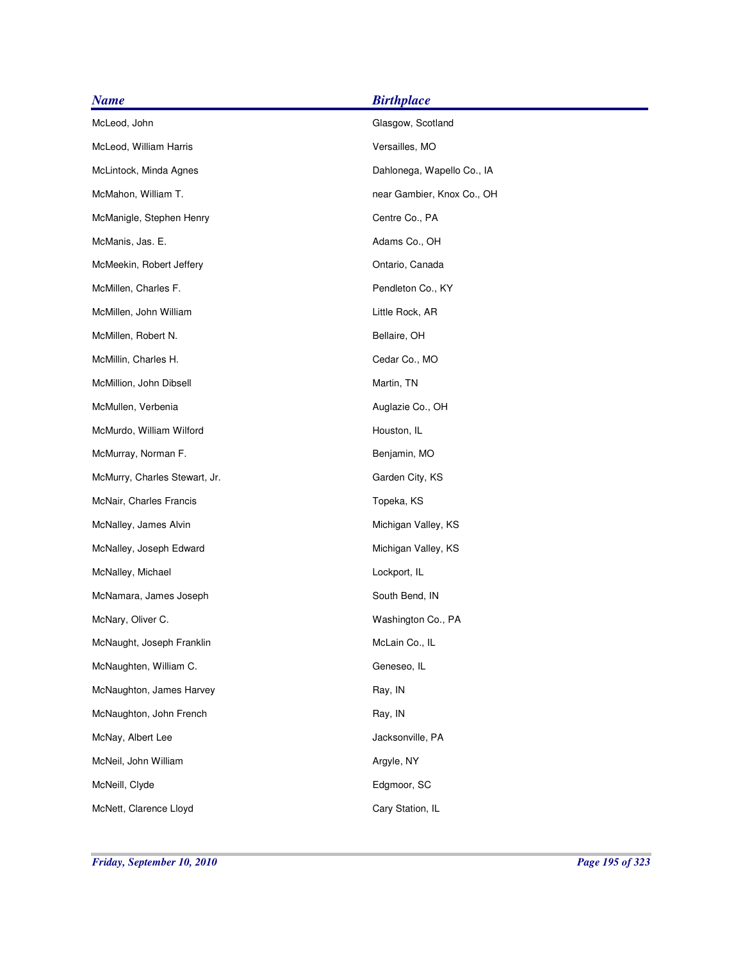| <b>Birthplace</b>          |
|----------------------------|
| Glasgow, Scotland          |
| Versailles, MO             |
| Dahlonega, Wapello Co., IA |
| near Gambier, Knox Co., OH |
| Centre Co., PA             |
| Adams Co., OH              |
| Ontario, Canada            |
| Pendleton Co., KY          |
| Little Rock, AR            |
| Bellaire, OH               |
| Cedar Co., MO              |
| Martin, TN                 |
| Auglazie Co., OH           |
| Houston, IL                |
| Benjamin, MO               |
| Garden City, KS            |
| Topeka, KS                 |
| Michigan Valley, KS        |
| Michigan Valley, KS        |
| Lockport, IL               |
| South Bend, IN             |
| Washington Co., PA         |
| McLain Co., IL             |
| Geneseo, IL                |
| Ray, IN                    |
| Ray, IN                    |
| Jacksonville, PA           |
| Argyle, NY                 |
| Edgmoor, SC                |
| Cary Station, IL           |
|                            |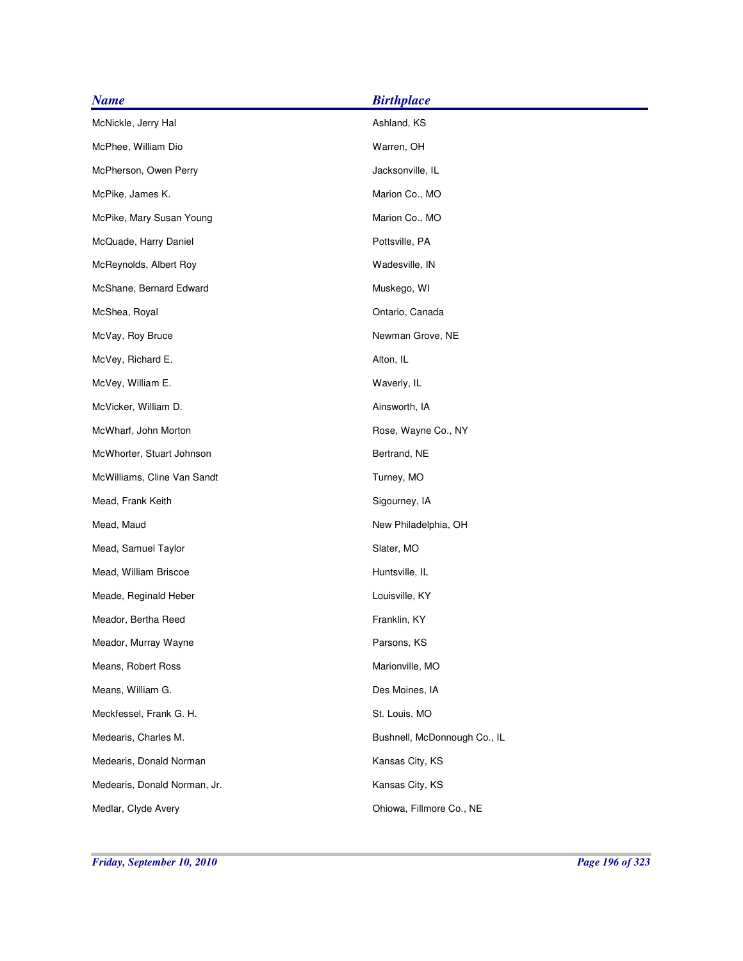| <b>Name</b>                  | <b>Birthplace</b>            |
|------------------------------|------------------------------|
| McNickle, Jerry Hal          | Ashland, KS                  |
| McPhee, William Dio          | Warren, OH                   |
| McPherson, Owen Perry        | Jacksonville, IL             |
| McPike, James K.             | Marion Co., MO               |
| McPike, Mary Susan Young     | Marion Co., MO               |
| McQuade, Harry Daniel        | Pottsville, PA               |
| McReynolds, Albert Roy       | Wadesville, IN               |
| McShane, Bernard Edward      | Muskego, WI                  |
| McShea, Royal                | Ontario, Canada              |
| McVay, Roy Bruce             | Newman Grove, NE             |
| McVey, Richard E.            | Alton, IL                    |
| McVey, William E.            | Waverly, IL                  |
| McVicker, William D.         | Ainsworth, IA                |
| McWharf, John Morton         | Rose, Wayne Co., NY          |
| McWhorter, Stuart Johnson    | Bertrand, NE                 |
| McWilliams, Cline Van Sandt  | Turney, MO                   |
| Mead, Frank Keith            | Sigourney, IA                |
| Mead, Maud                   | New Philadelphia, OH         |
| Mead, Samuel Taylor          | Slater, MO                   |
| Mead, William Briscoe        | Huntsville, IL               |
| Meade, Reginald Heber        | Louisville, KY               |
| Meador, Bertha Reed          | Franklin, KY                 |
| Meador, Murray Wayne         | Parsons, KS                  |
| Means, Robert Ross           | Marionville, MO              |
| Means, William G.            | Des Moines, IA               |
| Meckfessel, Frank G. H.      | St. Louis, MO                |
| Medearis, Charles M.         | Bushnell, McDonnough Co., IL |
| Medearis, Donald Norman      | Kansas City, KS              |
| Medearis, Donald Norman, Jr. | Kansas City, KS              |
| Medlar, Clyde Avery          | Ohiowa, Fillmore Co., NE     |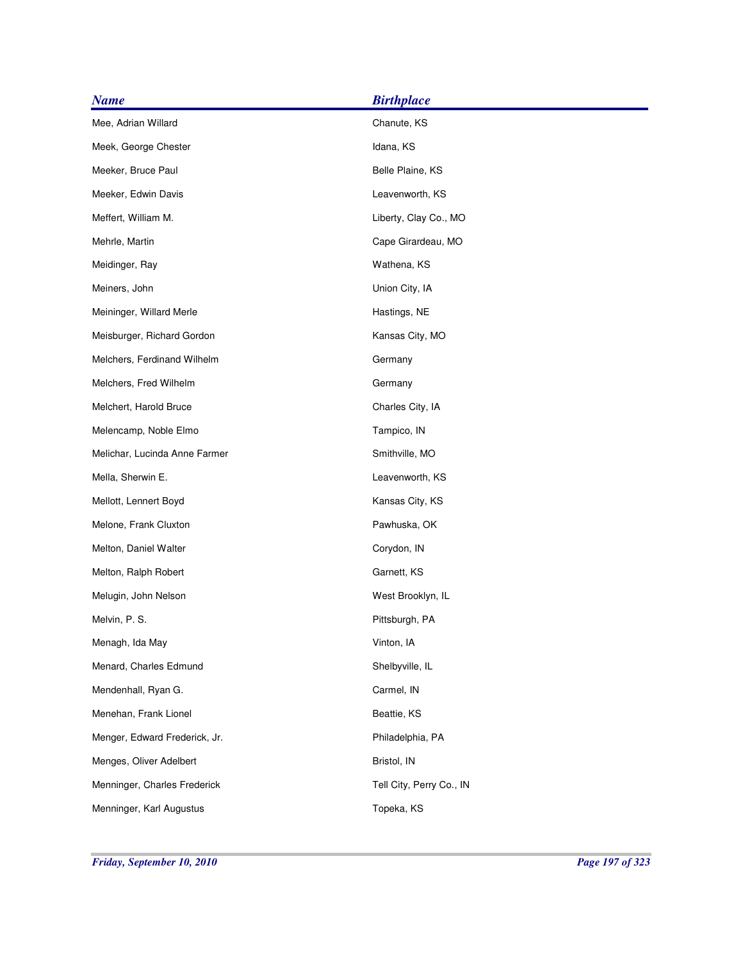| <b>Name</b>                   | <b>Birthplace</b>        |
|-------------------------------|--------------------------|
| Mee, Adrian Willard           | Chanute, KS              |
| Meek, George Chester          | Idana, KS                |
| Meeker, Bruce Paul            | Belle Plaine, KS         |
| Meeker, Edwin Davis           | Leavenworth, KS          |
| Meffert, William M.           | Liberty, Clay Co., MO    |
| Mehrle, Martin                | Cape Girardeau, MO       |
| Meidinger, Ray                | Wathena, KS              |
| Meiners, John                 | Union City, IA           |
| Meininger, Willard Merle      | Hastings, NE             |
| Meisburger, Richard Gordon    | Kansas City, MO          |
| Melchers, Ferdinand Wilhelm   | Germany                  |
| Melchers, Fred Wilhelm        | Germany                  |
| Melchert, Harold Bruce        | Charles City, IA         |
| Melencamp, Noble Elmo         | Tampico, IN              |
| Melichar, Lucinda Anne Farmer | Smithville, MO           |
| Mella, Sherwin E.             | Leavenworth, KS          |
| Mellott, Lennert Boyd         | Kansas City, KS          |
| Melone, Frank Cluxton         | Pawhuska, OK             |
| Melton, Daniel Walter         | Corydon, IN              |
| Melton, Ralph Robert          | Garnett, KS              |
| Melugin, John Nelson          | West Brooklyn, IL        |
| Melvin, P. S.                 | Pittsburgh, PA           |
| Menagh, Ida May               | Vinton, IA               |
| Menard, Charles Edmund        | Shelbyville, IL          |
| Mendenhall, Ryan G.           | Carmel, IN               |
| Menehan, Frank Lionel         | Beattie, KS              |
| Menger, Edward Frederick, Jr. | Philadelphia, PA         |
| Menges, Oliver Adelbert       | Bristol, IN              |
| Menninger, Charles Frederick  | Tell City, Perry Co., IN |
| Menninger, Karl Augustus      | Topeka, KS               |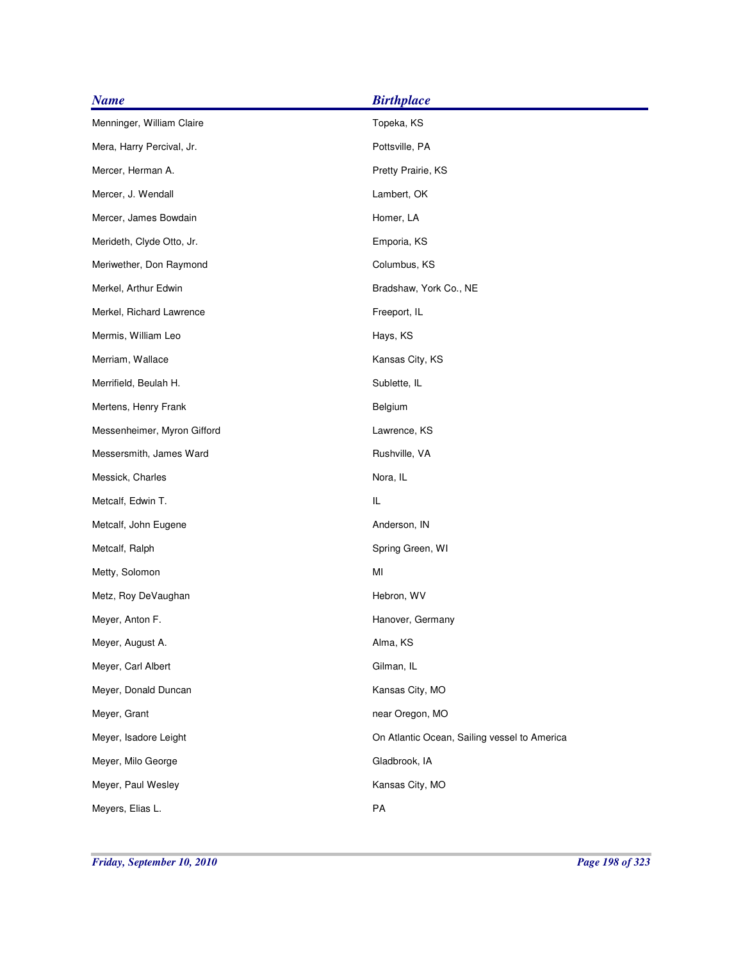| <b>Name</b>                 | <b>Birthplace</b>                            |
|-----------------------------|----------------------------------------------|
| Menninger, William Claire   | Topeka, KS                                   |
| Mera, Harry Percival, Jr.   | Pottsville, PA                               |
| Mercer, Herman A.           | Pretty Prairie, KS                           |
| Mercer, J. Wendall          | Lambert, OK                                  |
| Mercer, James Bowdain       | Homer, LA                                    |
| Merideth, Clyde Otto, Jr.   | Emporia, KS                                  |
| Meriwether, Don Raymond     | Columbus, KS                                 |
| Merkel, Arthur Edwin        | Bradshaw, York Co., NE                       |
| Merkel, Richard Lawrence    | Freeport, IL                                 |
| Mermis, William Leo         | Hays, KS                                     |
| Merriam, Wallace            | Kansas City, KS                              |
| Merrifield, Beulah H.       | Sublette, IL                                 |
| Mertens, Henry Frank        | Belgium                                      |
| Messenheimer, Myron Gifford | Lawrence, KS                                 |
| Messersmith, James Ward     | Rushville, VA                                |
| Messick, Charles            | Nora, IL                                     |
| Metcalf, Edwin T.           | IL                                           |
| Metcalf, John Eugene        | Anderson, IN                                 |
| Metcalf, Ralph              | Spring Green, WI                             |
| Metty, Solomon              | MI                                           |
| Metz, Roy DeVaughan         | Hebron, WV                                   |
| Meyer, Anton F.             | Hanover, Germany                             |
| Meyer, August A.            | Alma, KS                                     |
| Meyer, Carl Albert          | Gilman, IL                                   |
| Meyer, Donald Duncan        | Kansas City, MO                              |
| Meyer, Grant                | near Oregon, MO                              |
| Meyer, Isadore Leight       | On Atlantic Ocean, Sailing vessel to America |
| Meyer, Milo George          | Gladbrook, IA                                |
| Meyer, Paul Wesley          | Kansas City, MO                              |
| Meyers, Elias L.            | PA                                           |
|                             |                                              |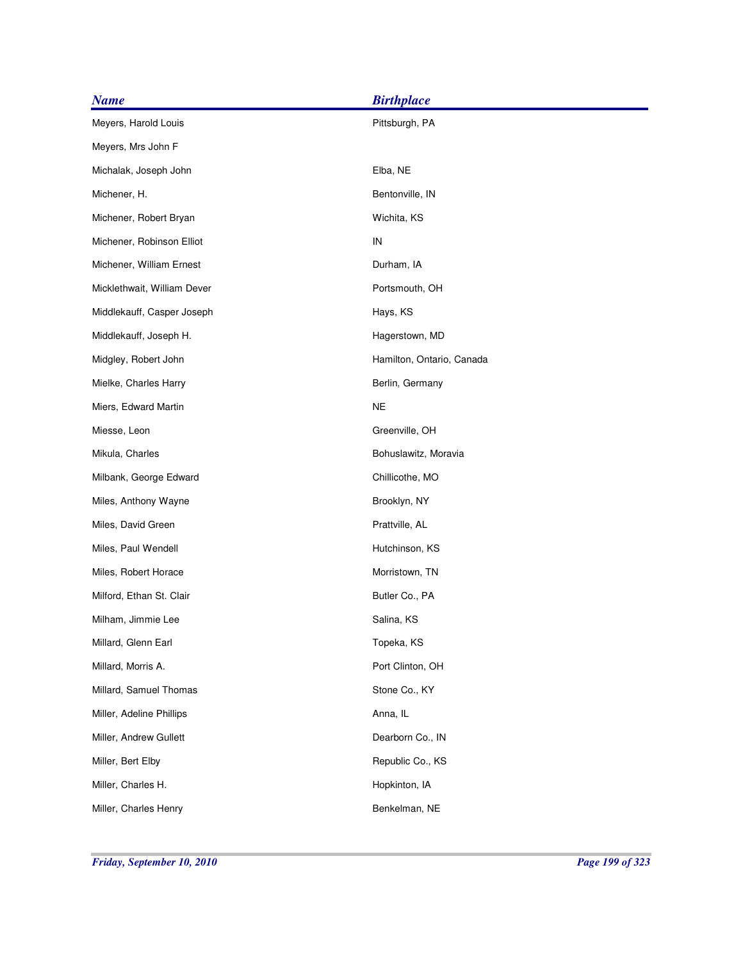| <b>Name</b>                 | <b>Birthplace</b>         |
|-----------------------------|---------------------------|
| Meyers, Harold Louis        | Pittsburgh, PA            |
| Meyers, Mrs John F          |                           |
| Michalak, Joseph John       | Elba, NE                  |
| Michener, H.                | Bentonville, IN           |
| Michener, Robert Bryan      | Wichita, KS               |
| Michener, Robinson Elliot   | IN                        |
| Michener, William Ernest    | Durham, IA                |
| Micklethwait, William Dever | Portsmouth, OH            |
| Middlekauff, Casper Joseph  | Hays, KS                  |
| Middlekauff, Joseph H.      | Hagerstown, MD            |
| Midgley, Robert John        | Hamilton, Ontario, Canada |
| Mielke, Charles Harry       | Berlin, Germany           |
| Miers, Edward Martin        | <b>NE</b>                 |
| Miesse, Leon                | Greenville, OH            |
| Mikula, Charles             | Bohuslawitz, Moravia      |
| Milbank, George Edward      | Chillicothe, MO           |
| Miles, Anthony Wayne        | Brooklyn, NY              |
| Miles, David Green          | Prattville, AL            |
| Miles, Paul Wendell         | Hutchinson, KS            |
| Miles, Robert Horace        | Morristown, TN            |
| Milford, Ethan St. Clair    | Butler Co., PA            |
| Milham, Jimmie Lee          | Salina, KS                |
| Millard, Glenn Earl         | Topeka, KS                |
| Millard, Morris A.          | Port Clinton, OH          |
| Millard, Samuel Thomas      | Stone Co., KY             |
| Miller, Adeline Phillips    | Anna, IL                  |
| Miller, Andrew Gullett      | Dearborn Co., IN          |
| Miller, Bert Elby           | Republic Co., KS          |
| Miller, Charles H.          | Hopkinton, IA             |
| Miller, Charles Henry       | Benkelman, NE             |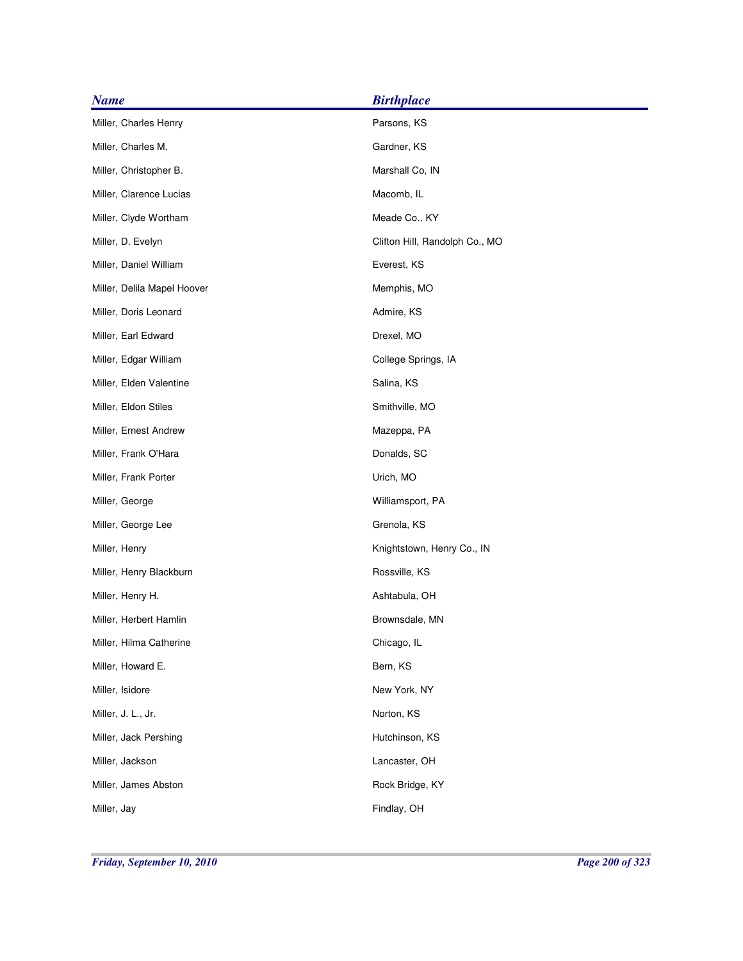| <b>Name</b>                 | <b>Birthplace</b>              |
|-----------------------------|--------------------------------|
| Miller, Charles Henry       | Parsons, KS                    |
| Miller, Charles M.          | Gardner, KS                    |
| Miller, Christopher B.      | Marshall Co, IN                |
| Miller, Clarence Lucias     | Macomb, IL                     |
| Miller, Clyde Wortham       | Meade Co., KY                  |
| Miller, D. Evelyn           | Clifton Hill, Randolph Co., MO |
| Miller, Daniel William      | Everest, KS                    |
| Miller, Delila Mapel Hoover | Memphis, MO                    |
| Miller, Doris Leonard       | Admire, KS                     |
| Miller, Earl Edward         | Drexel, MO                     |
| Miller, Edgar William       | College Springs, IA            |
| Miller, Elden Valentine     | Salina, KS                     |
| Miller, Eldon Stiles        | Smithville, MO                 |
| Miller, Ernest Andrew       | Mazeppa, PA                    |
| Miller, Frank O'Hara        | Donalds, SC                    |
| Miller, Frank Porter        | Urich, MO                      |
| Miller, George              | Williamsport, PA               |
| Miller, George Lee          | Grenola, KS                    |
| Miller, Henry               | Knightstown, Henry Co., IN     |
| Miller, Henry Blackburn     | Rossville, KS                  |
| Miller, Henry H.            | Ashtabula, OH                  |
| Miller, Herbert Hamlin      | Brownsdale, MN                 |
| Miller, Hilma Catherine     | Chicago, IL                    |
| Miller, Howard E.           | Bern, KS                       |
| Miller, Isidore             | New York, NY                   |
| Miller, J. L., Jr.          | Norton, KS                     |
| Miller, Jack Pershing       | Hutchinson, KS                 |
| Miller, Jackson             | Lancaster, OH                  |
| Miller, James Abston        | Rock Bridge, KY                |
| Miller, Jay                 | Findlay, OH                    |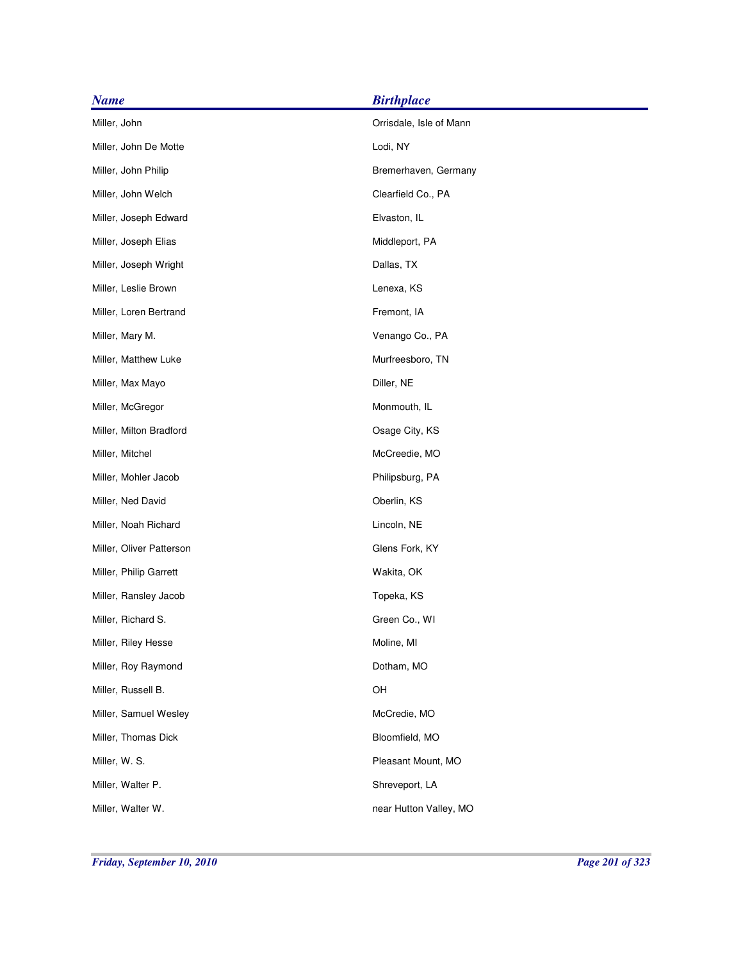| <b>Name</b>              | <b>Birthplace</b>       |
|--------------------------|-------------------------|
| Miller, John             | Orrisdale, Isle of Mann |
| Miller, John De Motte    | Lodi, NY                |
| Miller, John Philip      | Bremerhaven, Germany    |
| Miller, John Welch       | Clearfield Co., PA      |
| Miller, Joseph Edward    | Elvaston, IL            |
| Miller, Joseph Elias     | Middleport, PA          |
| Miller, Joseph Wright    | Dallas, TX              |
| Miller, Leslie Brown     | Lenexa, KS              |
| Miller, Loren Bertrand   | Fremont, IA             |
| Miller, Mary M.          | Venango Co., PA         |
| Miller, Matthew Luke     | Murfreesboro, TN        |
| Miller, Max Mayo         | Diller, NE              |
| Miller, McGregor         | Monmouth, IL            |
| Miller, Milton Bradford  | Osage City, KS          |
| Miller, Mitchel          | McCreedie, MO           |
| Miller, Mohler Jacob     | Philipsburg, PA         |
| Miller, Ned David        | Oberlin, KS             |
| Miller, Noah Richard     | Lincoln, NE             |
| Miller, Oliver Patterson | Glens Fork, KY          |
| Miller, Philip Garrett   | Wakita, OK              |
| Miller, Ransley Jacob    | Topeka, KS              |
| Miller, Richard S.       | Green Co., WI           |
| Miller, Riley Hesse      | Moline, MI              |
| Miller, Roy Raymond      | Dotham, MO              |
| Miller, Russell B.       | OH                      |
| Miller, Samuel Wesley    | McCredie, MO            |
| Miller, Thomas Dick      | Bloomfield, MO          |
| Miller, W. S.            | Pleasant Mount, MO      |
| Miller, Walter P.        | Shreveport, LA          |
| Miller, Walter W.        | near Hutton Valley, MO  |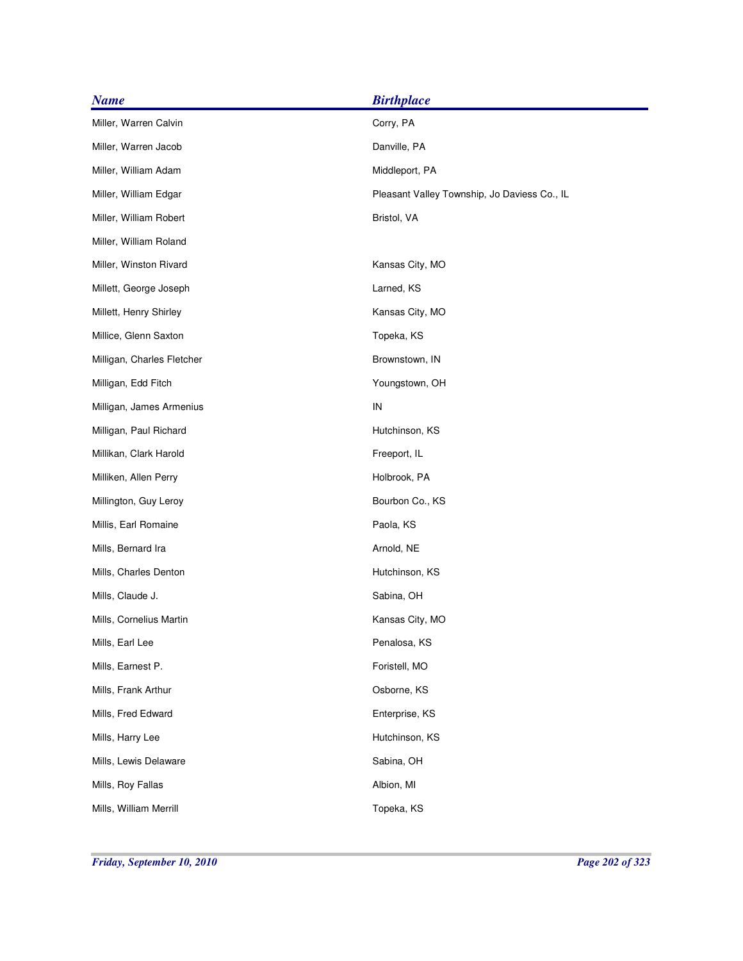| <b>Birthplace</b>                            |
|----------------------------------------------|
| Corry, PA                                    |
| Danville, PA                                 |
| Middleport, PA                               |
| Pleasant Valley Township, Jo Daviess Co., IL |
| Bristol, VA                                  |
|                                              |
| Kansas City, MO                              |
| Larned, KS                                   |
| Kansas City, MO                              |
| Topeka, KS                                   |
| Brownstown, IN                               |
| Youngstown, OH                               |
| IN                                           |
| Hutchinson, KS                               |
| Freeport, IL                                 |
| Holbrook, PA                                 |
| Bourbon Co., KS                              |
| Paola, KS                                    |
| Arnold, NE                                   |
| Hutchinson, KS                               |
| Sabina, OH                                   |
| Kansas City, MO                              |
| Penalosa, KS                                 |
| Foristell, MO                                |
| Osborne, KS                                  |
| Enterprise, KS                               |
| Hutchinson, KS                               |
| Sabina, OH                                   |
| Albion, MI                                   |
| Topeka, KS                                   |
|                                              |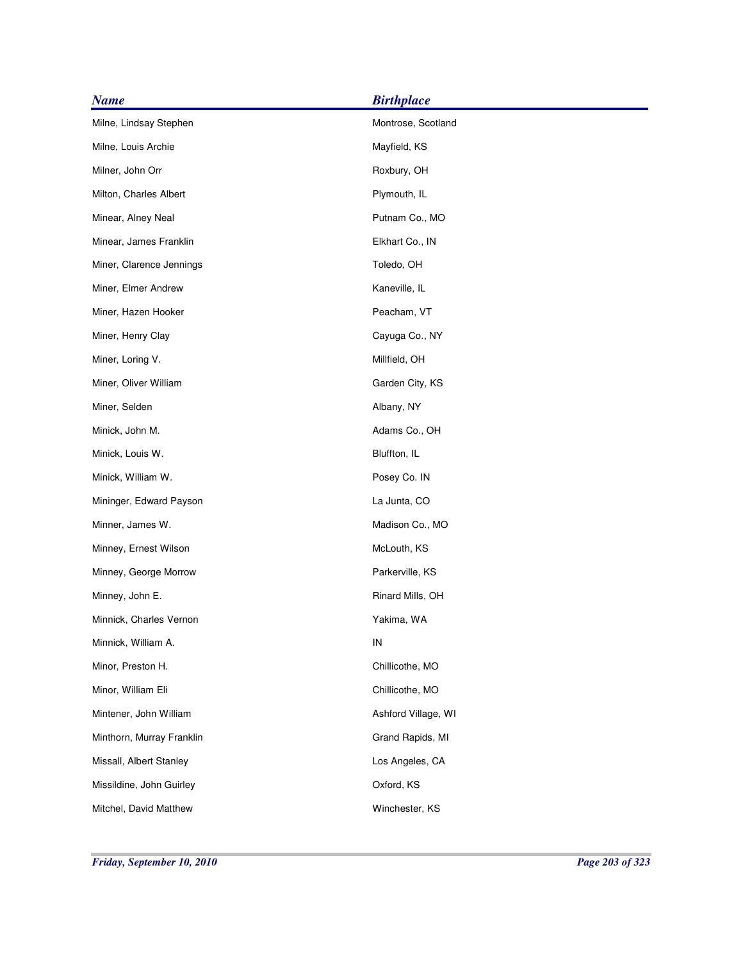| <b>Name</b>               | <b>Birthplace</b>   |
|---------------------------|---------------------|
| Milne, Lindsay Stephen    | Montrose, Scotland  |
| Milne, Louis Archie       | Mayfield, KS        |
| Milner, John Orr          | Roxbury, OH         |
| Milton, Charles Albert    | Plymouth, IL        |
| Minear, Alney Neal        | Putnam Co., MO      |
| Minear, James Franklin    | Elkhart Co., IN     |
| Miner, Clarence Jennings  | Toledo, OH          |
| Miner, Elmer Andrew       | Kaneville, IL       |
| Miner, Hazen Hooker       | Peacham, VT         |
| Miner, Henry Clay         | Cayuga Co., NY      |
| Miner, Loring V.          | Millfield, OH       |
| Miner, Oliver William     | Garden City, KS     |
| Miner, Selden             | Albany, NY          |
| Minick, John M.           | Adams Co., OH       |
| Minick, Louis W.          | Bluffton, IL        |
| Minick, William W.        | Posey Co. IN        |
| Mininger, Edward Payson   | La Junta, CO        |
| Minner, James W.          | Madison Co., MO     |
| Minney, Ernest Wilson     | McLouth, KS         |
| Minney, George Morrow     | Parkerville, KS     |
| Minney, John E.           | Rinard Mills, OH    |
| Minnick, Charles Vernon   | Yakima, WA          |
| Minnick, William A.       | IN                  |
| Minor, Preston H.         | Chillicothe, MO     |
| Minor, William Eli        | Chillicothe, MO     |
| Mintener, John William    | Ashford Village, WI |
| Minthorn, Murray Franklin | Grand Rapids, MI    |
| Missall, Albert Stanley   | Los Angeles, CA     |
| Missildine, John Guirley  | Oxford, KS          |
| Mitchel, David Matthew    | Winchester, KS      |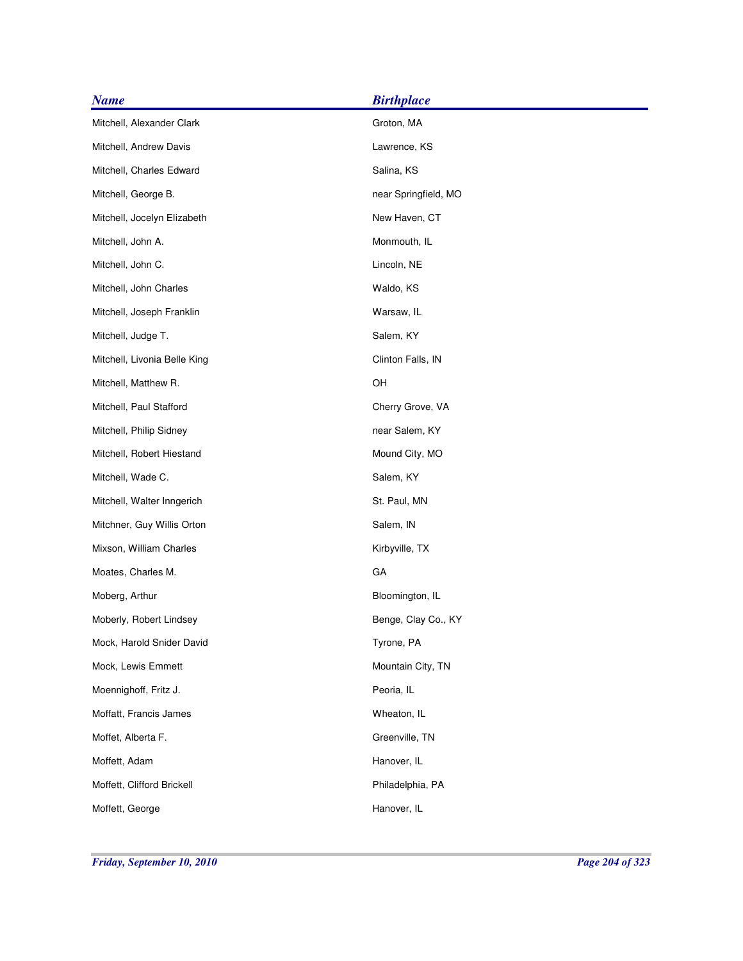| <b>Name</b>                  | <b>Birthplace</b>    |
|------------------------------|----------------------|
| Mitchell, Alexander Clark    | Groton, MA           |
| Mitchell, Andrew Davis       | Lawrence, KS         |
| Mitchell, Charles Edward     | Salina, KS           |
| Mitchell, George B.          | near Springfield, MO |
| Mitchell, Jocelyn Elizabeth  | New Haven, CT        |
| Mitchell, John A.            | Monmouth, IL         |
| Mitchell, John C.            | Lincoln, NE          |
| Mitchell, John Charles       | Waldo, KS            |
| Mitchell, Joseph Franklin    | Warsaw, IL           |
| Mitchell, Judge T.           | Salem, KY            |
| Mitchell, Livonia Belle King | Clinton Falls, IN    |
| Mitchell, Matthew R.         | OH                   |
| Mitchell, Paul Stafford      | Cherry Grove, VA     |
| Mitchell, Philip Sidney      | near Salem, KY       |
| Mitchell, Robert Hiestand    | Mound City, MO       |
| Mitchell, Wade C.            | Salem, KY            |
| Mitchell, Walter Inngerich   | St. Paul, MN         |
| Mitchner, Guy Willis Orton   | Salem, IN            |
| Mixson, William Charles      | Kirbyville, TX       |
| Moates, Charles M.           | GA                   |
| Moberg, Arthur               | Bloomington, IL      |
| Moberly, Robert Lindsey      | Benge, Clay Co., KY  |
| Mock, Harold Snider David    | Tyrone, PA           |
| Mock, Lewis Emmett           | Mountain City, TN    |
| Moennighoff, Fritz J.        | Peoria, IL           |
| Moffatt, Francis James       | Wheaton, IL          |
| Moffet, Alberta F.           | Greenville, TN       |
| Moffett, Adam                | Hanover, IL          |
| Moffett, Clifford Brickell   | Philadelphia, PA     |
| Moffett, George              | Hanover, IL          |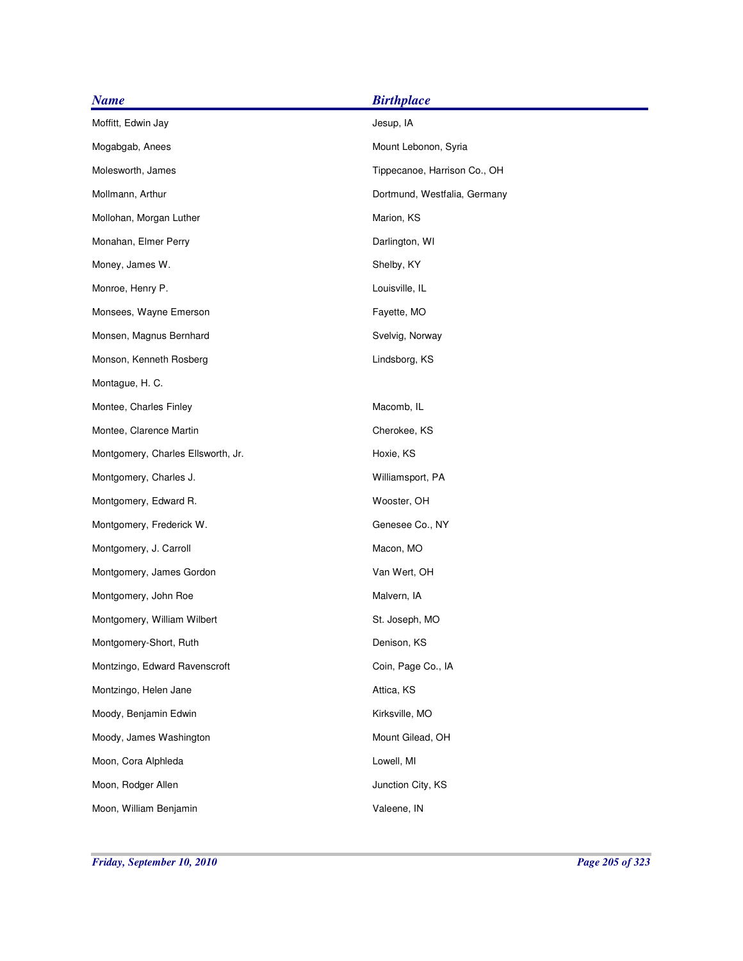| <b>Name</b>                        | <b>Birthplace</b>            |
|------------------------------------|------------------------------|
| Moffitt, Edwin Jay                 | Jesup, IA                    |
| Mogabgab, Anees                    | Mount Lebonon, Syria         |
| Molesworth, James                  | Tippecanoe, Harrison Co., OH |
| Mollmann, Arthur                   | Dortmund, Westfalia, Germany |
| Mollohan, Morgan Luther            | Marion, KS                   |
| Monahan, Elmer Perry               | Darlington, WI               |
| Money, James W.                    | Shelby, KY                   |
| Monroe, Henry P.                   | Louisville, IL               |
| Monsees, Wayne Emerson             | Fayette, MO                  |
| Monsen, Magnus Bernhard            | Svelvig, Norway              |
| Monson, Kenneth Rosberg            | Lindsborg, KS                |
| Montague, H. C.                    |                              |
| Montee, Charles Finley             | Macomb, IL                   |
| Montee, Clarence Martin            | Cherokee, KS                 |
| Montgomery, Charles Ellsworth, Jr. | Hoxie, KS                    |
| Montgomery, Charles J.             | Williamsport, PA             |
| Montgomery, Edward R.              | Wooster, OH                  |
| Montgomery, Frederick W.           | Genesee Co., NY              |
| Montgomery, J. Carroll             | Macon, MO                    |
| Montgomery, James Gordon           | Van Wert, OH                 |
| Montgomery, John Roe               | Malvern, IA                  |
| Montgomery, William Wilbert        | St. Joseph, MO               |
| Montgomery-Short, Ruth             | Denison, KS                  |
| Montzingo, Edward Ravenscroft      | Coin, Page Co., IA           |
| Montzingo, Helen Jane              | Attica, KS                   |
| Moody, Benjamin Edwin              | Kirksville, MO               |
| Moody, James Washington            | Mount Gilead, OH             |
| Moon, Cora Alphleda                | Lowell, MI                   |
| Moon, Rodger Allen                 | Junction City, KS            |
| Moon, William Benjamin             | Valeene, IN                  |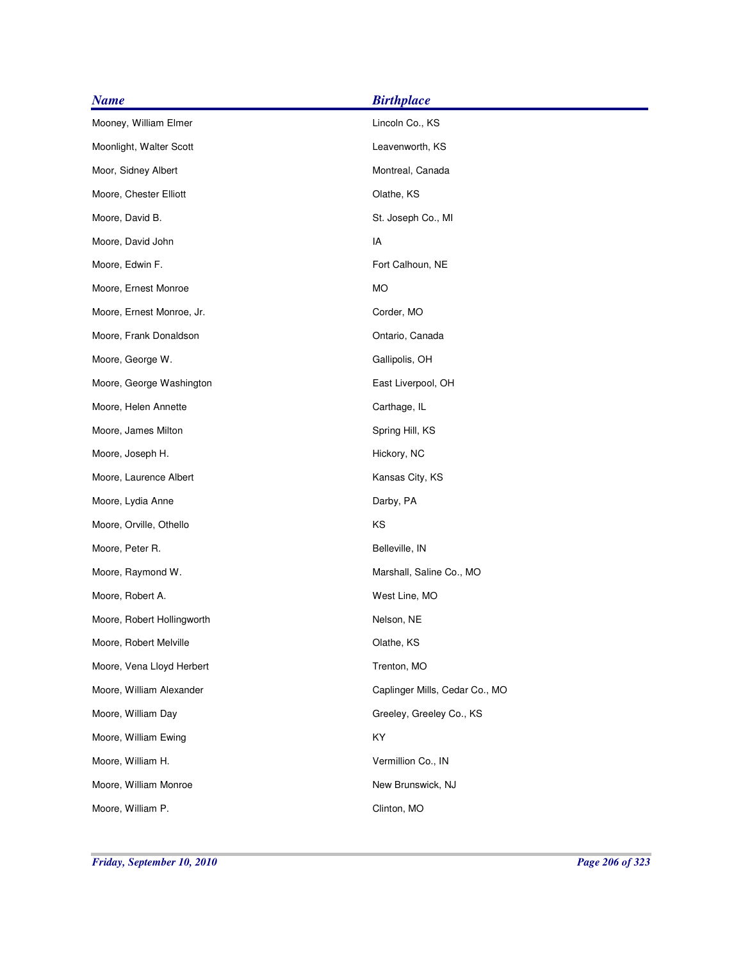| <b>Name</b>                | <b>Birthplace</b>              |
|----------------------------|--------------------------------|
| Mooney, William Elmer      | Lincoln Co., KS                |
| Moonlight, Walter Scott    | Leavenworth, KS                |
| Moor, Sidney Albert        | Montreal, Canada               |
| Moore, Chester Elliott     | Olathe, KS                     |
| Moore, David B.            | St. Joseph Co., MI             |
| Moore, David John          | IA                             |
| Moore, Edwin F.            | Fort Calhoun, NE               |
| Moore, Ernest Monroe       | <b>MO</b>                      |
| Moore, Ernest Monroe, Jr.  | Corder, MO                     |
| Moore, Frank Donaldson     | Ontario, Canada                |
| Moore, George W.           | Gallipolis, OH                 |
| Moore, George Washington   | East Liverpool, OH             |
| Moore, Helen Annette       | Carthage, IL                   |
| Moore, James Milton        | Spring Hill, KS                |
| Moore, Joseph H.           | Hickory, NC                    |
| Moore, Laurence Albert     | Kansas City, KS                |
| Moore, Lydia Anne          | Darby, PA                      |
| Moore, Orville, Othello    | ΚS                             |
| Moore, Peter R.            | Belleville, IN                 |
| Moore, Raymond W.          | Marshall, Saline Co., MO       |
| Moore, Robert A.           | West Line, MO                  |
| Moore, Robert Hollingworth | Nelson, NE                     |
| Moore, Robert Melville     | Olathe, KS                     |
| Moore, Vena Lloyd Herbert  | Trenton, MO                    |
| Moore, William Alexander   | Caplinger Mills, Cedar Co., MO |
| Moore, William Day         | Greeley, Greeley Co., KS       |
| Moore, William Ewing       | KY                             |
| Moore, William H.          | Vermillion Co., IN             |
| Moore, William Monroe      | New Brunswick, NJ              |
| Moore, William P.          | Clinton, MO                    |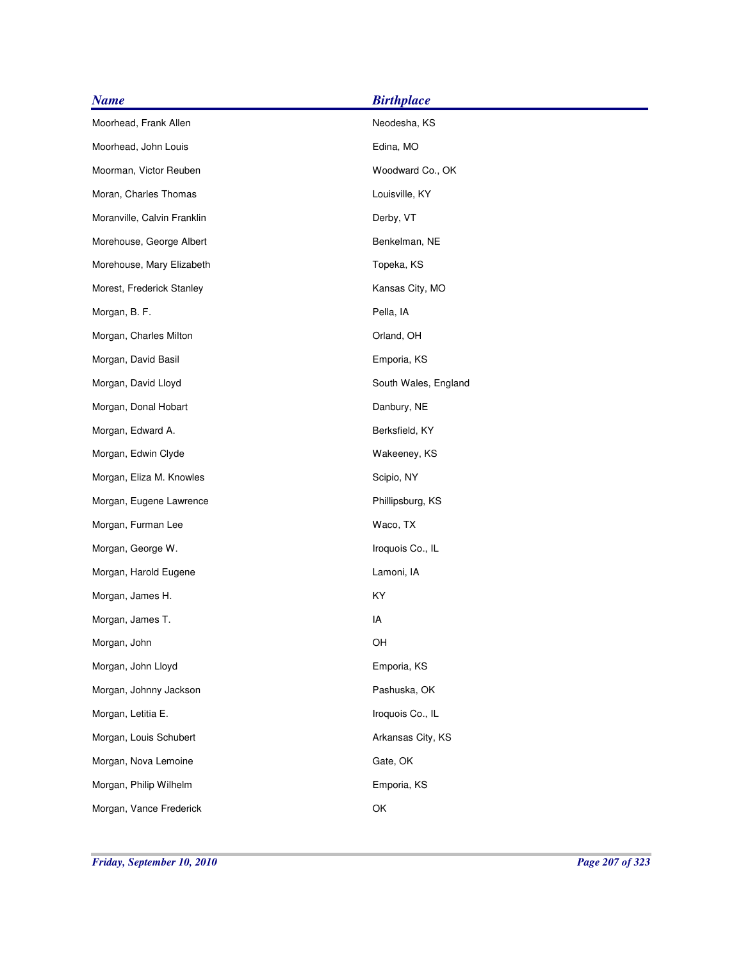| <b>Name</b>                 | <b>Birthplace</b>    |
|-----------------------------|----------------------|
| Moorhead, Frank Allen       | Neodesha, KS         |
| Moorhead, John Louis        | Edina, MO            |
| Moorman, Victor Reuben      | Woodward Co., OK     |
| Moran, Charles Thomas       | Louisville, KY       |
| Moranville, Calvin Franklin | Derby, VT            |
| Morehouse, George Albert    | Benkelman, NE        |
| Morehouse, Mary Elizabeth   | Topeka, KS           |
| Morest, Frederick Stanley   | Kansas City, MO      |
| Morgan, B. F.               | Pella, IA            |
| Morgan, Charles Milton      | Orland, OH           |
| Morgan, David Basil         | Emporia, KS          |
| Morgan, David Lloyd         | South Wales, England |
| Morgan, Donal Hobart        | Danbury, NE          |
| Morgan, Edward A.           | Berksfield, KY       |
| Morgan, Edwin Clyde         | Wakeeney, KS         |
| Morgan, Eliza M. Knowles    | Scipio, NY           |
| Morgan, Eugene Lawrence     | Phillipsburg, KS     |
| Morgan, Furman Lee          | Waco, TX             |
| Morgan, George W.           | Iroquois Co., IL     |
| Morgan, Harold Eugene       | Lamoni, IA           |
| Morgan, James H.            | KY                   |
| Morgan, James T.            | IA                   |
| Morgan, John                | OH                   |
| Morgan, John Lloyd          | Emporia, KS          |
| Morgan, Johnny Jackson      | Pashuska, OK         |
| Morgan, Letitia E.          | Iroquois Co., IL     |
| Morgan, Louis Schubert      | Arkansas City, KS    |
| Morgan, Nova Lemoine        | Gate, OK             |
| Morgan, Philip Wilhelm      | Emporia, KS          |
| Morgan, Vance Frederick     | OK                   |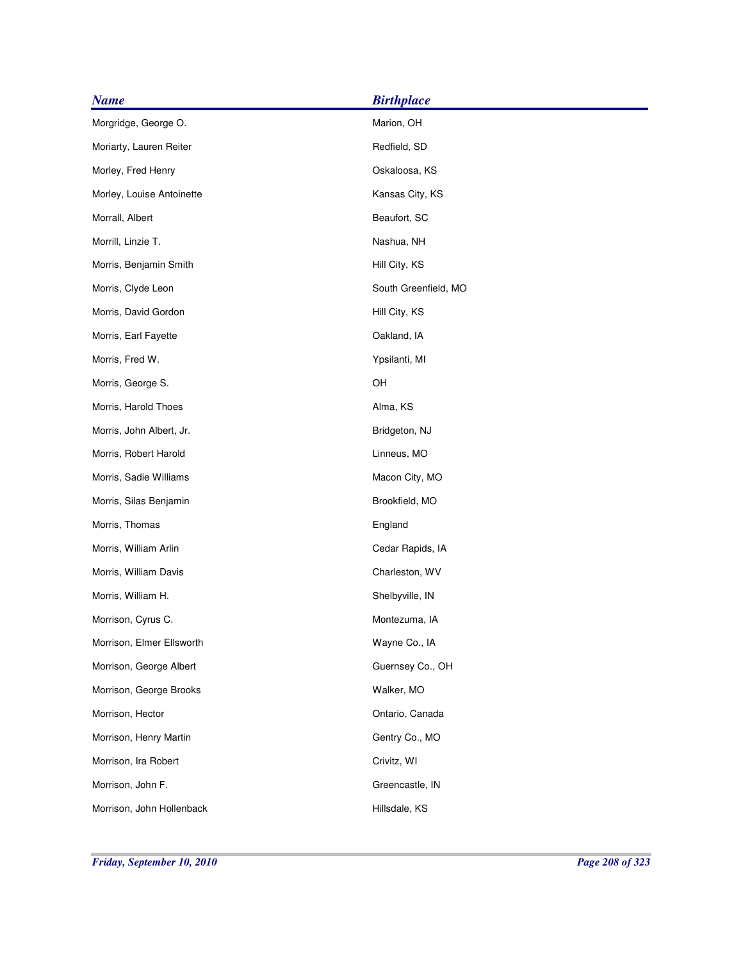| <b>Name</b>               | <b>Birthplace</b>    |
|---------------------------|----------------------|
| Morgridge, George O.      | Marion, OH           |
| Moriarty, Lauren Reiter   | Redfield, SD         |
| Morley, Fred Henry        | Oskaloosa, KS        |
| Morley, Louise Antoinette | Kansas City, KS      |
| Morrall, Albert           | Beaufort, SC         |
| Morrill, Linzie T.        | Nashua, NH           |
| Morris, Benjamin Smith    | Hill City, KS        |
| Morris, Clyde Leon        | South Greenfield, MO |
| Morris, David Gordon      | Hill City, KS        |
| Morris, Earl Fayette      | Oakland, IA          |
| Morris, Fred W.           | Ypsilanti, MI        |
| Morris, George S.         | OH                   |
| Morris, Harold Thoes      | Alma, KS             |
| Morris, John Albert, Jr.  | Bridgeton, NJ        |
| Morris, Robert Harold     | Linneus, MO          |
| Morris, Sadie Williams    | Macon City, MO       |
| Morris, Silas Benjamin    | Brookfield, MO       |
| Morris, Thomas            | England              |
| Morris, William Arlin     | Cedar Rapids, IA     |
| Morris, William Davis     | Charleston, WV       |
| Morris, William H.        | Shelbyville, IN      |
| Morrison, Cyrus C.        | Montezuma, IA        |
| Morrison, Elmer Ellsworth | Wayne Co., IA        |
| Morrison, George Albert   | Guernsey Co., OH     |
| Morrison, George Brooks   | Walker, MO           |
| Morrison, Hector          | Ontario, Canada      |
| Morrison, Henry Martin    | Gentry Co., MO       |
| Morrison, Ira Robert      | Crivitz, WI          |
| Morrison, John F.         | Greencastle, IN      |
| Morrison, John Hollenback | Hillsdale, KS        |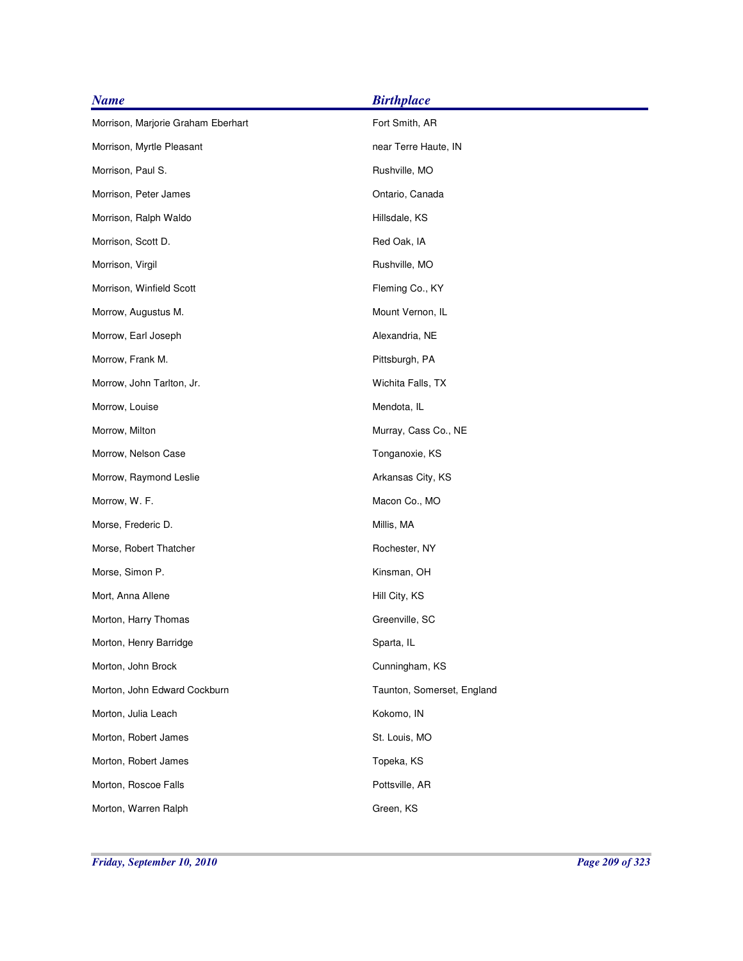| <b>Name</b>                        | <b>Birthplace</b>          |
|------------------------------------|----------------------------|
| Morrison, Marjorie Graham Eberhart | Fort Smith, AR             |
| Morrison, Myrtle Pleasant          | near Terre Haute, IN       |
| Morrison, Paul S.                  | Rushville, MO              |
| Morrison, Peter James              | Ontario, Canada            |
| Morrison, Ralph Waldo              | Hillsdale, KS              |
| Morrison, Scott D.                 | Red Oak, IA                |
| Morrison, Virgil                   | Rushville, MO              |
| Morrison, Winfield Scott           | Fleming Co., KY            |
| Morrow, Augustus M.                | Mount Vernon, IL           |
| Morrow, Earl Joseph                | Alexandria, NE             |
| Morrow, Frank M.                   | Pittsburgh, PA             |
| Morrow, John Tarlton, Jr.          | Wichita Falls, TX          |
| Morrow, Louise                     | Mendota, IL                |
| Morrow, Milton                     | Murray, Cass Co., NE       |
| Morrow, Nelson Case                | Tonganoxie, KS             |
| Morrow, Raymond Leslie             | Arkansas City, KS          |
| Morrow, W. F.                      | Macon Co., MO              |
| Morse, Frederic D.                 | Millis, MA                 |
| Morse, Robert Thatcher             | Rochester, NY              |
| Morse, Simon P.                    | Kinsman, OH                |
| Mort, Anna Allene                  | Hill City, KS              |
| Morton, Harry Thomas               | Greenville, SC             |
| Morton, Henry Barridge             | Sparta, IL                 |
| Morton, John Brock                 | Cunningham, KS             |
| Morton, John Edward Cockburn       | Taunton, Somerset, England |
| Morton, Julia Leach                | Kokomo, IN                 |
| Morton, Robert James               | St. Louis, MO              |
| Morton, Robert James               | Topeka, KS                 |
| Morton, Roscoe Falls               | Pottsville, AR             |
| Morton, Warren Ralph               | Green, KS                  |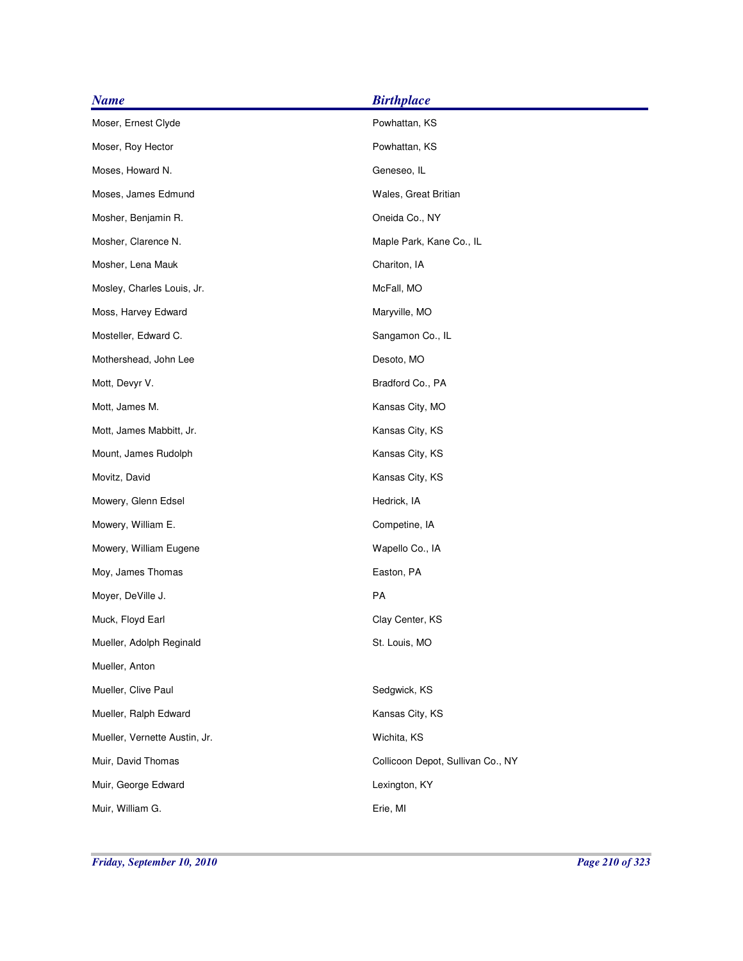| <b>Name</b>                   | <b>Birthplace</b>                 |
|-------------------------------|-----------------------------------|
| Moser, Ernest Clyde           | Powhattan, KS                     |
| Moser, Roy Hector             | Powhattan, KS                     |
| Moses, Howard N.              | Geneseo, IL                       |
| Moses, James Edmund           | Wales, Great Britian              |
| Mosher, Benjamin R.           | Oneida Co., NY                    |
| Mosher, Clarence N.           | Maple Park, Kane Co., IL          |
| Mosher, Lena Mauk             | Chariton, IA                      |
| Mosley, Charles Louis, Jr.    | McFall, MO                        |
| Moss, Harvey Edward           | Maryville, MO                     |
| Mosteller, Edward C.          | Sangamon Co., IL                  |
| Mothershead, John Lee         | Desoto, MO                        |
| Mott, Devyr V.                | Bradford Co., PA                  |
| Mott, James M.                | Kansas City, MO                   |
| Mott, James Mabbitt, Jr.      | Kansas City, KS                   |
| Mount, James Rudolph          | Kansas City, KS                   |
| Movitz, David                 | Kansas City, KS                   |
| Mowery, Glenn Edsel           | Hedrick, IA                       |
| Mowery, William E.            | Competine, IA                     |
| Mowery, William Eugene        | Wapello Co., IA                   |
| Moy, James Thomas             | Easton, PA                        |
| Moyer, DeVille J.             | PA                                |
| Muck, Floyd Earl              | Clay Center, KS                   |
| Mueller, Adolph Reginald      | St. Louis, MO                     |
| Mueller, Anton                |                                   |
| Mueller, Clive Paul           | Sedgwick, KS                      |
| Mueller, Ralph Edward         | Kansas City, KS                   |
| Mueller, Vernette Austin, Jr. | Wichita, KS                       |
| Muir, David Thomas            | Collicoon Depot, Sullivan Co., NY |
| Muir, George Edward           | Lexington, KY                     |
| Muir, William G.              | Erie, MI                          |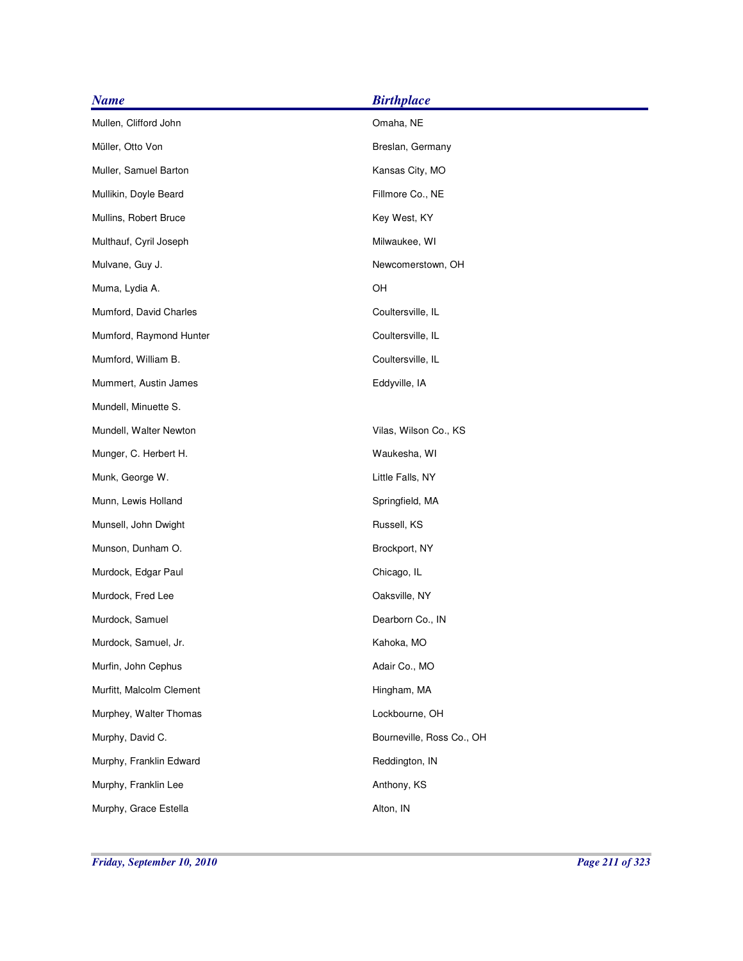| <b>Name</b>              | <b>Birthplace</b>         |
|--------------------------|---------------------------|
| Mullen, Clifford John    | Omaha, NE                 |
| Müller, Otto Von         | Breslan, Germany          |
| Muller, Samuel Barton    | Kansas City, MO           |
| Mullikin, Doyle Beard    | Fillmore Co., NE          |
| Mullins, Robert Bruce    | Key West, KY              |
| Multhauf, Cyril Joseph   | Milwaukee, WI             |
| Mulvane, Guy J.          | Newcomerstown, OH         |
| Muma, Lydia A.           | OH                        |
| Mumford, David Charles   | Coultersville, IL         |
| Mumford, Raymond Hunter  | Coultersville, IL         |
| Mumford, William B.      | Coultersville, IL         |
| Mummert, Austin James    | Eddyville, IA             |
| Mundell, Minuette S.     |                           |
| Mundell, Walter Newton   | Vilas, Wilson Co., KS     |
| Munger, C. Herbert H.    | Waukesha, WI              |
| Munk, George W.          | Little Falls, NY          |
| Munn, Lewis Holland      | Springfield, MA           |
| Munsell, John Dwight     | Russell, KS               |
| Munson, Dunham O.        | Brockport, NY             |
| Murdock, Edgar Paul      | Chicago, IL               |
| Murdock, Fred Lee        | Oaksville, NY             |
| Murdock, Samuel          | Dearborn Co., IN          |
| Murdock, Samuel, Jr.     | Kahoka, MO                |
| Murfin, John Cephus      | Adair Co., MO             |
| Murfitt, Malcolm Clement | Hingham, MA               |
| Murphey, Walter Thomas   | Lockbourne, OH            |
| Murphy, David C.         | Bourneville, Ross Co., OH |
| Murphy, Franklin Edward  | Reddington, IN            |
| Murphy, Franklin Lee     | Anthony, KS               |
| Murphy, Grace Estella    | Alton, IN                 |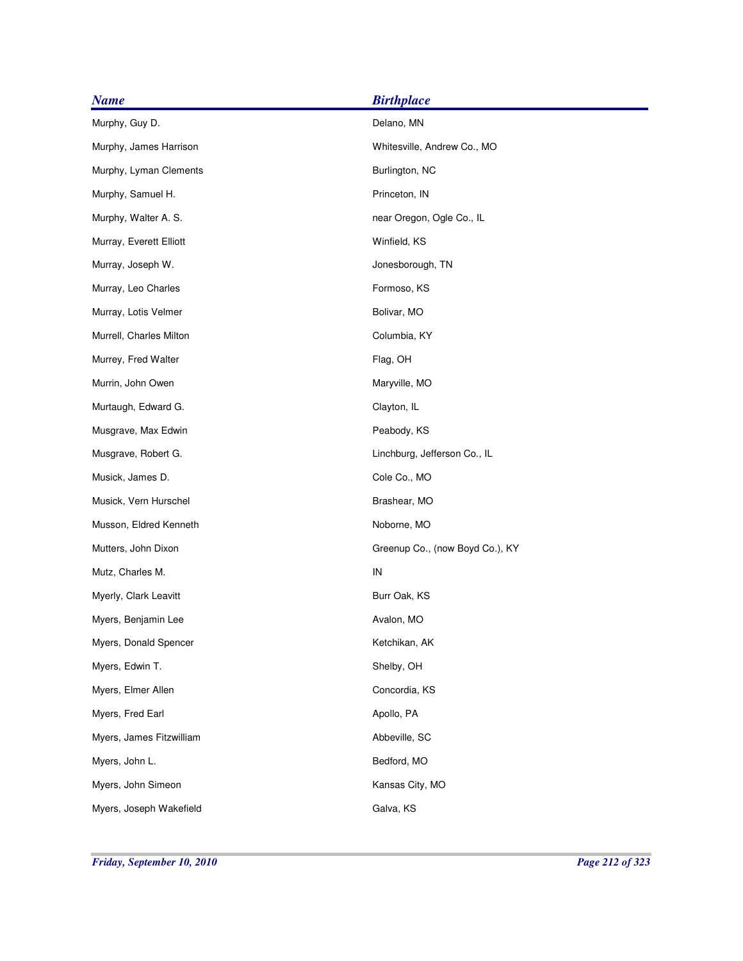| <b>Name</b>              | <b>Birthplace</b>               |
|--------------------------|---------------------------------|
| Murphy, Guy D.           | Delano, MN                      |
| Murphy, James Harrison   | Whitesville, Andrew Co., MO     |
| Murphy, Lyman Clements   | Burlington, NC                  |
| Murphy, Samuel H.        | Princeton, IN                   |
| Murphy, Walter A. S.     | near Oregon, Ogle Co., IL       |
| Murray, Everett Elliott  | Winfield, KS                    |
| Murray, Joseph W.        | Jonesborough, TN                |
| Murray, Leo Charles      | Formoso, KS                     |
| Murray, Lotis Velmer     | Bolivar, MO                     |
| Murrell, Charles Milton  | Columbia, KY                    |
| Murrey, Fred Walter      | Flag, OH                        |
| Murrin, John Owen        | Maryville, MO                   |
| Murtaugh, Edward G.      | Clayton, IL                     |
| Musgrave, Max Edwin      | Peabody, KS                     |
| Musgrave, Robert G.      | Linchburg, Jefferson Co., IL    |
| Musick, James D.         | Cole Co., MO                    |
| Musick, Vern Hurschel    | Brashear, MO                    |
| Musson, Eldred Kenneth   | Noborne, MO                     |
| Mutters, John Dixon      | Greenup Co., (now Boyd Co.), KY |
| Mutz, Charles M.         | IN                              |
| Myerly, Clark Leavitt    | Burr Oak, KS                    |
| Myers, Benjamin Lee      | Avalon, MO                      |
| Myers, Donald Spencer    | Ketchikan, AK                   |
| Myers, Edwin T.          | Shelby, OH                      |
| Myers, Elmer Allen       | Concordia, KS                   |
| Myers, Fred Earl         | Apollo, PA                      |
| Myers, James Fitzwilliam | Abbeville, SC                   |
| Myers, John L.           | Bedford, MO                     |
| Myers, John Simeon       | Kansas City, MO                 |
| Myers, Joseph Wakefield  | Galva, KS                       |
|                          |                                 |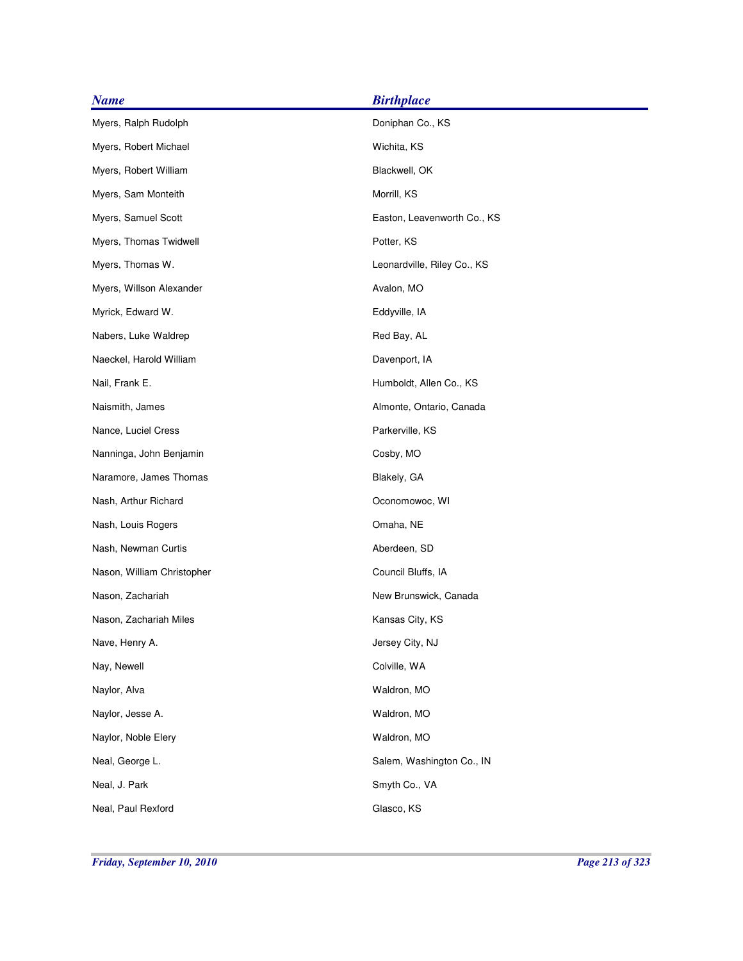| <b>Name</b>                | <b>Birthplace</b>           |
|----------------------------|-----------------------------|
| Myers, Ralph Rudolph       | Doniphan Co., KS            |
| Myers, Robert Michael      | Wichita, KS                 |
| Myers, Robert William      | Blackwell, OK               |
| Myers, Sam Monteith        | Morrill, KS                 |
| Myers, Samuel Scott        | Easton, Leavenworth Co., KS |
| Myers, Thomas Twidwell     | Potter, KS                  |
| Myers, Thomas W.           | Leonardville, Riley Co., KS |
| Myers, Willson Alexander   | Avalon, MO                  |
| Myrick, Edward W.          | Eddyville, IA               |
| Nabers, Luke Waldrep       | Red Bay, AL                 |
| Naeckel, Harold William    | Davenport, IA               |
| Nail, Frank E.             | Humboldt, Allen Co., KS     |
| Naismith, James            | Almonte, Ontario, Canada    |
| Nance, Luciel Cress        | Parkerville, KS             |
| Nanninga, John Benjamin    | Cosby, MO                   |
| Naramore, James Thomas     | Blakely, GA                 |
| Nash, Arthur Richard       | Oconomowoc, WI              |
| Nash, Louis Rogers         | Omaha, NE                   |
| Nash, Newman Curtis        | Aberdeen, SD                |
| Nason, William Christopher | Council Bluffs, IA          |
| Nason, Zachariah           | New Brunswick, Canada       |
| Nason, Zachariah Miles     | Kansas City, KS             |
| Nave, Henry A.             | Jersey City, NJ             |
| Nay, Newell                | Colville, WA                |
| Naylor, Alva               | Waldron, MO                 |
| Naylor, Jesse A.           | Waldron, MO                 |
| Naylor, Noble Elery        | Waldron, MO                 |
| Neal, George L.            | Salem, Washington Co., IN   |
| Neal, J. Park              | Smyth Co., VA               |
| Neal, Paul Rexford         | Glasco, KS                  |
|                            |                             |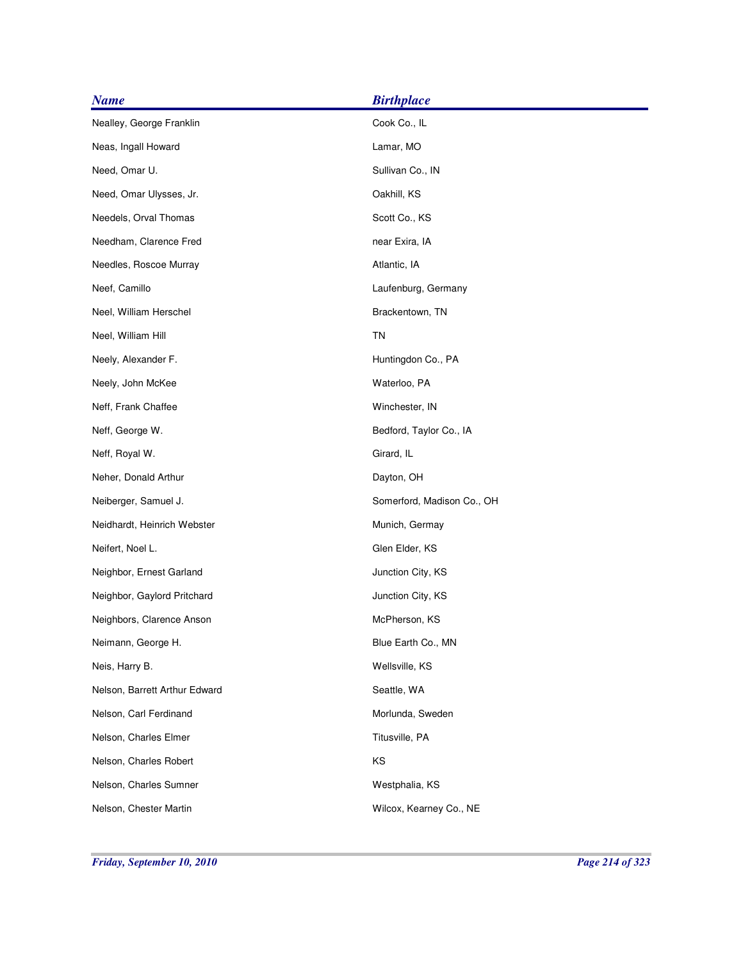| <b>Name</b>                   | <b>Birthplace</b>          |
|-------------------------------|----------------------------|
| Nealley, George Franklin      | Cook Co., IL               |
| Neas, Ingall Howard           | Lamar, MO                  |
| Need, Omar U.                 | Sullivan Co., IN           |
| Need, Omar Ulysses, Jr.       | Oakhill, KS                |
| Needels, Orval Thomas         | Scott Co., KS              |
| Needham, Clarence Fred        | near Exira, IA             |
| Needles, Roscoe Murray        | Atlantic, IA               |
| Neef, Camillo                 | Laufenburg, Germany        |
| Neel, William Herschel        | Brackentown, TN            |
| Neel, William Hill            | <b>TN</b>                  |
| Neely, Alexander F.           | Huntingdon Co., PA         |
| Neely, John McKee             | Waterloo, PA               |
| Neff, Frank Chaffee           | Winchester, IN             |
| Neff, George W.               | Bedford, Taylor Co., IA    |
| Neff, Royal W.                | Girard, IL                 |
| Neher, Donald Arthur          | Dayton, OH                 |
| Neiberger, Samuel J.          | Somerford, Madison Co., OH |
| Neidhardt, Heinrich Webster   | Munich, Germay             |
| Neifert, Noel L.              | Glen Elder, KS             |
| Neighbor, Ernest Garland      | Junction City, KS          |
| Neighbor, Gaylord Pritchard   | Junction City, KS          |
| Neighbors, Clarence Anson     | McPherson, KS              |
| Neimann, George H.            | Blue Earth Co., MN         |
| Neis, Harry B.                | Wellsville, KS             |
| Nelson, Barrett Arthur Edward | Seattle, WA                |
| Nelson, Carl Ferdinand        | Morlunda, Sweden           |
| Nelson, Charles Elmer         | Titusville, PA             |
| Nelson, Charles Robert        | KS                         |
| Nelson, Charles Sumner        | Westphalia, KS             |
| Nelson, Chester Martin        | Wilcox, Kearney Co., NE    |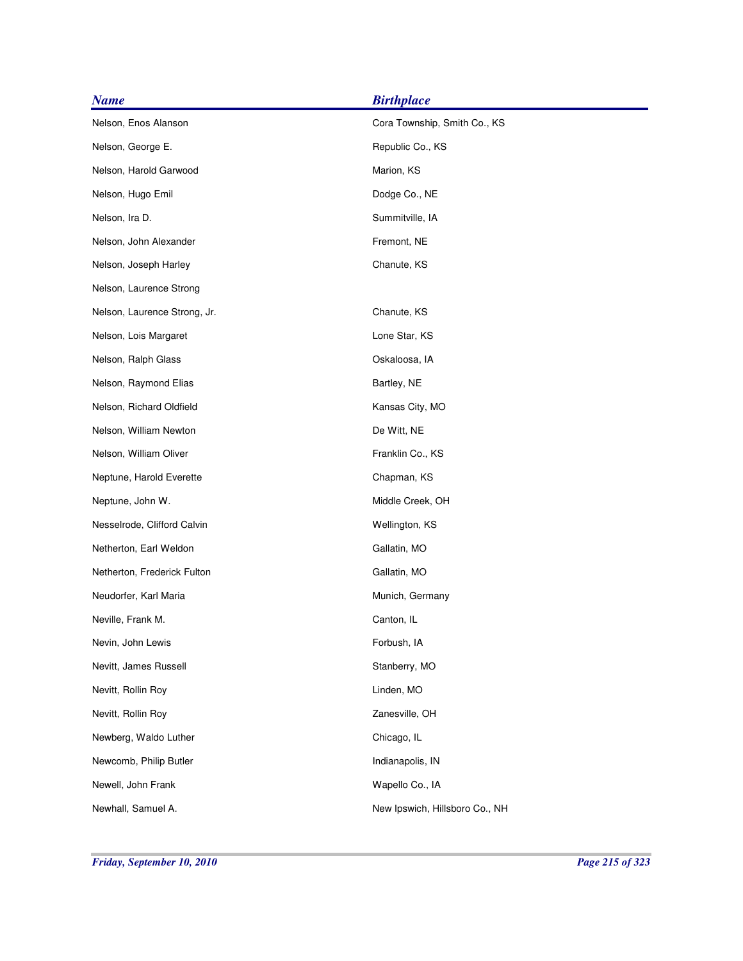| <b>Name</b>                  | <b>Birthplace</b>              |
|------------------------------|--------------------------------|
| Nelson, Enos Alanson         | Cora Township, Smith Co., KS   |
| Nelson, George E.            | Republic Co., KS               |
| Nelson, Harold Garwood       | Marion, KS                     |
| Nelson, Hugo Emil            | Dodge Co., NE                  |
| Nelson, Ira D.               | Summitville, IA                |
| Nelson, John Alexander       | Fremont, NE                    |
| Nelson, Joseph Harley        | Chanute, KS                    |
| Nelson, Laurence Strong      |                                |
| Nelson, Laurence Strong, Jr. | Chanute, KS                    |
| Nelson, Lois Margaret        | Lone Star, KS                  |
| Nelson, Ralph Glass          | Oskaloosa, IA                  |
| Nelson, Raymond Elias        | Bartley, NE                    |
| Nelson, Richard Oldfield     | Kansas City, MO                |
| Nelson, William Newton       | De Witt, NE                    |
| Nelson, William Oliver       | Franklin Co., KS               |
| Neptune, Harold Everette     | Chapman, KS                    |
| Neptune, John W.             | Middle Creek, OH               |
| Nesselrode, Clifford Calvin  | Wellington, KS                 |
| Netherton, Earl Weldon       | Gallatin, MO                   |
| Netherton, Frederick Fulton  | Gallatin, MO                   |
| Neudorfer, Karl Maria        | Munich, Germany                |
| Neville, Frank M.            | Canton, IL                     |
| Nevin, John Lewis            | Forbush, IA                    |
| Nevitt, James Russell        | Stanberry, MO                  |
| Nevitt, Rollin Roy           | Linden, MO                     |
| Nevitt, Rollin Roy           | Zanesville, OH                 |
| Newberg, Waldo Luther        | Chicago, IL                    |
| Newcomb, Philip Butler       | Indianapolis, IN               |
| Newell, John Frank           | Wapello Co., IA                |
| Newhall, Samuel A.           | New Ipswich, Hillsboro Co., NH |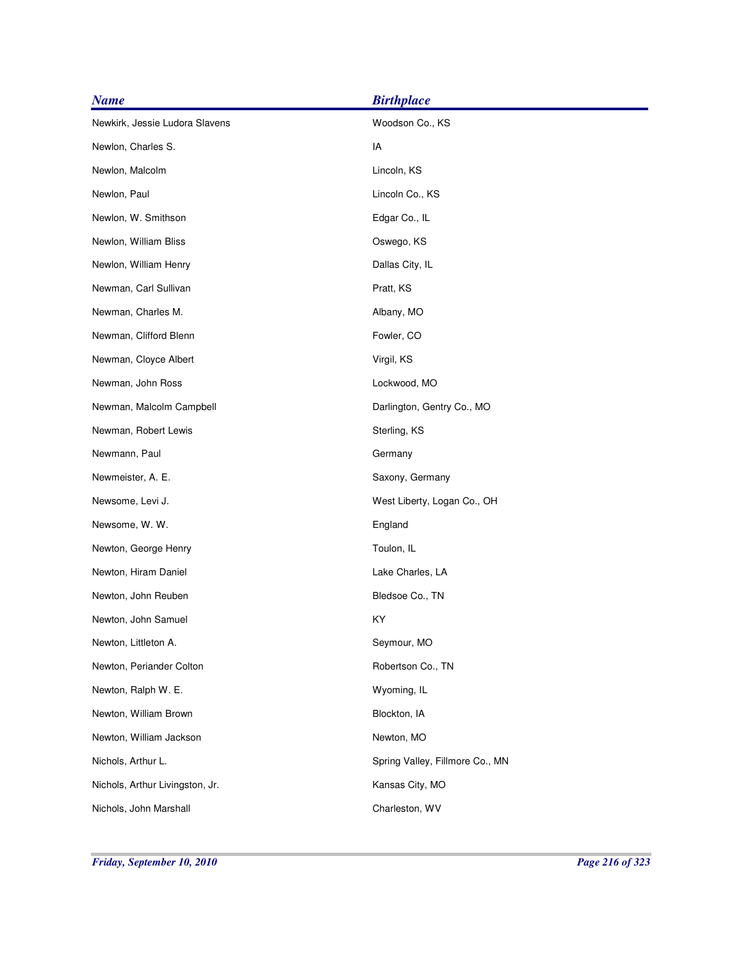| <b>Name</b>                     | <b>Birthplace</b>               |
|---------------------------------|---------------------------------|
| Newkirk, Jessie Ludora Slavens  | Woodson Co., KS                 |
| Newlon, Charles S.              | IA                              |
| Newlon, Malcolm                 | Lincoln, KS                     |
| Newlon, Paul                    | Lincoln Co., KS                 |
| Newlon, W. Smithson             | Edgar Co., IL                   |
| Newlon, William Bliss           | Oswego, KS                      |
| Newlon, William Henry           | Dallas City, IL                 |
| Newman, Carl Sullivan           | Pratt, KS                       |
| Newman, Charles M.              | Albany, MO                      |
| Newman, Clifford Blenn          | Fowler, CO                      |
| Newman, Cloyce Albert           | Virgil, KS                      |
| Newman, John Ross               | Lockwood, MO                    |
| Newman, Malcolm Campbell        | Darlington, Gentry Co., MO      |
| Newman, Robert Lewis            | Sterling, KS                    |
| Newmann, Paul                   | Germany                         |
| Newmeister, A. E.               | Saxony, Germany                 |
| Newsome, Levi J.                | West Liberty, Logan Co., OH     |
| Newsome, W. W.                  | England                         |
| Newton, George Henry            | Toulon, IL                      |
| Newton, Hiram Daniel            | Lake Charles, LA                |
| Newton, John Reuben             | Bledsoe Co., TN                 |
| Newton, John Samuel             | KY                              |
| Newton, Littleton A.            | Seymour, MO                     |
| Newton, Periander Colton        | Robertson Co., TN               |
| Newton, Ralph W. E.             | Wyoming, IL                     |
| Newton, William Brown           | Blockton, IA                    |
| Newton, William Jackson         | Newton, MO                      |
| Nichols, Arthur L.              | Spring Valley, Fillmore Co., MN |
| Nichols, Arthur Livingston, Jr. | Kansas City, MO                 |
| Nichols, John Marshall          | Charleston, WV                  |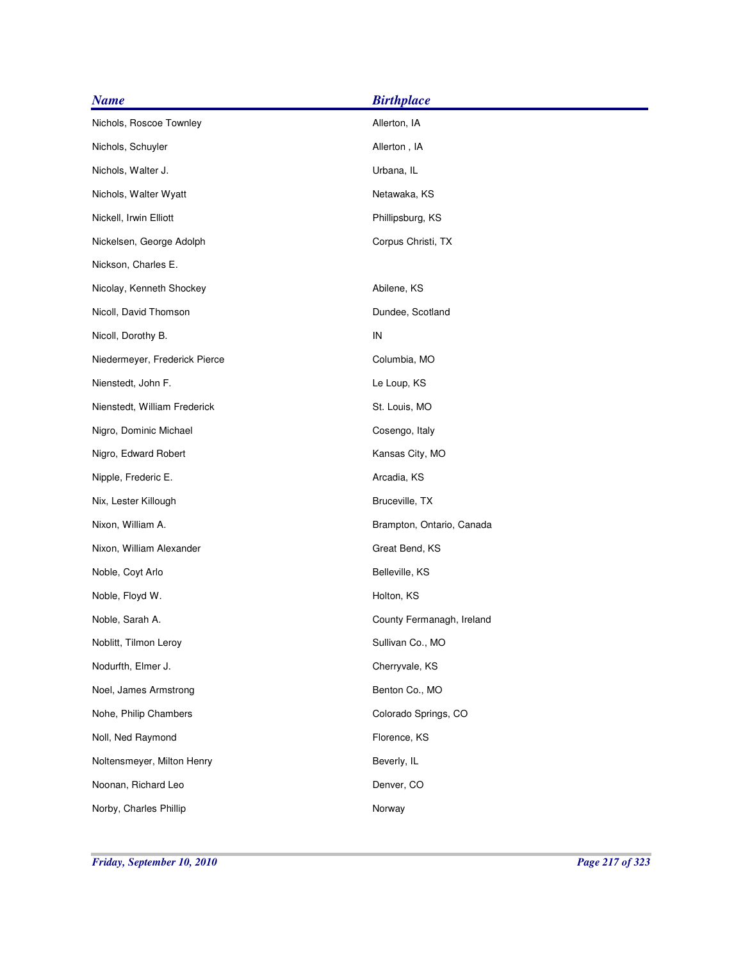| <b>Name</b>                   | <b>Birthplace</b>         |
|-------------------------------|---------------------------|
| Nichols, Roscoe Townley       | Allerton, IA              |
| Nichols, Schuyler             | Allerton, IA              |
| Nichols, Walter J.            | Urbana, IL                |
| Nichols, Walter Wyatt         | Netawaka, KS              |
| Nickell, Irwin Elliott        | Phillipsburg, KS          |
| Nickelsen, George Adolph      | Corpus Christi, TX        |
| Nickson, Charles E.           |                           |
| Nicolay, Kenneth Shockey      | Abilene, KS               |
| Nicoll, David Thomson         | Dundee, Scotland          |
| Nicoll, Dorothy B.            | IN                        |
| Niedermeyer, Frederick Pierce | Columbia, MO              |
| Nienstedt, John F.            | Le Loup, KS               |
| Nienstedt, William Frederick  | St. Louis, MO             |
| Nigro, Dominic Michael        | Cosengo, Italy            |
| Nigro, Edward Robert          | Kansas City, MO           |
| Nipple, Frederic E.           | Arcadia, KS               |
| Nix, Lester Killough          | Bruceville, TX            |
| Nixon, William A.             | Brampton, Ontario, Canada |
| Nixon, William Alexander      | Great Bend, KS            |
| Noble, Coyt Arlo              | Belleville, KS            |
| Noble, Floyd W.               | Holton, KS                |
| Noble, Sarah A.               | County Fermanagh, Ireland |
| Noblitt, Tilmon Leroy         | Sullivan Co., MO          |
| Nodurfth, Elmer J.            | Cherryvale, KS            |
| Noel, James Armstrong         | Benton Co., MO            |
| Nohe, Philip Chambers         | Colorado Springs, CO      |
| Noll, Ned Raymond             | Florence, KS              |
| Noltensmeyer, Milton Henry    | Beverly, IL               |
| Noonan, Richard Leo           | Denver, CO                |
| Norby, Charles Phillip        | Norway                    |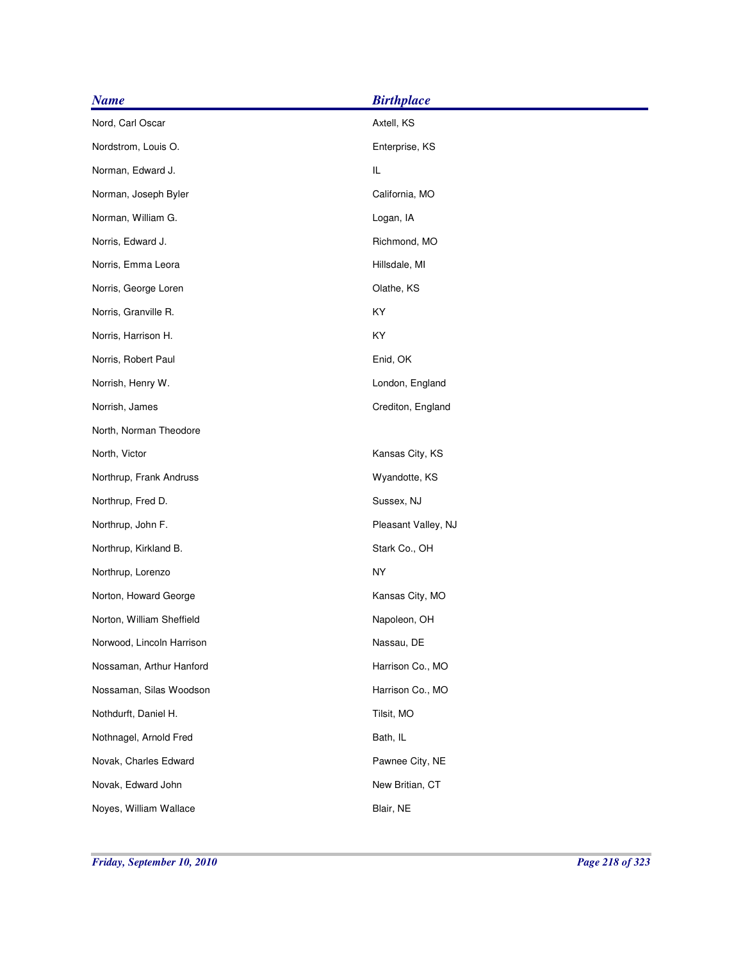| <b>Name</b>               | <b>Birthplace</b>   |
|---------------------------|---------------------|
| Nord, Carl Oscar          | Axtell, KS          |
| Nordstrom, Louis O.       | Enterprise, KS      |
| Norman, Edward J.         | IL                  |
| Norman, Joseph Byler      | California, MO      |
| Norman, William G.        | Logan, IA           |
| Norris, Edward J.         | Richmond, MO        |
| Norris, Emma Leora        | Hillsdale, MI       |
| Norris, George Loren      | Olathe, KS          |
| Norris, Granville R.      | KY                  |
| Norris, Harrison H.       | KY                  |
| Norris, Robert Paul       | Enid, OK            |
| Norrish, Henry W.         | London, England     |
| Norrish, James            | Crediton, England   |
| North, Norman Theodore    |                     |
| North, Victor             | Kansas City, KS     |
| Northrup, Frank Andruss   | Wyandotte, KS       |
| Northrup, Fred D.         | Sussex, NJ          |
| Northrup, John F.         | Pleasant Valley, NJ |
| Northrup, Kirkland B.     | Stark Co., OH       |
| Northrup, Lorenzo         | <b>NY</b>           |
| Norton, Howard George     | Kansas City, MO     |
| Norton, William Sheffield | Napoleon, OH        |
| Norwood, Lincoln Harrison | Nassau, DE          |
| Nossaman, Arthur Hanford  | Harrison Co., MO    |
| Nossaman, Silas Woodson   | Harrison Co., MO    |
| Nothdurft, Daniel H.      | Tilsit, MO          |
| Nothnagel, Arnold Fred    | Bath, IL            |
| Novak, Charles Edward     | Pawnee City, NE     |
| Novak, Edward John        | New Britian, CT     |
| Noyes, William Wallace    | Blair, NE           |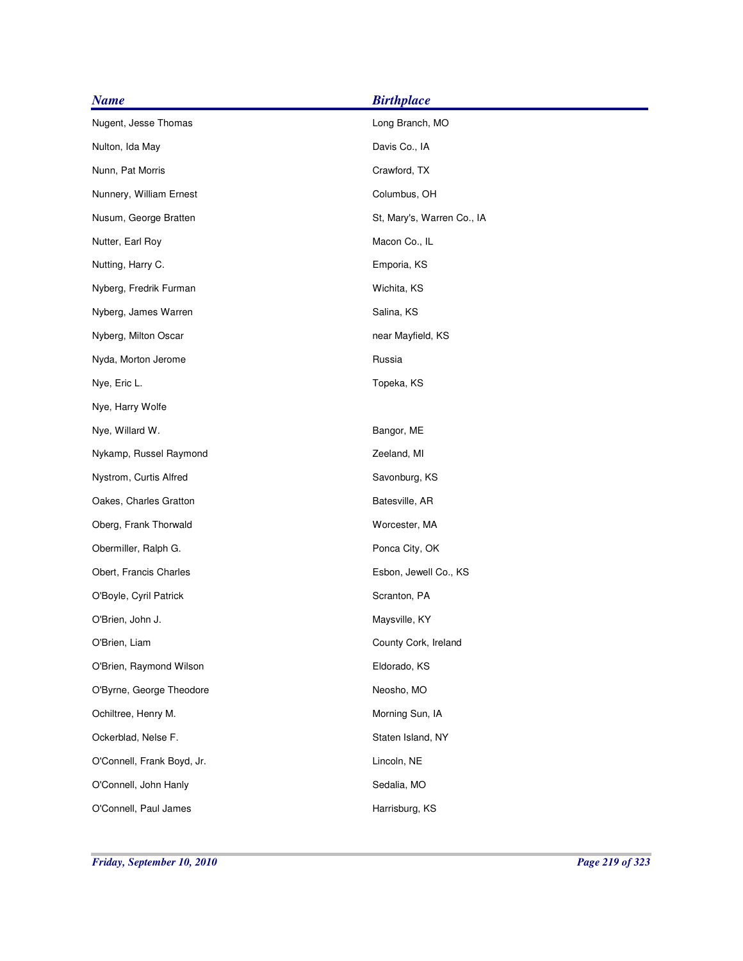| <b>Name</b>                | <b>Birthplace</b>          |
|----------------------------|----------------------------|
| Nugent, Jesse Thomas       | Long Branch, MO            |
| Nulton, Ida May            | Davis Co., IA              |
| Nunn, Pat Morris           | Crawford, TX               |
| Nunnery, William Ernest    | Columbus, OH               |
| Nusum, George Bratten      | St, Mary's, Warren Co., IA |
| Nutter, Earl Roy           | Macon Co., IL              |
| Nutting, Harry C.          | Emporia, KS                |
| Nyberg, Fredrik Furman     | Wichita, KS                |
| Nyberg, James Warren       | Salina, KS                 |
| Nyberg, Milton Oscar       | near Mayfield, KS          |
| Nyda, Morton Jerome        | Russia                     |
| Nye, Eric L.               | Topeka, KS                 |
| Nye, Harry Wolfe           |                            |
| Nye, Willard W.            | Bangor, ME                 |
| Nykamp, Russel Raymond     | Zeeland, MI                |
| Nystrom, Curtis Alfred     | Savonburg, KS              |
| Oakes, Charles Gratton     | Batesville, AR             |
| Oberg, Frank Thorwald      | Worcester, MA              |
| Obermiller, Ralph G.       | Ponca City, OK             |
| Obert, Francis Charles     | Esbon, Jewell Co., KS      |
| O'Boyle, Cyril Patrick     | Scranton, PA               |
| O'Brien, John J.           | Maysville, KY              |
| O'Brien, Liam              | County Cork, Ireland       |
| O'Brien, Raymond Wilson    | Eldorado, KS               |
| O'Byrne, George Theodore   | Neosho, MO                 |
| Ochiltree, Henry M.        | Morning Sun, IA            |
| Ockerblad, Nelse F.        | Staten Island, NY          |
| O'Connell, Frank Boyd, Jr. | Lincoln, NE                |
| O'Connell, John Hanly      | Sedalia, MO                |
| O'Connell, Paul James      | Harrisburg, KS             |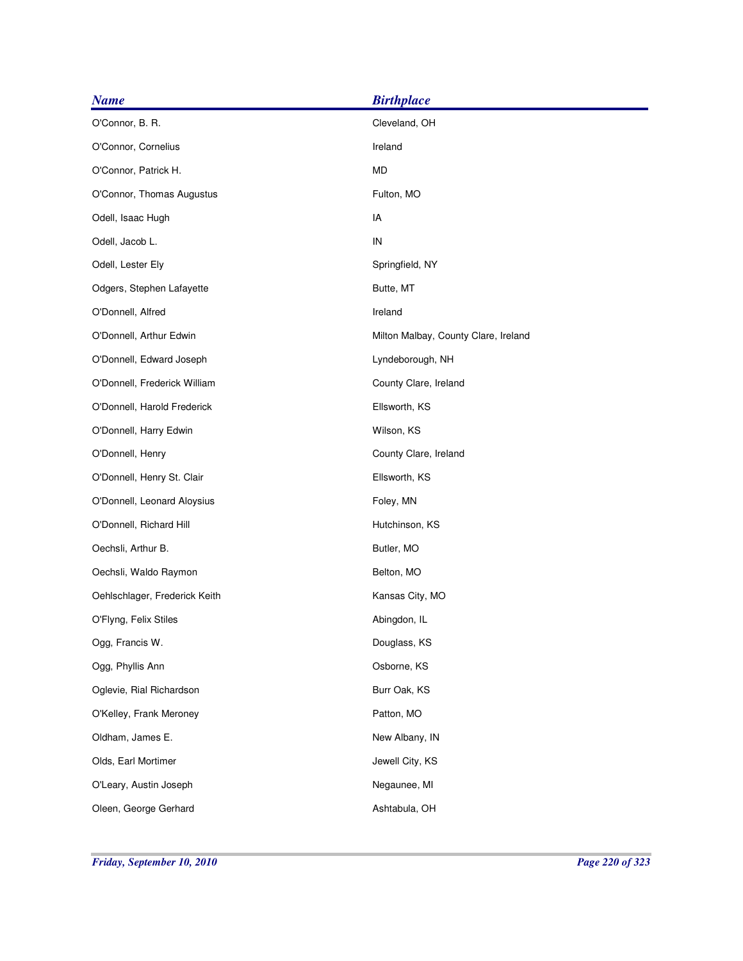| <b>Name</b>                   | <b>Birthplace</b>                    |
|-------------------------------|--------------------------------------|
| O'Connor, B. R.               | Cleveland, OH                        |
| O'Connor, Cornelius           | Ireland                              |
| O'Connor, Patrick H.          | <b>MD</b>                            |
| O'Connor, Thomas Augustus     | Fulton, MO                           |
| Odell, Isaac Hugh             | IA                                   |
| Odell, Jacob L.               | IN                                   |
| Odell, Lester Ely             | Springfield, NY                      |
| Odgers, Stephen Lafayette     | Butte, MT                            |
| O'Donnell, Alfred             | Ireland                              |
| O'Donnell, Arthur Edwin       | Milton Malbay, County Clare, Ireland |
| O'Donnell, Edward Joseph      | Lyndeborough, NH                     |
| O'Donnell, Frederick William  | County Clare, Ireland                |
| O'Donnell, Harold Frederick   | Ellsworth, KS                        |
| O'Donnell, Harry Edwin        | Wilson, KS                           |
| O'Donnell, Henry              | County Clare, Ireland                |
| O'Donnell, Henry St. Clair    | Ellsworth, KS                        |
| O'Donnell, Leonard Aloysius   | Foley, MN                            |
| O'Donnell, Richard Hill       | Hutchinson, KS                       |
| Oechsli, Arthur B.            | Butler, MO                           |
| Oechsli, Waldo Raymon         | Belton, MO                           |
| Oehlschlager, Frederick Keith | Kansas City, MO                      |
| O'Flyng, Felix Stiles         | Abingdon, IL                         |
| Ogg, Francis W.               | Douglass, KS                         |
| Ogg, Phyllis Ann              | Osborne, KS                          |
| Oglevie, Rial Richardson      | Burr Oak, KS                         |
| O'Kelley, Frank Meroney       | Patton, MO                           |
| Oldham, James E.              | New Albany, IN                       |
| Olds, Earl Mortimer           | Jewell City, KS                      |
| O'Leary, Austin Joseph        | Negaunee, MI                         |
| Oleen, George Gerhard         | Ashtabula, OH                        |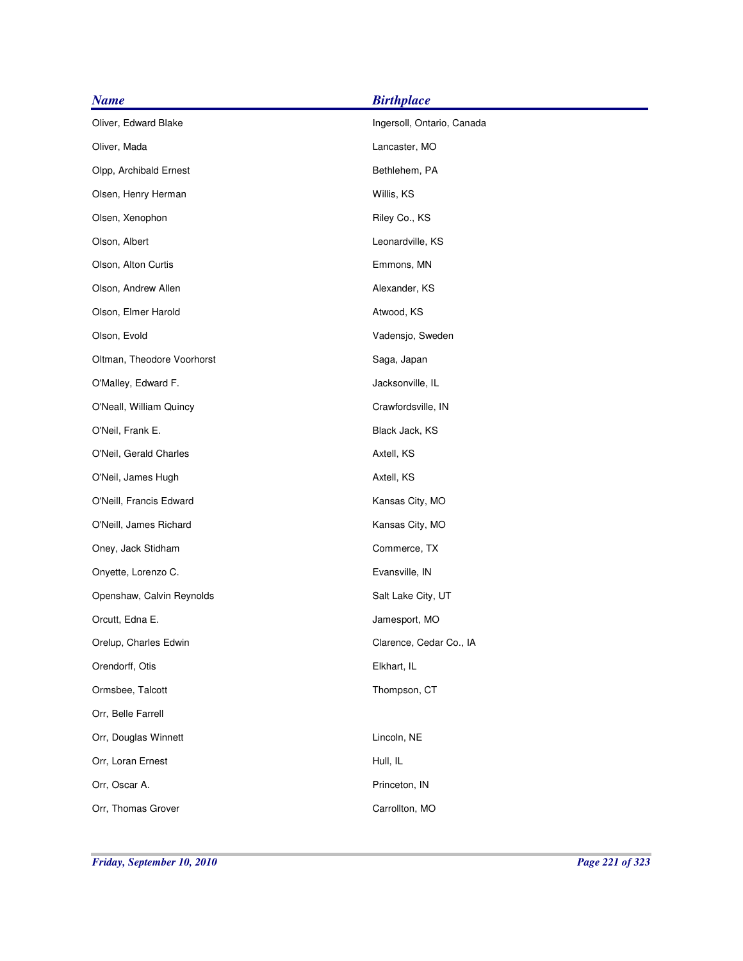| <b>Name</b>                | <b>Birthplace</b>          |
|----------------------------|----------------------------|
| Oliver, Edward Blake       | Ingersoll, Ontario, Canada |
| Oliver, Mada               | Lancaster, MO              |
| Olpp, Archibald Ernest     | Bethlehem, PA              |
| Olsen, Henry Herman        | Willis, KS                 |
| Olsen, Xenophon            | Riley Co., KS              |
| Olson, Albert              | Leonardville, KS           |
| Olson, Alton Curtis        | Emmons, MN                 |
| Olson, Andrew Allen        | Alexander, KS              |
| Olson, Elmer Harold        | Atwood, KS                 |
| Olson, Evold               | Vadensjo, Sweden           |
| Oltman, Theodore Voorhorst | Saga, Japan                |
| O'Malley, Edward F.        | Jacksonville, IL           |
| O'Neall, William Quincy    | Crawfordsville, IN         |
| O'Neil, Frank E.           | Black Jack, KS             |
| O'Neil, Gerald Charles     | Axtell, KS                 |
| O'Neil, James Hugh         | Axtell, KS                 |
| O'Neill, Francis Edward    | Kansas City, MO            |
| O'Neill, James Richard     | Kansas City, MO            |
| Oney, Jack Stidham         | Commerce, TX               |
| Onyette, Lorenzo C.        | Evansville, IN             |
| Openshaw, Calvin Reynolds  | Salt Lake City, UT         |
| Orcutt, Edna E.            | Jamesport, MO              |
| Orelup, Charles Edwin      | Clarence, Cedar Co., IA    |
| Orendorff, Otis            | Elkhart, IL                |
| Ormsbee, Talcott           | Thompson, CT               |
| Orr, Belle Farrell         |                            |
| Orr, Douglas Winnett       | Lincoln, NE                |
| Orr, Loran Ernest          | Hull, IL                   |
| Orr, Oscar A.              | Princeton, IN              |
| Orr, Thomas Grover         | Carrollton, MO             |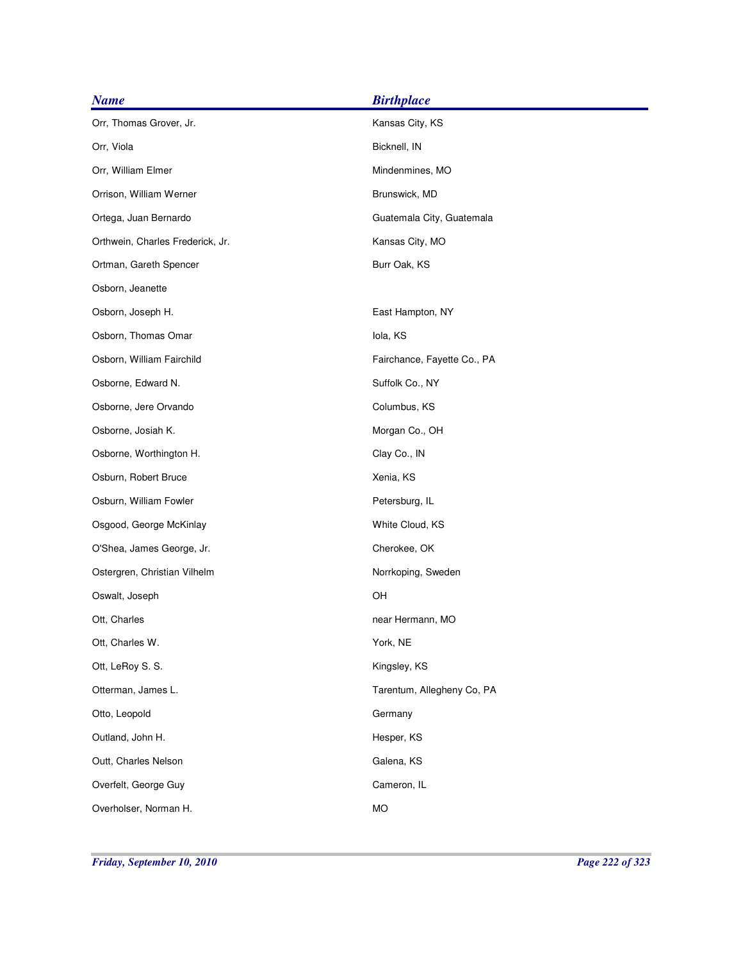| <b>Name</b>                      | <b>Birthplace</b>           |
|----------------------------------|-----------------------------|
| Orr, Thomas Grover, Jr.          | Kansas City, KS             |
| Orr, Viola                       | Bicknell, IN                |
| Orr, William Elmer               | Mindenmines, MO             |
| Orrison, William Werner          | Brunswick, MD               |
| Ortega, Juan Bernardo            | Guatemala City, Guatemala   |
| Orthwein, Charles Frederick, Jr. | Kansas City, MO             |
| Ortman, Gareth Spencer           | Burr Oak, KS                |
| Osborn, Jeanette                 |                             |
| Osborn, Joseph H.                | East Hampton, NY            |
| Osborn, Thomas Omar              | lola, KS                    |
| Osborn, William Fairchild        | Fairchance, Fayette Co., PA |
| Osborne, Edward N.               | Suffolk Co., NY             |
| Osborne, Jere Orvando            | Columbus, KS                |
| Osborne, Josiah K.               | Morgan Co., OH              |
| Osborne, Worthington H.          | Clay Co., IN                |
| Osburn, Robert Bruce             | Xenia, KS                   |
| Osburn, William Fowler           | Petersburg, IL              |
| Osgood, George McKinlay          | White Cloud, KS             |
| O'Shea, James George, Jr.        | Cherokee, OK                |
| Ostergren, Christian Vilhelm     | Norrkoping, Sweden          |
| Oswalt, Joseph                   | OH                          |
| Ott, Charles                     | near Hermann, MO            |
| Ott, Charles W.                  | York, NE                    |
| Ott, LeRoy S. S.                 | Kingsley, KS                |
| Otterman, James L.               | Tarentum, Allegheny Co, PA  |
| Otto, Leopold                    | Germany                     |
| Outland, John H.                 | Hesper, KS                  |
| Outt, Charles Nelson             | Galena, KS                  |
| Overfelt, George Guy             | Cameron, IL                 |
| Overholser, Norman H.            | MO                          |
|                                  |                             |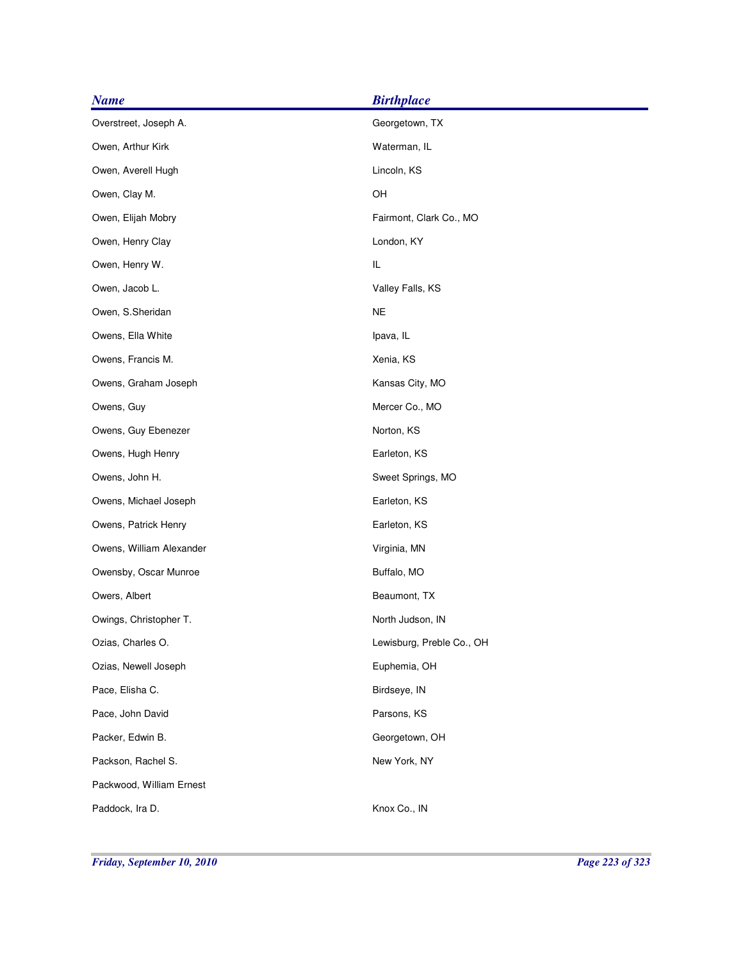| <b>Name</b>              | <b>Birthplace</b>         |
|--------------------------|---------------------------|
| Overstreet, Joseph A.    | Georgetown, TX            |
| Owen, Arthur Kirk        | Waterman, IL              |
| Owen, Averell Hugh       | Lincoln, KS               |
| Owen, Clay M.            | OH                        |
| Owen, Elijah Mobry       | Fairmont, Clark Co., MO   |
| Owen, Henry Clay         | London, KY                |
| Owen, Henry W.           | IL                        |
| Owen, Jacob L.           | Valley Falls, KS          |
| Owen, S.Sheridan         | <b>NE</b>                 |
| Owens, Ella White        | Ipava, IL                 |
| Owens, Francis M.        | Xenia, KS                 |
| Owens, Graham Joseph     | Kansas City, MO           |
| Owens, Guy               | Mercer Co., MO            |
| Owens, Guy Ebenezer      | Norton, KS                |
| Owens, Hugh Henry        | Earleton, KS              |
| Owens, John H.           | Sweet Springs, MO         |
| Owens, Michael Joseph    | Earleton, KS              |
| Owens, Patrick Henry     | Earleton, KS              |
| Owens, William Alexander | Virginia, MN              |
| Owensby, Oscar Munroe    | Buffalo, MO               |
| Owers, Albert            | Beaumont, TX              |
| Owings, Christopher T.   | North Judson, IN          |
| Ozias, Charles O.        | Lewisburg, Preble Co., OH |
| Ozias, Newell Joseph     | Euphemia, OH              |
| Pace, Elisha C.          | Birdseye, IN              |
| Pace, John David         | Parsons, KS               |
| Packer, Edwin B.         | Georgetown, OH            |
| Packson, Rachel S.       | New York, NY              |
| Packwood, William Ernest |                           |
| Paddock, Ira D.          | Knox Co., IN              |
|                          |                           |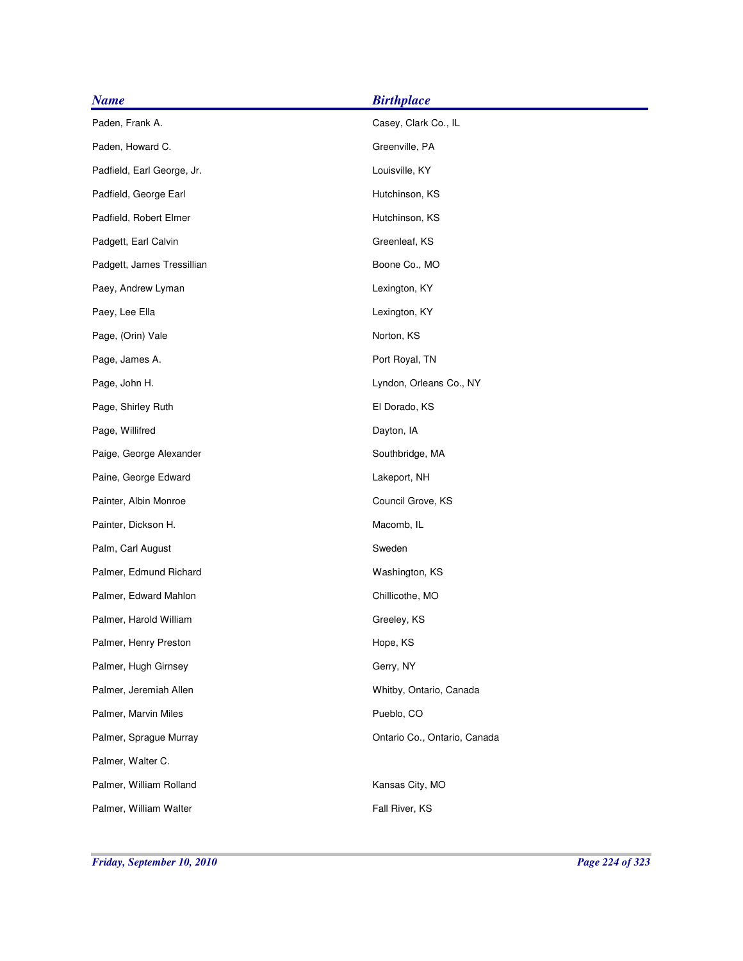| <b>Name</b>                | <b>Birthplace</b>            |
|----------------------------|------------------------------|
| Paden, Frank A.            | Casey, Clark Co., IL         |
| Paden, Howard C.           | Greenville, PA               |
| Padfield, Earl George, Jr. | Louisville, KY               |
| Padfield, George Earl      | Hutchinson, KS               |
| Padfield, Robert Elmer     | Hutchinson, KS               |
| Padgett, Earl Calvin       | Greenleaf, KS                |
| Padgett, James Tressillian | Boone Co., MO                |
| Paey, Andrew Lyman         | Lexington, KY                |
| Paey, Lee Ella             | Lexington, KY                |
| Page, (Orin) Vale          | Norton, KS                   |
| Page, James A.             | Port Royal, TN               |
| Page, John H.              | Lyndon, Orleans Co., NY      |
| Page, Shirley Ruth         | El Dorado, KS                |
| Page, Willifred            | Dayton, IA                   |
| Paige, George Alexander    | Southbridge, MA              |
| Paine, George Edward       | Lakeport, NH                 |
| Painter, Albin Monroe      | Council Grove, KS            |
| Painter, Dickson H.        | Macomb, IL                   |
| Palm, Carl August          | Sweden                       |
| Palmer, Edmund Richard     | Washington, KS               |
| Palmer, Edward Mahlon      | Chillicothe, MO              |
| Palmer, Harold William     | Greeley, KS                  |
| Palmer, Henry Preston      | Hope, KS                     |
| Palmer, Hugh Girnsey       | Gerry, NY                    |
| Palmer, Jeremiah Allen     | Whitby, Ontario, Canada      |
| Palmer, Marvin Miles       | Pueblo, CO                   |
| Palmer, Sprague Murray     | Ontario Co., Ontario, Canada |
| Palmer, Walter C.          |                              |
| Palmer, William Rolland    | Kansas City, MO              |
| Palmer, William Walter     | Fall River, KS               |
|                            |                              |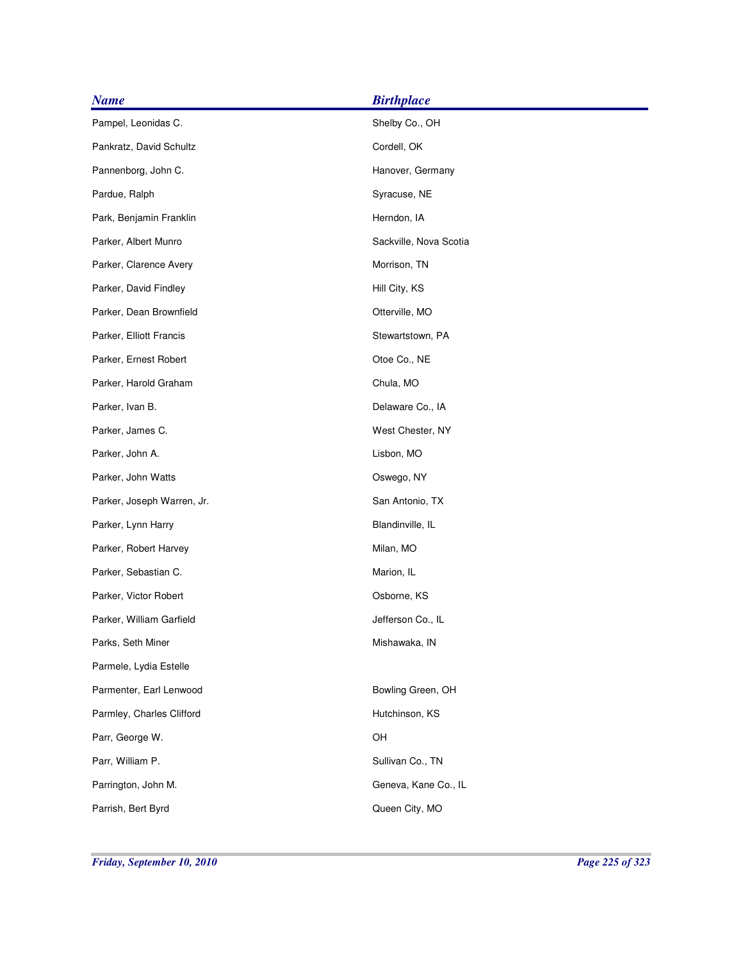| <b>Name</b>                | <b>Birthplace</b>      |
|----------------------------|------------------------|
| Pampel, Leonidas C.        | Shelby Co., OH         |
| Pankratz, David Schultz    | Cordell, OK            |
| Pannenborg, John C.        | Hanover, Germany       |
| Pardue, Ralph              | Syracuse, NE           |
| Park, Benjamin Franklin    | Herndon, IA            |
| Parker, Albert Munro       | Sackville, Nova Scotia |
| Parker, Clarence Avery     | Morrison, TN           |
| Parker, David Findley      | Hill City, KS          |
| Parker, Dean Brownfield    | Otterville, MO         |
| Parker, Elliott Francis    | Stewartstown, PA       |
| Parker, Ernest Robert      | Otoe Co., NE           |
| Parker, Harold Graham      | Chula, MO              |
| Parker, Ivan B.            | Delaware Co., IA       |
| Parker, James C.           | West Chester, NY       |
| Parker, John A.            | Lisbon, MO             |
| Parker, John Watts         | Oswego, NY             |
| Parker, Joseph Warren, Jr. | San Antonio, TX        |
| Parker, Lynn Harry         | Blandinville, IL       |
| Parker, Robert Harvey      | Milan, MO              |
| Parker, Sebastian C.       | Marion, IL             |
| Parker, Victor Robert      | Osborne, KS            |
| Parker, William Garfield   | Jefferson Co., IL      |
| Parks, Seth Miner          | Mishawaka, IN          |
| Parmele, Lydia Estelle     |                        |
| Parmenter, Earl Lenwood    | Bowling Green, OH      |
| Parmley, Charles Clifford  | Hutchinson, KS         |
| Parr, George W.            | OH                     |
| Parr, William P.           | Sullivan Co., TN       |
| Parrington, John M.        | Geneva, Kane Co., IL   |
| Parrish, Bert Byrd         | Queen City, MO         |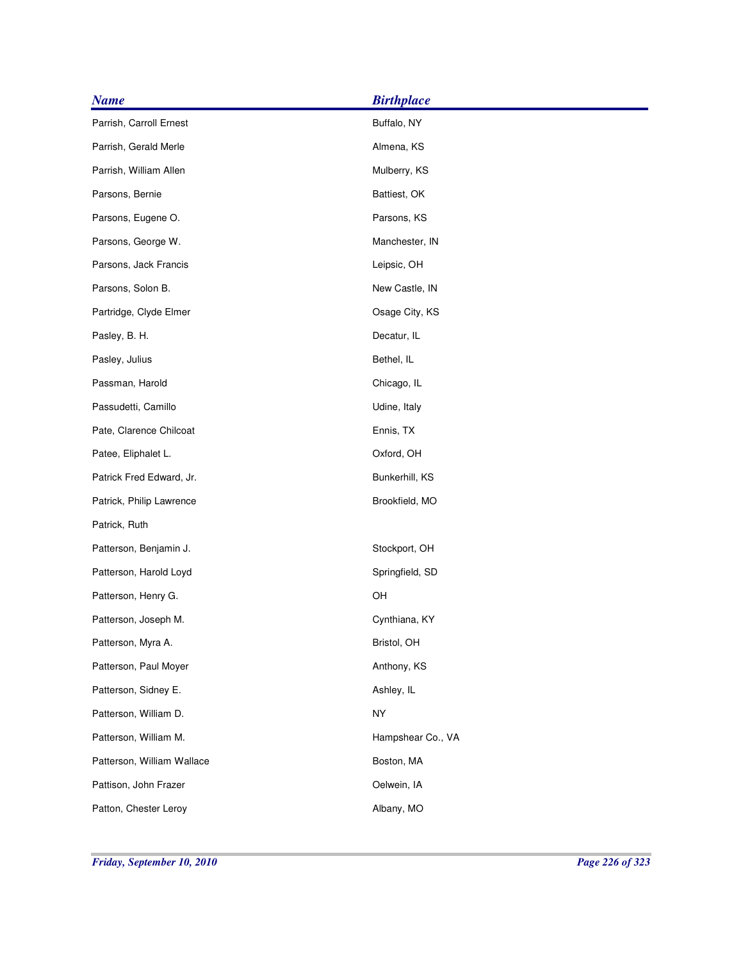| <b>Name</b>                | <b>Birthplace</b> |
|----------------------------|-------------------|
| Parrish, Carroll Ernest    | Buffalo, NY       |
| Parrish, Gerald Merle      | Almena, KS        |
| Parrish, William Allen     | Mulberry, KS      |
| Parsons, Bernie            | Battiest, OK      |
| Parsons, Eugene O.         | Parsons, KS       |
| Parsons, George W.         | Manchester, IN    |
| Parsons, Jack Francis      | Leipsic, OH       |
| Parsons, Solon B.          | New Castle, IN    |
| Partridge, Clyde Elmer     | Osage City, KS    |
| Pasley, B. H.              | Decatur, IL       |
| Pasley, Julius             | Bethel, IL        |
| Passman, Harold            | Chicago, IL       |
| Passudetti, Camillo        | Udine, Italy      |
| Pate, Clarence Chilcoat    | Ennis, TX         |
| Patee, Eliphalet L.        | Oxford, OH        |
| Patrick Fred Edward, Jr.   | Bunkerhill, KS    |
| Patrick, Philip Lawrence   | Brookfield, MO    |
| Patrick, Ruth              |                   |
| Patterson, Benjamin J.     | Stockport, OH     |
| Patterson, Harold Loyd     | Springfield, SD   |
| Patterson, Henry G.        | OH                |
| Patterson, Joseph M.       | Cynthiana, KY     |
| Patterson, Myra A.         | Bristol, OH       |
| Patterson, Paul Moyer      | Anthony, KS       |
| Patterson, Sidney E.       | Ashley, IL        |
| Patterson, William D.      | NY                |
| Patterson, William M.      | Hampshear Co., VA |
| Patterson, William Wallace | Boston, MA        |
| Pattison, John Frazer      | Oelwein, IA       |
| Patton, Chester Leroy      | Albany, MO        |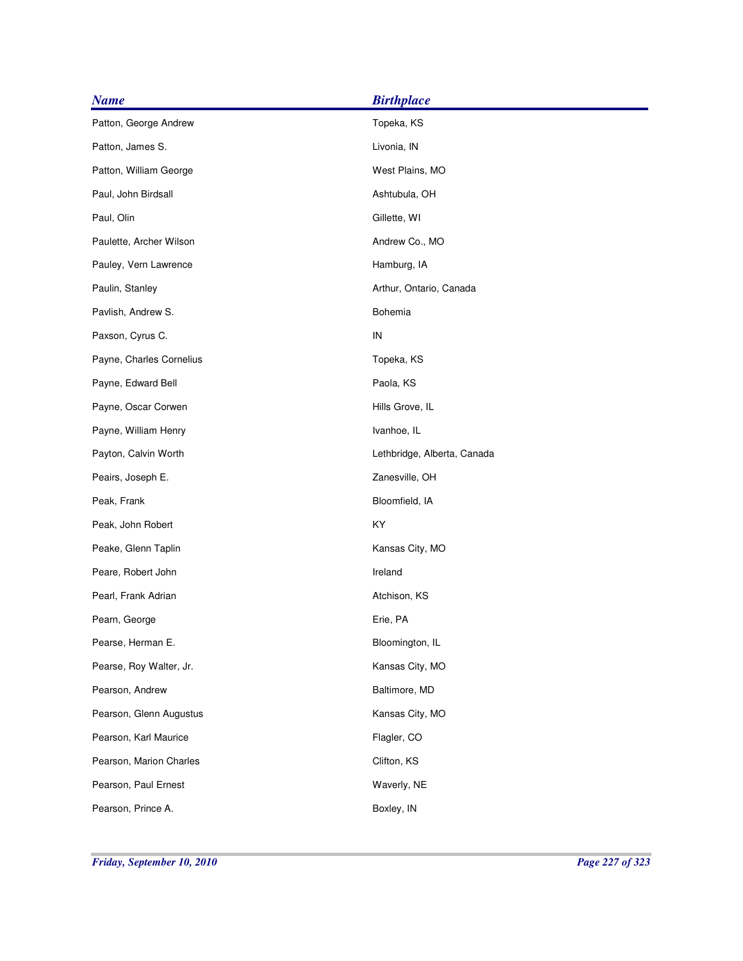| <b>Name</b>              | <b>Birthplace</b>           |
|--------------------------|-----------------------------|
| Patton, George Andrew    | Topeka, KS                  |
| Patton, James S.         | Livonia, IN                 |
| Patton, William George   | West Plains, MO             |
| Paul, John Birdsall      | Ashtubula, OH               |
| Paul, Olin               | Gillette, WI                |
| Paulette, Archer Wilson  | Andrew Co., MO              |
| Pauley, Vern Lawrence    | Hamburg, IA                 |
| Paulin, Stanley          | Arthur, Ontario, Canada     |
| Pavlish, Andrew S.       | Bohemia                     |
| Paxson, Cyrus C.         | ${\sf IN}$                  |
| Payne, Charles Cornelius | Topeka, KS                  |
| Payne, Edward Bell       | Paola, KS                   |
| Payne, Oscar Corwen      | Hills Grove, IL             |
| Payne, William Henry     | Ivanhoe, IL                 |
| Payton, Calvin Worth     | Lethbridge, Alberta, Canada |
| Peairs, Joseph E.        | Zanesville, OH              |
| Peak, Frank              | Bloomfield, IA              |
| Peak, John Robert        | KY                          |
| Peake, Glenn Taplin      | Kansas City, MO             |
| Peare, Robert John       | Ireland                     |
| Pearl, Frank Adrian      | Atchison, KS                |
| Pearn, George            | Erie, PA                    |
| Pearse, Herman E.        | Bloomington, IL             |
| Pearse, Roy Walter, Jr.  | Kansas City, MO             |
| Pearson, Andrew          | Baltimore, MD               |
| Pearson, Glenn Augustus  | Kansas City, MO             |
| Pearson, Karl Maurice    | Flagler, CO                 |
| Pearson, Marion Charles  | Clifton, KS                 |
| Pearson, Paul Ernest     | Waverly, NE                 |
| Pearson, Prince A.       | Boxley, IN                  |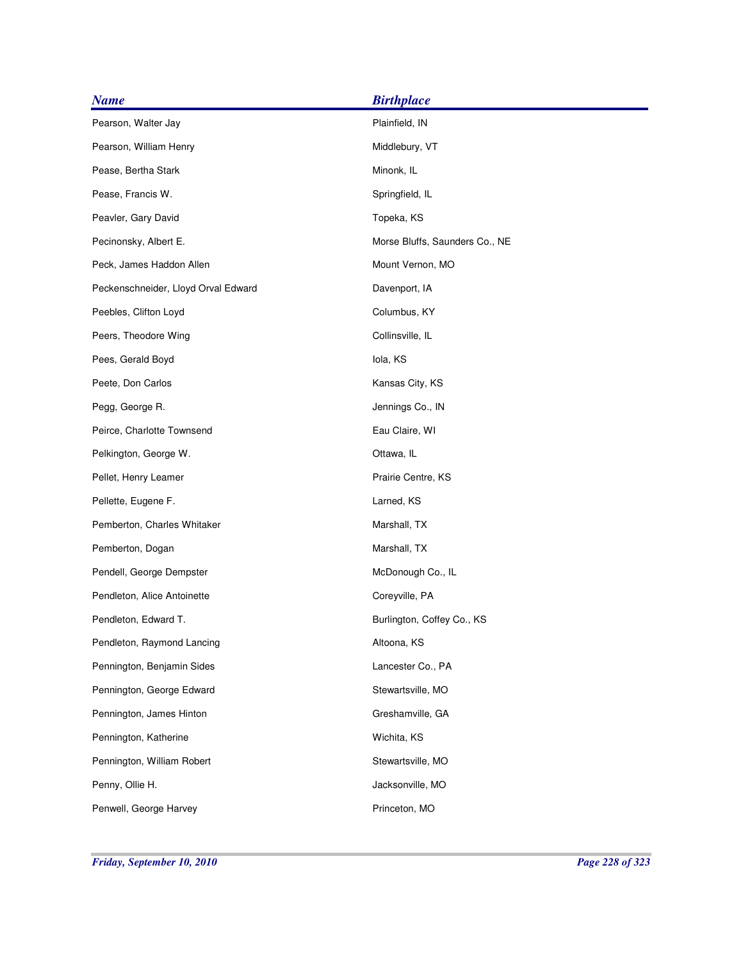| <b>Name</b>                         | <b>Birthplace</b>              |
|-------------------------------------|--------------------------------|
| Pearson, Walter Jay                 | Plainfield, IN                 |
| Pearson, William Henry              | Middlebury, VT                 |
| Pease, Bertha Stark                 | Minonk, IL                     |
| Pease, Francis W.                   | Springfield, IL                |
| Peavler, Gary David                 | Topeka, KS                     |
| Pecinonsky, Albert E.               | Morse Bluffs, Saunders Co., NE |
| Peck, James Haddon Allen            | Mount Vernon, MO               |
| Peckenschneider, Lloyd Orval Edward | Davenport, IA                  |
| Peebles, Clifton Loyd               | Columbus, KY                   |
| Peers, Theodore Wing                | Collinsville, IL               |
| Pees, Gerald Boyd                   | lola, KS                       |
| Peete, Don Carlos                   | Kansas City, KS                |
| Pegg, George R.                     | Jennings Co., IN               |
| Peirce, Charlotte Townsend          | Eau Claire, WI                 |
| Pelkington, George W.               | Ottawa, IL                     |
| Pellet, Henry Leamer                | Prairie Centre, KS             |
| Pellette, Eugene F.                 | Larned, KS                     |
| Pemberton, Charles Whitaker         | Marshall, TX                   |
| Pemberton, Dogan                    | Marshall, TX                   |
| Pendell, George Dempster            | McDonough Co., IL              |
| Pendleton, Alice Antoinette         | Coreyville, PA                 |
| Pendleton, Edward T.                | Burlington, Coffey Co., KS     |
| Pendleton, Raymond Lancing          | Altoona, KS                    |
| Pennington, Benjamin Sides          | Lancester Co., PA              |
| Pennington, George Edward           | Stewartsville, MO              |
| Pennington, James Hinton            | Greshamville, GA               |
| Pennington, Katherine               | Wichita, KS                    |
| Pennington, William Robert          | Stewartsville, MO              |
| Penny, Ollie H.                     | Jacksonville, MO               |
| Penwell, George Harvey              | Princeton, MO                  |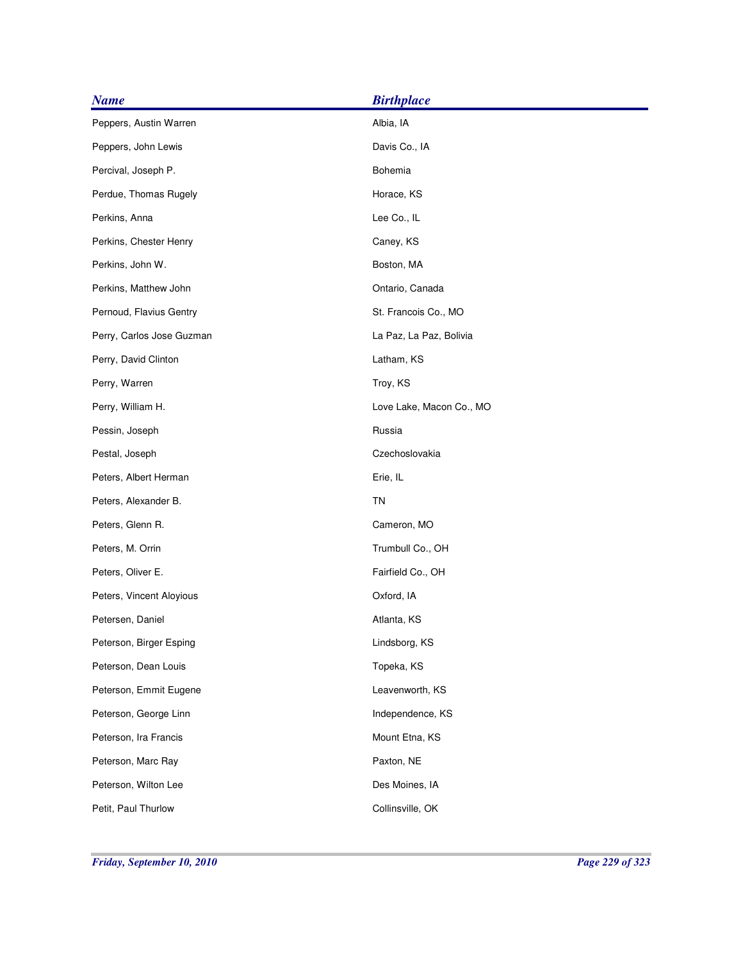| <b>Name</b>               | <b>Birthplace</b>        |
|---------------------------|--------------------------|
| Peppers, Austin Warren    | Albia, IA                |
| Peppers, John Lewis       | Davis Co., IA            |
| Percival, Joseph P.       | Bohemia                  |
| Perdue, Thomas Rugely     | Horace, KS               |
| Perkins, Anna             | Lee Co., IL              |
| Perkins, Chester Henry    | Caney, KS                |
| Perkins, John W.          | Boston, MA               |
| Perkins, Matthew John     | Ontario, Canada          |
| Pernoud, Flavius Gentry   | St. Francois Co., MO     |
| Perry, Carlos Jose Guzman | La Paz, La Paz, Bolivia  |
| Perry, David Clinton      | Latham, KS               |
| Perry, Warren             | Troy, KS                 |
| Perry, William H.         | Love Lake, Macon Co., MO |
| Pessin, Joseph            | Russia                   |
| Pestal, Joseph            | Czechoslovakia           |
| Peters, Albert Herman     | Erie, IL                 |
| Peters, Alexander B.      | TN                       |
| Peters, Glenn R.          | Cameron, MO              |
| Peters, M. Orrin          | Trumbull Co., OH         |
| Peters, Oliver E.         | Fairfield Co., OH        |
| Peters, Vincent Aloyious  | Oxford, IA               |
| Petersen, Daniel          | Atlanta, KS              |
| Peterson, Birger Esping   | Lindsborg, KS            |
| Peterson, Dean Louis      | Topeka, KS               |
| Peterson, Emmit Eugene    | Leavenworth, KS          |
| Peterson, George Linn     | Independence, KS         |
| Peterson, Ira Francis     | Mount Etna, KS           |
| Peterson, Marc Ray        | Paxton, NE               |
| Peterson, Wilton Lee      | Des Moines, IA           |
| Petit, Paul Thurlow       | Collinsville, OK         |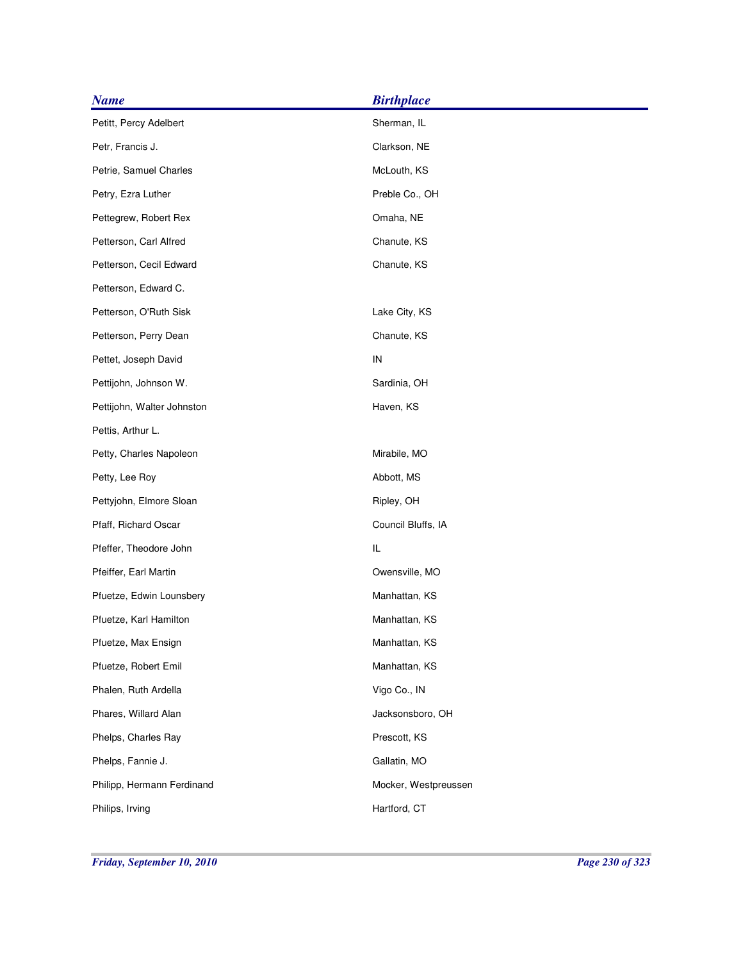| <b>Name</b>                | <b>Birthplace</b>    |
|----------------------------|----------------------|
| Petitt, Percy Adelbert     | Sherman, IL          |
| Petr, Francis J.           | Clarkson, NE         |
| Petrie, Samuel Charles     | McLouth, KS          |
| Petry, Ezra Luther         | Preble Co., OH       |
| Pettegrew, Robert Rex      | Omaha, NE            |
| Petterson, Carl Alfred     | Chanute, KS          |
| Petterson, Cecil Edward    | Chanute, KS          |
| Petterson, Edward C.       |                      |
| Petterson, O'Ruth Sisk     | Lake City, KS        |
| Petterson, Perry Dean      | Chanute, KS          |
| Pettet, Joseph David       | IN                   |
| Pettijohn, Johnson W.      | Sardinia, OH         |
| Pettijohn, Walter Johnston | Haven, KS            |
| Pettis, Arthur L.          |                      |
| Petty, Charles Napoleon    | Mirabile, MO         |
| Petty, Lee Roy             | Abbott, MS           |
| Pettyjohn, Elmore Sloan    | Ripley, OH           |
| Pfaff, Richard Oscar       | Council Bluffs, IA   |
| Pfeffer, Theodore John     | IL                   |
| Pfeiffer, Earl Martin      | Owensville, MO       |
| Pfuetze, Edwin Lounsbery   | Manhattan, KS        |
| Pfuetze, Karl Hamilton     | Manhattan, KS        |
| Pfuetze, Max Ensign        | Manhattan, KS        |
| Pfuetze, Robert Emil       | Manhattan, KS        |
| Phalen, Ruth Ardella       | Vigo Co., IN         |
| Phares, Willard Alan       | Jacksonsboro, OH     |
| Phelps, Charles Ray        | Prescott, KS         |
| Phelps, Fannie J.          | Gallatin, MO         |
| Philipp, Hermann Ferdinand | Mocker, Westpreussen |
| Philips, Irving            | Hartford, CT         |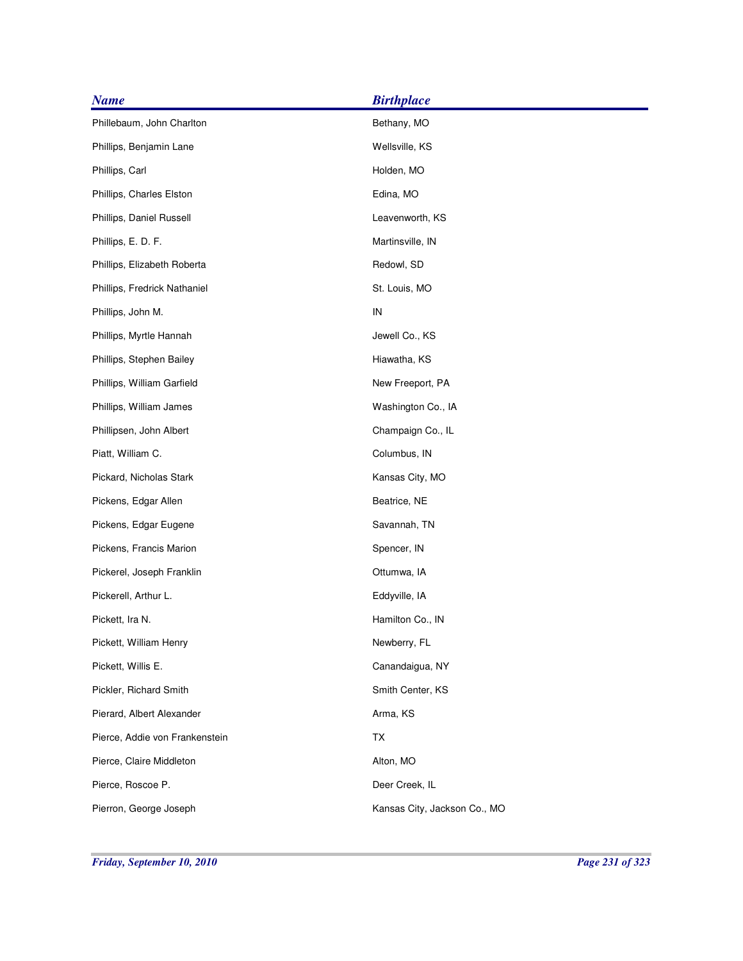| <b>Name</b>                    | <b>Birthplace</b>            |
|--------------------------------|------------------------------|
| Phillebaum, John Charlton      | Bethany, MO                  |
| Phillips, Benjamin Lane        | Wellsville, KS               |
| Phillips, Carl                 | Holden, MO                   |
| Phillips, Charles Elston       | Edina, MO                    |
| Phillips, Daniel Russell       | Leavenworth, KS              |
| Phillips, E. D. F.             | Martinsville, IN             |
| Phillips, Elizabeth Roberta    | Redowl, SD                   |
| Phillips, Fredrick Nathaniel   | St. Louis, MO                |
| Phillips, John M.              | IN                           |
| Phillips, Myrtle Hannah        | Jewell Co., KS               |
| Phillips, Stephen Bailey       | Hiawatha, KS                 |
| Phillips, William Garfield     | New Freeport, PA             |
| Phillips, William James        | Washington Co., IA           |
| Phillipsen, John Albert        | Champaign Co., IL            |
| Piatt, William C.              | Columbus, IN                 |
| Pickard, Nicholas Stark        | Kansas City, MO              |
| Pickens, Edgar Allen           | Beatrice, NE                 |
| Pickens, Edgar Eugene          | Savannah, TN                 |
| Pickens, Francis Marion        | Spencer, IN                  |
| Pickerel, Joseph Franklin      | Ottumwa, IA                  |
| Pickerell, Arthur L.           | Eddyville, IA                |
| Pickett, Ira N.                | Hamilton Co., IN             |
| Pickett, William Henry         | Newberry, FL                 |
| Pickett, Willis E.             | Canandaigua, NY              |
| Pickler, Richard Smith         | Smith Center, KS             |
| Pierard, Albert Alexander      | Arma, KS                     |
| Pierce, Addie von Frankenstein | TX                           |
| Pierce, Claire Middleton       | Alton, MO                    |
| Pierce, Roscoe P.              | Deer Creek, IL               |
| Pierron, George Joseph         | Kansas City, Jackson Co., MO |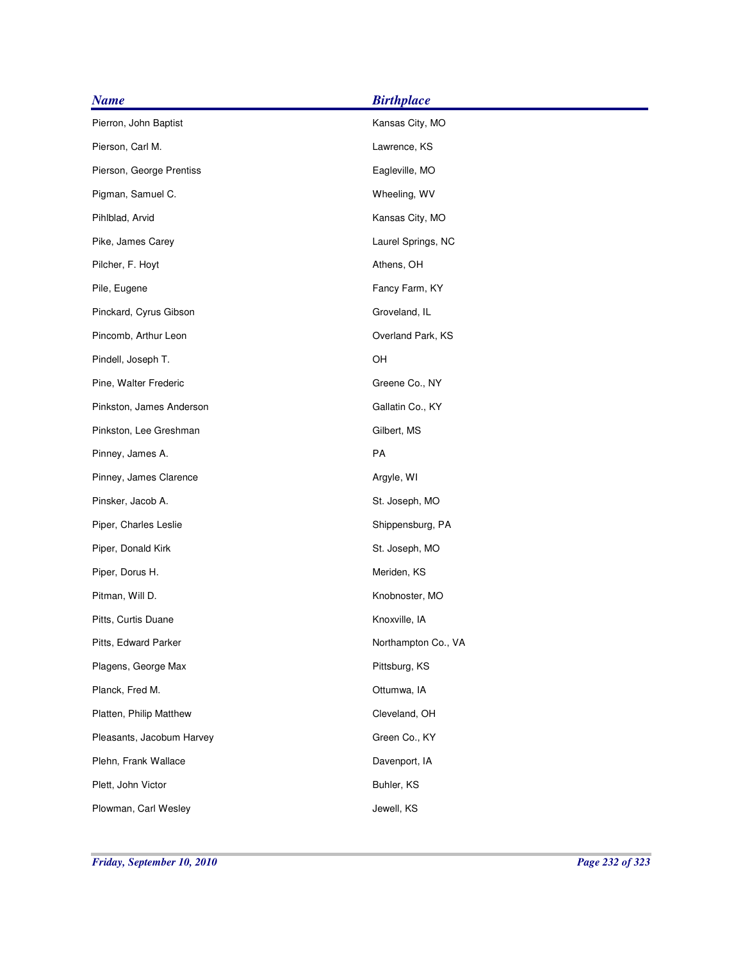| <b>Name</b>               | <b>Birthplace</b>   |
|---------------------------|---------------------|
| Pierron, John Baptist     | Kansas City, MO     |
| Pierson, Carl M.          | Lawrence, KS        |
| Pierson, George Prentiss  | Eagleville, MO      |
| Pigman, Samuel C.         | Wheeling, WV        |
| Pihlblad, Arvid           | Kansas City, MO     |
| Pike, James Carey         | Laurel Springs, NC  |
| Pilcher, F. Hoyt          | Athens, OH          |
| Pile, Eugene              | Fancy Farm, KY      |
| Pinckard, Cyrus Gibson    | Groveland, IL       |
| Pincomb, Arthur Leon      | Overland Park, KS   |
| Pindell, Joseph T.        | OH                  |
| Pine, Walter Frederic     | Greene Co., NY      |
| Pinkston, James Anderson  | Gallatin Co., KY    |
| Pinkston, Lee Greshman    | Gilbert, MS         |
| Pinney, James A.          | PA                  |
| Pinney, James Clarence    | Argyle, WI          |
| Pinsker, Jacob A.         | St. Joseph, MO      |
| Piper, Charles Leslie     | Shippensburg, PA    |
| Piper, Donald Kirk        | St. Joseph, MO      |
| Piper, Dorus H.           | Meriden, KS         |
| Pitman, Will D.           | Knobnoster, MO      |
| Pitts, Curtis Duane       | Knoxville, IA       |
| Pitts, Edward Parker      | Northampton Co., VA |
| Plagens, George Max       | Pittsburg, KS       |
| Planck, Fred M.           | Ottumwa, IA         |
| Platten, Philip Matthew   | Cleveland, OH       |
| Pleasants, Jacobum Harvey | Green Co., KY       |
| Plehn, Frank Wallace      | Davenport, IA       |
| Plett, John Victor        | Buhler, KS          |
| Plowman, Carl Wesley      | Jewell, KS          |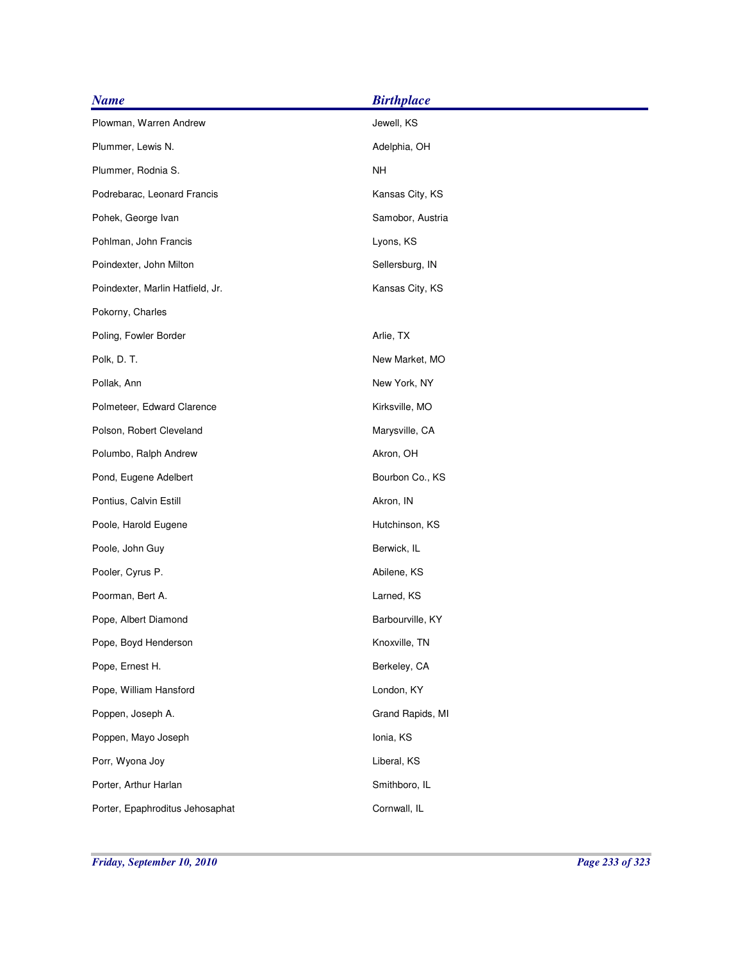| <b>Name</b>                      | <b>Birthplace</b> |
|----------------------------------|-------------------|
| Plowman, Warren Andrew           | Jewell, KS        |
| Plummer, Lewis N.                | Adelphia, OH      |
| Plummer, Rodnia S.               | <b>NH</b>         |
| Podrebarac, Leonard Francis      | Kansas City, KS   |
| Pohek, George Ivan               | Samobor, Austria  |
| Pohlman, John Francis            | Lyons, KS         |
| Poindexter, John Milton          | Sellersburg, IN   |
| Poindexter, Marlin Hatfield, Jr. | Kansas City, KS   |
| Pokorny, Charles                 |                   |
| Poling, Fowler Border            | Arlie, TX         |
| Polk, D. T.                      | New Market, MO    |
| Pollak, Ann                      | New York, NY      |
| Polmeteer, Edward Clarence       | Kirksville, MO    |
| Polson, Robert Cleveland         | Marysville, CA    |
| Polumbo, Ralph Andrew            | Akron, OH         |
| Pond, Eugene Adelbert            | Bourbon Co., KS   |
| Pontius, Calvin Estill           | Akron, IN         |
| Poole, Harold Eugene             | Hutchinson, KS    |
| Poole, John Guy                  | Berwick, IL       |
| Pooler, Cyrus P.                 | Abilene, KS       |
| Poorman, Bert A.                 | Larned, KS        |
| Pope, Albert Diamond             | Barbourville, KY  |
| Pope, Boyd Henderson             | Knoxville, TN     |
| Pope, Ernest H.                  | Berkeley, CA      |
| Pope, William Hansford           | London, KY        |
| Poppen, Joseph A.                | Grand Rapids, MI  |
| Poppen, Mayo Joseph              | Ionia, KS         |
| Porr, Wyona Joy                  | Liberal, KS       |
| Porter, Arthur Harlan            | Smithboro, IL     |
| Porter, Epaphroditus Jehosaphat  | Cornwall, IL      |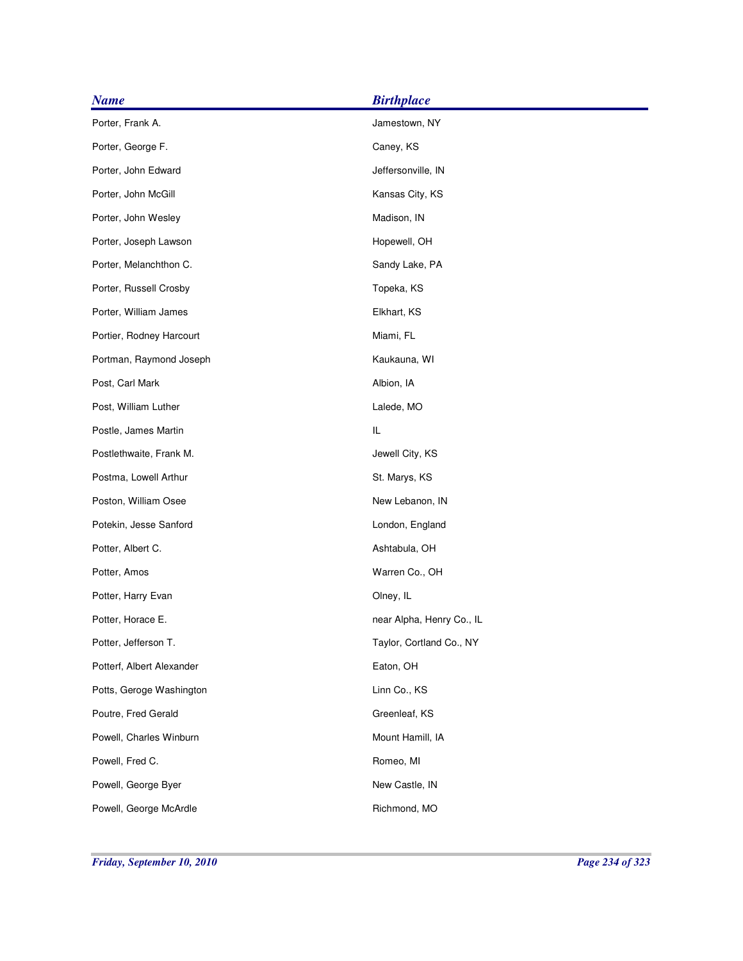| <b>Name</b>               | <b>Birthplace</b>         |
|---------------------------|---------------------------|
| Porter, Frank A.          | Jamestown, NY             |
| Porter, George F.         | Caney, KS                 |
| Porter, John Edward       | Jeffersonville, IN        |
| Porter, John McGill       | Kansas City, KS           |
| Porter, John Wesley       | Madison, IN               |
| Porter, Joseph Lawson     | Hopewell, OH              |
| Porter, Melanchthon C.    | Sandy Lake, PA            |
| Porter, Russell Crosby    | Topeka, KS                |
| Porter, William James     | Elkhart, KS               |
| Portier, Rodney Harcourt  | Miami, FL                 |
| Portman, Raymond Joseph   | Kaukauna, WI              |
| Post, Carl Mark           | Albion, IA                |
| Post, William Luther      | Lalede, MO                |
| Postle, James Martin      | IL                        |
| Postlethwaite, Frank M.   | Jewell City, KS           |
| Postma, Lowell Arthur     | St. Marys, KS             |
| Poston, William Osee      | New Lebanon, IN           |
| Potekin, Jesse Sanford    | London, England           |
| Potter, Albert C.         | Ashtabula, OH             |
| Potter, Amos              | Warren Co., OH            |
| Potter, Harry Evan        | Olney, IL                 |
| Potter, Horace E.         | near Alpha, Henry Co., IL |
| Potter, Jefferson T.      | Taylor, Cortland Co., NY  |
| Potterf, Albert Alexander | Eaton, OH                 |
| Potts, Geroge Washington  | Linn Co., KS              |
| Poutre, Fred Gerald       | Greenleaf, KS             |
| Powell, Charles Winburn   | Mount Hamill, IA          |
| Powell, Fred C.           | Romeo, MI                 |
| Powell, George Byer       | New Castle, IN            |
| Powell, George McArdle    | Richmond, MO              |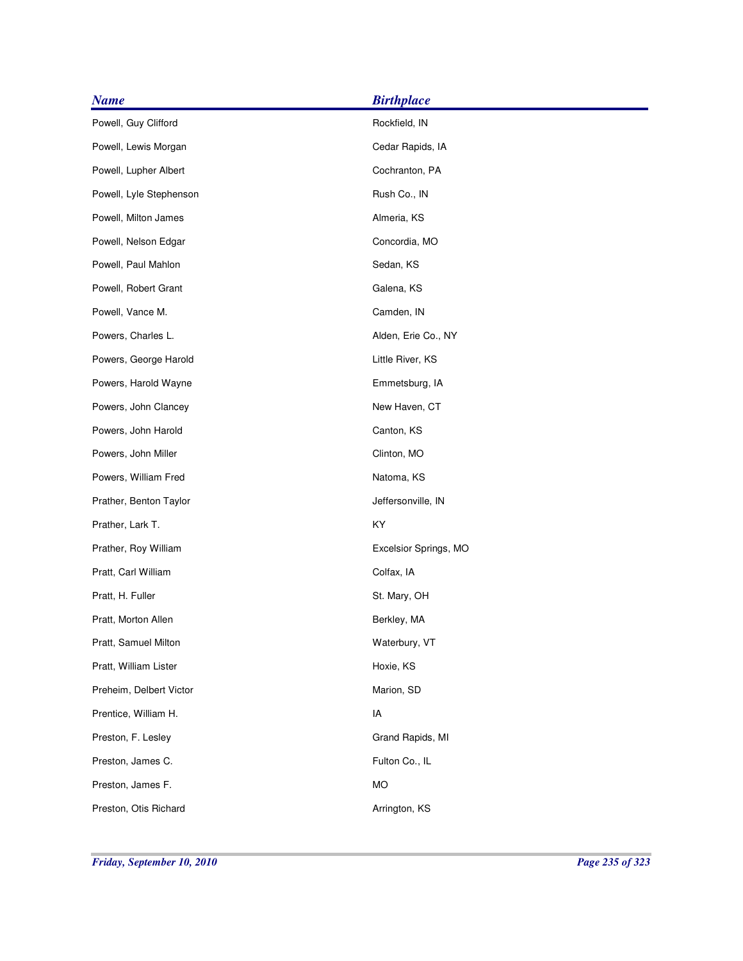| <b>Name</b>             | <b>Birthplace</b>     |
|-------------------------|-----------------------|
| Powell, Guy Clifford    | Rockfield, IN         |
| Powell, Lewis Morgan    | Cedar Rapids, IA      |
| Powell, Lupher Albert   | Cochranton, PA        |
| Powell, Lyle Stephenson | Rush Co., IN          |
| Powell, Milton James    | Almeria, KS           |
| Powell, Nelson Edgar    | Concordia, MO         |
| Powell, Paul Mahlon     | Sedan, KS             |
| Powell, Robert Grant    | Galena, KS            |
| Powell, Vance M.        | Camden, IN            |
| Powers, Charles L.      | Alden, Erie Co., NY   |
| Powers, George Harold   | Little River, KS      |
| Powers, Harold Wayne    | Emmetsburg, IA        |
| Powers, John Clancey    | New Haven, CT         |
| Powers, John Harold     | Canton, KS            |
| Powers, John Miller     | Clinton, MO           |
| Powers, William Fred    | Natoma, KS            |
| Prather, Benton Taylor  | Jeffersonville, IN    |
| Prather, Lark T.        | KY                    |
| Prather, Roy William    | Excelsior Springs, MO |
| Pratt, Carl William     | Colfax, IA            |
| Pratt, H. Fuller        | St. Mary, OH          |
| Pratt, Morton Allen     | Berkley, MA           |
| Pratt, Samuel Milton    | Waterbury, VT         |
| Pratt, William Lister   | Hoxie, KS             |
| Preheim, Delbert Victor | Marion, SD            |
| Prentice, William H.    | IA                    |
| Preston, F. Lesley      | Grand Rapids, MI      |
| Preston, James C.       | Fulton Co., IL        |
| Preston, James F.       | <b>MO</b>             |
| Preston, Otis Richard   | Arrington, KS         |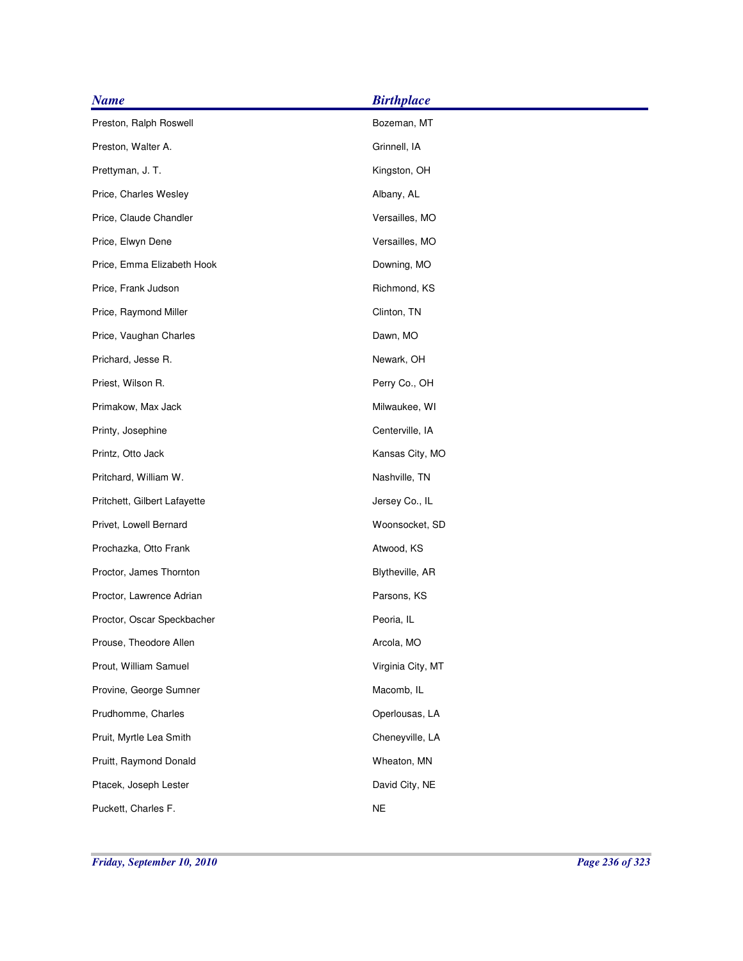| <b>Name</b>                  | <b>Birthplace</b> |
|------------------------------|-------------------|
| Preston, Ralph Roswell       | Bozeman, MT       |
| Preston, Walter A.           | Grinnell, IA      |
| Prettyman, J. T.             | Kingston, OH      |
| Price, Charles Wesley        | Albany, AL        |
| Price, Claude Chandler       | Versailles, MO    |
| Price, Elwyn Dene            | Versailles, MO    |
| Price, Emma Elizabeth Hook   | Downing, MO       |
| Price, Frank Judson          | Richmond, KS      |
| Price, Raymond Miller        | Clinton, TN       |
| Price, Vaughan Charles       | Dawn, MO          |
| Prichard, Jesse R.           | Newark, OH        |
| Priest, Wilson R.            | Perry Co., OH     |
| Primakow, Max Jack           | Milwaukee, WI     |
| Printy, Josephine            | Centerville, IA   |
| Printz, Otto Jack            | Kansas City, MO   |
| Pritchard, William W.        | Nashville, TN     |
| Pritchett, Gilbert Lafayette | Jersey Co., IL    |
| Privet, Lowell Bernard       | Woonsocket, SD    |
| Prochazka, Otto Frank        | Atwood, KS        |
| Proctor, James Thornton      | Blytheville, AR   |
| Proctor, Lawrence Adrian     | Parsons, KS       |
| Proctor, Oscar Speckbacher   | Peoria, IL        |
| Prouse, Theodore Allen       | Arcola, MO        |
| Prout, William Samuel        | Virginia City, MT |
| Provine, George Sumner       | Macomb, IL        |
| Prudhomme, Charles           | Operlousas, LA    |
| Pruit, Myrtle Lea Smith      | Cheneyville, LA   |
| Pruitt, Raymond Donald       | Wheaton, MN       |
| Ptacek, Joseph Lester        | David City, NE    |
| Puckett, Charles F.          | <b>NE</b>         |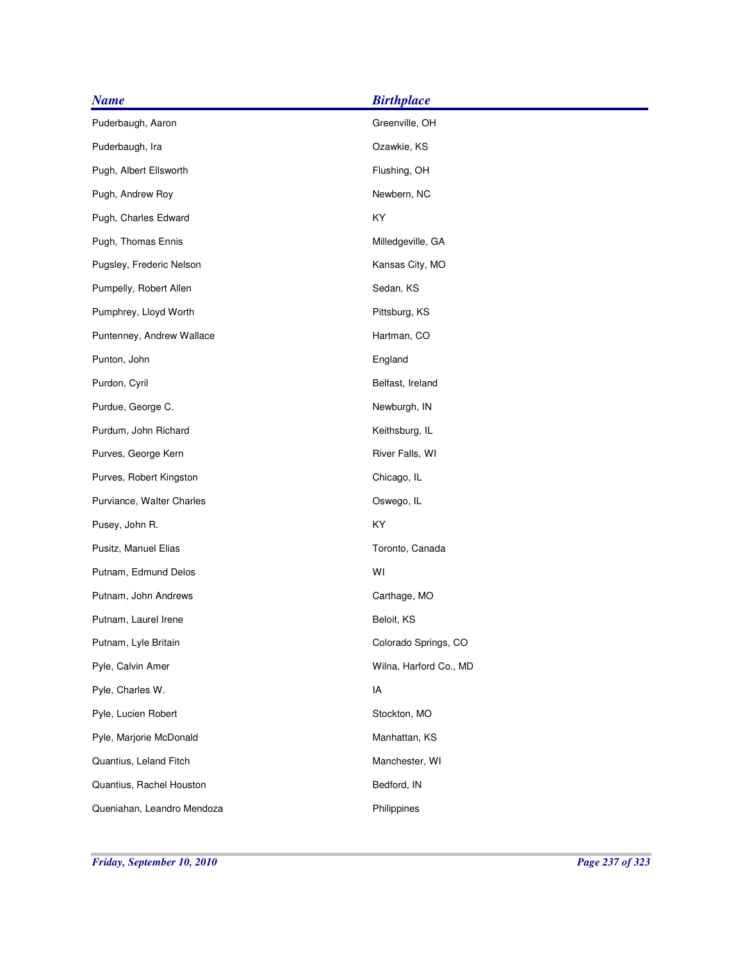| <b>Name</b>                | <b>Birthplace</b>      |
|----------------------------|------------------------|
| Puderbaugh, Aaron          | Greenville, OH         |
| Puderbaugh, Ira            | Ozawkie, KS            |
| Pugh, Albert Ellsworth     | Flushing, OH           |
| Pugh, Andrew Roy           | Newbern, NC            |
| Pugh, Charles Edward       | KY                     |
| Pugh, Thomas Ennis         | Milledgeville, GA      |
| Pugsley, Frederic Nelson   | Kansas City, MO        |
| Pumpelly, Robert Allen     | Sedan, KS              |
| Pumphrey, Lloyd Worth      | Pittsburg, KS          |
| Puntenney, Andrew Wallace  | Hartman, CO            |
| Punton, John               | England                |
| Purdon, Cyril              | Belfast, Ireland       |
| Purdue, George C.          | Newburgh, IN           |
| Purdum, John Richard       | Keithsburg, IL         |
| Purves, George Kern        | River Falls, WI        |
| Purves, Robert Kingston    | Chicago, IL            |
| Purviance, Walter Charles  | Oswego, IL             |
| Pusey, John R.             | KY                     |
| Pusitz, Manuel Elias       | Toronto, Canada        |
| Putnam, Edmund Delos       | WI                     |
| Putnam, John Andrews       | Carthage, MO           |
| Putnam, Laurel Irene       | Beloit, KS             |
| Putnam, Lyle Britain       | Colorado Springs, CO   |
| Pyle, Calvin Amer          | Wilna, Harford Co., MD |
| Pyle, Charles W.           | IA                     |
| Pyle, Lucien Robert        | Stockton, MO           |
| Pyle, Marjorie McDonald    | Manhattan, KS          |
| Quantius, Leland Fitch     | Manchester, WI         |
| Quantius, Rachel Houston   | Bedford, IN            |
| Queniahan, Leandro Mendoza | Philippines            |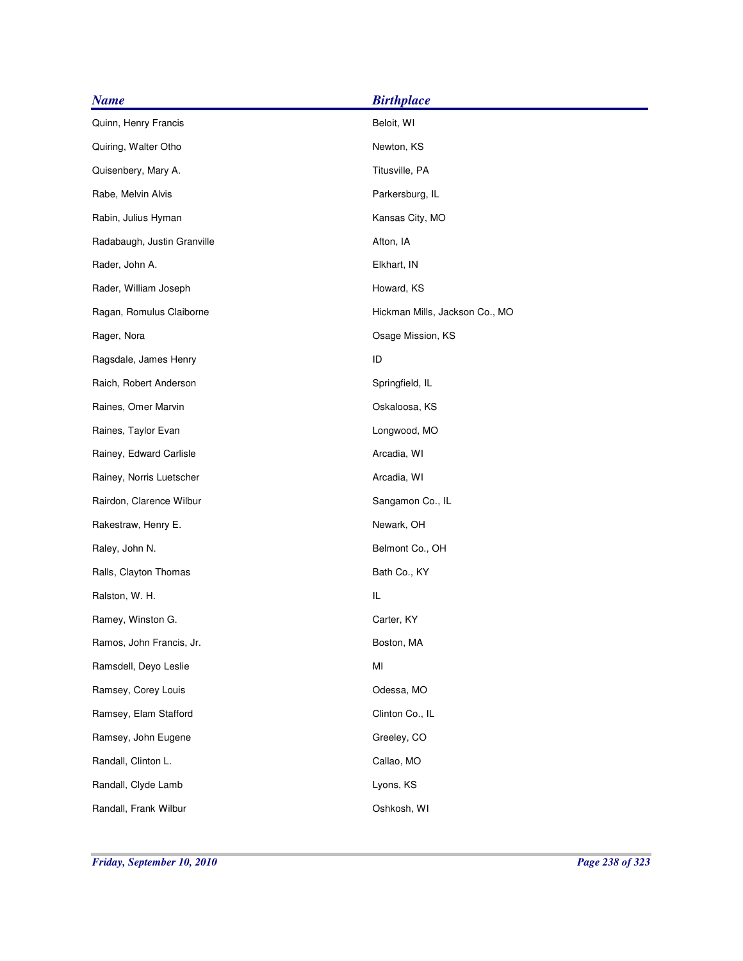| <b>Name</b>                 | <b>Birthplace</b>              |
|-----------------------------|--------------------------------|
| Quinn, Henry Francis        | Beloit, WI                     |
| Quiring, Walter Otho        | Newton, KS                     |
| Quisenbery, Mary A.         | Titusville, PA                 |
| Rabe, Melvin Alvis          | Parkersburg, IL                |
| Rabin, Julius Hyman         | Kansas City, MO                |
| Radabaugh, Justin Granville | Afton, IA                      |
| Rader, John A.              | Elkhart, IN                    |
| Rader, William Joseph       | Howard, KS                     |
| Ragan, Romulus Claiborne    | Hickman Mills, Jackson Co., MO |
| Rager, Nora                 | Osage Mission, KS              |
| Ragsdale, James Henry       | ID                             |
| Raich, Robert Anderson      | Springfield, IL                |
| Raines, Omer Marvin         | Oskaloosa, KS                  |
| Raines, Taylor Evan         | Longwood, MO                   |
| Rainey, Edward Carlisle     | Arcadia, WI                    |
| Rainey, Norris Luetscher    | Arcadia, WI                    |
| Rairdon, Clarence Wilbur    | Sangamon Co., IL               |
| Rakestraw, Henry E.         | Newark, OH                     |
| Raley, John N.              | Belmont Co., OH                |
| Ralls, Clayton Thomas       | Bath Co., KY                   |
| Ralston, W. H.              | IL                             |
| Ramey, Winston G.           | Carter, KY                     |
| Ramos, John Francis, Jr.    | Boston, MA                     |
| Ramsdell, Deyo Leslie       | MI                             |
| Ramsey, Corey Louis         | Odessa, MO                     |
| Ramsey, Elam Stafford       | Clinton Co., IL                |
| Ramsey, John Eugene         | Greeley, CO                    |
| Randall, Clinton L.         | Callao, MO                     |
| Randall, Clyde Lamb         | Lyons, KS                      |
| Randall, Frank Wilbur       | Oshkosh, WI                    |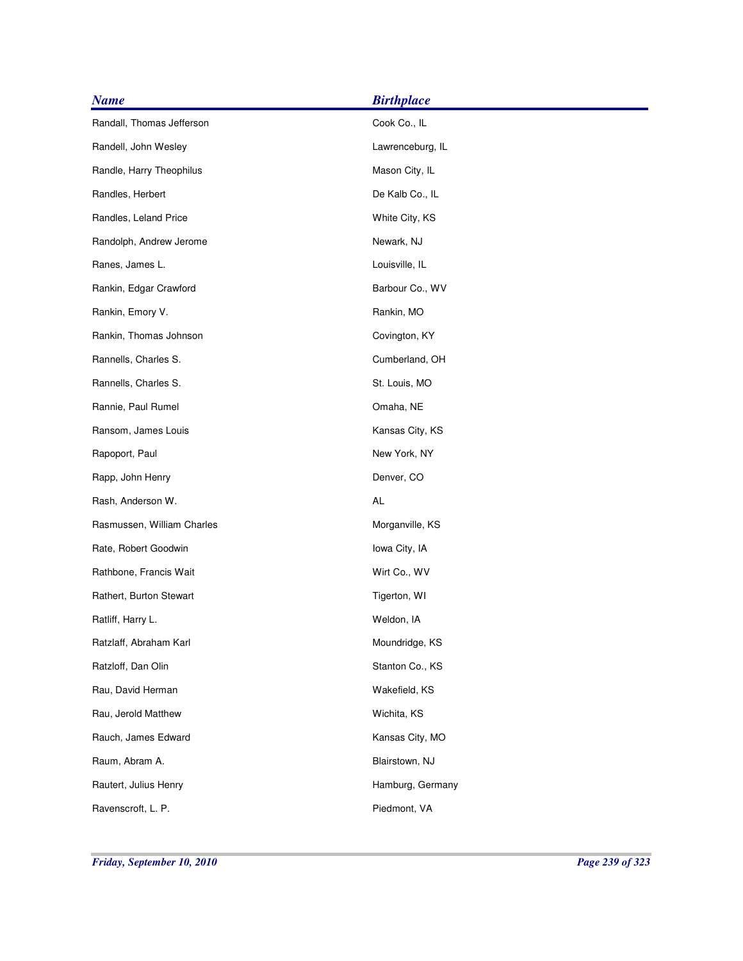| <b>Name</b>                | <b>Birthplace</b> |
|----------------------------|-------------------|
| Randall, Thomas Jefferson  | Cook Co., IL      |
| Randell, John Wesley       | Lawrenceburg, IL  |
| Randle, Harry Theophilus   | Mason City, IL    |
| Randles, Herbert           | De Kalb Co., IL   |
| Randles, Leland Price      | White City, KS    |
| Randolph, Andrew Jerome    | Newark, NJ        |
| Ranes, James L.            | Louisville, IL    |
| Rankin, Edgar Crawford     | Barbour Co., WV   |
| Rankin, Emory V.           | Rankin, MO        |
| Rankin, Thomas Johnson     | Covington, KY     |
| Rannells, Charles S.       | Cumberland, OH    |
| Rannells, Charles S.       | St. Louis, MO     |
| Rannie, Paul Rumel         | Omaha, NE         |
| Ransom, James Louis        | Kansas City, KS   |
| Rapoport, Paul             | New York, NY      |
| Rapp, John Henry           | Denver, CO        |
| Rash, Anderson W.          | AL                |
| Rasmussen, William Charles | Morganville, KS   |
| Rate, Robert Goodwin       | Iowa City, IA     |
| Rathbone, Francis Wait     | Wirt Co., WV      |
| Rathert, Burton Stewart    | Tigerton, WI      |
| Ratliff, Harry L.          | Weldon, IA        |
| Ratzlaff, Abraham Karl     | Moundridge, KS    |
| Ratzloff, Dan Olin         | Stanton Co., KS   |
| Rau, David Herman          | Wakefield, KS     |
| Rau, Jerold Matthew        | Wichita, KS       |
| Rauch, James Edward        | Kansas City, MO   |
| Raum, Abram A.             | Blairstown, NJ    |
| Rautert, Julius Henry      | Hamburg, Germany  |
| Ravenscroft, L. P.         | Piedmont, VA      |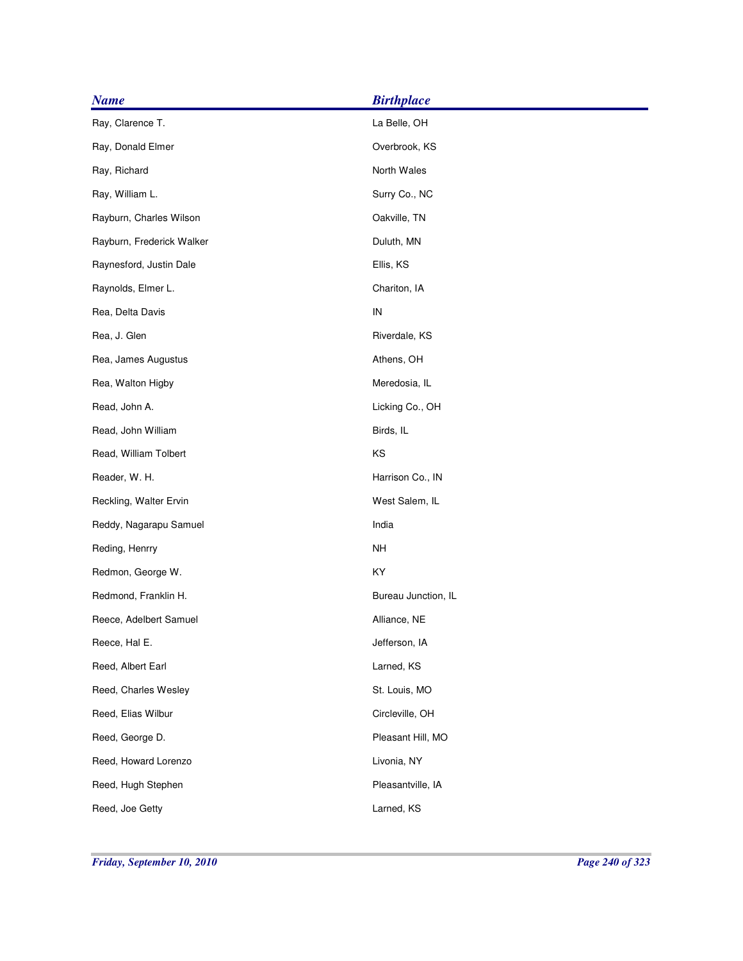| <b>Name</b>               | <b>Birthplace</b>   |
|---------------------------|---------------------|
| Ray, Clarence T.          | La Belle, OH        |
| Ray, Donald Elmer         | Overbrook, KS       |
| Ray, Richard              | North Wales         |
| Ray, William L.           | Surry Co., NC       |
| Rayburn, Charles Wilson   | Oakville, TN        |
| Rayburn, Frederick Walker | Duluth, MN          |
| Raynesford, Justin Dale   | Ellis, KS           |
| Raynolds, Elmer L.        | Chariton, IA        |
| Rea, Delta Davis          | IN                  |
| Rea, J. Glen              | Riverdale, KS       |
| Rea, James Augustus       | Athens, OH          |
| Rea, Walton Higby         | Meredosia, IL       |
| Read, John A.             | Licking Co., OH     |
| Read, John William        | Birds, IL           |
| Read, William Tolbert     | KS                  |
| Reader, W. H.             | Harrison Co., IN    |
| Reckling, Walter Ervin    | West Salem, IL      |
| Reddy, Nagarapu Samuel    | India               |
| Reding, Henrry            | NH                  |
| Redmon, George W.         | KY                  |
| Redmond, Franklin H.      | Bureau Junction, IL |
| Reece, Adelbert Samuel    | Alliance, NE        |
| Reece, Hal E.             | Jefferson, IA       |
| Reed, Albert Earl         | Larned, KS          |
| Reed, Charles Wesley      | St. Louis, MO       |
| Reed, Elias Wilbur        | Circleville, OH     |
| Reed, George D.           | Pleasant Hill, MO   |
| Reed, Howard Lorenzo      | Livonia, NY         |
| Reed, Hugh Stephen        | Pleasantville, IA   |
| Reed, Joe Getty           | Larned, KS          |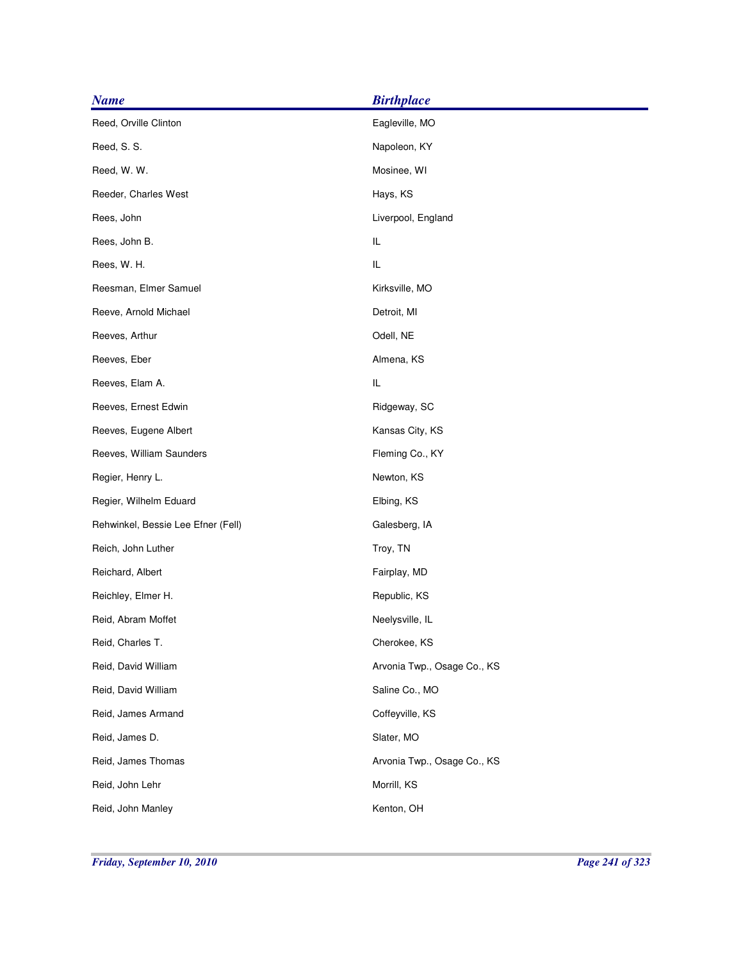| <b>Name</b>                        | <b>Birthplace</b>           |
|------------------------------------|-----------------------------|
| Reed, Orville Clinton              | Eagleville, MO              |
| Reed, S. S.                        | Napoleon, KY                |
| Reed, W. W.                        | Mosinee, WI                 |
| Reeder, Charles West               | Hays, KS                    |
| Rees, John                         | Liverpool, England          |
| Rees, John B.                      | IL                          |
| Rees, W. H.                        | IL                          |
| Reesman, Elmer Samuel              | Kirksville, MO              |
| Reeve, Arnold Michael              | Detroit, MI                 |
| Reeves, Arthur                     | Odell, NE                   |
| Reeves, Eber                       | Almena, KS                  |
| Reeves, Elam A.                    | IL                          |
| Reeves, Ernest Edwin               | Ridgeway, SC                |
| Reeves, Eugene Albert              | Kansas City, KS             |
| Reeves, William Saunders           | Fleming Co., KY             |
| Regier, Henry L.                   | Newton, KS                  |
| Regier, Wilhelm Eduard             | Elbing, KS                  |
| Rehwinkel, Bessie Lee Efner (Fell) | Galesberg, IA               |
| Reich, John Luther                 | Troy, TN                    |
| Reichard, Albert                   | Fairplay, MD                |
| Reichley, Elmer H.                 | Republic, KS                |
| Reid, Abram Moffet                 | Neelysville, IL             |
| Reid, Charles T.                   | Cherokee, KS                |
| Reid, David William                | Arvonia Twp., Osage Co., KS |
| Reid, David William                | Saline Co., MO              |
| Reid, James Armand                 | Coffeyville, KS             |
| Reid, James D.                     | Slater, MO                  |
| Reid, James Thomas                 | Arvonia Twp., Osage Co., KS |
| Reid, John Lehr                    | Morrill, KS                 |
| Reid, John Manley                  | Kenton, OH                  |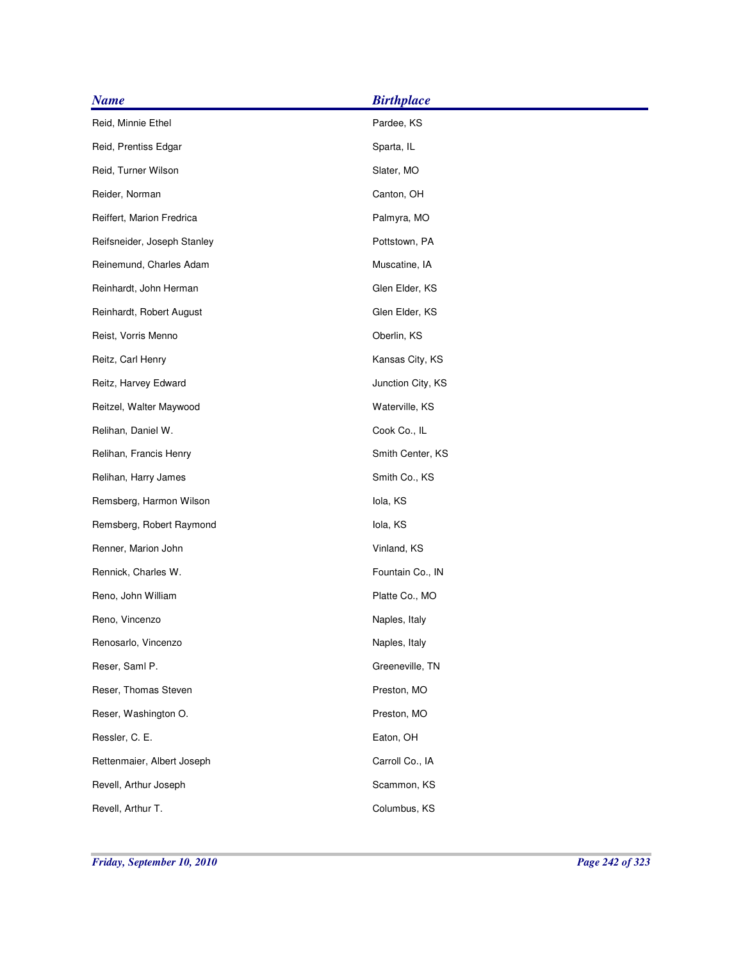| <b>Name</b>                 | <b>Birthplace</b> |
|-----------------------------|-------------------|
| Reid, Minnie Ethel          | Pardee, KS        |
| Reid, Prentiss Edgar        | Sparta, IL        |
| Reid, Turner Wilson         | Slater, MO        |
| Reider, Norman              | Canton, OH        |
| Reiffert, Marion Fredrica   | Palmyra, MO       |
| Reifsneider, Joseph Stanley | Pottstown, PA     |
| Reinemund, Charles Adam     | Muscatine, IA     |
| Reinhardt, John Herman      | Glen Elder, KS    |
| Reinhardt, Robert August    | Glen Elder, KS    |
| Reist, Vorris Menno         | Oberlin, KS       |
| Reitz, Carl Henry           | Kansas City, KS   |
| Reitz, Harvey Edward        | Junction City, KS |
| Reitzel, Walter Maywood     | Waterville, KS    |
| Relihan, Daniel W.          | Cook Co., IL      |
| Relihan, Francis Henry      | Smith Center, KS  |
| Relihan, Harry James        | Smith Co., KS     |
| Remsberg, Harmon Wilson     | lola, KS          |
| Remsberg, Robert Raymond    | lola, KS          |
| Renner, Marion John         | Vinland, KS       |
| Rennick, Charles W.         | Fountain Co., IN  |
| Reno, John William          | Platte Co., MO    |
| Reno, Vincenzo              | Naples, Italy     |
| Renosarlo, Vincenzo         | Naples, Italy     |
| Reser, Saml P.              | Greeneville, TN   |
| Reser, Thomas Steven        | Preston, MO       |
| Reser, Washington O.        | Preston, MO       |
| Ressler, C. E.              | Eaton, OH         |
| Rettenmaier, Albert Joseph  | Carroll Co., IA   |
| Revell, Arthur Joseph       | Scammon, KS       |
| Revell, Arthur T.           | Columbus, KS      |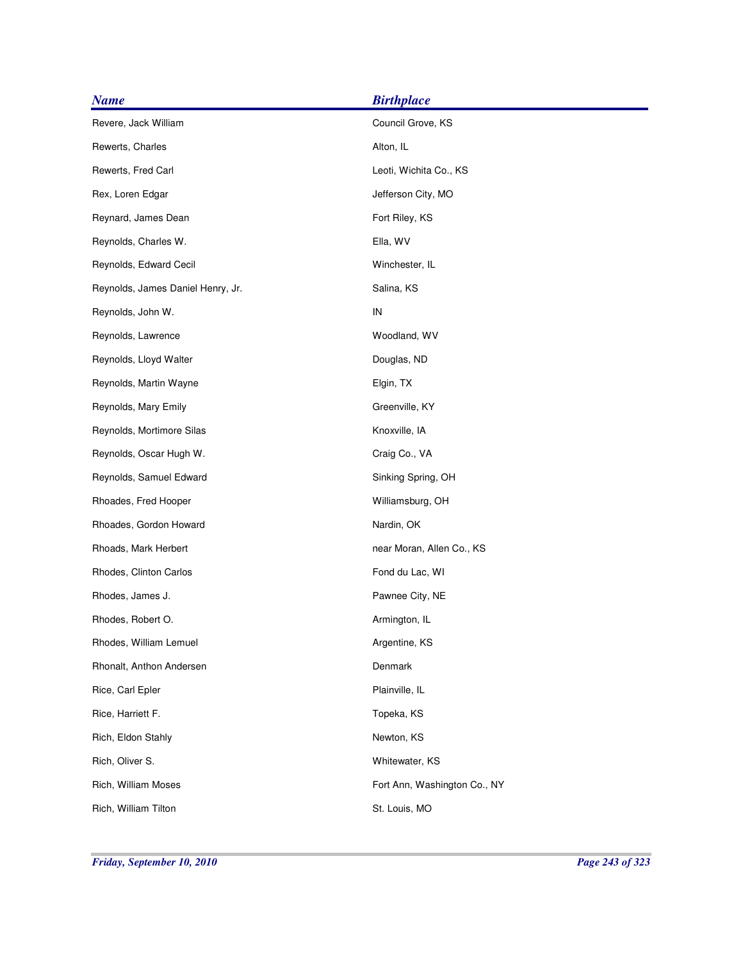| <b>Name</b>                       | <b>Birthplace</b>            |
|-----------------------------------|------------------------------|
| Revere, Jack William              | Council Grove, KS            |
| Rewerts, Charles                  | Alton, IL                    |
| Rewerts, Fred Carl                | Leoti, Wichita Co., KS       |
| Rex, Loren Edgar                  | Jefferson City, MO           |
| Reynard, James Dean               | Fort Riley, KS               |
| Reynolds, Charles W.              | Ella, WV                     |
| Reynolds, Edward Cecil            | Winchester, IL               |
| Reynolds, James Daniel Henry, Jr. | Salina, KS                   |
| Reynolds, John W.                 | IN                           |
| Reynolds, Lawrence                | Woodland, WV                 |
| Reynolds, Lloyd Walter            | Douglas, ND                  |
| Reynolds, Martin Wayne            | Elgin, TX                    |
| Reynolds, Mary Emily              | Greenville, KY               |
| Reynolds, Mortimore Silas         | Knoxville, IA                |
| Reynolds, Oscar Hugh W.           | Craig Co., VA                |
| Reynolds, Samuel Edward           | Sinking Spring, OH           |
| Rhoades, Fred Hooper              | Williamsburg, OH             |
| Rhoades, Gordon Howard            | Nardin, OK                   |
| Rhoads, Mark Herbert              | near Moran, Allen Co., KS    |
| Rhodes, Clinton Carlos            | Fond du Lac, WI              |
| Rhodes, James J.                  | Pawnee City, NE              |
| Rhodes, Robert O.                 | Armington, IL                |
| Rhodes, William Lemuel            | Argentine, KS                |
| Rhonalt, Anthon Andersen          | Denmark                      |
| Rice, Carl Epler                  | Plainville, IL               |
| Rice, Harriett F.                 | Topeka, KS                   |
| Rich, Eldon Stahly                | Newton, KS                   |
| Rich, Oliver S.                   | Whitewater, KS               |
| Rich, William Moses               | Fort Ann, Washington Co., NY |
| Rich, William Tilton              | St. Louis, MO                |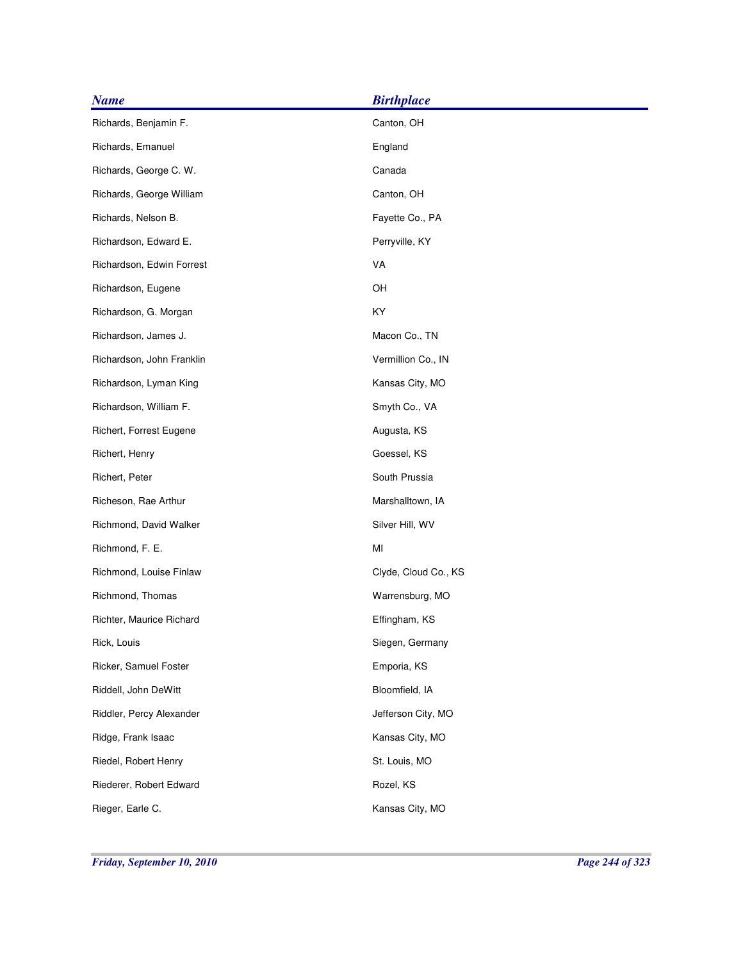| <b>Name</b>               | <b>Birthplace</b>    |
|---------------------------|----------------------|
| Richards, Benjamin F.     | Canton, OH           |
| Richards, Emanuel         | England              |
| Richards, George C. W.    | Canada               |
| Richards, George William  | Canton, OH           |
| Richards, Nelson B.       | Fayette Co., PA      |
| Richardson, Edward E.     | Perryville, KY       |
| Richardson, Edwin Forrest | VA                   |
| Richardson, Eugene        | OH                   |
| Richardson, G. Morgan     | KY                   |
| Richardson, James J.      | Macon Co., TN        |
| Richardson, John Franklin | Vermillion Co., IN   |
| Richardson, Lyman King    | Kansas City, MO      |
| Richardson, William F.    | Smyth Co., VA        |
| Richert, Forrest Eugene   | Augusta, KS          |
| Richert, Henry            | Goessel, KS          |
| Richert, Peter            | South Prussia        |
| Richeson, Rae Arthur      | Marshalltown, IA     |
| Richmond, David Walker    | Silver Hill, WV      |
| Richmond, F. E.           | MI                   |
| Richmond, Louise Finlaw   | Clyde, Cloud Co., KS |
| Richmond, Thomas          | Warrensburg, MO      |
| Richter, Maurice Richard  | Effingham, KS        |
| Rick, Louis               | Siegen, Germany      |
| Ricker, Samuel Foster     | Emporia, KS          |
| Riddell, John DeWitt      | Bloomfield, IA       |
| Riddler, Percy Alexander  | Jefferson City, MO   |
| Ridge, Frank Isaac        | Kansas City, MO      |
| Riedel, Robert Henry      | St. Louis, MO        |
| Riederer, Robert Edward   | Rozel, KS            |
| Rieger, Earle C.          | Kansas City, MO      |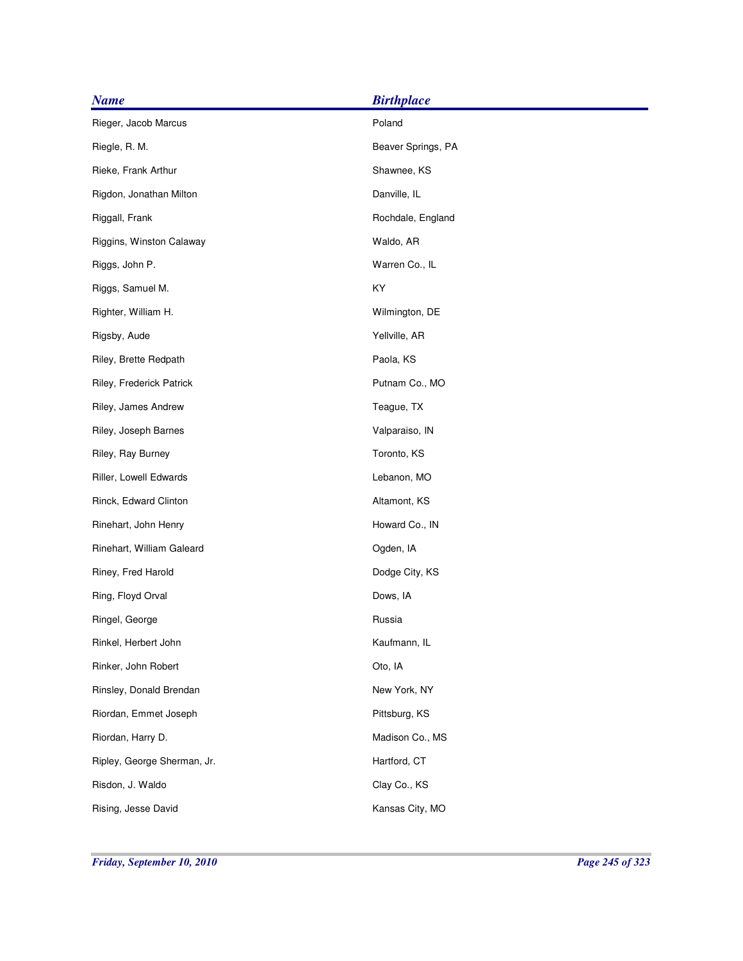| <b>Name</b>                 | <b>Birthplace</b>  |
|-----------------------------|--------------------|
| Rieger, Jacob Marcus        | Poland             |
| Riegle, R. M.               | Beaver Springs, PA |
| Rieke, Frank Arthur         | Shawnee, KS        |
| Rigdon, Jonathan Milton     | Danville, IL       |
| Riggall, Frank              | Rochdale, England  |
| Riggins, Winston Calaway    | Waldo, AR          |
| Riggs, John P.              | Warren Co., IL     |
| Riggs, Samuel M.            | KY                 |
| Righter, William H.         | Wilmington, DE     |
| Rigsby, Aude                | Yellville, AR      |
| Riley, Brette Redpath       | Paola, KS          |
| Riley, Frederick Patrick    | Putnam Co., MO     |
| Riley, James Andrew         | Teague, TX         |
| Riley, Joseph Barnes        | Valparaiso, IN     |
| Riley, Ray Burney           | Toronto, KS        |
| Riller, Lowell Edwards      | Lebanon, MO        |
| Rinck, Edward Clinton       | Altamont, KS       |
| Rinehart, John Henry        | Howard Co., IN     |
| Rinehart, William Galeard   | Ogden, IA          |
| Riney, Fred Harold          | Dodge City, KS     |
| Ring, Floyd Orval           | Dows, IA           |
| Ringel, George              | Russia             |
| Rinkel, Herbert John        | Kaufmann, IL       |
| Rinker, John Robert         | Oto, IA            |
| Rinsley, Donald Brendan     | New York, NY       |
| Riordan, Emmet Joseph       | Pittsburg, KS      |
| Riordan, Harry D.           | Madison Co., MS    |
| Ripley, George Sherman, Jr. | Hartford, CT       |
| Risdon, J. Waldo            | Clay Co., KS       |
| Rising, Jesse David         | Kansas City, MO    |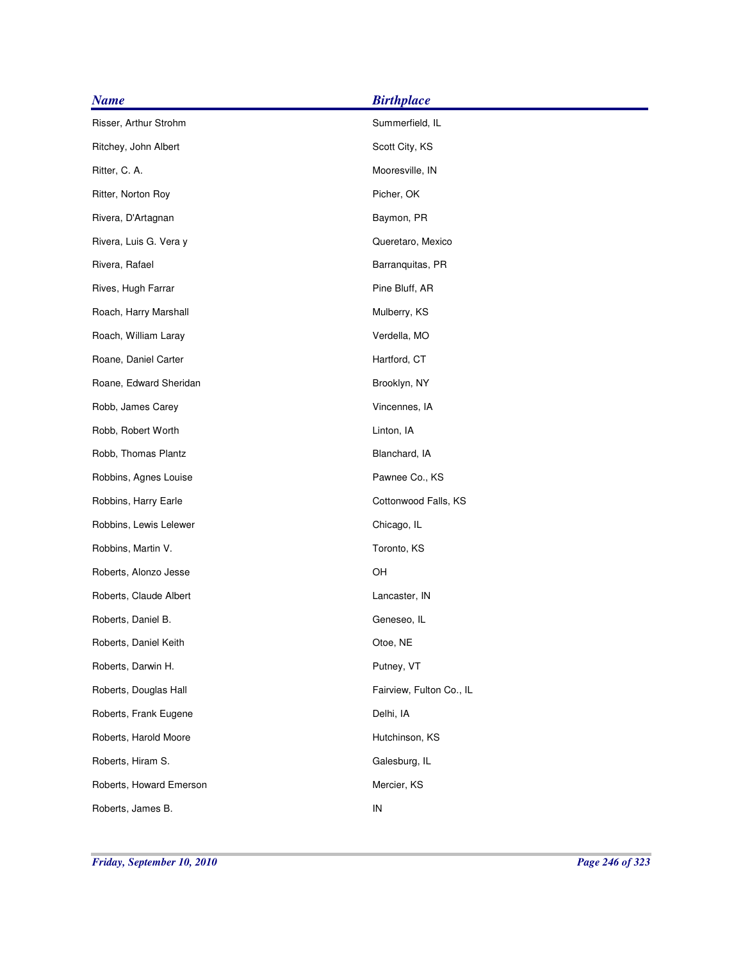| <b>Name</b>             | <b>Birthplace</b>        |
|-------------------------|--------------------------|
| Risser, Arthur Strohm   | Summerfield, IL          |
| Ritchey, John Albert    | Scott City, KS           |
| Ritter, C. A.           | Mooresville, IN          |
| Ritter, Norton Roy      | Picher, OK               |
| Rivera, D'Artagnan      | Baymon, PR               |
| Rivera, Luis G. Vera y  | Queretaro, Mexico        |
| Rivera, Rafael          | Barranquitas, PR         |
| Rives, Hugh Farrar      | Pine Bluff, AR           |
| Roach, Harry Marshall   | Mulberry, KS             |
| Roach, William Laray    | Verdella, MO             |
| Roane, Daniel Carter    | Hartford, CT             |
| Roane, Edward Sheridan  | Brooklyn, NY             |
| Robb, James Carey       | Vincennes, IA            |
| Robb, Robert Worth      | Linton, IA               |
| Robb, Thomas Plantz     | Blanchard, IA            |
| Robbins, Agnes Louise   | Pawnee Co., KS           |
| Robbins, Harry Earle    | Cottonwood Falls, KS     |
| Robbins, Lewis Lelewer  | Chicago, IL              |
| Robbins, Martin V.      | Toronto, KS              |
| Roberts, Alonzo Jesse   | OH                       |
| Roberts, Claude Albert  | Lancaster, IN            |
| Roberts, Daniel B.      | Geneseo, IL              |
| Roberts, Daniel Keith   | Otoe, NE                 |
| Roberts, Darwin H.      | Putney, VT               |
| Roberts, Douglas Hall   | Fairview, Fulton Co., IL |
| Roberts, Frank Eugene   | Delhi, IA                |
| Roberts, Harold Moore   | Hutchinson, KS           |
| Roberts, Hiram S.       | Galesburg, IL            |
| Roberts, Howard Emerson | Mercier, KS              |
| Roberts, James B.       | IN                       |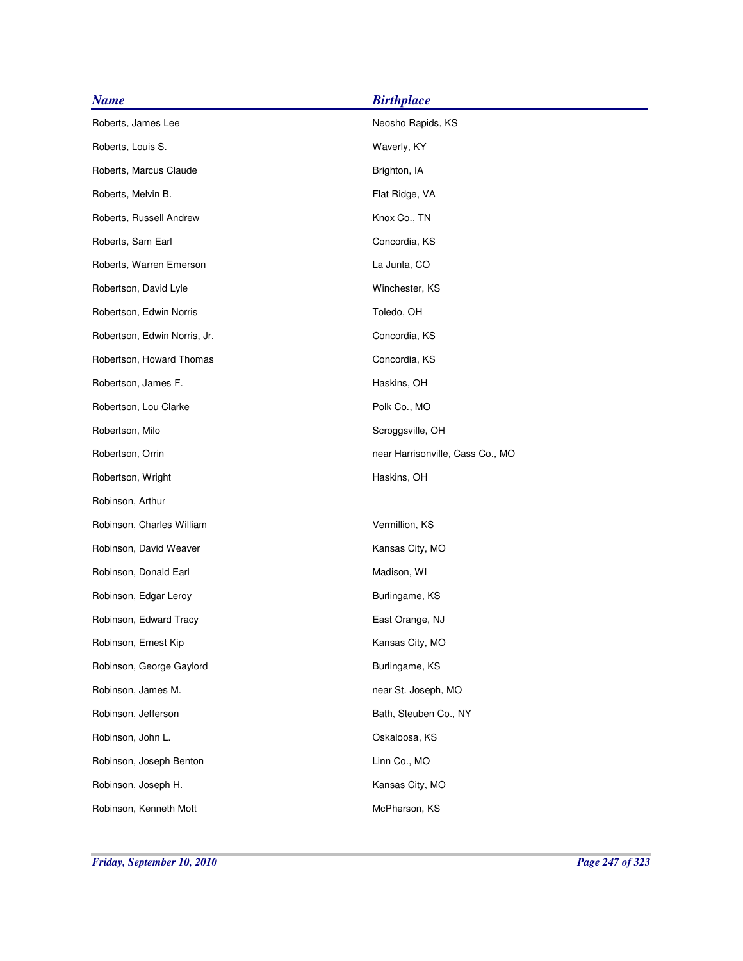| <b>Name</b>                  | <b>Birthplace</b>                |
|------------------------------|----------------------------------|
| Roberts, James Lee           | Neosho Rapids, KS                |
| Roberts, Louis S.            | Waverly, KY                      |
| Roberts, Marcus Claude       | Brighton, IA                     |
| Roberts, Melvin B.           | Flat Ridge, VA                   |
| Roberts, Russell Andrew      | Knox Co., TN                     |
| Roberts, Sam Earl            | Concordia, KS                    |
| Roberts, Warren Emerson      | La Junta, CO                     |
| Robertson, David Lyle        | Winchester, KS                   |
| Robertson, Edwin Norris      | Toledo, OH                       |
| Robertson, Edwin Norris, Jr. | Concordia, KS                    |
| Robertson, Howard Thomas     | Concordia, KS                    |
| Robertson, James F.          | Haskins, OH                      |
| Robertson, Lou Clarke        | Polk Co., MO                     |
| Robertson, Milo              | Scroggsville, OH                 |
| Robertson, Orrin             | near Harrisonville, Cass Co., MO |
| Robertson, Wright            | Haskins, OH                      |
| Robinson, Arthur             |                                  |
| Robinson, Charles William    | Vermillion, KS                   |
| Robinson, David Weaver       | Kansas City, MO                  |
| Robinson, Donald Earl        | Madison, WI                      |
| Robinson, Edgar Leroy        | Burlingame, KS                   |
| Robinson, Edward Tracy       | East Orange, NJ                  |
| Robinson, Ernest Kip         | Kansas City, MO                  |
| Robinson, George Gaylord     | Burlingame, KS                   |
| Robinson, James M.           | near St. Joseph, MO              |
| Robinson, Jefferson          | Bath, Steuben Co., NY            |
| Robinson, John L.            | Oskaloosa, KS                    |
| Robinson, Joseph Benton      | Linn Co., MO                     |
| Robinson, Joseph H.          | Kansas City, MO                  |
| Robinson, Kenneth Mott       | McPherson, KS                    |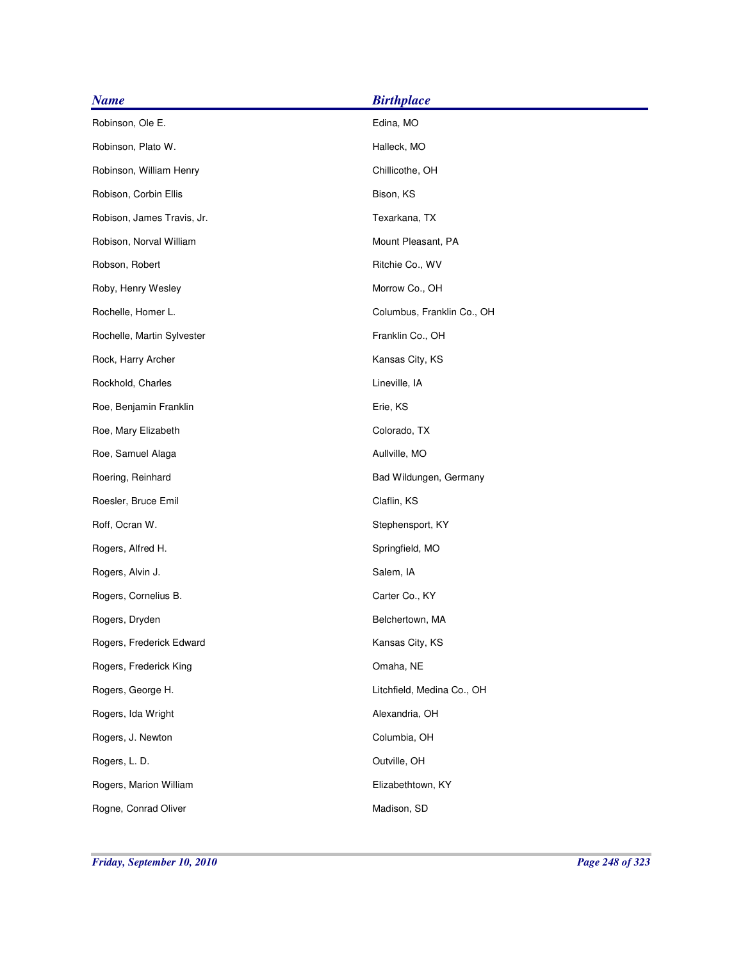| <b>Birthplace</b>          |
|----------------------------|
| Edina, MO                  |
| Halleck, MO                |
| Chillicothe, OH            |
| Bison, KS                  |
| Texarkana, TX              |
| Mount Pleasant, PA         |
| Ritchie Co., WV            |
| Morrow Co., OH             |
| Columbus, Franklin Co., OH |
| Franklin Co., OH           |
| Kansas City, KS            |
| Lineville, IA              |
| Erie, KS                   |
| Colorado, TX               |
| Aullville, MO              |
| Bad Wildungen, Germany     |
| Claflin, KS                |
| Stephensport, KY           |
| Springfield, MO            |
| Salem, IA                  |
| Carter Co., KY             |
| Belchertown, MA            |
| Kansas City, KS            |
| Omaha, NE                  |
| Litchfield, Medina Co., OH |
| Alexandria, OH             |
| Columbia, OH               |
| Outville, OH               |
| Elizabethtown, KY          |
| Madison, SD                |
|                            |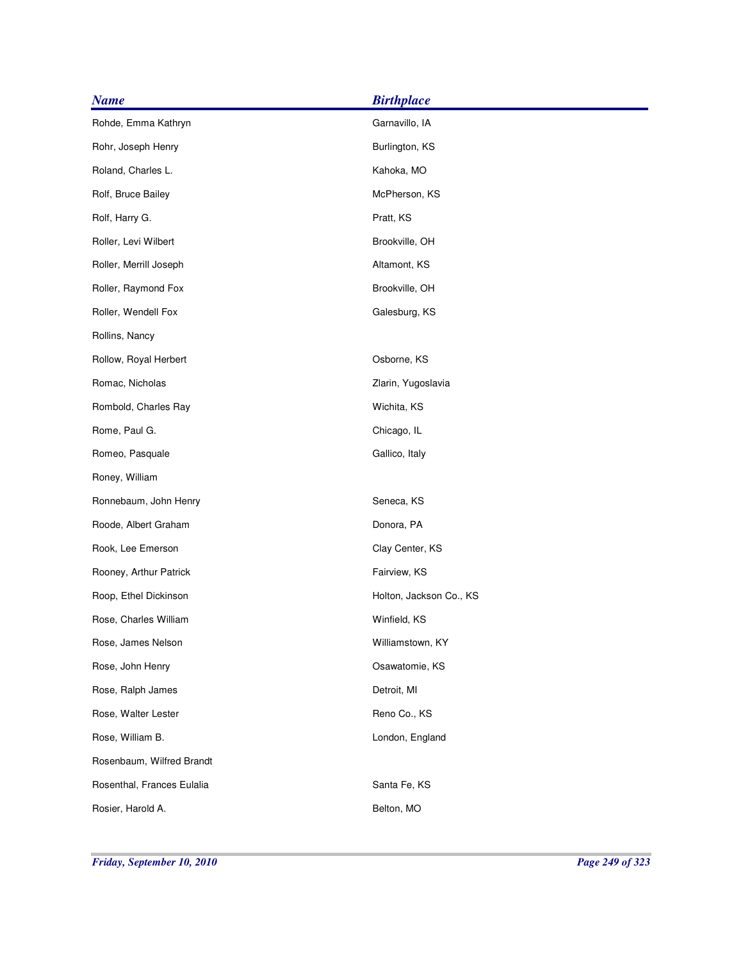| <b>Name</b>                | <b>Birthplace</b>       |
|----------------------------|-------------------------|
| Rohde, Emma Kathryn        | Garnavillo, IA          |
| Rohr, Joseph Henry         | Burlington, KS          |
| Roland, Charles L.         | Kahoka, MO              |
| Rolf, Bruce Bailey         | McPherson, KS           |
| Rolf, Harry G.             | Pratt, KS               |
| Roller, Levi Wilbert       | Brookville, OH          |
| Roller, Merrill Joseph     | Altamont, KS            |
| Roller, Raymond Fox        | Brookville, OH          |
| Roller, Wendell Fox        | Galesburg, KS           |
| Rollins, Nancy             |                         |
| Rollow, Royal Herbert      | Osborne, KS             |
| Romac, Nicholas            | Zlarin, Yugoslavia      |
| Rombold, Charles Ray       | Wichita, KS             |
| Rome, Paul G.              | Chicago, IL             |
| Romeo, Pasquale            | Gallico, Italy          |
| Roney, William             |                         |
| Ronnebaum, John Henry      | Seneca, KS              |
| Roode, Albert Graham       | Donora, PA              |
| Rook, Lee Emerson          | Clay Center, KS         |
| Rooney, Arthur Patrick     | Fairview, KS            |
| Roop, Ethel Dickinson      | Holton, Jackson Co., KS |
| Rose, Charles William      | Winfield, KS            |
| Rose, James Nelson         | Williamstown, KY        |
| Rose, John Henry           | Osawatomie, KS          |
| Rose, Ralph James          | Detroit, MI             |
| Rose, Walter Lester        | Reno Co., KS            |
| Rose, William B.           | London, England         |
| Rosenbaum, Wilfred Brandt  |                         |
| Rosenthal, Frances Eulalia | Santa Fe, KS            |
| Rosier, Harold A.          | Belton, MO              |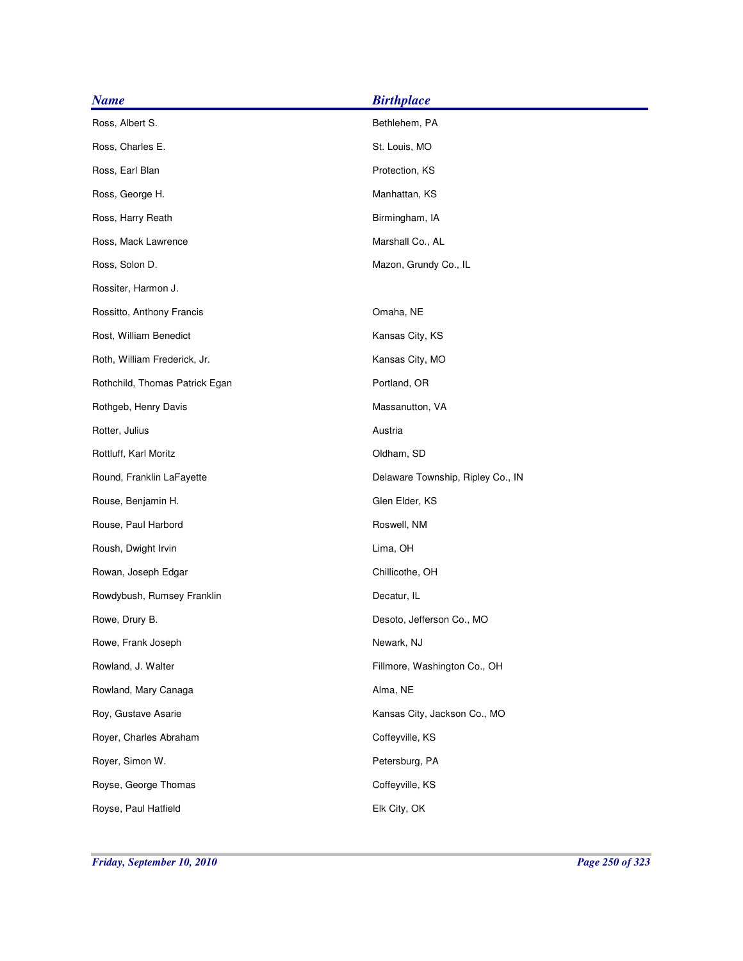| <b>Name</b>                    | <b>Birthplace</b>                 |
|--------------------------------|-----------------------------------|
| Ross, Albert S.                | Bethlehem, PA                     |
| Ross, Charles E.               | St. Louis, MO                     |
| Ross, Earl Blan                | Protection, KS                    |
| Ross, George H.                | Manhattan, KS                     |
| Ross, Harry Reath              | Birmingham, IA                    |
| Ross, Mack Lawrence            | Marshall Co., AL                  |
| Ross, Solon D.                 | Mazon, Grundy Co., IL             |
| Rossiter, Harmon J.            |                                   |
| Rossitto, Anthony Francis      | Omaha, NE                         |
| Rost, William Benedict         | Kansas City, KS                   |
| Roth, William Frederick, Jr.   | Kansas City, MO                   |
| Rothchild, Thomas Patrick Egan | Portland, OR                      |
| Rothgeb, Henry Davis           | Massanutton, VA                   |
| Rotter, Julius                 | Austria                           |
| Rottluff, Karl Moritz          | Oldham, SD                        |
| Round, Franklin LaFayette      | Delaware Township, Ripley Co., IN |
| Rouse, Benjamin H.             | Glen Elder, KS                    |
| Rouse, Paul Harbord            | Roswell, NM                       |
| Roush, Dwight Irvin            | Lima, OH                          |
| Rowan, Joseph Edgar            | Chillicothe, OH                   |
| Rowdybush, Rumsey Franklin     | Decatur, IL                       |
| Rowe, Drury B.                 | Desoto, Jefferson Co., MO         |
| Rowe, Frank Joseph             | Newark, NJ                        |
| Rowland, J. Walter             | Fillmore, Washington Co., OH      |
| Rowland, Mary Canaga           | Alma, NE                          |
| Roy, Gustave Asarie            | Kansas City, Jackson Co., MO      |
| Royer, Charles Abraham         | Coffeyville, KS                   |
| Royer, Simon W.                | Petersburg, PA                    |
| Royse, George Thomas           | Coffeyville, KS                   |
| Royse, Paul Hatfield           | Elk City, OK                      |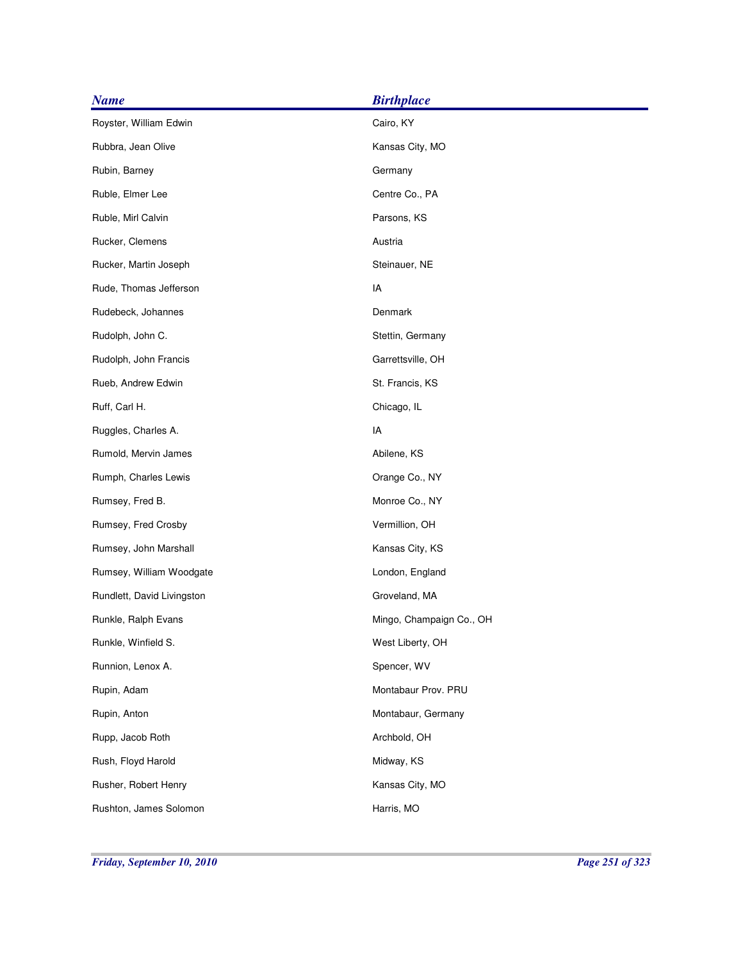| <b>Name</b>                | <b>Birthplace</b>        |
|----------------------------|--------------------------|
| Royster, William Edwin     | Cairo, KY                |
| Rubbra, Jean Olive         | Kansas City, MO          |
| Rubin, Barney              | Germany                  |
| Ruble, Elmer Lee           | Centre Co., PA           |
| Ruble, Mirl Calvin         | Parsons, KS              |
| Rucker, Clemens            | Austria                  |
| Rucker, Martin Joseph      | Steinauer, NE            |
| Rude, Thomas Jefferson     | IA                       |
| Rudebeck, Johannes         | Denmark                  |
| Rudolph, John C.           | Stettin, Germany         |
| Rudolph, John Francis      | Garrettsville, OH        |
| Rueb, Andrew Edwin         | St. Francis, KS          |
| Ruff, Carl H.              | Chicago, IL              |
| Ruggles, Charles A.        | IA                       |
| Rumold, Mervin James       | Abilene, KS              |
| Rumph, Charles Lewis       | Orange Co., NY           |
| Rumsey, Fred B.            | Monroe Co., NY           |
| Rumsey, Fred Crosby        | Vermillion, OH           |
| Rumsey, John Marshall      | Kansas City, KS          |
| Rumsey, William Woodgate   | London, England          |
| Rundlett, David Livingston | Groveland, MA            |
| Runkle, Ralph Evans        | Mingo, Champaign Co., OH |
| Runkle, Winfield S.        | West Liberty, OH         |
| Runnion, Lenox A.          | Spencer, WV              |
| Rupin, Adam                | Montabaur Prov. PRU      |
| Rupin, Anton               | Montabaur, Germany       |
| Rupp, Jacob Roth           | Archbold, OH             |
| Rush, Floyd Harold         | Midway, KS               |
| Rusher, Robert Henry       | Kansas City, MO          |
| Rushton, James Solomon     | Harris, MO               |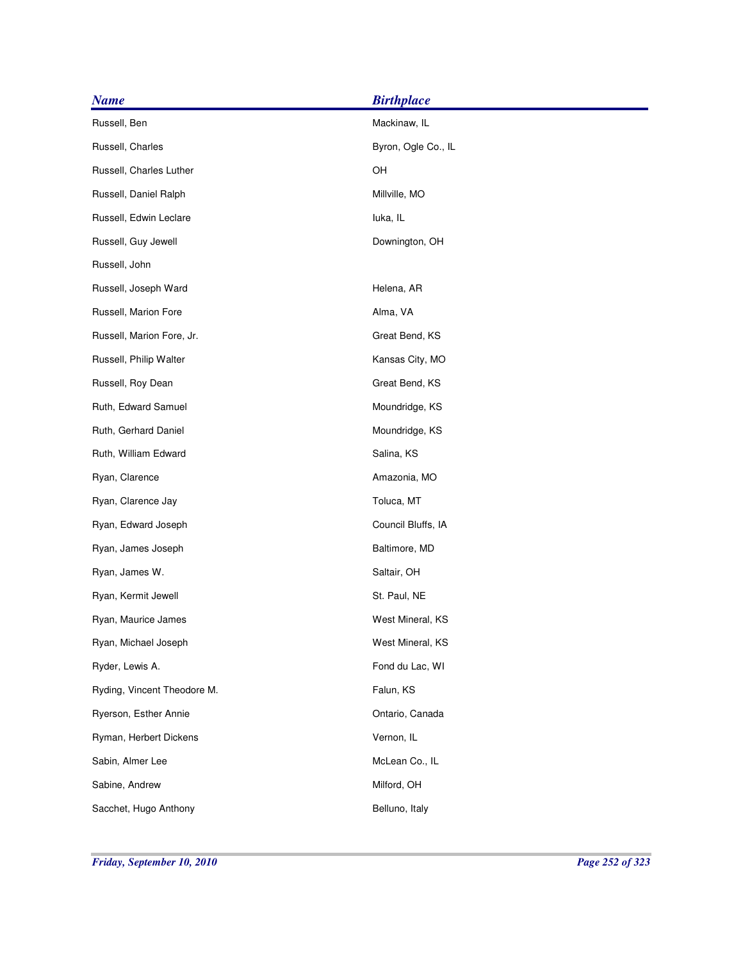| <b>Name</b>                 | <b>Birthplace</b>   |
|-----------------------------|---------------------|
| Russell, Ben                | Mackinaw, IL        |
| Russell, Charles            | Byron, Ogle Co., IL |
| Russell, Charles Luther     | OH                  |
| Russell, Daniel Ralph       | Millville, MO       |
| Russell, Edwin Leclare      | luka, IL            |
| Russell, Guy Jewell         | Downington, OH      |
| Russell, John               |                     |
| Russell, Joseph Ward        | Helena, AR          |
| Russell, Marion Fore        | Alma, VA            |
| Russell, Marion Fore, Jr.   | Great Bend, KS      |
| Russell, Philip Walter      | Kansas City, MO     |
| Russell, Roy Dean           | Great Bend, KS      |
| Ruth, Edward Samuel         | Moundridge, KS      |
| Ruth, Gerhard Daniel        | Moundridge, KS      |
| Ruth, William Edward        | Salina, KS          |
| Ryan, Clarence              | Amazonia, MO        |
| Ryan, Clarence Jay          | Toluca, MT          |
| Ryan, Edward Joseph         | Council Bluffs, IA  |
| Ryan, James Joseph          | Baltimore, MD       |
| Ryan, James W.              | Saltair, OH         |
| Ryan, Kermit Jewell         | St. Paul, NE        |
| Ryan, Maurice James         | West Mineral, KS    |
| Ryan, Michael Joseph        | West Mineral, KS    |
| Ryder, Lewis A.             | Fond du Lac, WI     |
| Ryding, Vincent Theodore M. | Falun, KS           |
| Ryerson, Esther Annie       | Ontario, Canada     |
| Ryman, Herbert Dickens      | Vernon, IL          |
| Sabin, Almer Lee            | McLean Co., IL      |
| Sabine, Andrew              | Milford, OH         |
| Sacchet, Hugo Anthony       | Belluno, Italy      |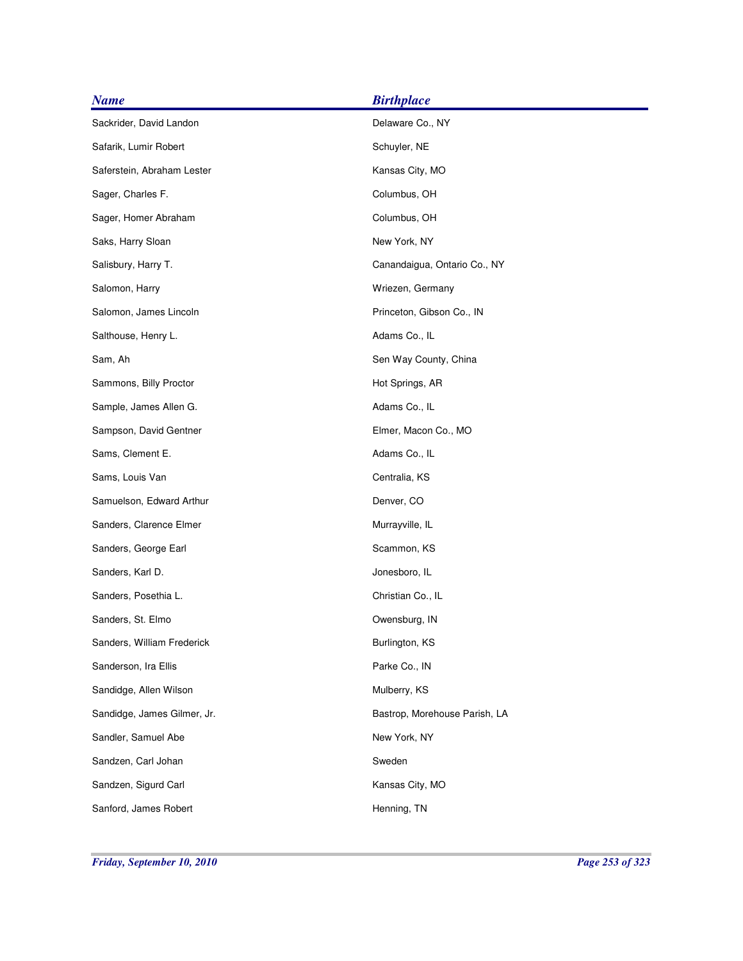| Delaware Co., NY<br>Schuyler, NE<br>Kansas City, MO |
|-----------------------------------------------------|
|                                                     |
|                                                     |
|                                                     |
| Columbus, OH                                        |
| Columbus, OH                                        |
| New York, NY                                        |
| Canandaigua, Ontario Co., NY                        |
| Wriezen, Germany                                    |
| Princeton, Gibson Co., IN                           |
| Adams Co., IL                                       |
| Sen Way County, China                               |
| Hot Springs, AR                                     |
| Adams Co., IL                                       |
| Elmer, Macon Co., MO                                |
| Adams Co., IL                                       |
| Centralia, KS                                       |
| Denver, CO                                          |
| Murrayville, IL                                     |
| Scammon, KS                                         |
| Jonesboro, IL                                       |
| Christian Co., IL                                   |
| Owensburg, IN                                       |
| Burlington, KS                                      |
| Parke Co., IN                                       |
| Mulberry, KS                                        |
| Bastrop, Morehouse Parish, LA                       |
| New York, NY                                        |
| Sweden                                              |
| Kansas City, MO                                     |
| Henning, TN                                         |
|                                                     |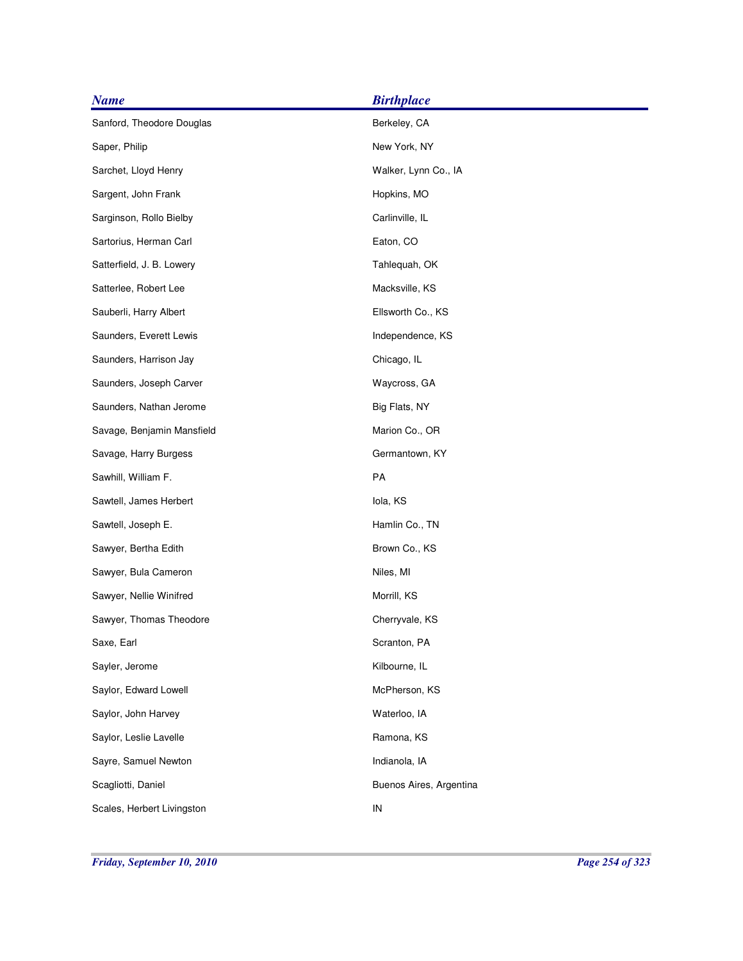| <b>Name</b>                | <b>Birthplace</b>       |
|----------------------------|-------------------------|
| Sanford, Theodore Douglas  | Berkeley, CA            |
| Saper, Philip              | New York, NY            |
| Sarchet, Lloyd Henry       | Walker, Lynn Co., IA    |
| Sargent, John Frank        | Hopkins, MO             |
| Sarginson, Rollo Bielby    | Carlinville, IL         |
| Sartorius, Herman Carl     | Eaton, CO               |
| Satterfield, J. B. Lowery  | Tahlequah, OK           |
| Satterlee, Robert Lee      | Macksville, KS          |
| Sauberli, Harry Albert     | Ellsworth Co., KS       |
| Saunders, Everett Lewis    | Independence, KS        |
| Saunders, Harrison Jay     | Chicago, IL             |
| Saunders, Joseph Carver    | Waycross, GA            |
| Saunders, Nathan Jerome    | Big Flats, NY           |
| Savage, Benjamin Mansfield | Marion Co., OR          |
| Savage, Harry Burgess      | Germantown, KY          |
| Sawhill, William F.        | PA                      |
| Sawtell, James Herbert     | lola, KS                |
| Sawtell, Joseph E.         | Hamlin Co., TN          |
| Sawyer, Bertha Edith       | Brown Co., KS           |
| Sawyer, Bula Cameron       | Niles, MI               |
| Sawyer, Nellie Winifred    | Morrill, KS             |
| Sawyer, Thomas Theodore    | Cherryvale, KS          |
| Saxe, Earl                 | Scranton, PA            |
| Sayler, Jerome             | Kilbourne, IL           |
| Saylor, Edward Lowell      | McPherson, KS           |
| Saylor, John Harvey        | Waterloo, IA            |
| Saylor, Leslie Lavelle     | Ramona, KS              |
| Sayre, Samuel Newton       | Indianola, IA           |
| Scagliotti, Daniel         | Buenos Aires, Argentina |
| Scales, Herbert Livingston | IN                      |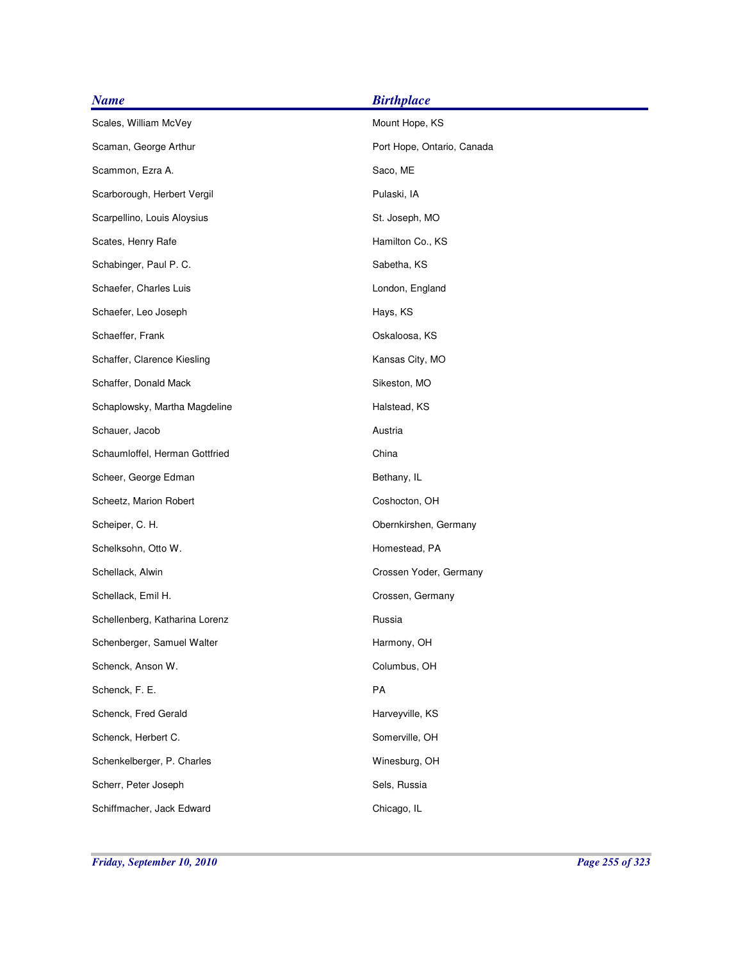| <b>Name</b>                    | <b>Birthplace</b>          |
|--------------------------------|----------------------------|
| Scales, William McVey          | Mount Hope, KS             |
| Scaman, George Arthur          | Port Hope, Ontario, Canada |
| Scammon, Ezra A.               | Saco, ME                   |
| Scarborough, Herbert Vergil    | Pulaski, IA                |
| Scarpellino, Louis Aloysius    | St. Joseph, MO             |
| Scates, Henry Rafe             | Hamilton Co., KS           |
| Schabinger, Paul P. C.         | Sabetha, KS                |
| Schaefer, Charles Luis         | London, England            |
| Schaefer, Leo Joseph           | Hays, KS                   |
| Schaeffer, Frank               | Oskaloosa, KS              |
| Schaffer, Clarence Kiesling    | Kansas City, MO            |
| Schaffer, Donald Mack          | Sikeston, MO               |
| Schaplowsky, Martha Magdeline  | Halstead, KS               |
| Schauer, Jacob                 | Austria                    |
| Schaumloffel, Herman Gottfried | China                      |
| Scheer, George Edman           | Bethany, IL                |
| Scheetz, Marion Robert         | Coshocton, OH              |
| Scheiper, C. H.                | Obernkirshen, Germany      |
| Schelksohn, Otto W.            | Homestead, PA              |
| Schellack, Alwin               | Crossen Yoder, Germany     |
| Schellack, Emil H.             | Crossen, Germany           |
| Schellenberg, Katharina Lorenz | Russia                     |
| Schenberger, Samuel Walter     | Harmony, OH                |
| Schenck, Anson W.              | Columbus, OH               |
| Schenck, F. E.                 | PA                         |
| Schenck, Fred Gerald           | Harveyville, KS            |
| Schenck, Herbert C.            | Somerville, OH             |
| Schenkelberger, P. Charles     | Winesburg, OH              |
| Scherr, Peter Joseph           | Sels, Russia               |
| Schiffmacher, Jack Edward      | Chicago, IL                |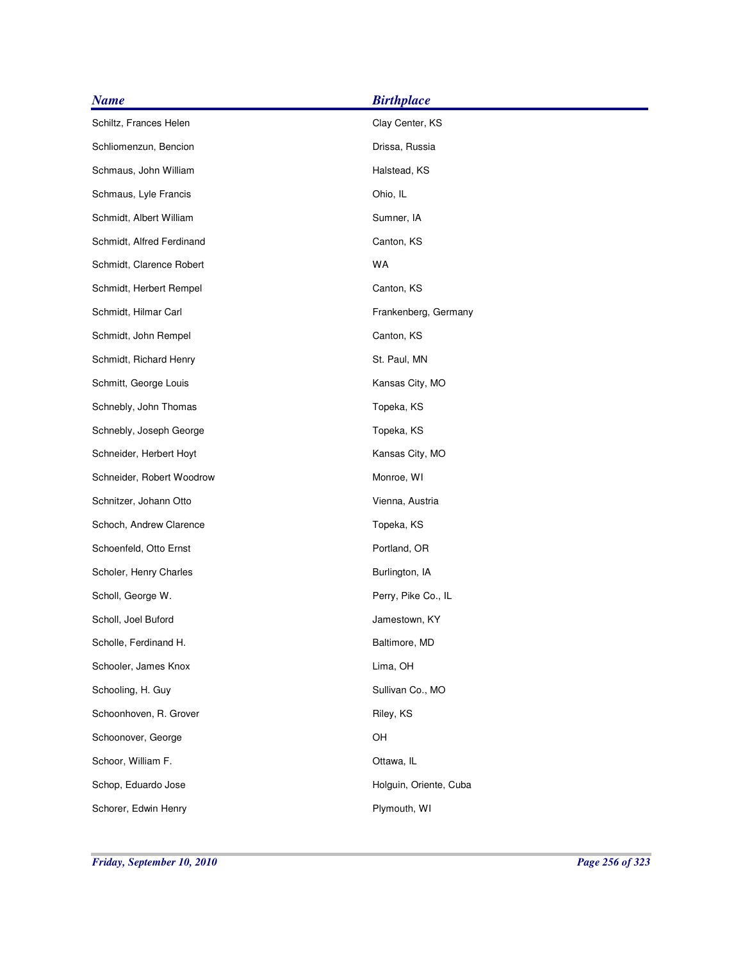| <b>Name</b>               | <b>Birthplace</b>      |
|---------------------------|------------------------|
| Schiltz, Frances Helen    | Clay Center, KS        |
| Schliomenzun, Bencion     | Drissa, Russia         |
| Schmaus, John William     | Halstead, KS           |
| Schmaus, Lyle Francis     | Ohio, IL               |
| Schmidt, Albert William   | Sumner, IA             |
| Schmidt, Alfred Ferdinand | Canton, KS             |
| Schmidt, Clarence Robert  | WA                     |
| Schmidt, Herbert Rempel   | Canton, KS             |
| Schmidt, Hilmar Carl      | Frankenberg, Germany   |
| Schmidt, John Rempel      | Canton, KS             |
| Schmidt, Richard Henry    | St. Paul, MN           |
| Schmitt, George Louis     | Kansas City, MO        |
| Schnebly, John Thomas     | Topeka, KS             |
| Schnebly, Joseph George   | Topeka, KS             |
| Schneider, Herbert Hoyt   | Kansas City, MO        |
| Schneider, Robert Woodrow | Monroe, WI             |
| Schnitzer, Johann Otto    | Vienna, Austria        |
| Schoch, Andrew Clarence   | Topeka, KS             |
| Schoenfeld, Otto Ernst    | Portland, OR           |
| Scholer, Henry Charles    | Burlington, IA         |
| Scholl, George W.         | Perry, Pike Co., IL    |
| Scholl, Joel Buford       | Jamestown, KY          |
| Scholle, Ferdinand H.     | Baltimore, MD          |
| Schooler, James Knox      | Lima, OH               |
| Schooling, H. Guy         | Sullivan Co., MO       |
| Schoonhoven, R. Grover    | Riley, KS              |
| Schoonover, George        | OH                     |
| Schoor, William F.        | Ottawa, IL             |
| Schop, Eduardo Jose       | Holguin, Oriente, Cuba |
| Schorer, Edwin Henry      | Plymouth, WI           |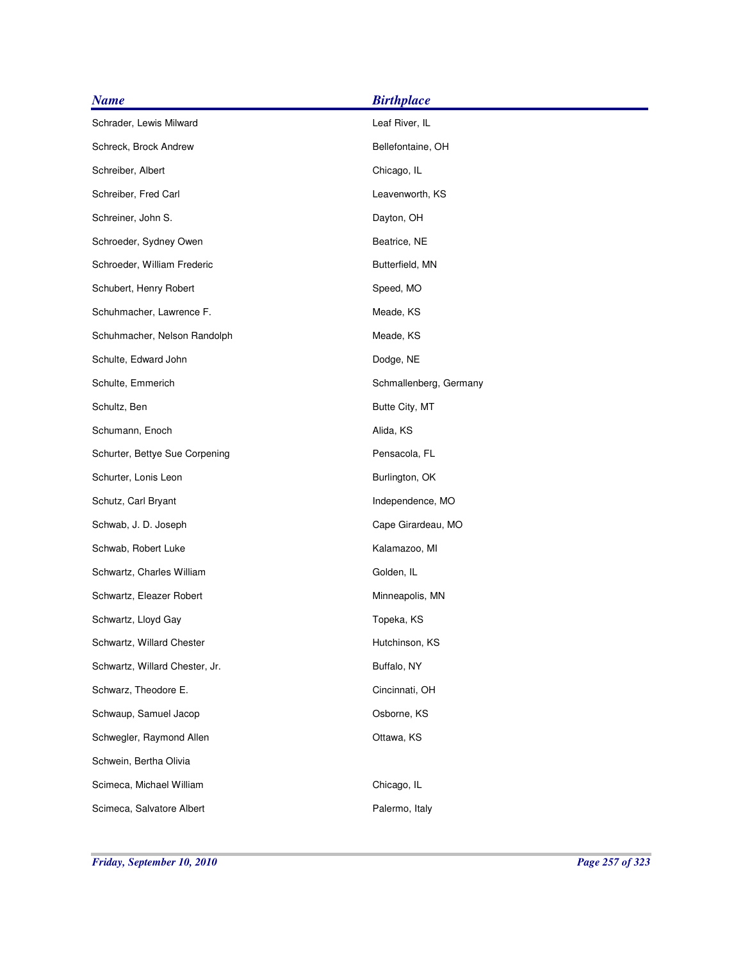| <b>Name</b>                    | <b>Birthplace</b>      |
|--------------------------------|------------------------|
| Schrader, Lewis Milward        | Leaf River, IL         |
| Schreck, Brock Andrew          | Bellefontaine, OH      |
| Schreiber, Albert              | Chicago, IL            |
| Schreiber, Fred Carl           | Leavenworth, KS        |
| Schreiner, John S.             | Dayton, OH             |
| Schroeder, Sydney Owen         | Beatrice, NE           |
| Schroeder, William Frederic    | Butterfield, MN        |
| Schubert, Henry Robert         | Speed, MO              |
| Schuhmacher, Lawrence F.       | Meade, KS              |
| Schuhmacher, Nelson Randolph   | Meade, KS              |
| Schulte, Edward John           | Dodge, NE              |
| Schulte, Emmerich              | Schmallenberg, Germany |
| Schultz, Ben                   | Butte City, MT         |
| Schumann, Enoch                | Alida, KS              |
| Schurter, Bettye Sue Corpening | Pensacola, FL          |
| Schurter, Lonis Leon           | Burlington, OK         |
| Schutz, Carl Bryant            | Independence, MO       |
| Schwab, J. D. Joseph           | Cape Girardeau, MO     |
| Schwab, Robert Luke            | Kalamazoo, MI          |
| Schwartz, Charles William      | Golden, IL             |
| Schwartz, Eleazer Robert       | Minneapolis, MN        |
| Schwartz, Lloyd Gay            | Topeka, KS             |
| Schwartz, Willard Chester      | Hutchinson, KS         |
| Schwartz, Willard Chester, Jr. | Buffalo, NY            |
| Schwarz, Theodore E.           | Cincinnati, OH         |
| Schwaup, Samuel Jacop          | Osborne, KS            |
| Schwegler, Raymond Allen       | Ottawa, KS             |
| Schwein, Bertha Olivia         |                        |
| Scimeca, Michael William       | Chicago, IL            |
| Scimeca, Salvatore Albert      | Palermo, Italy         |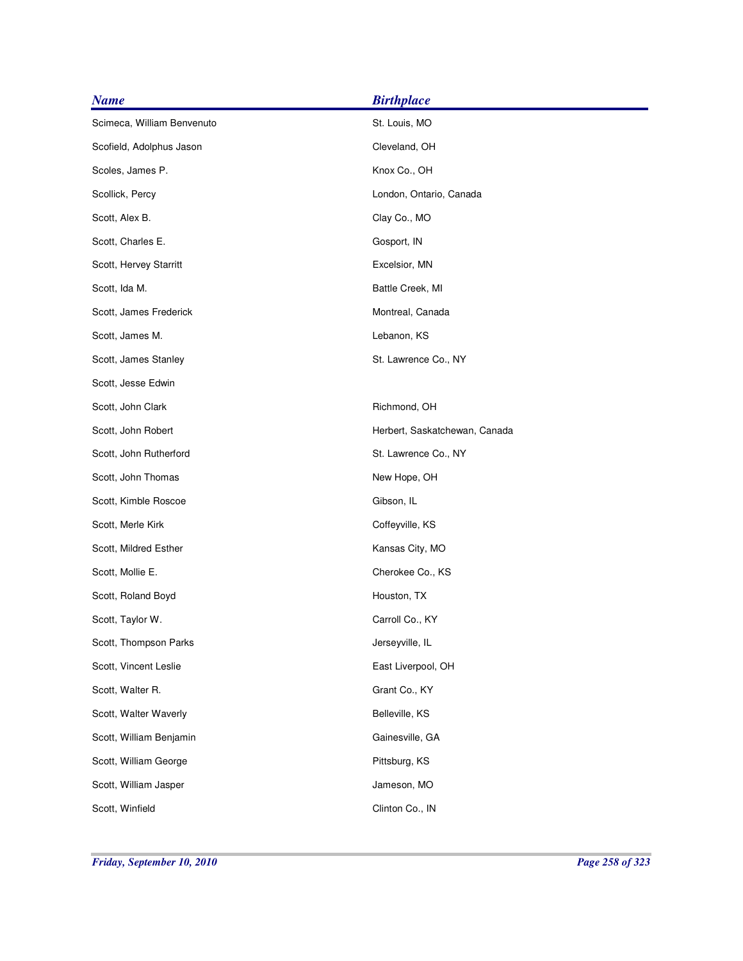| <b>Name</b>                | <b>Birthplace</b>             |
|----------------------------|-------------------------------|
| Scimeca, William Benvenuto | St. Louis, MO                 |
| Scofield, Adolphus Jason   | Cleveland, OH                 |
| Scoles, James P.           | Knox Co., OH                  |
| Scollick, Percy            | London, Ontario, Canada       |
| Scott, Alex B.             | Clay Co., MO                  |
| Scott, Charles E.          | Gosport, IN                   |
| Scott, Hervey Starritt     | Excelsior, MN                 |
| Scott, Ida M.              | Battle Creek, MI              |
| Scott, James Frederick     | Montreal, Canada              |
| Scott, James M.            | Lebanon, KS                   |
| Scott, James Stanley       | St. Lawrence Co., NY          |
| Scott, Jesse Edwin         |                               |
| Scott, John Clark          | Richmond, OH                  |
| Scott, John Robert         | Herbert, Saskatchewan, Canada |
| Scott, John Rutherford     | St. Lawrence Co., NY          |
| Scott, John Thomas         | New Hope, OH                  |
| Scott, Kimble Roscoe       | Gibson, IL                    |
| Scott, Merle Kirk          | Coffeyville, KS               |
| Scott, Mildred Esther      | Kansas City, MO               |
| Scott, Mollie E.           | Cherokee Co., KS              |
| Scott, Roland Boyd         | Houston, TX                   |
| Scott, Taylor W.           | Carroll Co., KY               |
| Scott, Thompson Parks      | Jerseyville, IL               |
| Scott, Vincent Leslie      | East Liverpool, OH            |
| Scott, Walter R.           | Grant Co., KY                 |
| Scott, Walter Waverly      | Belleville, KS                |
| Scott, William Benjamin    | Gainesville, GA               |
| Scott, William George      | Pittsburg, KS                 |
| Scott, William Jasper      | Jameson, MO                   |
| Scott, Winfield            | Clinton Co., IN               |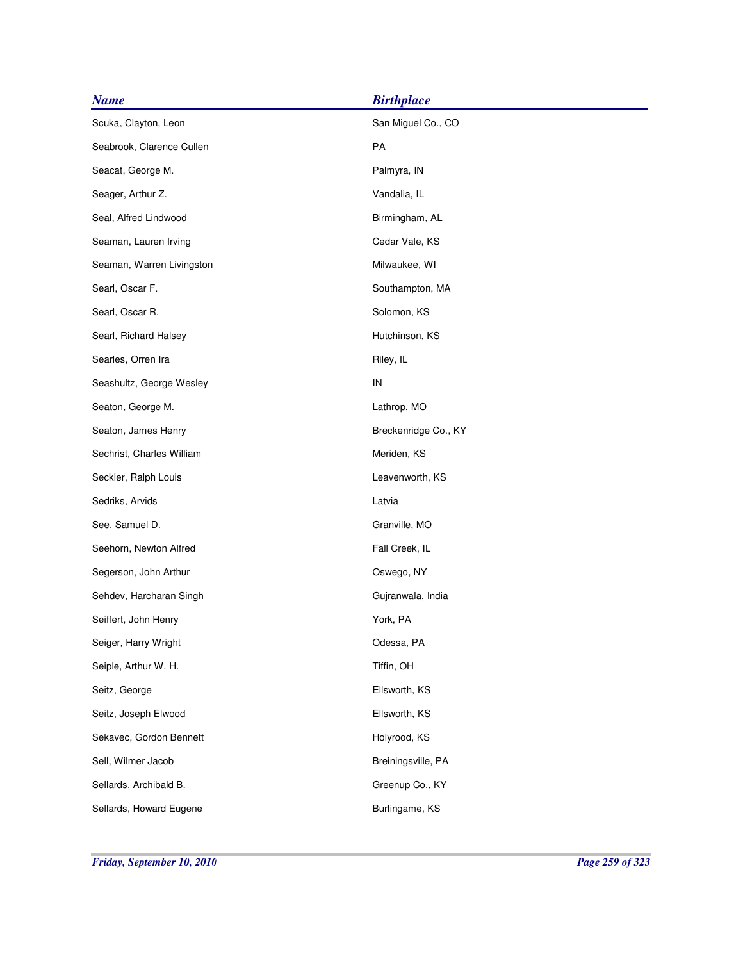| <b>Name</b>               | <b>Birthplace</b>    |
|---------------------------|----------------------|
| Scuka, Clayton, Leon      | San Miguel Co., CO   |
| Seabrook, Clarence Cullen | PA                   |
| Seacat, George M.         | Palmyra, IN          |
| Seager, Arthur Z.         | Vandalia, IL         |
| Seal, Alfred Lindwood     | Birmingham, AL       |
| Seaman, Lauren Irving     | Cedar Vale, KS       |
| Seaman, Warren Livingston | Milwaukee, WI        |
| Searl, Oscar F.           | Southampton, MA      |
| Searl, Oscar R.           | Solomon, KS          |
| Searl, Richard Halsey     | Hutchinson, KS       |
| Searles, Orren Ira        | Riley, IL            |
| Seashultz, George Wesley  | IN                   |
| Seaton, George M.         | Lathrop, MO          |
| Seaton, James Henry       | Breckenridge Co., KY |
| Sechrist, Charles William | Meriden, KS          |
| Seckler, Ralph Louis      | Leavenworth, KS      |
| Sedriks, Arvids           | Latvia               |
| See, Samuel D.            | Granville, MO        |
| Seehorn, Newton Alfred    | Fall Creek, IL       |
| Segerson, John Arthur     | Oswego, NY           |
| Sehdev, Harcharan Singh   | Gujranwala, India    |
| Seiffert, John Henry      | York, PA             |
| Seiger, Harry Wright      | Odessa, PA           |
| Seiple, Arthur W. H.      | Tiffin, OH           |
| Seitz, George             | Ellsworth, KS        |
| Seitz, Joseph Elwood      | Ellsworth, KS        |
| Sekavec, Gordon Bennett   | Holyrood, KS         |
| Sell, Wilmer Jacob        | Breiningsville, PA   |
| Sellards, Archibald B.    | Greenup Co., KY      |
| Sellards, Howard Eugene   | Burlingame, KS       |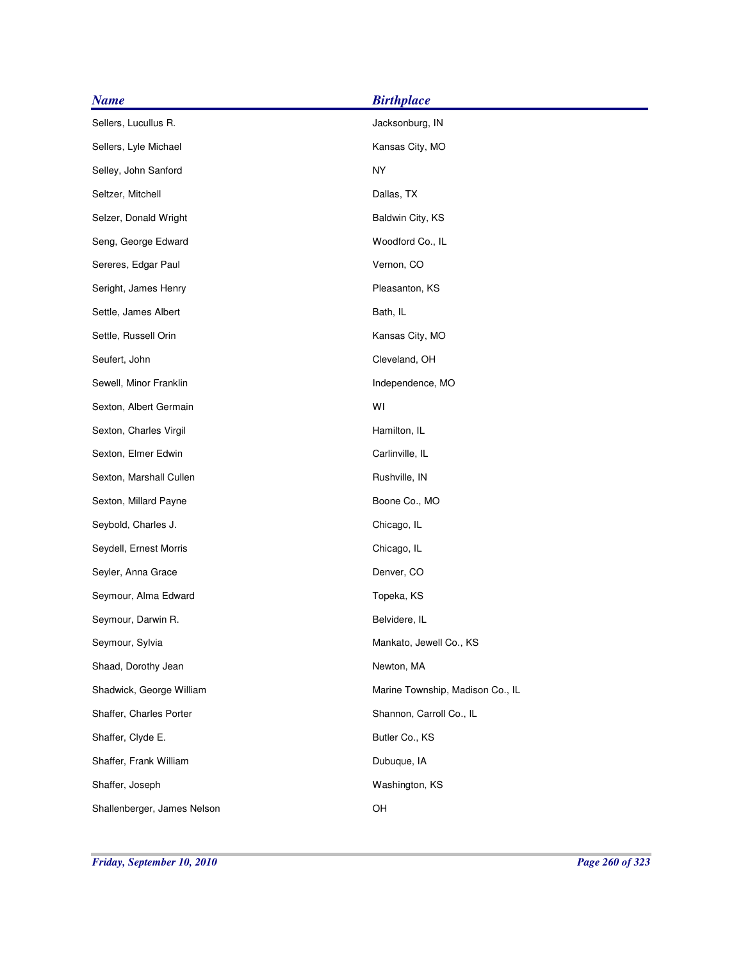| <b>Name</b>                 | <b>Birthplace</b>                |
|-----------------------------|----------------------------------|
| Sellers, Lucullus R.        | Jacksonburg, IN                  |
| Sellers, Lyle Michael       | Kansas City, MO                  |
| Selley, John Sanford        | <b>NY</b>                        |
| Seltzer, Mitchell           | Dallas, TX                       |
| Selzer, Donald Wright       | Baldwin City, KS                 |
| Seng, George Edward         | Woodford Co., IL                 |
| Sereres, Edgar Paul         | Vernon, CO                       |
| Seright, James Henry        | Pleasanton, KS                   |
| Settle, James Albert        | Bath, IL                         |
| Settle, Russell Orin        | Kansas City, MO                  |
| Seufert, John               | Cleveland, OH                    |
| Sewell, Minor Franklin      | Independence, MO                 |
| Sexton, Albert Germain      | WI                               |
| Sexton, Charles Virgil      | Hamilton, IL                     |
| Sexton, Elmer Edwin         | Carlinville, IL                  |
| Sexton, Marshall Cullen     | Rushville, IN                    |
| Sexton, Millard Payne       | Boone Co., MO                    |
| Seybold, Charles J.         | Chicago, IL                      |
| Seydell, Ernest Morris      | Chicago, IL                      |
| Seyler, Anna Grace          | Denver, CO                       |
| Seymour, Alma Edward        | Topeka, KS                       |
| Seymour, Darwin R.          | Belvidere, IL                    |
| Seymour, Sylvia             | Mankato, Jewell Co., KS          |
| Shaad, Dorothy Jean         | Newton, MA                       |
| Shadwick, George William    | Marine Township, Madison Co., IL |
| Shaffer, Charles Porter     | Shannon, Carroll Co., IL         |
| Shaffer, Clyde E.           | Butler Co., KS                   |
| Shaffer, Frank William      | Dubuque, IA                      |
| Shaffer, Joseph             | Washington, KS                   |
| Shallenberger, James Nelson | OH                               |
|                             |                                  |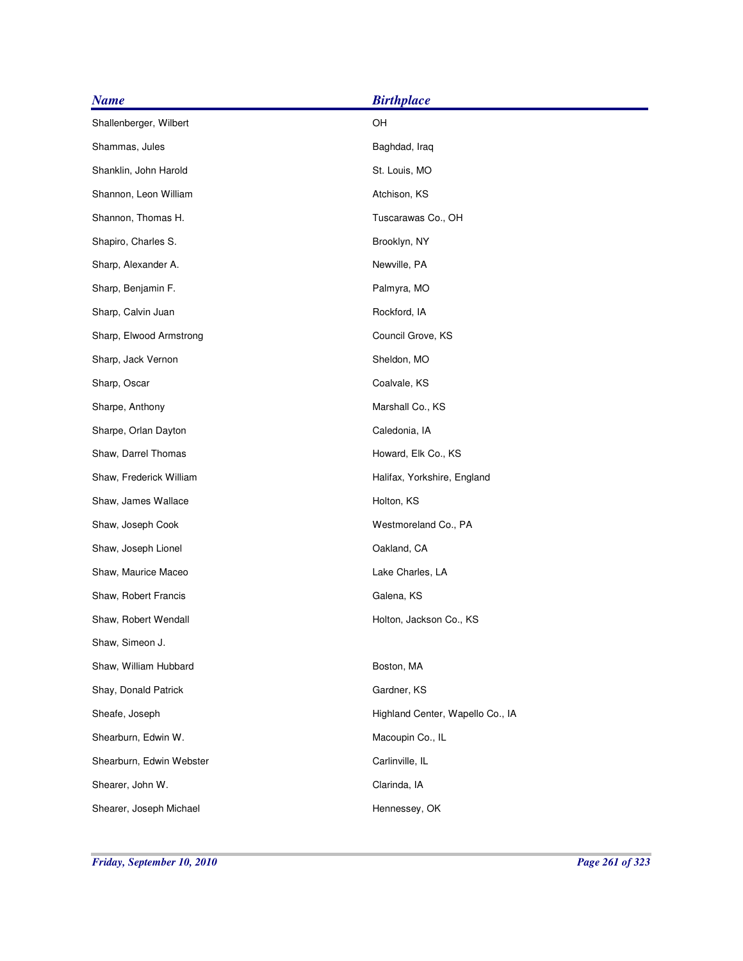| <b>Name</b>              | <b>Birthplace</b>                |
|--------------------------|----------------------------------|
| Shallenberger, Wilbert   | OH                               |
| Shammas, Jules           | Baghdad, Iraq                    |
| Shanklin, John Harold    | St. Louis, MO                    |
| Shannon, Leon William    | Atchison, KS                     |
| Shannon, Thomas H.       | Tuscarawas Co., OH               |
| Shapiro, Charles S.      | Brooklyn, NY                     |
| Sharp, Alexander A.      | Newville, PA                     |
| Sharp, Benjamin F.       | Palmyra, MO                      |
| Sharp, Calvin Juan       | Rockford, IA                     |
| Sharp, Elwood Armstrong  | Council Grove, KS                |
| Sharp, Jack Vernon       | Sheldon, MO                      |
| Sharp, Oscar             | Coalvale, KS                     |
| Sharpe, Anthony          | Marshall Co., KS                 |
| Sharpe, Orlan Dayton     | Caledonia, IA                    |
| Shaw, Darrel Thomas      | Howard, Elk Co., KS              |
| Shaw, Frederick William  | Halifax, Yorkshire, England      |
| Shaw, James Wallace      | Holton, KS                       |
| Shaw, Joseph Cook        | Westmoreland Co., PA             |
| Shaw, Joseph Lionel      | Oakland, CA                      |
| Shaw, Maurice Maceo      | Lake Charles, LA                 |
| Shaw, Robert Francis     | Galena, KS                       |
| Shaw, Robert Wendall     | Holton, Jackson Co., KS          |
| Shaw, Simeon J.          |                                  |
| Shaw, William Hubbard    | Boston, MA                       |
| Shay, Donald Patrick     | Gardner, KS                      |
| Sheafe, Joseph           | Highland Center, Wapello Co., IA |
| Shearburn, Edwin W.      | Macoupin Co., IL                 |
| Shearburn, Edwin Webster | Carlinville, IL                  |
| Shearer, John W.         | Clarinda, IA                     |
| Shearer, Joseph Michael  | Hennessey, OK                    |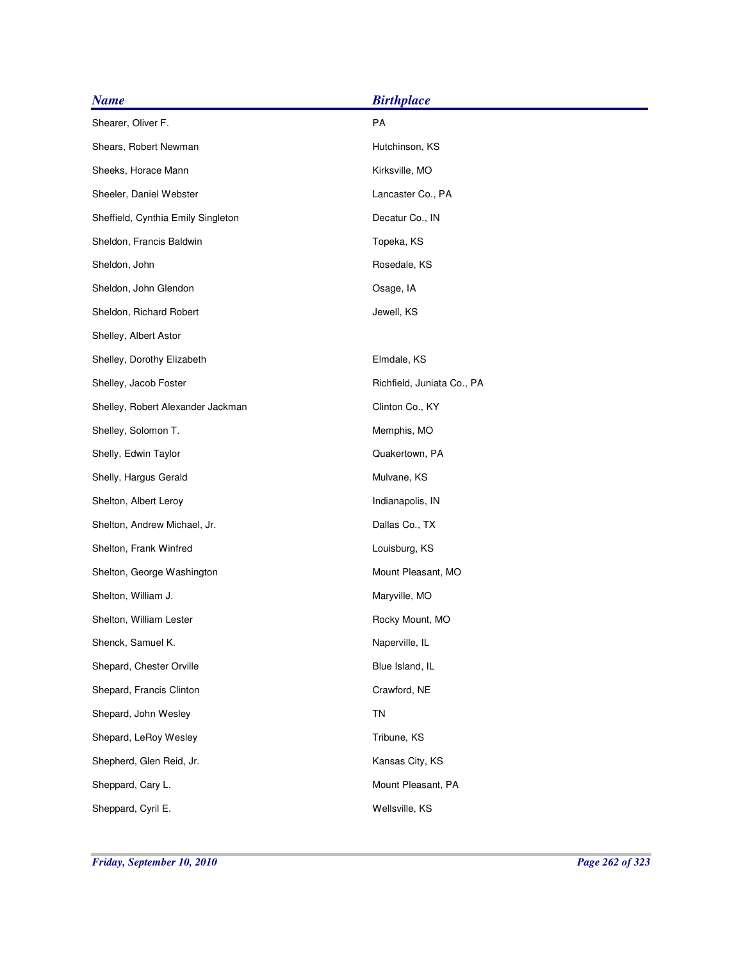| <b>Name</b>                        | <b>Birthplace</b>          |
|------------------------------------|----------------------------|
| Shearer, Oliver F.                 | PA                         |
| Shears, Robert Newman              | Hutchinson, KS             |
| Sheeks, Horace Mann                | Kirksville, MO             |
| Sheeler, Daniel Webster            | Lancaster Co., PA          |
| Sheffield, Cynthia Emily Singleton | Decatur Co., IN            |
| Sheldon, Francis Baldwin           | Topeka, KS                 |
| Sheldon, John                      | Rosedale, KS               |
| Sheldon, John Glendon              | Osage, IA                  |
| Sheldon, Richard Robert            | Jewell, KS                 |
| Shelley, Albert Astor              |                            |
| Shelley, Dorothy Elizabeth         | Elmdale, KS                |
| Shelley, Jacob Foster              | Richfield, Juniata Co., PA |
| Shelley, Robert Alexander Jackman  | Clinton Co., KY            |
| Shelley, Solomon T.                | Memphis, MO                |
| Shelly, Edwin Taylor               | Quakertown, PA             |
| Shelly, Hargus Gerald              | Mulvane, KS                |
| Shelton, Albert Leroy              | Indianapolis, IN           |
| Shelton, Andrew Michael, Jr.       | Dallas Co., TX             |
| Shelton, Frank Winfred             | Louisburg, KS              |
| Shelton, George Washington         | Mount Pleasant, MO         |
| Shelton, William J.                | Maryville, MO              |
| Shelton, William Lester            | Rocky Mount, MO            |
| Shenck, Samuel K.                  | Naperville, IL             |
| Shepard, Chester Orville           | Blue Island, IL            |
| Shepard, Francis Clinton           | Crawford, NE               |
| Shepard, John Wesley               | <b>TN</b>                  |
| Shepard, LeRoy Wesley              | Tribune, KS                |
| Shepherd, Glen Reid, Jr.           | Kansas City, KS            |
| Sheppard, Cary L.                  | Mount Pleasant, PA         |
| Sheppard, Cyril E.                 | Wellsville, KS             |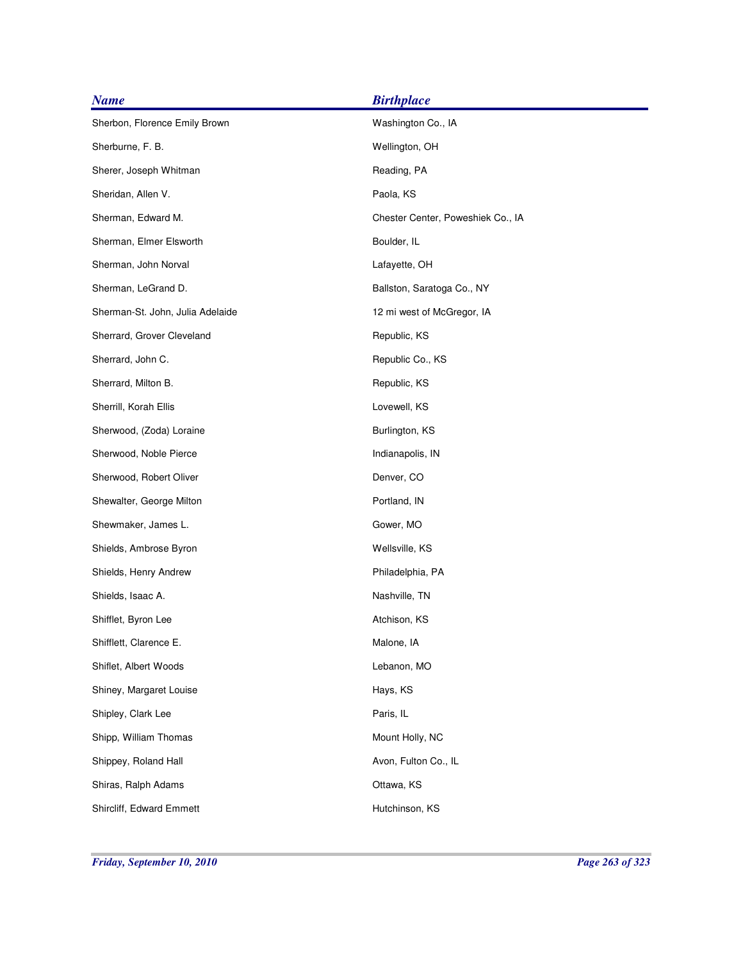| <b>Name</b>                      | <b>Birthplace</b>                 |
|----------------------------------|-----------------------------------|
| Sherbon, Florence Emily Brown    | Washington Co., IA                |
| Sherburne, F. B.                 | Wellington, OH                    |
| Sherer, Joseph Whitman           | Reading, PA                       |
| Sheridan, Allen V.               | Paola, KS                         |
| Sherman, Edward M.               | Chester Center, Poweshiek Co., IA |
| Sherman, Elmer Elsworth          | Boulder, IL                       |
| Sherman, John Norval             | Lafayette, OH                     |
| Sherman, LeGrand D.              | Ballston, Saratoga Co., NY        |
| Sherman-St. John, Julia Adelaide | 12 mi west of McGregor, IA        |
| Sherrard, Grover Cleveland       | Republic, KS                      |
| Sherrard, John C.                | Republic Co., KS                  |
| Sherrard, Milton B.              | Republic, KS                      |
| Sherrill, Korah Ellis            | Lovewell, KS                      |
| Sherwood, (Zoda) Loraine         | Burlington, KS                    |
| Sherwood, Noble Pierce           | Indianapolis, IN                  |
| Sherwood, Robert Oliver          | Denver, CO                        |
| Shewalter, George Milton         | Portland, IN                      |
| Shewmaker, James L.              | Gower, MO                         |
| Shields, Ambrose Byron           | Wellsville, KS                    |
| Shields, Henry Andrew            | Philadelphia, PA                  |
| Shields, Isaac A.                | Nashville, TN                     |
| Shifflet, Byron Lee              | Atchison, KS                      |
| Shifflett, Clarence E.           | Malone, IA                        |
| Shiflet, Albert Woods            | Lebanon, MO                       |
| Shiney, Margaret Louise          | Hays, KS                          |
| Shipley, Clark Lee               | Paris, IL                         |
| Shipp, William Thomas            | Mount Holly, NC                   |
| Shippey, Roland Hall             | Avon, Fulton Co., IL              |
| Shiras, Ralph Adams              | Ottawa, KS                        |
| Shircliff, Edward Emmett         | Hutchinson, KS                    |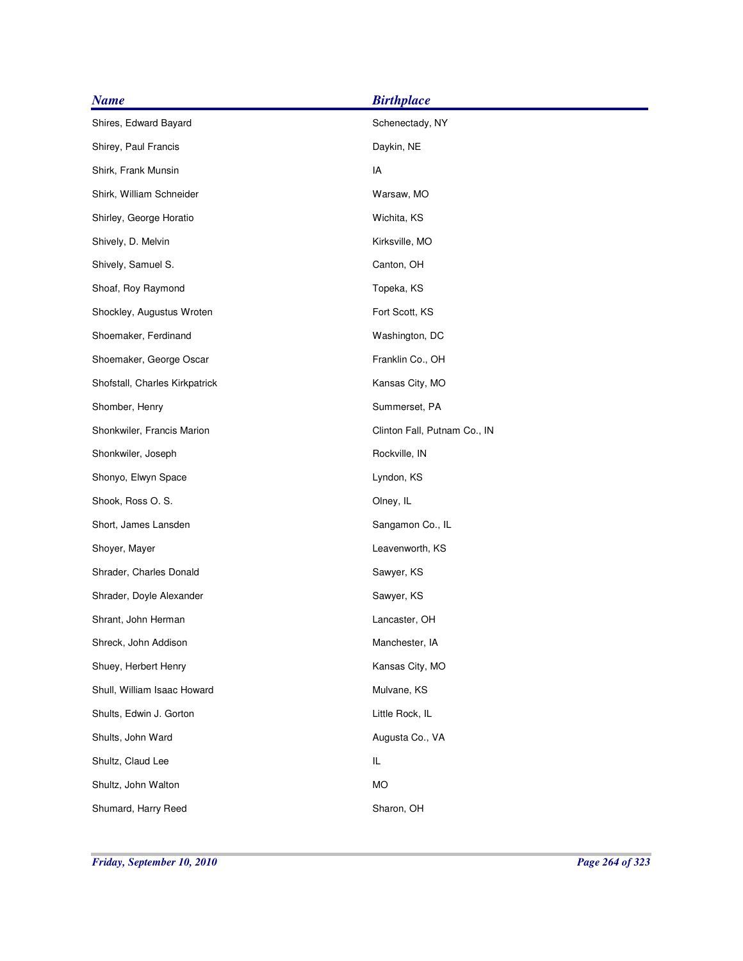| <b>Name</b>                    | <b>Birthplace</b>            |
|--------------------------------|------------------------------|
| Shires, Edward Bayard          | Schenectady, NY              |
| Shirey, Paul Francis           | Daykin, NE                   |
| Shirk, Frank Munsin            | IA                           |
| Shirk, William Schneider       | Warsaw, MO                   |
| Shirley, George Horatio        | Wichita, KS                  |
| Shively, D. Melvin             | Kirksville, MO               |
| Shively, Samuel S.             | Canton, OH                   |
| Shoaf, Roy Raymond             | Topeka, KS                   |
| Shockley, Augustus Wroten      | Fort Scott, KS               |
| Shoemaker, Ferdinand           | Washington, DC               |
| Shoemaker, George Oscar        | Franklin Co., OH             |
| Shofstall, Charles Kirkpatrick | Kansas City, MO              |
| Shomber, Henry                 | Summerset, PA                |
| Shonkwiler, Francis Marion     | Clinton Fall, Putnam Co., IN |
| Shonkwiler, Joseph             | Rockville, IN                |
| Shonyo, Elwyn Space            | Lyndon, KS                   |
| Shook, Ross O. S.              | Olney, IL                    |
| Short, James Lansden           | Sangamon Co., IL             |
| Shoyer, Mayer                  | Leavenworth, KS              |
| Shrader, Charles Donald        | Sawyer, KS                   |
| Shrader, Doyle Alexander       | Sawyer, KS                   |
| Shrant, John Herman            | Lancaster, OH                |
| Shreck, John Addison           | Manchester, IA               |
| Shuey, Herbert Henry           | Kansas City, MO              |
| Shull, William Isaac Howard    | Mulvane, KS                  |
| Shults, Edwin J. Gorton        | Little Rock, IL              |
| Shults, John Ward              | Augusta Co., VA              |
| Shultz, Claud Lee              | IL                           |
| Shultz, John Walton            | MO                           |
| Shumard, Harry Reed            | Sharon, OH                   |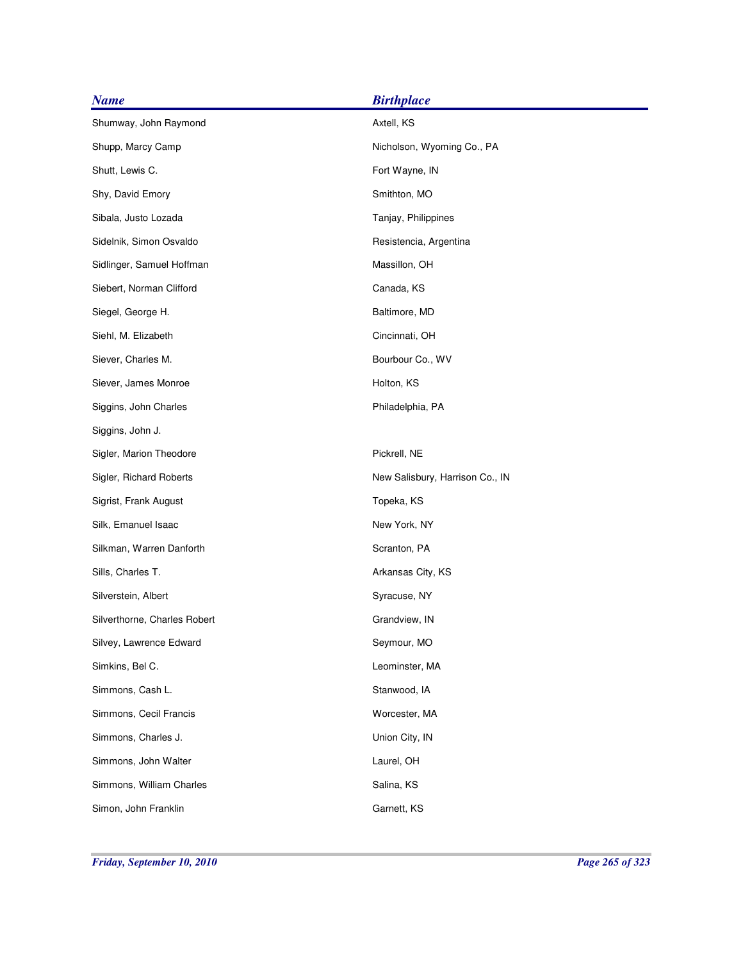| <b>Birthplace</b>               |
|---------------------------------|
| Axtell, KS                      |
| Nicholson, Wyoming Co., PA      |
| Fort Wayne, IN                  |
| Smithton, MO                    |
| Tanjay, Philippines             |
| Resistencia, Argentina          |
| Massillon, OH                   |
| Canada, KS                      |
| Baltimore, MD                   |
| Cincinnati, OH                  |
| Bourbour Co., WV                |
| Holton, KS                      |
| Philadelphia, PA                |
|                                 |
| Pickrell, NE                    |
| New Salisbury, Harrison Co., IN |
| Topeka, KS                      |
| New York, NY                    |
| Scranton, PA                    |
| Arkansas City, KS               |
| Syracuse, NY                    |
| Grandview, IN                   |
| Seymour, MO                     |
| Leominster, MA                  |
| Stanwood, IA                    |
| Worcester, MA                   |
| Union City, IN                  |
| Laurel, OH                      |
| Salina, KS                      |
| Garnett, KS                     |
|                                 |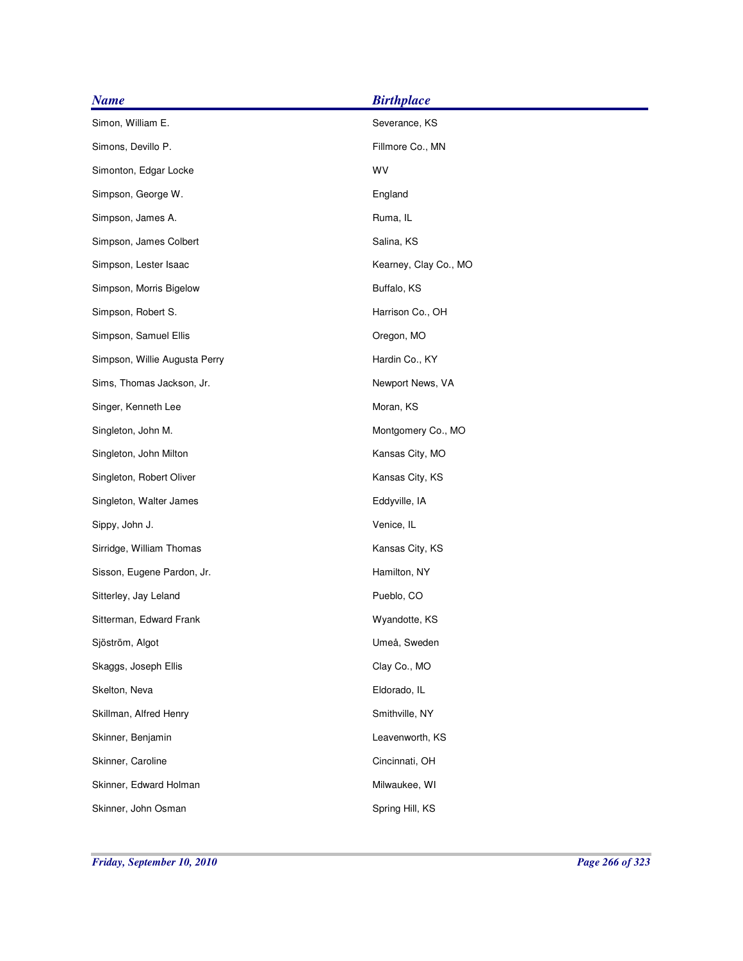| <b>Name</b>                   | <b>Birthplace</b>     |
|-------------------------------|-----------------------|
| Simon, William E.             | Severance, KS         |
| Simons, Devillo P.            | Fillmore Co., MN      |
| Simonton, Edgar Locke         | WV                    |
| Simpson, George W.            | England               |
| Simpson, James A.             | Ruma, IL              |
| Simpson, James Colbert        | Salina, KS            |
| Simpson, Lester Isaac         | Kearney, Clay Co., MO |
| Simpson, Morris Bigelow       | Buffalo, KS           |
| Simpson, Robert S.            | Harrison Co., OH      |
| Simpson, Samuel Ellis         | Oregon, MO            |
| Simpson, Willie Augusta Perry | Hardin Co., KY        |
| Sims, Thomas Jackson, Jr.     | Newport News, VA      |
| Singer, Kenneth Lee           | Moran, KS             |
| Singleton, John M.            | Montgomery Co., MO    |
| Singleton, John Milton        | Kansas City, MO       |
| Singleton, Robert Oliver      | Kansas City, KS       |
| Singleton, Walter James       | Eddyville, IA         |
| Sippy, John J.                | Venice, IL            |
| Sirridge, William Thomas      | Kansas City, KS       |
| Sisson, Eugene Pardon, Jr.    | Hamilton, NY          |
| Sitterley, Jay Leland         | Pueblo, CO            |
| Sitterman, Edward Frank       | Wyandotte, KS         |
| Sjöström, Algot               | Umeå, Sweden          |
| Skaggs, Joseph Ellis          | Clay Co., MO          |
| Skelton, Neva                 | Eldorado, IL          |
| Skillman, Alfred Henry        | Smithville, NY        |
| Skinner, Benjamin             | Leavenworth, KS       |
| Skinner, Caroline             | Cincinnati, OH        |
| Skinner, Edward Holman        | Milwaukee, WI         |
| Skinner, John Osman           | Spring Hill, KS       |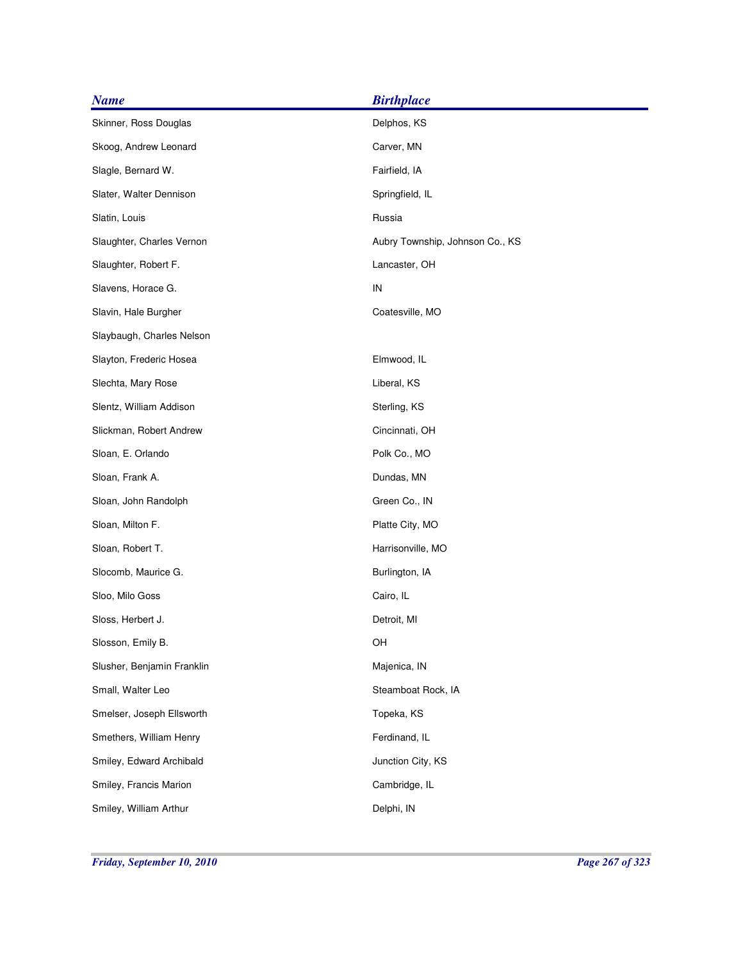| <b>Name</b>                | <b>Birthplace</b>               |
|----------------------------|---------------------------------|
| Skinner, Ross Douglas      | Delphos, KS                     |
| Skoog, Andrew Leonard      | Carver, MN                      |
| Slagle, Bernard W.         | Fairfield, IA                   |
| Slater, Walter Dennison    | Springfield, IL                 |
| Slatin, Louis              | Russia                          |
| Slaughter, Charles Vernon  | Aubry Township, Johnson Co., KS |
| Slaughter, Robert F.       | Lancaster, OH                   |
| Slavens, Horace G.         | IN                              |
| Slavin, Hale Burgher       | Coatesville, MO                 |
| Slaybaugh, Charles Nelson  |                                 |
| Slayton, Frederic Hosea    | Elmwood, IL                     |
| Slechta, Mary Rose         | Liberal, KS                     |
| Slentz, William Addison    | Sterling, KS                    |
| Slickman, Robert Andrew    | Cincinnati, OH                  |
| Sloan, E. Orlando          | Polk Co., MO                    |
| Sloan, Frank A.            | Dundas, MN                      |
| Sloan, John Randolph       | Green Co., IN                   |
| Sloan, Milton F.           | Platte City, MO                 |
| Sloan, Robert T.           | Harrisonville, MO               |
| Slocomb, Maurice G.        | Burlington, IA                  |
| Sloo, Milo Goss            | Cairo, IL                       |
| Sloss, Herbert J.          | Detroit, MI                     |
| Slosson, Emily B.          | OH                              |
| Slusher, Benjamin Franklin | Majenica, IN                    |
| Small, Walter Leo          | Steamboat Rock, IA              |
| Smelser, Joseph Ellsworth  | Topeka, KS                      |
| Smethers, William Henry    | Ferdinand, IL                   |
| Smiley, Edward Archibald   | Junction City, KS               |
| Smiley, Francis Marion     | Cambridge, IL                   |
| Smiley, William Arthur     | Delphi, IN                      |
|                            |                                 |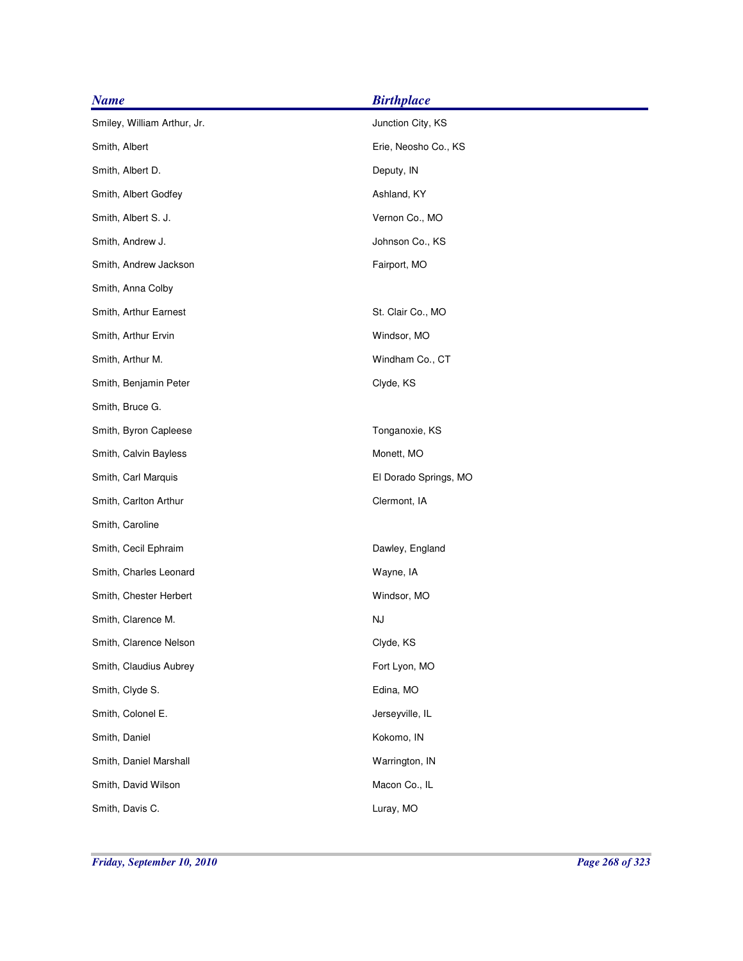| <b>Name</b>                 | <b>Birthplace</b>     |
|-----------------------------|-----------------------|
| Smiley, William Arthur, Jr. | Junction City, KS     |
| Smith, Albert               | Erie, Neosho Co., KS  |
| Smith, Albert D.            | Deputy, IN            |
| Smith, Albert Godfey        | Ashland, KY           |
| Smith, Albert S. J.         | Vernon Co., MO        |
| Smith, Andrew J.            | Johnson Co., KS       |
| Smith, Andrew Jackson       | Fairport, MO          |
| Smith, Anna Colby           |                       |
| Smith, Arthur Earnest       | St. Clair Co., MO     |
| Smith, Arthur Ervin         | Windsor, MO           |
| Smith, Arthur M.            | Windham Co., CT       |
| Smith, Benjamin Peter       | Clyde, KS             |
| Smith, Bruce G.             |                       |
| Smith, Byron Capleese       | Tonganoxie, KS        |
| Smith, Calvin Bayless       | Monett, MO            |
| Smith, Carl Marquis         | El Dorado Springs, MO |
| Smith, Carlton Arthur       | Clermont, IA          |
| Smith, Caroline             |                       |
| Smith, Cecil Ephraim        | Dawley, England       |
| Smith, Charles Leonard      | Wayne, IA             |
| Smith, Chester Herbert      | Windsor, MO           |
| Smith, Clarence M.          | NJ                    |
| Smith, Clarence Nelson      | Clyde, KS             |
| Smith, Claudius Aubrey      | Fort Lyon, MO         |
| Smith, Clyde S.             | Edina, MO             |
| Smith, Colonel E.           | Jerseyville, IL       |
| Smith, Daniel               | Kokomo, IN            |
| Smith, Daniel Marshall      | Warrington, IN        |
| Smith, David Wilson         | Macon Co., IL         |
| Smith, Davis C.             | Luray, MO             |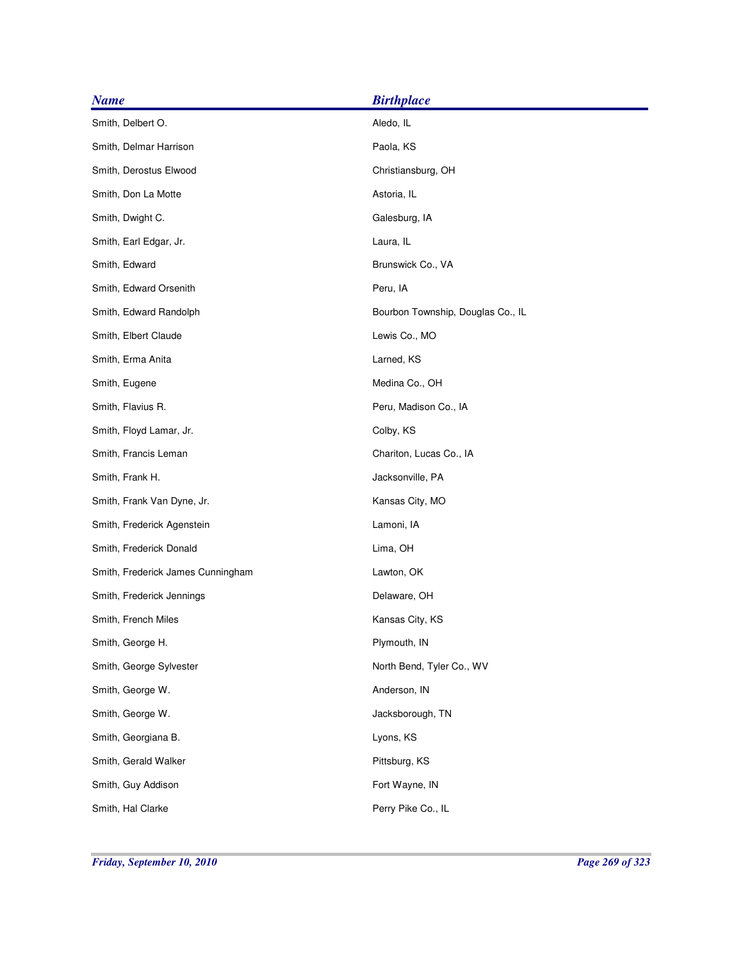| <b>Name</b>                       | <b>Birthplace</b>                 |
|-----------------------------------|-----------------------------------|
| Smith, Delbert O.                 | Aledo, IL                         |
| Smith, Delmar Harrison            | Paola, KS                         |
| Smith, Derostus Elwood            | Christiansburg, OH                |
| Smith, Don La Motte               | Astoria, IL                       |
| Smith, Dwight C.                  | Galesburg, IA                     |
| Smith, Earl Edgar, Jr.            | Laura, IL                         |
| Smith, Edward                     | Brunswick Co., VA                 |
| Smith, Edward Orsenith            | Peru, IA                          |
| Smith, Edward Randolph            | Bourbon Township, Douglas Co., IL |
| Smith, Elbert Claude              | Lewis Co., MO                     |
| Smith, Erma Anita                 | Larned, KS                        |
| Smith, Eugene                     | Medina Co., OH                    |
| Smith, Flavius R.                 | Peru, Madison Co., IA             |
| Smith, Floyd Lamar, Jr.           | Colby, KS                         |
| Smith, Francis Leman              | Chariton, Lucas Co., IA           |
| Smith, Frank H.                   | Jacksonville, PA                  |
| Smith, Frank Van Dyne, Jr.        | Kansas City, MO                   |
| Smith, Frederick Agenstein        | Lamoni, IA                        |
| Smith, Frederick Donald           | Lima, OH                          |
| Smith, Frederick James Cunningham | Lawton, OK                        |
| Smith, Frederick Jennings         | Delaware, OH                      |
| Smith, French Miles               | Kansas City, KS                   |
| Smith, George H.                  | Plymouth, IN                      |
| Smith, George Sylvester           | North Bend, Tyler Co., WV         |
| Smith, George W.                  | Anderson, IN                      |
| Smith, George W.                  | Jacksborough, TN                  |
| Smith, Georgiana B.               | Lyons, KS                         |
| Smith, Gerald Walker              | Pittsburg, KS                     |
| Smith, Guy Addison                | Fort Wayne, IN                    |
| Smith, Hal Clarke                 | Perry Pike Co., IL                |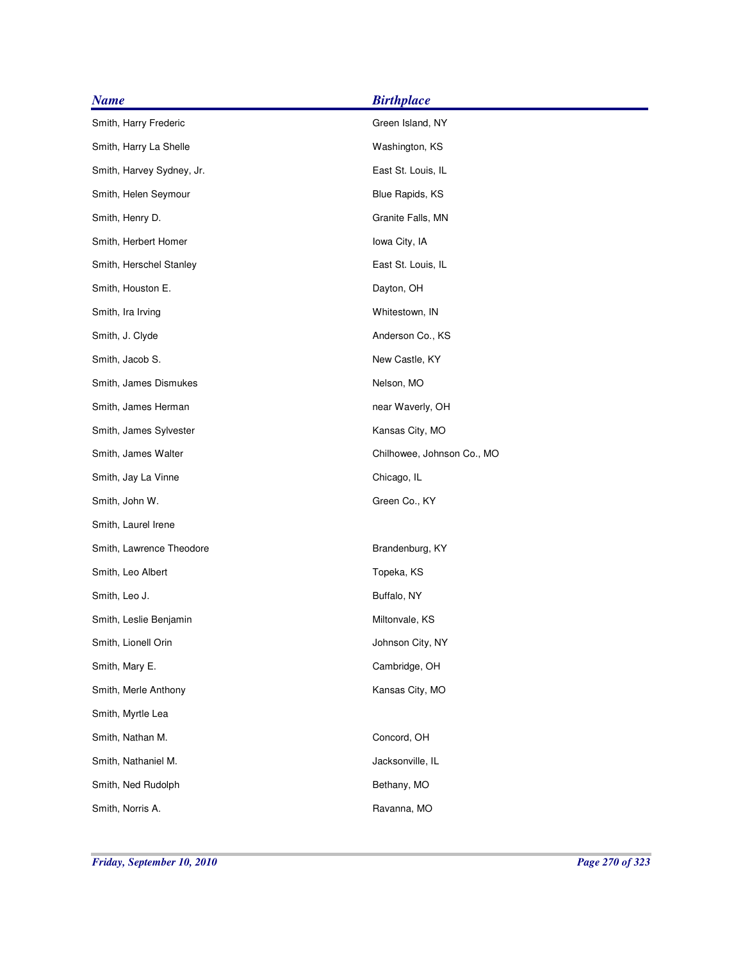| <b>Name</b>               | <b>Birthplace</b>          |
|---------------------------|----------------------------|
| Smith, Harry Frederic     | Green Island, NY           |
| Smith, Harry La Shelle    | Washington, KS             |
| Smith, Harvey Sydney, Jr. | East St. Louis, IL         |
| Smith, Helen Seymour      | Blue Rapids, KS            |
| Smith, Henry D.           | Granite Falls, MN          |
| Smith, Herbert Homer      | Iowa City, IA              |
| Smith, Herschel Stanley   | East St. Louis, IL         |
| Smith, Houston E.         | Dayton, OH                 |
| Smith, Ira Irving         | Whitestown, IN             |
| Smith, J. Clyde           | Anderson Co., KS           |
| Smith, Jacob S.           | New Castle, KY             |
| Smith, James Dismukes     | Nelson, MO                 |
| Smith, James Herman       | near Waverly, OH           |
| Smith, James Sylvester    | Kansas City, MO            |
| Smith, James Walter       | Chilhowee, Johnson Co., MO |
| Smith, Jay La Vinne       | Chicago, IL                |
| Smith, John W.            | Green Co., KY              |
| Smith, Laurel Irene       |                            |
| Smith, Lawrence Theodore  | Brandenburg, KY            |
| Smith, Leo Albert         | Topeka, KS                 |
| Smith, Leo J.             | Buffalo, NY                |
| Smith, Leslie Benjamin    | Miltonvale, KS             |
| Smith, Lionell Orin       | Johnson City, NY           |
| Smith, Mary E.            | Cambridge, OH              |
| Smith, Merle Anthony      | Kansas City, MO            |
| Smith, Myrtle Lea         |                            |
| Smith, Nathan M.          | Concord, OH                |
| Smith, Nathaniel M.       | Jacksonville, IL           |
| Smith, Ned Rudolph        | Bethany, MO                |
| Smith, Norris A.          | Ravanna, MO                |
|                           |                            |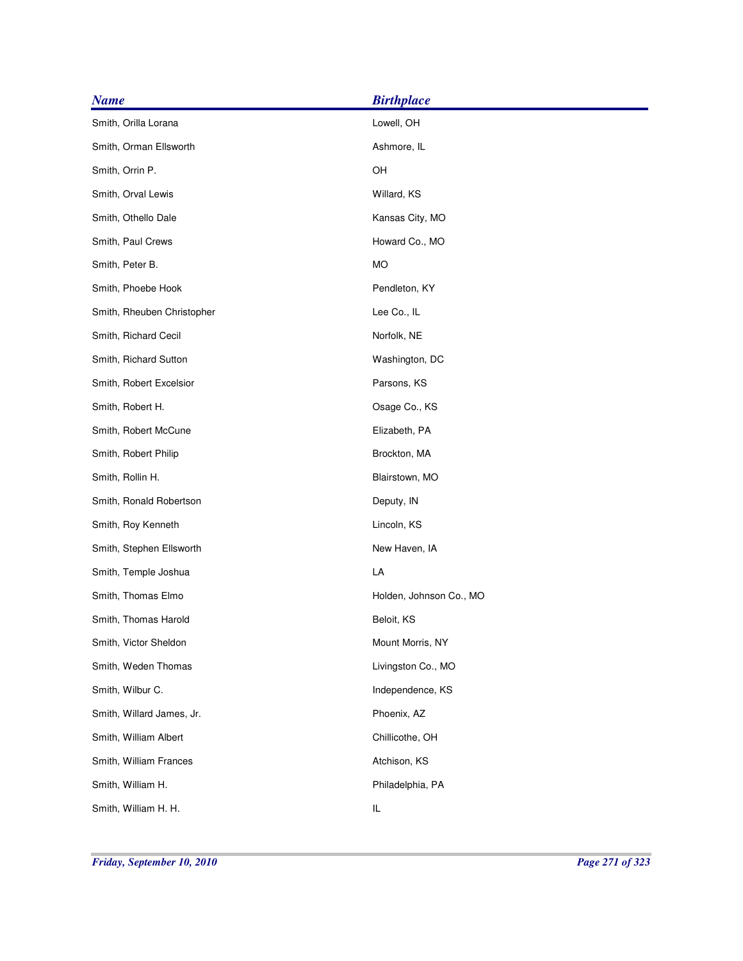| <b>Birthplace</b>       |
|-------------------------|
| Lowell, OH              |
| Ashmore, IL             |
| OH                      |
| Willard, KS             |
| Kansas City, MO         |
| Howard Co., MO          |
| <b>MO</b>               |
| Pendleton, KY           |
| Lee Co., IL             |
| Norfolk, NE             |
| Washington, DC          |
| Parsons, KS             |
| Osage Co., KS           |
| Elizabeth, PA           |
| Brockton, MA            |
| Blairstown, MO          |
| Deputy, IN              |
| Lincoln, KS             |
| New Haven, IA           |
| LA                      |
| Holden, Johnson Co., MO |
| Beloit, KS              |
| Mount Morris, NY        |
| Livingston Co., MO      |
| Independence, KS        |
| Phoenix, AZ             |
| Chillicothe, OH         |
| Atchison, KS            |
| Philadelphia, PA        |
| IL                      |
|                         |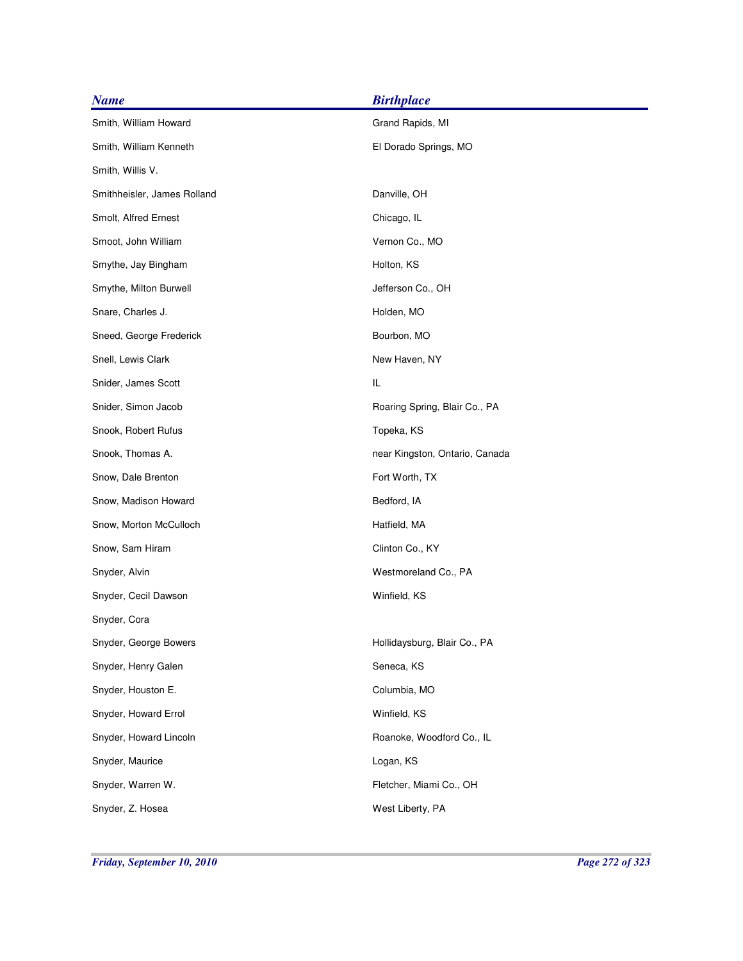| <b>Name</b>                 | <b>Birthplace</b>              |
|-----------------------------|--------------------------------|
| Smith, William Howard       | Grand Rapids, MI               |
| Smith, William Kenneth      | El Dorado Springs, MO          |
| Smith, Willis V.            |                                |
| Smithheisler, James Rolland | Danville, OH                   |
| Smolt, Alfred Ernest        | Chicago, IL                    |
| Smoot, John William         | Vernon Co., MO                 |
| Smythe, Jay Bingham         | Holton, KS                     |
| Smythe, Milton Burwell      | Jefferson Co., OH              |
| Snare, Charles J.           | Holden, MO                     |
| Sneed, George Frederick     | Bourbon, MO                    |
| Snell, Lewis Clark          | New Haven, NY                  |
| Snider, James Scott         | IL                             |
| Snider, Simon Jacob         | Roaring Spring, Blair Co., PA  |
| Snook, Robert Rufus         | Topeka, KS                     |
| Snook, Thomas A.            | near Kingston, Ontario, Canada |
| Snow, Dale Brenton          | Fort Worth, TX                 |
| Snow, Madison Howard        | Bedford, IA                    |
| Snow, Morton McCulloch      | Hatfield, MA                   |
| Snow, Sam Hiram             | Clinton Co., KY                |
| Snyder, Alvin               | Westmoreland Co., PA           |
| Snyder, Cecil Dawson        | Winfield, KS                   |
| Snyder, Cora                |                                |
| Snyder, George Bowers       | Hollidaysburg, Blair Co., PA   |
| Snyder, Henry Galen         | Seneca, KS                     |
| Snyder, Houston E.          | Columbia, MO                   |
| Snyder, Howard Errol        | Winfield, KS                   |
| Snyder, Howard Lincoln      | Roanoke, Woodford Co., IL      |
| Snyder, Maurice             | Logan, KS                      |
| Snyder, Warren W.           | Fletcher, Miami Co., OH        |
| Snyder, Z. Hosea            | West Liberty, PA               |
|                             |                                |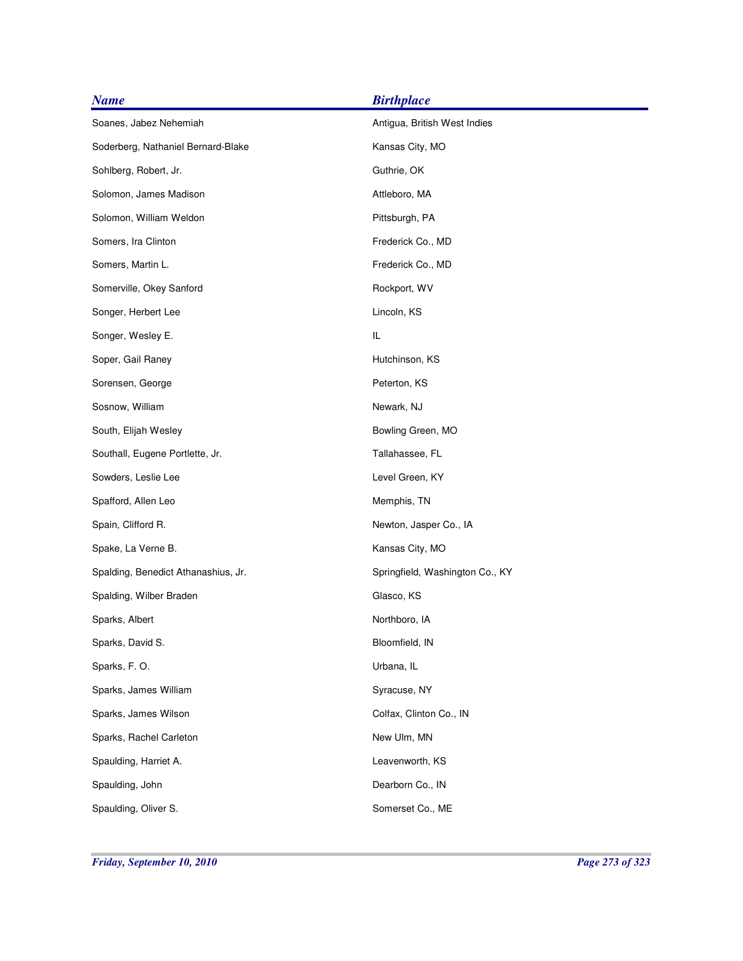| <b>Birthplace</b>               |
|---------------------------------|
| Antigua, British West Indies    |
| Kansas City, MO                 |
| Guthrie, OK                     |
| Attleboro, MA                   |
| Pittsburgh, PA                  |
| Frederick Co., MD               |
| Frederick Co., MD               |
| Rockport, WV                    |
| Lincoln, KS                     |
| IL                              |
| Hutchinson, KS                  |
| Peterton, KS                    |
| Newark, NJ                      |
| Bowling Green, MO               |
| Tallahassee, FL                 |
| Level Green, KY                 |
| Memphis, TN                     |
| Newton, Jasper Co., IA          |
| Kansas City, MO                 |
| Springfield, Washington Co., KY |
| Glasco, KS                      |
| Northboro, IA                   |
| Bloomfield, IN                  |
| Urbana, IL                      |
| Syracuse, NY                    |
| Colfax, Clinton Co., IN         |
| New Ulm, MN                     |
| Leavenworth, KS                 |
| Dearborn Co., IN                |
| Somerset Co., ME                |
|                                 |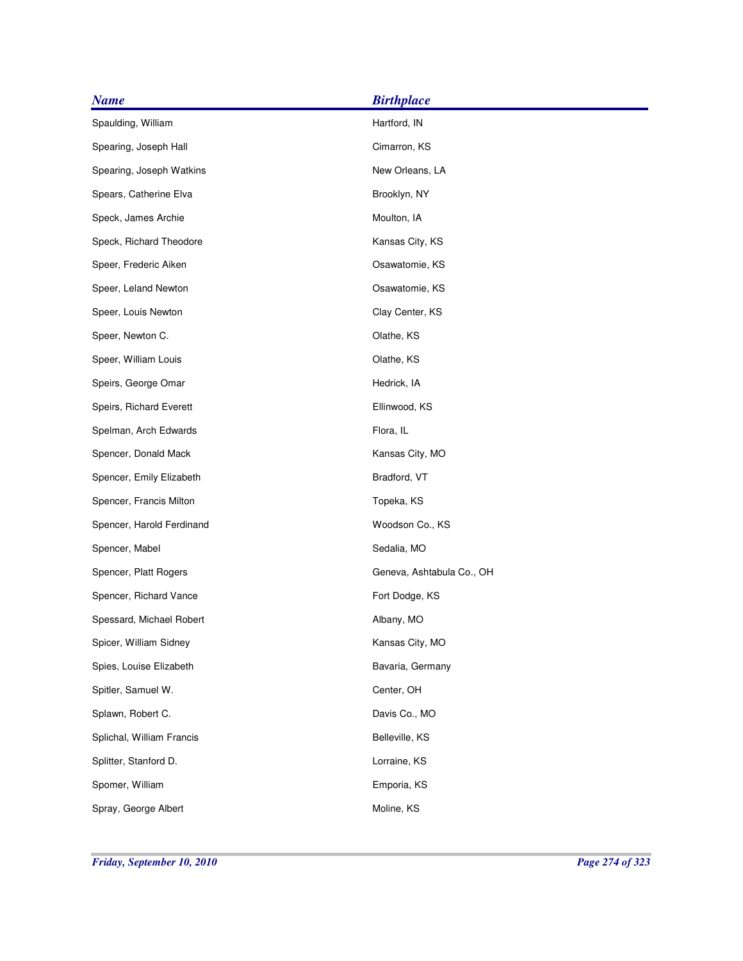| <b>Name</b>               | <b>Birthplace</b>         |
|---------------------------|---------------------------|
| Spaulding, William        | Hartford, IN              |
| Spearing, Joseph Hall     | Cimarron, KS              |
| Spearing, Joseph Watkins  | New Orleans, LA           |
| Spears, Catherine Elva    | Brooklyn, NY              |
| Speck, James Archie       | Moulton, IA               |
| Speck, Richard Theodore   | Kansas City, KS           |
| Speer, Frederic Aiken     | Osawatomie, KS            |
| Speer, Leland Newton      | Osawatomie, KS            |
| Speer, Louis Newton       | Clay Center, KS           |
| Speer, Newton C.          | Olathe, KS                |
| Speer, William Louis      | Olathe, KS                |
| Speirs, George Omar       | Hedrick, IA               |
| Speirs, Richard Everett   | Ellinwood, KS             |
| Spelman, Arch Edwards     | Flora, IL                 |
| Spencer, Donald Mack      | Kansas City, MO           |
| Spencer, Emily Elizabeth  | Bradford, VT              |
| Spencer, Francis Milton   | Topeka, KS                |
| Spencer, Harold Ferdinand | Woodson Co., KS           |
| Spencer, Mabel            | Sedalia, MO               |
| Spencer, Platt Rogers     | Geneva, Ashtabula Co., OH |
| Spencer, Richard Vance    | Fort Dodge, KS            |
| Spessard, Michael Robert  | Albany, MO                |
| Spicer, William Sidney    | Kansas City, MO           |
| Spies, Louise Elizabeth   | Bavaria, Germany          |
| Spitler, Samuel W.        | Center, OH                |
| Splawn, Robert C.         | Davis Co., MO             |
| Splichal, William Francis | Belleville, KS            |
| Splitter, Stanford D.     | Lorraine, KS              |
| Spomer, William           | Emporia, KS               |
| Spray, George Albert      | Moline, KS                |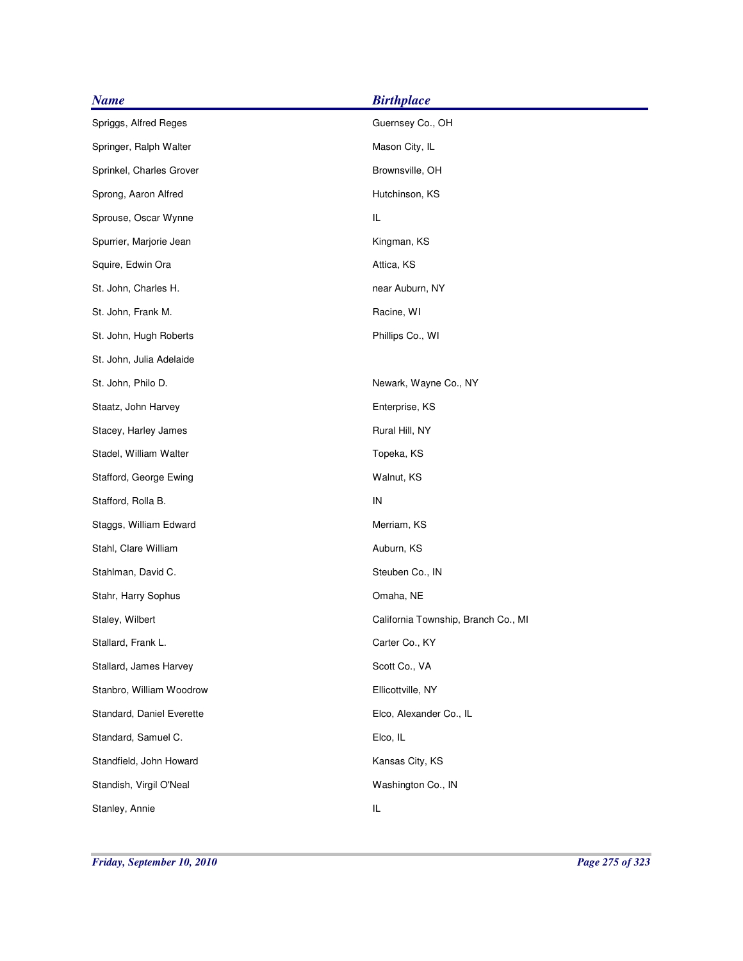| <b>Name</b>               | <b>Birthplace</b>                   |
|---------------------------|-------------------------------------|
| Spriggs, Alfred Reges     | Guernsey Co., OH                    |
| Springer, Ralph Walter    | Mason City, IL                      |
| Sprinkel, Charles Grover  | Brownsville, OH                     |
| Sprong, Aaron Alfred      | Hutchinson, KS                      |
| Sprouse, Oscar Wynne      | IL                                  |
| Spurrier, Marjorie Jean   | Kingman, KS                         |
| Squire, Edwin Ora         | Attica, KS                          |
| St. John, Charles H.      | near Auburn, NY                     |
| St. John, Frank M.        | Racine, WI                          |
| St. John, Hugh Roberts    | Phillips Co., WI                    |
| St. John, Julia Adelaide  |                                     |
| St. John, Philo D.        | Newark, Wayne Co., NY               |
| Staatz, John Harvey       | Enterprise, KS                      |
| Stacey, Harley James      | Rural Hill, NY                      |
| Stadel, William Walter    | Topeka, KS                          |
| Stafford, George Ewing    | Walnut, KS                          |
| Stafford, Rolla B.        | IN                                  |
| Staggs, William Edward    | Merriam, KS                         |
| Stahl, Clare William      | Auburn, KS                          |
| Stahlman, David C.        | Steuben Co., IN                     |
| Stahr, Harry Sophus       | Omaha, NE                           |
| Staley, Wilbert           | California Township, Branch Co., MI |
| Stallard, Frank L.        | Carter Co., KY                      |
| Stallard, James Harvey    | Scott Co., VA                       |
| Stanbro, William Woodrow  | Ellicottville, NY                   |
| Standard, Daniel Everette | Elco, Alexander Co., IL             |
| Standard, Samuel C.       | Elco, IL                            |
| Standfield, John Howard   | Kansas City, KS                     |
| Standish, Virgil O'Neal   | Washington Co., IN                  |
| Stanley, Annie            | IL                                  |
|                           |                                     |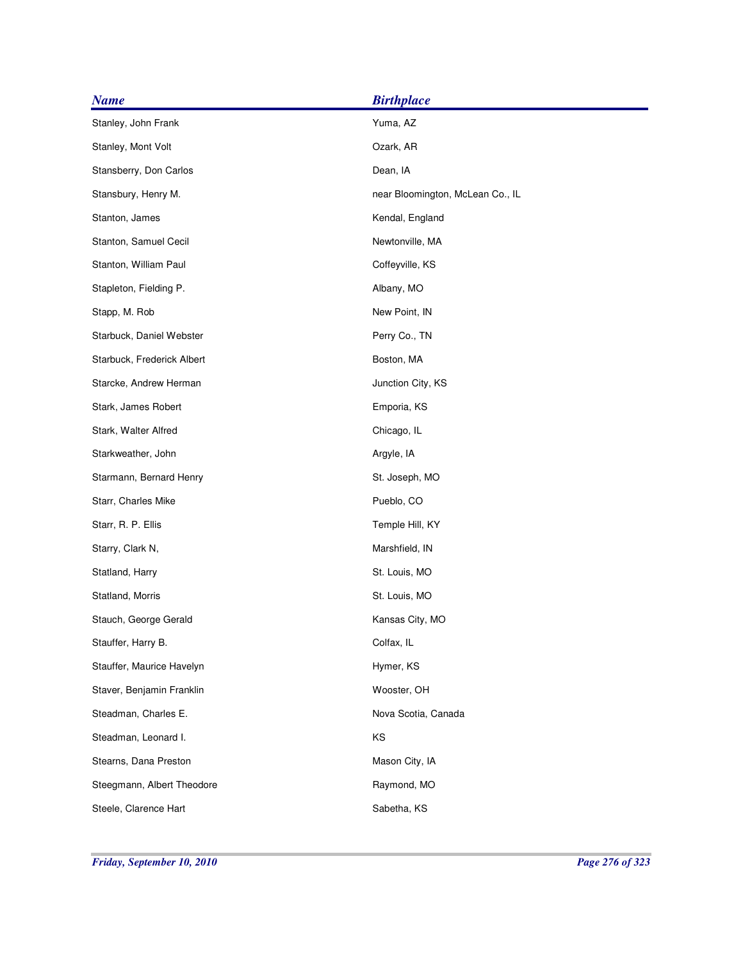| <b>Name</b>                | <b>Birthplace</b>                |
|----------------------------|----------------------------------|
| Stanley, John Frank        | Yuma, AZ                         |
| Stanley, Mont Volt         | Ozark, AR                        |
| Stansberry, Don Carlos     | Dean, IA                         |
| Stansbury, Henry M.        | near Bloomington, McLean Co., IL |
| Stanton, James             | Kendal, England                  |
| Stanton, Samuel Cecil      | Newtonville, MA                  |
| Stanton, William Paul      | Coffeyville, KS                  |
| Stapleton, Fielding P.     | Albany, MO                       |
| Stapp, M. Rob              | New Point, IN                    |
| Starbuck, Daniel Webster   | Perry Co., TN                    |
| Starbuck, Frederick Albert | Boston, MA                       |
| Starcke, Andrew Herman     | Junction City, KS                |
| Stark, James Robert        | Emporia, KS                      |
| Stark, Walter Alfred       | Chicago, IL                      |
| Starkweather, John         | Argyle, IA                       |
| Starmann, Bernard Henry    | St. Joseph, MO                   |
| Starr, Charles Mike        | Pueblo, CO                       |
| Starr, R. P. Ellis         | Temple Hill, KY                  |
| Starry, Clark N,           | Marshfield, IN                   |
| Statland, Harry            | St. Louis, MO                    |
| Statland, Morris           | St. Louis, MO                    |
| Stauch, George Gerald      | Kansas City, MO                  |
| Stauffer, Harry B.         | Colfax, IL                       |
| Stauffer, Maurice Havelyn  | Hymer, KS                        |
| Staver, Benjamin Franklin  | Wooster, OH                      |
| Steadman, Charles E.       | Nova Scotia, Canada              |
| Steadman, Leonard I.       | KS                               |
| Stearns, Dana Preston      | Mason City, IA                   |
| Steegmann, Albert Theodore | Raymond, MO                      |
| Steele, Clarence Hart      | Sabetha, KS                      |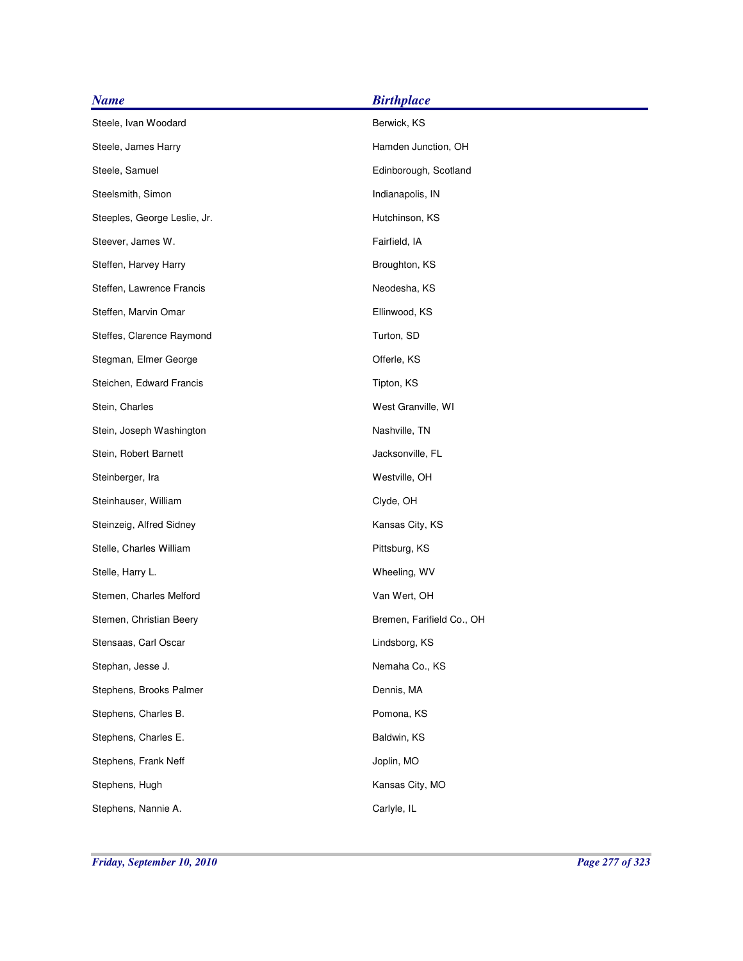| <b>Name</b>                  | <b>Birthplace</b>         |
|------------------------------|---------------------------|
| Steele, Ivan Woodard         | Berwick, KS               |
| Steele, James Harry          | Hamden Junction, OH       |
| Steele, Samuel               | Edinborough, Scotland     |
| Steelsmith, Simon            | Indianapolis, IN          |
| Steeples, George Leslie, Jr. | Hutchinson, KS            |
| Steever, James W.            | Fairfield, IA             |
| Steffen, Harvey Harry        | Broughton, KS             |
| Steffen, Lawrence Francis    | Neodesha, KS              |
| Steffen, Marvin Omar         | Ellinwood, KS             |
| Steffes, Clarence Raymond    | Turton, SD                |
| Stegman, Elmer George        | Offerle, KS               |
| Steichen, Edward Francis     | Tipton, KS                |
| Stein, Charles               | West Granville, WI        |
| Stein, Joseph Washington     | Nashville, TN             |
| Stein, Robert Barnett        | Jacksonville, FL          |
| Steinberger, Ira             | Westville, OH             |
| Steinhauser, William         | Clyde, OH                 |
| Steinzeig, Alfred Sidney     | Kansas City, KS           |
| Stelle, Charles William      | Pittsburg, KS             |
| Stelle, Harry L.             | Wheeling, WV              |
| Stemen, Charles Melford      | Van Wert, OH              |
| Stemen, Christian Beery      | Bremen, Farifield Co., OH |
| Stensaas, Carl Oscar         | Lindsborg, KS             |
| Stephan, Jesse J.            | Nemaha Co., KS            |
| Stephens, Brooks Palmer      | Dennis, MA                |
| Stephens, Charles B.         | Pomona, KS                |
| Stephens, Charles E.         | Baldwin, KS               |
| Stephens, Frank Neff         | Joplin, MO                |
| Stephens, Hugh               | Kansas City, MO           |
| Stephens, Nannie A.          | Carlyle, IL               |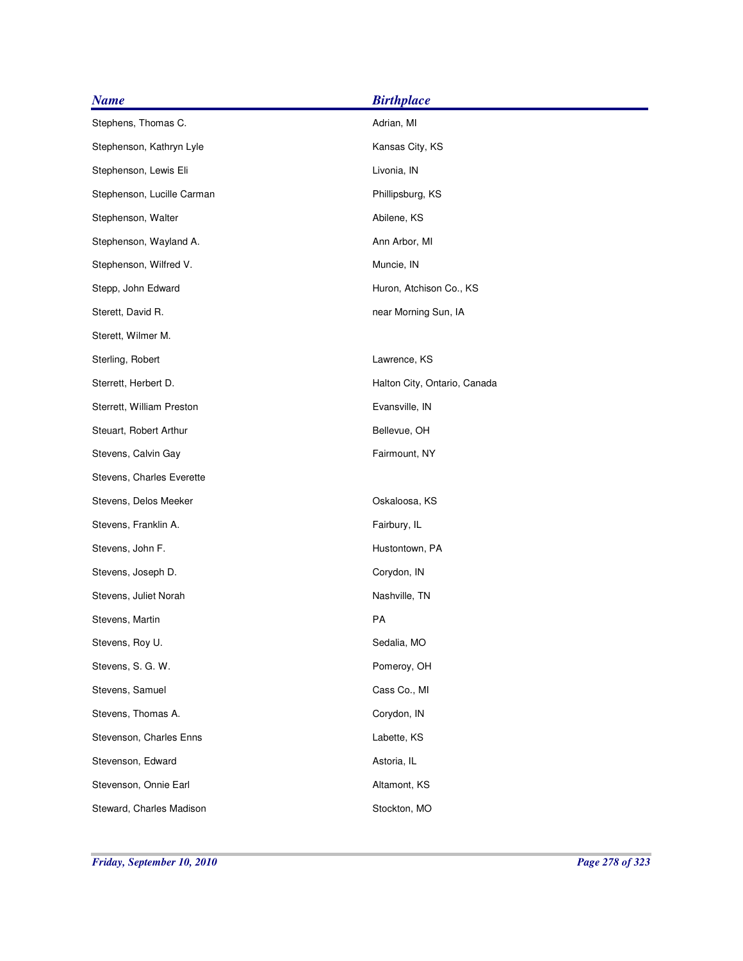| <b>Name</b>                | <b>Birthplace</b>            |
|----------------------------|------------------------------|
| Stephens, Thomas C.        | Adrian, MI                   |
| Stephenson, Kathryn Lyle   | Kansas City, KS              |
| Stephenson, Lewis Eli      | Livonia, IN                  |
| Stephenson, Lucille Carman | Phillipsburg, KS             |
| Stephenson, Walter         | Abilene, KS                  |
| Stephenson, Wayland A.     | Ann Arbor, MI                |
| Stephenson, Wilfred V.     | Muncie, IN                   |
| Stepp, John Edward         | Huron, Atchison Co., KS      |
| Sterett, David R.          | near Morning Sun, IA         |
| Sterett, Wilmer M.         |                              |
| Sterling, Robert           | Lawrence, KS                 |
| Sterrett, Herbert D.       | Halton City, Ontario, Canada |
| Sterrett, William Preston  | Evansville, IN               |
| Steuart, Robert Arthur     | Bellevue, OH                 |
| Stevens, Calvin Gay        | Fairmount, NY                |
| Stevens, Charles Everette  |                              |
| Stevens, Delos Meeker      | Oskaloosa, KS                |
| Stevens, Franklin A.       | Fairbury, IL                 |
| Stevens, John F.           | Hustontown, PA               |
| Stevens, Joseph D.         | Corydon, IN                  |
| Stevens, Juliet Norah      | Nashville, TN                |
| Stevens, Martin            | PA                           |
| Stevens, Roy U.            | Sedalia, MO                  |
| Stevens, S. G. W.          | Pomeroy, OH                  |
| Stevens, Samuel            | Cass Co., MI                 |
| Stevens, Thomas A.         | Corydon, IN                  |
| Stevenson, Charles Enns    | Labette, KS                  |
| Stevenson, Edward          | Astoria, IL                  |
| Stevenson, Onnie Earl      | Altamont, KS                 |
| Steward, Charles Madison   | Stockton, MO                 |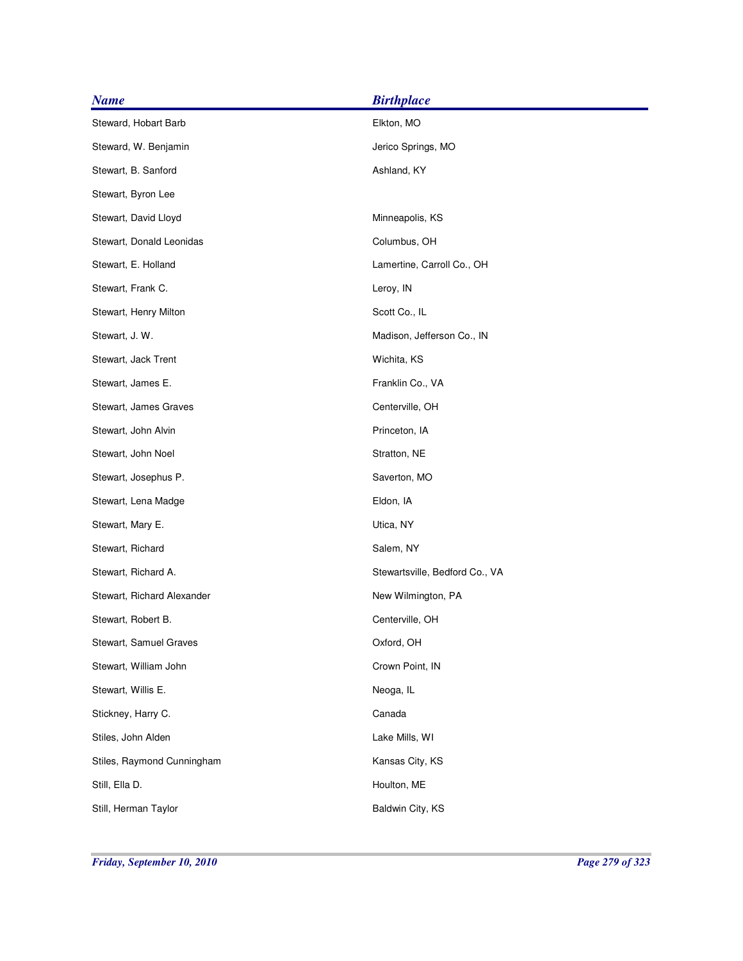| <b>Name</b>                | <b>Birthplace</b>              |
|----------------------------|--------------------------------|
| Steward, Hobart Barb       | Elkton, MO                     |
| Steward, W. Benjamin       | Jerico Springs, MO             |
| Stewart, B. Sanford        | Ashland, KY                    |
| Stewart, Byron Lee         |                                |
| Stewart, David Lloyd       | Minneapolis, KS                |
| Stewart, Donald Leonidas   | Columbus, OH                   |
| Stewart, E. Holland        | Lamertine, Carroll Co., OH     |
| Stewart, Frank C.          | Leroy, IN                      |
| Stewart, Henry Milton      | Scott Co., IL                  |
| Stewart, J. W.             | Madison, Jefferson Co., IN     |
| Stewart, Jack Trent        | Wichita, KS                    |
| Stewart, James E.          | Franklin Co., VA               |
| Stewart, James Graves      | Centerville, OH                |
| Stewart, John Alvin        | Princeton, IA                  |
| Stewart, John Noel         | Stratton, NE                   |
| Stewart, Josephus P.       | Saverton, MO                   |
| Stewart, Lena Madge        | Eldon, IA                      |
| Stewart, Mary E.           | Utica, NY                      |
| Stewart, Richard           | Salem, NY                      |
| Stewart, Richard A.        | Stewartsville, Bedford Co., VA |
| Stewart, Richard Alexander | New Wilmington, PA             |
| Stewart, Robert B.         | Centerville, OH                |
| Stewart, Samuel Graves     | Oxford, OH                     |
| Stewart, William John      | Crown Point, IN                |
| Stewart, Willis E.         | Neoga, IL                      |
| Stickney, Harry C.         | Canada                         |
| Stiles, John Alden         | Lake Mills, WI                 |
| Stiles, Raymond Cunningham | Kansas City, KS                |
| Still, Ella D.             | Houlton, ME                    |
| Still, Herman Taylor       | Baldwin City, KS               |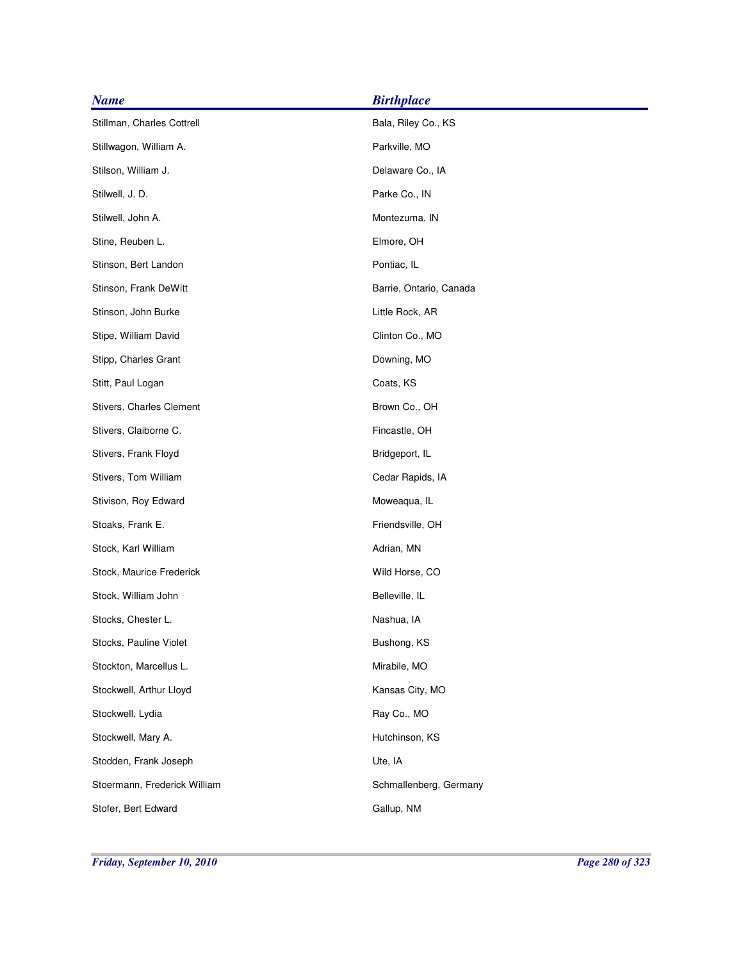| <b>Name</b>                  | <b>Birthplace</b>       |
|------------------------------|-------------------------|
| Stillman, Charles Cottrell   | Bala, Riley Co., KS     |
| Stillwagon, William A.       | Parkville, MO           |
| Stilson, William J.          | Delaware Co., IA        |
| Stilwell, J.D.               | Parke Co., IN           |
| Stilwell, John A.            | Montezuma, IN           |
| Stine, Reuben L.             | Elmore, OH              |
| Stinson, Bert Landon         | Pontiac, IL             |
| Stinson, Frank DeWitt        | Barrie, Ontario, Canada |
| Stinson, John Burke          | Little Rock, AR         |
| Stipe, William David         | Clinton Co., MO         |
| Stipp, Charles Grant         | Downing, MO             |
| Stitt, Paul Logan            | Coats, KS               |
| Stivers, Charles Clement     | Brown Co., OH           |
| Stivers, Claiborne C.        | Fincastle, OH           |
| Stivers, Frank Floyd         | Bridgeport, IL          |
| Stivers, Tom William         | Cedar Rapids, IA        |
| Stivison, Roy Edward         | Moweaqua, IL            |
| Stoaks, Frank E.             | Friendsville, OH        |
| Stock, Karl William          | Adrian, MN              |
| Stock, Maurice Frederick     | Wild Horse, CO          |
| Stock, William John          | Belleville, IL          |
| Stocks, Chester L.           | Nashua, IA              |
| Stocks, Pauline Violet       | Bushong, KS             |
| Stockton, Marcellus L.       | Mirabile, MO            |
| Stockwell, Arthur Lloyd      | Kansas City, MO         |
| Stockwell, Lydia             | Ray Co., MO             |
| Stockwell, Mary A.           | Hutchinson, KS          |
| Stodden, Frank Joseph        | Ute, IA                 |
| Stoermann, Frederick William | Schmallenberg, Germany  |
| Stofer, Bert Edward          | Gallup, NM              |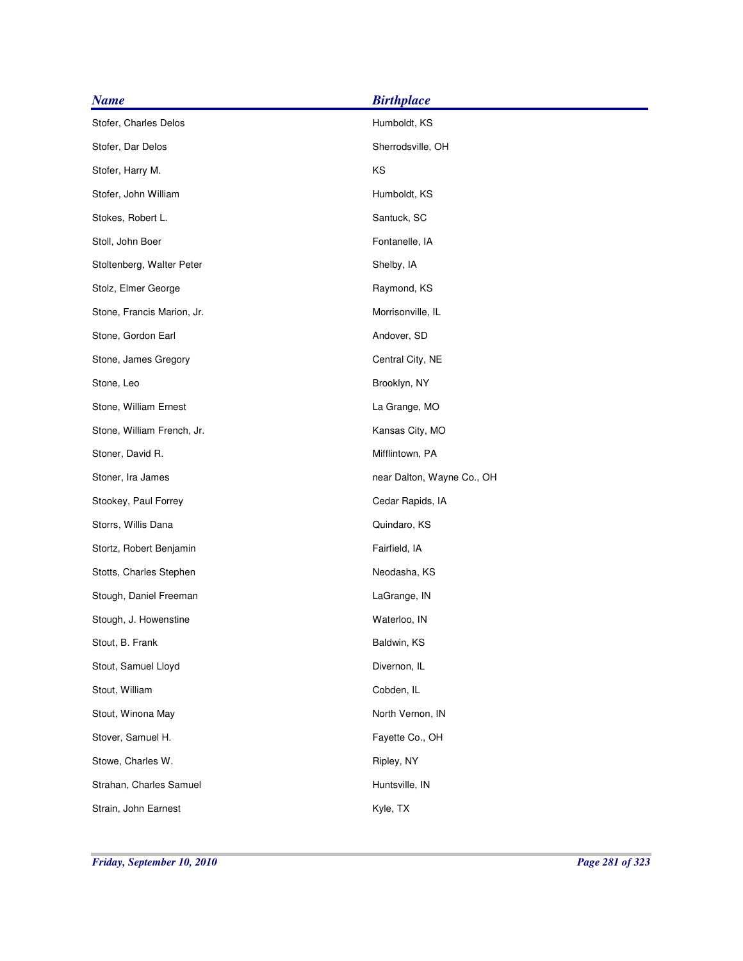| <b>Name</b>                | <b>Birthplace</b>          |
|----------------------------|----------------------------|
| Stofer, Charles Delos      | Humboldt, KS               |
| Stofer, Dar Delos          | Sherrodsville, OH          |
| Stofer, Harry M.           | KS                         |
| Stofer, John William       | Humboldt, KS               |
| Stokes, Robert L.          | Santuck, SC                |
| Stoll, John Boer           | Fontanelle, IA             |
| Stoltenberg, Walter Peter  | Shelby, IA                 |
| Stolz, Elmer George        | Raymond, KS                |
| Stone, Francis Marion, Jr. | Morrisonville, IL          |
| Stone, Gordon Earl         | Andover, SD                |
| Stone, James Gregory       | Central City, NE           |
| Stone, Leo                 | Brooklyn, NY               |
| Stone, William Ernest      | La Grange, MO              |
| Stone, William French, Jr. | Kansas City, MO            |
| Stoner, David R.           | Mifflintown, PA            |
| Stoner, Ira James          | near Dalton, Wayne Co., OH |
| Stookey, Paul Forrey       | Cedar Rapids, IA           |
| Storrs, Willis Dana        | Quindaro, KS               |
| Stortz, Robert Benjamin    | Fairfield, IA              |
| Stotts, Charles Stephen    | Neodasha, KS               |
| Stough, Daniel Freeman     | LaGrange, IN               |
| Stough, J. Howenstine      | Waterloo, IN               |
| Stout, B. Frank            | Baldwin, KS                |
| Stout, Samuel Lloyd        | Divernon, IL               |
| Stout, William             | Cobden, IL                 |
| Stout, Winona May          | North Vernon, IN           |
| Stover, Samuel H.          | Fayette Co., OH            |
| Stowe, Charles W.          | Ripley, NY                 |
| Strahan, Charles Samuel    | Huntsville, IN             |
| Strain, John Earnest       | Kyle, TX                   |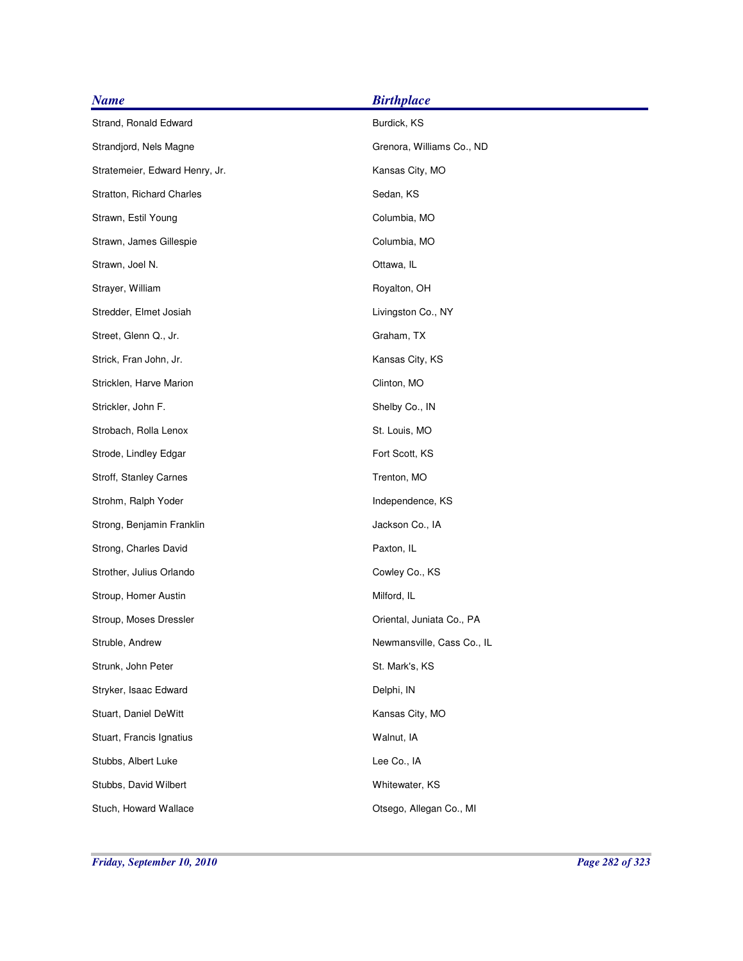| <b>Name</b>                    | <b>Birthplace</b>          |
|--------------------------------|----------------------------|
| Strand, Ronald Edward          | Burdick, KS                |
| Strandjord, Nels Magne         | Grenora, Williams Co., ND  |
| Stratemeier, Edward Henry, Jr. | Kansas City, MO            |
| Stratton, Richard Charles      | Sedan, KS                  |
| Strawn, Estil Young            | Columbia, MO               |
| Strawn, James Gillespie        | Columbia, MO               |
| Strawn, Joel N.                | Ottawa, IL                 |
| Strayer, William               | Royalton, OH               |
| Stredder, Elmet Josiah         | Livingston Co., NY         |
| Street, Glenn Q., Jr.          | Graham, TX                 |
| Strick, Fran John, Jr.         | Kansas City, KS            |
| Stricklen, Harve Marion        | Clinton, MO                |
| Strickler, John F.             | Shelby Co., IN             |
| Strobach, Rolla Lenox          | St. Louis, MO              |
| Strode, Lindley Edgar          | Fort Scott, KS             |
| Stroff, Stanley Carnes         | Trenton, MO                |
| Strohm, Ralph Yoder            | Independence, KS           |
| Strong, Benjamin Franklin      | Jackson Co., IA            |
| Strong, Charles David          | Paxton, IL                 |
| Strother, Julius Orlando       | Cowley Co., KS             |
| Stroup, Homer Austin           | Milford, IL                |
| Stroup, Moses Dressler         | Oriental, Juniata Co., PA  |
| Struble, Andrew                | Newmansville, Cass Co., IL |
| Strunk, John Peter             | St. Mark's, KS             |
| Stryker, Isaac Edward          | Delphi, IN                 |
| Stuart, Daniel DeWitt          | Kansas City, MO            |
| Stuart, Francis Ignatius       | Walnut, IA                 |
| Stubbs, Albert Luke            | Lee Co., IA                |
| Stubbs, David Wilbert          | Whitewater, KS             |
| Stuch, Howard Wallace          | Otsego, Allegan Co., MI    |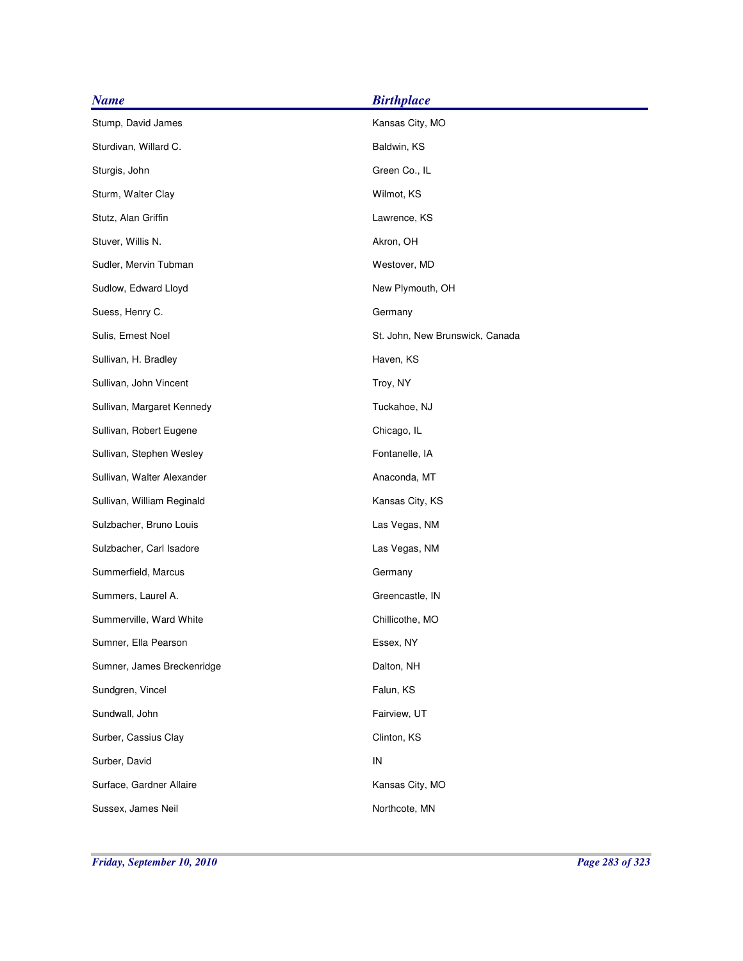| <b>Name</b>                | <b>Birthplace</b>               |
|----------------------------|---------------------------------|
| Stump, David James         | Kansas City, MO                 |
| Sturdivan, Willard C.      | Baldwin, KS                     |
| Sturgis, John              | Green Co., IL                   |
| Sturm, Walter Clay         | Wilmot, KS                      |
| Stutz, Alan Griffin        | Lawrence, KS                    |
| Stuver, Willis N.          | Akron, OH                       |
| Sudler, Mervin Tubman      | Westover, MD                    |
| Sudlow, Edward Lloyd       | New Plymouth, OH                |
| Suess, Henry C.            | Germany                         |
| Sulis, Ernest Noel         | St. John, New Brunswick, Canada |
| Sullivan, H. Bradley       | Haven, KS                       |
| Sullivan, John Vincent     | Troy, NY                        |
| Sullivan, Margaret Kennedy | Tuckahoe, NJ                    |
| Sullivan, Robert Eugene    | Chicago, IL                     |
| Sullivan, Stephen Wesley   | Fontanelle, IA                  |
| Sullivan, Walter Alexander | Anaconda, MT                    |
| Sullivan, William Reginald | Kansas City, KS                 |
| Sulzbacher, Bruno Louis    | Las Vegas, NM                   |
| Sulzbacher, Carl Isadore   | Las Vegas, NM                   |
| Summerfield, Marcus        | Germany                         |
| Summers, Laurel A.         | Greencastle, IN                 |
| Summerville, Ward White    | Chillicothe, MO                 |
| Sumner, Ella Pearson       | Essex, NY                       |
| Sumner, James Breckenridge | Dalton, NH                      |
| Sundgren, Vincel           | Falun, KS                       |
| Sundwall, John             | Fairview, UT                    |
| Surber, Cassius Clay       | Clinton, KS                     |
| Surber, David              | IN                              |
| Surface, Gardner Allaire   | Kansas City, MO                 |
| Sussex, James Neil         | Northcote, MN                   |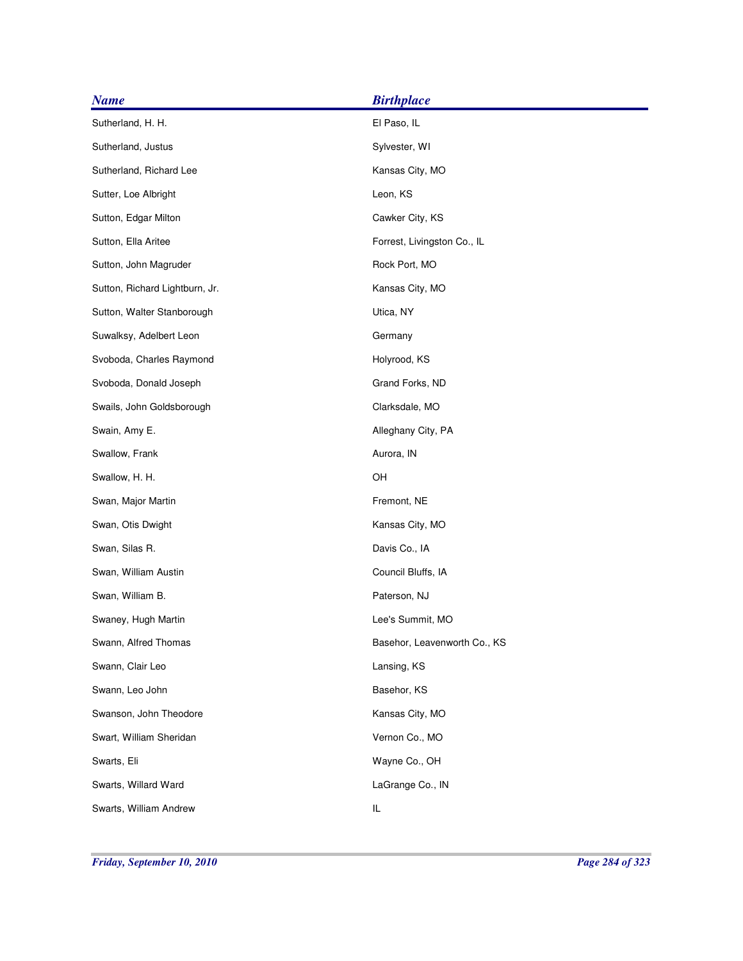| <b>Name</b>                    | <b>Birthplace</b>            |
|--------------------------------|------------------------------|
| Sutherland, H. H.              | El Paso, IL                  |
| Sutherland, Justus             | Sylvester, WI                |
| Sutherland, Richard Lee        | Kansas City, MO              |
| Sutter, Loe Albright           | Leon, KS                     |
| Sutton, Edgar Milton           | Cawker City, KS              |
| Sutton, Ella Aritee            | Forrest, Livingston Co., IL  |
| Sutton, John Magruder          | Rock Port, MO                |
| Sutton, Richard Lightburn, Jr. | Kansas City, MO              |
| Sutton, Walter Stanborough     | Utica, NY                    |
| Suwalksy, Adelbert Leon        | Germany                      |
| Svoboda, Charles Raymond       | Holyrood, KS                 |
| Svoboda, Donald Joseph         | Grand Forks, ND              |
| Swails, John Goldsborough      | Clarksdale, MO               |
| Swain, Amy E.                  | Alleghany City, PA           |
| Swallow, Frank                 | Aurora, IN                   |
| Swallow, H. H.                 | OH                           |
| Swan, Major Martin             | Fremont, NE                  |
| Swan, Otis Dwight              | Kansas City, MO              |
| Swan, Silas R.                 | Davis Co., IA                |
| Swan, William Austin           | Council Bluffs, IA           |
| Swan, William B.               | Paterson, NJ                 |
| Swaney, Hugh Martin            | Lee's Summit, MO             |
| Swann, Alfred Thomas           | Basehor, Leavenworth Co., KS |
| Swann, Clair Leo               | Lansing, KS                  |
| Swann, Leo John                | Basehor, KS                  |
| Swanson, John Theodore         | Kansas City, MO              |
| Swart, William Sheridan        | Vernon Co., MO               |
| Swarts, Eli                    | Wayne Co., OH                |
| Swarts, Willard Ward           | LaGrange Co., IN             |
| Swarts, William Andrew         | IL                           |
|                                |                              |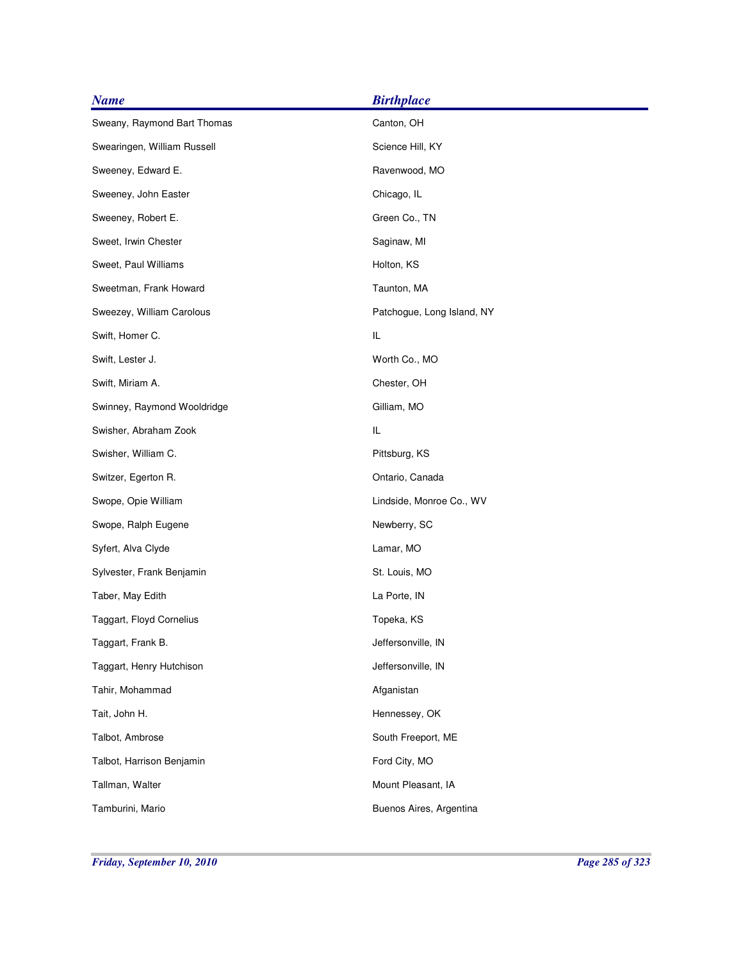| <b>Name</b>                 | <b>Birthplace</b>          |
|-----------------------------|----------------------------|
| Sweany, Raymond Bart Thomas | Canton, OH                 |
| Swearingen, William Russell | Science Hill, KY           |
| Sweeney, Edward E.          | Ravenwood, MO              |
| Sweeney, John Easter        | Chicago, IL                |
| Sweeney, Robert E.          | Green Co., TN              |
| Sweet, Irwin Chester        | Saginaw, MI                |
| Sweet, Paul Williams        | Holton, KS                 |
| Sweetman, Frank Howard      | Taunton, MA                |
| Sweezey, William Carolous   | Patchogue, Long Island, NY |
| Swift, Homer C.             | IL                         |
| Swift, Lester J.            | Worth Co., MO              |
| Swift, Miriam A.            | Chester, OH                |
| Swinney, Raymond Wooldridge | Gilliam, MO                |
| Swisher, Abraham Zook       | IL                         |
| Swisher, William C.         | Pittsburg, KS              |
| Switzer, Egerton R.         | Ontario, Canada            |
| Swope, Opie William         | Lindside, Monroe Co., WV   |
| Swope, Ralph Eugene         | Newberry, SC               |
| Syfert, Alva Clyde          | Lamar, MO                  |
| Sylvester, Frank Benjamin   | St. Louis, MO              |
| Taber, May Edith            | La Porte, IN               |
| Taggart, Floyd Cornelius    | Topeka, KS                 |
| Taggart, Frank B.           | Jeffersonville, IN         |
| Taggart, Henry Hutchison    | Jeffersonville, IN         |
| Tahir, Mohammad             | Afganistan                 |
| Tait, John H.               | Hennessey, OK              |
| Talbot, Ambrose             | South Freeport, ME         |
| Talbot, Harrison Benjamin   | Ford City, MO              |
| Tallman, Walter             | Mount Pleasant, IA         |
| Tamburini, Mario            | Buenos Aires, Argentina    |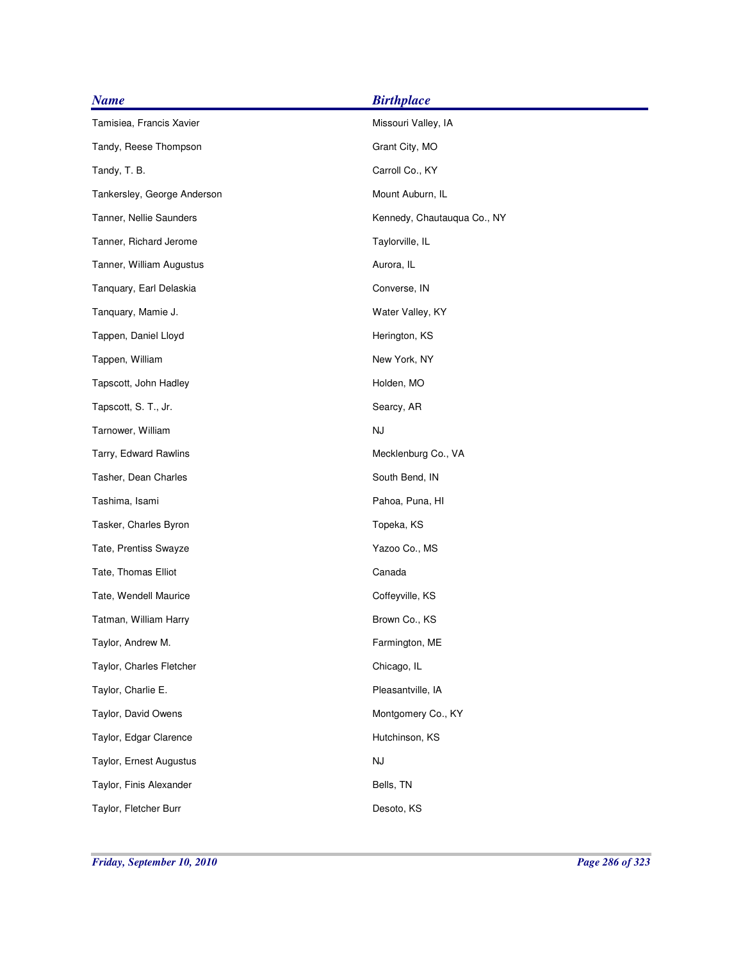| <b>Name</b>                 | <b>Birthplace</b>           |
|-----------------------------|-----------------------------|
| Tamisiea, Francis Xavier    | Missouri Valley, IA         |
| Tandy, Reese Thompson       | Grant City, MO              |
| Tandy, T. B.                | Carroll Co., KY             |
| Tankersley, George Anderson | Mount Auburn, IL            |
| Tanner, Nellie Saunders     | Kennedy, Chautauqua Co., NY |
| Tanner, Richard Jerome      | Taylorville, IL             |
| Tanner, William Augustus    | Aurora, IL                  |
| Tanquary, Earl Delaskia     | Converse, IN                |
| Tanquary, Mamie J.          | Water Valley, KY            |
| Tappen, Daniel Lloyd        | Herington, KS               |
| Tappen, William             | New York, NY                |
| Tapscott, John Hadley       | Holden, MO                  |
| Tapscott, S. T., Jr.        | Searcy, AR                  |
| Tarnower, William           | NJ                          |
| Tarry, Edward Rawlins       | Mecklenburg Co., VA         |
| Tasher, Dean Charles        | South Bend, IN              |
| Tashima, Isami              | Pahoa, Puna, HI             |
| Tasker, Charles Byron       | Topeka, KS                  |
| Tate, Prentiss Swayze       | Yazoo Co., MS               |
| Tate, Thomas Elliot         | Canada                      |
| Tate, Wendell Maurice       | Coffeyville, KS             |
| Tatman, William Harry       | Brown Co., KS               |
| Taylor, Andrew M.           | Farmington, ME              |
| Taylor, Charles Fletcher    | Chicago, IL                 |
| Taylor, Charlie E.          | Pleasantville, IA           |
| Taylor, David Owens         | Montgomery Co., KY          |
| Taylor, Edgar Clarence      | Hutchinson, KS              |
| Taylor, Ernest Augustus     | NJ                          |
| Taylor, Finis Alexander     | Bells, TN                   |
| Taylor, Fletcher Burr       | Desoto, KS                  |
|                             |                             |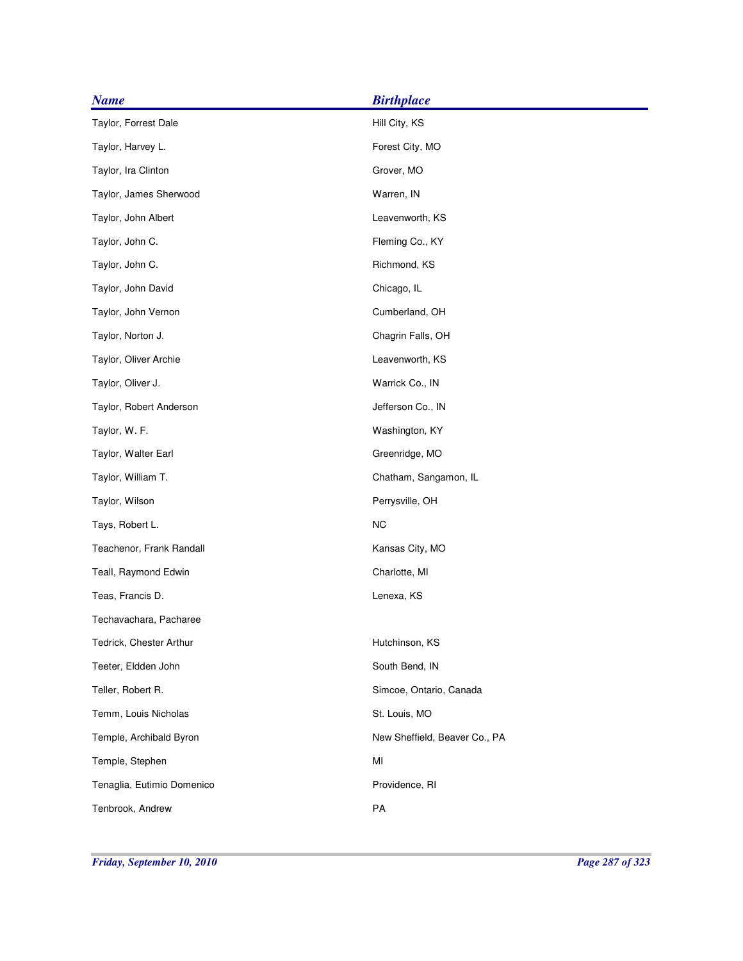| <b>Birthplace</b>             |
|-------------------------------|
| Hill City, KS                 |
| Forest City, MO               |
| Grover, MO                    |
| Warren, IN                    |
| Leavenworth, KS               |
| Fleming Co., KY               |
| Richmond, KS                  |
| Chicago, IL                   |
| Cumberland, OH                |
| Chagrin Falls, OH             |
| Leavenworth, KS               |
| Warrick Co., IN               |
| Jefferson Co., IN             |
| Washington, KY                |
| Greenridge, MO                |
| Chatham, Sangamon, IL         |
| Perrysville, OH               |
| <b>NC</b>                     |
| Kansas City, MO               |
| Charlotte, MI                 |
| Lenexa, KS                    |
|                               |
| Hutchinson, KS                |
| South Bend, IN                |
| Simcoe, Ontario, Canada       |
| St. Louis, MO                 |
| New Sheffield, Beaver Co., PA |
| MI                            |
| Providence, RI                |
| PA                            |
|                               |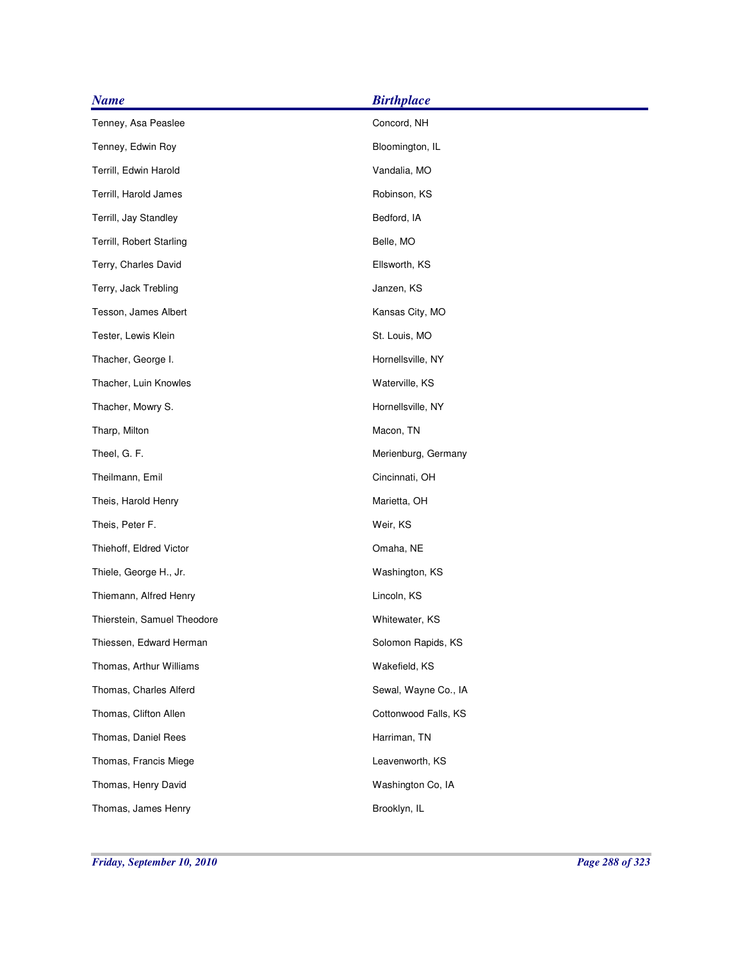| <b>Name</b>                 | <b>Birthplace</b>    |
|-----------------------------|----------------------|
| Tenney, Asa Peaslee         | Concord, NH          |
| Tenney, Edwin Roy           | Bloomington, IL      |
| Terrill, Edwin Harold       | Vandalia, MO         |
| Terrill, Harold James       | Robinson, KS         |
| Terrill, Jay Standley       | Bedford, IA          |
| Terrill, Robert Starling    | Belle, MO            |
| Terry, Charles David        | Ellsworth, KS        |
| Terry, Jack Trebling        | Janzen, KS           |
| Tesson, James Albert        | Kansas City, MO      |
| Tester, Lewis Klein         | St. Louis, MO        |
| Thacher, George I.          | Hornellsville, NY    |
| Thacher, Luin Knowles       | Waterville, KS       |
| Thacher, Mowry S.           | Hornellsville, NY    |
| Tharp, Milton               | Macon, TN            |
| Theel, G. F.                | Merienburg, Germany  |
| Theilmann, Emil             | Cincinnati, OH       |
| Theis, Harold Henry         | Marietta, OH         |
| Theis, Peter F.             | Weir, KS             |
| Thiehoff, Eldred Victor     | Omaha, NE            |
| Thiele, George H., Jr.      | Washington, KS       |
| Thiemann, Alfred Henry      | Lincoln, KS          |
| Thierstein, Samuel Theodore | Whitewater, KS       |
| Thiessen, Edward Herman     | Solomon Rapids, KS   |
| Thomas, Arthur Williams     | Wakefield, KS        |
| Thomas, Charles Alferd      | Sewal, Wayne Co., IA |
| Thomas, Clifton Allen       | Cottonwood Falls, KS |
| Thomas, Daniel Rees         | Harriman, TN         |
| Thomas, Francis Miege       | Leavenworth, KS      |
| Thomas, Henry David         | Washington Co, IA    |
| Thomas, James Henry         | Brooklyn, IL         |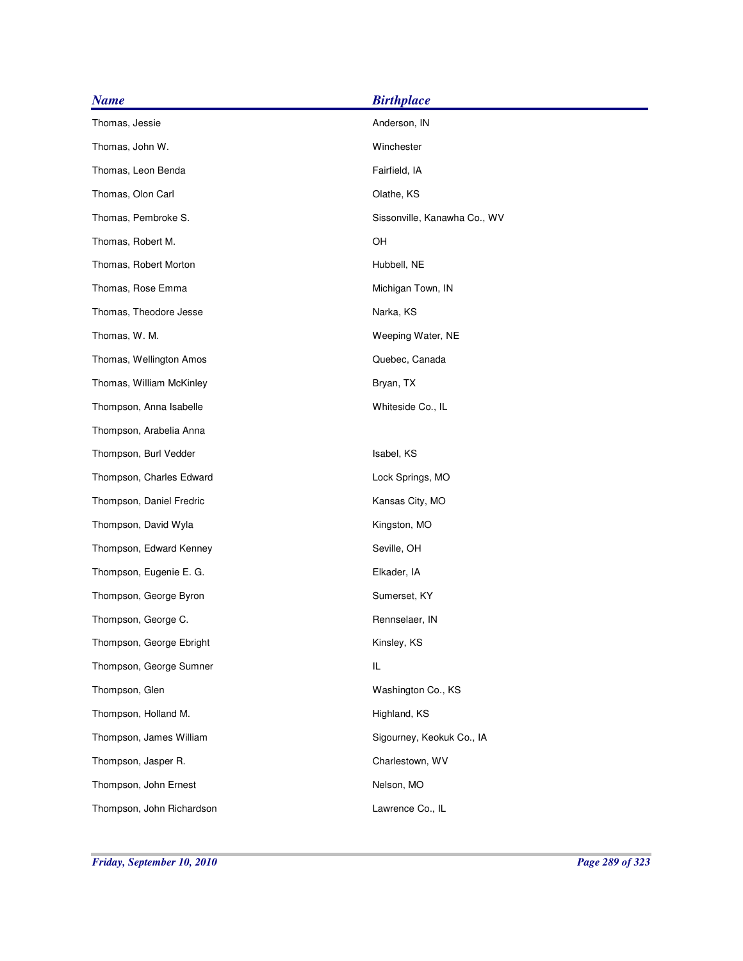| <b>Name</b>               | <b>Birthplace</b>            |
|---------------------------|------------------------------|
| Thomas, Jessie            | Anderson, IN                 |
| Thomas, John W.           | Winchester                   |
| Thomas, Leon Benda        | Fairfield, IA                |
| Thomas, Olon Carl         | Olathe, KS                   |
| Thomas, Pembroke S.       | Sissonville, Kanawha Co., WV |
| Thomas, Robert M.         | OH                           |
| Thomas, Robert Morton     | Hubbell, NE                  |
| Thomas, Rose Emma         | Michigan Town, IN            |
| Thomas, Theodore Jesse    | Narka, KS                    |
| Thomas, W. M.             | Weeping Water, NE            |
| Thomas, Wellington Amos   | Quebec, Canada               |
| Thomas, William McKinley  | Bryan, TX                    |
| Thompson, Anna Isabelle   | Whiteside Co., IL            |
| Thompson, Arabelia Anna   |                              |
| Thompson, Burl Vedder     | Isabel, KS                   |
| Thompson, Charles Edward  | Lock Springs, MO             |
| Thompson, Daniel Fredric  | Kansas City, MO              |
| Thompson, David Wyla      | Kingston, MO                 |
| Thompson, Edward Kenney   | Seville, OH                  |
| Thompson, Eugenie E. G.   | Elkader, IA                  |
| Thompson, George Byron    | Sumerset, KY                 |
| Thompson, George C.       | Rennselaer, IN               |
| Thompson, George Ebright  | Kinsley, KS                  |
| Thompson, George Sumner   | IL                           |
| Thompson, Glen            | Washington Co., KS           |
| Thompson, Holland M.      | Highland, KS                 |
| Thompson, James William   | Sigourney, Keokuk Co., IA    |
| Thompson, Jasper R.       | Charlestown, WV              |
| Thompson, John Ernest     | Nelson, MO                   |
| Thompson, John Richardson | Lawrence Co., IL             |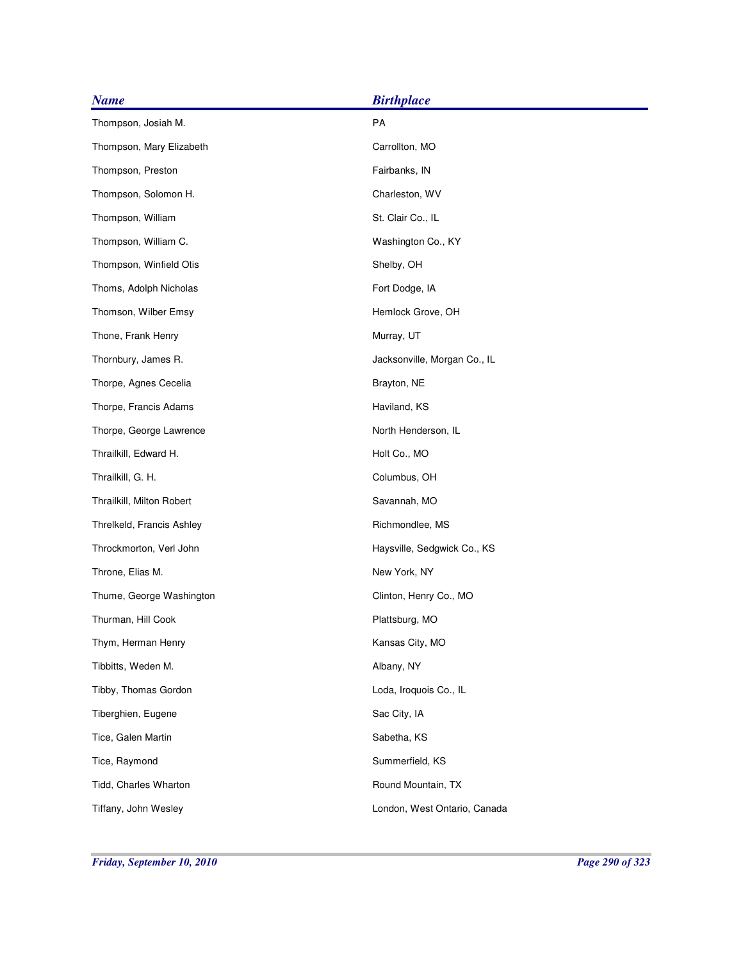| <b>Name</b>               | <b>Birthplace</b>            |
|---------------------------|------------------------------|
| Thompson, Josiah M.       | PA                           |
| Thompson, Mary Elizabeth  | Carrollton, MO               |
| Thompson, Preston         | Fairbanks, IN                |
| Thompson, Solomon H.      | Charleston, WV               |
| Thompson, William         | St. Clair Co., IL            |
| Thompson, William C.      | Washington Co., KY           |
| Thompson, Winfield Otis   | Shelby, OH                   |
| Thoms, Adolph Nicholas    | Fort Dodge, IA               |
| Thomson, Wilber Emsy      | Hemlock Grove, OH            |
| Thone, Frank Henry        | Murray, UT                   |
| Thornbury, James R.       | Jacksonville, Morgan Co., IL |
| Thorpe, Agnes Cecelia     | Brayton, NE                  |
| Thorpe, Francis Adams     | Haviland, KS                 |
| Thorpe, George Lawrence   | North Henderson, IL          |
| Thrailkill, Edward H.     | Holt Co., MO                 |
| Thrailkill, G. H.         | Columbus, OH                 |
| Thrailkill, Milton Robert | Savannah, MO                 |
| Threlkeld, Francis Ashley | Richmondlee, MS              |
| Throckmorton, Verl John   | Haysville, Sedgwick Co., KS  |
| Throne, Elias M.          | New York, NY                 |
| Thume, George Washington  | Clinton, Henry Co., MO       |
| Thurman, Hill Cook        | Plattsburg, MO               |
| Thym, Herman Henry        | Kansas City, MO              |
| Tibbitts, Weden M.        | Albany, NY                   |
| Tibby, Thomas Gordon      | Loda, Iroquois Co., IL       |
| Tiberghien, Eugene        | Sac City, IA                 |
| Tice, Galen Martin        | Sabetha, KS                  |
| Tice, Raymond             | Summerfield, KS              |
| Tidd, Charles Wharton     | Round Mountain, TX           |
| Tiffany, John Wesley      | London, West Ontario, Canada |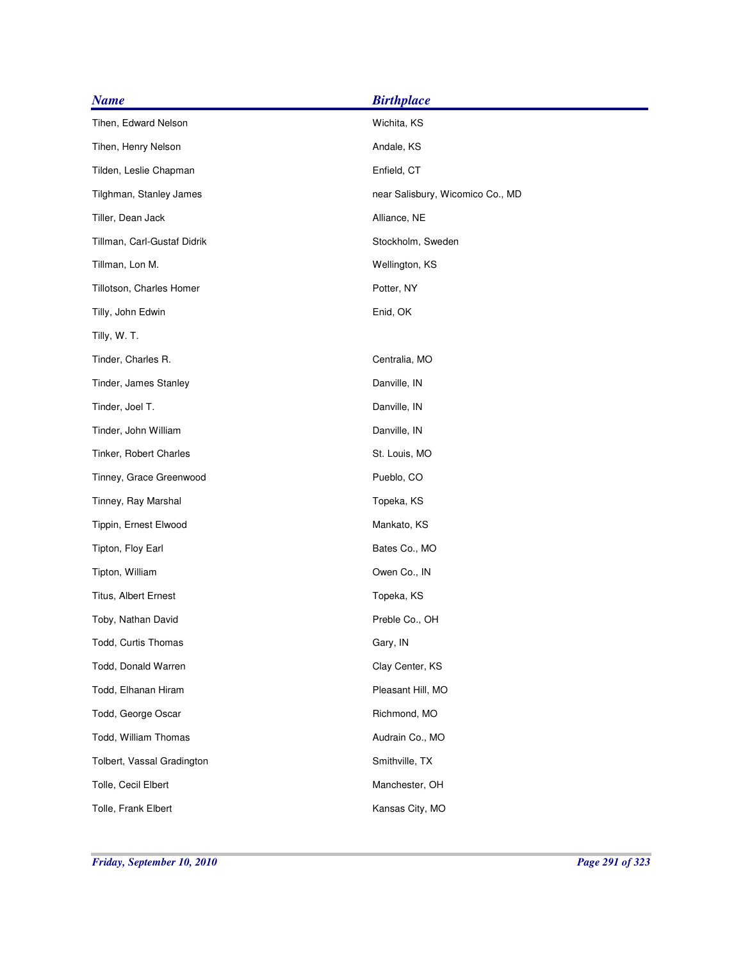| <b>Name</b>                 | <b>Birthplace</b>                |
|-----------------------------|----------------------------------|
| Tihen, Edward Nelson        | Wichita, KS                      |
| Tihen, Henry Nelson         | Andale, KS                       |
| Tilden, Leslie Chapman      | Enfield, CT                      |
| Tilghman, Stanley James     | near Salisbury, Wicomico Co., MD |
| Tiller, Dean Jack           | Alliance, NE                     |
| Tillman, Carl-Gustaf Didrik | Stockholm, Sweden                |
| Tillman, Lon M.             | Wellington, KS                   |
| Tillotson, Charles Homer    | Potter, NY                       |
| Tilly, John Edwin           | Enid, OK                         |
| Tilly, W. T.                |                                  |
| Tinder, Charles R.          | Centralia, MO                    |
| Tinder, James Stanley       | Danville, IN                     |
| Tinder, Joel T.             | Danville, IN                     |
| Tinder, John William        | Danville, IN                     |
| Tinker, Robert Charles      | St. Louis, MO                    |
| Tinney, Grace Greenwood     | Pueblo, CO                       |
| Tinney, Ray Marshal         | Topeka, KS                       |
| Tippin, Ernest Elwood       | Mankato, KS                      |
| Tipton, Floy Earl           | Bates Co., MO                    |
| Tipton, William             | Owen Co., IN                     |
| Titus, Albert Ernest        | Topeka, KS                       |
| Toby, Nathan David          | Preble Co., OH                   |
| Todd, Curtis Thomas         | Gary, IN                         |
| Todd, Donald Warren         | Clay Center, KS                  |
| Todd, Elhanan Hiram         | Pleasant Hill, MO                |
| Todd, George Oscar          | Richmond, MO                     |
| Todd, William Thomas        | Audrain Co., MO                  |
| Tolbert, Vassal Gradington  | Smithville, TX                   |
| Tolle, Cecil Elbert         | Manchester, OH                   |
| Tolle, Frank Elbert         | Kansas City, MO                  |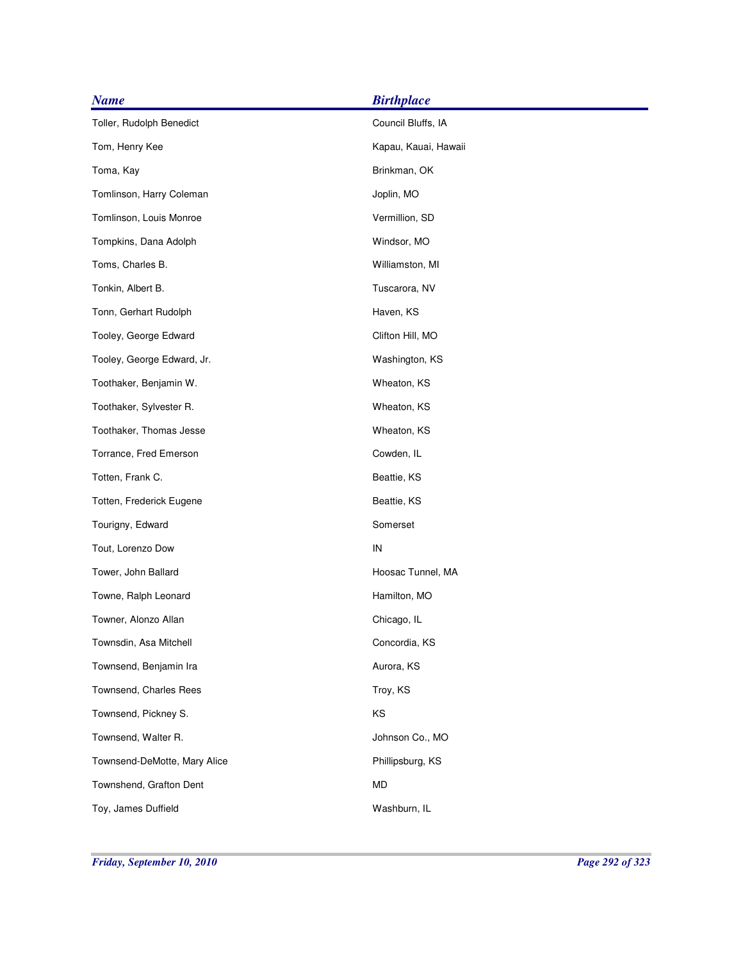| <b>Name</b>                  | <b>Birthplace</b>    |
|------------------------------|----------------------|
| Toller, Rudolph Benedict     | Council Bluffs, IA   |
| Tom, Henry Kee               | Kapau, Kauai, Hawaii |
| Toma, Kay                    | Brinkman, OK         |
| Tomlinson, Harry Coleman     | Joplin, MO           |
| Tomlinson, Louis Monroe      | Vermillion, SD       |
| Tompkins, Dana Adolph        | Windsor, MO          |
| Toms, Charles B.             | Williamston, MI      |
| Tonkin, Albert B.            | Tuscarora, NV        |
| Tonn, Gerhart Rudolph        | Haven, KS            |
| Tooley, George Edward        | Clifton Hill, MO     |
| Tooley, George Edward, Jr.   | Washington, KS       |
| Toothaker, Benjamin W.       | Wheaton, KS          |
| Toothaker, Sylvester R.      | Wheaton, KS          |
| Toothaker, Thomas Jesse      | Wheaton, KS          |
| Torrance, Fred Emerson       | Cowden, IL           |
| Totten, Frank C.             | Beattie, KS          |
| Totten, Frederick Eugene     | Beattie, KS          |
| Tourigny, Edward             | Somerset             |
| Tout, Lorenzo Dow            | IN                   |
| Tower, John Ballard          | Hoosac Tunnel, MA    |
| Towne, Ralph Leonard         | Hamilton, MO         |
| Towner, Alonzo Allan         | Chicago, IL          |
| Townsdin, Asa Mitchell       | Concordia, KS        |
| Townsend, Benjamin Ira       | Aurora, KS           |
| Townsend, Charles Rees       | Troy, KS             |
| Townsend, Pickney S.         | KS                   |
| Townsend, Walter R.          | Johnson Co., MO      |
| Townsend-DeMotte, Mary Alice | Phillipsburg, KS     |
| Townshend, Grafton Dent      | MD                   |
| Toy, James Duffield          | Washburn, IL         |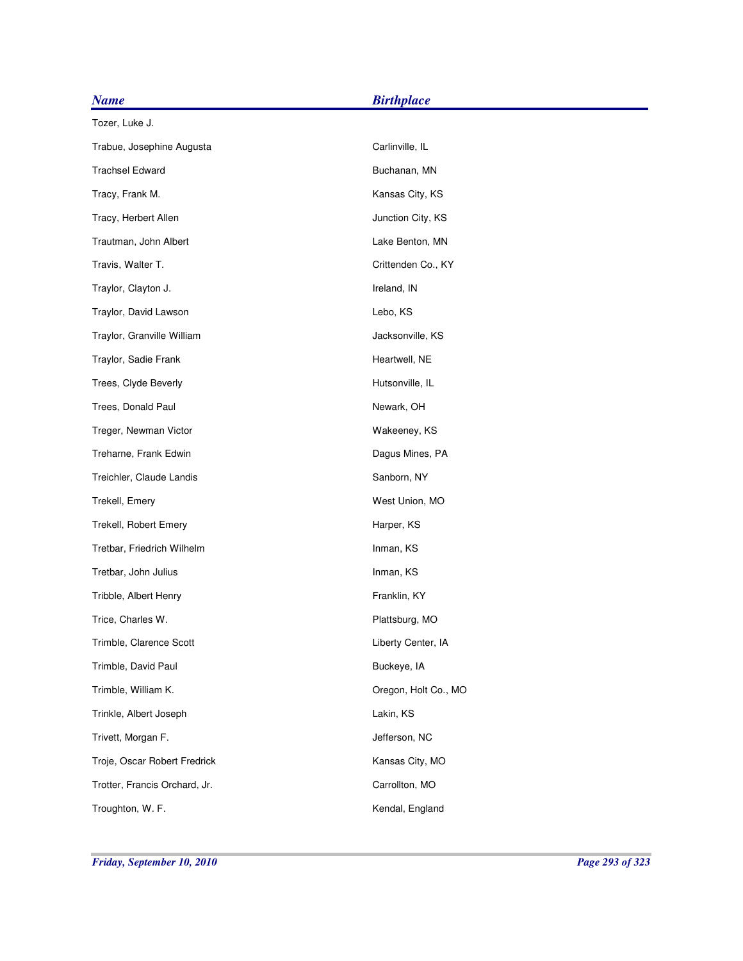| <b>Name</b>                   | <b>Birthplace</b>    |
|-------------------------------|----------------------|
| Tozer, Luke J.                |                      |
| Trabue, Josephine Augusta     | Carlinville, IL      |
| <b>Trachsel Edward</b>        | Buchanan, MN         |
| Tracy, Frank M.               | Kansas City, KS      |
| Tracy, Herbert Allen          | Junction City, KS    |
| Trautman, John Albert         | Lake Benton, MN      |
| Travis, Walter T.             | Crittenden Co., KY   |
| Traylor, Clayton J.           | Ireland, IN          |
| Traylor, David Lawson         | Lebo, KS             |
| Traylor, Granville William    | Jacksonville, KS     |
| Traylor, Sadie Frank          | Heartwell, NE        |
| Trees, Clyde Beverly          | Hutsonville, IL      |
| Trees, Donald Paul            | Newark, OH           |
| Treger, Newman Victor         | Wakeeney, KS         |
| Treharne, Frank Edwin         | Dagus Mines, PA      |
| Treichler, Claude Landis      | Sanborn, NY          |
| Trekell, Emery                | West Union, MO       |
| Trekell, Robert Emery         | Harper, KS           |
| Tretbar, Friedrich Wilhelm    | Inman, KS            |
| Tretbar, John Julius          | Inman, KS            |
| Tribble, Albert Henry         | Franklin, KY         |
| Trice, Charles W.             | Plattsburg, MO       |
| Trimble, Clarence Scott       | Liberty Center, IA   |
| Trimble, David Paul           | Buckeye, IA          |
| Trimble, William K.           | Oregon, Holt Co., MO |
| Trinkle, Albert Joseph        | Lakin, KS            |
| Trivett, Morgan F.            | Jefferson, NC        |
| Troje, Oscar Robert Fredrick  | Kansas City, MO      |
| Trotter, Francis Orchard, Jr. | Carrollton, MO       |
| Troughton, W. F.              | Kendal, England      |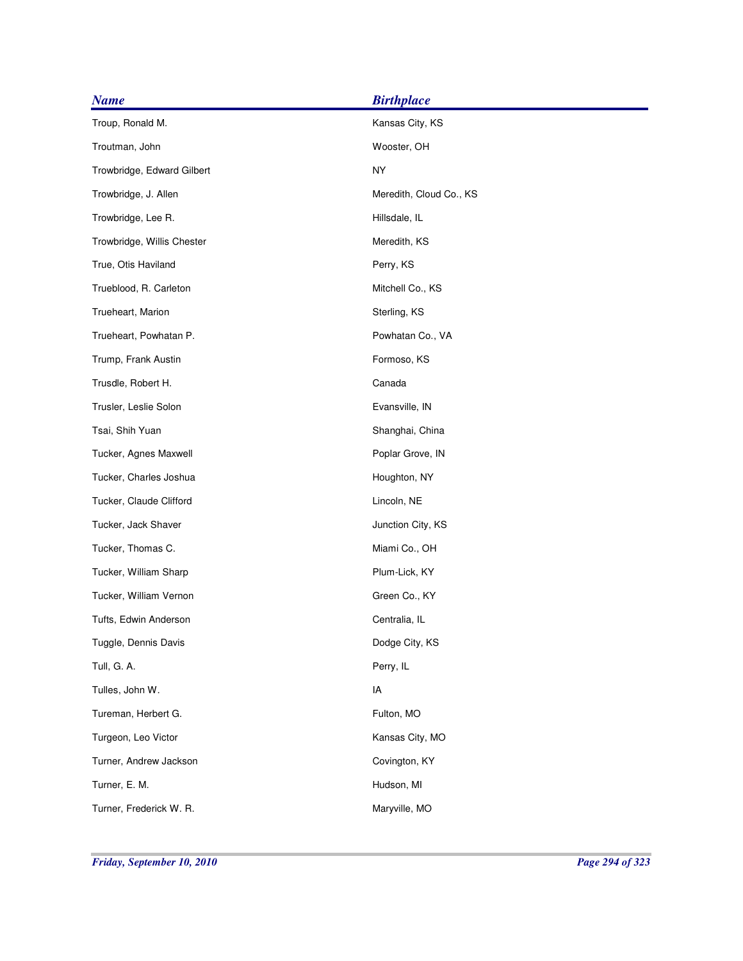| <b>Name</b>                | <b>Birthplace</b>       |
|----------------------------|-------------------------|
| Troup, Ronald M.           | Kansas City, KS         |
| Troutman, John             | Wooster, OH             |
| Trowbridge, Edward Gilbert | <b>NY</b>               |
| Trowbridge, J. Allen       | Meredith, Cloud Co., KS |
| Trowbridge, Lee R.         | Hillsdale, IL           |
| Trowbridge, Willis Chester | Meredith, KS            |
| True, Otis Haviland        | Perry, KS               |
| Trueblood, R. Carleton     | Mitchell Co., KS        |
| Trueheart, Marion          | Sterling, KS            |
| Trueheart, Powhatan P.     | Powhatan Co., VA        |
| Trump, Frank Austin        | Formoso, KS             |
| Trusdle, Robert H.         | Canada                  |
| Trusler, Leslie Solon      | Evansville, IN          |
| Tsai, Shih Yuan            | Shanghai, China         |
| Tucker, Agnes Maxwell      | Poplar Grove, IN        |
| Tucker, Charles Joshua     | Houghton, NY            |
| Tucker, Claude Clifford    | Lincoln, NE             |
| Tucker, Jack Shaver        | Junction City, KS       |
| Tucker, Thomas C.          | Miami Co., OH           |
| Tucker, William Sharp      | Plum-Lick, KY           |
| Tucker, William Vernon     | Green Co., KY           |
| Tufts, Edwin Anderson      | Centralia, IL           |
| Tuggle, Dennis Davis       | Dodge City, KS          |
| Tull, G. A.                | Perry, IL               |
| Tulles, John W.            | IA                      |
| Tureman, Herbert G.        | Fulton, MO              |
| Turgeon, Leo Victor        | Kansas City, MO         |
| Turner, Andrew Jackson     | Covington, KY           |
| Turner, E. M.              | Hudson, MI              |
| Turner, Frederick W. R.    | Maryville, MO           |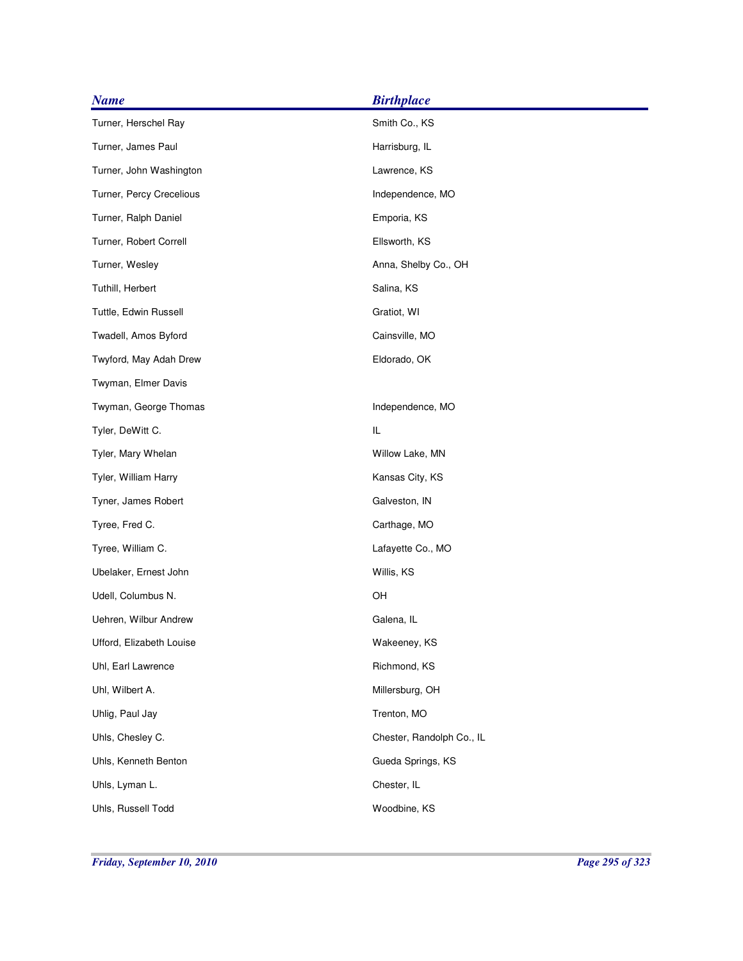| <b>Name</b>              | <b>Birthplace</b>         |
|--------------------------|---------------------------|
| Turner, Herschel Ray     | Smith Co., KS             |
| Turner, James Paul       | Harrisburg, IL            |
| Turner, John Washington  | Lawrence, KS              |
| Turner, Percy Crecelious | Independence, MO          |
| Turner, Ralph Daniel     | Emporia, KS               |
| Turner, Robert Correll   | Ellsworth, KS             |
| Turner, Wesley           | Anna, Shelby Co., OH      |
| Tuthill, Herbert         | Salina, KS                |
| Tuttle, Edwin Russell    | Gratiot, WI               |
| Twadell, Amos Byford     | Cainsville, MO            |
| Twyford, May Adah Drew   | Eldorado, OK              |
| Twyman, Elmer Davis      |                           |
| Twyman, George Thomas    | Independence, MO          |
| Tyler, DeWitt C.         | IL                        |
| Tyler, Mary Whelan       | Willow Lake, MN           |
| Tyler, William Harry     | Kansas City, KS           |
| Tyner, James Robert      | Galveston, IN             |
| Tyree, Fred C.           | Carthage, MO              |
| Tyree, William C.        | Lafayette Co., MO         |
| Ubelaker, Ernest John    | Willis, KS                |
| Udell, Columbus N.       | OH                        |
| Uehren, Wilbur Andrew    | Galena, IL                |
| Ufford, Elizabeth Louise | Wakeeney, KS              |
| Uhl, Earl Lawrence       | Richmond, KS              |
| Uhl, Wilbert A.          | Millersburg, OH           |
| Uhlig, Paul Jay          | Trenton, MO               |
| Uhls, Chesley C.         | Chester, Randolph Co., IL |
| Uhls, Kenneth Benton     | Gueda Springs, KS         |
| Uhls, Lyman L.           | Chester, IL               |
| Uhls, Russell Todd       | Woodbine, KS              |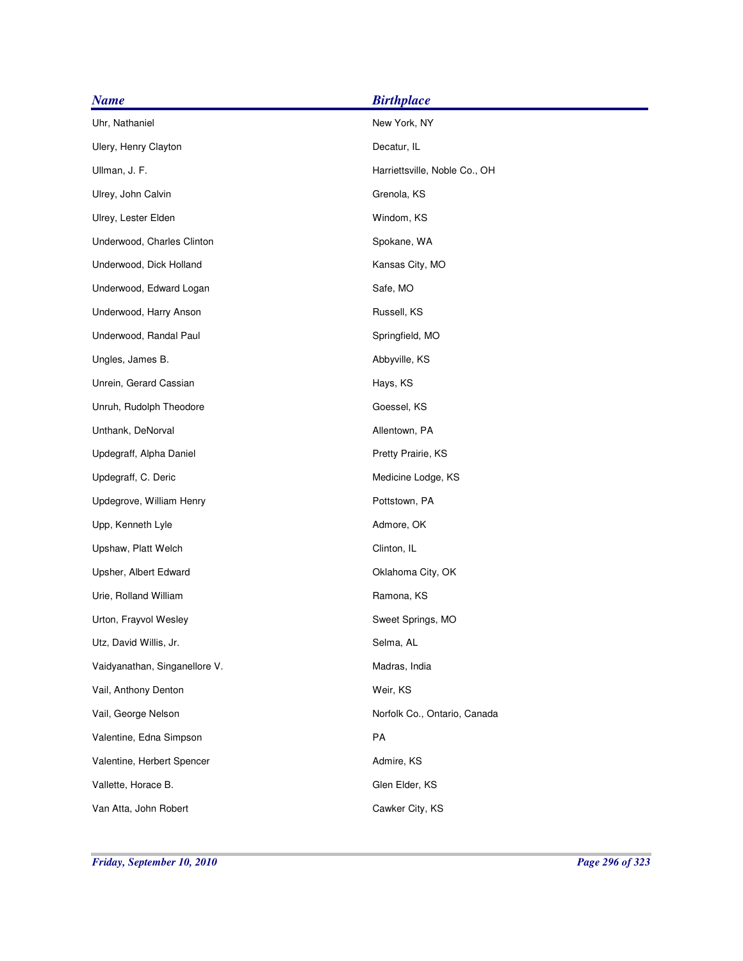| <b>Name</b>                   | <b>Birthplace</b>             |
|-------------------------------|-------------------------------|
| Uhr, Nathaniel                | New York, NY                  |
| Ulery, Henry Clayton          | Decatur, IL                   |
| Ullman, J. F.                 | Harriettsville, Noble Co., OH |
| Ulrey, John Calvin            | Grenola, KS                   |
| Ulrey, Lester Elden           | Windom, KS                    |
| Underwood, Charles Clinton    | Spokane, WA                   |
| Underwood, Dick Holland       | Kansas City, MO               |
| Underwood, Edward Logan       | Safe, MO                      |
| Underwood, Harry Anson        | Russell, KS                   |
| Underwood, Randal Paul        | Springfield, MO               |
| Ungles, James B.              | Abbyville, KS                 |
| Unrein, Gerard Cassian        | Hays, KS                      |
| Unruh, Rudolph Theodore       | Goessel, KS                   |
| Unthank, DeNorval             | Allentown, PA                 |
| Updegraff, Alpha Daniel       | Pretty Prairie, KS            |
| Updegraff, C. Deric           | Medicine Lodge, KS            |
| Updegrove, William Henry      | Pottstown, PA                 |
| Upp, Kenneth Lyle             | Admore, OK                    |
| Upshaw, Platt Welch           | Clinton, IL                   |
| Upsher, Albert Edward         | Oklahoma City, OK             |
| Urie, Rolland William         | Ramona, KS                    |
| Urton, Frayvol Wesley         | Sweet Springs, MO             |
| Utz, David Willis, Jr.        | Selma, AL                     |
| Vaidyanathan, Singanellore V. | Madras, India                 |
| Vail, Anthony Denton          | Weir, KS                      |
| Vail, George Nelson           | Norfolk Co., Ontario, Canada  |
| Valentine, Edna Simpson       | PA                            |
| Valentine, Herbert Spencer    | Admire, KS                    |
| Vallette, Horace B.           | Glen Elder, KS                |
| Van Atta, John Robert         | Cawker City, KS               |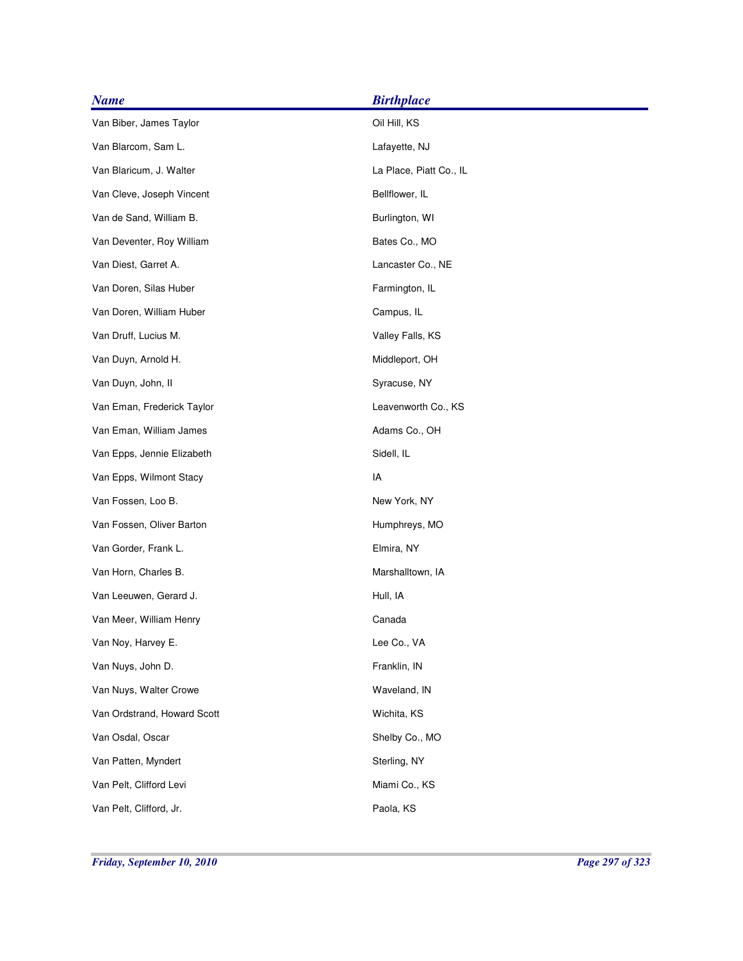| <b>Name</b>                 | <b>Birthplace</b>       |
|-----------------------------|-------------------------|
| Van Biber, James Taylor     | Oil Hill, KS            |
| Van Blarcom, Sam L.         | Lafayette, NJ           |
| Van Blaricum, J. Walter     | La Place, Piatt Co., IL |
| Van Cleve, Joseph Vincent   | Bellflower, IL          |
| Van de Sand, William B.     | Burlington, WI          |
| Van Deventer, Roy William   | Bates Co., MO           |
| Van Diest, Garret A.        | Lancaster Co., NE       |
| Van Doren, Silas Huber      | Farmington, IL          |
| Van Doren, William Huber    | Campus, IL              |
| Van Druff, Lucius M.        | Valley Falls, KS        |
| Van Duyn, Arnold H.         | Middleport, OH          |
| Van Duyn, John, II          | Syracuse, NY            |
| Van Eman, Frederick Taylor  | Leavenworth Co., KS     |
| Van Eman, William James     | Adams Co., OH           |
| Van Epps, Jennie Elizabeth  | Sidell, IL              |
| Van Epps, Wilmont Stacy     | IA                      |
| Van Fossen, Loo B.          | New York, NY            |
| Van Fossen, Oliver Barton   | Humphreys, MO           |
| Van Gorder, Frank L.        | Elmira, NY              |
| Van Horn, Charles B.        | Marshalltown, IA        |
| Van Leeuwen, Gerard J.      | Hull, IA                |
| Van Meer, William Henry     | Canada                  |
| Van Noy, Harvey E.          | Lee Co., VA             |
| Van Nuys, John D.           | Franklin, IN            |
| Van Nuys, Walter Crowe      | Waveland, IN            |
| Van Ordstrand, Howard Scott | Wichita, KS             |
| Van Osdal, Oscar            | Shelby Co., MO          |
| Van Patten, Myndert         | Sterling, NY            |
| Van Pelt, Clifford Levi     | Miami Co., KS           |
| Van Pelt, Clifford, Jr.     | Paola, KS               |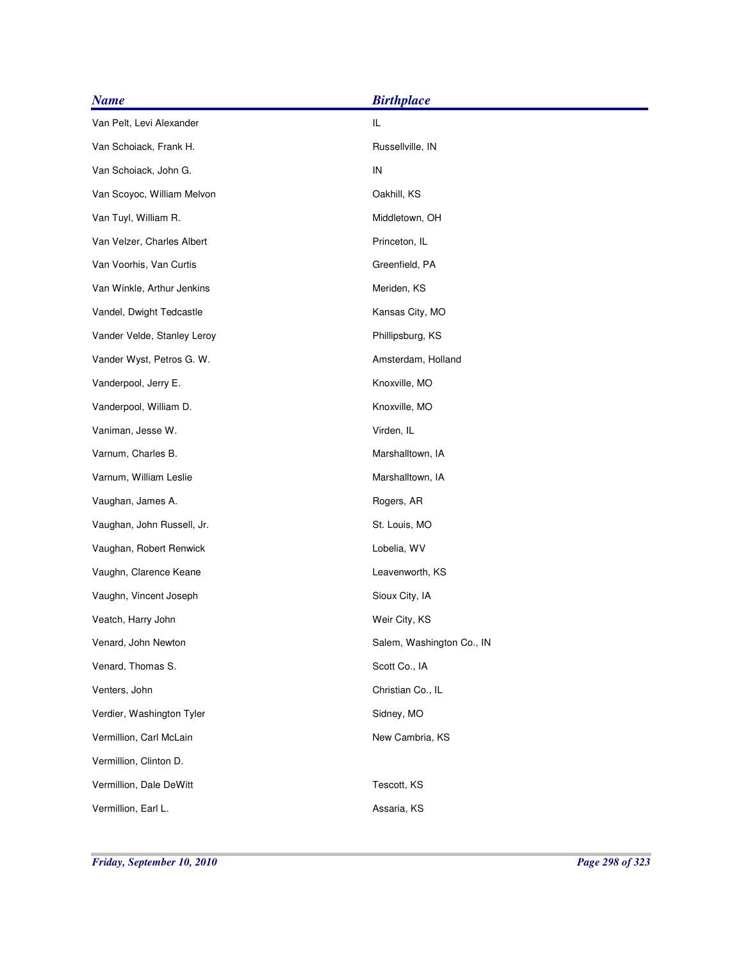| <b>Name</b>                 | <b>Birthplace</b>         |
|-----------------------------|---------------------------|
| Van Pelt, Levi Alexander    | IL.                       |
| Van Schoiack, Frank H.      | Russellville, IN          |
| Van Schoiack, John G.       | IN                        |
| Van Scoyoc, William Melvon  | Oakhill, KS               |
| Van Tuyl, William R.        | Middletown, OH            |
| Van Velzer, Charles Albert  | Princeton, IL             |
| Van Voorhis, Van Curtis     | Greenfield, PA            |
| Van Winkle, Arthur Jenkins  | Meriden, KS               |
| Vandel, Dwight Tedcastle    | Kansas City, MO           |
| Vander Velde, Stanley Leroy | Phillipsburg, KS          |
| Vander Wyst, Petros G. W.   | Amsterdam, Holland        |
| Vanderpool, Jerry E.        | Knoxville, MO             |
| Vanderpool, William D.      | Knoxville, MO             |
| Vaniman, Jesse W.           | Virden, IL                |
| Varnum, Charles B.          | Marshalltown, IA          |
| Varnum, William Leslie      | Marshalltown, IA          |
| Vaughan, James A.           | Rogers, AR                |
| Vaughan, John Russell, Jr.  | St. Louis, MO             |
| Vaughan, Robert Renwick     | Lobelia, WV               |
| Vaughn, Clarence Keane      | Leavenworth, KS           |
| Vaughn, Vincent Joseph      | Sioux City, IA            |
| Veatch, Harry John          | Weir City, KS             |
| Venard, John Newton         | Salem, Washington Co., IN |
| Venard, Thomas S.           | Scott Co., IA             |
| Venters, John               | Christian Co., IL         |
| Verdier, Washington Tyler   | Sidney, MO                |
| Vermillion, Carl McLain     | New Cambria, KS           |
| Vermillion, Clinton D.      |                           |
| Vermillion, Dale DeWitt     | Tescott, KS               |
| Vermillion, Earl L.         | Assaria, KS               |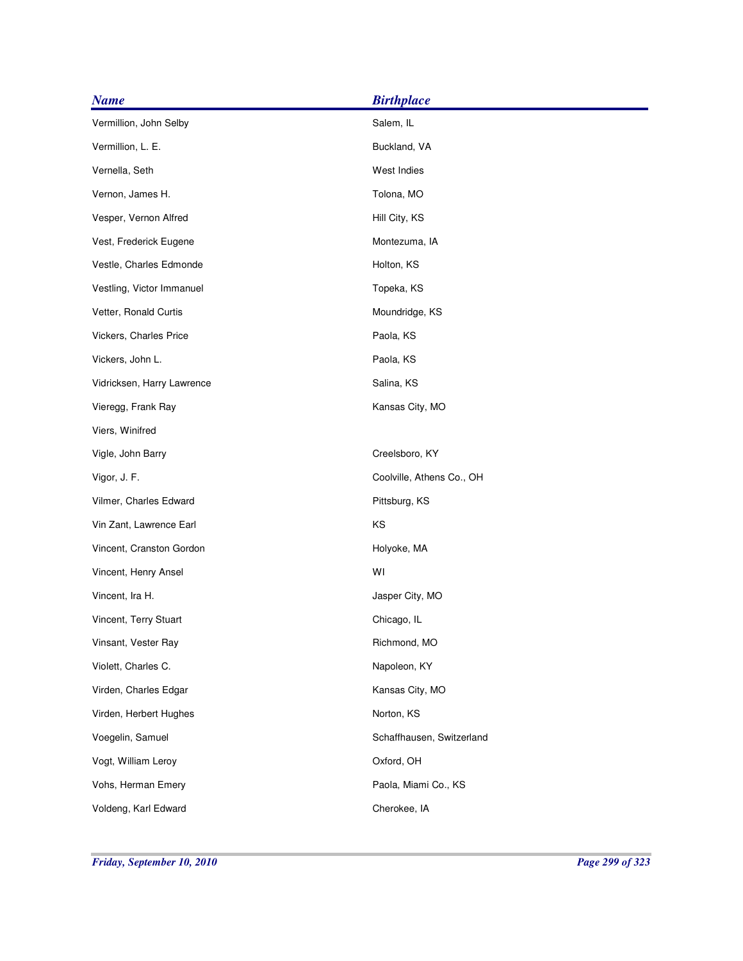| <b>Name</b>                | <b>Birthplace</b>         |
|----------------------------|---------------------------|
| Vermillion, John Selby     | Salem, IL                 |
| Vermillion, L. E.          | Buckland, VA              |
| Vernella, Seth             | West Indies               |
| Vernon, James H.           | Tolona, MO                |
| Vesper, Vernon Alfred      | Hill City, KS             |
| Vest, Frederick Eugene     | Montezuma, IA             |
| Vestle, Charles Edmonde    | Holton, KS                |
| Vestling, Victor Immanuel  | Topeka, KS                |
| Vetter, Ronald Curtis      | Moundridge, KS            |
| Vickers, Charles Price     | Paola, KS                 |
| Vickers, John L.           | Paola, KS                 |
| Vidricksen, Harry Lawrence | Salina, KS                |
| Vieregg, Frank Ray         | Kansas City, MO           |
| Viers, Winifred            |                           |
| Vigle, John Barry          | Creelsboro, KY            |
| Vigor, J. F.               | Coolville, Athens Co., OH |
| Vilmer, Charles Edward     | Pittsburg, KS             |
| Vin Zant, Lawrence Earl    | KS                        |
| Vincent, Cranston Gordon   | Holyoke, MA               |
| Vincent, Henry Ansel       | WI                        |
| Vincent, Ira H.            | Jasper City, MO           |
| Vincent, Terry Stuart      | Chicago, IL               |
| Vinsant, Vester Ray        | Richmond, MO              |
| Violett, Charles C.        | Napoleon, KY              |
| Virden, Charles Edgar      | Kansas City, MO           |
| Virden, Herbert Hughes     | Norton, KS                |
| Voegelin, Samuel           | Schaffhausen, Switzerland |
| Vogt, William Leroy        | Oxford, OH                |
| Vohs, Herman Emery         | Paola, Miami Co., KS      |
| Voldeng, Karl Edward       | Cherokee, IA              |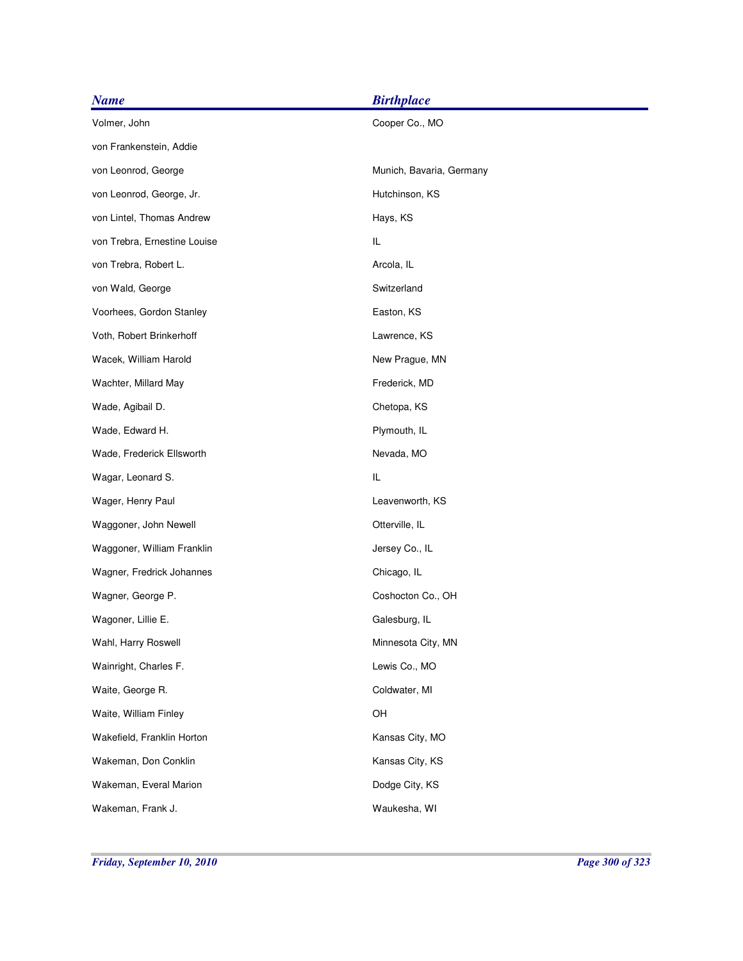| <b>Name</b>                  | <b>Birthplace</b>        |
|------------------------------|--------------------------|
| Volmer, John                 | Cooper Co., MO           |
| von Frankenstein, Addie      |                          |
| von Leonrod, George          | Munich, Bavaria, Germany |
| von Leonrod, George, Jr.     | Hutchinson, KS           |
| von Lintel, Thomas Andrew    | Hays, KS                 |
| von Trebra, Ernestine Louise | IL                       |
| von Trebra, Robert L.        | Arcola, IL               |
| von Wald, George             | Switzerland              |
| Voorhees, Gordon Stanley     | Easton, KS               |
| Voth, Robert Brinkerhoff     | Lawrence, KS             |
| Wacek, William Harold        | New Prague, MN           |
| Wachter, Millard May         | Frederick, MD            |
| Wade, Agibail D.             | Chetopa, KS              |
| Wade, Edward H.              | Plymouth, IL             |
| Wade, Frederick Ellsworth    | Nevada, MO               |
| Wagar, Leonard S.            | IL                       |
| Wager, Henry Paul            | Leavenworth, KS          |
| Waggoner, John Newell        | Otterville, IL           |
| Waggoner, William Franklin   | Jersey Co., IL           |
| Wagner, Fredrick Johannes    | Chicago, IL              |
| Wagner, George P.            | Coshocton Co., OH        |
| Wagoner, Lillie E.           | Galesburg, IL            |
| Wahl, Harry Roswell          | Minnesota City, MN       |
| Wainright, Charles F.        | Lewis Co., MO            |
| Waite, George R.             | Coldwater, MI            |
| Waite, William Finley        | OH                       |
| Wakefield, Franklin Horton   | Kansas City, MO          |
| Wakeman, Don Conklin         | Kansas City, KS          |
| Wakeman, Everal Marion       | Dodge City, KS           |
| Wakeman, Frank J.            | Waukesha, WI             |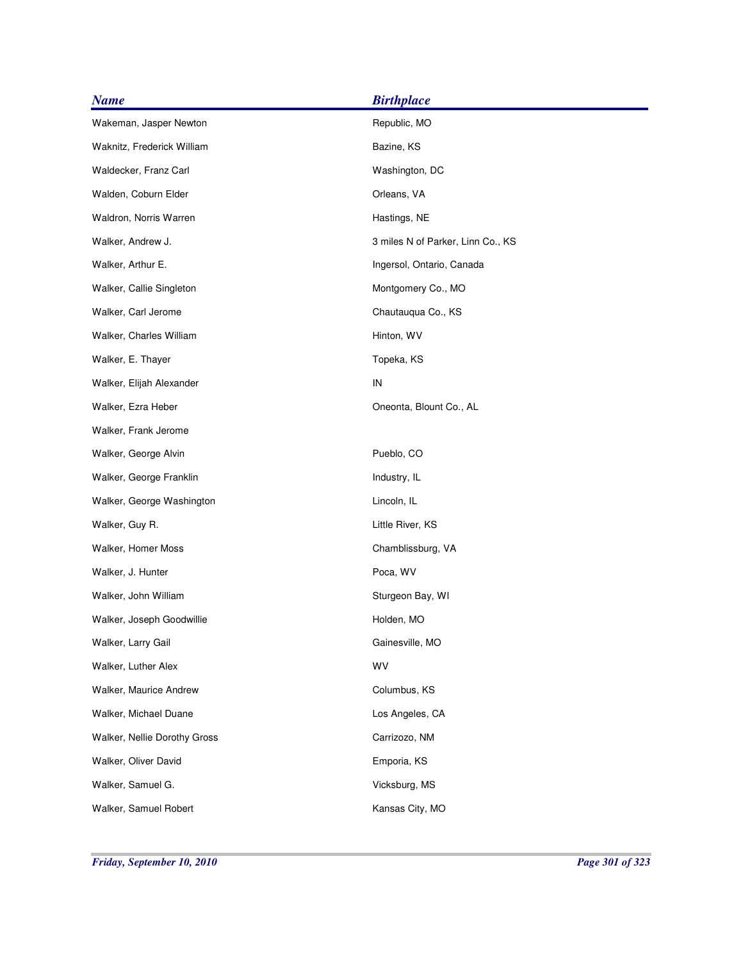| <b>Name</b>                  | <b>Birthplace</b>                 |
|------------------------------|-----------------------------------|
| Wakeman, Jasper Newton       | Republic, MO                      |
| Waknitz, Frederick William   | Bazine, KS                        |
| Waldecker, Franz Carl        | Washington, DC                    |
| Walden, Coburn Elder         | Orleans, VA                       |
| Waldron, Norris Warren       | Hastings, NE                      |
| Walker, Andrew J.            | 3 miles N of Parker, Linn Co., KS |
| Walker, Arthur E.            | Ingersol, Ontario, Canada         |
| Walker, Callie Singleton     | Montgomery Co., MO                |
| Walker, Carl Jerome          | Chautauqua Co., KS                |
| Walker, Charles William      | Hinton, WV                        |
| Walker, E. Thayer            | Topeka, KS                        |
| Walker, Elijah Alexander     | IN                                |
| Walker, Ezra Heber           | Oneonta, Blount Co., AL           |
| Walker, Frank Jerome         |                                   |
| Walker, George Alvin         | Pueblo, CO                        |
| Walker, George Franklin      | Industry, IL                      |
| Walker, George Washington    | Lincoln, IL                       |
| Walker, Guy R.               | Little River, KS                  |
| Walker, Homer Moss           | Chamblissburg, VA                 |
| Walker, J. Hunter            | Poca, WV                          |
| Walker, John William         | Sturgeon Bay, WI                  |
| Walker, Joseph Goodwillie    | Holden, MO                        |
| Walker, Larry Gail           | Gainesville, MO                   |
| Walker, Luther Alex          | WV                                |
| Walker, Maurice Andrew       | Columbus, KS                      |
| Walker, Michael Duane        | Los Angeles, CA                   |
| Walker, Nellie Dorothy Gross | Carrizozo, NM                     |
| Walker, Oliver David         | Emporia, KS                       |
| Walker, Samuel G.            | Vicksburg, MS                     |
| Walker, Samuel Robert        | Kansas City, MO                   |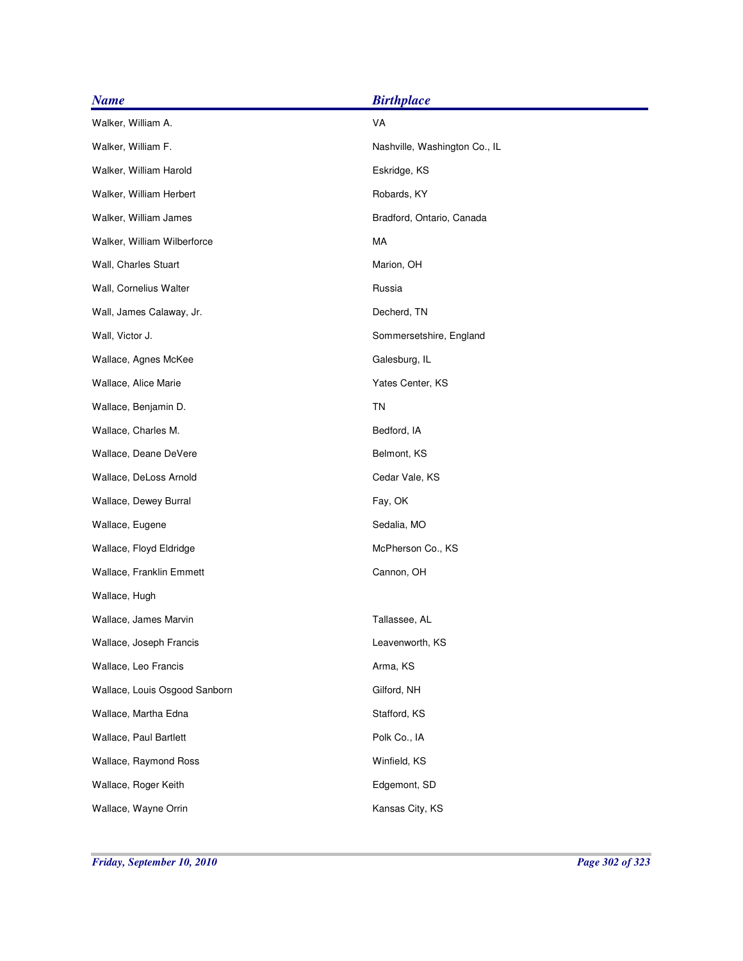| <b>Name</b>                   | <b>Birthplace</b>             |
|-------------------------------|-------------------------------|
| Walker, William A.            | VA                            |
| Walker, William F.            | Nashville, Washington Co., IL |
| Walker, William Harold        | Eskridge, KS                  |
| Walker, William Herbert       | Robards, KY                   |
| Walker, William James         | Bradford, Ontario, Canada     |
| Walker, William Wilberforce   | MA                            |
| Wall, Charles Stuart          | Marion, OH                    |
| Wall, Cornelius Walter        | Russia                        |
| Wall, James Calaway, Jr.      | Decherd, TN                   |
| Wall, Victor J.               | Sommersetshire, England       |
| Wallace, Agnes McKee          | Galesburg, IL                 |
| Wallace, Alice Marie          | Yates Center, KS              |
| Wallace, Benjamin D.          | TN                            |
| Wallace, Charles M.           | Bedford, IA                   |
| Wallace, Deane DeVere         | Belmont, KS                   |
| Wallace, DeLoss Arnold        | Cedar Vale, KS                |
| Wallace, Dewey Burral         | Fay, OK                       |
| Wallace, Eugene               | Sedalia, MO                   |
| Wallace, Floyd Eldridge       | McPherson Co., KS             |
| Wallace, Franklin Emmett      | Cannon, OH                    |
| Wallace, Hugh                 |                               |
| Wallace, James Marvin         | Tallassee, AL                 |
| Wallace, Joseph Francis       | Leavenworth, KS               |
| Wallace, Leo Francis          | Arma, KS                      |
| Wallace, Louis Osgood Sanborn | Gilford, NH                   |
| Wallace, Martha Edna          | Stafford, KS                  |
| Wallace, Paul Bartlett        | Polk Co., IA                  |
| Wallace, Raymond Ross         | Winfield, KS                  |
| Wallace, Roger Keith          | Edgemont, SD                  |
| Wallace, Wayne Orrin          | Kansas City, KS               |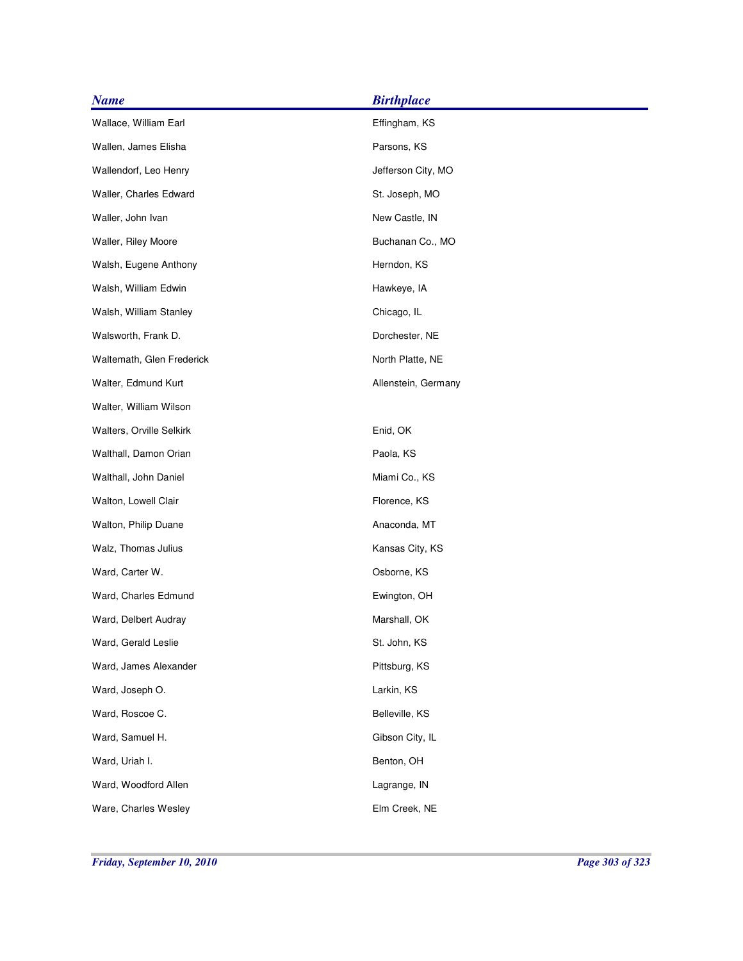| <b>Name</b>               | <b>Birthplace</b>   |
|---------------------------|---------------------|
| Wallace, William Earl     | Effingham, KS       |
| Wallen, James Elisha      | Parsons, KS         |
| Wallendorf, Leo Henry     | Jefferson City, MO  |
| Waller, Charles Edward    | St. Joseph, MO      |
| Waller, John Ivan         | New Castle, IN      |
| Waller, Riley Moore       | Buchanan Co., MO    |
| Walsh, Eugene Anthony     | Herndon, KS         |
| Walsh, William Edwin      | Hawkeye, IA         |
| Walsh, William Stanley    | Chicago, IL         |
| Walsworth, Frank D.       | Dorchester, NE      |
| Waltemath, Glen Frederick | North Platte, NE    |
| Walter, Edmund Kurt       | Allenstein, Germany |
| Walter, William Wilson    |                     |
| Walters, Orville Selkirk  | Enid, OK            |
| Walthall, Damon Orian     | Paola, KS           |
| Walthall, John Daniel     | Miami Co., KS       |
| Walton, Lowell Clair      | Florence, KS        |
| Walton, Philip Duane      | Anaconda, MT        |
| Walz, Thomas Julius       | Kansas City, KS     |
| Ward, Carter W.           | Osborne, KS         |
| Ward, Charles Edmund      | Ewington, OH        |
| Ward, Delbert Audray      | Marshall, OK        |
| Ward, Gerald Leslie       | St. John, KS        |
| Ward, James Alexander     | Pittsburg, KS       |
| Ward, Joseph O.           | Larkin, KS          |
| Ward, Roscoe C.           | Belleville, KS      |
| Ward, Samuel H.           | Gibson City, IL     |
| Ward, Uriah I.            | Benton, OH          |
| Ward, Woodford Allen      | Lagrange, IN        |
| Ware, Charles Wesley      | Elm Creek, NE       |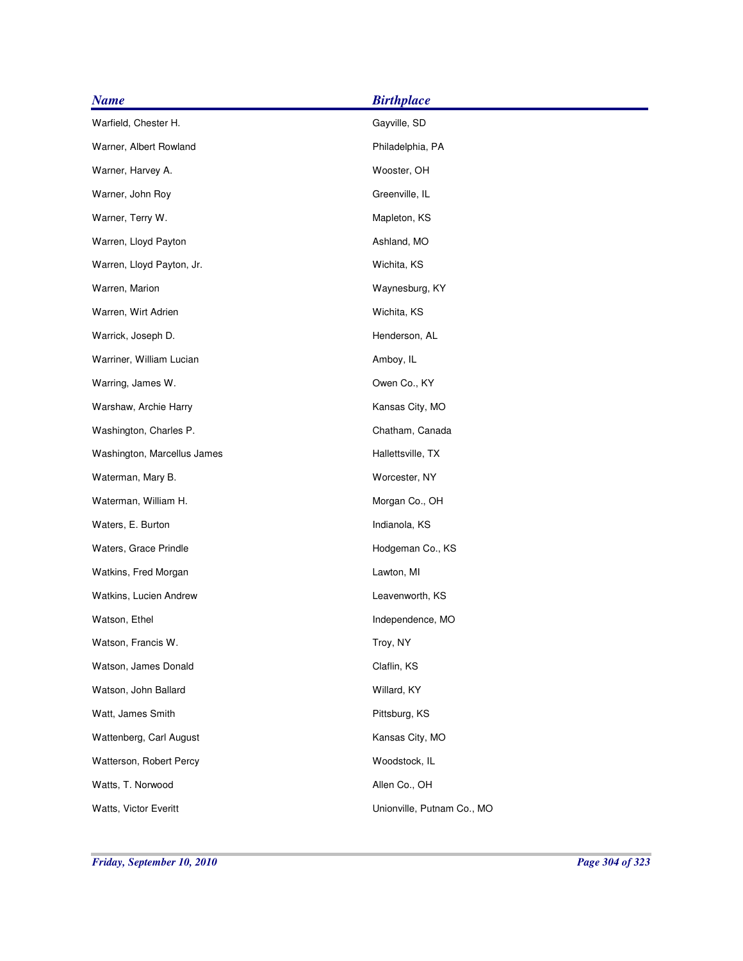| <b>Name</b>                 | <b>Birthplace</b>          |
|-----------------------------|----------------------------|
| Warfield, Chester H.        | Gayville, SD               |
| Warner, Albert Rowland      | Philadelphia, PA           |
| Warner, Harvey A.           | Wooster, OH                |
| Warner, John Roy            | Greenville, IL             |
| Warner, Terry W.            | Mapleton, KS               |
| Warren, Lloyd Payton        | Ashland, MO                |
| Warren, Lloyd Payton, Jr.   | Wichita, KS                |
| Warren, Marion              | Waynesburg, KY             |
| Warren, Wirt Adrien         | Wichita, KS                |
| Warrick, Joseph D.          | Henderson, AL              |
| Warriner, William Lucian    | Amboy, IL                  |
| Warring, James W.           | Owen Co., KY               |
| Warshaw, Archie Harry       | Kansas City, MO            |
| Washington, Charles P.      | Chatham, Canada            |
| Washington, Marcellus James | Hallettsville, TX          |
| Waterman, Mary B.           | Worcester, NY              |
| Waterman, William H.        | Morgan Co., OH             |
| Waters, E. Burton           | Indianola, KS              |
| Waters, Grace Prindle       | Hodgeman Co., KS           |
| Watkins, Fred Morgan        | Lawton, MI                 |
| Watkins, Lucien Andrew      | Leavenworth, KS            |
| Watson, Ethel               | Independence, MO           |
| Watson, Francis W.          | Troy, NY                   |
| Watson, James Donald        | Claflin, KS                |
| Watson, John Ballard        | Willard, KY                |
| Watt, James Smith           | Pittsburg, KS              |
| Wattenberg, Carl August     | Kansas City, MO            |
| Watterson, Robert Percy     | Woodstock, IL              |
| Watts, T. Norwood           | Allen Co., OH              |
| Watts, Victor Everitt       | Unionville, Putnam Co., MO |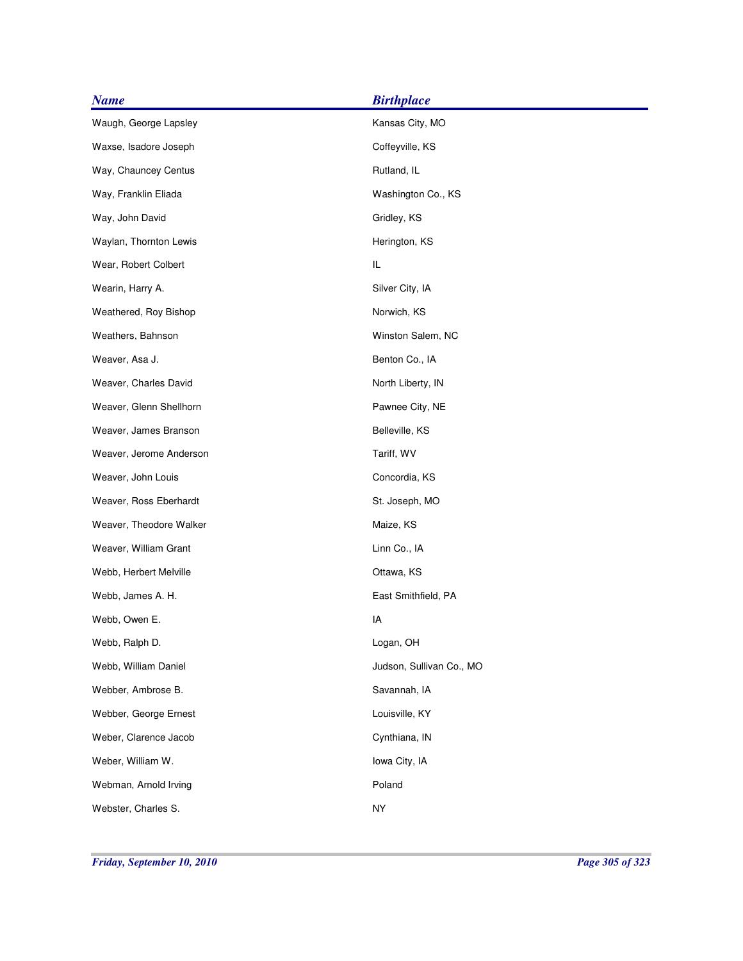| <b>Name</b>             | <b>Birthplace</b>        |
|-------------------------|--------------------------|
| Waugh, George Lapsley   | Kansas City, MO          |
| Waxse, Isadore Joseph   | Coffeyville, KS          |
| Way, Chauncey Centus    | Rutland, IL              |
| Way, Franklin Eliada    | Washington Co., KS       |
| Way, John David         | Gridley, KS              |
| Waylan, Thornton Lewis  | Herington, KS            |
| Wear, Robert Colbert    | IL                       |
| Wearin, Harry A.        | Silver City, IA          |
| Weathered, Roy Bishop   | Norwich, KS              |
| Weathers, Bahnson       | Winston Salem, NC        |
| Weaver, Asa J.          | Benton Co., IA           |
| Weaver, Charles David   | North Liberty, IN        |
| Weaver, Glenn Shellhorn | Pawnee City, NE          |
| Weaver, James Branson   | Belleville, KS           |
| Weaver, Jerome Anderson | Tariff, WV               |
| Weaver, John Louis      | Concordia, KS            |
| Weaver, Ross Eberhardt  | St. Joseph, MO           |
| Weaver, Theodore Walker | Maize, KS                |
| Weaver, William Grant   | Linn Co., IA             |
| Webb, Herbert Melville  | Ottawa, KS               |
| Webb, James A. H.       | East Smithfield, PA      |
| Webb, Owen E.           | IA                       |
| Webb, Ralph D.          | Logan, OH                |
| Webb, William Daniel    | Judson, Sullivan Co., MO |
| Webber, Ambrose B.      | Savannah, IA             |
| Webber, George Ernest   | Louisville, KY           |
| Weber, Clarence Jacob   | Cynthiana, IN            |
| Weber, William W.       | Iowa City, IA            |
| Webman, Arnold Irving   | Poland                   |
| Webster, Charles S.     | NY.                      |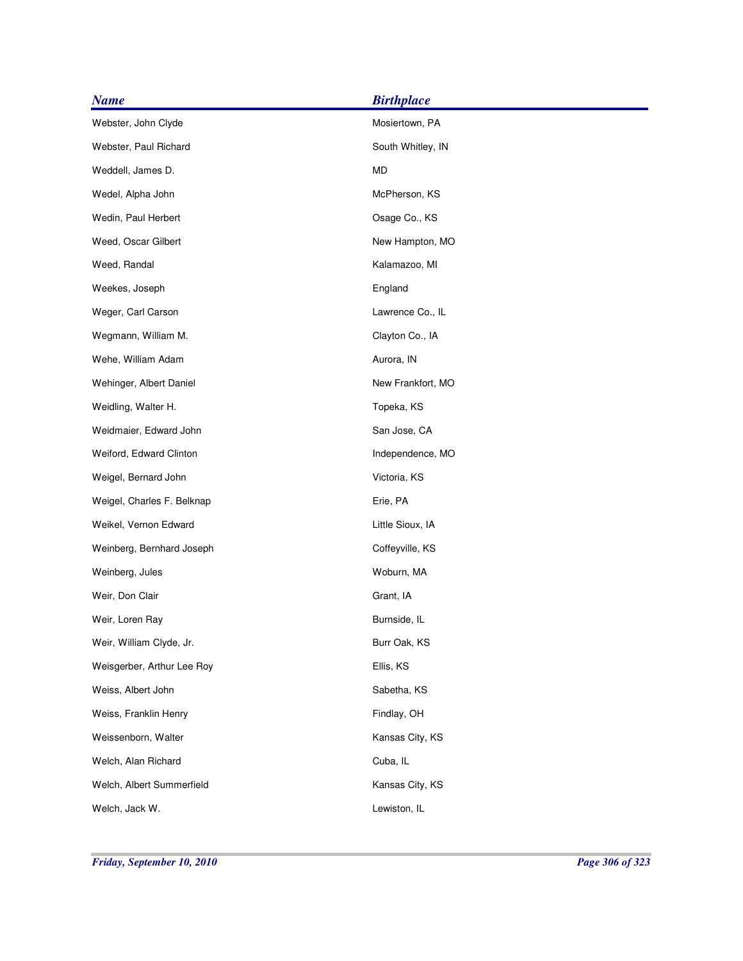| <b>Name</b>                | <b>Birthplace</b> |
|----------------------------|-------------------|
| Webster, John Clyde        | Mosiertown, PA    |
| Webster, Paul Richard      | South Whitley, IN |
| Weddell, James D.          | <b>MD</b>         |
| Wedel, Alpha John          | McPherson, KS     |
| Wedin, Paul Herbert        | Osage Co., KS     |
| Weed, Oscar Gilbert        | New Hampton, MO   |
| Weed, Randal               | Kalamazoo, MI     |
| Weekes, Joseph             | England           |
| Weger, Carl Carson         | Lawrence Co., IL  |
| Wegmann, William M.        | Clayton Co., IA   |
| Wehe, William Adam         | Aurora, IN        |
| Wehinger, Albert Daniel    | New Frankfort, MO |
| Weidling, Walter H.        | Topeka, KS        |
| Weidmaier, Edward John     | San Jose, CA      |
| Weiford, Edward Clinton    | Independence, MO  |
| Weigel, Bernard John       | Victoria, KS      |
| Weigel, Charles F. Belknap | Erie, PA          |
| Weikel, Vernon Edward      | Little Sioux, IA  |
| Weinberg, Bernhard Joseph  | Coffeyville, KS   |
| Weinberg, Jules            | Woburn, MA        |
| Weir, Don Clair            | Grant, IA         |
| Weir, Loren Ray            | Burnside, IL      |
| Weir, William Clyde, Jr.   | Burr Oak, KS      |
| Weisgerber, Arthur Lee Roy | Ellis, KS         |
| Weiss, Albert John         | Sabetha, KS       |
| Weiss, Franklin Henry      | Findlay, OH       |
| Weissenborn, Walter        | Kansas City, KS   |
| Welch, Alan Richard        | Cuba, IL          |
| Welch, Albert Summerfield  | Kansas City, KS   |
| Welch, Jack W.             | Lewiston, IL      |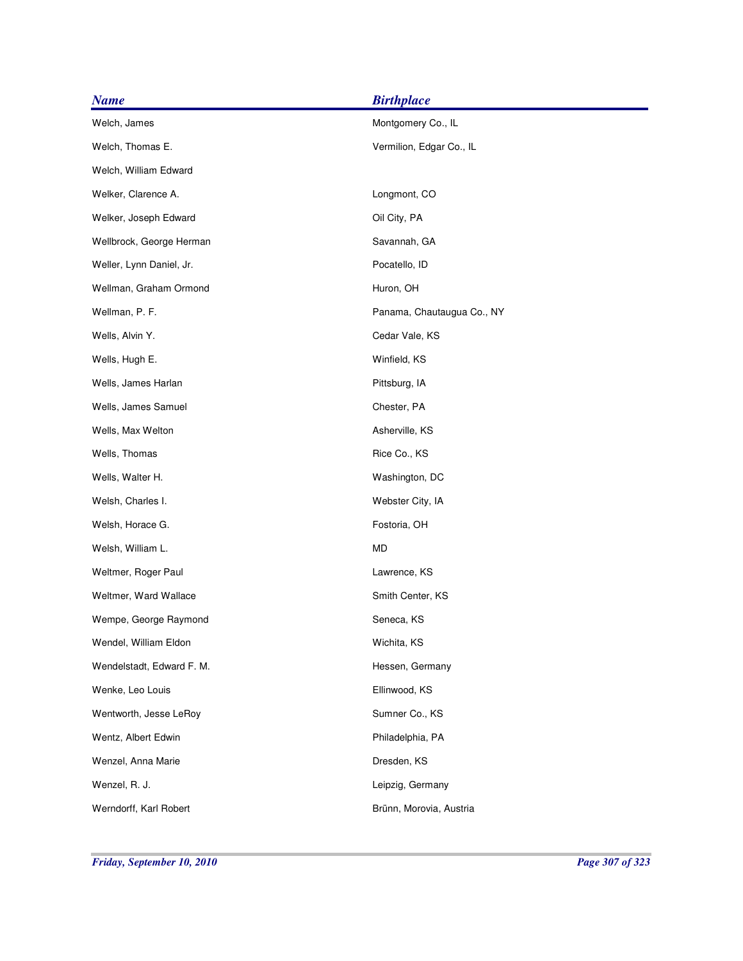| <b>Name</b>               | <b>Birthplace</b>          |
|---------------------------|----------------------------|
| Welch, James              | Montgomery Co., IL         |
| Welch, Thomas E.          | Vermilion, Edgar Co., IL   |
| Welch, William Edward     |                            |
| Welker, Clarence A.       | Longmont, CO               |
| Welker, Joseph Edward     | Oil City, PA               |
| Wellbrock, George Herman  | Savannah, GA               |
| Weller, Lynn Daniel, Jr.  | Pocatello, ID              |
| Wellman, Graham Ormond    | Huron, OH                  |
| Wellman, P. F.            | Panama, Chautaugua Co., NY |
| Wells, Alvin Y.           | Cedar Vale, KS             |
| Wells, Hugh E.            | Winfield, KS               |
| Wells, James Harlan       | Pittsburg, IA              |
| Wells, James Samuel       | Chester, PA                |
| Wells, Max Welton         | Asherville, KS             |
| Wells, Thomas             | Rice Co., KS               |
| Wells, Walter H.          | Washington, DC             |
| Welsh, Charles I.         | Webster City, IA           |
| Welsh, Horace G.          | Fostoria, OH               |
| Welsh, William L.         | <b>MD</b>                  |
| Weltmer, Roger Paul       | Lawrence, KS               |
| Weltmer, Ward Wallace     | Smith Center, KS           |
| Wempe, George Raymond     | Seneca, KS                 |
| Wendel, William Eldon     | Wichita, KS                |
| Wendelstadt, Edward F. M. | Hessen, Germany            |
| Wenke, Leo Louis          | Ellinwood, KS              |
| Wentworth, Jesse LeRoy    | Sumner Co., KS             |
| Wentz, Albert Edwin       | Philadelphia, PA           |
| Wenzel, Anna Marie        | Dresden, KS                |
| Wenzel, R. J.             | Leipzig, Germany           |
| Werndorff, Karl Robert    | Brünn, Morovia, Austria    |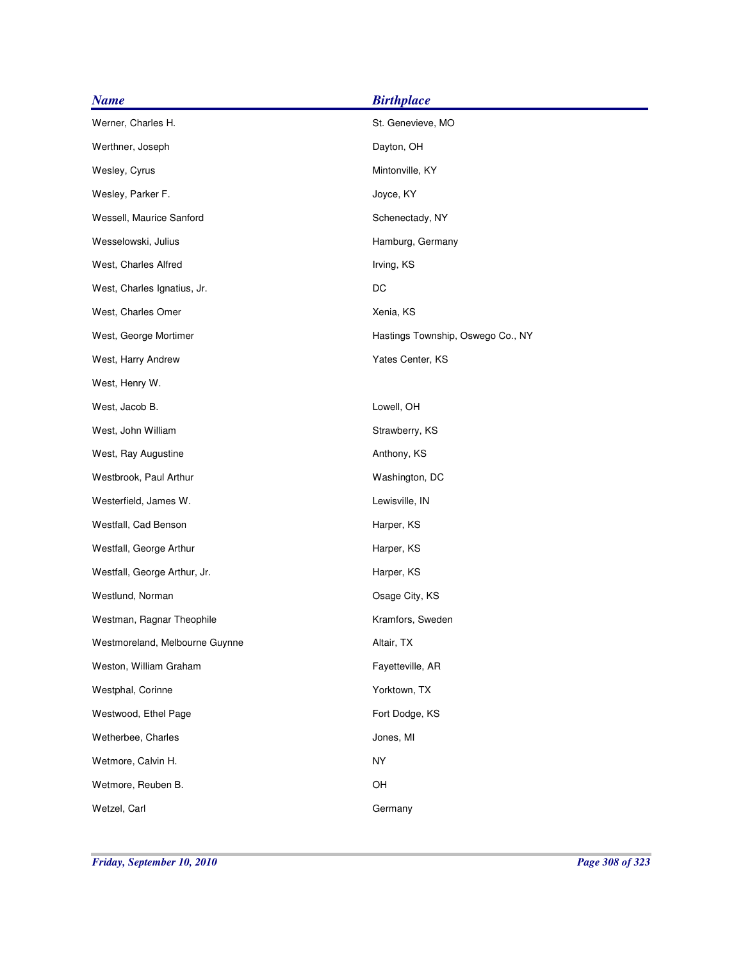| <b>Name</b>                    | <b>Birthplace</b>                 |
|--------------------------------|-----------------------------------|
| Werner, Charles H.             | St. Genevieve, MO                 |
| Werthner, Joseph               | Dayton, OH                        |
| Wesley, Cyrus                  | Mintonville, KY                   |
| Wesley, Parker F.              | Joyce, KY                         |
| Wessell, Maurice Sanford       | Schenectady, NY                   |
| Wesselowski, Julius            | Hamburg, Germany                  |
| West, Charles Alfred           | Irving, KS                        |
| West, Charles Ignatius, Jr.    | DC                                |
| West, Charles Omer             | Xenia, KS                         |
| West, George Mortimer          | Hastings Township, Oswego Co., NY |
| West, Harry Andrew             | Yates Center, KS                  |
| West, Henry W.                 |                                   |
| West, Jacob B.                 | Lowell, OH                        |
| West, John William             | Strawberry, KS                    |
| West, Ray Augustine            | Anthony, KS                       |
| Westbrook, Paul Arthur         | Washington, DC                    |
| Westerfield, James W.          | Lewisville, IN                    |
| Westfall, Cad Benson           | Harper, KS                        |
| Westfall, George Arthur        | Harper, KS                        |
| Westfall, George Arthur, Jr.   | Harper, KS                        |
| Westlund, Norman               | Osage City, KS                    |
| Westman, Ragnar Theophile      | Kramfors, Sweden                  |
| Westmoreland, Melbourne Guynne | Altair, TX                        |
| Weston, William Graham         | Fayetteville, AR                  |
| Westphal, Corinne              | Yorktown, TX                      |
| Westwood, Ethel Page           | Fort Dodge, KS                    |
| Wetherbee, Charles             | Jones, MI                         |
| Wetmore, Calvin H.             | NY                                |
| Wetmore, Reuben B.             | OH                                |
| Wetzel, Carl                   | Germany                           |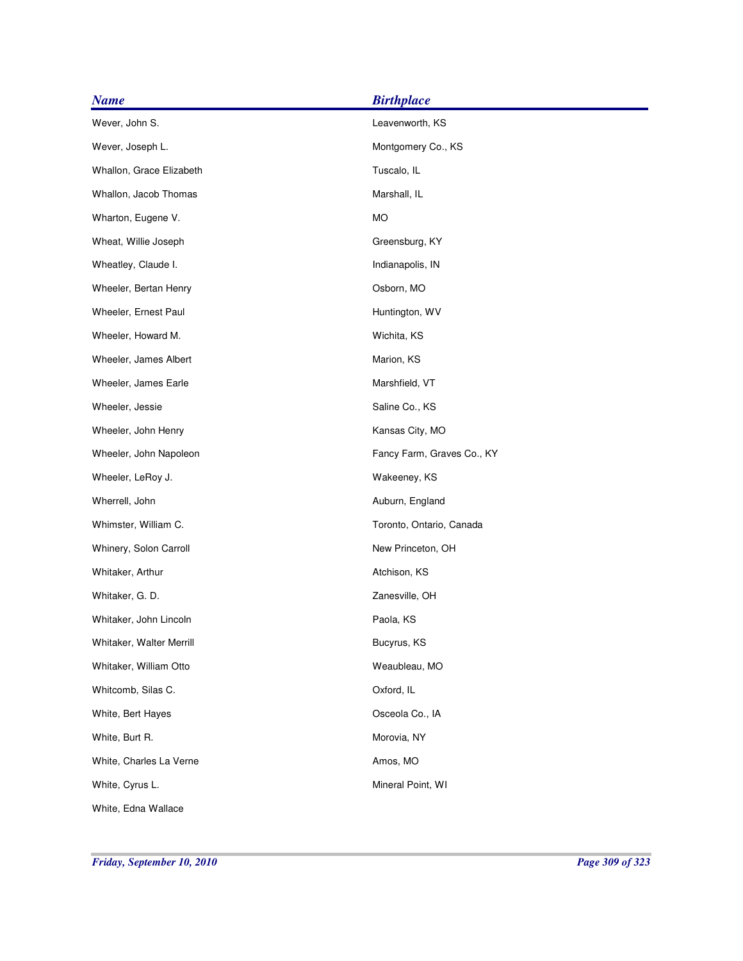| <b>Name</b>              | <b>Birthplace</b>          |
|--------------------------|----------------------------|
| Wever, John S.           | Leavenworth, KS            |
| Wever, Joseph L.         | Montgomery Co., KS         |
| Whallon, Grace Elizabeth | Tuscalo, IL                |
| Whallon, Jacob Thomas    | Marshall, IL               |
| Wharton, Eugene V.       | <b>MO</b>                  |
| Wheat, Willie Joseph     | Greensburg, KY             |
| Wheatley, Claude I.      | Indianapolis, IN           |
| Wheeler, Bertan Henry    | Osborn, MO                 |
| Wheeler, Ernest Paul     | Huntington, WV             |
| Wheeler, Howard M.       | Wichita, KS                |
| Wheeler, James Albert    | Marion, KS                 |
| Wheeler, James Earle     | Marshfield, VT             |
| Wheeler, Jessie          | Saline Co., KS             |
| Wheeler, John Henry      | Kansas City, MO            |
| Wheeler, John Napoleon   | Fancy Farm, Graves Co., KY |
| Wheeler, LeRoy J.        | Wakeeney, KS               |
| Wherrell, John           | Auburn, England            |
| Whimster, William C.     | Toronto, Ontario, Canada   |
| Whinery, Solon Carroll   | New Princeton, OH          |
| Whitaker, Arthur         | Atchison, KS               |
| Whitaker, G. D.          | Zanesville, OH             |
| Whitaker, John Lincoln   | Paola, KS                  |
| Whitaker, Walter Merrill | Bucyrus, KS                |
| Whitaker, William Otto   | Weaubleau, MO              |
| Whitcomb, Silas C.       | Oxford, IL                 |
| White, Bert Hayes        | Osceola Co., IA            |
| White, Burt R.           | Morovia, NY                |
| White, Charles La Verne  | Amos, MO                   |
| White, Cyrus L.          | Mineral Point, WI          |
| White, Edna Wallace      |                            |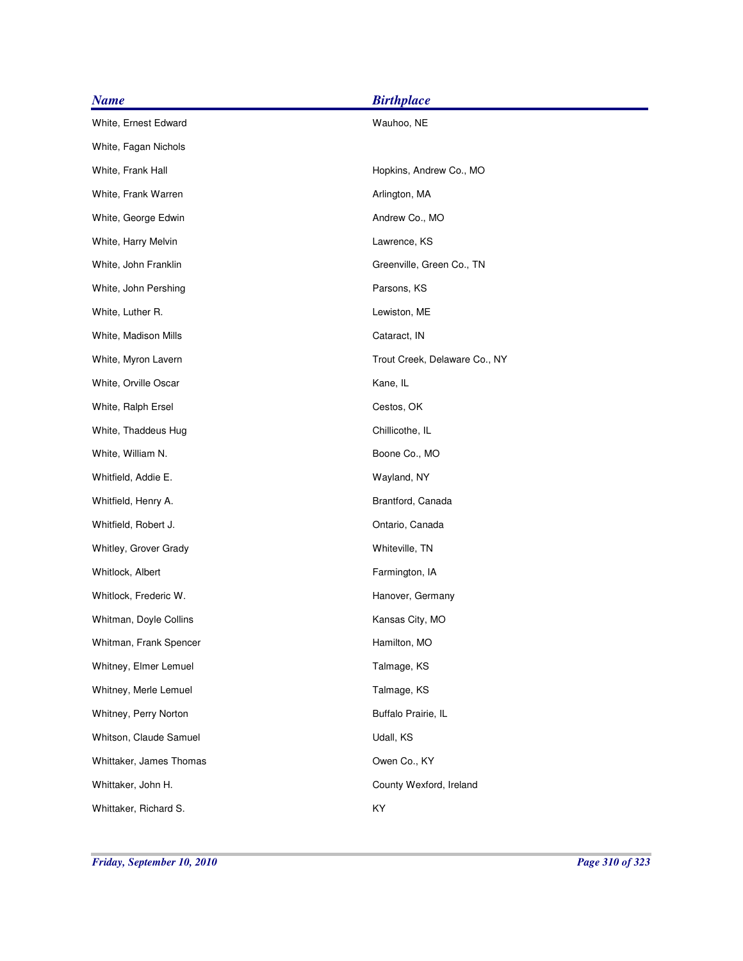| <b>Birthplace</b>             |
|-------------------------------|
| Wauhoo, NE                    |
|                               |
| Hopkins, Andrew Co., MO       |
| Arlington, MA                 |
| Andrew Co., MO                |
| Lawrence, KS                  |
| Greenville, Green Co., TN     |
| Parsons, KS                   |
| Lewiston, ME                  |
| Cataract, IN                  |
| Trout Creek, Delaware Co., NY |
| Kane, IL                      |
| Cestos, OK                    |
| Chillicothe, IL               |
| Boone Co., MO                 |
| Wayland, NY                   |
| Brantford, Canada             |
| Ontario, Canada               |
| Whiteville, TN                |
| Farmington, IA                |
| Hanover, Germany              |
| Kansas City, MO               |
| Hamilton, MO                  |
| Talmage, KS                   |
| Talmage, KS                   |
| Buffalo Prairie, IL           |
| Udall, KS                     |
| Owen Co., KY                  |
| County Wexford, Ireland       |
| KY                            |
|                               |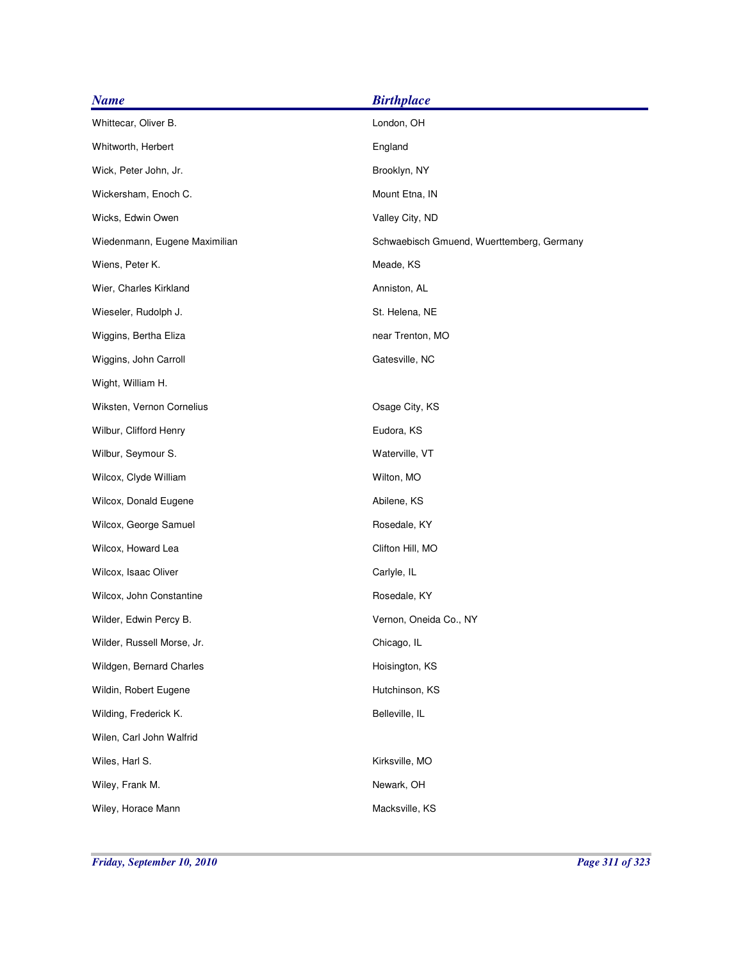| <b>Name</b>                   | <b>Birthplace</b>                         |
|-------------------------------|-------------------------------------------|
| Whittecar, Oliver B.          | London, OH                                |
| Whitworth, Herbert            | England                                   |
| Wick, Peter John, Jr.         | Brooklyn, NY                              |
| Wickersham, Enoch C.          | Mount Etna, IN                            |
| Wicks, Edwin Owen             | Valley City, ND                           |
| Wiedenmann, Eugene Maximilian | Schwaebisch Gmuend, Wuerttemberg, Germany |
| Wiens, Peter K.               | Meade, KS                                 |
| Wier, Charles Kirkland        | Anniston, AL                              |
| Wieseler, Rudolph J.          | St. Helena, NE                            |
| Wiggins, Bertha Eliza         | near Trenton, MO                          |
| Wiggins, John Carroll         | Gatesville, NC                            |
| Wight, William H.             |                                           |
| Wiksten, Vernon Cornelius     | Osage City, KS                            |
| Wilbur, Clifford Henry        | Eudora, KS                                |
| Wilbur, Seymour S.            | Waterville, VT                            |
| Wilcox, Clyde William         | Wilton, MO                                |
| Wilcox, Donald Eugene         | Abilene, KS                               |
| Wilcox, George Samuel         | Rosedale, KY                              |
| Wilcox, Howard Lea            | Clifton Hill, MO                          |
| Wilcox, Isaac Oliver          | Carlyle, IL                               |
| Wilcox, John Constantine      | Rosedale, KY                              |
| Wilder, Edwin Percy B.        | Vernon, Oneida Co., NY                    |
| Wilder, Russell Morse, Jr.    | Chicago, IL                               |
| Wildgen, Bernard Charles      | Hoisington, KS                            |
| Wildin, Robert Eugene         | Hutchinson, KS                            |
| Wilding, Frederick K.         | Belleville, IL                            |
| Wilen, Carl John Walfrid      |                                           |
| Wiles, Harl S.                | Kirksville, MO                            |
| Wiley, Frank M.               | Newark, OH                                |
| Wiley, Horace Mann            | Macksville, KS                            |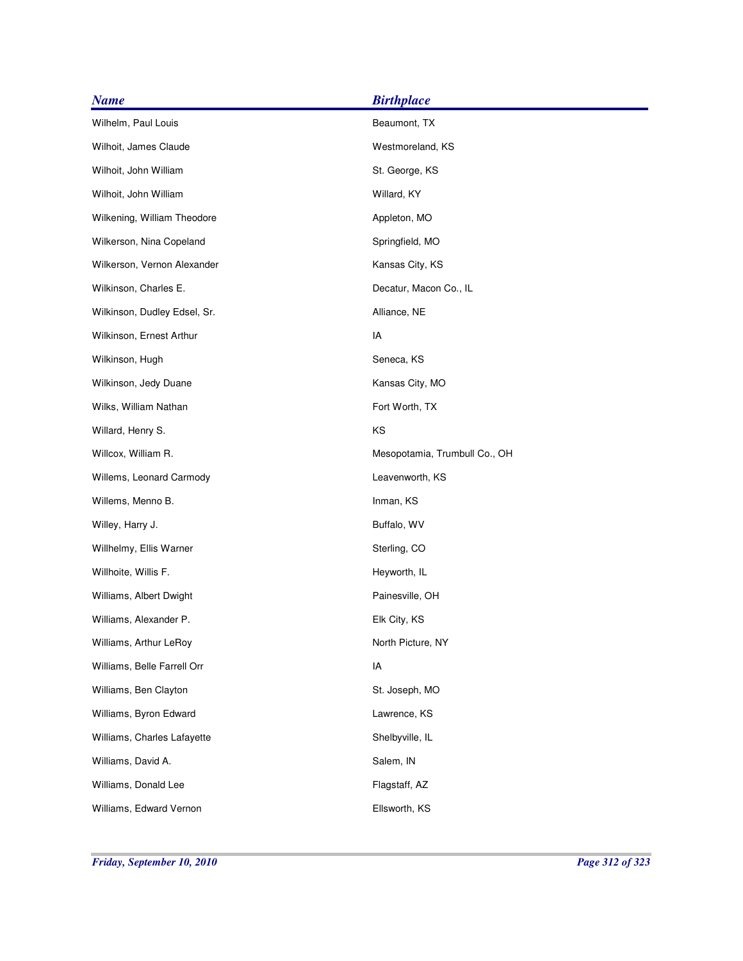| <b>Name</b>                  | <b>Birthplace</b>             |
|------------------------------|-------------------------------|
| Wilhelm, Paul Louis          | Beaumont, TX                  |
| Wilhoit, James Claude        | Westmoreland, KS              |
| Wilhoit, John William        | St. George, KS                |
| Wilhoit, John William        | Willard, KY                   |
| Wilkening, William Theodore  | Appleton, MO                  |
| Wilkerson, Nina Copeland     | Springfield, MO               |
| Wilkerson, Vernon Alexander  | Kansas City, KS               |
| Wilkinson, Charles E.        | Decatur, Macon Co., IL        |
| Wilkinson, Dudley Edsel, Sr. | Alliance, NE                  |
| Wilkinson, Ernest Arthur     | IA                            |
| Wilkinson, Hugh              | Seneca, KS                    |
| Wilkinson, Jedy Duane        | Kansas City, MO               |
| Wilks, William Nathan        | Fort Worth, TX                |
| Willard, Henry S.            | KS                            |
| Willcox, William R.          | Mesopotamia, Trumbull Co., OH |
| Willems, Leonard Carmody     | Leavenworth, KS               |
| Willems, Menno B.            | Inman, KS                     |
| Willey, Harry J.             | Buffalo, WV                   |
| Willhelmy, Ellis Warner      | Sterling, CO                  |
| Willhoite, Willis F.         | Heyworth, IL                  |
| Williams, Albert Dwight      | Painesville, OH               |
| Williams, Alexander P.       | Elk City, KS                  |
| Williams, Arthur LeRoy       | North Picture, NY             |
| Williams, Belle Farrell Orr  | IA                            |
| Williams, Ben Clayton        | St. Joseph, MO                |
| Williams, Byron Edward       | Lawrence, KS                  |
| Williams, Charles Lafayette  | Shelbyville, IL               |
| Williams, David A.           | Salem, IN                     |
| Williams, Donald Lee         | Flagstaff, AZ                 |
| Williams, Edward Vernon      | Ellsworth, KS                 |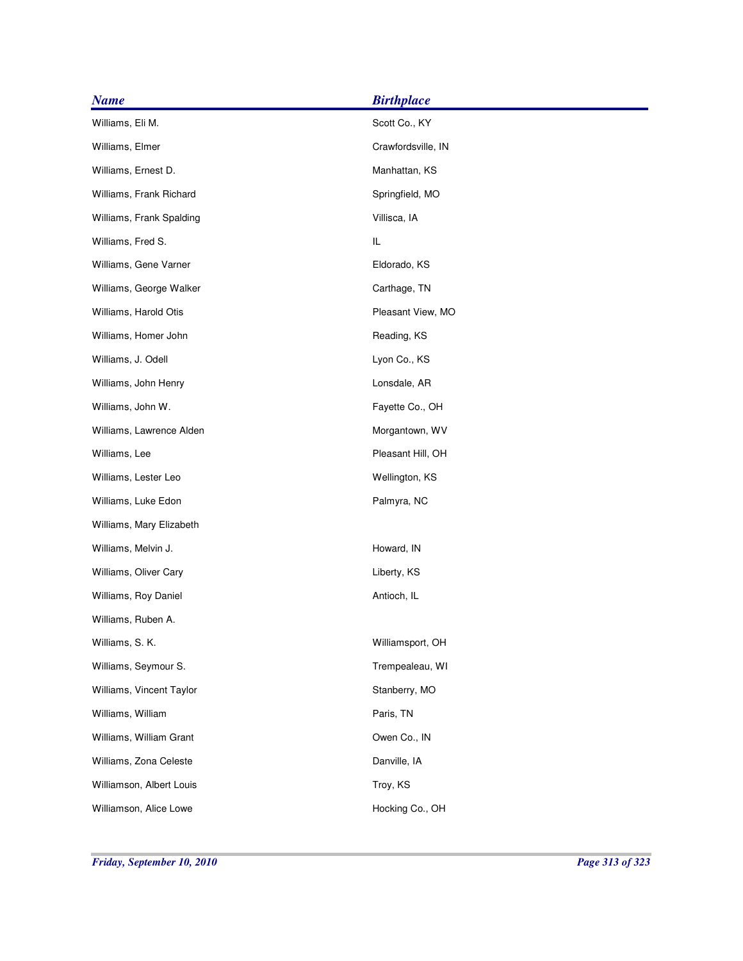| <b>Name</b>              | <b>Birthplace</b>  |
|--------------------------|--------------------|
| Williams, Eli M.         | Scott Co., KY      |
| Williams, Elmer          | Crawfordsville, IN |
| Williams, Ernest D.      | Manhattan, KS      |
| Williams, Frank Richard  | Springfield, MO    |
| Williams, Frank Spalding | Villisca, IA       |
| Williams, Fred S.        | IL                 |
| Williams, Gene Varner    | Eldorado, KS       |
| Williams, George Walker  | Carthage, TN       |
| Williams, Harold Otis    | Pleasant View, MO  |
| Williams, Homer John     | Reading, KS        |
| Williams, J. Odell       | Lyon Co., KS       |
| Williams, John Henry     | Lonsdale, AR       |
| Williams, John W.        | Fayette Co., OH    |
| Williams, Lawrence Alden | Morgantown, WV     |
| Williams, Lee            | Pleasant Hill, OH  |
| Williams, Lester Leo     | Wellington, KS     |
| Williams, Luke Edon      | Palmyra, NC        |
| Williams, Mary Elizabeth |                    |
| Williams, Melvin J.      | Howard, IN         |
| Williams, Oliver Cary    | Liberty, KS        |
| Williams, Roy Daniel     | Antioch, IL        |
| Williams, Ruben A.       |                    |
| Williams, S. K.          | Williamsport, OH   |
| Williams, Seymour S.     | Trempealeau, WI    |
| Williams, Vincent Taylor | Stanberry, MO      |
| Williams, William        | Paris, TN          |
| Williams, William Grant  | Owen Co., IN       |
| Williams, Zona Celeste   | Danville, IA       |
| Williamson, Albert Louis | Troy, KS           |
| Williamson, Alice Lowe   | Hocking Co., OH    |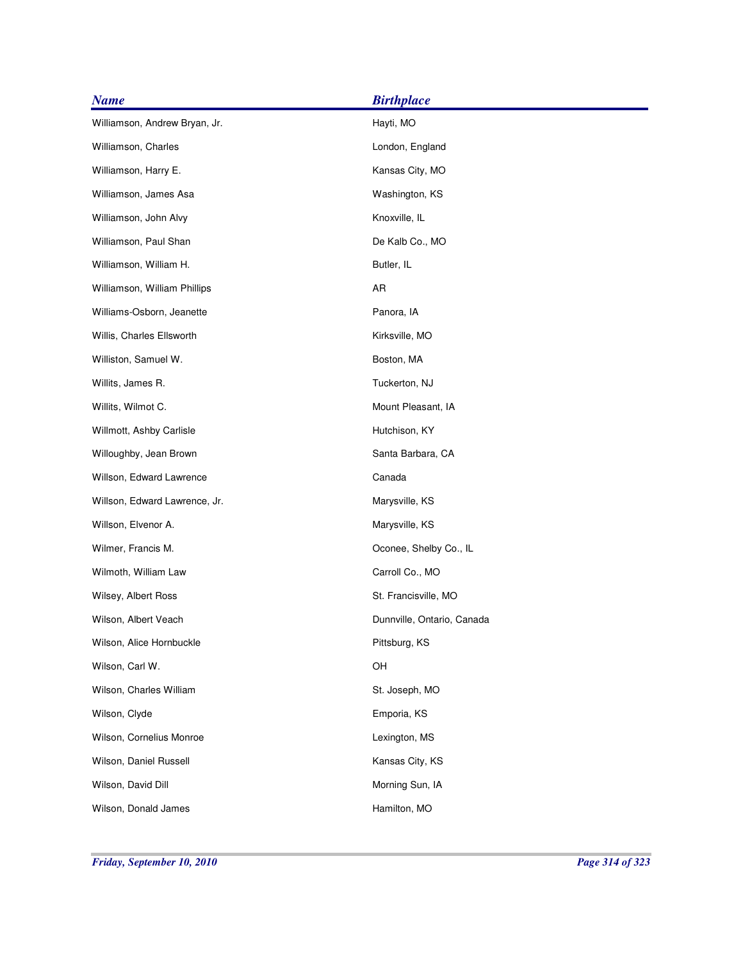| <b>Name</b>                   | <b>Birthplace</b>          |
|-------------------------------|----------------------------|
| Williamson, Andrew Bryan, Jr. | Hayti, MO                  |
| Williamson, Charles           | London, England            |
| Williamson, Harry E.          | Kansas City, MO            |
| Williamson, James Asa         | Washington, KS             |
| Williamson, John Alvy         | Knoxville, IL              |
| Williamson, Paul Shan         | De Kalb Co., MO            |
| Williamson, William H.        | Butler, IL                 |
| Williamson, William Phillips  | AR                         |
| Williams-Osborn, Jeanette     | Panora, IA                 |
| Willis, Charles Ellsworth     | Kirksville, MO             |
| Williston, Samuel W.          | Boston, MA                 |
| Willits, James R.             | Tuckerton, NJ              |
| Willits, Wilmot C.            | Mount Pleasant, IA         |
| Willmott, Ashby Carlisle      | Hutchison, KY              |
| Willoughby, Jean Brown        | Santa Barbara, CA          |
| Willson, Edward Lawrence      | Canada                     |
| Willson, Edward Lawrence, Jr. | Marysville, KS             |
| Willson, Elvenor A.           | Marysville, KS             |
| Wilmer, Francis M.            | Oconee, Shelby Co., IL     |
| Wilmoth, William Law          | Carroll Co., MO            |
| Wilsey, Albert Ross           | St. Francisville, MO       |
| Wilson, Albert Veach          | Dunnville, Ontario, Canada |
| Wilson, Alice Hornbuckle      | Pittsburg, KS              |
| Wilson, Carl W.               | OH                         |
| Wilson, Charles William       | St. Joseph, MO             |
| Wilson, Clyde                 | Emporia, KS                |
| Wilson, Cornelius Monroe      | Lexington, MS              |
| Wilson, Daniel Russell        | Kansas City, KS            |
| Wilson, David Dill            | Morning Sun, IA            |
| Wilson, Donald James          | Hamilton, MO               |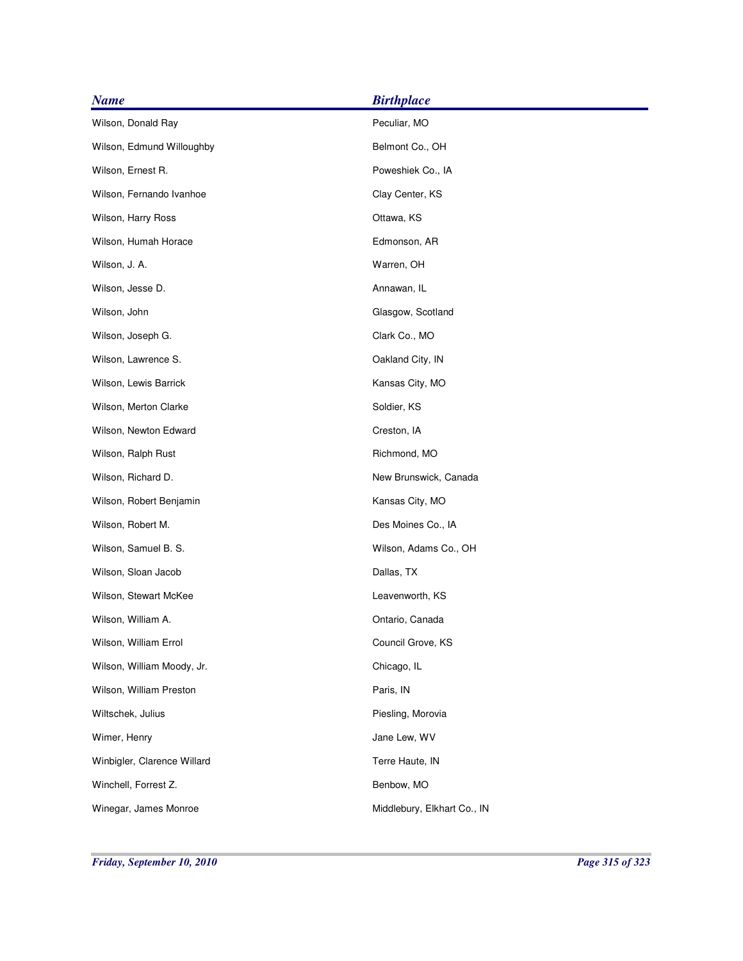| <b>Name</b>                 | <b>Birthplace</b>           |
|-----------------------------|-----------------------------|
| Wilson, Donald Ray          | Peculiar, MO                |
| Wilson, Edmund Willoughby   | Belmont Co., OH             |
| Wilson, Ernest R.           | Poweshiek Co., IA           |
| Wilson, Fernando Ivanhoe    | Clay Center, KS             |
| Wilson, Harry Ross          | Ottawa, KS                  |
| Wilson, Humah Horace        | Edmonson, AR                |
| Wilson, J. A.               | Warren, OH                  |
| Wilson, Jesse D.            | Annawan, IL                 |
| Wilson, John                | Glasgow, Scotland           |
| Wilson, Joseph G.           | Clark Co., MO               |
| Wilson, Lawrence S.         | Oakland City, IN            |
| Wilson, Lewis Barrick       | Kansas City, MO             |
| Wilson, Merton Clarke       | Soldier, KS                 |
| Wilson, Newton Edward       | Creston, IA                 |
| Wilson, Ralph Rust          | Richmond, MO                |
| Wilson, Richard D.          | New Brunswick, Canada       |
| Wilson, Robert Benjamin     | Kansas City, MO             |
| Wilson, Robert M.           | Des Moines Co., IA          |
| Wilson, Samuel B. S.        | Wilson, Adams Co., OH       |
| Wilson, Sloan Jacob         | Dallas, TX                  |
| Wilson, Stewart McKee       | Leavenworth, KS             |
| Wilson, William A.          | Ontario, Canada             |
| Wilson, William Errol       | Council Grove, KS           |
| Wilson, William Moody, Jr.  | Chicago, IL                 |
| Wilson, William Preston     | Paris, IN                   |
| Wiltschek, Julius           | Piesling, Morovia           |
| Wimer, Henry                | Jane Lew, WV                |
| Winbigler, Clarence Willard | Terre Haute, IN             |
| Winchell, Forrest Z.        | Benbow, MO                  |
| Winegar, James Monroe       | Middlebury, Elkhart Co., IN |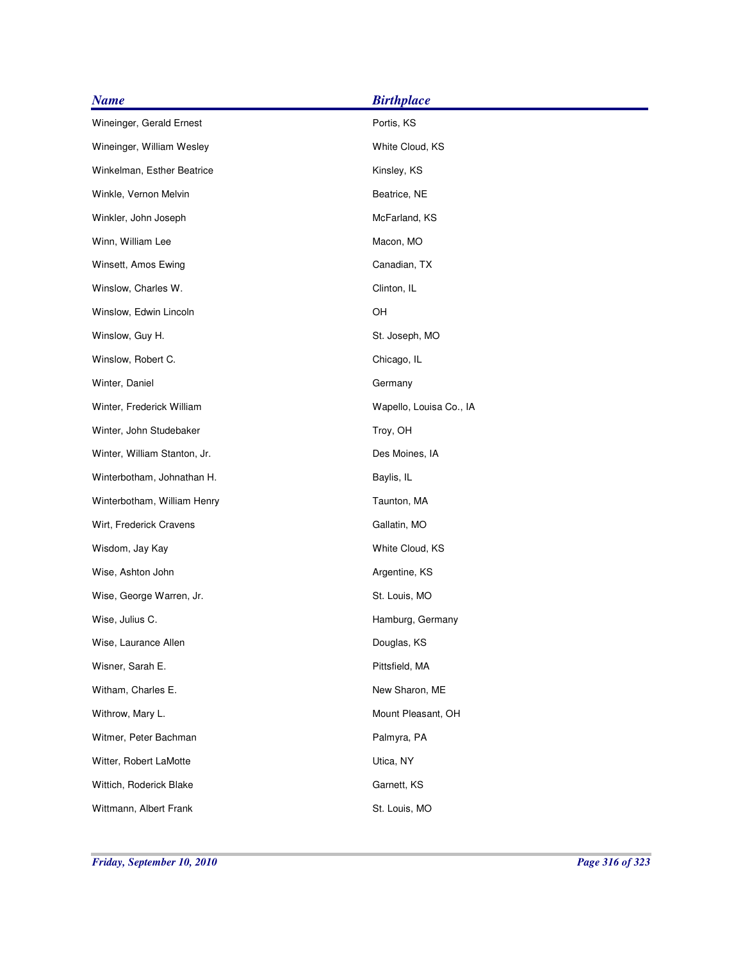| <b>Name</b>                  | <b>Birthplace</b>       |
|------------------------------|-------------------------|
| Wineinger, Gerald Ernest     | Portis, KS              |
| Wineinger, William Wesley    | White Cloud, KS         |
| Winkelman, Esther Beatrice   | Kinsley, KS             |
| Winkle, Vernon Melvin        | Beatrice, NE            |
| Winkler, John Joseph         | McFarland, KS           |
| Winn, William Lee            | Macon, MO               |
| Winsett, Amos Ewing          | Canadian, TX            |
| Winslow, Charles W.          | Clinton, IL             |
| Winslow, Edwin Lincoln       | OH                      |
| Winslow, Guy H.              | St. Joseph, MO          |
| Winslow, Robert C.           | Chicago, IL             |
| Winter, Daniel               | Germany                 |
| Winter, Frederick William    | Wapello, Louisa Co., IA |
| Winter, John Studebaker      | Troy, OH                |
| Winter, William Stanton, Jr. | Des Moines, IA          |
| Winterbotham, Johnathan H.   | Baylis, IL              |
| Winterbotham, William Henry  | Taunton, MA             |
| Wirt, Frederick Cravens      | Gallatin, MO            |
| Wisdom, Jay Kay              | White Cloud, KS         |
| Wise, Ashton John            | Argentine, KS           |
| Wise, George Warren, Jr.     | St. Louis, MO           |
| Wise, Julius C.              | Hamburg, Germany        |
| Wise, Laurance Allen         | Douglas, KS             |
| Wisner, Sarah E.             | Pittsfield, MA          |
| Witham, Charles E.           | New Sharon, ME          |
| Withrow, Mary L.             | Mount Pleasant, OH      |
| Witmer, Peter Bachman        | Palmyra, PA             |
| Witter, Robert LaMotte       | Utica, NY               |
| Wittich, Roderick Blake      | Garnett, KS             |
| Wittmann, Albert Frank       | St. Louis, MO           |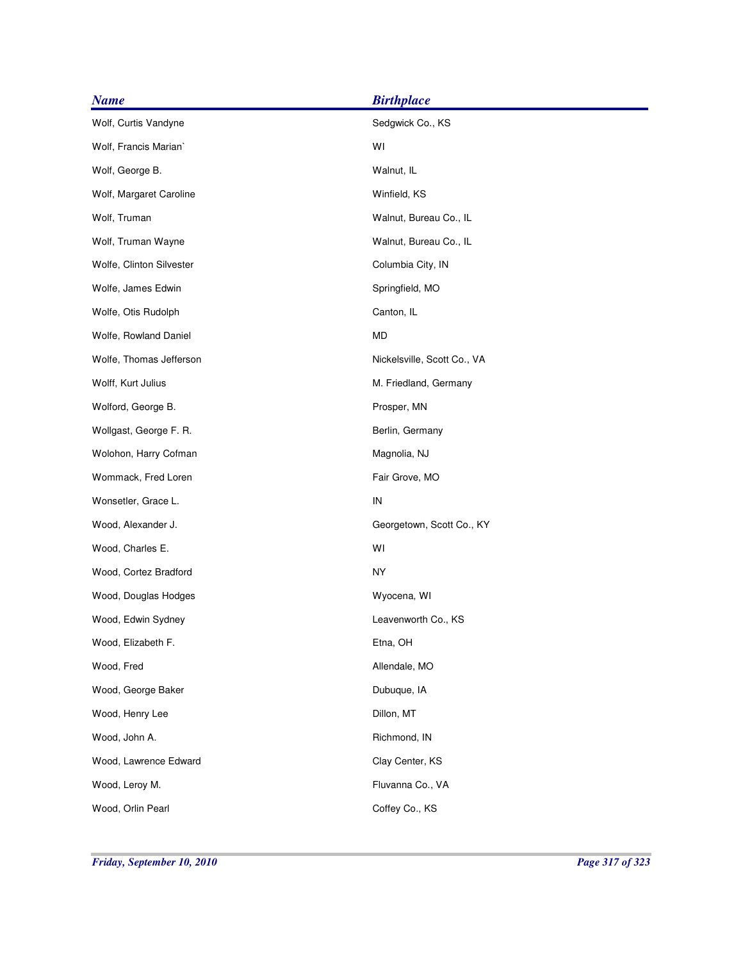| <b>Name</b>              | <b>Birthplace</b>           |
|--------------------------|-----------------------------|
| Wolf, Curtis Vandyne     | Sedgwick Co., KS            |
| Wolf, Francis Marian`    | WI                          |
| Wolf, George B.          | Walnut, IL                  |
| Wolf, Margaret Caroline  | Winfield, KS                |
| Wolf, Truman             | Walnut, Bureau Co., IL      |
| Wolf, Truman Wayne       | Walnut, Bureau Co., IL      |
| Wolfe, Clinton Silvester | Columbia City, IN           |
| Wolfe, James Edwin       | Springfield, MO             |
| Wolfe, Otis Rudolph      | Canton, IL                  |
| Wolfe, Rowland Daniel    | MD                          |
| Wolfe, Thomas Jefferson  | Nickelsville, Scott Co., VA |
| Wolff, Kurt Julius       | M. Friedland, Germany       |
| Wolford, George B.       | Prosper, MN                 |
| Wollgast, George F. R.   | Berlin, Germany             |
| Wolohon, Harry Cofman    | Magnolia, NJ                |
| Wommack, Fred Loren      | Fair Grove, MO              |
| Wonsetler, Grace L.      | IN                          |
| Wood, Alexander J.       | Georgetown, Scott Co., KY   |
| Wood, Charles E.         | WI                          |
| Wood, Cortez Bradford    | <b>NY</b>                   |
| Wood, Douglas Hodges     | Wyocena, WI                 |
| Wood, Edwin Sydney       | Leavenworth Co., KS         |
| Wood, Elizabeth F.       | Etna, OH                    |
| Wood, Fred               | Allendale, MO               |
| Wood, George Baker       | Dubuque, IA                 |
| Wood, Henry Lee          | Dillon, MT                  |
| Wood, John A.            | Richmond, IN                |
| Wood, Lawrence Edward    | Clay Center, KS             |
| Wood, Leroy M.           | Fluvanna Co., VA            |
| Wood, Orlin Pearl        | Coffey Co., KS              |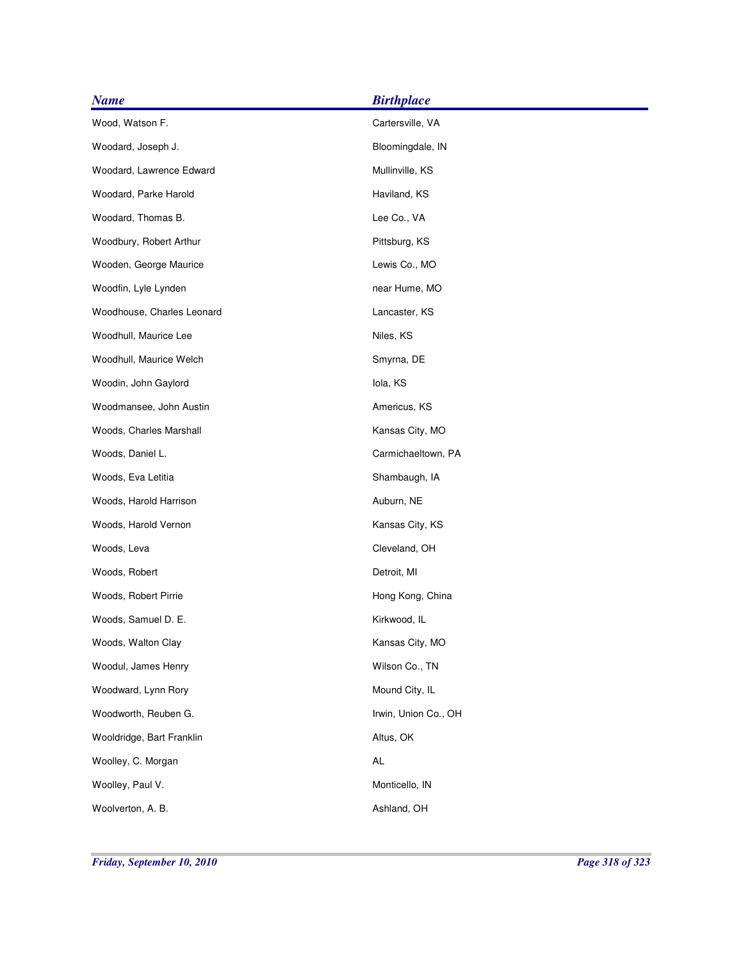| <b>Name</b>                | <b>Birthplace</b>    |
|----------------------------|----------------------|
| Wood, Watson F.            | Cartersville, VA     |
| Woodard, Joseph J.         | Bloomingdale, IN     |
| Woodard, Lawrence Edward   | Mullinville, KS      |
| Woodard, Parke Harold      | Haviland, KS         |
| Woodard, Thomas B.         | Lee Co., VA          |
| Woodbury, Robert Arthur    | Pittsburg, KS        |
| Wooden, George Maurice     | Lewis Co., MO        |
| Woodfin, Lyle Lynden       | near Hume, MO        |
| Woodhouse, Charles Leonard | Lancaster, KS        |
| Woodhull, Maurice Lee      | Niles, KS            |
| Woodhull, Maurice Welch    | Smyrna, DE           |
| Woodin, John Gaylord       | lola, KS             |
| Woodmansee, John Austin    | Americus, KS         |
| Woods, Charles Marshall    | Kansas City, MO      |
| Woods, Daniel L.           | Carmichaeltown, PA   |
| Woods, Eva Letitia         | Shambaugh, IA        |
| Woods, Harold Harrison     | Auburn, NE           |
| Woods, Harold Vernon       | Kansas City, KS      |
| Woods, Leva                | Cleveland, OH        |
| Woods, Robert              | Detroit, MI          |
| Woods, Robert Pirrie       | Hong Kong, China     |
| Woods, Samuel D. E.        | Kirkwood, IL         |
| Woods, Walton Clay         | Kansas City, MO      |
| Woodul, James Henry        | Wilson Co., TN       |
| Woodward, Lynn Rory        | Mound City, IL       |
| Woodworth, Reuben G.       | Irwin, Union Co., OH |
| Wooldridge, Bart Franklin  | Altus, OK            |
| Woolley, C. Morgan         | AL                   |
| Woolley, Paul V.           | Monticello, IN       |
| Woolverton, A. B.          | Ashland, OH          |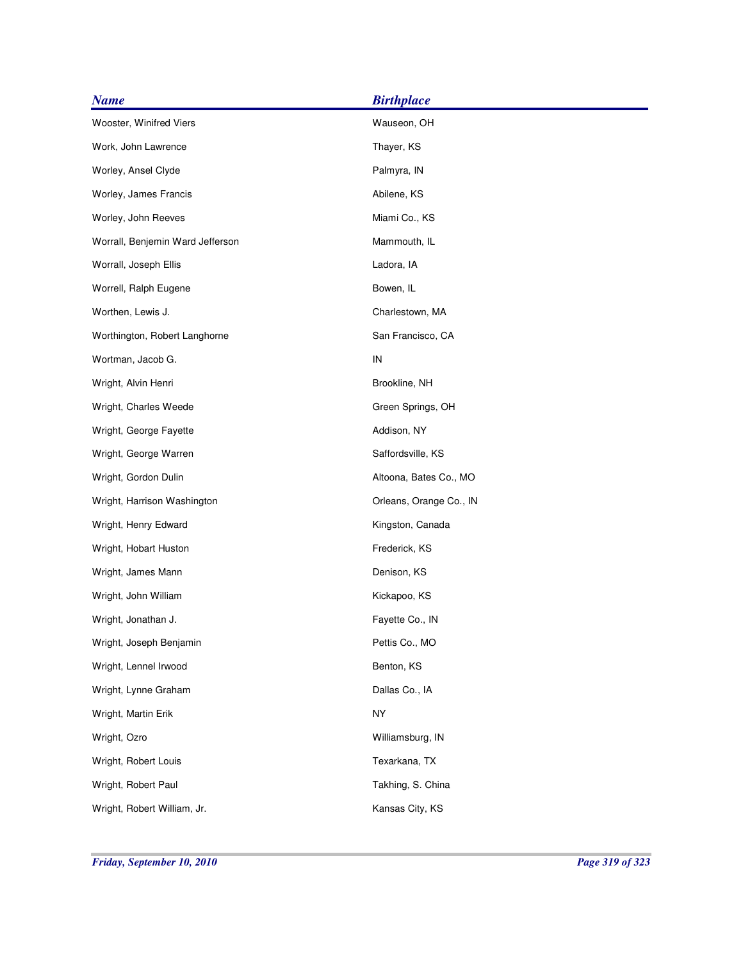| <b>Name</b>                      | <b>Birthplace</b>       |
|----------------------------------|-------------------------|
| Wooster, Winifred Viers          | Wauseon, OH             |
| Work, John Lawrence              | Thayer, KS              |
| Worley, Ansel Clyde              | Palmyra, IN             |
| Worley, James Francis            | Abilene, KS             |
| Worley, John Reeves              | Miami Co., KS           |
| Worrall, Benjemin Ward Jefferson | Mammouth, IL            |
| Worrall, Joseph Ellis            | Ladora, IA              |
| Worrell, Ralph Eugene            | Bowen, IL               |
| Worthen, Lewis J.                | Charlestown, MA         |
| Worthington, Robert Langhorne    | San Francisco, CA       |
| Wortman, Jacob G.                | IN                      |
| Wright, Alvin Henri              | Brookline, NH           |
| Wright, Charles Weede            | Green Springs, OH       |
| Wright, George Fayette           | Addison, NY             |
| Wright, George Warren            | Saffordsville, KS       |
| Wright, Gordon Dulin             | Altoona, Bates Co., MO  |
| Wright, Harrison Washington      | Orleans, Orange Co., IN |
| Wright, Henry Edward             | Kingston, Canada        |
| Wright, Hobart Huston            | Frederick, KS           |
| Wright, James Mann               | Denison, KS             |
| Wright, John William             | Kickapoo, KS            |
| Wright, Jonathan J.              | Fayette Co., IN         |
| Wright, Joseph Benjamin          | Pettis Co., MO          |
| Wright, Lennel Irwood            | Benton, KS              |
| Wright, Lynne Graham             | Dallas Co., IA          |
| Wright, Martin Erik              | <b>NY</b>               |
| Wright, Ozro                     | Williamsburg, IN        |
| Wright, Robert Louis             | Texarkana, TX           |
| Wright, Robert Paul              | Takhing, S. China       |
| Wright, Robert William, Jr.      | Kansas City, KS         |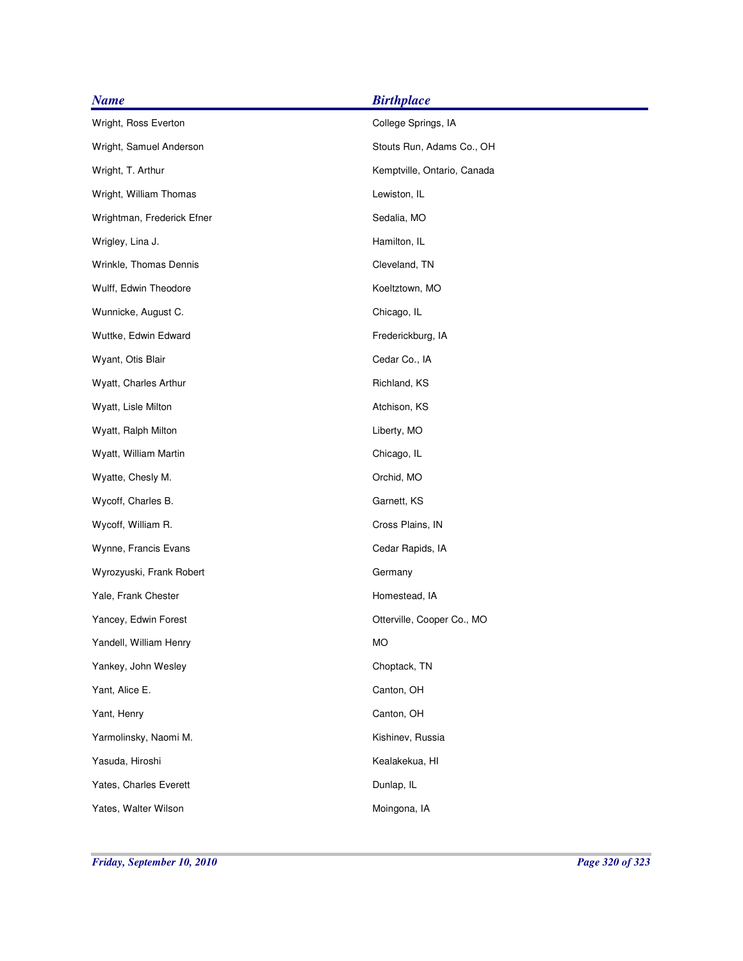| <b>Name</b>                | <b>Birthplace</b>           |
|----------------------------|-----------------------------|
| Wright, Ross Everton       | College Springs, IA         |
| Wright, Samuel Anderson    | Stouts Run, Adams Co., OH   |
| Wright, T. Arthur          | Kemptville, Ontario, Canada |
| Wright, William Thomas     | Lewiston, IL                |
| Wrightman, Frederick Efner | Sedalia, MO                 |
| Wrigley, Lina J.           | Hamilton, IL                |
| Wrinkle, Thomas Dennis     | Cleveland, TN               |
| Wulff, Edwin Theodore      | Koeltztown, MO              |
| Wunnicke, August C.        | Chicago, IL                 |
| Wuttke, Edwin Edward       | Frederickburg, IA           |
| Wyant, Otis Blair          | Cedar Co., IA               |
| Wyatt, Charles Arthur      | Richland, KS                |
| Wyatt, Lisle Milton        | Atchison, KS                |
| Wyatt, Ralph Milton        | Liberty, MO                 |
| Wyatt, William Martin      | Chicago, IL                 |
| Wyatte, Chesly M.          | Orchid, MO                  |
| Wycoff, Charles B.         | Garnett, KS                 |
| Wycoff, William R.         | Cross Plains, IN            |
| Wynne, Francis Evans       | Cedar Rapids, IA            |
| Wyrozyuski, Frank Robert   | Germany                     |
| Yale, Frank Chester        | Homestead, IA               |
| Yancey, Edwin Forest       | Otterville, Cooper Co., MO  |
| Yandell, William Henry     | <b>MO</b>                   |
| Yankey, John Wesley        | Choptack, TN                |
| Yant, Alice E.             | Canton, OH                  |
| Yant, Henry                | Canton, OH                  |
| Yarmolinsky, Naomi M.      | Kishinev, Russia            |
| Yasuda, Hiroshi            | Kealakekua, HI              |
| Yates, Charles Everett     | Dunlap, IL                  |
| Yates, Walter Wilson       | Moingona, IA                |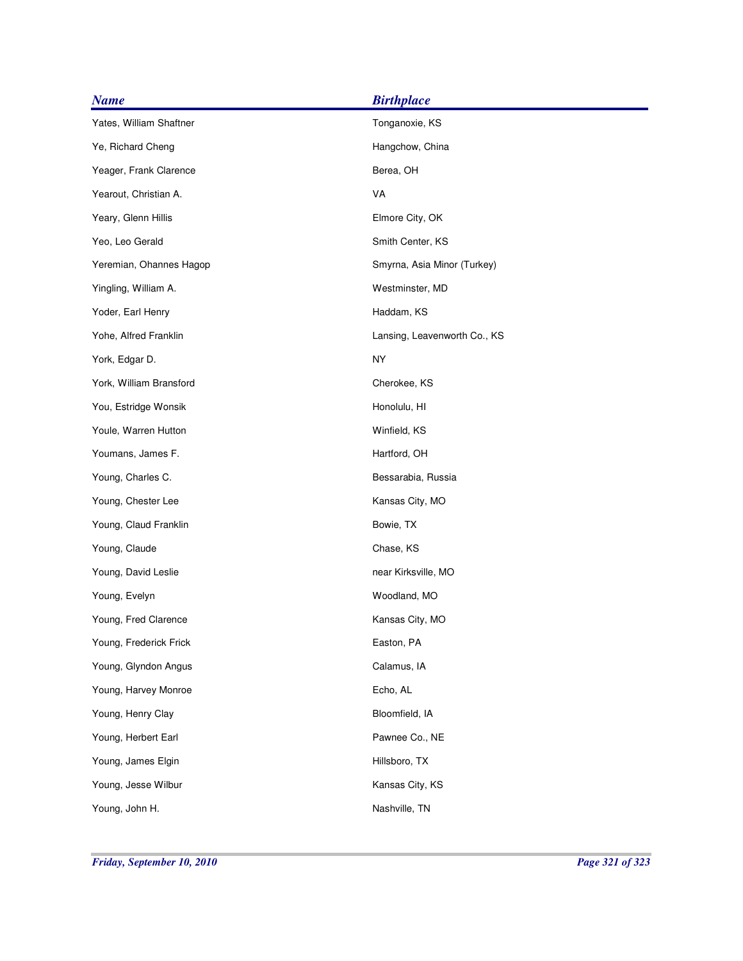| <b>Name</b>             | <b>Birthplace</b>            |
|-------------------------|------------------------------|
| Yates, William Shaftner | Tonganoxie, KS               |
| Ye, Richard Cheng       | Hangchow, China              |
| Yeager, Frank Clarence  | Berea, OH                    |
| Yearout, Christian A.   | VA                           |
| Yeary, Glenn Hillis     | Elmore City, OK              |
| Yeo, Leo Gerald         | Smith Center, KS             |
| Yeremian, Ohannes Hagop | Smyrna, Asia Minor (Turkey)  |
| Yingling, William A.    | Westminster, MD              |
| Yoder, Earl Henry       | Haddam, KS                   |
| Yohe, Alfred Franklin   | Lansing, Leavenworth Co., KS |
| York, Edgar D.          | NY                           |
| York, William Bransford | Cherokee, KS                 |
| You, Estridge Wonsik    | Honolulu, HI                 |
| Youle, Warren Hutton    | Winfield, KS                 |
| Youmans, James F.       | Hartford, OH                 |
| Young, Charles C.       | Bessarabia, Russia           |
| Young, Chester Lee      | Kansas City, MO              |
| Young, Claud Franklin   | Bowie, TX                    |
| Young, Claude           | Chase, KS                    |
| Young, David Leslie     | near Kirksville, MO          |
| Young, Evelyn           | Woodland, MO                 |
| Young, Fred Clarence    | Kansas City, MO              |
| Young, Frederick Frick  | Easton, PA                   |
| Young, Glyndon Angus    | Calamus, IA                  |
| Young, Harvey Monroe    | Echo, AL                     |
| Young, Henry Clay       | Bloomfield, IA               |
| Young, Herbert Earl     | Pawnee Co., NE               |
| Young, James Elgin      | Hillsboro, TX                |
| Young, Jesse Wilbur     | Kansas City, KS              |
| Young, John H.          | Nashville, TN                |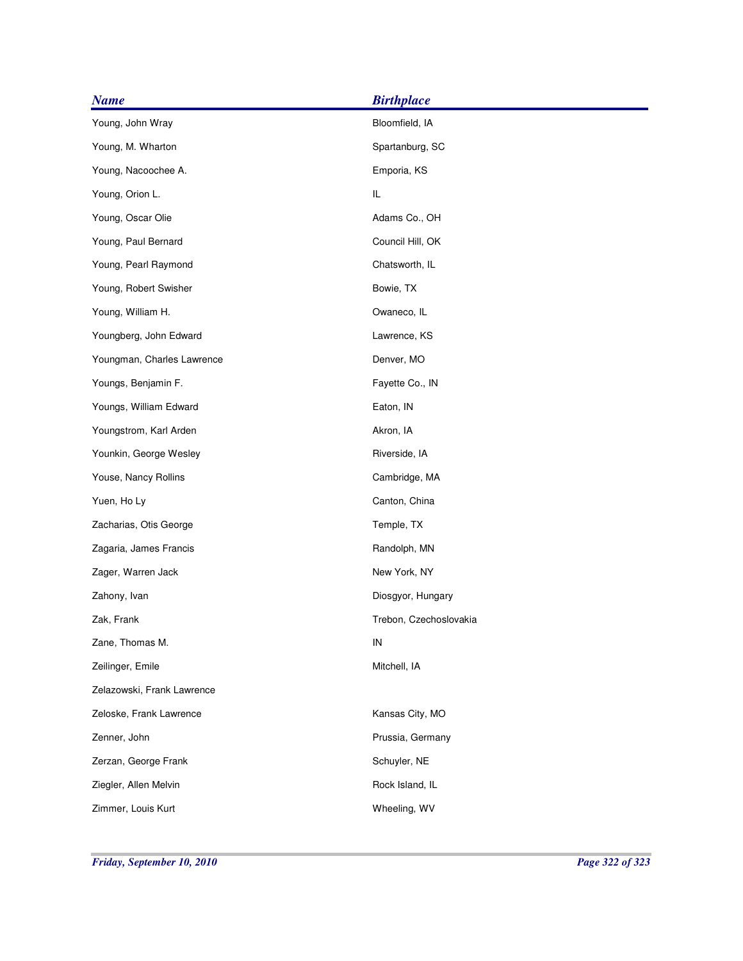| <b>Name</b>                | <b>Birthplace</b>      |
|----------------------------|------------------------|
| Young, John Wray           | Bloomfield, IA         |
| Young, M. Wharton          | Spartanburg, SC        |
| Young, Nacoochee A.        | Emporia, KS            |
| Young, Orion L.            | IL                     |
| Young, Oscar Olie          | Adams Co., OH          |
| Young, Paul Bernard        | Council Hill, OK       |
| Young, Pearl Raymond       | Chatsworth, IL         |
| Young, Robert Swisher      | Bowie, TX              |
| Young, William H.          | Owaneco, IL            |
| Youngberg, John Edward     | Lawrence, KS           |
| Youngman, Charles Lawrence | Denver, MO             |
| Youngs, Benjamin F.        | Fayette Co., IN        |
| Youngs, William Edward     | Eaton, IN              |
| Youngstrom, Karl Arden     | Akron, IA              |
| Younkin, George Wesley     | Riverside, IA          |
| Youse, Nancy Rollins       | Cambridge, MA          |
| Yuen, Ho Ly                | Canton, China          |
| Zacharias, Otis George     | Temple, TX             |
| Zagaria, James Francis     | Randolph, MN           |
| Zager, Warren Jack         | New York, NY           |
| Zahony, Ivan               | Diosgyor, Hungary      |
| Zak, Frank                 | Trebon, Czechoslovakia |
| Zane, Thomas M.            | IN                     |
| Zeilinger, Emile           | Mitchell, IA           |
| Zelazowski, Frank Lawrence |                        |
| Zeloske, Frank Lawrence    | Kansas City, MO        |
| Zenner, John               | Prussia, Germany       |
| Zerzan, George Frank       | Schuyler, NE           |
| Ziegler, Allen Melvin      | Rock Island, IL        |
| Zimmer, Louis Kurt         | Wheeling, WV           |
|                            |                        |